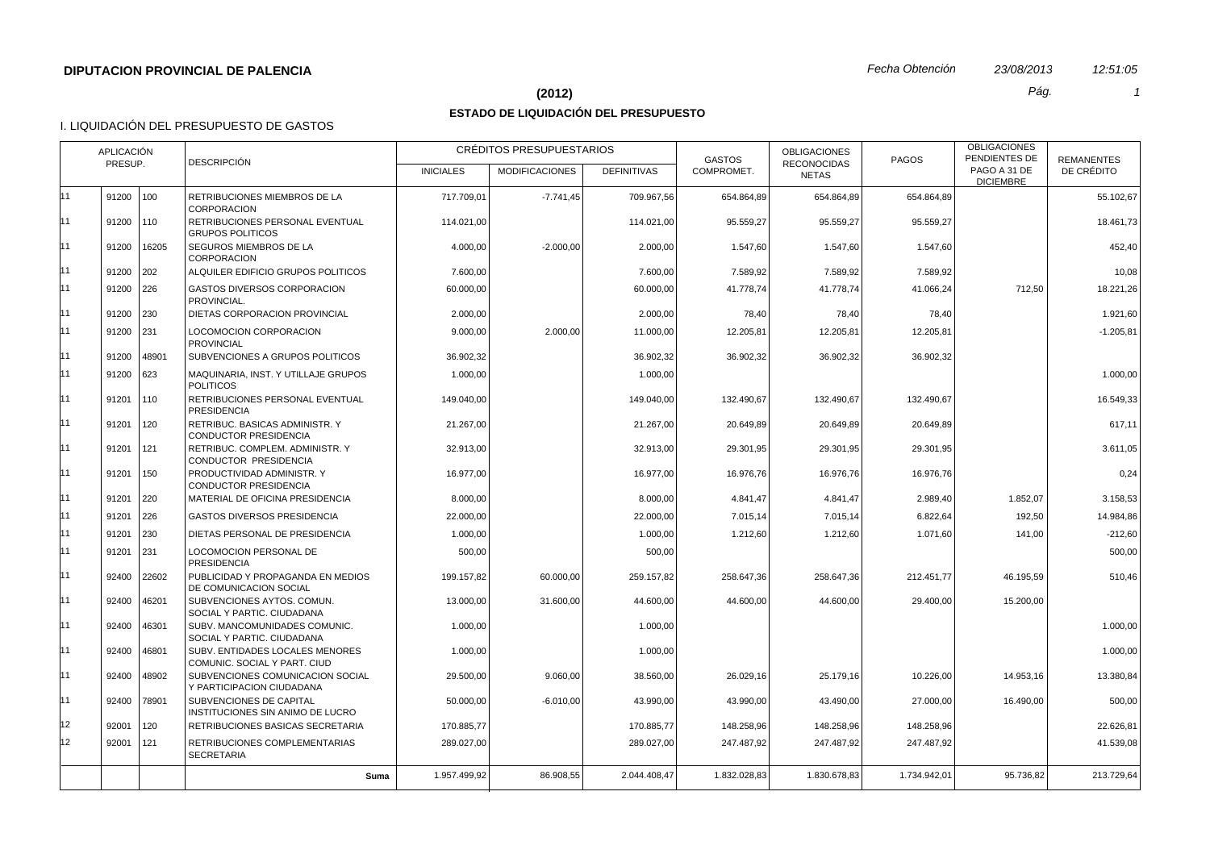#### **(2012)** *Pág. 1*

## **ESTADO DE LIQUIDACIÓN DEL PRESUPUESTO**

|    | APLICACIÓN<br>PRESUP. |               | <b>DESCRIPCIÓN</b>                                              |                  | CRÉDITOS PRESUPUESTARIOS |                    | <b>GASTOS</b> | <b>OBLIGACIONES</b><br><b>RECONOCIDAS</b> | <b>PAGOS</b> | <b>OBLIGACIONES</b><br>PENDIENTES DE | <b>REMANENTES</b> |
|----|-----------------------|---------------|-----------------------------------------------------------------|------------------|--------------------------|--------------------|---------------|-------------------------------------------|--------------|--------------------------------------|-------------------|
|    |                       |               |                                                                 | <b>INICIALES</b> | <b>MODIFICACIONES</b>    | <b>DEFINITIVAS</b> | COMPROMET.    | <b>NETAS</b>                              |              | PAGO A 31 DE<br><b>DICIEMBRE</b>     | DE CRÉDITO        |
| 11 | 91200                 | $ 100\rangle$ | RETRIBUCIONES MIEMBROS DE LA<br><b>CORPORACION</b>              | 717.709.01       | $-7.741,45$              | 709.967,56         | 654.864,89    | 654.864,89                                | 654.864.89   |                                      | 55.102.67         |
| 11 | 91200 110             |               | RETRIBUCIONES PERSONAL EVENTUAL<br><b>GRUPOS POLITICOS</b>      | 114.021,00       |                          | 114.021,00         | 95.559,27     | 95.559,27                                 | 95.559.27    |                                      | 18.461,73         |
| 11 | 91200                 | 16205         | SEGUROS MIEMBROS DE LA<br><b>CORPORACION</b>                    | 4.000,00         | $-2.000,00$              | 2.000,00           | 1.547,60      | 1.547,60                                  | 1.547,60     |                                      | 452,40            |
| 11 | 91200                 | 202           | ALQUILER EDIFICIO GRUPOS POLITICOS                              | 7.600,00         |                          | 7.600,00           | 7.589,92      | 7.589,92                                  | 7.589,92     |                                      | 10.08             |
| 11 | 91200                 | 226           | GASTOS DIVERSOS CORPORACION<br>PROVINCIAL.                      | 60.000,00        |                          | 60.000,00          | 41.778,74     | 41.778,74                                 | 41.066,24    | 712,50                               | 18.221,26         |
| 11 | 91200 230             |               | DIETAS CORPORACION PROVINCIAL                                   | 2.000,00         |                          | 2.000,00           | 78,40         | 78,40                                     | 78,40        |                                      | 1.921,60          |
| 11 | 91200 231             |               | LOCOMOCION CORPORACION<br><b>PROVINCIAL</b>                     | 9.000,00         | 2.000,00                 | 11.000,00          | 12.205,81     | 12.205,81                                 | 12.205,81    |                                      | $-1.205,81$       |
| 11 | 91200                 | 48901         | SUBVENCIONES A GRUPOS POLITICOS                                 | 36.902,32        |                          | 36.902.32          | 36.902,32     | 36.902,32                                 | 36.902,32    |                                      |                   |
| 11 | 91200 623             |               | MAQUINARIA, INST. Y UTILLAJE GRUPOS<br><b>POLITICOS</b>         | 1.000,00         |                          | 1.000,00           |               |                                           |              |                                      | 1.000,00          |
| 11 | 91201                 | 110           | RETRIBUCIONES PERSONAL EVENTUAL<br><b>PRESIDENCIA</b>           | 149.040,00       |                          | 149.040,00         | 132.490,67    | 132.490,67                                | 132.490,67   |                                      | 16.549,33         |
| 11 | 91201                 | 120           | RETRIBUC. BASICAS ADMINISTR. Y<br>CONDUCTOR PRESIDENCIA         | 21.267,00        |                          | 21.267,00          | 20.649,89     | 20.649,89                                 | 20.649,89    |                                      | 617,11            |
| 11 | 91201                 | 121           | RETRIBUC. COMPLEM. ADMINISTR. Y<br>CONDUCTOR PRESIDENCIA        | 32.913,00        |                          | 32.913,00          | 29.301,95     | 29.301,95                                 | 29.301,95    |                                      | 3.611,05          |
| 11 | 91201                 | 150           | PRODUCTIVIDAD ADMINISTR. Y<br><b>CONDUCTOR PRESIDENCIA</b>      | 16.977,00        |                          | 16.977,00          | 16.976,76     | 16.976,76                                 | 16.976,76    |                                      | 0,24              |
| 11 | 91201                 | 220           | MATERIAL DE OFICINA PRESIDENCIA                                 | 8.000,00         |                          | 8.000,00           | 4.841,47      | 4.841,47                                  | 2.989,40     | 1.852,07                             | 3.158,53          |
| 11 | 91201                 | 226           | <b>GASTOS DIVERSOS PRESIDENCIA</b>                              | 22.000,00        |                          | 22.000,00          | 7.015,14      | 7.015,14                                  | 6.822,64     | 192,50                               | 14.984,86         |
| 11 | 91201                 | 230           | DIETAS PERSONAL DE PRESIDENCIA                                  | 1.000,00         |                          | 1.000,00           | 1.212,60      | 1.212,60                                  | 1.071,60     | 141,00                               | $-212,60$         |
| 11 | 91201                 | 231           | <b>LOCOMOCION PERSONAL DE</b><br><b>PRESIDENCIA</b>             | 500,00           |                          | 500,00             |               |                                           |              |                                      | 500,00            |
| 11 | 92400                 | 22602         | PUBLICIDAD Y PROPAGANDA EN MEDIOS<br>DE COMUNICACION SOCIAL     | 199.157,82       | 60.000,00                | 259.157,82         | 258.647.36    | 258.647,36                                | 212.451,77   | 46.195.59                            | 510,46            |
| 11 | 92400                 | 46201         | SUBVENCIONES AYTOS, COMUN.<br>SOCIAL Y PARTIC. CIUDADANA        | 13.000.00        | 31.600.00                | 44.600.00          | 44.600.00     | 44.600,00                                 | 29.400,00    | 15.200,00                            |                   |
| 11 | 92400                 | 46301         | SUBV. MANCOMUNIDADES COMUNIC.<br>SOCIAL Y PARTIC. CIUDADANA     | 1.000,00         |                          | 1.000,00           |               |                                           |              |                                      | 1.000,00          |
| 11 | 92400                 | 46801         | SUBV. ENTIDADES LOCALES MENORES<br>COMUNIC. SOCIAL Y PART. CIUD | 1.000,00         |                          | 1.000,00           |               |                                           |              |                                      | 1.000,00          |
| 11 | 92400                 | 48902         | SUBVENCIONES COMUNICACION SOCIAL<br>Y PARTICIPACION CIUDADANA   | 29.500,00        | 9.060,00                 | 38.560,00          | 26.029,16     | 25.179,16                                 | 10.226,00    | 14.953,16                            | 13.380,84         |
| 11 | 92400                 | 78901         | SUBVENCIONES DE CAPITAL<br>INSTITUCIONES SIN ANIMO DE LUCRO     | 50.000,00        | $-6.010,00$              | 43.990,00          | 43.990,00     | 43.490,00                                 | 27.000,00    | 16.490,00                            | 500,00            |
| 12 | 92001                 | 120           | RETRIBUCIONES BASICAS SECRETARIA                                | 170.885,77       |                          | 170.885,77         | 148.258,96    | 148.258,96                                | 148.258,96   |                                      | 22.626,81         |
| 12 | 92001                 | 121           | RETRIBUCIONES COMPLEMENTARIAS<br><b>SECRETARIA</b>              | 289.027,00       |                          | 289.027,00         | 247.487,92    | 247.487,92                                | 247.487,92   |                                      | 41.539,08         |
|    |                       |               | Suma                                                            | 1.957.499,92     | 86.908,55                | 2.044.408.47       | 1.832.028,83  | 1.830.678.83                              | 1.734.942,01 | 95.736,82                            | 213.729,64        |
|    |                       |               |                                                                 |                  |                          |                    |               |                                           |              |                                      |                   |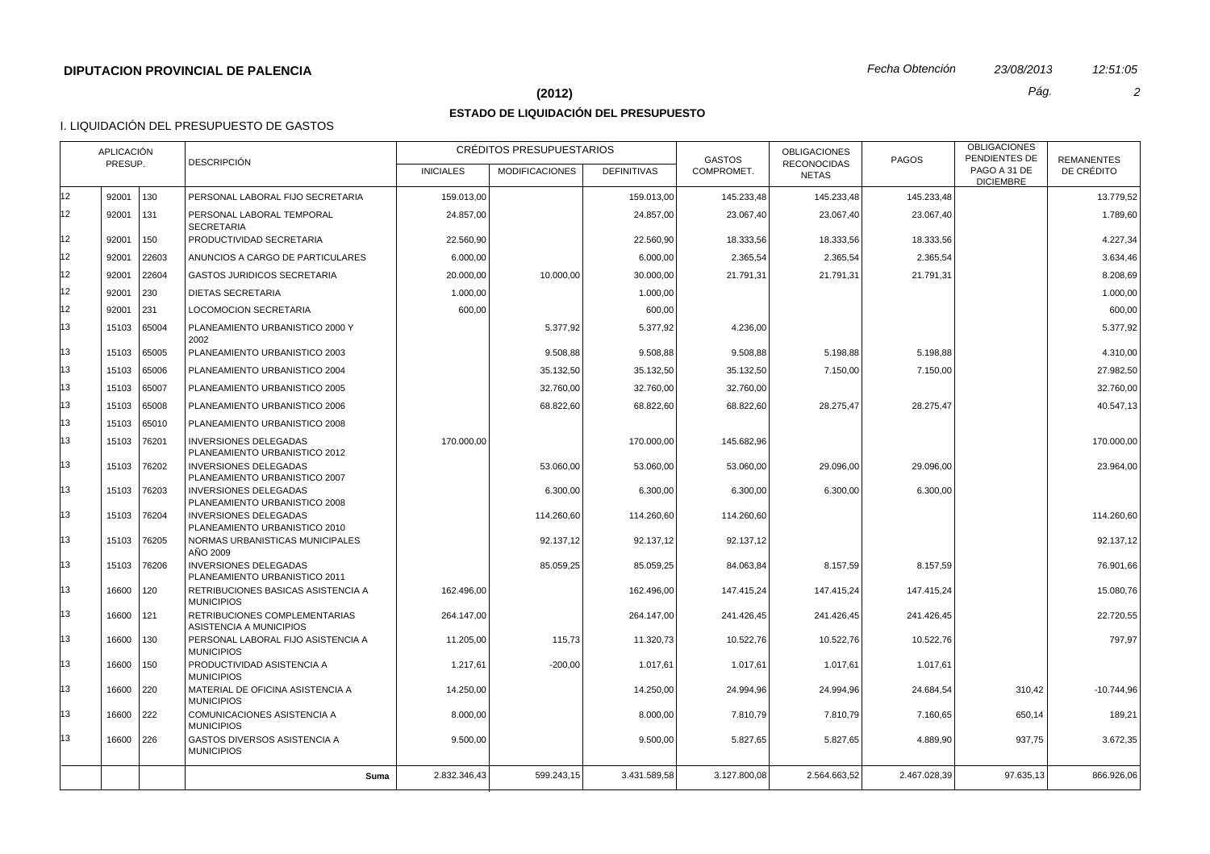# **(2012)** *Pág. 2*

# **ESTADO DE LIQUIDACIÓN DEL PRESUPUESTO**

|    | APLICACIÓN<br>PRESUP. |       |                                                               |                  | CRÉDITOS PRESUPUESTARIOS |                    | <b>GASTOS</b> | <b>OBLIGACIONES</b>                | <b>PAGOS</b> | <b>OBLIGACIONES</b><br>PENDIENTES DE | <b>REMANENTES</b> |
|----|-----------------------|-------|---------------------------------------------------------------|------------------|--------------------------|--------------------|---------------|------------------------------------|--------------|--------------------------------------|-------------------|
|    |                       |       | <b>DESCRIPCIÓN</b>                                            | <b>INICIALES</b> | <b>MODIFICACIONES</b>    | <b>DEFINITIVAS</b> | COMPROMET.    | <b>RECONOCIDAS</b><br><b>NETAS</b> |              | PAGO A 31 DE<br><b>DICIEMBRE</b>     | DE CRÉDITO        |
| 12 | 92001                 | 130   | PERSONAL LABORAL FIJO SECRETARIA                              | 159.013,00       |                          | 159.013,00         | 145.233,48    | 145.233,48                         | 145.233,48   |                                      | 13.779,52         |
| 12 | 92001                 | 131   | PERSONAL LABORAL TEMPORAL<br><b>SECRETARIA</b>                | 24.857,00        |                          | 24.857,00          | 23.067,40     | 23.067,40                          | 23.067,40    |                                      | 1.789,60          |
| 12 | 92001                 | 150   | PRODUCTIVIDAD SECRETARIA                                      | 22.560,90        |                          | 22.560,90          | 18.333,56     | 18.333,56                          | 18.333,56    |                                      | 4.227,34          |
| 12 | 92001                 | 22603 | ANUNCIOS A CARGO DE PARTICULARES                              | 6.000,00         |                          | 6.000,00           | 2.365,54      | 2.365,54                           | 2.365,54     |                                      | 3.634,46          |
| 12 | 92001                 | 22604 | <b>GASTOS JURIDICOS SECRETARIA</b>                            | 20.000,00        | 10.000,00                | 30.000,00          | 21.791,31     | 21.791,31                          | 21.791,31    |                                      | 8.208,69          |
| 12 | 92001                 | 230   | <b>DIETAS SECRETARIA</b>                                      | 1.000,00         |                          | 1.000,00           |               |                                    |              |                                      | 1.000,00          |
| 12 | 92001                 | 231   | <b>LOCOMOCION SECRETARIA</b>                                  | 600,00           |                          | 600,00             |               |                                    |              |                                      | 600,00            |
| 13 | 15103                 | 65004 | PLANEAMIENTO URBANISTICO 2000 Y<br>2002                       |                  | 5.377,92                 | 5.377,92           | 4.236,00      |                                    |              |                                      | 5.377,92          |
| 13 | 15103                 | 65005 | PLANEAMIENTO URBANISTICO 2003                                 |                  | 9.508,88                 | 9.508,88           | 9.508,88      | 5.198,88                           | 5.198,88     |                                      | 4.310,00          |
| 13 | 15103                 | 65006 | PLANEAMIENTO URBANISTICO 2004                                 |                  | 35.132,50                | 35.132,50          | 35.132,50     | 7.150,00                           | 7.150,00     |                                      | 27.982,50         |
| 13 | 15103                 | 65007 | PLANEAMIENTO URBANISTICO 2005                                 |                  | 32.760,00                | 32.760,00          | 32.760,00     |                                    |              |                                      | 32.760,00         |
| 13 | 15103                 | 65008 | PLANEAMIENTO URBANISTICO 2006                                 |                  | 68.822,60                | 68.822,60          | 68.822,60     | 28.275,47                          | 28.275,47    |                                      | 40.547,13         |
| 13 | 15103                 | 65010 | PLANEAMIENTO URBANISTICO 2008                                 |                  |                          |                    |               |                                    |              |                                      |                   |
| 13 | 15103                 | 76201 | <b>INVERSIONES DELEGADAS</b><br>PLANEAMIENTO URBANISTICO 2012 | 170.000,00       |                          | 170.000,00         | 145.682,96    |                                    |              |                                      | 170.000,00        |
| 13 | 15103                 | 76202 | <b>INVERSIONES DELEGADAS</b><br>PLANEAMIENTO URBANISTICO 2007 |                  | 53.060,00                | 53.060,00          | 53.060,00     | 29.096,00                          | 29.096,00    |                                      | 23.964,00         |
| 13 | 15103                 | 76203 | <b>INVERSIONES DELEGADAS</b><br>PLANEAMIENTO URBANISTICO 2008 |                  | 6.300,00                 | 6.300,00           | 6.300,00      | 6.300,00                           | 6.300,00     |                                      |                   |
| 13 | 15103                 | 76204 | <b>INVERSIONES DELEGADAS</b><br>PLANEAMIENTO URBANISTICO 2010 |                  | 114.260,60               | 114.260,60         | 114.260,60    |                                    |              |                                      | 114.260,60        |
| 13 | 15103                 | 76205 | NORMAS URBANISTICAS MUNICIPALES<br>AÑO 2009                   |                  | 92.137,12                | 92.137,12          | 92.137,12     |                                    |              |                                      | 92.137,12         |
| 13 | 15103                 | 76206 | <b>INVERSIONES DELEGADAS</b><br>PLANEAMIENTO URBANISTICO 2011 |                  | 85.059,25                | 85.059,25          | 84.063,84     | 8.157,59                           | 8.157,59     |                                      | 76.901,66         |
| 13 | 16600                 | 120   | RETRIBUCIONES BASICAS ASISTENCIA A<br><b>MUNICIPIOS</b>       | 162.496,00       |                          | 162.496,00         | 147.415,24    | 147.415,24                         | 147.415,24   |                                      | 15.080,76         |
| 13 | 16600                 | 121   | RETRIBUCIONES COMPLEMENTARIAS<br>ASISTENCIA A MUNICIPIOS      | 264.147,00       |                          | 264.147,00         | 241.426,45    | 241.426,45                         | 241.426,45   |                                      | 22.720,55         |
| 13 | 16600                 | 130   | PERSONAL LABORAL FIJO ASISTENCIA A<br><b>MUNICIPIOS</b>       | 11.205,00        | 115,73                   | 11.320,73          | 10.522,76     | 10.522,76                          | 10.522,76    |                                      | 797,97            |
| 13 | 16600                 | 150   | PRODUCTIVIDAD ASISTENCIA A<br><b>MUNICIPIOS</b>               | 1.217,61         | $-200,00$                | 1.017,61           | 1.017,61      | 1.017,61                           | 1.017,61     |                                      |                   |
| 13 | 16600                 | 220   | MATERIAL DE OFICINA ASISTENCIA A<br><b>MUNICIPIOS</b>         | 14.250,00        |                          | 14.250,00          | 24.994,96     | 24.994,96                          | 24.684,54    | 310,42                               | $-10.744,96$      |
| 13 | 16600                 | 222   | COMUNICACIONES ASISTENCIA A<br><b>MUNICIPIOS</b>              | 8.000,00         |                          | 8.000,00           | 7.810,79      | 7.810,79                           | 7.160,65     | 650,14                               | 189,21            |
| 13 | 16600 226             |       | GASTOS DIVERSOS ASISTENCIA A<br><b>MUNICIPIOS</b>             | 9.500,00         |                          | 9.500,00           | 5.827,65      | 5.827,65                           | 4.889,90     | 937,75                               | 3.672,35          |
|    |                       |       | Suma                                                          | 2.832.346,43     | 599.243,15               | 3.431.589,58       | 3.127.800,08  | 2.564.663,52                       | 2.467.028,39 | 97.635,13                            | 866.926,06        |
|    |                       |       |                                                               |                  |                          |                    |               |                                    |              |                                      |                   |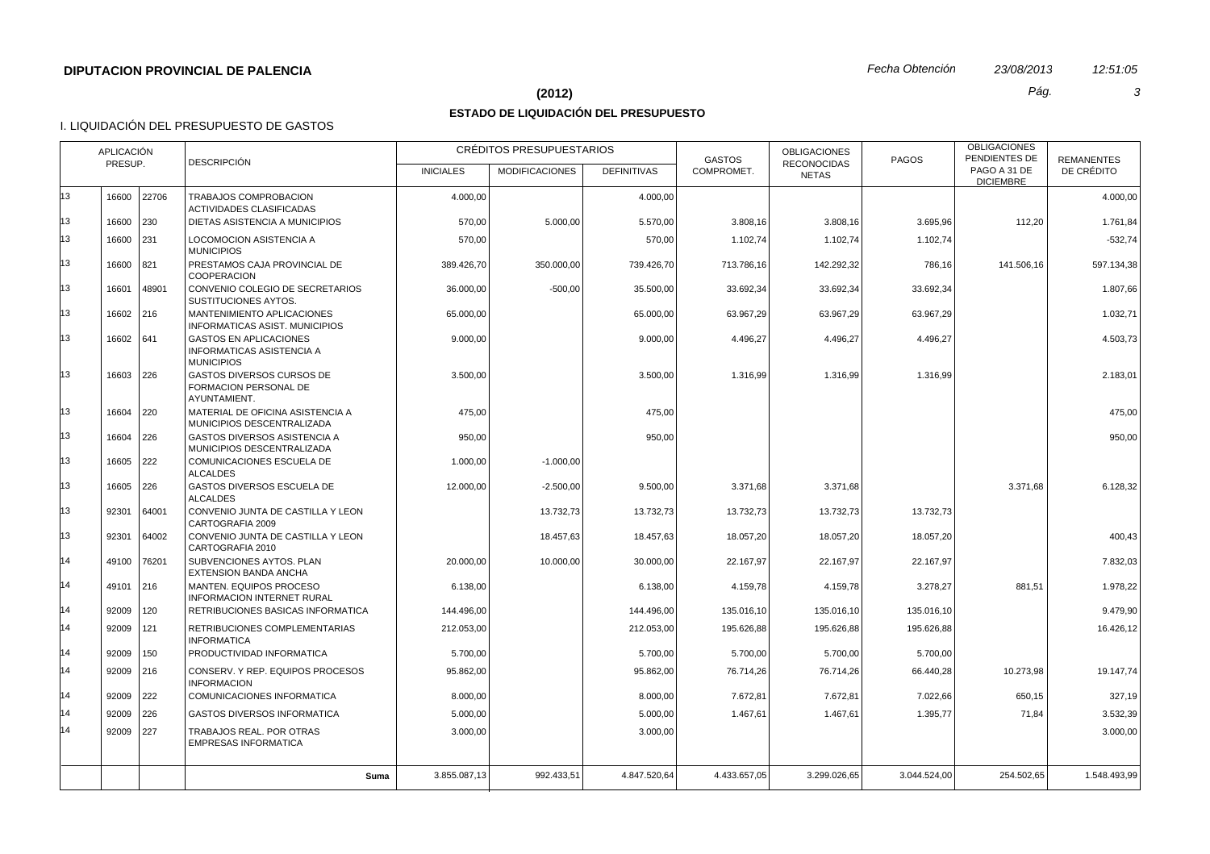#### **(2012)** *Pág. 3*

## **ESTADO DE LIQUIDACIÓN DEL PRESUPUESTO**

|          | APLICACIÓN<br><b>DESCRIPCIÓN</b><br>PRESUP. |              |                                                                                        | CRÉDITOS PRESUPUESTARIOS |                       |                          | <b>GASTOS</b>            | <b>OBLIGACIONES</b>                | <b>PAGOS</b>             | <b>OBLIGACIONES</b><br>PENDIENTES DE | <b>REMANENTES</b>     |
|----------|---------------------------------------------|--------------|----------------------------------------------------------------------------------------|--------------------------|-----------------------|--------------------------|--------------------------|------------------------------------|--------------------------|--------------------------------------|-----------------------|
|          |                                             |              |                                                                                        | <b>INICIALES</b>         | <b>MODIFICACIONES</b> | <b>DEFINITIVAS</b>       | COMPROMET.               | <b>RECONOCIDAS</b><br><b>NETAS</b> |                          | PAGO A 31 DE<br><b>DICIEMBRE</b>     | DE CRÉDITO            |
| 13       |                                             | 16600 22706  | TRABAJOS COMPROBACION<br><b>ACTIVIDADES CLASIFICADAS</b>                               | 4.000,00                 |                       | 4.000,00                 |                          |                                    |                          |                                      | 4.000,00              |
| 13       | 16600                                       | 230          | DIETAS ASISTENCIA A MUNICIPIOS                                                         | 570,00                   | 5.000,00              | 5.570,00                 | 3.808,16                 | 3.808,16                           | 3.695,96                 | 112,20                               | 1.761,84              |
| 13       | 16600                                       | 231          | <b>LOCOMOCION ASISTENCIA A</b><br><b>MUNICIPIOS</b>                                    | 570,00                   |                       | 570,00                   | 1.102,74                 | 1.102,74                           | 1.102,74                 |                                      | $-532,74$             |
| 13       | 16600 821                                   |              | PRESTAMOS CAJA PROVINCIAL DE<br><b>COOPERACION</b>                                     | 389.426,70               | 350.000,00            | 739.426,70               | 713.786,16               | 142.292,32                         | 786,16                   | 141.506,16                           | 597.134,38            |
| 13       | 16601                                       | 48901        | CONVENIO COLEGIO DE SECRETARIOS<br>SUSTITUCIONES AYTOS.                                | 36.000,00                | $-500,00$             | 35.500,00                | 33.692.34                | 33.692,34                          | 33.692,34                |                                      | 1.807,66              |
| 13       | 16602 216                                   |              | MANTENIMIENTO APLICACIONES<br>INFORMATICAS ASIST. MUNICIPIOS                           | 65.000,00                |                       | 65.000,00                | 63.967,29                | 63.967,29                          | 63.967,29                |                                      | 1.032,71              |
| 13       | 16602 641                                   |              | <b>GASTOS EN APLICACIONES</b><br><b>INFORMATICAS ASISTENCIA A</b><br><b>MUNICIPIOS</b> | 9.000,00                 |                       | 9.000,00                 | 4.496,27                 | 4.496,27                           | 4.496,27                 |                                      | 4.503,73              |
| 13       | 16603 226                                   |              | GASTOS DIVERSOS CURSOS DE<br><b>FORMACION PERSONAL DE</b><br>AYUNTAMIENT.              | 3.500,00                 |                       | 3.500,00                 | 1.316,99                 | 1.316,99                           | 1.316,99                 |                                      | 2.183,01              |
| 13       | 16604                                       | 220          | MATERIAL DE OFICINA ASISTENCIA A<br>MUNICIPIOS DESCENTRALIZADA                         | 475,00                   |                       | 475,00                   |                          |                                    |                          |                                      | 475,00                |
| 13       | 16604 226                                   |              | GASTOS DIVERSOS ASISTENCIA A<br>MUNICIPIOS DESCENTRALIZADA                             | 950,00                   |                       | 950,00                   |                          |                                    |                          |                                      | 950,00                |
| 13       | 16605 222                                   |              | COMUNICACIONES ESCUELA DE<br><b>ALCALDES</b>                                           | 1.000,00                 | $-1.000,00$           |                          |                          |                                    |                          |                                      |                       |
| 13       | 16605 226                                   |              | GASTOS DIVERSOS ESCUELA DE<br><b>ALCALDES</b>                                          | 12.000.00                | $-2.500.00$           | 9.500,00                 | 3.371.68                 | 3.371.68                           |                          | 3.371.68                             | 6.128,32              |
| 13<br>13 | 92301                                       | 64001        | CONVENIO JUNTA DE CASTILLA Y LEON<br>CARTOGRAFIA 2009                                  |                          | 13.732,73             | 13.732,73                | 13.732,73                | 13.732,73                          | 13.732,73                |                                      |                       |
| 14       | 92301<br>49100                              | 64002        | CONVENIO JUNTA DE CASTILLA Y LEON<br>CARTOGRAFIA 2010                                  |                          | 18.457,63             | 18.457,63                | 18.057,20                | 18.057,20                          | 18.057,20                |                                      | 400,43                |
| 14       | 49101                                       | 76201<br>216 | SUBVENCIONES AYTOS. PLAN<br>EXTENSION BANDA ANCHA<br>MANTEN. EQUIPOS PROCESO           | 20.000,00<br>6.138,00    | 10.000,00             | 30.000,00<br>6.138,00    | 22.167,97<br>4.159,78    | 22.167,97<br>4.159,78              | 22.167,97<br>3.278,27    | 881,51                               | 7.832,03<br>1.978,22  |
| 14       |                                             |              | <b>INFORMACION INTERNET RURAL</b>                                                      |                          |                       |                          |                          |                                    |                          |                                      |                       |
| 14       | $92009$   120<br>92009                      | 121          | RETRIBUCIONES BASICAS INFORMATICA<br>RETRIBUCIONES COMPLEMENTARIAS                     | 144.496,00<br>212.053,00 |                       | 144.496,00<br>212.053,00 | 135.016,10<br>195.626,88 | 135.016,10<br>195.626,88           | 135.016,10<br>195.626,88 |                                      | 9.479,90<br>16.426,12 |
| 14       | 92009                                       | 150          | <b>INFORMATICA</b><br>PRODUCTIVIDAD INFORMATICA                                        | 5.700,00                 |                       | 5.700,00                 | 5.700,00                 | 5.700,00                           | 5.700,00                 |                                      |                       |
| 14       | 92009 216                                   |              | CONSERV. Y REP. EQUIPOS PROCESOS<br><b>INFORMACION</b>                                 | 95.862,00                |                       | 95.862,00                | 76.714,26                | 76.714,26                          | 66.440,28                | 10.273,98                            | 19.147,74             |
| 14       | 92009 222                                   |              | <b>COMUNICACIONES INFORMATICA</b>                                                      | 8.000,00                 |                       | 8.000,00                 | 7.672,81                 | 7.672,81                           | 7.022,66                 | 650,15                               | 327,19                |
| 14       | 92009 226                                   |              | <b>GASTOS DIVERSOS INFORMATICA</b>                                                     | 5.000,00                 |                       | 5.000.00                 | 1.467.61                 | 1.467,61                           | 1.395,77                 | 71.84                                | 3.532,39              |
| 14       | 92009 227                                   |              | TRABAJOS REAL. POR OTRAS<br><b>EMPRESAS INFORMATICA</b>                                | 3.000,00                 |                       | 3.000,00                 |                          |                                    |                          |                                      | 3.000,00              |
|          |                                             |              | Suma                                                                                   | 3.855.087,13             | 992.433,51            | 4.847.520,64             | 4.433.657,05             | 3.299.026,65                       | 3.044.524,00             | 254.502,65                           | 1.548.493,99          |
|          |                                             |              |                                                                                        |                          |                       |                          |                          |                                    |                          |                                      |                       |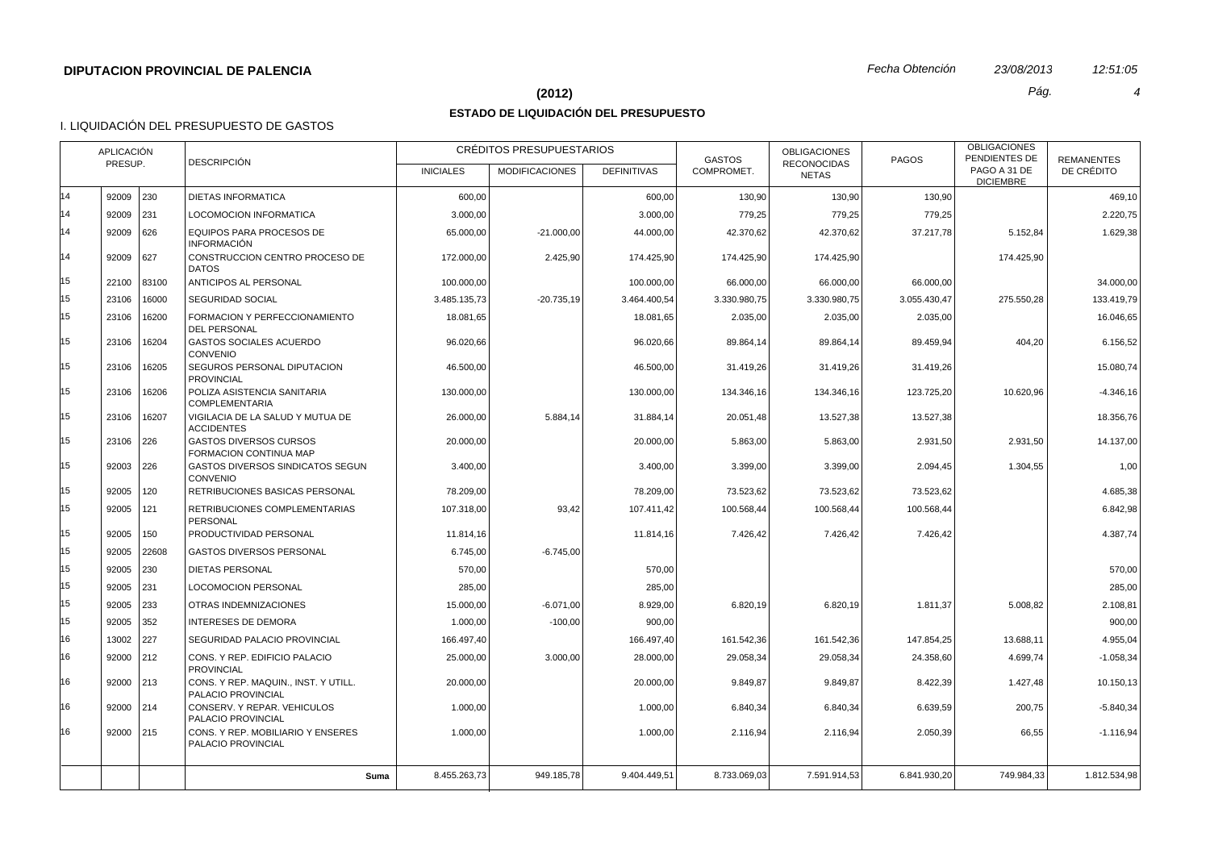## **(2012)** *Pág. 4*

## **ESTADO DE LIQUIDACIÓN DEL PRESUPUESTO**

| PAGO A 31 DE<br>DE CRÉDITO<br>COMPROMET.<br><b>INICIALES</b><br><b>MODIFICACIONES</b><br><b>DEFINITIVAS</b><br><b>NETAS</b><br><b>DICIEMBRE</b><br>14<br>92009 230<br><b>DIETAS INFORMATICA</b><br>600,00<br>600,00<br>130,90<br>130,90<br>130,90<br>469,10<br>14<br>92009 231<br><b>LOCOMOCION INFORMATICA</b><br>3.000,00<br>779,25<br>2.220,75<br>3.000,00<br>779,25<br>779,25<br>14<br>92009<br>626<br><b>EQUIPOS PARA PROCESOS DE</b><br>65.000,00<br>$-21.000,00$<br>44.000,00<br>42.370,62<br>42.370,62<br>37.217,78<br>5.152,84<br>1.629,38<br><b>INFORMACIÓN</b><br>14<br>92009<br>627<br>CONSTRUCCION CENTRO PROCESO DE<br>174.425,90<br>174.425,90<br>174.425,90<br>174.425,90<br>172.000,00<br>2.425,90<br><b>DATOS</b><br>15<br>22100<br>83100<br>ANTICIPOS AL PERSONAL<br>66.000,00<br>34.000,00<br>100.000,00<br>100.000,00<br>66.000,00<br>66.000,00<br>15<br>23106<br>16000<br><b>SEGURIDAD SOCIAL</b><br>3.485.135,73<br>$-20.735,19$<br>3.464.400,54<br>3.330.980,75<br>3.330.980,75<br>3.055.430,47<br>275.550,28<br>133.419,79<br>15<br>23106<br>16200<br>FORMACION Y PERFECCIONAMIENTO<br>18.081,65<br>18.081,65<br>2.035,00<br>2.035,00<br>2.035,00<br>16.046,65<br><b>DEL PERSONAL</b><br>15<br>23106<br>16204<br>GASTOS SOCIALES ACUERDO<br>96.020,66<br>96.020,66<br>89.864,14<br>89.864,14<br>89.459,94<br>404,20<br>6.156,52<br>CONVENIO<br>15<br>23106<br>16205<br>SEGUROS PERSONAL DIPUTACION<br>46.500.00<br>46.500.00<br>31.419,26<br>31.419,26<br>31.419,26<br>15.080,74<br><b>PROVINCIAL</b><br>15<br>23106<br>16206<br>POLIZA ASISTENCIA SANITARIA<br>130.000,00<br>130.000,00<br>134.346,16<br>134.346,16<br>123.725,20<br>10.620,96<br>$-4.346, 16$<br><b>COMPLEMENTARIA</b><br>15<br>16207<br>23106<br>VIGILACIA DE LA SALUD Y MUTUA DE<br>5.884,14<br>13.527,38<br>13.527,38<br>18.356,76<br>26.000,00<br>31.884,14<br>20.051,48<br><b>ACCIDENTES</b><br>15<br>23106<br>226<br><b>GASTOS DIVERSOS CURSOS</b><br>20.000,00<br>20.000,00<br>5.863,00<br>5.863,00<br>2.931,50<br>2.931,50<br>14.137,00<br>FORMACION CONTINUA MAP<br>15<br>92003 226<br>GASTOS DIVERSOS SINDICATOS SEGUN<br>3.400,00<br>3.399,00<br>3.399,00<br>2.094,45<br>1.304,55<br>1,00<br>3.400,00<br>CONVENIO<br>15<br>92005<br>120<br>RETRIBUCIONES BASICAS PERSONAL<br>78.209,00<br>78.209,00<br>73.523,62<br>73.523,62<br>73.523,62<br>4.685,38<br>15<br>92005<br>121<br>RETRIBUCIONES COMPLEMENTARIAS<br>93,42<br>100.568,44<br>100.568,44<br>100.568,44<br>6.842,98<br>107.318,00<br>107.411,42<br><b>PERSONAL</b><br>15<br>92005<br>150<br>PRODUCTIVIDAD PERSONAL<br>11.814,16<br>11.814,16<br>7.426,42<br>7.426,42<br>7.426,42<br>4.387,74<br>15<br>92005<br>22608<br>6.745,00<br>$-6.745,00$<br><b>GASTOS DIVERSOS PERSONAL</b><br>15<br>92005<br>230<br><b>DIETAS PERSONAL</b><br>570,00<br>570,00<br>570,00<br>15<br>92005<br>231<br><b>LOCOMOCION PERSONAL</b><br>285,00<br>285,00<br>285,00<br>15<br>92005<br>233<br>$-6.071,00$<br>6.820,19<br>5.008,82<br>OTRAS INDEMNIZACIONES<br>15.000,00<br>8.929,00<br>6.820,19<br>1.811,37<br>2.108,81<br>15<br>92005<br>352<br><b>INTERESES DE DEMORA</b><br>$-100,00$<br>900,00<br>1.000,00<br>900,00<br>16<br>13002<br>227<br>SEGURIDAD PALACIO PROVINCIAL<br>166.497,40<br>166.497,40<br>161.542,36<br>161.542,36<br>147.854,25<br>13.688,11<br>4.955,04<br>16<br>92000 212<br>CONS. Y REP. EDIFICIO PALACIO<br>25.000,00<br>3.000,00<br>28.000,00<br>29.058,34<br>29.058,34<br>4.699,74<br>$-1.058,34$<br>24.358,60<br><b>PROVINCIAL</b><br>16<br>92000<br>$ 213\rangle$<br>CONS. Y REP. MAQUIN., INST. Y UTILL.<br>20.000.00<br>20.000,00<br>9.849,87<br>9.849,87<br>8.422,39<br>1.427,48<br>10.150.13<br>PALACIO PROVINCIAL<br>16<br>92000<br> 214<br>CONSERV. Y REPAR. VEHICULOS<br>1.000,00<br>1.000,00<br>6.840,34<br>6.840,34<br>6.639,59<br>200,75<br>$-5.840,34$<br>PALACIO PROVINCIAL<br>16<br>92000 215<br>CONS. Y REP. MOBILIARIO Y ENSERES<br>1.000,00<br>1.000,00<br>2.116,94<br>2.116,94<br>2.050,39<br>66,55<br>$-1.116.94$<br>PALACIO PROVINCIAL<br>949.185,78<br>9.404.449,51<br>7.591.914,53<br>749.984,33<br>1.812.534,98<br>8.455.263,73<br>8.733.069,03<br>6.841.930,20<br>Suma | APLICACIÓN<br>PRESUP. |  | <b>DESCRIPCIÓN</b> | <b>CREDITOS PRESUPUESTARIOS</b> | <b>GASTOS</b> | <b>OBLIGACIONES</b> | <b>PAGOS</b> | <b>OBLIGACIONES</b><br>PENDIENTES DE | <b>REMANENTES</b> |
|-------------------------------------------------------------------------------------------------------------------------------------------------------------------------------------------------------------------------------------------------------------------------------------------------------------------------------------------------------------------------------------------------------------------------------------------------------------------------------------------------------------------------------------------------------------------------------------------------------------------------------------------------------------------------------------------------------------------------------------------------------------------------------------------------------------------------------------------------------------------------------------------------------------------------------------------------------------------------------------------------------------------------------------------------------------------------------------------------------------------------------------------------------------------------------------------------------------------------------------------------------------------------------------------------------------------------------------------------------------------------------------------------------------------------------------------------------------------------------------------------------------------------------------------------------------------------------------------------------------------------------------------------------------------------------------------------------------------------------------------------------------------------------------------------------------------------------------------------------------------------------------------------------------------------------------------------------------------------------------------------------------------------------------------------------------------------------------------------------------------------------------------------------------------------------------------------------------------------------------------------------------------------------------------------------------------------------------------------------------------------------------------------------------------------------------------------------------------------------------------------------------------------------------------------------------------------------------------------------------------------------------------------------------------------------------------------------------------------------------------------------------------------------------------------------------------------------------------------------------------------------------------------------------------------------------------------------------------------------------------------------------------------------------------------------------------------------------------------------------------------------------------------------------------------------------------------------------------------------------------------------------------------------------------------------------------------------------------------------------------------------------------------------------------------------------------------------------------------------------------------------------------------------------------------------------------------------------------------------------------------------------------------------------------------------------------------------------------------------------------------------------------------------------------------------------------------------------------------------------------------------------------------------------------------------------------------------------------------------------------------------------------------------------------------------------------------------------------------------------------------------------------------------------------------|-----------------------|--|--------------------|---------------------------------|---------------|---------------------|--------------|--------------------------------------|-------------------|
|                                                                                                                                                                                                                                                                                                                                                                                                                                                                                                                                                                                                                                                                                                                                                                                                                                                                                                                                                                                                                                                                                                                                                                                                                                                                                                                                                                                                                                                                                                                                                                                                                                                                                                                                                                                                                                                                                                                                                                                                                                                                                                                                                                                                                                                                                                                                                                                                                                                                                                                                                                                                                                                                                                                                                                                                                                                                                                                                                                                                                                                                                                                                                                                                                                                                                                                                                                                                                                                                                                                                                                                                                                                                                                                                                                                                                                                                                                                                                                                                                                                                                                                                                                         |                       |  |                    |                                 |               | <b>RECONOCIDAS</b>  |              |                                      |                   |
|                                                                                                                                                                                                                                                                                                                                                                                                                                                                                                                                                                                                                                                                                                                                                                                                                                                                                                                                                                                                                                                                                                                                                                                                                                                                                                                                                                                                                                                                                                                                                                                                                                                                                                                                                                                                                                                                                                                                                                                                                                                                                                                                                                                                                                                                                                                                                                                                                                                                                                                                                                                                                                                                                                                                                                                                                                                                                                                                                                                                                                                                                                                                                                                                                                                                                                                                                                                                                                                                                                                                                                                                                                                                                                                                                                                                                                                                                                                                                                                                                                                                                                                                                                         |                       |  |                    |                                 |               |                     |              |                                      |                   |
|                                                                                                                                                                                                                                                                                                                                                                                                                                                                                                                                                                                                                                                                                                                                                                                                                                                                                                                                                                                                                                                                                                                                                                                                                                                                                                                                                                                                                                                                                                                                                                                                                                                                                                                                                                                                                                                                                                                                                                                                                                                                                                                                                                                                                                                                                                                                                                                                                                                                                                                                                                                                                                                                                                                                                                                                                                                                                                                                                                                                                                                                                                                                                                                                                                                                                                                                                                                                                                                                                                                                                                                                                                                                                                                                                                                                                                                                                                                                                                                                                                                                                                                                                                         |                       |  |                    |                                 |               |                     |              |                                      |                   |
|                                                                                                                                                                                                                                                                                                                                                                                                                                                                                                                                                                                                                                                                                                                                                                                                                                                                                                                                                                                                                                                                                                                                                                                                                                                                                                                                                                                                                                                                                                                                                                                                                                                                                                                                                                                                                                                                                                                                                                                                                                                                                                                                                                                                                                                                                                                                                                                                                                                                                                                                                                                                                                                                                                                                                                                                                                                                                                                                                                                                                                                                                                                                                                                                                                                                                                                                                                                                                                                                                                                                                                                                                                                                                                                                                                                                                                                                                                                                                                                                                                                                                                                                                                         |                       |  |                    |                                 |               |                     |              |                                      |                   |
|                                                                                                                                                                                                                                                                                                                                                                                                                                                                                                                                                                                                                                                                                                                                                                                                                                                                                                                                                                                                                                                                                                                                                                                                                                                                                                                                                                                                                                                                                                                                                                                                                                                                                                                                                                                                                                                                                                                                                                                                                                                                                                                                                                                                                                                                                                                                                                                                                                                                                                                                                                                                                                                                                                                                                                                                                                                                                                                                                                                                                                                                                                                                                                                                                                                                                                                                                                                                                                                                                                                                                                                                                                                                                                                                                                                                                                                                                                                                                                                                                                                                                                                                                                         |                       |  |                    |                                 |               |                     |              |                                      |                   |
|                                                                                                                                                                                                                                                                                                                                                                                                                                                                                                                                                                                                                                                                                                                                                                                                                                                                                                                                                                                                                                                                                                                                                                                                                                                                                                                                                                                                                                                                                                                                                                                                                                                                                                                                                                                                                                                                                                                                                                                                                                                                                                                                                                                                                                                                                                                                                                                                                                                                                                                                                                                                                                                                                                                                                                                                                                                                                                                                                                                                                                                                                                                                                                                                                                                                                                                                                                                                                                                                                                                                                                                                                                                                                                                                                                                                                                                                                                                                                                                                                                                                                                                                                                         |                       |  |                    |                                 |               |                     |              |                                      |                   |
|                                                                                                                                                                                                                                                                                                                                                                                                                                                                                                                                                                                                                                                                                                                                                                                                                                                                                                                                                                                                                                                                                                                                                                                                                                                                                                                                                                                                                                                                                                                                                                                                                                                                                                                                                                                                                                                                                                                                                                                                                                                                                                                                                                                                                                                                                                                                                                                                                                                                                                                                                                                                                                                                                                                                                                                                                                                                                                                                                                                                                                                                                                                                                                                                                                                                                                                                                                                                                                                                                                                                                                                                                                                                                                                                                                                                                                                                                                                                                                                                                                                                                                                                                                         |                       |  |                    |                                 |               |                     |              |                                      |                   |
|                                                                                                                                                                                                                                                                                                                                                                                                                                                                                                                                                                                                                                                                                                                                                                                                                                                                                                                                                                                                                                                                                                                                                                                                                                                                                                                                                                                                                                                                                                                                                                                                                                                                                                                                                                                                                                                                                                                                                                                                                                                                                                                                                                                                                                                                                                                                                                                                                                                                                                                                                                                                                                                                                                                                                                                                                                                                                                                                                                                                                                                                                                                                                                                                                                                                                                                                                                                                                                                                                                                                                                                                                                                                                                                                                                                                                                                                                                                                                                                                                                                                                                                                                                         |                       |  |                    |                                 |               |                     |              |                                      |                   |
|                                                                                                                                                                                                                                                                                                                                                                                                                                                                                                                                                                                                                                                                                                                                                                                                                                                                                                                                                                                                                                                                                                                                                                                                                                                                                                                                                                                                                                                                                                                                                                                                                                                                                                                                                                                                                                                                                                                                                                                                                                                                                                                                                                                                                                                                                                                                                                                                                                                                                                                                                                                                                                                                                                                                                                                                                                                                                                                                                                                                                                                                                                                                                                                                                                                                                                                                                                                                                                                                                                                                                                                                                                                                                                                                                                                                                                                                                                                                                                                                                                                                                                                                                                         |                       |  |                    |                                 |               |                     |              |                                      |                   |
|                                                                                                                                                                                                                                                                                                                                                                                                                                                                                                                                                                                                                                                                                                                                                                                                                                                                                                                                                                                                                                                                                                                                                                                                                                                                                                                                                                                                                                                                                                                                                                                                                                                                                                                                                                                                                                                                                                                                                                                                                                                                                                                                                                                                                                                                                                                                                                                                                                                                                                                                                                                                                                                                                                                                                                                                                                                                                                                                                                                                                                                                                                                                                                                                                                                                                                                                                                                                                                                                                                                                                                                                                                                                                                                                                                                                                                                                                                                                                                                                                                                                                                                                                                         |                       |  |                    |                                 |               |                     |              |                                      |                   |
|                                                                                                                                                                                                                                                                                                                                                                                                                                                                                                                                                                                                                                                                                                                                                                                                                                                                                                                                                                                                                                                                                                                                                                                                                                                                                                                                                                                                                                                                                                                                                                                                                                                                                                                                                                                                                                                                                                                                                                                                                                                                                                                                                                                                                                                                                                                                                                                                                                                                                                                                                                                                                                                                                                                                                                                                                                                                                                                                                                                                                                                                                                                                                                                                                                                                                                                                                                                                                                                                                                                                                                                                                                                                                                                                                                                                                                                                                                                                                                                                                                                                                                                                                                         |                       |  |                    |                                 |               |                     |              |                                      |                   |
|                                                                                                                                                                                                                                                                                                                                                                                                                                                                                                                                                                                                                                                                                                                                                                                                                                                                                                                                                                                                                                                                                                                                                                                                                                                                                                                                                                                                                                                                                                                                                                                                                                                                                                                                                                                                                                                                                                                                                                                                                                                                                                                                                                                                                                                                                                                                                                                                                                                                                                                                                                                                                                                                                                                                                                                                                                                                                                                                                                                                                                                                                                                                                                                                                                                                                                                                                                                                                                                                                                                                                                                                                                                                                                                                                                                                                                                                                                                                                                                                                                                                                                                                                                         |                       |  |                    |                                 |               |                     |              |                                      |                   |
|                                                                                                                                                                                                                                                                                                                                                                                                                                                                                                                                                                                                                                                                                                                                                                                                                                                                                                                                                                                                                                                                                                                                                                                                                                                                                                                                                                                                                                                                                                                                                                                                                                                                                                                                                                                                                                                                                                                                                                                                                                                                                                                                                                                                                                                                                                                                                                                                                                                                                                                                                                                                                                                                                                                                                                                                                                                                                                                                                                                                                                                                                                                                                                                                                                                                                                                                                                                                                                                                                                                                                                                                                                                                                                                                                                                                                                                                                                                                                                                                                                                                                                                                                                         |                       |  |                    |                                 |               |                     |              |                                      |                   |
|                                                                                                                                                                                                                                                                                                                                                                                                                                                                                                                                                                                                                                                                                                                                                                                                                                                                                                                                                                                                                                                                                                                                                                                                                                                                                                                                                                                                                                                                                                                                                                                                                                                                                                                                                                                                                                                                                                                                                                                                                                                                                                                                                                                                                                                                                                                                                                                                                                                                                                                                                                                                                                                                                                                                                                                                                                                                                                                                                                                                                                                                                                                                                                                                                                                                                                                                                                                                                                                                                                                                                                                                                                                                                                                                                                                                                                                                                                                                                                                                                                                                                                                                                                         |                       |  |                    |                                 |               |                     |              |                                      |                   |
|                                                                                                                                                                                                                                                                                                                                                                                                                                                                                                                                                                                                                                                                                                                                                                                                                                                                                                                                                                                                                                                                                                                                                                                                                                                                                                                                                                                                                                                                                                                                                                                                                                                                                                                                                                                                                                                                                                                                                                                                                                                                                                                                                                                                                                                                                                                                                                                                                                                                                                                                                                                                                                                                                                                                                                                                                                                                                                                                                                                                                                                                                                                                                                                                                                                                                                                                                                                                                                                                                                                                                                                                                                                                                                                                                                                                                                                                                                                                                                                                                                                                                                                                                                         |                       |  |                    |                                 |               |                     |              |                                      |                   |
|                                                                                                                                                                                                                                                                                                                                                                                                                                                                                                                                                                                                                                                                                                                                                                                                                                                                                                                                                                                                                                                                                                                                                                                                                                                                                                                                                                                                                                                                                                                                                                                                                                                                                                                                                                                                                                                                                                                                                                                                                                                                                                                                                                                                                                                                                                                                                                                                                                                                                                                                                                                                                                                                                                                                                                                                                                                                                                                                                                                                                                                                                                                                                                                                                                                                                                                                                                                                                                                                                                                                                                                                                                                                                                                                                                                                                                                                                                                                                                                                                                                                                                                                                                         |                       |  |                    |                                 |               |                     |              |                                      |                   |
|                                                                                                                                                                                                                                                                                                                                                                                                                                                                                                                                                                                                                                                                                                                                                                                                                                                                                                                                                                                                                                                                                                                                                                                                                                                                                                                                                                                                                                                                                                                                                                                                                                                                                                                                                                                                                                                                                                                                                                                                                                                                                                                                                                                                                                                                                                                                                                                                                                                                                                                                                                                                                                                                                                                                                                                                                                                                                                                                                                                                                                                                                                                                                                                                                                                                                                                                                                                                                                                                                                                                                                                                                                                                                                                                                                                                                                                                                                                                                                                                                                                                                                                                                                         |                       |  |                    |                                 |               |                     |              |                                      |                   |
|                                                                                                                                                                                                                                                                                                                                                                                                                                                                                                                                                                                                                                                                                                                                                                                                                                                                                                                                                                                                                                                                                                                                                                                                                                                                                                                                                                                                                                                                                                                                                                                                                                                                                                                                                                                                                                                                                                                                                                                                                                                                                                                                                                                                                                                                                                                                                                                                                                                                                                                                                                                                                                                                                                                                                                                                                                                                                                                                                                                                                                                                                                                                                                                                                                                                                                                                                                                                                                                                                                                                                                                                                                                                                                                                                                                                                                                                                                                                                                                                                                                                                                                                                                         |                       |  |                    |                                 |               |                     |              |                                      |                   |
|                                                                                                                                                                                                                                                                                                                                                                                                                                                                                                                                                                                                                                                                                                                                                                                                                                                                                                                                                                                                                                                                                                                                                                                                                                                                                                                                                                                                                                                                                                                                                                                                                                                                                                                                                                                                                                                                                                                                                                                                                                                                                                                                                                                                                                                                                                                                                                                                                                                                                                                                                                                                                                                                                                                                                                                                                                                                                                                                                                                                                                                                                                                                                                                                                                                                                                                                                                                                                                                                                                                                                                                                                                                                                                                                                                                                                                                                                                                                                                                                                                                                                                                                                                         |                       |  |                    |                                 |               |                     |              |                                      |                   |
|                                                                                                                                                                                                                                                                                                                                                                                                                                                                                                                                                                                                                                                                                                                                                                                                                                                                                                                                                                                                                                                                                                                                                                                                                                                                                                                                                                                                                                                                                                                                                                                                                                                                                                                                                                                                                                                                                                                                                                                                                                                                                                                                                                                                                                                                                                                                                                                                                                                                                                                                                                                                                                                                                                                                                                                                                                                                                                                                                                                                                                                                                                                                                                                                                                                                                                                                                                                                                                                                                                                                                                                                                                                                                                                                                                                                                                                                                                                                                                                                                                                                                                                                                                         |                       |  |                    |                                 |               |                     |              |                                      |                   |
|                                                                                                                                                                                                                                                                                                                                                                                                                                                                                                                                                                                                                                                                                                                                                                                                                                                                                                                                                                                                                                                                                                                                                                                                                                                                                                                                                                                                                                                                                                                                                                                                                                                                                                                                                                                                                                                                                                                                                                                                                                                                                                                                                                                                                                                                                                                                                                                                                                                                                                                                                                                                                                                                                                                                                                                                                                                                                                                                                                                                                                                                                                                                                                                                                                                                                                                                                                                                                                                                                                                                                                                                                                                                                                                                                                                                                                                                                                                                                                                                                                                                                                                                                                         |                       |  |                    |                                 |               |                     |              |                                      |                   |
|                                                                                                                                                                                                                                                                                                                                                                                                                                                                                                                                                                                                                                                                                                                                                                                                                                                                                                                                                                                                                                                                                                                                                                                                                                                                                                                                                                                                                                                                                                                                                                                                                                                                                                                                                                                                                                                                                                                                                                                                                                                                                                                                                                                                                                                                                                                                                                                                                                                                                                                                                                                                                                                                                                                                                                                                                                                                                                                                                                                                                                                                                                                                                                                                                                                                                                                                                                                                                                                                                                                                                                                                                                                                                                                                                                                                                                                                                                                                                                                                                                                                                                                                                                         |                       |  |                    |                                 |               |                     |              |                                      |                   |
|                                                                                                                                                                                                                                                                                                                                                                                                                                                                                                                                                                                                                                                                                                                                                                                                                                                                                                                                                                                                                                                                                                                                                                                                                                                                                                                                                                                                                                                                                                                                                                                                                                                                                                                                                                                                                                                                                                                                                                                                                                                                                                                                                                                                                                                                                                                                                                                                                                                                                                                                                                                                                                                                                                                                                                                                                                                                                                                                                                                                                                                                                                                                                                                                                                                                                                                                                                                                                                                                                                                                                                                                                                                                                                                                                                                                                                                                                                                                                                                                                                                                                                                                                                         |                       |  |                    |                                 |               |                     |              |                                      |                   |
|                                                                                                                                                                                                                                                                                                                                                                                                                                                                                                                                                                                                                                                                                                                                                                                                                                                                                                                                                                                                                                                                                                                                                                                                                                                                                                                                                                                                                                                                                                                                                                                                                                                                                                                                                                                                                                                                                                                                                                                                                                                                                                                                                                                                                                                                                                                                                                                                                                                                                                                                                                                                                                                                                                                                                                                                                                                                                                                                                                                                                                                                                                                                                                                                                                                                                                                                                                                                                                                                                                                                                                                                                                                                                                                                                                                                                                                                                                                                                                                                                                                                                                                                                                         |                       |  |                    |                                 |               |                     |              |                                      |                   |
|                                                                                                                                                                                                                                                                                                                                                                                                                                                                                                                                                                                                                                                                                                                                                                                                                                                                                                                                                                                                                                                                                                                                                                                                                                                                                                                                                                                                                                                                                                                                                                                                                                                                                                                                                                                                                                                                                                                                                                                                                                                                                                                                                                                                                                                                                                                                                                                                                                                                                                                                                                                                                                                                                                                                                                                                                                                                                                                                                                                                                                                                                                                                                                                                                                                                                                                                                                                                                                                                                                                                                                                                                                                                                                                                                                                                                                                                                                                                                                                                                                                                                                                                                                         |                       |  |                    |                                 |               |                     |              |                                      |                   |
|                                                                                                                                                                                                                                                                                                                                                                                                                                                                                                                                                                                                                                                                                                                                                                                                                                                                                                                                                                                                                                                                                                                                                                                                                                                                                                                                                                                                                                                                                                                                                                                                                                                                                                                                                                                                                                                                                                                                                                                                                                                                                                                                                                                                                                                                                                                                                                                                                                                                                                                                                                                                                                                                                                                                                                                                                                                                                                                                                                                                                                                                                                                                                                                                                                                                                                                                                                                                                                                                                                                                                                                                                                                                                                                                                                                                                                                                                                                                                                                                                                                                                                                                                                         |                       |  |                    |                                 |               |                     |              |                                      |                   |
|                                                                                                                                                                                                                                                                                                                                                                                                                                                                                                                                                                                                                                                                                                                                                                                                                                                                                                                                                                                                                                                                                                                                                                                                                                                                                                                                                                                                                                                                                                                                                                                                                                                                                                                                                                                                                                                                                                                                                                                                                                                                                                                                                                                                                                                                                                                                                                                                                                                                                                                                                                                                                                                                                                                                                                                                                                                                                                                                                                                                                                                                                                                                                                                                                                                                                                                                                                                                                                                                                                                                                                                                                                                                                                                                                                                                                                                                                                                                                                                                                                                                                                                                                                         |                       |  |                    |                                 |               |                     |              |                                      |                   |
|                                                                                                                                                                                                                                                                                                                                                                                                                                                                                                                                                                                                                                                                                                                                                                                                                                                                                                                                                                                                                                                                                                                                                                                                                                                                                                                                                                                                                                                                                                                                                                                                                                                                                                                                                                                                                                                                                                                                                                                                                                                                                                                                                                                                                                                                                                                                                                                                                                                                                                                                                                                                                                                                                                                                                                                                                                                                                                                                                                                                                                                                                                                                                                                                                                                                                                                                                                                                                                                                                                                                                                                                                                                                                                                                                                                                                                                                                                                                                                                                                                                                                                                                                                         |                       |  |                    |                                 |               |                     |              |                                      |                   |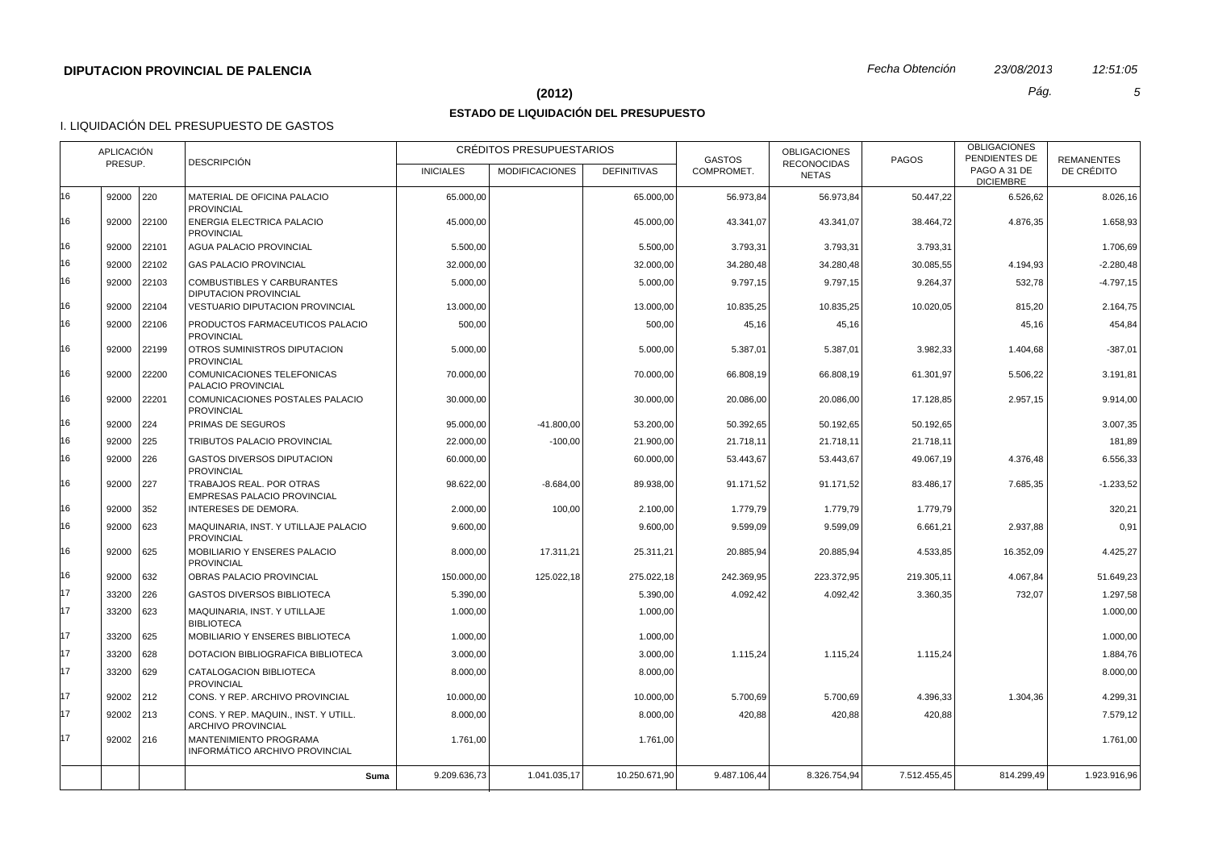# **(2012)** *Pág. 5*

# **ESTADO DE LIQUIDACIÓN DEL PRESUPUESTO**

|    | APLICACIÓN<br><b>DESCRIPCIÓN</b><br>PRESUP. |             |                                                                   | CRÉDITOS PRESUPUESTARIOS |                       |                    | <b>GASTOS</b> | <b>OBLIGACIONES</b><br><b>RECONOCIDAS</b> | <b>PAGOS</b> | <b>OBLIGACIONES</b><br>PENDIENTES DE | <b>REMANENTES</b> |
|----|---------------------------------------------|-------------|-------------------------------------------------------------------|--------------------------|-----------------------|--------------------|---------------|-------------------------------------------|--------------|--------------------------------------|-------------------|
|    |                                             |             |                                                                   | <b>INICIALES</b>         | <b>MODIFICACIONES</b> | <b>DEFINITIVAS</b> | COMPROMET.    | <b>NETAS</b>                              |              | PAGO A 31 DE<br><b>DICIEMBRE</b>     | DE CRÉDITO        |
| 16 |                                             | 92000 220   | MATERIAL DE OFICINA PALACIO<br><b>PROVINCIAL</b>                  | 65.000,00                |                       | 65.000,00          | 56.973,84     | 56.973,84                                 | 50.447,22    | 6.526,62                             | 8.026,16          |
| 16 | 92000                                       | 22100       | ENERGIA ELECTRICA PALACIO<br><b>PROVINCIAL</b>                    | 45.000,00                |                       | 45.000,00          | 43.341,07     | 43.341,07                                 | 38.464,72    | 4.876,35                             | 1.658,93          |
| 16 | 92000                                       | 22101       | <b>AGUA PALACIO PROVINCIAL</b>                                    | 5.500,00                 |                       | 5.500,00           | 3.793,31      | 3.793,31                                  | 3.793,31     |                                      | 1.706,69          |
| 16 | 92000                                       | 22102       | <b>GAS PALACIO PROVINCIAL</b>                                     | 32.000,00                |                       | 32.000,00          | 34.280,48     | 34.280,48                                 | 30.085,55    | 4.194,93                             | $-2.280,48$       |
| 16 | 92000                                       | 22103       | <b>COMBUSTIBLES Y CARBURANTES</b><br><b>DIPUTACION PROVINCIAL</b> | 5.000.00                 |                       | 5.000.00           | 9.797.15      | 9.797.15                                  | 9.264,37     | 532,78                               | $-4.797.15$       |
| 16 | 92000                                       | 22104       | <b>VESTUARIO DIPUTACION PROVINCIAL</b>                            | 13.000,00                |                       | 13.000,00          | 10.835,25     | 10.835,25                                 | 10.020,05    | 815,20                               | 2.164,75          |
| 16 | 92000                                       | 22106       | PRODUCTOS FARMACEUTICOS PALACIO<br><b>PROVINCIAL</b>              | 500,00                   |                       | 500,00             | 45,16         | 45,16                                     |              | 45,16                                | 454,84            |
| 16 |                                             | 92000 22199 | OTROS SUMINISTROS DIPUTACION<br><b>PROVINCIAL</b>                 | 5.000,00                 |                       | 5.000,00           | 5.387,01      | 5.387,01                                  | 3.982,33     | 1.404,68                             | $-387,01$         |
| 16 | 92000                                       | 22200       | <b>COMUNICACIONES TELEFONICAS</b><br>PALACIO PROVINCIAL           | 70.000,00                |                       | 70.000,00          | 66.808,19     | 66.808,19                                 | 61.301,97    | 5.506,22                             | 3.191,81          |
| 16 |                                             | 92000 22201 | COMUNICACIONES POSTALES PALACIO<br><b>PROVINCIAL</b>              | 30.000,00                |                       | 30.000,00          | 20.086,00     | 20.086,00                                 | 17.128,85    | 2.957,15                             | 9.914,00          |
| 16 |                                             | 92000 224   | PRIMAS DE SEGUROS                                                 | 95.000.00                | $-41.800.00$          | 53.200,00          | 50.392.65     | 50.192.65                                 | 50.192,65    |                                      | 3.007.35          |
| 16 |                                             | 92000 225   | TRIBUTOS PALACIO PROVINCIAL                                       | 22.000,00                | $-100,00$             | 21.900,00          | 21.718,11     | 21.718,11                                 | 21.718,11    |                                      | 181,89            |
| 16 |                                             | 92000 226   | <b>GASTOS DIVERSOS DIPUTACION</b><br><b>PROVINCIAL</b>            | 60.000,00                |                       | 60.000,00          | 53.443,67     | 53.443,67                                 | 49.067,19    | 4.376,48                             | 6.556,33          |
| 16 | 92000 227                                   |             | TRABAJOS REAL. POR OTRAS<br>EMPRESAS PALACIO PROVINCIAL           | 98.622,00                | $-8.684,00$           | 89.938,00          | 91.171,52     | 91.171,52                                 | 83.486,17    | 7.685,35                             | $-1.233,52$       |
| 16 | 92000                                       | 352         | INTERESES DE DEMORA.                                              | 2.000,00                 | 100,00                | 2.100,00           | 1.779,79      | 1.779,79                                  | 1.779,79     |                                      | 320,21            |
| 16 | 92000                                       | 623         | MAQUINARIA. INST. Y UTILLAJE PALACIO<br><b>PROVINCIAL</b>         | 9.600,00                 |                       | 9.600,00           | 9.599,09      | 9.599,09                                  | 6.661,21     | 2.937,88                             | 0,91              |
| 16 |                                             | 92000 625   | MOBILIARIO Y ENSERES PALACIO<br><b>PROVINCIAL</b>                 | 8.000,00                 | 17.311,21             | 25.311,21          | 20.885,94     | 20.885,94                                 | 4.533,85     | 16.352,09                            | 4.425,27          |
| 16 |                                             | $92000$ 632 | OBRAS PALACIO PROVINCIAL                                          | 150.000.00               | 125.022.18            | 275.022,18         | 242.369.95    | 223.372.95                                | 219.305.11   | 4.067.84                             | 51.649.23         |
| 17 | 33200                                       | 226         | <b>GASTOS DIVERSOS BIBLIOTECA</b>                                 | 5.390,00                 |                       | 5.390,00           | 4.092,42      | 4.092,42                                  | 3.360,35     | 732,07                               | 1.297,58          |
| 17 | 33200                                       | 623         | MAQUINARIA, INST. Y UTILLAJE<br><b>BIBLIOTECA</b>                 | 1.000,00                 |                       | 1.000,00           |               |                                           |              |                                      | 1.000,00          |
| 17 |                                             | 33200 625   | MOBILIARIO Y ENSERES BIBLIOTECA                                   | 1.000,00                 |                       | 1.000,00           |               |                                           |              |                                      | 1.000,00          |
| 17 |                                             | 33200 628   | DOTACION BIBLIOGRAFICA BIBLIOTECA                                 | 3.000,00                 |                       | 3.000,00           | 1.115,24      | 1.115,24                                  | 1.115,24     |                                      | 1.884,76          |
| 17 |                                             | 33200 629   | CATALOGACION BIBLIOTECA<br><b>PROVINCIAL</b>                      | 8.000,00                 |                       | 8.000.00           |               |                                           |              |                                      | 8.000.00          |
| 17 |                                             | 92002 212   | CONS. Y REP. ARCHIVO PROVINCIAL                                   | 10.000,00                |                       | 10.000,00          | 5.700,69      | 5.700,69                                  | 4.396,33     | 1.304,36                             | 4.299,31          |
| 17 |                                             | 92002 213   | CONS. Y REP. MAQUIN., INST. Y UTILL.<br><b>ARCHIVO PROVINCIAL</b> | 8.000,00                 |                       | 8.000,00           | 420,88        | 420,88                                    | 420,88       |                                      | 7.579,12          |
| 17 |                                             | $92002$ 216 | MANTENIMIENTO PROGRAMA<br>INFORMATICO ARCHIVO PROVINCIAL          | 1.761,00                 |                       | 1.761,00           |               |                                           |              |                                      | 1.761,00          |
|    |                                             |             | Suma                                                              | 9.209.636,73             | 1.041.035,17          | 10.250.671.90      | 9.487.106.44  | 8.326.754.94                              | 7.512.455,45 | 814.299.49                           | 1.923.916,96      |
|    |                                             |             |                                                                   |                          |                       |                    |               |                                           |              |                                      |                   |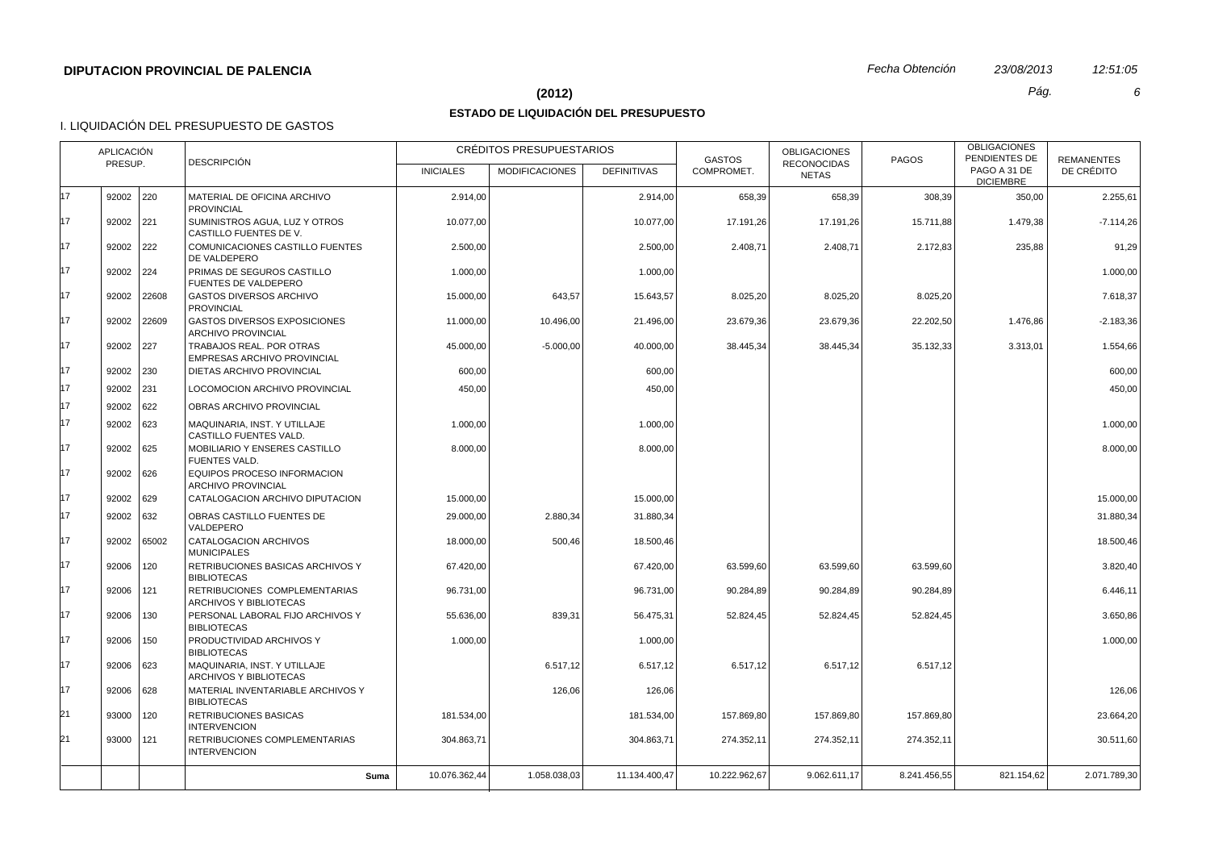## **(2012)** *Pág. 6*

# **ESTADO DE LIQUIDACIÓN DEL PRESUPUESTO**

| <b>APLICACIÓN</b><br>PRESUP. |             |       | <b>DESCRIPCIÓN</b>                                               |                  | CRÉDITOS PRESUPUESTARIOS |                    | <b>GASTOS</b> | <b>OBLIGACIONES</b><br><b>RECONOCIDAS</b> | <b>PAGOS</b> | <b>OBLIGACIONES</b><br>PENDIENTES DE | <b>REMANENTES</b> |
|------------------------------|-------------|-------|------------------------------------------------------------------|------------------|--------------------------|--------------------|---------------|-------------------------------------------|--------------|--------------------------------------|-------------------|
|                              |             |       |                                                                  | <b>INICIALES</b> | <b>MODIFICACIONES</b>    | <b>DEFINITIVAS</b> | COMPROMET.    | <b>NETAS</b>                              |              | PAGO A 31 DE<br><b>DICIEMBRE</b>     | DE CRÉDITO        |
| 17                           | 92002 220   |       | MATERIAL DE OFICINA ARCHIVO<br><b>PROVINCIAL</b>                 | 2.914,00         |                          | 2.914,00           | 658,39        | 658,39                                    | 308,39       | 350,00                               | 2.255,61          |
| 17                           | 92002 221   |       | SUMINISTROS AGUA, LUZ Y OTROS<br>CASTILLO FUENTES DE V.          | 10.077,00        |                          | 10.077,00          | 17.191,26     | 17.191,26                                 | 15.711,88    | 1.479,38                             | $-7.114,26$       |
| 17                           | 92002       | 222   | COMUNICACIONES CASTILLO FUENTES<br>DE VALDEPERO                  | 2.500,00         |                          | 2.500,00           | 2.408,71      | 2.408,71                                  | 2.172,83     | 235,88                               | 91,29             |
| 17                           | 92002 224   |       | PRIMAS DE SEGUROS CASTILLO<br><b>FUENTES DE VALDEPERO</b>        | 1.000,00         |                          | 1.000,00           |               |                                           |              |                                      | 1.000,00          |
| 17                           | 92002       | 22608 | <b>GASTOS DIVERSOS ARCHIVO</b><br><b>PROVINCIAL</b>              | 15.000,00        | 643,57                   | 15.643,57          | 8.025,20      | 8.025,20                                  | 8.025,20     |                                      | 7.618,37          |
| 17                           | 92002       | 22609 | <b>GASTOS DIVERSOS EXPOSICIONES</b><br><b>ARCHIVO PROVINCIAL</b> | 11.000,00        | 10.496,00                | 21.496,00          | 23.679,36     | 23.679,36                                 | 22.202,50    | 1.476,86                             | $-2.183,36$       |
| 17                           | 92002       | 227   | TRABAJOS REAL. POR OTRAS<br><b>EMPRESAS ARCHIVO PROVINCIAL</b>   | 45.000,00        | $-5.000,00$              | 40.000,00          | 38.445,34     | 38.445,34                                 | 35.132,33    | 3.313,01                             | 1.554,66          |
| 17                           | 92002 230   |       | DIETAS ARCHIVO PROVINCIAL                                        | 600,00           |                          | 600,00             |               |                                           |              |                                      | 600,00            |
| 17                           | 92002       | 231   | LOCOMOCION ARCHIVO PROVINCIAL                                    | 450,00           |                          | 450,00             |               |                                           |              |                                      | 450,00            |
| 17                           | 92002 622   |       | OBRAS ARCHIVO PROVINCIAL                                         |                  |                          |                    |               |                                           |              |                                      |                   |
| 17                           | 92002 623   |       | MAQUINARIA, INST. Y UTILLAJE<br>CASTILLO FUENTES VALD.           | 1.000,00         |                          | 1.000.00           |               |                                           |              |                                      | 1.000,00          |
| 17                           | 92002   625 |       | MOBILIARIO Y ENSERES CASTILLO<br>FUENTES VALD.                   | 8.000,00         |                          | 8.000,00           |               |                                           |              |                                      | 8.000,00          |
| 17                           | 92002       | 626   | EQUIPOS PROCESO INFORMACION<br>ARCHIVO PROVINCIAL                |                  |                          |                    |               |                                           |              |                                      |                   |
| 17                           | 92002       | 629   | CATALOGACION ARCHIVO DIPUTACION                                  | 15.000,00        |                          | 15.000,00          |               |                                           |              |                                      | 15.000,00         |
| 17                           | 92002       | 632   | OBRAS CASTILLO FUENTES DE<br>VALDEPERO                           | 29.000,00        | 2.880,34                 | 31.880,34          |               |                                           |              |                                      | 31.880,34         |
| 17                           | 92002       | 65002 | CATALOGACION ARCHIVOS<br><b>MUNICIPALES</b>                      | 18.000,00        | 500,46                   | 18.500,46          |               |                                           |              |                                      | 18.500,46         |
| 17                           | 92006       | 120   | RETRIBUCIONES BASICAS ARCHIVOS Y<br><b>BIBLIOTECAS</b>           | 67.420,00        |                          | 67.420,00          | 63.599,60     | 63.599,60                                 | 63.599,60    |                                      | 3.820,40          |
| 17                           | 92006       | 121   | RETRIBUCIONES COMPLEMENTARIAS<br>ARCHIVOS Y BIBLIOTECAS          | 96.731,00        |                          | 96.731,00          | 90.284,89     | 90.284,89                                 | 90.284,89    |                                      | 6.446,11          |
| 17                           | 92006       | 130   | PERSONAL LABORAL FIJO ARCHIVOS Y<br><b>BIBLIOTECAS</b>           | 55.636,00        | 839,31                   | 56.475,31          | 52.824,45     | 52.824,45                                 | 52.824,45    |                                      | 3.650,86          |
| 17                           | 92006       | 150   | PRODUCTIVIDAD ARCHIVOS Y<br><b>BIBLIOTECAS</b>                   | 1.000,00         |                          | 1.000,00           |               |                                           |              |                                      | 1.000,00          |
| 17                           | 92006       | 623   | MAQUINARIA, INST. Y UTILLAJE<br>ARCHIVOS Y BIBLIOTECAS           |                  | 6.517,12                 | 6.517,12           | 6.517,12      | 6.517,12                                  | 6.517,12     |                                      |                   |
| 17                           | 92006       | 628   | MATERIAL INVENTARIABLE ARCHIVOS Y<br><b>BIBLIOTECAS</b>          |                  | 126,06                   | 126,06             |               |                                           |              |                                      | 126,06            |
| 21                           | 93000   120 |       | RETRIBUCIONES BASICAS<br><b>INTERVENCION</b>                     | 181.534,00       |                          | 181.534,00         | 157.869,80    | 157.869,80                                | 157.869,80   |                                      | 23.664,20         |
| 21                           | 93000   121 |       | RETRIBUCIONES COMPLEMENTARIAS<br><b>INTERVENCION</b>             | 304.863,71       |                          | 304.863,71         | 274.352,11    | 274.352,11                                | 274.352,11   |                                      | 30.511,60         |
|                              |             |       | Suma                                                             | 10.076.362,44    | 1.058.038,03             | 11.134.400,47      | 10.222.962.67 | 9.062.611.17                              | 8.241.456,55 | 821.154,62                           | 2.071.789,30      |
|                              |             |       |                                                                  |                  |                          |                    |               |                                           |              |                                      |                   |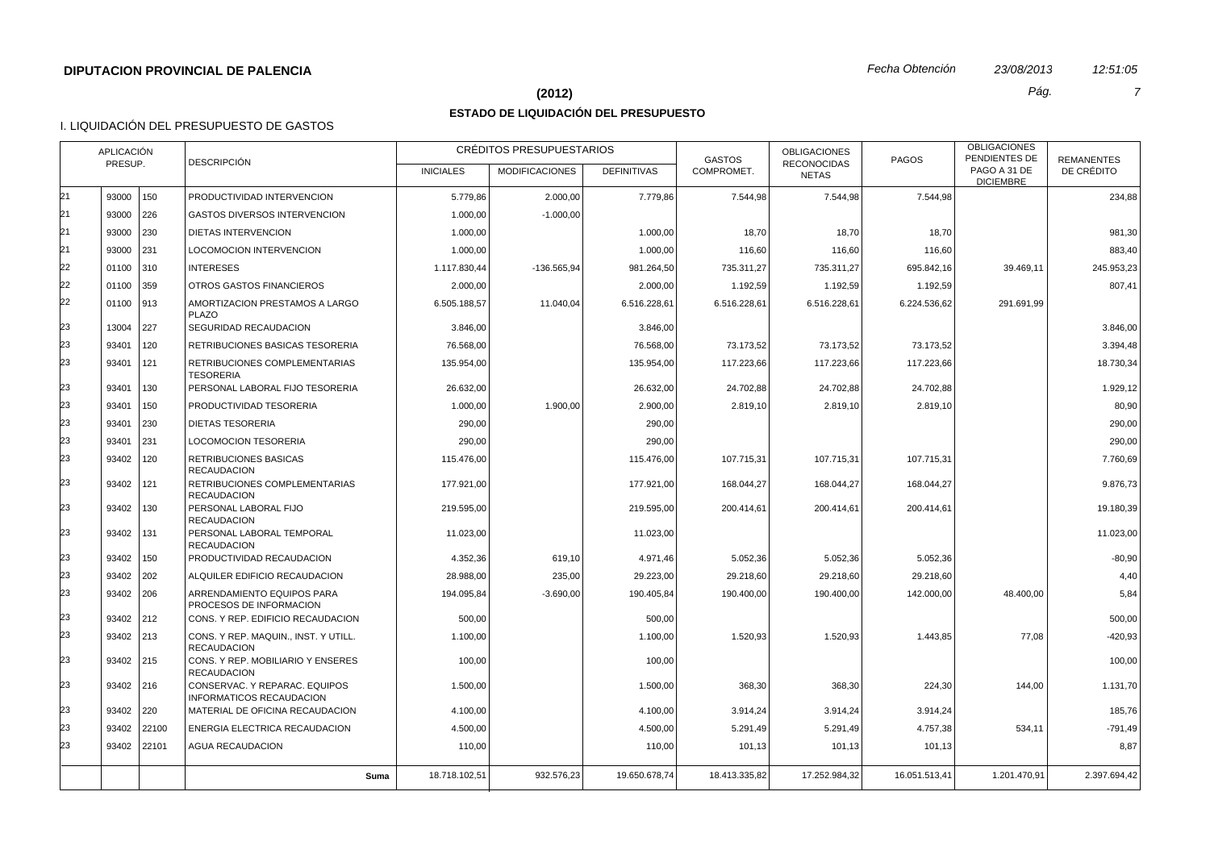#### **(2012)** *Pág. 7*

## **ESTADO DE LIQUIDACIÓN DEL PRESUPUESTO**

|    | APLICACIÓN<br><b>DESCRIPCIÓN</b><br>PRESUP. |             |                                                            | CRÉDITOS PRESUPUESTARIOS |                       |                    | <b>GASTOS</b> | <b>OBLIGACIONES</b>                | <b>PAGOS</b>  | <b>OBLIGACIONES</b><br>PENDIENTES DE | <b>REMANENTES</b> |
|----|---------------------------------------------|-------------|------------------------------------------------------------|--------------------------|-----------------------|--------------------|---------------|------------------------------------|---------------|--------------------------------------|-------------------|
|    |                                             |             |                                                            | <b>INICIALES</b>         | <b>MODIFICACIONES</b> | <b>DEFINITIVAS</b> | COMPROMET.    | <b>RECONOCIDAS</b><br><b>NETAS</b> |               | PAGO A 31 DE<br><b>DICIEMBRE</b>     | DE CRÉDITO        |
| 21 | 93000                                       | 150         | PRODUCTIVIDAD INTERVENCION                                 | 5.779,86                 | 2.000,00              | 7.779,86           | 7.544,98      | 7.544,98                           | 7.544,98      |                                      | 234,88            |
| 21 | 93000 226                                   |             | <b>GASTOS DIVERSOS INTERVENCION</b>                        | 1.000,00                 | $-1.000.00$           |                    |               |                                    |               |                                      |                   |
| 21 | 93000                                       | 230         | DIETAS INTERVENCION                                        | 1.000,00                 |                       | 1.000,00           | 18,70         | 18,70                              | 18,70         |                                      | 981,30            |
| 21 | 93000                                       | 231         | LOCOMOCION INTERVENCION                                    | 1.000,00                 |                       | 1.000,00           | 116,60        | 116,60                             | 116,60        |                                      | 883,40            |
| 22 | 01100                                       | $310$       | <b>INTERESES</b>                                           | 1.117.830,44             | -136.565.94           | 981.264,50         | 735.311,27    | 735.311,27                         | 695.842,16    | 39.469.11                            | 245.953,23        |
| 22 | 01100                                       | 359         | OTROS GASTOS FINANCIEROS                                   | 2.000,00                 |                       | 2.000,00           | 1.192,59      | 1.192,59                           | 1.192,59      |                                      | 807,41            |
| 22 | 01100 913                                   |             | AMORTIZACION PRESTAMOS A LARGO<br><b>PLAZO</b>             | 6.505.188,57             | 11.040,04             | 6.516.228,61       | 6.516.228,61  | 6.516.228,61                       | 6.224.536,62  | 291.691,99                           |                   |
| 23 | 13004                                       | 227         | SEGURIDAD RECAUDACION                                      | 3.846,00                 |                       | 3.846,00           |               |                                    |               |                                      | 3.846,00          |
| 23 | 93401                                       | 120         | RETRIBUCIONES BASICAS TESORERIA                            | 76.568,00                |                       | 76.568,00          | 73.173,52     | 73.173,52                          | 73.173,52     |                                      | 3.394,48          |
| 23 | 93401                                       | 121         | RETRIBUCIONES COMPLEMENTARIAS<br><b>TESORERIA</b>          | 135.954,00               |                       | 135.954,00         | 117.223,66    | 117.223,66                         | 117.223,66    |                                      | 18.730,34         |
| 23 | 93401                                       | 130         | PERSONAL LABORAL FIJO TESORERIA                            | 26.632,00                |                       | 26.632,00          | 24.702,88     | 24.702,88                          | 24.702,88     |                                      | 1.929,12          |
| 23 | 93401                                       | 150         | PRODUCTIVIDAD TESORERIA                                    | 1.000.00                 | 1.900.00              | 2.900.00           | 2.819,10      | 2.819.10                           | 2.819,10      |                                      | 80,90             |
| 23 | 93401                                       | 230         | <b>DIETAS TESORERIA</b>                                    | 290,00                   |                       | 290,00             |               |                                    |               |                                      | 290,00            |
| 23 | 93401                                       | 231         | <b>LOCOMOCION TESORERIA</b>                                | 290,00                   |                       | 290,00             |               |                                    |               |                                      | 290,00            |
| 23 | 93402                                       | 120         | <b>RETRIBUCIONES BASICAS</b><br><b>RECAUDACION</b>         | 115.476,00               |                       | 115.476,00         | 107.715,31    | 107.715.31                         | 107.715.31    |                                      | 7.760.69          |
| 23 | 93402                                       | 121         | RETRIBUCIONES COMPLEMENTARIAS<br><b>RECAUDACION</b>        | 177.921,00               |                       | 177.921,00         | 168.044,27    | 168.044,27                         | 168.044,27    |                                      | 9.876,73          |
| 23 | 93402                                       | 130         | PERSONAL LABORAL FIJO<br><b>RECAUDACION</b>                | 219.595,00               |                       | 219.595,00         | 200.414,61    | 200.414,61                         | 200.414,61    |                                      | 19.180,39         |
| 23 | 93402                                       | 131         | PERSONAL LABORAL TEMPORAL<br><b>RECAUDACION</b>            | 11.023,00                |                       | 11.023,00          |               |                                    |               |                                      | 11.023,00         |
| 23 | 93402                                       | 150         | PRODUCTIVIDAD RECAUDACION                                  | 4.352,36                 | 619,10                | 4.971,46           | 5.052,36      | 5.052,36                           | 5.052,36      |                                      | $-80,90$          |
| 23 | 93402 202                                   |             | ALQUILER EDIFICIO RECAUDACION                              | 28.988,00                | 235,00                | 29.223,00          | 29.218,60     | 29.218,60                          | 29.218,60     |                                      | 4,40              |
| 23 | 93402 206                                   |             | ARRENDAMIENTO EQUIPOS PARA<br>PROCESOS DE INFORMACION      | 194.095.84               | $-3.690.00$           | 190.405.84         | 190.400.00    | 190.400.00                         | 142.000.00    | 48,400.00                            | 5.84              |
| 23 | 93402 212                                   |             | CONS. Y REP. EDIFICIO RECAUDACION                          | 500,00                   |                       | 500,00             |               |                                    |               |                                      | 500,00            |
| 23 | 93402 213                                   |             | CONS. Y REP. MAQUIN., INST. Y UTILL.<br><b>RECAUDACION</b> | 1.100,00                 |                       | 1.100,00           | 1.520,93      | 1.520,93                           | 1.443,85      | 77,08                                | $-420,93$         |
| 23 | 93402 215                                   |             | CONS. Y REP. MOBILIARIO Y ENSERES<br><b>RECAUDACION</b>    | 100,00                   |                       | 100,00             |               |                                    |               |                                      | 100,00            |
| 23 | 93402 216                                   |             | CONSERVAC, Y REPARAC, EQUIPOS<br>INFORMATICOS RECAUDACION  | 1.500,00                 |                       | 1.500,00           | 368,30        | 368,30                             | 224,30        | 144,00                               | 1.131,70          |
| 23 | 93402 220                                   |             | MATERIAL DE OFICINA RECAUDACION                            | 4.100,00                 |                       | 4.100,00           | 3.914,24      | 3.914,24                           | 3.914,24      |                                      | 185,76            |
| 23 | 93402                                       | 22100       | ENERGIA ELECTRICA RECAUDACION                              | 4.500,00                 |                       | 4.500,00           | 5.291,49      | 5.291,49                           | 4.757,38      | 534,11                               | $-791,49$         |
| 23 |                                             | 93402 22101 | <b>AGUA RECAUDACION</b>                                    | 110,00                   |                       | 110,00             | 101,13        | 101,13                             | 101,13        |                                      | 8,87              |
|    |                                             |             | Suma                                                       | 18.718.102,51            | 932.576,23            | 19.650.678,74      | 18.413.335,82 | 17.252.984,32                      | 16.051.513,41 | 1.201.470,91                         | 2.397.694,42      |
|    |                                             |             |                                                            |                          |                       |                    |               |                                    |               |                                      |                   |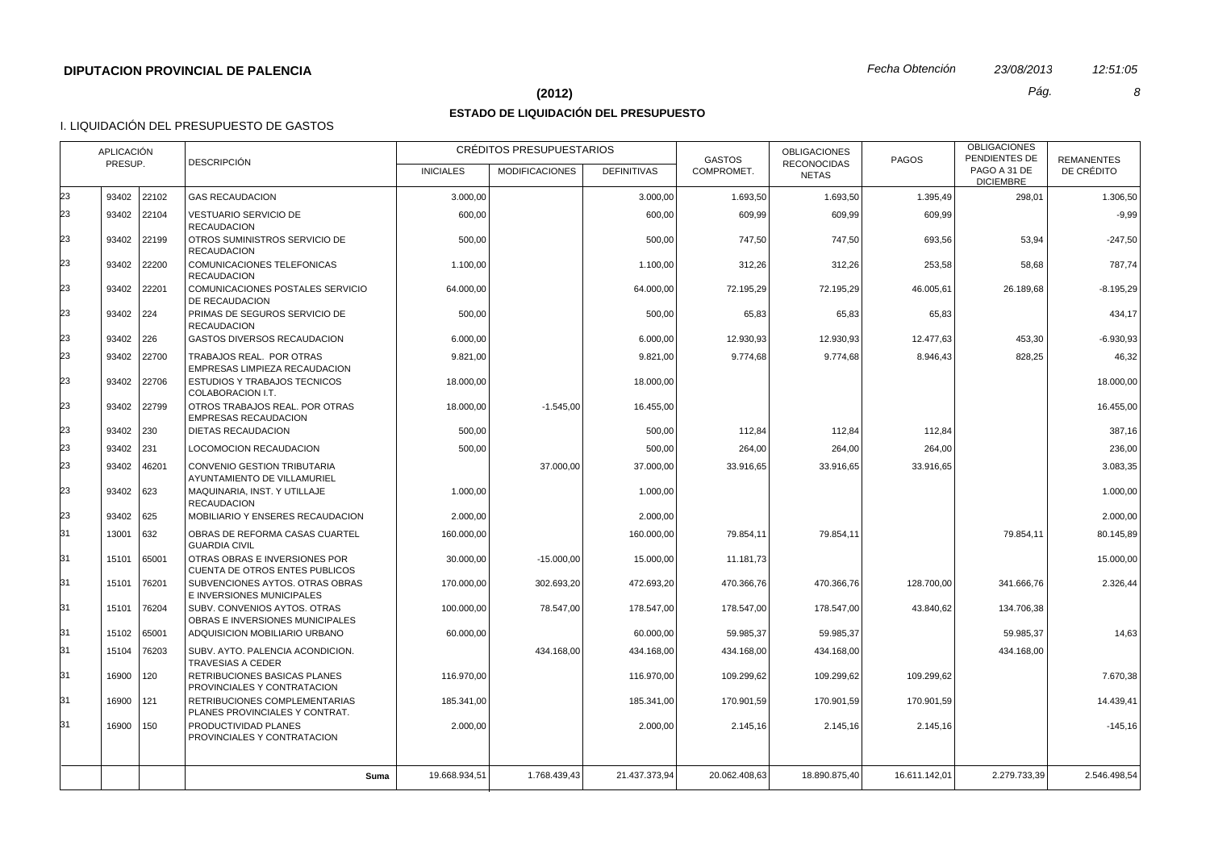# **(2012)** *Pág. 8*

# **ESTADO DE LIQUIDACIÓN DEL PRESUPUESTO**

|    | APLICACIÓN<br><b>DESCRIPCIÓN</b><br>PRESUP. |             |                                                                 | CRÉDITOS PRESUPUESTARIOS |                       |                    | <b>GASTOS</b> | <b>OBLIGACIONES</b><br><b>RECONOCIDAS</b> | <b>PAGOS</b>  | <b>OBLIGACIONES</b><br>PENDIENTES DE | <b>REMANENTES</b> |
|----|---------------------------------------------|-------------|-----------------------------------------------------------------|--------------------------|-----------------------|--------------------|---------------|-------------------------------------------|---------------|--------------------------------------|-------------------|
|    |                                             |             |                                                                 | <b>INICIALES</b>         | <b>MODIFICACIONES</b> | <b>DEFINITIVAS</b> | COMPROMET.    | <b>NETAS</b>                              |               | PAGO A 31 DE<br><b>DICIEMBRE</b>     | DE CRÉDITO        |
| 23 |                                             | 93402 22102 | <b>GAS RECAUDACION</b>                                          | 3.000,00                 |                       | 3.000,00           | 1.693,50      | 1.693,50                                  | 1.395,49      | 298,01                               | 1.306,50          |
| 23 |                                             | 93402 22104 | <b>VESTUARIO SERVICIO DE</b><br><b>RECAUDACION</b>              | 600,00                   |                       | 600,00             | 609,99        | 609,99                                    | 609,99        |                                      | $-9,99$           |
| 23 | 93402                                       | 22199       | OTROS SUMINISTROS SERVICIO DE<br><b>RECAUDACION</b>             | 500,00                   |                       | 500,00             | 747,50        | 747,50                                    | 693,56        | 53,94                                | $-247,50$         |
| 23 | 93402                                       | 22200       | COMUNICACIONES TELEFONICAS<br><b>RECAUDACION</b>                | 1.100,00                 |                       | 1.100,00           | 312,26        | 312,26                                    | 253,58        | 58,68                                | 787.74            |
| 23 | 93402 22201                                 |             | COMUNICACIONES POSTALES SERVICIO<br>DE RECAUDACION              | 64.000,00                |                       | 64.000,00          | 72.195,29     | 72.195,29                                 | 46.005,61     | 26.189,68                            | $-8.195,29$       |
| 23 | 93402 224                                   |             | PRIMAS DE SEGUROS SERVICIO DE<br><b>RECAUDACION</b>             | 500,00                   |                       | 500,00             | 65,83         | 65,83                                     | 65,83         |                                      | 434,17            |
| 23 | 93402 226                                   |             | <b>GASTOS DIVERSOS RECAUDACION</b>                              | 6.000,00                 |                       | 6.000,00           | 12.930,93     | 12.930,93                                 | 12.477,63     | 453,30                               | $-6.930.93$       |
| 23 | 93402 22700                                 |             | TRABAJOS REAL. POR OTRAS<br>EMPRESAS LIMPIEZA RECAUDACION       | 9.821,00                 |                       | 9.821,00           | 9.774,68      | 9.774,68                                  | 8.946,43      | 828,25                               | 46,32             |
| 23 | 93402 22706                                 |             | ESTUDIOS Y TRABAJOS TECNICOS<br>COLABORACION I.T.               | 18.000,00                |                       | 18.000,00          |               |                                           |               |                                      | 18.000,00         |
| 23 | 93402                                       | 22799       | OTROS TRABAJOS REAL, POR OTRAS<br><b>EMPRESAS RECAUDACION</b>   | 18.000,00                | $-1.545.00$           | 16.455,00          |               |                                           |               |                                      | 16.455,00         |
| 23 | 93402                                       | 230         | DIETAS RECAUDACION                                              | 500,00                   |                       | 500,00             | 112,84        | 112,84                                    | 112,84        |                                      | 387,16            |
| 23 | 93402                                       | 231         | LOCOMOCION RECAUDACION                                          | 500,00                   |                       | 500,00             | 264,00        | 264,00                                    | 264,00        |                                      | 236,00            |
| 23 | 93402                                       | 46201       | CONVENIO GESTION TRIBUTARIA<br>AYUNTAMIENTO DE VILLAMURIEL      |                          | 37.000,00             | 37.000,00          | 33.916,65     | 33.916,65                                 | 33.916,65     |                                      | 3.083,35          |
| 23 | 93402                                       | 623         | MAQUINARIA, INST. Y UTILLAJE<br><b>RECAUDACION</b>              | 1.000,00                 |                       | 1.000,00           |               |                                           |               |                                      | 1.000,00          |
| 23 | 93402                                       | 625         | MOBILIARIO Y ENSERES RECAUDACION                                | 2.000,00                 |                       | 2.000,00           |               |                                           |               |                                      | 2.000,00          |
| 31 | 13001                                       | 632         | OBRAS DE REFORMA CASAS CUARTEL<br><b>GUARDIA CIVIL</b>          | 160.000,00               |                       | 160.000,00         | 79.854,11     | 79.854,11                                 |               | 79.854,11                            | 80.145,89         |
| 31 | 15101                                       | 65001       | OTRAS OBRAS E INVERSIONES POR<br>CUENTA DE OTROS ENTES PUBLICOS | 30.000,00                | $-15.000,00$          | 15.000,00          | 11.181,73     |                                           |               |                                      | 15.000,00         |
| 31 | 15101                                       | 76201       | SUBVENCIONES AYTOS, OTRAS OBRAS<br>E INVERSIONES MUNICIPALES    | 170.000,00               | 302.693,20            | 472.693,20         | 470.366,76    | 470.366,76                                | 128.700,00    | 341.666,76                           | 2.326,44          |
| 31 | 15101                                       | 76204       | SUBV. CONVENIOS AYTOS. OTRAS<br>OBRAS E INVERSIONES MUNICIPALES | 100.000,00               | 78.547,00             | 178.547,00         | 178.547,00    | 178.547,00                                | 43.840,62     | 134.706,38                           |                   |
| 31 | 15102                                       | 65001       | ADQUISICION MOBILIARIO URBANO                                   | 60.000,00                |                       | 60.000.00          | 59.985.37     | 59.985.37                                 |               | 59.985.37                            | 14,63             |
| 31 | 15104                                       | 76203       | SUBV. AYTO. PALENCIA ACONDICION.<br><b>TRAVESIAS A CEDER</b>    |                          | 434.168,00            | 434.168,00         | 434.168,00    | 434.168,00                                |               | 434.168,00                           |                   |
| 31 | 16900                                       | 120         | RETRIBUCIONES BASICAS PLANES<br>PROVINCIALES Y CONTRATACION     | 116.970,00               |                       | 116.970,00         | 109.299,62    | 109.299,62                                | 109.299,62    |                                      | 7.670,38          |
| 31 | 16900                                       | 121         | RETRIBUCIONES COMPLEMENTARIAS<br>PLANES PROVINCIALES Y CONTRAT. | 185.341,00               |                       | 185.341,00         | 170.901,59    | 170.901,59                                | 170.901,59    |                                      | 14.439,41         |
| 31 | 16900                                       | 150         | PRODUCTIVIDAD PLANES<br>PROVINCIALES Y CONTRATACION             | 2.000,00                 |                       | 2.000.00           | 2.145,16      | 2.145,16                                  | 2.145,16      |                                      | $-145,16$         |
|    |                                             |             | Suma                                                            | 19.668.934,51            | 1.768.439,43          | 21.437.373,94      | 20.062.408,63 | 18.890.875,40                             | 16.611.142,01 | 2.279.733,39                         | 2.546.498,54      |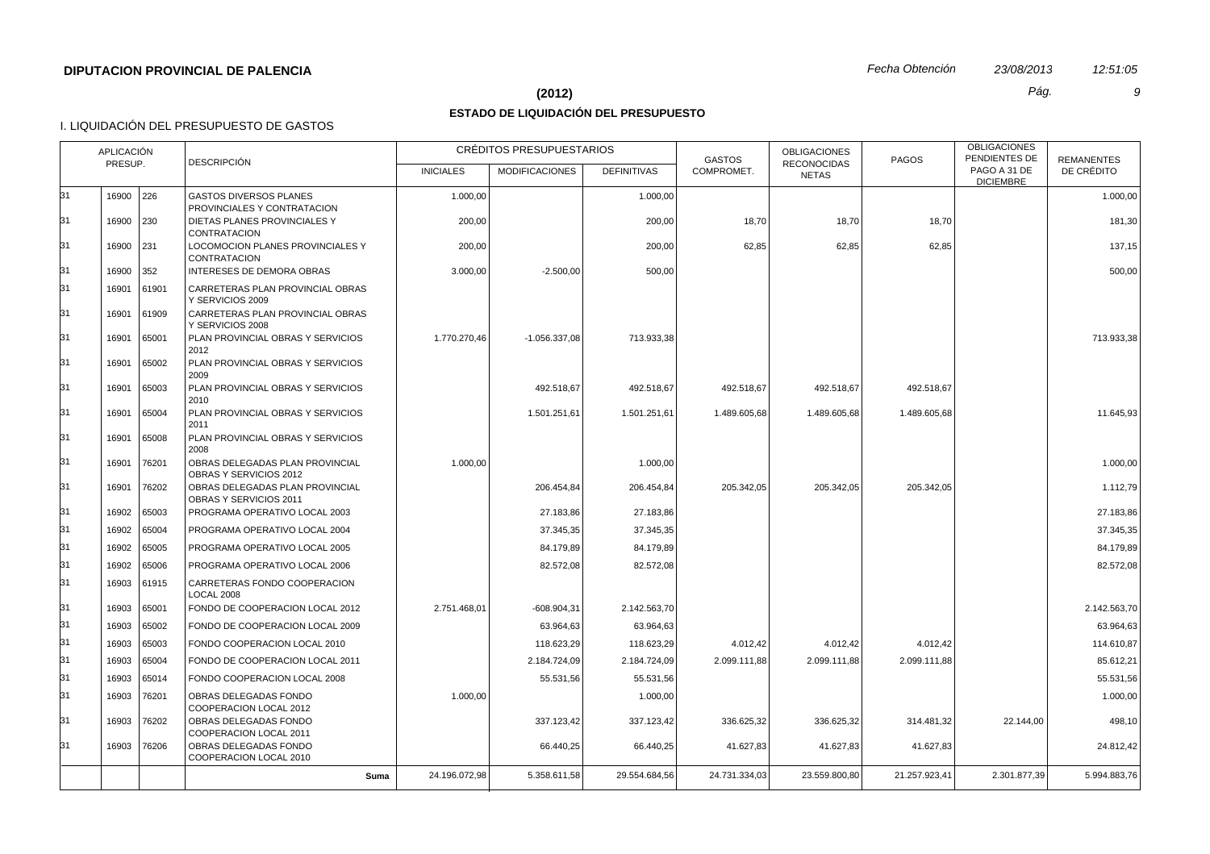#### **(2012)** *Pág. 9*

## **ESTADO DE LIQUIDACIÓN DEL PRESUPUESTO**

|    | APLICACIÓN<br>PRESUP. |             |                                                              |                  | CRÉDITOS PRESUPUESTARIOS |                    | <b>GASTOS</b> | <b>OBLIGACIONES</b>                | <b>PAGOS</b>  | <b>OBLIGACIONES</b><br>PENDIENTES DE | <b>REMANENTES</b> |
|----|-----------------------|-------------|--------------------------------------------------------------|------------------|--------------------------|--------------------|---------------|------------------------------------|---------------|--------------------------------------|-------------------|
|    |                       |             | <b>DESCRIPCIÓN</b>                                           | <b>INICIALES</b> | <b>MODIFICACIONES</b>    | <b>DEFINITIVAS</b> | COMPROMET.    | <b>RECONOCIDAS</b><br><b>NETAS</b> |               | PAGO A 31 DE<br><b>DICIEMBRE</b>     | DE CRÉDITO        |
| 31 | 16900 226             |             | <b>GASTOS DIVERSOS PLANES</b><br>PROVINCIALES Y CONTRATACION | 1.000,00         |                          | 1.000,00           |               |                                    |               |                                      | 1.000,00          |
| 31 | 16900 230             |             | DIETAS PLANES PROVINCIALES Y<br><b>CONTRATACION</b>          | 200,00           |                          | 200,00             | 18,70         | 18,70                              | 18,70         |                                      | 181,30            |
| 31 | 16900 231             |             | LOCOMOCION PLANES PROVINCIALES Y<br><b>CONTRATACION</b>      | 200,00           |                          | 200,00             | 62,85         | 62,85                              | 62,85         |                                      | 137,15            |
| 31 | 16900 352             |             | INTERESES DE DEMORA OBRAS                                    | 3.000,00         | $-2.500,00$              | 500,00             |               |                                    |               |                                      | 500,00            |
| 31 | 16901                 | 61901       | CARRETERAS PLAN PROVINCIAL OBRAS<br>Y SERVICIOS 2009         |                  |                          |                    |               |                                    |               |                                      |                   |
| 31 | 16901                 | 61909       | CARRETERAS PLAN PROVINCIAL OBRAS<br>Y SERVICIOS 2008         |                  |                          |                    |               |                                    |               |                                      |                   |
| 31 | 16901                 | 65001       | PLAN PROVINCIAL OBRAS Y SERVICIOS<br>2012                    | 1.770.270,46     | $-1.056.337.08$          | 713.933,38         |               |                                    |               |                                      | 713.933,38        |
| 31 | 16901                 | 65002       | PLAN PROVINCIAL OBRAS Y SERVICIOS<br>2009                    |                  |                          |                    |               |                                    |               |                                      |                   |
| 31 | 16901                 | 65003       | PLAN PROVINCIAL OBRAS Y SERVICIOS<br>2010                    |                  | 492.518.67               | 492.518,67         | 492.518,67    | 492.518,67                         | 492.518,67    |                                      |                   |
| 31 | 16901                 | 65004       | PLAN PROVINCIAL OBRAS Y SERVICIOS<br>2011                    |                  | 1.501.251,61             | 1.501.251,61       | 1.489.605,68  | 1.489.605,68                       | 1.489.605,68  |                                      | 11.645,93         |
| 31 | 16901                 | 65008       | PLAN PROVINCIAL OBRAS Y SERVICIOS<br>2008                    |                  |                          |                    |               |                                    |               |                                      |                   |
| 31 | 16901                 | 76201       | OBRAS DELEGADAS PLAN PROVINCIAL<br>OBRAS Y SERVICIOS 2012    | 1.000,00         |                          | 1.000,00           |               |                                    |               |                                      | 1.000,00          |
| 31 | 16901                 | 76202       | OBRAS DELEGADAS PLAN PROVINCIAL<br>OBRAS Y SERVICIOS 2011    |                  | 206.454,84               | 206.454,84         | 205.342,05    | 205.342,05                         | 205.342,05    |                                      | 1.112,79          |
| 31 | 16902                 | 65003       | PROGRAMA OPERATIVO LOCAL 2003                                |                  | 27.183,86                | 27.183,86          |               |                                    |               |                                      | 27.183,86         |
| 31 | 16902                 | 65004       | PROGRAMA OPERATIVO LOCAL 2004                                |                  | 37.345,35                | 37.345,35          |               |                                    |               |                                      | 37.345,35         |
| 31 | 16902                 | 65005       | PROGRAMA OPERATIVO LOCAL 2005                                |                  | 84.179,89                | 84.179,89          |               |                                    |               |                                      | 84.179,89         |
| 31 | 16902                 | 65006       | PROGRAMA OPERATIVO LOCAL 2006                                |                  | 82.572,08                | 82.572,08          |               |                                    |               |                                      | 82.572,08         |
| 31 |                       | 16903 61915 | CARRETERAS FONDO COOPERACION<br><b>LOCAL 2008</b>            |                  |                          |                    |               |                                    |               |                                      |                   |
| 31 | 16903                 | 65001       | FONDO DE COOPERACION LOCAL 2012                              | 2.751.468.01     | $-608.904.31$            | 2.142.563,70       |               |                                    |               |                                      | 2.142.563.70      |
| 31 | 16903                 | 65002       | FONDO DE COOPERACION LOCAL 2009                              |                  | 63.964,63                | 63.964,63          |               |                                    |               |                                      | 63.964,63         |
| 31 | 16903                 | 65003       | FONDO COOPERACION LOCAL 2010                                 |                  | 118.623,29               | 118.623,29         | 4.012,42      | 4.012,42                           | 4.012,42      |                                      | 114.610,87        |
| 31 | 16903                 | 65004       | FONDO DE COOPERACION LOCAL 2011                              |                  | 2.184.724,09             | 2.184.724,09       | 2.099.111,88  | 2.099.111,88                       | 2.099.111,88  |                                      | 85.612,21         |
| 31 | 16903                 | 65014       | FONDO COOPERACION LOCAL 2008                                 |                  | 55.531,56                | 55.531,56          |               |                                    |               |                                      | 55.531,56         |
| 31 | 16903                 | 76201       | OBRAS DELEGADAS FONDO<br>COOPERACION LOCAL 2012              | 1.000,00         |                          | 1.000,00           |               |                                    |               |                                      | 1.000,00          |
| 31 | 16903                 | 76202       | OBRAS DELEGADAS FONDO<br>COOPERACION LOCAL 2011              |                  | 337.123,42               | 337.123,42         | 336.625,32    | 336.625,32                         | 314.481,32    | 22.144,00                            | 498,10            |
| 31 | 16903                 | 76206       | OBRAS DELEGADAS FONDO<br>COOPERACION LOCAL 2010              |                  | 66.440,25                | 66.440,25          | 41.627,83     | 41.627,83                          | 41.627,83     |                                      | 24.812,42         |
|    |                       |             | Suma                                                         | 24.196.072,98    | 5.358.611,58             | 29.554.684,56      | 24.731.334,03 | 23.559.800,80                      | 21.257.923,41 | 2.301.877,39                         | 5.994.883,76      |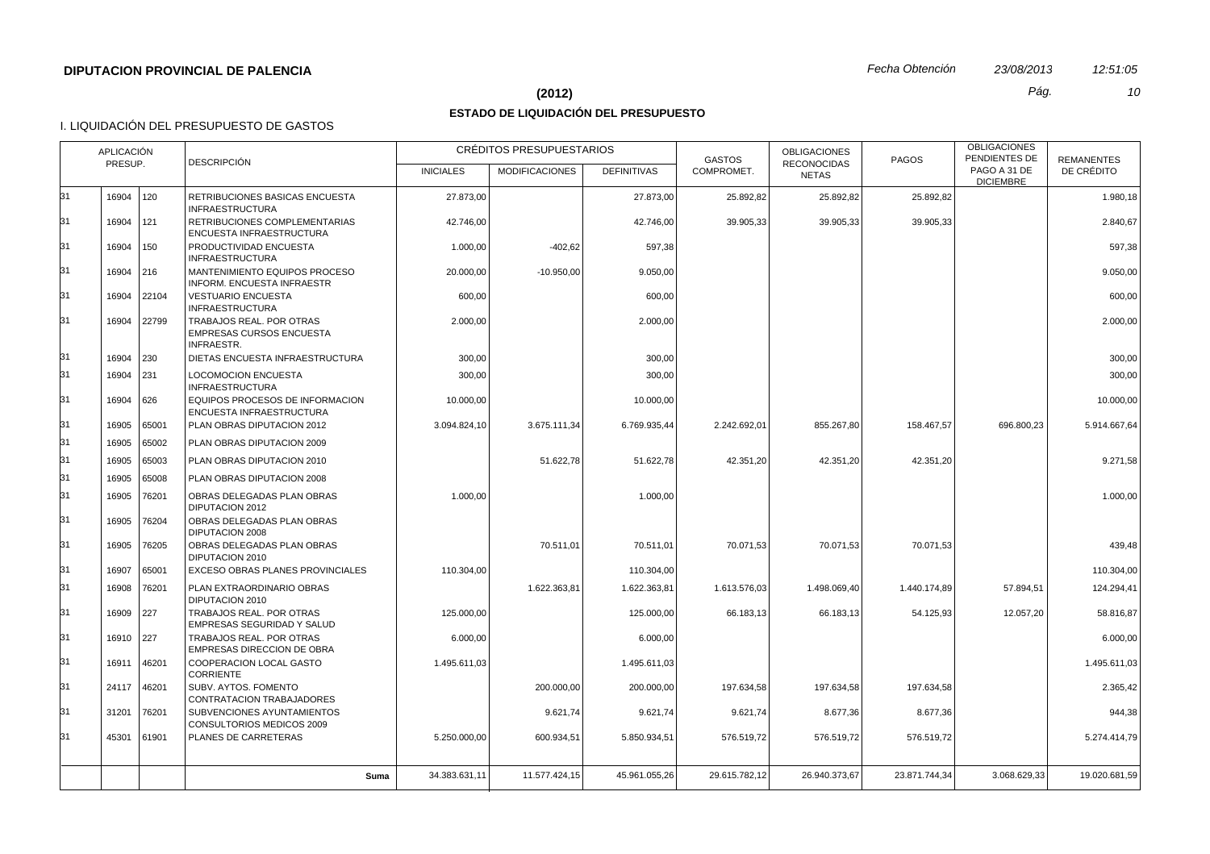#### **(2012)** *Pág. 10*

## **ESTADO DE LIQUIDACIÓN DEL PRESUPUESTO**

|    | APLICACIÓN<br><b>DESCRIPCIÓN</b><br>PRESUP. |             |                                                                                  | CRÉDITOS PRESUPUESTARIOS |                       |                    | <b>GASTOS</b> | <b>OBLIGACIONES</b>                | <b>PAGOS</b>  | <b>OBLIGACIONES</b><br>PENDIENTES DE | <b>REMANENTES</b> |
|----|---------------------------------------------|-------------|----------------------------------------------------------------------------------|--------------------------|-----------------------|--------------------|---------------|------------------------------------|---------------|--------------------------------------|-------------------|
|    |                                             |             |                                                                                  | <b>INICIALES</b>         | <b>MODIFICACIONES</b> | <b>DEFINITIVAS</b> | COMPROMET.    | <b>RECONOCIDAS</b><br><b>NETAS</b> |               | PAGO A 31 DE<br><b>DICIEMBRE</b>     | DE CRÉDITO        |
| 31 | 16904 120                                   |             | RETRIBUCIONES BASICAS ENCUESTA<br><b>INFRAESTRUCTURA</b>                         | 27.873,00                |                       | 27.873,00          | 25.892,82     | 25.892,82                          | 25.892,82     |                                      | 1.980,18          |
| 31 | 16904                                       | 121         | RETRIBUCIONES COMPLEMENTARIAS<br>ENCUESTA INFRAESTRUCTURA                        | 42.746,00                |                       | 42.746.00          | 39.905.33     | 39.905,33                          | 39.905,33     |                                      | 2.840,67          |
| 31 | 16904                                       | 150         | PRODUCTIVIDAD ENCUESTA<br><b>INFRAESTRUCTURA</b>                                 | 1.000,00                 | $-402,62$             | 597,38             |               |                                    |               |                                      | 597,38            |
| 31 | 16904 216                                   |             | MANTENIMIENTO EQUIPOS PROCESO<br><b>INFORM, ENCUESTA INFRAESTR</b>               | 20.000,00                | $-10.950,00$          | 9.050,00           |               |                                    |               |                                      | 9.050,00          |
| 31 |                                             | 16904 22104 | <b>VESTUARIO ENCUESTA</b><br><b>INFRAESTRUCTURA</b>                              | 600,00                   |                       | 600,00             |               |                                    |               |                                      | 600,00            |
| 31 |                                             | 16904 22799 | TRABAJOS REAL. POR OTRAS<br><b>EMPRESAS CURSOS ENCUESTA</b><br><b>INFRAESTR.</b> | 2.000,00                 |                       | 2.000,00           |               |                                    |               |                                      | 2.000,00          |
| 31 | 16904 230                                   |             | DIETAS ENCUESTA INFRAESTRUCTURA                                                  | 300,00                   |                       | 300,00             |               |                                    |               |                                      | 300,00            |
| 31 | 16904 231                                   |             | <b>LOCOMOCION ENCUESTA</b><br><b>INFRAESTRUCTURA</b>                             | 300,00                   |                       | 300,00             |               |                                    |               |                                      | 300,00            |
| 31 | 16904 626                                   |             | EQUIPOS PROCESOS DE INFORMACION<br>ENCUESTA INFRAESTRUCTURA                      | 10.000,00                |                       | 10.000,00          |               |                                    |               |                                      | 10.000.00         |
| 31 |                                             | 16905 65001 | PLAN OBRAS DIPUTACION 2012                                                       | 3.094.824,10             | 3.675.111,34          | 6.769.935,44       | 2.242.692,01  | 855.267,80                         | 158.467,57    | 696.800,23                           | 5.914.667,64      |
| 31 | 16905                                       | 65002       | PLAN OBRAS DIPUTACION 2009                                                       |                          |                       |                    |               |                                    |               |                                      |                   |
| 31 | 16905                                       | 65003       | PLAN OBRAS DIPUTACION 2010                                                       |                          | 51.622,78             | 51.622,78          | 42.351,20     | 42.351,20                          | 42.351,20     |                                      | 9.271.58          |
| 31 | 16905                                       | 65008       | PLAN OBRAS DIPUTACION 2008                                                       |                          |                       |                    |               |                                    |               |                                      |                   |
| 31 | 16905                                       | 76201       | OBRAS DELEGADAS PLAN OBRAS<br>DIPUTACION 2012                                    | 1.000,00                 |                       | 1.000,00           |               |                                    |               |                                      | 1.000,00          |
| 31 | 16905                                       | 76204       | OBRAS DELEGADAS PLAN OBRAS<br>DIPUTACION 2008                                    |                          |                       |                    |               |                                    |               |                                      |                   |
| 31 | 16905                                       | 76205       | OBRAS DELEGADAS PLAN OBRAS<br>DIPUTACION 2010                                    |                          | 70.511,01             | 70.511,01          | 70.071,53     | 70.071,53                          | 70.071,53     |                                      | 439,48            |
| 31 | 16907                                       | 65001       | EXCESO OBRAS PLANES PROVINCIALES                                                 | 110.304,00               |                       | 110.304.00         |               |                                    |               |                                      | 110.304.00        |
| 31 | 16908                                       | 76201       | PLAN EXTRAORDINARIO OBRAS<br>DIPUTACION 2010                                     |                          | 1.622.363,81          | 1.622.363,81       | 1.613.576,03  | 1.498.069,40                       | 1.440.174,89  | 57.894,51                            | 124.294,41        |
| 31 | 16909                                       | 227         | TRABAJOS REAL. POR OTRAS<br>EMPRESAS SEGURIDAD Y SALUD                           | 125.000,00               |                       | 125.000,00         | 66.183,13     | 66.183,13                          | 54.125,93     | 12.057,20                            | 58.816,87         |
| 31 | 16910 227                                   |             | TRABAJOS REAL. POR OTRAS<br><b>EMPRESAS DIRECCION DE OBRA</b>                    | 6.000,00                 |                       | 6.000,00           |               |                                    |               |                                      | 6.000,00          |
| 31 | 16911                                       | 46201       | COOPERACION LOCAL GASTO<br><b>CORRIENTE</b>                                      | 1.495.611,03             |                       | 1.495.611,03       |               |                                    |               |                                      | 1.495.611,03      |
| 31 | 24117                                       | 46201       | SUBV. AYTOS. FOMENTO<br>CONTRATACION TRABAJADORES                                |                          | 200.000,00            | 200.000,00         | 197.634,58    | 197.634,58                         | 197.634,58    |                                      | 2.365,42          |
| 31 | 31201                                       | 76201       | SUBVENCIONES AYUNTAMIENTOS<br>CONSULTORIOS MEDICOS 2009                          |                          | 9.621,74              | 9.621,74           | 9.621,74      | 8.677,36                           | 8.677,36      |                                      | 944,38            |
| 31 | 45301                                       | 61901       | PLANES DE CARRETERAS                                                             | 5.250.000,00             | 600.934,51            | 5.850.934,51       | 576.519,72    | 576.519,72                         | 576.519,72    |                                      | 5.274.414,79      |
|    |                                             |             | Suma                                                                             | 34.383.631,11            | 11.577.424,15         | 45.961.055,26      | 29.615.782.12 | 26.940.373.67                      | 23.871.744.34 | 3.068.629,33                         | 19.020.681,59     |
|    |                                             |             |                                                                                  |                          |                       |                    |               |                                    |               |                                      |                   |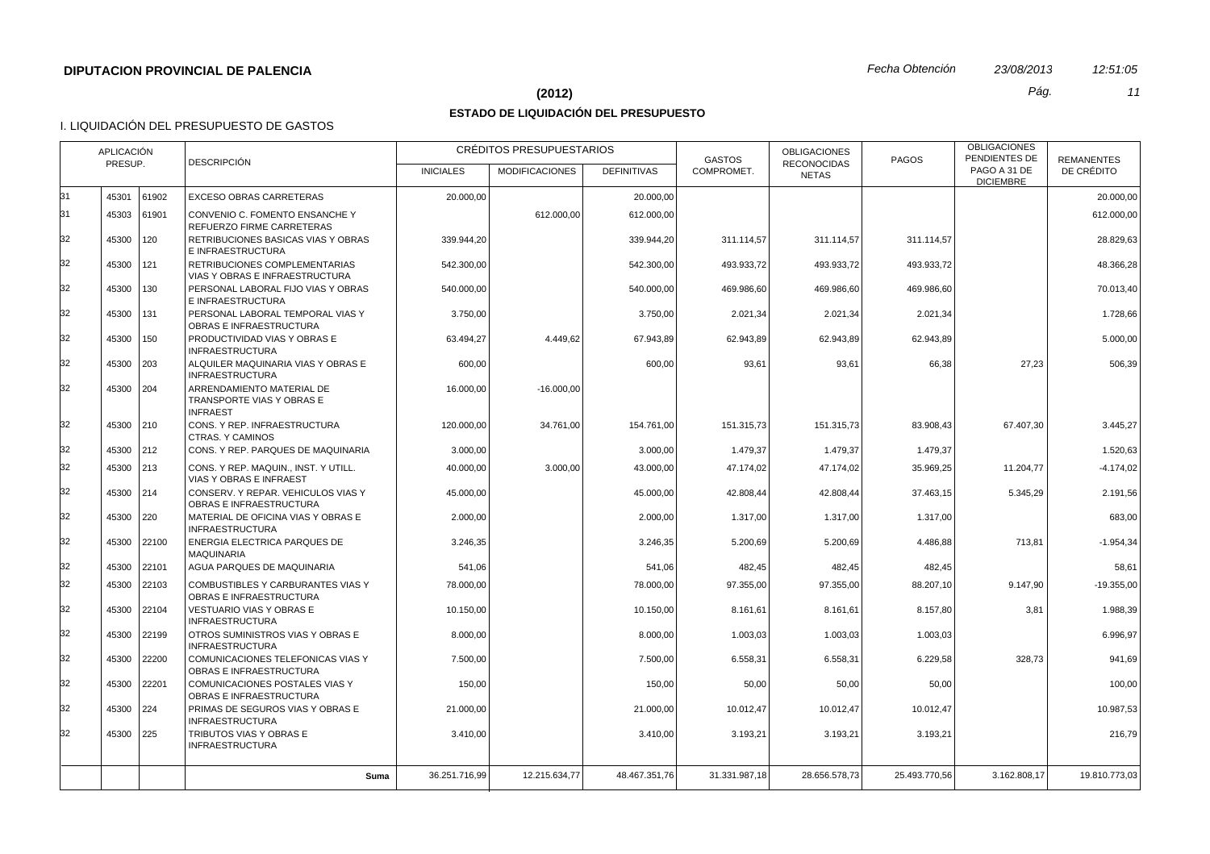#### **(2012)** *Pág. 11*

## **ESTADO DE LIQUIDACIÓN DEL PRESUPUESTO**

|    | <b>APLICACIÓN</b><br><b>DESCRIPCIÓN</b><br>PRESUP. |               |                                                                           | <b>CRÉDITOS PRESUPUESTARIOS</b> |                       |                    | <b>GASTOS</b> | <b>OBLIGACIONES</b>                | <b>PAGOS</b>  | <b>OBLIGACIONES</b><br>PENDIENTES DE | <b>REMANENTES</b> |
|----|----------------------------------------------------|---------------|---------------------------------------------------------------------------|---------------------------------|-----------------------|--------------------|---------------|------------------------------------|---------------|--------------------------------------|-------------------|
|    |                                                    |               |                                                                           | <b>INICIALES</b>                | <b>MODIFICACIONES</b> | <b>DEFINITIVAS</b> | COMPROMET.    | <b>RECONOCIDAS</b><br><b>NETAS</b> |               | PAGO A 31 DE<br><b>DICIEMBRE</b>     | DE CRÉDITO        |
| 31 | 45301                                              | 61902         | EXCESO OBRAS CARRETERAS                                                   | 20.000,00                       |                       | 20.000,00          |               |                                    |               |                                      | 20.000,00         |
| 31 | 45303 61901                                        |               | CONVENIO C. FOMENTO ENSANCHE Y<br>REFUERZO FIRME CARRETERAS               |                                 | 612.000.00            | 612.000,00         |               |                                    |               |                                      | 612.000,00        |
| 32 | 45300                                              | 120           | RETRIBUCIONES BASICAS VIAS Y OBRAS<br>E INFRAESTRUCTURA                   | 339.944,20                      |                       | 339.944,20         | 311.114,57    | 311.114,57                         | 311.114,57    |                                      | 28.829,63         |
| 32 | 45300                                              | 121           | RETRIBUCIONES COMPLEMENTARIAS<br>VIAS Y OBRAS E INFRAESTRUCTURA           | 542.300,00                      |                       | 542.300,00         | 493.933,72    | 493.933,72                         | 493.933,72    |                                      | 48.366,28         |
| 32 | 45300                                              | $ 130\rangle$ | PERSONAL LABORAL FIJO VIAS Y OBRAS<br>E INFRAESTRUCTURA                   | 540.000,00                      |                       | 540.000,00         | 469.986,60    | 469.986,60                         | 469.986,60    |                                      | 70.013,40         |
| 32 | 45300                                              | 131           | PERSONAL LABORAL TEMPORAL VIAS Y<br>OBRAS E INFRAESTRUCTURA               | 3.750,00                        |                       | 3.750,00           | 2.021,34      | 2.021,34                           | 2.021,34      |                                      | 1.728,66          |
| 32 | 45300                                              | 150           | PRODUCTIVIDAD VIAS Y OBRAS E<br><b>INFRAESTRUCTURA</b>                    | 63.494,27                       | 4.449,62              | 67.943,89          | 62.943,89     | 62.943,89                          | 62.943,89     |                                      | 5.000,00          |
| 32 | 45300 203                                          |               | ALQUILER MAQUINARIA VIAS Y OBRAS E<br><b>INFRAESTRUCTURA</b>              | 600,00                          |                       | 600,00             | 93,61         | 93,61                              | 66,38         | 27,23                                | 506,39            |
| 32 | 45300 204                                          |               | ARRENDAMIENTO MATERIAL DE<br>TRANSPORTE VIAS Y OBRAS E<br><b>INFRAEST</b> | 16.000,00                       | $-16.000,00$          |                    |               |                                    |               |                                      |                   |
| 32 | 45300 210                                          |               | CONS. Y REP. INFRAESTRUCTURA<br><b>CTRAS, Y CAMINOS</b>                   | 120.000,00                      | 34.761,00             | 154.761,00         | 151.315,73    | 151.315,73                         | 83.908,43     | 67.407,30                            | 3.445,27          |
| 32 | 45300 212                                          |               | CONS. Y REP. PARQUES DE MAQUINARIA                                        | 3.000,00                        |                       | 3.000,00           | 1.479,37      | 1.479,37                           | 1.479,37      |                                      | 1.520,63          |
| 32 | 45300 213                                          |               | CONS. Y REP. MAQUIN INST. Y UTILL.<br>VIAS Y OBRAS E INFRAEST             | 40.000,00                       | 3.000.00              | 43.000.00          | 47.174,02     | 47.174,02                          | 35.969,25     | 11.204,77                            | $-4.174,02$       |
| 32 | 45300 214                                          |               | CONSERV. Y REPAR. VEHICULOS VIAS Y<br>OBRAS E INFRAESTRUCTURA             | 45.000,00                       |                       | 45.000,00          | 42.808,44     | 42.808,44                          | 37.463,15     | 5.345,29                             | 2.191,56          |
| 32 | 45300 220                                          |               | MATERIAL DE OFICINA VIAS Y OBRAS E<br><b>INFRAESTRUCTURA</b>              | 2.000,00                        |                       | 2.000,00           | 1.317,00      | 1.317,00                           | 1.317,00      |                                      | 683,00            |
| 32 | 45300                                              | 22100         | ENERGIA ELECTRICA PARQUES DE<br><b>MAQUINARIA</b>                         | 3.246,35                        |                       | 3.246,35           | 5.200,69      | 5.200,69                           | 4.486,88      | 713,81                               | $-1.954,34$       |
| 32 | 45300 22101                                        |               | AGUA PARQUES DE MAQUINARIA                                                | 541,06                          |                       | 541,06             | 482,45        | 482,45                             | 482,45        |                                      | 58,61             |
| 32 |                                                    | 45300 22103   | COMBUSTIBLES Y CARBURANTES VIAS Y<br>OBRAS E INFRAESTRUCTURA              | 78.000,00                       |                       | 78.000.00          | 97.355,00     | 97.355,00                          | 88.207,10     | 9.147,90                             | $-19.355.00$      |
| 32 | 45300                                              | 22104         | <b>VESTUARIO VIAS Y OBRAS E</b><br><b>INFRAESTRUCTURA</b>                 | 10.150,00                       |                       | 10.150,00          | 8.161,61      | 8.161,61                           | 8.157,80      | 3,81                                 | 1.988,39          |
| 32 | 45300                                              | 22199         | OTROS SUMINISTROS VIAS Y OBRAS E<br><b>INFRAESTRUCTURA</b>                | 8.000,00                        |                       | 8.000,00           | 1.003,03      | 1.003,03                           | 1.003,03      |                                      | 6.996,97          |
| 32 | 45300 22200                                        |               | COMUNICACIONES TELEFONICAS VIAS Y<br>OBRAS E INFRAESTRUCTURA              | 7.500,00                        |                       | 7.500,00           | 6.558,31      | 6.558,31                           | 6.229,58      | 328,73                               | 941,69            |
| 32 | 45300                                              | 22201         | COMUNICACIONES POSTALES VIAS Y<br>OBRAS E INFRAESTRUCTURA                 | 150,00                          |                       | 150,00             | 50,00         | 50,00                              | 50,00         |                                      | 100,00            |
| 32 | 45300 224                                          |               | PRIMAS DE SEGUROS VIAS Y OBRAS E<br><b>INFRAESTRUCTURA</b>                | 21.000,00                       |                       | 21.000,00          | 10.012,47     | 10.012,47                          | 10.012,47     |                                      | 10.987,53         |
| 32 | 45300 225                                          |               | TRIBUTOS VIAS Y OBRAS E<br><b>INFRAESTRUCTURA</b>                         | 3.410,00                        |                       | 3.410.00           | 3.193,21      | 3.193,21                           | 3.193,21      |                                      | 216,79            |
|    |                                                    |               | Suma                                                                      | 36.251.716,99                   | 12.215.634,77         | 48.467.351,76      | 31.331.987.18 | 28.656.578,73                      | 25.493.770.56 | 3.162.808,17                         | 19.810.773,03     |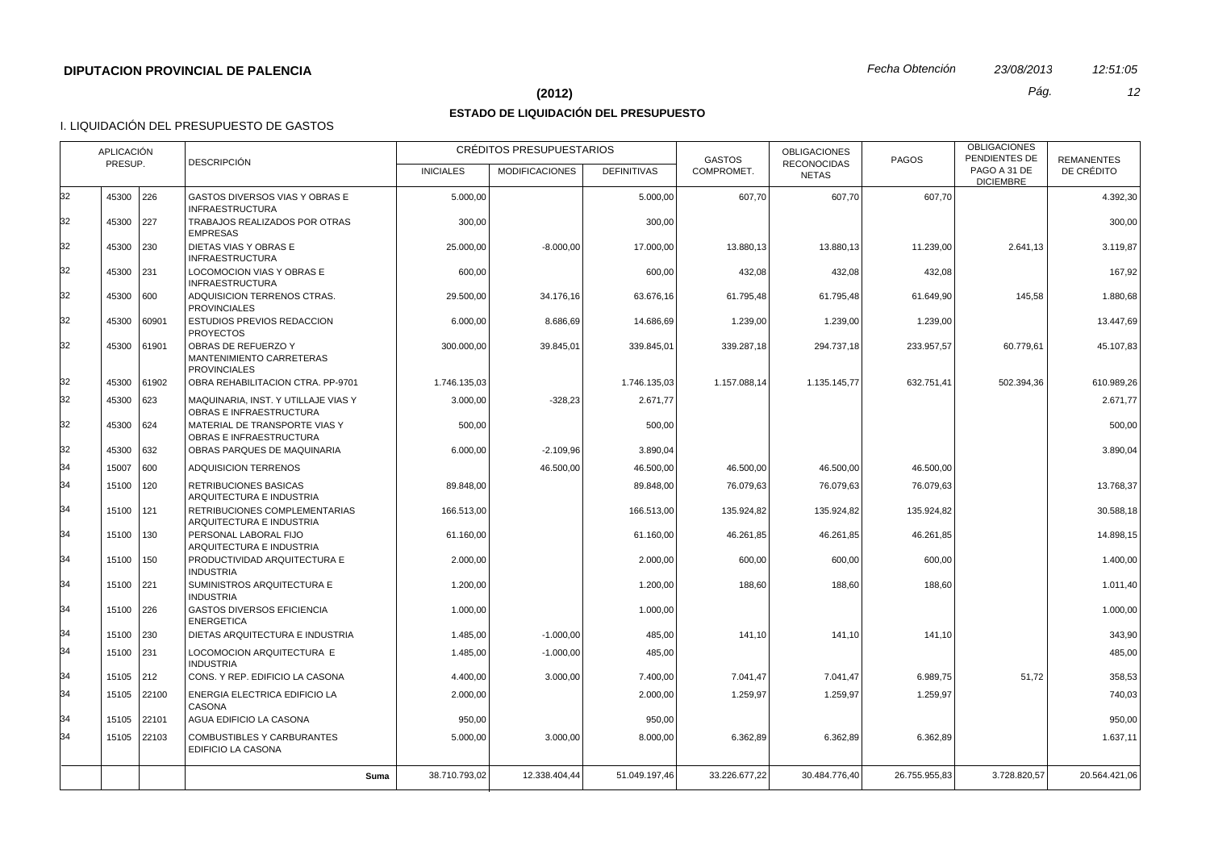#### **(2012)** *Pág. 12*

## **ESTADO DE LIQUIDACIÓN DEL PRESUPUESTO**

|    | APLICACIÓN<br><b>DESCRIPCIÓN</b><br>PRESUP. |               |                                                                        | CRÉDITOS PRESUPUESTARIOS |                       |                    | <b>GASTOS</b> | <b>OBLIGACIONES</b><br><b>RECONOCIDAS</b> | <b>PAGOS</b>  | <b>OBLIGACIONES</b><br>PENDIENTES DE | <b>REMANENTES</b> |
|----|---------------------------------------------|---------------|------------------------------------------------------------------------|--------------------------|-----------------------|--------------------|---------------|-------------------------------------------|---------------|--------------------------------------|-------------------|
|    |                                             |               |                                                                        | <b>INICIALES</b>         | <b>MODIFICACIONES</b> | <b>DEFINITIVAS</b> | COMPROMET.    | <b>NETAS</b>                              |               | PAGO A 31 DE<br><b>DICIEMBRE</b>     | DE CRÉDITO        |
| 32 | 45300 226                                   |               | GASTOS DIVERSOS VIAS Y OBRAS E<br><b>INFRAESTRUCTURA</b>               | 5.000,00                 |                       | 5.000,00           | 607,70        | 607,70                                    | 607,70        |                                      | 4.392,30          |
| 32 | 45300 227                                   |               | TRABAJOS REALIZADOS POR OTRAS<br><b>EMPRESAS</b>                       | 300,00                   |                       | 300,00             |               |                                           |               |                                      | 300,00            |
| 32 | 45300 230                                   |               | DIETAS VIAS Y OBRAS E<br><b>INFRAESTRUCTURA</b>                        | 25.000,00                | $-8.000,00$           | 17.000,00          | 13.880,13     | 13.880,13                                 | 11.239,00     | 2.641,13                             | 3.119,87          |
| 32 | 45300 231                                   |               | LOCOMOCION VIAS Y OBRAS E<br><b>INFRAESTRUCTURA</b>                    | 600,00                   |                       | 600,00             | 432,08        | 432,08                                    | 432,08        |                                      | 167,92            |
| 32 | 45300 600                                   |               | ADQUISICION TERRENOS CTRAS.<br><b>PROVINCIALES</b>                     | 29.500,00                | 34.176,16             | 63.676,16          | 61.795,48     | 61.795,48                                 | 61.649,90     | 145,58                               | 1.880,68          |
| 32 | 45300                                       | 60901         | <b>ESTUDIOS PREVIOS REDACCION</b><br><b>PROYECTOS</b>                  | 6.000,00                 | 8.686,69              | 14.686,69          | 1.239,00      | 1.239,00                                  | 1.239,00      |                                      | 13.447,69         |
| 32 | 45300 61901                                 |               | OBRAS DE REFUERZO Y<br>MANTENIMIENTO CARRETERAS<br><b>PROVINCIALES</b> | 300.000,00               | 39.845,01             | 339.845,01         | 339.287,18    | 294.737,18                                | 233.957,57    | 60.779,61                            | 45.107,83         |
| 32 |                                             | 45300 61902   | OBRA REHABILITACION CTRA. PP-9701                                      | 1.746.135,03             |                       | 1.746.135,03       | 1.157.088.14  | 1.135.145.77                              | 632.751.41    | 502.394.36                           | 610.989.26        |
| 32 | 45300 623                                   |               | MAQUINARIA, INST. Y UTILLAJE VIAS Y<br>OBRAS E INFRAESTRUCTURA         | 3.000,00                 | $-328,23$             | 2.671,77           |               |                                           |               |                                      | 2.671,77          |
| 32 | 45300 624                                   |               | MATERIAL DE TRANSPORTE VIAS Y<br>OBRAS E INFRAESTRUCTURA               | 500,00                   |                       | 500,00             |               |                                           |               |                                      | 500,00            |
| 32 | 45300                                       | 632           | OBRAS PARQUES DE MAQUINARIA                                            | 6.000,00                 | $-2.109,96$           | 3.890,04           |               |                                           |               |                                      | 3.890,04          |
| 34 | 15007                                       | 600           | <b>ADQUISICION TERRENOS</b>                                            |                          | 46.500,00             | 46.500,00          | 46.500,00     | 46.500,00                                 | 46.500,00     |                                      |                   |
| 34 | 15100                                       | 120           | <b>RETRIBUCIONES BASICAS</b><br>ARQUITECTURA E INDUSTRIA               | 89.848,00                |                       | 89.848,00          | 76.079,63     | 76.079.63                                 | 76.079,63     |                                      | 13.768,37         |
| 34 | 15100 121                                   |               | RETRIBUCIONES COMPLEMENTARIAS<br>ARQUITECTURA E INDUSTRIA              | 166.513,00               |                       | 166.513,00         | 135.924,82    | 135.924,82                                | 135.924,82    |                                      | 30.588,18         |
| 34 | 15100                                       | $ 130\rangle$ | PERSONAL LABORAL FIJO<br>ARQUITECTURA E INDUSTRIA                      | 61.160,00                |                       | 61.160,00          | 46.261,85     | 46.261,85                                 | 46.261,85     |                                      | 14.898,15         |
| 34 | 15100                                       | 150           | PRODUCTIVIDAD ARQUITECTURA E<br><b>INDUSTRIA</b>                       | 2.000,00                 |                       | 2.000,00           | 600,00        | 600,00                                    | 600,00        |                                      | 1.400,00          |
| 34 | 15100 221                                   |               | SUMINISTROS ARQUITECTURA E<br><b>INDUSTRIA</b>                         | 1.200,00                 |                       | 1.200.00           | 188.60        | 188.60                                    | 188,60        |                                      | 1.011.40          |
| 34 | 15100 226                                   |               | <b>GASTOS DIVERSOS EFICIENCIA</b><br><b>ENERGETICA</b>                 | 1.000,00                 |                       | 1.000,00           |               |                                           |               |                                      | 1.000,00          |
| 34 | 15100 230                                   |               | DIETAS ARQUITECTURA E INDUSTRIA                                        | 1.485,00                 | $-1.000,00$           | 485,00             | 141,10        | 141,10                                    | 141,10        |                                      | 343,90            |
| 34 | 15100 231                                   |               | LOCOMOCION ARQUITECTURA E<br><b>INDUSTRIA</b>                          | 1.485,00                 | $-1.000,00$           | 485,00             |               |                                           |               |                                      | 485,00            |
| 34 | 15105 212                                   |               | CONS. Y REP. EDIFICIO LA CASONA                                        | 4.400,00                 | 3.000.00              | 7.400.00           | 7.041,47      | 7.041,47                                  | 6.989.75      | 51,72                                | 358.53            |
| 34 | 15105 22100                                 |               | ENERGIA ELECTRICA EDIFICIO LA<br><b>CASONA</b>                         | 2.000,00                 |                       | 2.000,00           | 1.259,97      | 1.259,97                                  | 1.259,97      |                                      | 740,03            |
| 34 | 15105 22101                                 |               | AGUA EDIFICIO LA CASONA                                                | 950,00                   |                       | 950,00             |               |                                           |               |                                      | 950,00            |
| 34 |                                             | 15105 22103   | <b>COMBUSTIBLES Y CARBURANTES</b><br>EDIFICIO LA CASONA                | 5.000,00                 | 3.000.00              | 8.000.00           | 6.362.89      | 6.362,89                                  | 6.362,89      |                                      | 1.637,11          |
|    |                                             |               | Suma                                                                   | 38.710.793,02            | 12.338.404,44         | 51.049.197.46      | 33.226.677.22 | 30.484.776.40                             | 26.755.955.83 | 3.728.820,57                         | 20.564.421,06     |
|    |                                             |               |                                                                        |                          |                       |                    |               |                                           |               |                                      |                   |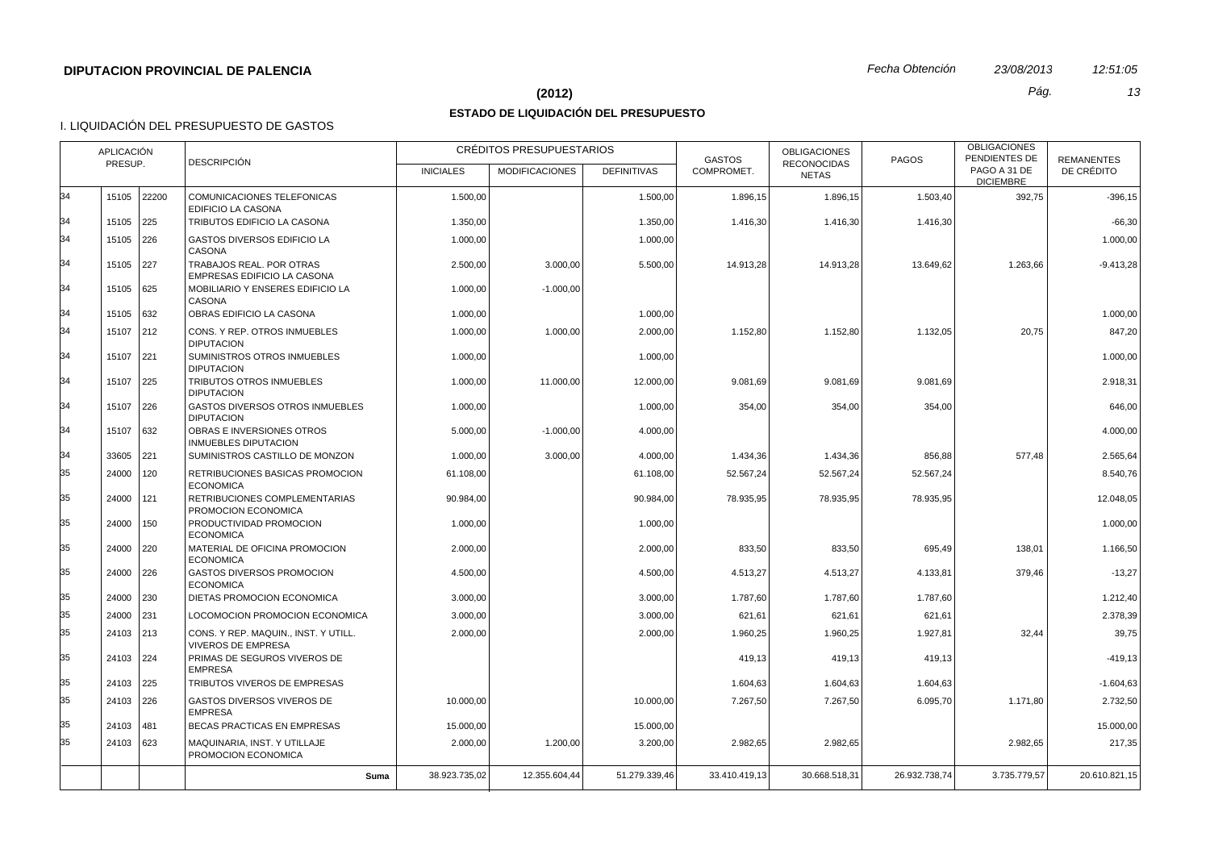## **(2012)** *Pág. 13*

# **ESTADO DE LIQUIDACIÓN DEL PRESUPUESTO**

|          | APLICACIÓN |       |                                                                 |                  | CRÉDITOS PRESUPUESTARIOS |                    | <b>GASTOS</b> | <b>OBLIGACIONES</b>                | <b>PAGOS</b>  | <b>OBLIGACIONES</b><br>PENDIENTES DE | <b>REMANENTES</b> |
|----------|------------|-------|-----------------------------------------------------------------|------------------|--------------------------|--------------------|---------------|------------------------------------|---------------|--------------------------------------|-------------------|
|          | PRESUP.    |       | <b>DESCRIPCIÓN</b>                                              | <b>INICIALES</b> | <b>MODIFICACIONES</b>    | <b>DEFINITIVAS</b> | COMPROMET.    | <b>RECONOCIDAS</b><br><b>NETAS</b> |               | PAGO A 31 DE<br><b>DICIEMBRE</b>     | DE CRÉDITO        |
| 34       | 15105      | 22200 | <b>COMUNICACIONES TELEFONICAS</b><br>EDIFICIO LA CASONA         | 1.500.00         |                          | 1.500.00           | 1.896,15      | 1.896,15                           | 1.503,40      | 392.75                               | $-396.15$         |
| 34       | 15105      | 225   | TRIBUTOS EDIFICIO LA CASONA                                     | 1.350,00         |                          | 1.350,00           | 1.416,30      | 1.416,30                           | 1.416,30      |                                      | $-66,30$          |
| 34       | 15105      | 226   | <b>GASTOS DIVERSOS EDIFICIO LA</b><br>CASONA                    | 1.000,00         |                          | 1.000,00           |               |                                    |               |                                      | 1.000,00          |
| 34       | 15105      | 227   | TRABAJOS REAL. POR OTRAS<br>EMPRESAS EDIFICIO LA CASONA         | 2.500,00         | 3.000,00                 | 5.500,00           | 14.913.28     | 14.913,28                          | 13.649,62     | 1.263,66                             | $-9.413,28$       |
| 34       | 15105 625  |       | MOBILIARIO Y ENSERES EDIFICIO LA<br>CASONA                      | 1.000,00         | $-1.000,00$              |                    |               |                                    |               |                                      |                   |
| 34       | 15105      | 632   | OBRAS EDIFICIO LA CASONA                                        | 1.000,00         |                          | 1.000,00           |               |                                    |               |                                      | 1.000,00          |
| 34       | 15107      | 212   | CONS. Y REP. OTROS INMUEBLES<br><b>DIPUTACION</b>               | 1.000,00         | 1.000.00                 | 2.000.00           | 1.152,80      | 1.152,80                           | 1.132,05      | 20,75                                | 847.20            |
| 34       | 15107      | 221   | SUMINISTROS OTROS INMUEBLES<br><b>DIPUTACION</b>                | 1.000,00         |                          | 1.000,00           |               |                                    |               |                                      | 1.000,00          |
| 34       | 15107      | 225   | <b>TRIBUTOS OTROS INMUEBLES</b><br><b>DIPUTACION</b>            | 1.000,00         | 11.000,00                | 12.000,00          | 9.081,69      | 9.081,69                           | 9.081,69      |                                      | 2.918,31          |
| 34       | 15107      | 226   | <b>GASTOS DIVERSOS OTROS INMUEBLES</b><br><b>DIPUTACION</b>     | 1.000,00         |                          | 1.000,00           | 354,00        | 354,00                             | 354,00        |                                      | 646,00            |
| 34<br>34 | 15107      | 632   | OBRAS E INVERSIONES OTROS<br><b>INMUEBLES DIPUTACION</b>        | 5.000,00         | $-1.000,00$              | 4.000,00           |               |                                    |               |                                      | 4.000,00          |
|          | 33605      | 221   | SUMINISTROS CASTILLO DE MONZON                                  | 1.000,00         | 3.000,00                 | 4.000,00           | 1.434,36      | 1.434,36                           | 856,88        | 577,48                               | 2.565,64          |
| 35<br>35 | 24000      | 120   | RETRIBUCIONES BASICAS PROMOCION<br><b>ECONOMICA</b>             | 61.108,00        |                          | 61.108,00          | 52.567,24     | 52.567,24                          | 52.567,24     |                                      | 8.540,76          |
|          | 24000      | 121   | RETRIBUCIONES COMPLEMENTARIAS<br>PROMOCION ECONOMICA            | 90.984,00        |                          | 90.984,00          | 78.935,95     | 78.935,95                          | 78.935,95     |                                      | 12.048,05         |
| 35       | 24000      | 150   | PRODUCTIVIDAD PROMOCION<br><b>ECONOMICA</b>                     | 1.000,00         |                          | 1.000,00           |               |                                    |               |                                      | 1.000.00          |
| 35       | 24000      | 220   | MATERIAL DE OFICINA PROMOCION<br><b>ECONOMICA</b>               | 2.000,00         |                          | 2.000,00           | 833,50        | 833,50                             | 695,49        | 138,01                               | 1.166,50          |
| 35       | 24000      | 226   | GASTOS DIVERSOS PROMOCION<br><b>ECONOMICA</b>                   | 4.500,00         |                          | 4.500,00           | 4.513,27      | 4.513,27                           | 4.133,81      | 379,46                               | $-13,27$          |
| 35       | 24000      | 230   | DIETAS PROMOCION ECONOMICA                                      | 3.000,00         |                          | 3.000,00           | 1.787,60      | 1.787,60                           | 1.787,60      |                                      | 1.212,40          |
| 35       | 24000      | 231   | LOCOMOCION PROMOCION ECONOMICA                                  | 3.000,00         |                          | 3.000,00           | 621,61        | 621,61                             | 621,61        |                                      | 2.378,39          |
| 35       | 24103 213  |       | CONS. Y REP. MAQUIN INST. Y UTILL.<br><b>VIVEROS DE EMPRESA</b> | 2.000,00         |                          | 2.000,00           | 1.960,25      | 1.960,25                           | 1.927,81      | 32,44                                | 39,75             |
| 35       | 24103 224  |       | PRIMAS DE SEGUROS VIVEROS DE<br><b>EMPRESA</b>                  |                  |                          |                    | 419,13        | 419,13                             | 419,13        |                                      | $-419,13$         |
| 35       | 24103      | 225   | TRIBUTOS VIVEROS DE EMPRESAS                                    |                  |                          |                    | 1.604,63      | 1.604,63                           | 1.604,63      |                                      | $-1.604,63$       |
| 35       | 24103      | 226   | GASTOS DIVERSOS VIVEROS DE<br><b>EMPRESA</b>                    | 10.000,00        |                          | 10.000,00          | 7.267,50      | 7.267,50                           | 6.095,70      | 1.171,80                             | 2.732,50          |
| 35       | 24103      | 481   | BECAS PRACTICAS EN EMPRESAS                                     | 15.000,00        |                          | 15.000,00          |               |                                    |               |                                      | 15.000,00         |
| 35       | 24103 623  |       | MAQUINARIA, INST. Y UTILLAJE<br>PROMOCION ECONOMICA             | 2.000,00         | 1.200,00                 | 3.200,00           | 2.982,65      | 2.982,65                           |               | 2.982,65                             | 217,35            |
|          |            |       | Suma                                                            | 38.923.735,02    | 12.355.604,44            | 51.279.339,46      | 33.410.419.13 | 30.668.518.31                      | 26.932.738.74 | 3.735.779,57                         | 20.610.821,15     |
|          |            |       |                                                                 |                  |                          |                    |               |                                    |               |                                      |                   |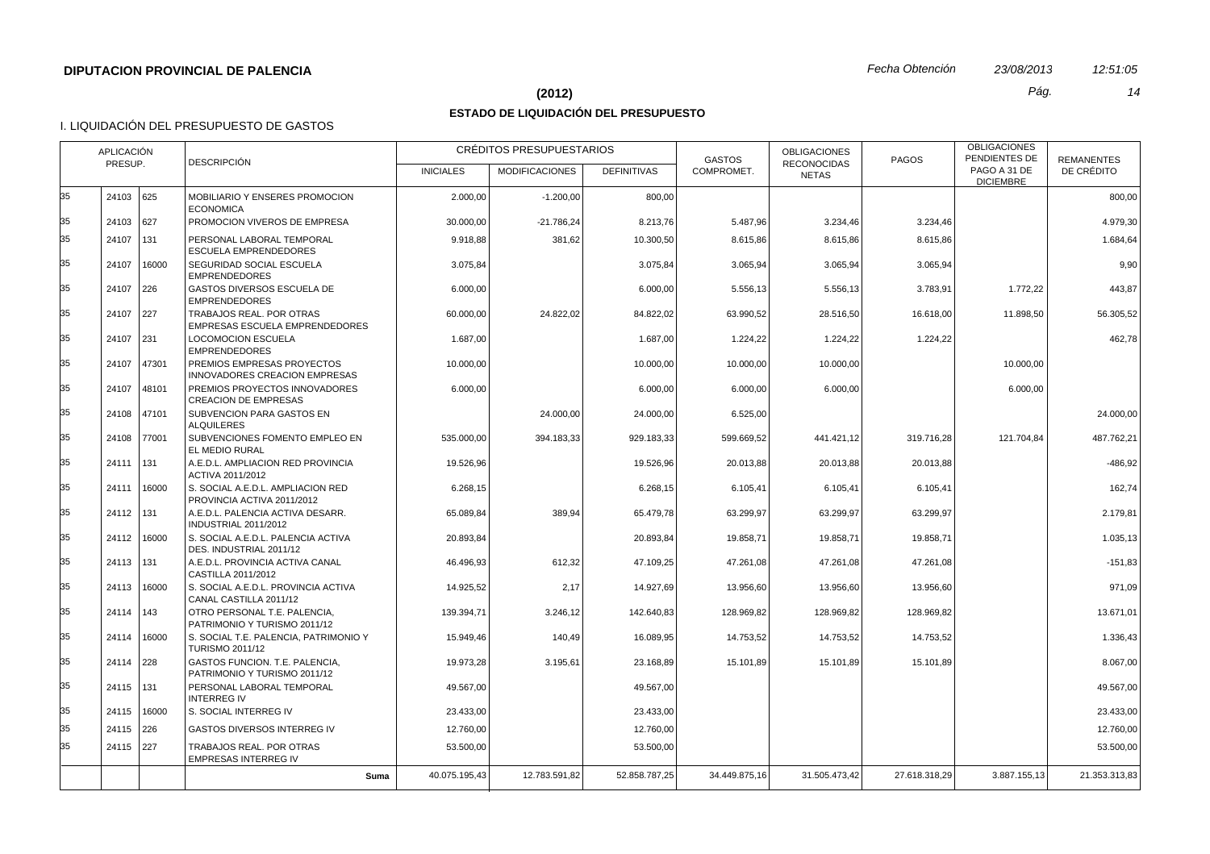#### **(2012)** *Pág. 14*

## **ESTADO DE LIQUIDACIÓN DEL PRESUPUESTO**

|    | <b>APLICACIÓN</b> |               | <b>DESCRIPCIÓN</b>                                              |                  | CRÉDITOS PRESUPUESTARIOS |                    | <b>GASTOS</b> | <b>OBLIGACIONES</b>                | <b>PAGOS</b>  | <b>OBLIGACIONES</b><br>PENDIENTES DE | <b>REMANENTES</b> |
|----|-------------------|---------------|-----------------------------------------------------------------|------------------|--------------------------|--------------------|---------------|------------------------------------|---------------|--------------------------------------|-------------------|
|    | PRESUP.           |               |                                                                 | <b>INICIALES</b> | <b>MODIFICACIONES</b>    | <b>DEFINITIVAS</b> | COMPROMET.    | <b>RECONOCIDAS</b><br><b>NETAS</b> |               | PAGO A 31 DE<br><b>DICIEMBRE</b>     | DE CRÉDITO        |
| 35 | 24103 625         |               | MOBILIARIO Y ENSERES PROMOCION<br><b>ECONOMICA</b>              | 2.000,00         | $-1.200,00$              | 800,00             |               |                                    |               |                                      | 800,00            |
| 35 | 24103 627         |               | PROMOCION VIVEROS DE EMPRESA                                    | 30.000.00        | $-21.786,24$             | 8.213,76           | 5.487,96      | 3.234,46                           | 3.234,46      |                                      | 4.979.30          |
| 35 | 24107             | 131           | PERSONAL LABORAL TEMPORAL<br><b>ESCUELA EMPRENDEDORES</b>       | 9.918,88         | 381,62                   | 10.300,50          | 8.615,86      | 8.615,86                           | 8.615,86      |                                      | 1.684,64          |
| 35 | 24107             | 16000         | SEGURIDAD SOCIAL ESCUELA<br><b>EMPRENDEDORES</b>                | 3.075,84         |                          | 3.075,84           | 3.065,94      | 3.065,94                           | 3.065,94      |                                      | 9,90              |
| 35 | 24107 226         |               | <b>GASTOS DIVERSOS ESCUELA DE</b><br><b>EMPRENDEDORES</b>       | 6.000,00         |                          | 6.000.00           | 5.556,13      | 5.556,13                           | 3.783,91      | 1.772,22                             | 443.87            |
| 35 | 24107 227         |               | TRABAJOS REAL. POR OTRAS<br>EMPRESAS ESCUELA EMPRENDEDORES      | 60.000,00        | 24.822,02                | 84.822,02          | 63.990,52     | 28.516,50                          | 16.618,00     | 11.898,50                            | 56.305,52         |
| 35 | 24107 231         |               | <b>LOCOMOCION ESCUELA</b><br><b>EMPRENDEDORES</b>               | 1.687,00         |                          | 1.687,00           | 1.224,22      | 1.224,22                           | 1.224,22      |                                      | 462,78            |
| 35 |                   | 24107 47301   | PREMIOS EMPRESAS PROYECTOS<br>INNOVADORES CREACION EMPRESAS     | 10.000,00        |                          | 10.000,00          | 10.000,00     | 10.000,00                          |               | 10.000,00                            |                   |
| 35 | 24107             | 48101         | PREMIOS PROYECTOS INNOVADORES<br><b>CREACION DE EMPRESAS</b>    | 6.000,00         |                          | 6.000,00           | 6.000,00      | 6.000,00                           |               | 6.000,00                             |                   |
| 35 |                   | 24108 47101   | SUBVENCION PARA GASTOS EN<br><b>ALQUILERES</b>                  |                  | 24.000,00                | 24.000,00          | 6.525,00      |                                    |               |                                      | 24.000,00         |
| 35 |                   | 24108 77001   | SUBVENCIONES FOMENTO EMPLEO EN<br>EL MEDIO RURAL                | 535.000,00       | 394.183,33               | 929.183,33         | 599.669,52    | 441.421,12                         | 319.716,28    | 121.704,84                           | 487.762,21        |
| 35 | 24111 131         |               | A.E.D.L. AMPLIACION RED PROVINCIA<br>ACTIVA 2011/2012           | 19.526,96        |                          | 19.526,96          | 20.013,88     | 20.013,88                          | 20.013,88     |                                      | $-486,92$         |
| 35 | 24111             | 16000         | S. SOCIAL A.E.D.L. AMPLIACION RED<br>PROVINCIA ACTIVA 2011/2012 | 6.268,15         |                          | 6.268,15           | 6.105,41      | 6.105,41                           | 6.105,41      |                                      | 162,74            |
| 35 | 24112 131         |               | A.E.D.L. PALENCIA ACTIVA DESARR.<br><b>INDUSTRIAL 2011/2012</b> | 65.089.84        | 389.94                   | 65.479.78          | 63.299.97     | 63.299.97                          | 63.299.97     |                                      | 2.179.81          |
| 35 |                   | 24112 16000   | S. SOCIAL A.E.D.L. PALENCIA ACTIVA<br>DES. INDUSTRIAL 2011/12   | 20.893,84        |                          | 20.893,84          | 19.858,71     | 19.858,71                          | 19.858,71     |                                      | 1.035,13          |
| 35 | 24113 131         |               | A.E.D.L. PROVINCIA ACTIVA CANAL<br>CASTILLA 2011/2012           | 46.496,93        | 612,32                   | 47.109,25          | 47.261,08     | 47.261,08                          | 47.261,08     |                                      | $-151,83$         |
| 35 |                   | 24113   16000 | S. SOCIAL A.E.D.L. PROVINCIA ACTIVA<br>CANAL CASTILLA 2011/12   | 14.925,52        | 2,17                     | 14.927,69          | 13.956,60     | 13.956,60                          | 13.956,60     |                                      | 971,09            |
| 35 | 24114 143         |               | OTRO PERSONAL T.E. PALENCIA,<br>PATRIMONIO Y TURISMO 2011/12    | 139.394,71       | 3.246,12                 | 142.640,83         | 128.969,82    | 128.969,82                         | 128.969,82    |                                      | 13.671,01         |
| 35 |                   | 24114   16000 | S. SOCIAL T.E. PALENCIA, PATRIMONIO Y<br><b>TURISMO 2011/12</b> | 15.949,46        | 140,49                   | 16.089,95          | 14.753,52     | 14.753,52                          | 14.753,52     |                                      | 1.336,43          |
| 35 | 24114 228         |               | GASTOS FUNCION. T.E. PALENCIA,<br>PATRIMONIO Y TURISMO 2011/12  | 19.973,28        | 3.195,61                 | 23.168,89          | 15.101,89     | 15.101,89                          | 15.101,89     |                                      | 8.067,00          |
| 35 | 24115 131         |               | PERSONAL LABORAL TEMPORAL<br><b>INTERREG IV</b>                 | 49.567,00        |                          | 49.567,00          |               |                                    |               |                                      | 49.567,00         |
| 35 |                   | 24115 16000   | S. SOCIAL INTERREG IV                                           | 23.433.00        |                          | 23.433,00          |               |                                    |               |                                      | 23.433,00         |
| 35 | 24115 226         |               | <b>GASTOS DIVERSOS INTERREG IV</b>                              | 12.760,00        |                          | 12.760,00          |               |                                    |               |                                      | 12.760,00         |
| 35 | 24115 227         |               | TRABAJOS REAL. POR OTRAS<br><b>EMPRESAS INTERREG IV</b>         | 53.500,00        |                          | 53.500,00          |               |                                    |               |                                      | 53.500,00         |
|    |                   |               | Suma                                                            | 40.075.195,43    | 12.783.591,82            | 52.858.787,25      | 34.449.875.16 | 31.505.473.42                      | 27.618.318.29 | 3.887.155,13                         | 21.353.313,83     |
|    |                   |               |                                                                 |                  |                          |                    |               |                                    |               |                                      |                   |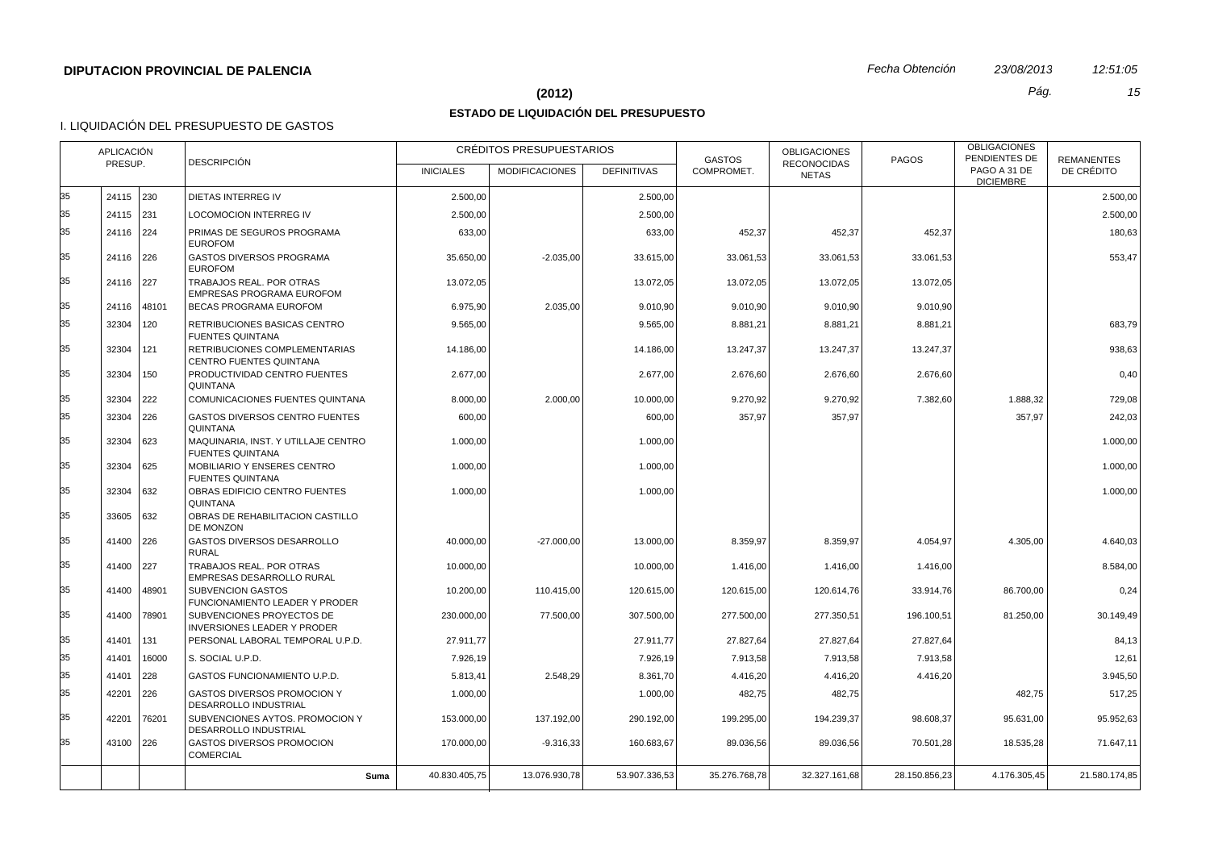#### **(2012)** *Pág. 15*

## **ESTADO DE LIQUIDACIÓN DEL PRESUPUESTO**

|    | <b>APLICACIÓN</b> |             |                                                                 |                  | CRÉDITOS PRESUPUESTARIOS |                    | <b>GASTOS</b> | <b>OBLIGACIONES</b>                | <b>PAGOS</b>  | <b>OBLIGACIONES</b><br>PENDIENTES DE | <b>REMANENTES</b> |
|----|-------------------|-------------|-----------------------------------------------------------------|------------------|--------------------------|--------------------|---------------|------------------------------------|---------------|--------------------------------------|-------------------|
|    | PRESUP.           |             | <b>DESCRIPCIÓN</b>                                              | <b>INICIALES</b> | <b>MODIFICACIONES</b>    | <b>DEFINITIVAS</b> | COMPROMET.    | <b>RECONOCIDAS</b><br><b>NETAS</b> |               | PAGO A 31 DE<br><b>DICIEMBRE</b>     | DE CRÉDITO        |
| 35 | 24115 230         |             | DIETAS INTERREG IV                                              | 2.500,00         |                          | 2.500,00           |               |                                    |               |                                      | 2.500,00          |
| 35 | 24115 231         |             | <b>LOCOMOCION INTERREG IV</b>                                   | 2.500,00         |                          | 2.500,00           |               |                                    |               |                                      | 2.500,00          |
| 35 | 24116 224         |             | PRIMAS DE SEGUROS PROGRAMA<br><b>EUROFOM</b>                    | 633,00           |                          | 633,00             | 452,37        | 452,37                             | 452,37        |                                      | 180,63            |
| 35 | 24116 226         |             | GASTOS DIVERSOS PROGRAMA<br><b>EUROFOM</b>                      | 35.650,00        | $-2.035,00$              | 33.615,00          | 33.061,53     | 33.061,53                          | 33.061,53     |                                      | 553,47            |
| 35 | 24116 227         |             | TRABAJOS REAL. POR OTRAS<br>EMPRESAS PROGRAMA EUROFOM           | 13.072,05        |                          | 13.072,05          | 13.072,05     | 13.072,05                          | 13.072,05     |                                      |                   |
| 35 |                   | 24116 48101 | <b>BECAS PROGRAMA EUROFOM</b>                                   | 6.975,90         | 2.035,00                 | 9.010,90           | 9.010,90      | 9.010,90                           | 9.010,90      |                                      |                   |
| 35 | 32304             | 120         | RETRIBUCIONES BASICAS CENTRO<br><b>FUENTES QUINTANA</b>         | 9.565,00         |                          | 9.565,00           | 8.881,21      | 8.881,21                           | 8.881,21      |                                      | 683,79            |
| 35 | 32304             | 121         | RETRIBUCIONES COMPLEMENTARIAS<br><b>CENTRO FUENTES QUINTANA</b> | 14.186,00        |                          | 14.186,00          | 13.247,37     | 13.247,37                          | 13.247,37     |                                      | 938,63            |
| 35 | 32304             | 150         | PRODUCTIVIDAD CENTRO FUENTES<br><b>QUINTANA</b>                 | 2.677,00         |                          | 2.677,00           | 2.676,60      | 2.676,60                           | 2.676,60      |                                      | 0,40              |
| 35 | 32304             | 222         | COMUNICACIONES FUENTES QUINTANA                                 | 8.000,00         | 2.000,00                 | 10.000,00          | 9.270,92      | 9.270,92                           | 7.382,60      | 1.888,32                             | 729,08            |
| 35 | 32304             | 226         | <b>GASTOS DIVERSOS CENTRO FUENTES</b><br>QUINTANA               | 600,00           |                          | 600,00             | 357,97        | 357,97                             |               | 357,97                               | 242,03            |
| 35 | 32304             | 623         | MAQUINARIA, INST. Y UTILLAJE CENTRO<br><b>FUENTES QUINTANA</b>  | 1.000,00         |                          | 1.000,00           |               |                                    |               |                                      | 1.000,00          |
| 35 | 32304 625         |             | MOBILIARIO Y ENSERES CENTRO<br><b>FUENTES QUINTANA</b>          | 1.000,00         |                          | 1.000,00           |               |                                    |               |                                      | 1.000,00          |
| 35 | 32304             | 632         | OBRAS EDIFICIO CENTRO FUENTES<br>QUINTANA                       | 1.000,00         |                          | 1.000,00           |               |                                    |               |                                      | 1.000,00          |
| 35 | 33605 632         |             | OBRAS DE REHABILITACION CASTILLO<br>DE MONZON                   |                  |                          |                    |               |                                    |               |                                      |                   |
| 35 | 41400 226         |             | <b>GASTOS DIVERSOS DESARROLLO</b><br><b>RURAL</b>               | 40.000.00        | $-27.000.00$             | 13.000,00          | 8.359.97      | 8.359,97                           | 4.054.97      | 4.305.00                             | 4.640.03          |
| 35 | 41400 227         |             | TRABAJOS REAL. POR OTRAS<br>EMPRESAS DESARROLLO RURAL           | 10.000,00        |                          | 10.000,00          | 1.416,00      | 1.416,00                           | 1.416,00      |                                      | 8.584,00          |
| 35 | 41400             | 48901       | <b>SUBVENCION GASTOS</b><br>FUNCIONAMIENTO LEADER Y PRODER      | 10.200,00        | 110.415,00               | 120.615,00         | 120.615,00    | 120.614,76                         | 33.914,76     | 86.700,00                            | 0,24              |
| 35 | 41400             | 78901       | SUBVENCIONES PROYECTOS DE<br><b>INVERSIONES LEADER Y PRODER</b> | 230.000,00       | 77.500,00                | 307.500,00         | 277.500,00    | 277.350,51                         | 196.100,51    | 81.250,00                            | 30.149,49         |
| 35 | 41401             | 131         | PERSONAL LABORAL TEMPORAL U.P.D.                                | 27.911,77        |                          | 27.911,77          | 27.827,64     | 27.827,64                          | 27.827,64     |                                      | 84,13             |
| 35 | 41401             | 16000       | S. SOCIAL U.P.D.                                                | 7.926,19         |                          | 7.926,19           | 7.913,58      | 7.913,58                           | 7.913,58      |                                      | 12,61             |
| 35 | 41401             | 228         | GASTOS FUNCIONAMIENTO U.P.D.                                    | 5.813,41         | 2.548,29                 | 8.361,70           | 4.416,20      | 4.416,20                           | 4.416,20      |                                      | 3.945,50          |
| 35 | 42201             | 226         | <b>GASTOS DIVERSOS PROMOCION Y</b><br>DESARROLLO INDUSTRIAL     | 1.000,00         |                          | 1.000,00           | 482,75        | 482,75                             |               | 482,75                               | 517,25            |
| 35 | 42201             | 76201       | SUBVENCIONES AYTOS. PROMOCION Y<br>DESARROLLO INDUSTRIAL        | 153.000,00       | 137.192,00               | 290.192,00         | 199.295,00    | 194.239,37                         | 98.608,37     | 95.631,00                            | 95.952,63         |
| 35 | 43100 226         |             | <b>GASTOS DIVERSOS PROMOCION</b><br><b>COMERCIAL</b>            | 170.000,00       | $-9.316,33$              | 160.683,67         | 89.036,56     | 89.036,56                          | 70.501,28     | 18.535,28                            | 71.647,11         |
|    |                   |             | Suma                                                            | 40.830.405,75    | 13.076.930,78            | 53.907.336,53      | 35.276.768,78 | 32.327.161,68                      | 28.150.856,23 | 4.176.305,45                         | 21.580.174,85     |
|    |                   |             |                                                                 |                  |                          |                    |               |                                    |               |                                      |                   |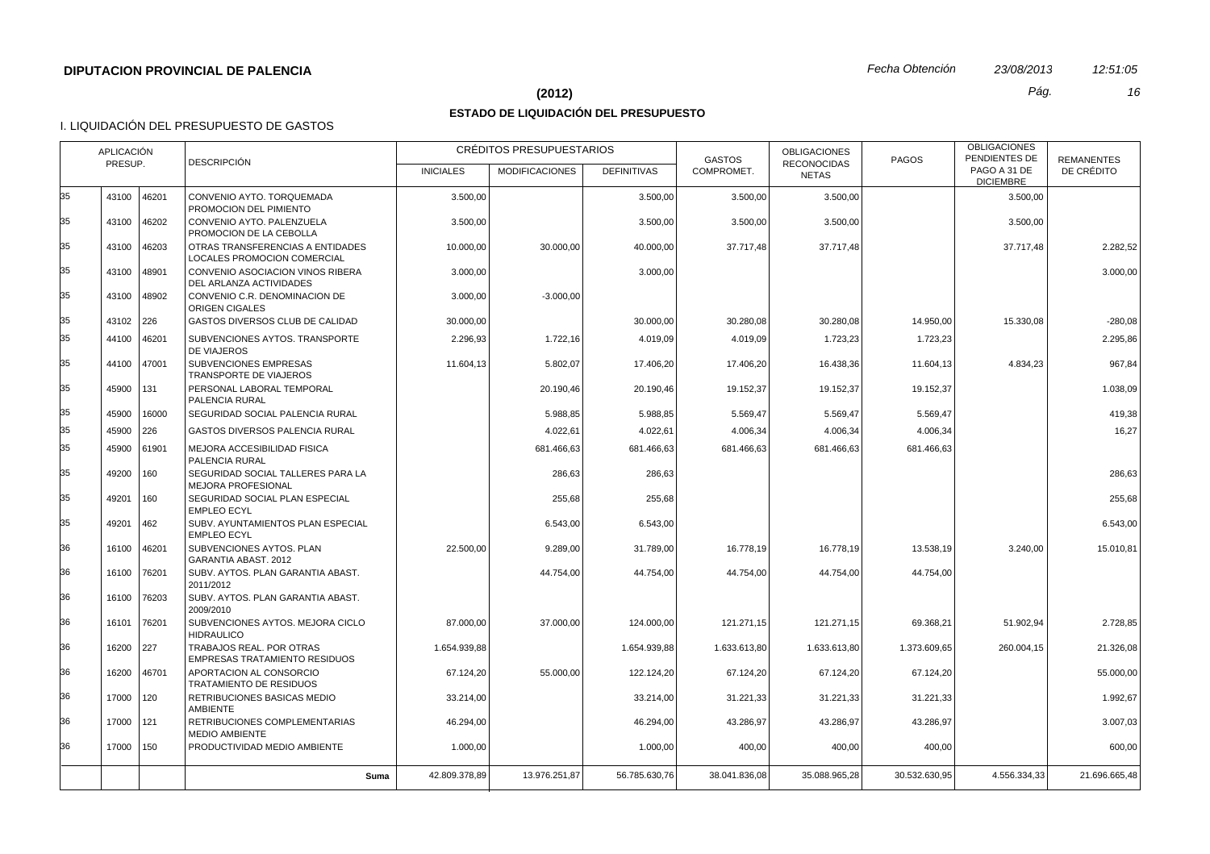#### **(2012)** *Pág. 16*

## **ESTADO DE LIQUIDACIÓN DEL PRESUPUESTO**

| <b>DESCRIPCIÓN</b><br>PRESUP.<br><b>RECONOCIDAS</b><br>PAGO A 31 DE<br>COMPROMET.<br>DE CRÉDITO<br><b>INICIALES</b><br><b>MODIFICACIONES</b><br><b>DEFINITIVAS</b><br><b>NETAS</b><br><b>DICIEMBRE</b><br>46201<br>43100<br>CONVENIO AYTO. TORQUEMADA<br>3.500,00<br>3.500,00<br>3.500,00<br>3.500,00<br>3.500,00<br>PROMOCION DEL PIMIENTO<br>43100<br>46202<br>CONVENIO AYTO, PALENZUELA<br>3.500.00<br>3.500.00<br>3.500,00<br>3.500,00<br>3.500.00<br>PROMOCION DE LA CEBOLLA<br>OTRAS TRANSFERENCIAS A ENTIDADES<br>37.717,48<br>37.717,48<br>43100<br>46203<br>10.000,00<br>30.000,00<br>40.000.00<br>37.717,48<br>LOCALES PROMOCION COMERCIAL<br>CONVENIO ASOCIACION VINOS RIBERA<br>43100<br>48901<br>3.000,00<br>3.000,00<br>DEL ARLANZA ACTIVIDADES<br>43100<br>48902<br>CONVENIO C.R. DENOMINACION DE<br>$-3.000,00$<br>3.000,00<br>ORIGEN CIGALES<br>43102 226<br>30.000,00<br>30.280,08<br>30.280,08<br>15.330,08<br>GASTOS DIVERSOS CLUB DE CALIDAD<br>30.000,00<br>14.950,00<br>44100<br> 46201<br>SUBVENCIONES AYTOS. TRANSPORTE<br>2.296,93<br>1.722,16<br>4.019,09<br>1.723,23<br>1.723,23<br>4.019,09<br><b>DE VIAJEROS</b><br>44100 47001<br>SUBVENCIONES EMPRESAS<br>11.604,13<br>5.802,07<br>17.406,20<br>16.438,36<br>4.834,23<br>17.406,20<br>11.604,13<br><b>TRANSPORTE DE VIAJEROS</b><br>45900<br>131<br>PERSONAL LABORAL TEMPORAL<br>20.190,46<br>20.190,46<br>19.152,37<br>19.152,37<br>19.152,37<br>PALENCIA RURAL<br>35<br>45900<br>16000<br>SEGURIDAD SOCIAL PALENCIA RURAL<br>5.988,85<br>5.569,47<br>5.569,47<br>5.569,47<br>5.988,85<br>35<br>45900<br>226<br>4.022,61<br>4.006,34<br>4.006,34<br><b>GASTOS DIVERSOS PALENCIA RURAL</b><br>4.022.61<br>4.006,34<br>45900<br>61901<br>MEJORA ACCESIBILIDAD FISICA<br>681.466,63<br>681.466,63<br>681.466,63<br>681.466,63<br>681.466,63<br>PALENCIA RURAL<br>49200<br>160<br>SEGURIDAD SOCIAL TALLERES PARA LA<br>286,63<br>286,63<br><b>MEJORA PROFESIONAL</b><br>35<br>SEGURIDAD SOCIAL PLAN ESPECIAL<br>49201<br>160<br>255,68<br>255,68<br><b>EMPLEO ECYL</b><br>35<br>49201<br>462<br>SUBV. AYUNTAMIENTOS PLAN ESPECIAL<br>6.543,00<br>6.543,00<br><b>EMPLEO ECYL</b><br>36<br>46201<br>SUBVENCIONES AYTOS. PLAN<br>22.500,00<br>16.778,19<br>16.778,19<br>13.538,19<br>3.240,00<br>16100<br>9.289,00<br>31.789,00<br>GARANTIA ABAST. 2012<br>36<br>16100 76201<br>SUBV. AYTOS. PLAN GARANTIA ABAST.<br>44.754,00<br>44.754,00<br>44.754,00<br>44.754,00<br>44.754,00<br>2011/2012<br>36<br>16100<br>76203<br>SUBV. AYTOS. PLAN GARANTIA ABAST.<br>2009/2010<br>36<br>16101<br>76201<br>SUBVENCIONES AYTOS. MEJORA CICLO<br>87.000,00<br>37.000,00<br>51.902,94<br>2.728,85<br>124.000,00<br>121.271,15<br>121.271,15<br>69.368,21<br><b>HIDRAULICO</b><br>36<br> 227<br>TRABAJOS REAL. POR OTRAS<br>21.326,08<br>16200<br>1.654.939.88<br>1.654.939.88<br>1.633.613.80<br>1.633.613.80<br>1.373.609.65<br>260.004.15<br>EMPRESAS TRATAMIENTO RESIDUOS<br>36<br> 46701<br>APORTACION AL CONSORCIO<br>55.000,00<br>55.000,00<br>16200<br>67.124,20<br>122.124,20<br>67.124,20<br>67.124,20<br>67.124,20<br>TRATAMIENTO DE RESIDUOS<br>36<br>17000 120<br>RETRIBUCIONES BASICAS MEDIO<br>33.214,00<br>33.214,00<br>31.221,33<br>31.221,33<br>1.992.67<br>31.221,33<br><b>AMBIENTE</b><br>36<br>17000<br> 121<br>RETRIBUCIONES COMPLEMENTARIAS<br>46.294,00<br>46.294,00<br>43.286,97<br>43.286,97<br>43.286,97<br><b>MEDIO AMBIENTE</b><br>36<br>17000 150<br>PRODUCTIVIDAD MEDIO AMBIENTE<br>1.000,00<br>1.000,00<br>400,00<br>400,00<br>400,00<br>4.556.334,33<br>42.809.378,89<br>13.976.251,87<br>56.785.630,76<br>38.041.836,08<br>35.088.965,28<br>30.532.630,95<br>Suma |    | <b>APLICACIÓN</b> |  | CRÉDITOS PRESUPUESTARIOS | <b>GASTOS</b> | <b>OBLIGACIONES</b> | <b>PAGOS</b> | <b>OBLIGACIONES</b><br>PENDIENTES DE | <b>REMANENTES</b> |
|---------------------------------------------------------------------------------------------------------------------------------------------------------------------------------------------------------------------------------------------------------------------------------------------------------------------------------------------------------------------------------------------------------------------------------------------------------------------------------------------------------------------------------------------------------------------------------------------------------------------------------------------------------------------------------------------------------------------------------------------------------------------------------------------------------------------------------------------------------------------------------------------------------------------------------------------------------------------------------------------------------------------------------------------------------------------------------------------------------------------------------------------------------------------------------------------------------------------------------------------------------------------------------------------------------------------------------------------------------------------------------------------------------------------------------------------------------------------------------------------------------------------------------------------------------------------------------------------------------------------------------------------------------------------------------------------------------------------------------------------------------------------------------------------------------------------------------------------------------------------------------------------------------------------------------------------------------------------------------------------------------------------------------------------------------------------------------------------------------------------------------------------------------------------------------------------------------------------------------------------------------------------------------------------------------------------------------------------------------------------------------------------------------------------------------------------------------------------------------------------------------------------------------------------------------------------------------------------------------------------------------------------------------------------------------------------------------------------------------------------------------------------------------------------------------------------------------------------------------------------------------------------------------------------------------------------------------------------------------------------------------------------------------------------------------------------------------------------------------------------------------------------------------------------------------------------------------------------------------------------------------------------------------------------------------------------------------------------------------------------------------------------------------------------------------------------------------------------------------------------------------------------------------------------------------------------------------------------------------------------------------------------------------------------|----|-------------------|--|--------------------------|---------------|---------------------|--------------|--------------------------------------|-------------------|
|                                                                                                                                                                                                                                                                                                                                                                                                                                                                                                                                                                                                                                                                                                                                                                                                                                                                                                                                                                                                                                                                                                                                                                                                                                                                                                                                                                                                                                                                                                                                                                                                                                                                                                                                                                                                                                                                                                                                                                                                                                                                                                                                                                                                                                                                                                                                                                                                                                                                                                                                                                                                                                                                                                                                                                                                                                                                                                                                                                                                                                                                                                                                                                                                                                                                                                                                                                                                                                                                                                                                                                                                                                                                     |    |                   |  |                          |               |                     |              |                                      |                   |
|                                                                                                                                                                                                                                                                                                                                                                                                                                                                                                                                                                                                                                                                                                                                                                                                                                                                                                                                                                                                                                                                                                                                                                                                                                                                                                                                                                                                                                                                                                                                                                                                                                                                                                                                                                                                                                                                                                                                                                                                                                                                                                                                                                                                                                                                                                                                                                                                                                                                                                                                                                                                                                                                                                                                                                                                                                                                                                                                                                                                                                                                                                                                                                                                                                                                                                                                                                                                                                                                                                                                                                                                                                                                     | 35 |                   |  |                          |               |                     |              |                                      |                   |
|                                                                                                                                                                                                                                                                                                                                                                                                                                                                                                                                                                                                                                                                                                                                                                                                                                                                                                                                                                                                                                                                                                                                                                                                                                                                                                                                                                                                                                                                                                                                                                                                                                                                                                                                                                                                                                                                                                                                                                                                                                                                                                                                                                                                                                                                                                                                                                                                                                                                                                                                                                                                                                                                                                                                                                                                                                                                                                                                                                                                                                                                                                                                                                                                                                                                                                                                                                                                                                                                                                                                                                                                                                                                     | 35 |                   |  |                          |               |                     |              |                                      |                   |
|                                                                                                                                                                                                                                                                                                                                                                                                                                                                                                                                                                                                                                                                                                                                                                                                                                                                                                                                                                                                                                                                                                                                                                                                                                                                                                                                                                                                                                                                                                                                                                                                                                                                                                                                                                                                                                                                                                                                                                                                                                                                                                                                                                                                                                                                                                                                                                                                                                                                                                                                                                                                                                                                                                                                                                                                                                                                                                                                                                                                                                                                                                                                                                                                                                                                                                                                                                                                                                                                                                                                                                                                                                                                     | 35 |                   |  |                          |               |                     |              |                                      | 2.282,52          |
|                                                                                                                                                                                                                                                                                                                                                                                                                                                                                                                                                                                                                                                                                                                                                                                                                                                                                                                                                                                                                                                                                                                                                                                                                                                                                                                                                                                                                                                                                                                                                                                                                                                                                                                                                                                                                                                                                                                                                                                                                                                                                                                                                                                                                                                                                                                                                                                                                                                                                                                                                                                                                                                                                                                                                                                                                                                                                                                                                                                                                                                                                                                                                                                                                                                                                                                                                                                                                                                                                                                                                                                                                                                                     | 35 |                   |  |                          |               |                     |              |                                      | 3.000,00          |
|                                                                                                                                                                                                                                                                                                                                                                                                                                                                                                                                                                                                                                                                                                                                                                                                                                                                                                                                                                                                                                                                                                                                                                                                                                                                                                                                                                                                                                                                                                                                                                                                                                                                                                                                                                                                                                                                                                                                                                                                                                                                                                                                                                                                                                                                                                                                                                                                                                                                                                                                                                                                                                                                                                                                                                                                                                                                                                                                                                                                                                                                                                                                                                                                                                                                                                                                                                                                                                                                                                                                                                                                                                                                     | 35 |                   |  |                          |               |                     |              |                                      |                   |
|                                                                                                                                                                                                                                                                                                                                                                                                                                                                                                                                                                                                                                                                                                                                                                                                                                                                                                                                                                                                                                                                                                                                                                                                                                                                                                                                                                                                                                                                                                                                                                                                                                                                                                                                                                                                                                                                                                                                                                                                                                                                                                                                                                                                                                                                                                                                                                                                                                                                                                                                                                                                                                                                                                                                                                                                                                                                                                                                                                                                                                                                                                                                                                                                                                                                                                                                                                                                                                                                                                                                                                                                                                                                     | 35 |                   |  |                          |               |                     |              |                                      | $-280,08$         |
|                                                                                                                                                                                                                                                                                                                                                                                                                                                                                                                                                                                                                                                                                                                                                                                                                                                                                                                                                                                                                                                                                                                                                                                                                                                                                                                                                                                                                                                                                                                                                                                                                                                                                                                                                                                                                                                                                                                                                                                                                                                                                                                                                                                                                                                                                                                                                                                                                                                                                                                                                                                                                                                                                                                                                                                                                                                                                                                                                                                                                                                                                                                                                                                                                                                                                                                                                                                                                                                                                                                                                                                                                                                                     | 35 |                   |  |                          |               |                     |              |                                      | 2.295,86          |
|                                                                                                                                                                                                                                                                                                                                                                                                                                                                                                                                                                                                                                                                                                                                                                                                                                                                                                                                                                                                                                                                                                                                                                                                                                                                                                                                                                                                                                                                                                                                                                                                                                                                                                                                                                                                                                                                                                                                                                                                                                                                                                                                                                                                                                                                                                                                                                                                                                                                                                                                                                                                                                                                                                                                                                                                                                                                                                                                                                                                                                                                                                                                                                                                                                                                                                                                                                                                                                                                                                                                                                                                                                                                     | 35 |                   |  |                          |               |                     |              |                                      | 967,84            |
|                                                                                                                                                                                                                                                                                                                                                                                                                                                                                                                                                                                                                                                                                                                                                                                                                                                                                                                                                                                                                                                                                                                                                                                                                                                                                                                                                                                                                                                                                                                                                                                                                                                                                                                                                                                                                                                                                                                                                                                                                                                                                                                                                                                                                                                                                                                                                                                                                                                                                                                                                                                                                                                                                                                                                                                                                                                                                                                                                                                                                                                                                                                                                                                                                                                                                                                                                                                                                                                                                                                                                                                                                                                                     | 35 |                   |  |                          |               |                     |              |                                      | 1.038,09          |
|                                                                                                                                                                                                                                                                                                                                                                                                                                                                                                                                                                                                                                                                                                                                                                                                                                                                                                                                                                                                                                                                                                                                                                                                                                                                                                                                                                                                                                                                                                                                                                                                                                                                                                                                                                                                                                                                                                                                                                                                                                                                                                                                                                                                                                                                                                                                                                                                                                                                                                                                                                                                                                                                                                                                                                                                                                                                                                                                                                                                                                                                                                                                                                                                                                                                                                                                                                                                                                                                                                                                                                                                                                                                     |    |                   |  |                          |               |                     |              |                                      | 419,38            |
|                                                                                                                                                                                                                                                                                                                                                                                                                                                                                                                                                                                                                                                                                                                                                                                                                                                                                                                                                                                                                                                                                                                                                                                                                                                                                                                                                                                                                                                                                                                                                                                                                                                                                                                                                                                                                                                                                                                                                                                                                                                                                                                                                                                                                                                                                                                                                                                                                                                                                                                                                                                                                                                                                                                                                                                                                                                                                                                                                                                                                                                                                                                                                                                                                                                                                                                                                                                                                                                                                                                                                                                                                                                                     |    |                   |  |                          |               |                     |              |                                      | 16.27             |
|                                                                                                                                                                                                                                                                                                                                                                                                                                                                                                                                                                                                                                                                                                                                                                                                                                                                                                                                                                                                                                                                                                                                                                                                                                                                                                                                                                                                                                                                                                                                                                                                                                                                                                                                                                                                                                                                                                                                                                                                                                                                                                                                                                                                                                                                                                                                                                                                                                                                                                                                                                                                                                                                                                                                                                                                                                                                                                                                                                                                                                                                                                                                                                                                                                                                                                                                                                                                                                                                                                                                                                                                                                                                     | 35 |                   |  |                          |               |                     |              |                                      |                   |
|                                                                                                                                                                                                                                                                                                                                                                                                                                                                                                                                                                                                                                                                                                                                                                                                                                                                                                                                                                                                                                                                                                                                                                                                                                                                                                                                                                                                                                                                                                                                                                                                                                                                                                                                                                                                                                                                                                                                                                                                                                                                                                                                                                                                                                                                                                                                                                                                                                                                                                                                                                                                                                                                                                                                                                                                                                                                                                                                                                                                                                                                                                                                                                                                                                                                                                                                                                                                                                                                                                                                                                                                                                                                     | 35 |                   |  |                          |               |                     |              |                                      | 286,63            |
|                                                                                                                                                                                                                                                                                                                                                                                                                                                                                                                                                                                                                                                                                                                                                                                                                                                                                                                                                                                                                                                                                                                                                                                                                                                                                                                                                                                                                                                                                                                                                                                                                                                                                                                                                                                                                                                                                                                                                                                                                                                                                                                                                                                                                                                                                                                                                                                                                                                                                                                                                                                                                                                                                                                                                                                                                                                                                                                                                                                                                                                                                                                                                                                                                                                                                                                                                                                                                                                                                                                                                                                                                                                                     |    |                   |  |                          |               |                     |              |                                      | 255,68            |
|                                                                                                                                                                                                                                                                                                                                                                                                                                                                                                                                                                                                                                                                                                                                                                                                                                                                                                                                                                                                                                                                                                                                                                                                                                                                                                                                                                                                                                                                                                                                                                                                                                                                                                                                                                                                                                                                                                                                                                                                                                                                                                                                                                                                                                                                                                                                                                                                                                                                                                                                                                                                                                                                                                                                                                                                                                                                                                                                                                                                                                                                                                                                                                                                                                                                                                                                                                                                                                                                                                                                                                                                                                                                     |    |                   |  |                          |               |                     |              |                                      | 6.543,00          |
|                                                                                                                                                                                                                                                                                                                                                                                                                                                                                                                                                                                                                                                                                                                                                                                                                                                                                                                                                                                                                                                                                                                                                                                                                                                                                                                                                                                                                                                                                                                                                                                                                                                                                                                                                                                                                                                                                                                                                                                                                                                                                                                                                                                                                                                                                                                                                                                                                                                                                                                                                                                                                                                                                                                                                                                                                                                                                                                                                                                                                                                                                                                                                                                                                                                                                                                                                                                                                                                                                                                                                                                                                                                                     |    |                   |  |                          |               |                     |              |                                      | 15.010,81         |
|                                                                                                                                                                                                                                                                                                                                                                                                                                                                                                                                                                                                                                                                                                                                                                                                                                                                                                                                                                                                                                                                                                                                                                                                                                                                                                                                                                                                                                                                                                                                                                                                                                                                                                                                                                                                                                                                                                                                                                                                                                                                                                                                                                                                                                                                                                                                                                                                                                                                                                                                                                                                                                                                                                                                                                                                                                                                                                                                                                                                                                                                                                                                                                                                                                                                                                                                                                                                                                                                                                                                                                                                                                                                     |    |                   |  |                          |               |                     |              |                                      |                   |
|                                                                                                                                                                                                                                                                                                                                                                                                                                                                                                                                                                                                                                                                                                                                                                                                                                                                                                                                                                                                                                                                                                                                                                                                                                                                                                                                                                                                                                                                                                                                                                                                                                                                                                                                                                                                                                                                                                                                                                                                                                                                                                                                                                                                                                                                                                                                                                                                                                                                                                                                                                                                                                                                                                                                                                                                                                                                                                                                                                                                                                                                                                                                                                                                                                                                                                                                                                                                                                                                                                                                                                                                                                                                     |    |                   |  |                          |               |                     |              |                                      |                   |
|                                                                                                                                                                                                                                                                                                                                                                                                                                                                                                                                                                                                                                                                                                                                                                                                                                                                                                                                                                                                                                                                                                                                                                                                                                                                                                                                                                                                                                                                                                                                                                                                                                                                                                                                                                                                                                                                                                                                                                                                                                                                                                                                                                                                                                                                                                                                                                                                                                                                                                                                                                                                                                                                                                                                                                                                                                                                                                                                                                                                                                                                                                                                                                                                                                                                                                                                                                                                                                                                                                                                                                                                                                                                     |    |                   |  |                          |               |                     |              |                                      |                   |
|                                                                                                                                                                                                                                                                                                                                                                                                                                                                                                                                                                                                                                                                                                                                                                                                                                                                                                                                                                                                                                                                                                                                                                                                                                                                                                                                                                                                                                                                                                                                                                                                                                                                                                                                                                                                                                                                                                                                                                                                                                                                                                                                                                                                                                                                                                                                                                                                                                                                                                                                                                                                                                                                                                                                                                                                                                                                                                                                                                                                                                                                                                                                                                                                                                                                                                                                                                                                                                                                                                                                                                                                                                                                     |    |                   |  |                          |               |                     |              |                                      |                   |
|                                                                                                                                                                                                                                                                                                                                                                                                                                                                                                                                                                                                                                                                                                                                                                                                                                                                                                                                                                                                                                                                                                                                                                                                                                                                                                                                                                                                                                                                                                                                                                                                                                                                                                                                                                                                                                                                                                                                                                                                                                                                                                                                                                                                                                                                                                                                                                                                                                                                                                                                                                                                                                                                                                                                                                                                                                                                                                                                                                                                                                                                                                                                                                                                                                                                                                                                                                                                                                                                                                                                                                                                                                                                     |    |                   |  |                          |               |                     |              |                                      |                   |
|                                                                                                                                                                                                                                                                                                                                                                                                                                                                                                                                                                                                                                                                                                                                                                                                                                                                                                                                                                                                                                                                                                                                                                                                                                                                                                                                                                                                                                                                                                                                                                                                                                                                                                                                                                                                                                                                                                                                                                                                                                                                                                                                                                                                                                                                                                                                                                                                                                                                                                                                                                                                                                                                                                                                                                                                                                                                                                                                                                                                                                                                                                                                                                                                                                                                                                                                                                                                                                                                                                                                                                                                                                                                     |    |                   |  |                          |               |                     |              |                                      |                   |
|                                                                                                                                                                                                                                                                                                                                                                                                                                                                                                                                                                                                                                                                                                                                                                                                                                                                                                                                                                                                                                                                                                                                                                                                                                                                                                                                                                                                                                                                                                                                                                                                                                                                                                                                                                                                                                                                                                                                                                                                                                                                                                                                                                                                                                                                                                                                                                                                                                                                                                                                                                                                                                                                                                                                                                                                                                                                                                                                                                                                                                                                                                                                                                                                                                                                                                                                                                                                                                                                                                                                                                                                                                                                     |    |                   |  |                          |               |                     |              |                                      | 3.007,03          |
|                                                                                                                                                                                                                                                                                                                                                                                                                                                                                                                                                                                                                                                                                                                                                                                                                                                                                                                                                                                                                                                                                                                                                                                                                                                                                                                                                                                                                                                                                                                                                                                                                                                                                                                                                                                                                                                                                                                                                                                                                                                                                                                                                                                                                                                                                                                                                                                                                                                                                                                                                                                                                                                                                                                                                                                                                                                                                                                                                                                                                                                                                                                                                                                                                                                                                                                                                                                                                                                                                                                                                                                                                                                                     |    |                   |  |                          |               |                     |              |                                      | 600,00            |
|                                                                                                                                                                                                                                                                                                                                                                                                                                                                                                                                                                                                                                                                                                                                                                                                                                                                                                                                                                                                                                                                                                                                                                                                                                                                                                                                                                                                                                                                                                                                                                                                                                                                                                                                                                                                                                                                                                                                                                                                                                                                                                                                                                                                                                                                                                                                                                                                                                                                                                                                                                                                                                                                                                                                                                                                                                                                                                                                                                                                                                                                                                                                                                                                                                                                                                                                                                                                                                                                                                                                                                                                                                                                     |    |                   |  |                          |               |                     |              |                                      | 21.696.665,48     |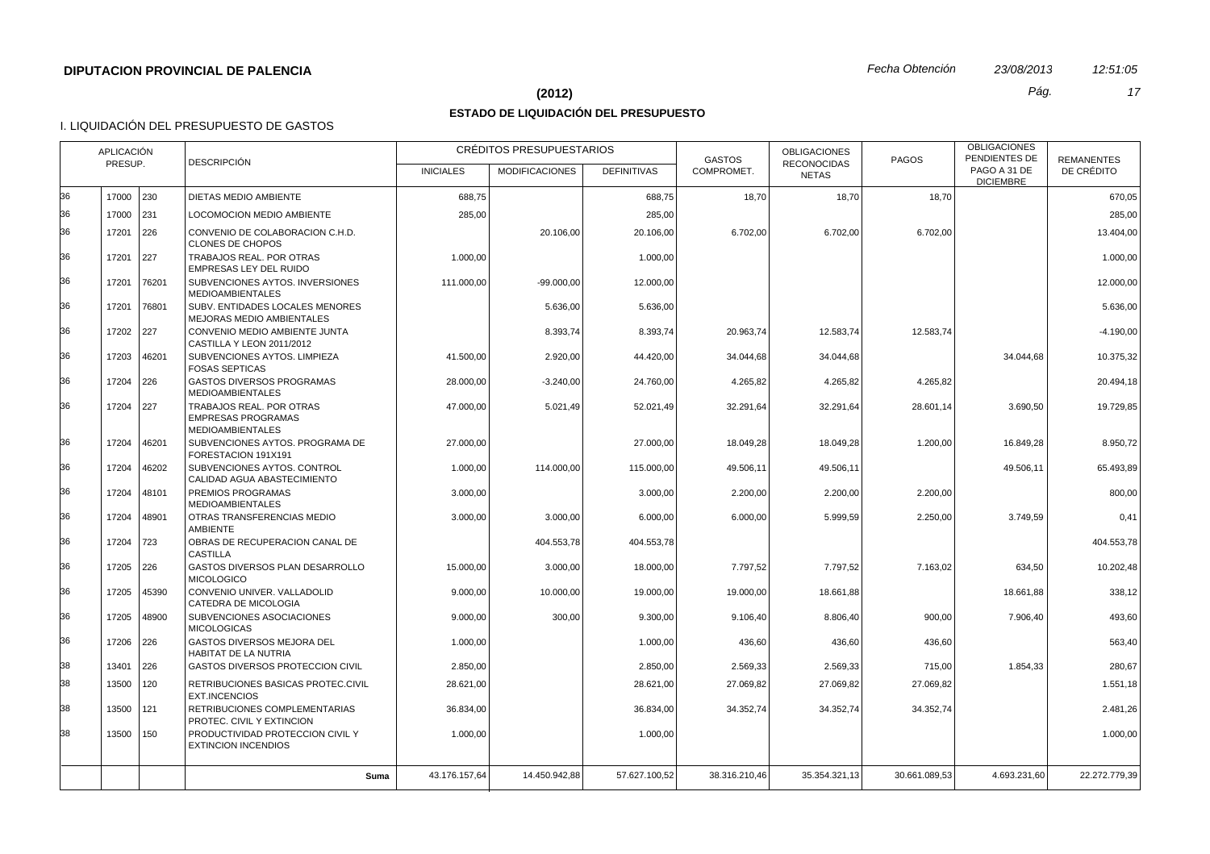#### **(2012)** *Pág. 17*

## **ESTADO DE LIQUIDACIÓN DEL PRESUPUESTO**

|    | APLICACIÓN<br><b>DESCRIPCIÓN</b><br>PRESUP. |       |                                                                                  |                  | CRÉDITOS PRESUPUESTARIOS |                    | <b>GASTOS</b> | <b>OBLIGACIONES</b><br><b>RECONOCIDAS</b> | <b>PAGOS</b>  | <b>OBLIGACIONES</b><br>PENDIENTES DE | <b>REMANENTES</b> |
|----|---------------------------------------------|-------|----------------------------------------------------------------------------------|------------------|--------------------------|--------------------|---------------|-------------------------------------------|---------------|--------------------------------------|-------------------|
|    |                                             |       |                                                                                  | <b>INICIALES</b> | <b>MODIFICACIONES</b>    | <b>DEFINITIVAS</b> | COMPROMET.    | <b>NETAS</b>                              |               | PAGO A 31 DE<br><b>DICIEMBRE</b>     | DE CRÉDITO        |
| 36 | 17000 230                                   |       | DIETAS MEDIO AMBIENTE                                                            | 688,75           |                          | 688,75             | 18,70         | 18,70                                     | 18,70         |                                      | 670,05            |
| 36 | 17000                                       | 231   | LOCOMOCION MEDIO AMBIENTE                                                        | 285,00           |                          | 285,00             |               |                                           |               |                                      | 285,00            |
| 36 | 17201                                       | 226   | CONVENIO DE COLABORACION C.H.D.<br><b>CLONES DE CHOPOS</b>                       |                  | 20.106.00                | 20.106,00          | 6.702,00      | 6.702,00                                  | 6.702,00      |                                      | 13.404,00         |
| 36 | 17201                                       | 227   | TRABAJOS REAL. POR OTRAS<br>EMPRESAS LEY DEL RUIDO                               | 1.000,00         |                          | 1.000,00           |               |                                           |               |                                      | 1.000,00          |
| 36 | 17201                                       | 76201 | SUBVENCIONES AYTOS, INVERSIONES<br><b>MEDIOAMBIENTALES</b>                       | 111.000.00       | $-99.000.00$             | 12.000,00          |               |                                           |               |                                      | 12.000.00         |
| 36 | 17201                                       | 76801 | SUBV. ENTIDADES LOCALES MENORES<br>MEJORAS MEDIO AMBIENTALES                     |                  | 5.636,00                 | 5.636,00           |               |                                           |               |                                      | 5.636,00          |
| 36 | 17202 227                                   |       | CONVENIO MEDIO AMBIENTE JUNTA<br>CASTILLA Y LEON 2011/2012                       |                  | 8.393.74                 | 8.393,74           | 20.963,74     | 12.583,74                                 | 12.583,74     |                                      | $-4.190,00$       |
| 36 | 17203                                       | 46201 | SUBVENCIONES AYTOS. LIMPIEZA<br><b>FOSAS SEPTICAS</b>                            | 41.500,00        | 2.920,00                 | 44.420,00          | 34.044,68     | 34.044,68                                 |               | 34.044,68                            | 10.375,32         |
| 36 | 17204                                       | 226   | <b>GASTOS DIVERSOS PROGRAMAS</b><br><b>MEDIOAMBIENTALES</b>                      | 28.000,00        | $-3.240,00$              | 24.760,00          | 4.265,82      | 4.265,82                                  | 4.265,82      |                                      | 20.494,18         |
| 36 | 17204                                       | 227   | TRABAJOS REAL, POR OTRAS<br><b>EMPRESAS PROGRAMAS</b><br><b>MEDIOAMBIENTALES</b> | 47.000,00        | 5.021,49                 | 52.021,49          | 32.291,64     | 32.291,64                                 | 28.601,14     | 3.690,50                             | 19.729,85         |
| 36 | 17204                                       | 46201 | SUBVENCIONES AYTOS. PROGRAMA DE<br>FORESTACION 191X191                           | 27.000,00        |                          | 27.000,00          | 18.049,28     | 18.049,28                                 | 1.200,00      | 16.849,28                            | 8.950,72          |
| 36 | 17204                                       | 46202 | SUBVENCIONES AYTOS. CONTROL<br>CALIDAD AGUA ABASTECIMIENTO                       | 1.000,00         | 114.000,00               | 115.000,00         | 49.506,11     | 49.506,11                                 |               | 49.506,11                            | 65.493,89         |
| 36 | 17204                                       | 48101 | PREMIOS PROGRAMAS<br><b>MEDIOAMBIENTALES</b>                                     | 3.000,00         |                          | 3.000,00           | 2.200,00      | 2.200,00                                  | 2.200,00      |                                      | 800,00            |
| 36 | 17204                                       | 48901 | OTRAS TRANSFERENCIAS MEDIO<br><b>AMBIENTE</b>                                    | 3.000,00         | 3.000,00                 | 6.000,00           | 6.000,00      | 5.999,59                                  | 2.250,00      | 3.749,59                             | 0.41              |
| 36 | 17204                                       | 723   | OBRAS DE RECUPERACION CANAL DE<br><b>CASTILLA</b>                                |                  | 404.553,78               | 404.553,78         |               |                                           |               |                                      | 404.553,78        |
| 36 | 17205 226                                   |       | GASTOS DIVERSOS PLAN DESARROLLO<br><b>MICOLOGICO</b>                             | 15.000,00        | 3.000,00                 | 18.000,00          | 7.797,52      | 7.797,52                                  | 7.163,02      | 634,50                               | 10.202,48         |
| 36 | 17205                                       | 45390 | CONVENIO UNIVER. VALLADOLID<br>CATEDRA DE MICOLOGIA                              | 9.000,00         | 10.000,00                | 19.000,00          | 19.000,00     | 18.661,88                                 |               | 18.661,88                            | 338,12            |
| 36 | 17205                                       | 48900 | SUBVENCIONES ASOCIACIONES<br><b>MICOLOGICAS</b>                                  | 9.000,00         | 300,00                   | 9.300,00           | 9.106,40      | 8.806,40                                  | 900,00        | 7.906,40                             | 493,60            |
| 36 | 17206                                       | 226   | GASTOS DIVERSOS MEJORA DEL<br><b>HABITAT DE LA NUTRIA</b>                        | 1.000,00         |                          | 1.000,00           | 436,60        | 436,60                                    | 436,60        |                                      | 563,40            |
| 38 | 13401                                       | 226   | GASTOS DIVERSOS PROTECCION CIVIL                                                 | 2.850,00         |                          | 2.850,00           | 2.569,33      | 2.569,33                                  | 715,00        | 1.854,33                             | 280,67            |
| 38 | 13500                                       | 120   | RETRIBUCIONES BASICAS PROTEC.CIVIL<br>EXT.INCENCIOS                              | 28.621,00        |                          | 28.621,00          | 27.069,82     | 27.069,82                                 | 27.069,82     |                                      | 1.551,18          |
| 38 | 13500                                       | 121   | RETRIBUCIONES COMPLEMENTARIAS<br>PROTEC. CIVIL Y EXTINCION                       | 36.834,00        |                          | 36.834,00          | 34.352,74     | 34.352,74                                 | 34.352,74     |                                      | 2.481,26          |
| 38 | 13500                                       | 150   | PRODUCTIVIDAD PROTECCION CIVIL Y<br><b>EXTINCION INCENDIOS</b>                   | 1.000.00         |                          | 1.000,00           |               |                                           |               |                                      | 1.000.00          |
|    |                                             |       | Suma                                                                             | 43.176.157,64    | 14.450.942,88            | 57.627.100.52      | 38.316.210.46 | 35.354.321,13                             | 30.661.089.53 | 4.693.231.60                         | 22.272.779.39     |
|    |                                             |       |                                                                                  |                  |                          |                    |               |                                           |               |                                      |                   |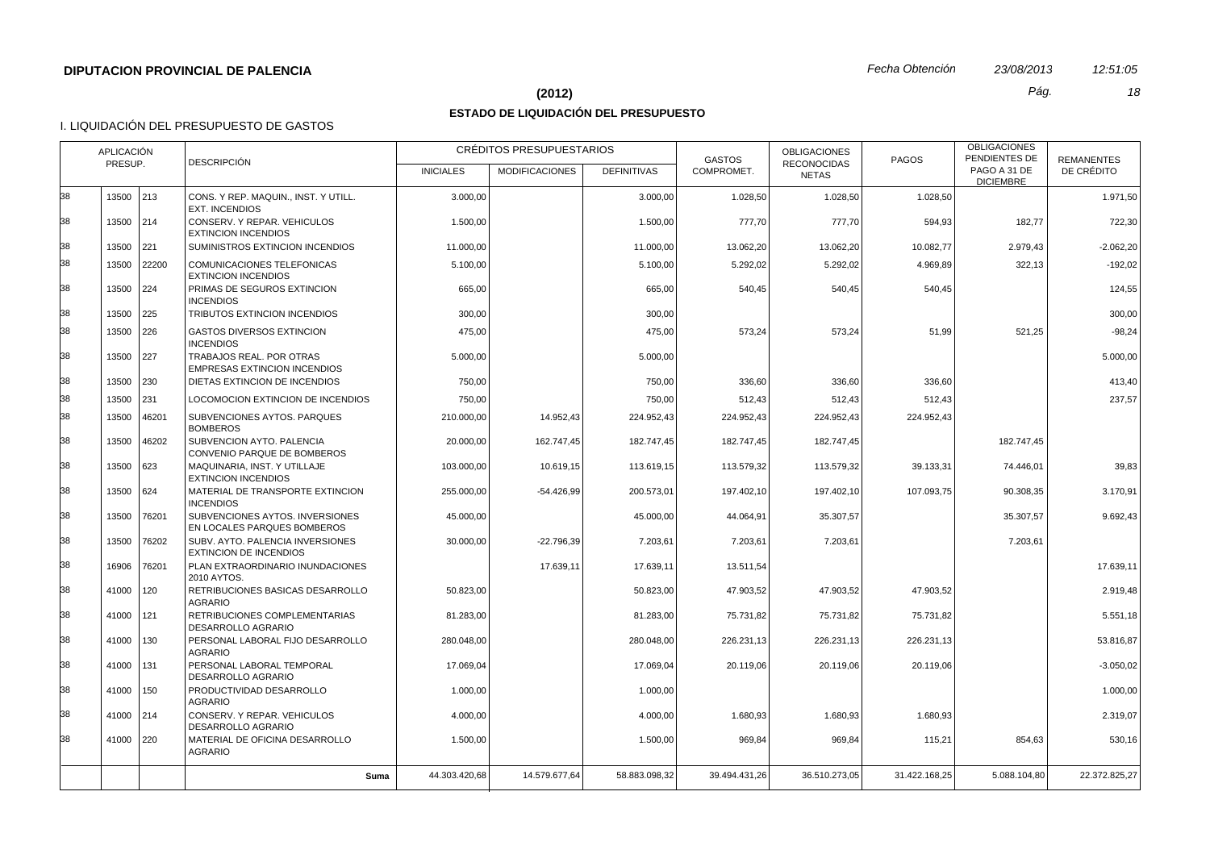# **(2012)** *Pág. 18*

# **ESTADO DE LIQUIDACIÓN DEL PRESUPUESTO**

| 13500<br>213<br>CONS. Y REP. MAQUIN., INST. Y UTILL.<br>3.000,00<br>3.000,00<br>1.028,50<br>1.028,50<br>1.028,50<br><b>EXT. INCENDIOS</b><br>214<br>13500<br>CONSERV. Y REPAR. VEHICULOS<br>777,70<br>777,70<br>594,93<br>182,77<br>1.500,00<br>1.500,00<br><b>EXTINCION INCENDIOS</b><br>  221<br>SUMINISTROS EXTINCION INCENDIOS<br>10.082,77<br>2.979,43<br>13500<br>11.000,00<br>11.000,00<br>13.062,20<br>13.062,20<br>22200<br>13500<br>COMUNICACIONES TELEFONICAS<br>5.100,00<br>5.100,00<br>5.292,02<br>5.292,02<br>4.969,89<br>322,13<br><b>EXTINCION INCENDIOS</b><br>224<br>13500<br>PRIMAS DE SEGUROS EXTINCION<br>665,00<br>665,00<br>540,45<br>540,45<br>540,45<br><b>INCENDIOS</b><br>13500<br>225<br>TRIBUTOS EXTINCION INCENDIOS<br>300,00<br>300,00<br>13500<br>226<br><b>GASTOS DIVERSOS EXTINCION</b><br>475,00<br>475,00<br>573,24<br>573,24<br>51,99<br>521,25<br><b>INCENDIOS</b><br>TRABAJOS REAL. POR OTRAS<br>13500<br>227<br>5.000,00<br>5.000,00<br><b>EMPRESAS EXTINCION INCENDIOS</b><br>13500<br>230<br>DIETAS EXTINCION DE INCENDIOS<br>750,00<br>750,00<br>336,60<br>336,60<br>336,60<br>231<br>512,43<br>13500<br>LOCOMOCION EXTINCION DE INCENDIOS<br>750,00<br>750,00<br>512,43<br>512,43<br>13500<br>46201<br>SUBVENCIONES AYTOS. PARQUES<br>210.000,00<br>14.952,43<br>224.952,43<br>224.952,43<br>224.952,43<br>224.952,43<br><b>BOMBEROS</b><br>46202<br>SUBVENCION AYTO. PALENCIA<br>13500<br>162.747,45<br>182.747,45<br>20.000,00<br>182.747,45<br>182.747,45<br>182.747,45<br>CONVENIO PARQUE DE BOMBEROS<br>13500<br>623<br>MAQUINARIA, INST. Y UTILLAJE<br>103.000,00<br>113.579,32<br>39.133,31<br>74.446,01<br>10.619,15<br>113.619,15<br>113.579,32<br><b>EXTINCION INCENDIOS</b><br>13500<br>624<br>MATERIAL DE TRANSPORTE EXTINCION<br>255.000,00<br>$-54.426,99$<br>200.573,01<br>197.402,10<br>107.093,75<br>90.308,35<br>197.402,10<br><b>INCENDIOS</b><br>13500<br>76201<br>SUBVENCIONES AYTOS. INVERSIONES<br>45.000,00<br>44.064,91<br>35.307,57<br>35.307,57<br>45.000,00<br>EN LOCALES PARQUES BOMBEROS<br>13500<br>76202<br>SUBV. AYTO. PALENCIA INVERSIONES<br>$-22.796,39$<br>7.203,61<br>30.000,00<br>7.203,61<br>7.203,61<br>7.203,61<br><b>EXTINCION DE INCENDIOS</b><br>76201<br>PLAN EXTRAORDINARIO INUNDACIONES<br>17.639,11<br>13.511,54<br>16906<br>17.639,11<br>2010 AYTOS.<br>120<br>50.823,00<br>41000<br>RETRIBUCIONES BASICAS DESARROLLO<br>50.823,00<br>47.903,52<br>47.903,52<br>47.903,52<br><b>AGRARIO</b><br>121<br>RETRIBUCIONES COMPLEMENTARIAS<br>41000<br>81.283,00<br>81.283,00<br>75.731,82<br>75.731,82<br>75.731,82<br><b>DESARROLLO AGRARIO</b><br>PERSONAL LABORAL FIJO DESARROLLO<br>41000<br>130<br>280.048,00<br>280.048,00<br>226.231,13<br>226.231,13<br>226.231,13<br>AGRARIO<br>41000<br>131<br>PERSONAL LABORAL TEMPORAL<br>17.069,04<br>17.069,04<br>20.119,06<br>20.119,06<br>20.119,06<br>DESARROLLO AGRARIO<br>41000<br>150<br>PRODUCTIVIDAD DESARROLLO<br>1.000,00<br>1.000,00<br><b>AGRARIO</b><br>41000 214<br>CONSERV. Y REPAR. VEHICULOS<br>4.000,00<br>1.680,93<br>1.680,93<br>1.680,93<br>4.000,00<br>DESARROLLO AGRARIO<br>MATERIAL DE OFICINA DESARROLLO<br>41000 220<br>1.500,00<br>1.500,00<br>969,84<br>969,84<br>854,63<br>115,21<br><b>AGRARIO</b><br>44.303.420.68<br>14.579.677.64<br>58.883.098,32<br>36.510.273.05<br>31.422.168.25<br>5.088.104,80<br>22.372.825.27<br>39.494.431.26<br>Suma |    | <b>APLICACIÓN</b><br>PRESUP. | <b>DESCRIPCIÓN</b> | <b>INICIALES</b> | CRÉDITOS PRESUPUESTARIOS<br><b>MODIFICACIONES</b> | <b>DEFINITIVAS</b> | <b>GASTOS</b><br>COMPROMET. | <b>OBLIGACIONES</b><br><b>RECONOCIDAS</b><br><b>NETAS</b> | <b>PAGOS</b> | <b>OBLIGACIONES</b><br>PENDIENTES DE<br>PAGO A 31 DE | <b>REMANENTES</b><br>DE CRÉDITO |
|-----------------------------------------------------------------------------------------------------------------------------------------------------------------------------------------------------------------------------------------------------------------------------------------------------------------------------------------------------------------------------------------------------------------------------------------------------------------------------------------------------------------------------------------------------------------------------------------------------------------------------------------------------------------------------------------------------------------------------------------------------------------------------------------------------------------------------------------------------------------------------------------------------------------------------------------------------------------------------------------------------------------------------------------------------------------------------------------------------------------------------------------------------------------------------------------------------------------------------------------------------------------------------------------------------------------------------------------------------------------------------------------------------------------------------------------------------------------------------------------------------------------------------------------------------------------------------------------------------------------------------------------------------------------------------------------------------------------------------------------------------------------------------------------------------------------------------------------------------------------------------------------------------------------------------------------------------------------------------------------------------------------------------------------------------------------------------------------------------------------------------------------------------------------------------------------------------------------------------------------------------------------------------------------------------------------------------------------------------------------------------------------------------------------------------------------------------------------------------------------------------------------------------------------------------------------------------------------------------------------------------------------------------------------------------------------------------------------------------------------------------------------------------------------------------------------------------------------------------------------------------------------------------------------------------------------------------------------------------------------------------------------------------------------------------------------------------------------------------------------------------------------------------------------------------------------------------------------------------------------------------------------------------------------------------------------------------------------------------------------------------------------------------------------------|----|------------------------------|--------------------|------------------|---------------------------------------------------|--------------------|-----------------------------|-----------------------------------------------------------|--------------|------------------------------------------------------|---------------------------------|
|                                                                                                                                                                                                                                                                                                                                                                                                                                                                                                                                                                                                                                                                                                                                                                                                                                                                                                                                                                                                                                                                                                                                                                                                                                                                                                                                                                                                                                                                                                                                                                                                                                                                                                                                                                                                                                                                                                                                                                                                                                                                                                                                                                                                                                                                                                                                                                                                                                                                                                                                                                                                                                                                                                                                                                                                                                                                                                                                                                                                                                                                                                                                                                                                                                                                                                                                                                                                                       |    |                              |                    |                  |                                                   |                    |                             |                                                           |              | <b>DICIEMBRE</b>                                     |                                 |
|                                                                                                                                                                                                                                                                                                                                                                                                                                                                                                                                                                                                                                                                                                                                                                                                                                                                                                                                                                                                                                                                                                                                                                                                                                                                                                                                                                                                                                                                                                                                                                                                                                                                                                                                                                                                                                                                                                                                                                                                                                                                                                                                                                                                                                                                                                                                                                                                                                                                                                                                                                                                                                                                                                                                                                                                                                                                                                                                                                                                                                                                                                                                                                                                                                                                                                                                                                                                                       | 38 |                              |                    |                  |                                                   |                    |                             |                                                           |              |                                                      | 1.971,50                        |
|                                                                                                                                                                                                                                                                                                                                                                                                                                                                                                                                                                                                                                                                                                                                                                                                                                                                                                                                                                                                                                                                                                                                                                                                                                                                                                                                                                                                                                                                                                                                                                                                                                                                                                                                                                                                                                                                                                                                                                                                                                                                                                                                                                                                                                                                                                                                                                                                                                                                                                                                                                                                                                                                                                                                                                                                                                                                                                                                                                                                                                                                                                                                                                                                                                                                                                                                                                                                                       | 38 |                              |                    |                  |                                                   |                    |                             |                                                           |              |                                                      | 722,30                          |
|                                                                                                                                                                                                                                                                                                                                                                                                                                                                                                                                                                                                                                                                                                                                                                                                                                                                                                                                                                                                                                                                                                                                                                                                                                                                                                                                                                                                                                                                                                                                                                                                                                                                                                                                                                                                                                                                                                                                                                                                                                                                                                                                                                                                                                                                                                                                                                                                                                                                                                                                                                                                                                                                                                                                                                                                                                                                                                                                                                                                                                                                                                                                                                                                                                                                                                                                                                                                                       | 38 |                              |                    |                  |                                                   |                    |                             |                                                           |              |                                                      | $-2.062,20$                     |
|                                                                                                                                                                                                                                                                                                                                                                                                                                                                                                                                                                                                                                                                                                                                                                                                                                                                                                                                                                                                                                                                                                                                                                                                                                                                                                                                                                                                                                                                                                                                                                                                                                                                                                                                                                                                                                                                                                                                                                                                                                                                                                                                                                                                                                                                                                                                                                                                                                                                                                                                                                                                                                                                                                                                                                                                                                                                                                                                                                                                                                                                                                                                                                                                                                                                                                                                                                                                                       | 38 |                              |                    |                  |                                                   |                    |                             |                                                           |              |                                                      | $-192,02$                       |
|                                                                                                                                                                                                                                                                                                                                                                                                                                                                                                                                                                                                                                                                                                                                                                                                                                                                                                                                                                                                                                                                                                                                                                                                                                                                                                                                                                                                                                                                                                                                                                                                                                                                                                                                                                                                                                                                                                                                                                                                                                                                                                                                                                                                                                                                                                                                                                                                                                                                                                                                                                                                                                                                                                                                                                                                                                                                                                                                                                                                                                                                                                                                                                                                                                                                                                                                                                                                                       | 38 |                              |                    |                  |                                                   |                    |                             |                                                           |              |                                                      | 124,55                          |
|                                                                                                                                                                                                                                                                                                                                                                                                                                                                                                                                                                                                                                                                                                                                                                                                                                                                                                                                                                                                                                                                                                                                                                                                                                                                                                                                                                                                                                                                                                                                                                                                                                                                                                                                                                                                                                                                                                                                                                                                                                                                                                                                                                                                                                                                                                                                                                                                                                                                                                                                                                                                                                                                                                                                                                                                                                                                                                                                                                                                                                                                                                                                                                                                                                                                                                                                                                                                                       | 38 |                              |                    |                  |                                                   |                    |                             |                                                           |              |                                                      | 300,00                          |
|                                                                                                                                                                                                                                                                                                                                                                                                                                                                                                                                                                                                                                                                                                                                                                                                                                                                                                                                                                                                                                                                                                                                                                                                                                                                                                                                                                                                                                                                                                                                                                                                                                                                                                                                                                                                                                                                                                                                                                                                                                                                                                                                                                                                                                                                                                                                                                                                                                                                                                                                                                                                                                                                                                                                                                                                                                                                                                                                                                                                                                                                                                                                                                                                                                                                                                                                                                                                                       | 38 |                              |                    |                  |                                                   |                    |                             |                                                           |              |                                                      | $-98.24$                        |
|                                                                                                                                                                                                                                                                                                                                                                                                                                                                                                                                                                                                                                                                                                                                                                                                                                                                                                                                                                                                                                                                                                                                                                                                                                                                                                                                                                                                                                                                                                                                                                                                                                                                                                                                                                                                                                                                                                                                                                                                                                                                                                                                                                                                                                                                                                                                                                                                                                                                                                                                                                                                                                                                                                                                                                                                                                                                                                                                                                                                                                                                                                                                                                                                                                                                                                                                                                                                                       | 38 |                              |                    |                  |                                                   |                    |                             |                                                           |              |                                                      | 5.000,00                        |
|                                                                                                                                                                                                                                                                                                                                                                                                                                                                                                                                                                                                                                                                                                                                                                                                                                                                                                                                                                                                                                                                                                                                                                                                                                                                                                                                                                                                                                                                                                                                                                                                                                                                                                                                                                                                                                                                                                                                                                                                                                                                                                                                                                                                                                                                                                                                                                                                                                                                                                                                                                                                                                                                                                                                                                                                                                                                                                                                                                                                                                                                                                                                                                                                                                                                                                                                                                                                                       | 38 |                              |                    |                  |                                                   |                    |                             |                                                           |              |                                                      | 413,40                          |
|                                                                                                                                                                                                                                                                                                                                                                                                                                                                                                                                                                                                                                                                                                                                                                                                                                                                                                                                                                                                                                                                                                                                                                                                                                                                                                                                                                                                                                                                                                                                                                                                                                                                                                                                                                                                                                                                                                                                                                                                                                                                                                                                                                                                                                                                                                                                                                                                                                                                                                                                                                                                                                                                                                                                                                                                                                                                                                                                                                                                                                                                                                                                                                                                                                                                                                                                                                                                                       | 38 |                              |                    |                  |                                                   |                    |                             |                                                           |              |                                                      | 237,57                          |
|                                                                                                                                                                                                                                                                                                                                                                                                                                                                                                                                                                                                                                                                                                                                                                                                                                                                                                                                                                                                                                                                                                                                                                                                                                                                                                                                                                                                                                                                                                                                                                                                                                                                                                                                                                                                                                                                                                                                                                                                                                                                                                                                                                                                                                                                                                                                                                                                                                                                                                                                                                                                                                                                                                                                                                                                                                                                                                                                                                                                                                                                                                                                                                                                                                                                                                                                                                                                                       | 38 |                              |                    |                  |                                                   |                    |                             |                                                           |              |                                                      |                                 |
|                                                                                                                                                                                                                                                                                                                                                                                                                                                                                                                                                                                                                                                                                                                                                                                                                                                                                                                                                                                                                                                                                                                                                                                                                                                                                                                                                                                                                                                                                                                                                                                                                                                                                                                                                                                                                                                                                                                                                                                                                                                                                                                                                                                                                                                                                                                                                                                                                                                                                                                                                                                                                                                                                                                                                                                                                                                                                                                                                                                                                                                                                                                                                                                                                                                                                                                                                                                                                       | 38 |                              |                    |                  |                                                   |                    |                             |                                                           |              |                                                      |                                 |
|                                                                                                                                                                                                                                                                                                                                                                                                                                                                                                                                                                                                                                                                                                                                                                                                                                                                                                                                                                                                                                                                                                                                                                                                                                                                                                                                                                                                                                                                                                                                                                                                                                                                                                                                                                                                                                                                                                                                                                                                                                                                                                                                                                                                                                                                                                                                                                                                                                                                                                                                                                                                                                                                                                                                                                                                                                                                                                                                                                                                                                                                                                                                                                                                                                                                                                                                                                                                                       | 38 |                              |                    |                  |                                                   |                    |                             |                                                           |              |                                                      | 39,83                           |
|                                                                                                                                                                                                                                                                                                                                                                                                                                                                                                                                                                                                                                                                                                                                                                                                                                                                                                                                                                                                                                                                                                                                                                                                                                                                                                                                                                                                                                                                                                                                                                                                                                                                                                                                                                                                                                                                                                                                                                                                                                                                                                                                                                                                                                                                                                                                                                                                                                                                                                                                                                                                                                                                                                                                                                                                                                                                                                                                                                                                                                                                                                                                                                                                                                                                                                                                                                                                                       | 38 |                              |                    |                  |                                                   |                    |                             |                                                           |              |                                                      | 3.170,91                        |
|                                                                                                                                                                                                                                                                                                                                                                                                                                                                                                                                                                                                                                                                                                                                                                                                                                                                                                                                                                                                                                                                                                                                                                                                                                                                                                                                                                                                                                                                                                                                                                                                                                                                                                                                                                                                                                                                                                                                                                                                                                                                                                                                                                                                                                                                                                                                                                                                                                                                                                                                                                                                                                                                                                                                                                                                                                                                                                                                                                                                                                                                                                                                                                                                                                                                                                                                                                                                                       | 38 |                              |                    |                  |                                                   |                    |                             |                                                           |              |                                                      | 9.692,43                        |
|                                                                                                                                                                                                                                                                                                                                                                                                                                                                                                                                                                                                                                                                                                                                                                                                                                                                                                                                                                                                                                                                                                                                                                                                                                                                                                                                                                                                                                                                                                                                                                                                                                                                                                                                                                                                                                                                                                                                                                                                                                                                                                                                                                                                                                                                                                                                                                                                                                                                                                                                                                                                                                                                                                                                                                                                                                                                                                                                                                                                                                                                                                                                                                                                                                                                                                                                                                                                                       | 38 |                              |                    |                  |                                                   |                    |                             |                                                           |              |                                                      |                                 |
|                                                                                                                                                                                                                                                                                                                                                                                                                                                                                                                                                                                                                                                                                                                                                                                                                                                                                                                                                                                                                                                                                                                                                                                                                                                                                                                                                                                                                                                                                                                                                                                                                                                                                                                                                                                                                                                                                                                                                                                                                                                                                                                                                                                                                                                                                                                                                                                                                                                                                                                                                                                                                                                                                                                                                                                                                                                                                                                                                                                                                                                                                                                                                                                                                                                                                                                                                                                                                       | 38 |                              |                    |                  |                                                   |                    |                             |                                                           |              |                                                      | 17.639,11                       |
|                                                                                                                                                                                                                                                                                                                                                                                                                                                                                                                                                                                                                                                                                                                                                                                                                                                                                                                                                                                                                                                                                                                                                                                                                                                                                                                                                                                                                                                                                                                                                                                                                                                                                                                                                                                                                                                                                                                                                                                                                                                                                                                                                                                                                                                                                                                                                                                                                                                                                                                                                                                                                                                                                                                                                                                                                                                                                                                                                                                                                                                                                                                                                                                                                                                                                                                                                                                                                       | 38 |                              |                    |                  |                                                   |                    |                             |                                                           |              |                                                      | 2.919,48                        |
|                                                                                                                                                                                                                                                                                                                                                                                                                                                                                                                                                                                                                                                                                                                                                                                                                                                                                                                                                                                                                                                                                                                                                                                                                                                                                                                                                                                                                                                                                                                                                                                                                                                                                                                                                                                                                                                                                                                                                                                                                                                                                                                                                                                                                                                                                                                                                                                                                                                                                                                                                                                                                                                                                                                                                                                                                                                                                                                                                                                                                                                                                                                                                                                                                                                                                                                                                                                                                       | 38 |                              |                    |                  |                                                   |                    |                             |                                                           |              |                                                      | 5.551,18                        |
|                                                                                                                                                                                                                                                                                                                                                                                                                                                                                                                                                                                                                                                                                                                                                                                                                                                                                                                                                                                                                                                                                                                                                                                                                                                                                                                                                                                                                                                                                                                                                                                                                                                                                                                                                                                                                                                                                                                                                                                                                                                                                                                                                                                                                                                                                                                                                                                                                                                                                                                                                                                                                                                                                                                                                                                                                                                                                                                                                                                                                                                                                                                                                                                                                                                                                                                                                                                                                       | 38 |                              |                    |                  |                                                   |                    |                             |                                                           |              |                                                      | 53.816,87                       |
|                                                                                                                                                                                                                                                                                                                                                                                                                                                                                                                                                                                                                                                                                                                                                                                                                                                                                                                                                                                                                                                                                                                                                                                                                                                                                                                                                                                                                                                                                                                                                                                                                                                                                                                                                                                                                                                                                                                                                                                                                                                                                                                                                                                                                                                                                                                                                                                                                                                                                                                                                                                                                                                                                                                                                                                                                                                                                                                                                                                                                                                                                                                                                                                                                                                                                                                                                                                                                       | 38 |                              |                    |                  |                                                   |                    |                             |                                                           |              |                                                      | $-3.050,02$                     |
|                                                                                                                                                                                                                                                                                                                                                                                                                                                                                                                                                                                                                                                                                                                                                                                                                                                                                                                                                                                                                                                                                                                                                                                                                                                                                                                                                                                                                                                                                                                                                                                                                                                                                                                                                                                                                                                                                                                                                                                                                                                                                                                                                                                                                                                                                                                                                                                                                                                                                                                                                                                                                                                                                                                                                                                                                                                                                                                                                                                                                                                                                                                                                                                                                                                                                                                                                                                                                       | 38 |                              |                    |                  |                                                   |                    |                             |                                                           |              |                                                      | 1.000,00                        |
|                                                                                                                                                                                                                                                                                                                                                                                                                                                                                                                                                                                                                                                                                                                                                                                                                                                                                                                                                                                                                                                                                                                                                                                                                                                                                                                                                                                                                                                                                                                                                                                                                                                                                                                                                                                                                                                                                                                                                                                                                                                                                                                                                                                                                                                                                                                                                                                                                                                                                                                                                                                                                                                                                                                                                                                                                                                                                                                                                                                                                                                                                                                                                                                                                                                                                                                                                                                                                       | 38 |                              |                    |                  |                                                   |                    |                             |                                                           |              |                                                      | 2.319,07                        |
|                                                                                                                                                                                                                                                                                                                                                                                                                                                                                                                                                                                                                                                                                                                                                                                                                                                                                                                                                                                                                                                                                                                                                                                                                                                                                                                                                                                                                                                                                                                                                                                                                                                                                                                                                                                                                                                                                                                                                                                                                                                                                                                                                                                                                                                                                                                                                                                                                                                                                                                                                                                                                                                                                                                                                                                                                                                                                                                                                                                                                                                                                                                                                                                                                                                                                                                                                                                                                       | 38 |                              |                    |                  |                                                   |                    |                             |                                                           |              |                                                      | 530,16                          |
|                                                                                                                                                                                                                                                                                                                                                                                                                                                                                                                                                                                                                                                                                                                                                                                                                                                                                                                                                                                                                                                                                                                                                                                                                                                                                                                                                                                                                                                                                                                                                                                                                                                                                                                                                                                                                                                                                                                                                                                                                                                                                                                                                                                                                                                                                                                                                                                                                                                                                                                                                                                                                                                                                                                                                                                                                                                                                                                                                                                                                                                                                                                                                                                                                                                                                                                                                                                                                       |    |                              |                    |                  |                                                   |                    |                             |                                                           |              |                                                      |                                 |
|                                                                                                                                                                                                                                                                                                                                                                                                                                                                                                                                                                                                                                                                                                                                                                                                                                                                                                                                                                                                                                                                                                                                                                                                                                                                                                                                                                                                                                                                                                                                                                                                                                                                                                                                                                                                                                                                                                                                                                                                                                                                                                                                                                                                                                                                                                                                                                                                                                                                                                                                                                                                                                                                                                                                                                                                                                                                                                                                                                                                                                                                                                                                                                                                                                                                                                                                                                                                                       |    |                              |                    |                  |                                                   |                    |                             |                                                           |              |                                                      |                                 |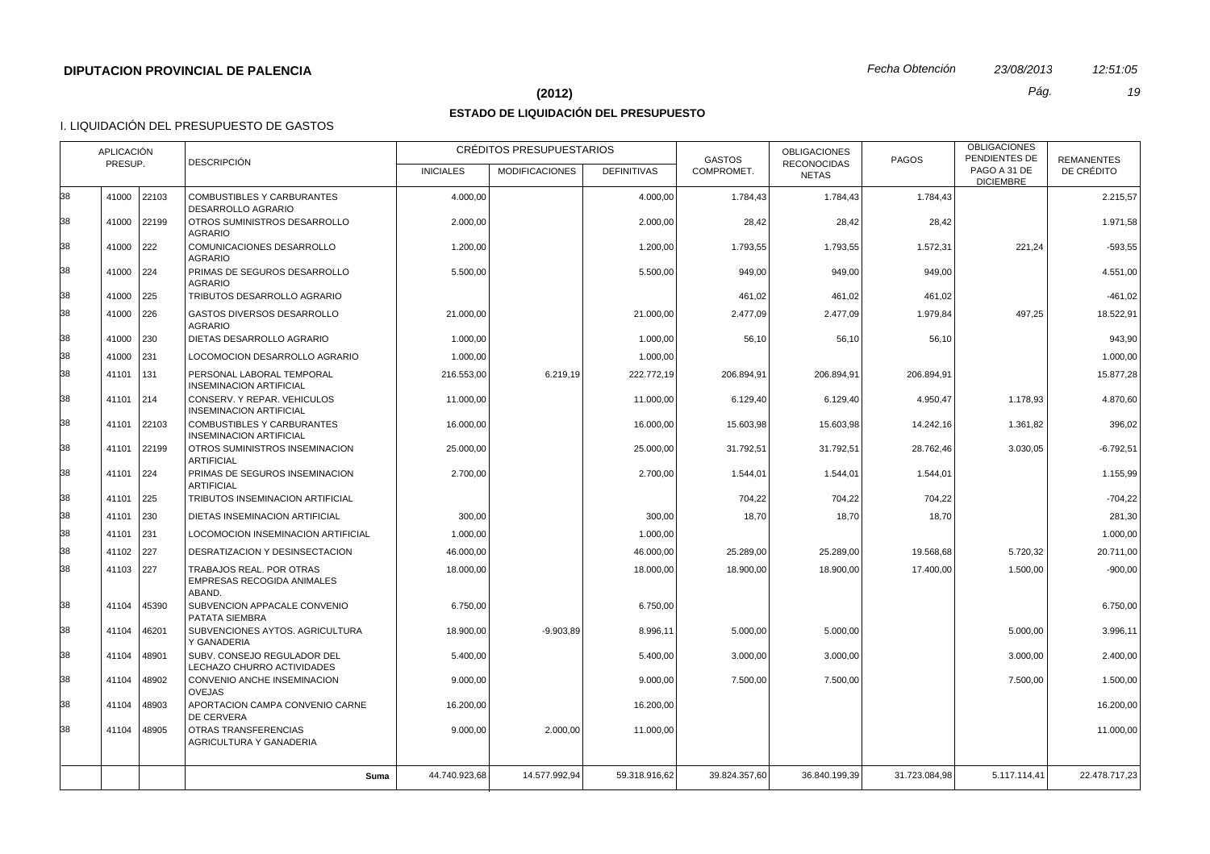## **(2012)** *Pág. 19*

# **ESTADO DE LIQUIDACIÓN DEL PRESUPUESTO**

|    | <b>APLICACIÓN</b> |               |                                                                  |                  | CRÉDITOS PRESUPUESTARIOS |                    | <b>GASTOS</b> | <b>OBLIGACIONES</b>                | <b>PAGOS</b>  | <b>OBLIGACIONES</b><br>PENDIENTES DE | <b>REMANENTES</b> |
|----|-------------------|---------------|------------------------------------------------------------------|------------------|--------------------------|--------------------|---------------|------------------------------------|---------------|--------------------------------------|-------------------|
|    | PRESUP.           |               | <b>DESCRIPCIÓN</b>                                               | <b>INICIALES</b> | <b>MODIFICACIONES</b>    | <b>DEFINITIVAS</b> | COMPROMET.    | <b>RECONOCIDAS</b><br><b>NETAS</b> |               | PAGO A 31 DE<br><b>DICIEMBRE</b>     | DE CRÉDITO        |
| 38 |                   | 41000 22103   | <b>COMBUSTIBLES Y CARBURANTES</b><br><b>DESARROLLO AGRARIO</b>   | 4.000,00         |                          | 4.000,00           | 1.784,43      | 1.784,43                           | 1.784,43      |                                      | 2.215,57          |
| 38 |                   | 41000 22199   | OTROS SUMINISTROS DESARROLLO<br><b>AGRARIO</b>                   | 2.000,00         |                          | 2.000.00           | 28,42         | 28,42                              | 28,42         |                                      | 1.971.58          |
| 38 | 41000             | 222           | COMUNICACIONES DESARROLLO<br><b>AGRARIO</b>                      | 1.200,00         |                          | 1.200,00           | 1.793,55      | 1.793,55                           | 1.572,31      | 221,24                               | $-593,55$         |
| 38 | 41000 224         |               | PRIMAS DE SEGUROS DESARROLLO<br><b>AGRARIO</b>                   | 5.500.00         |                          | 5.500.00           | 949.00        | 949.00                             | 949.00        |                                      | 4.551.00          |
| 38 | 41000 225         |               | TRIBUTOS DESARROLLO AGRARIO                                      |                  |                          |                    | 461,02        | 461,02                             | 461,02        |                                      | $-461,02$         |
| 38 | 41000 226         |               | <b>GASTOS DIVERSOS DESARROLLO</b><br><b>AGRARIO</b>              | 21.000,00        |                          | 21.000,00          | 2.477.09      | 2.477,09                           | 1.979,84      | 497,25                               | 18.522,91         |
| 38 | 41000 230         |               | DIETAS DESARROLLO AGRARIO                                        | 1.000,00         |                          | 1.000,00           | 56,10         | 56,10                              | 56,10         |                                      | 943,90            |
| 38 | 41000             | 231           | LOCOMOCION DESARROLLO AGRARIO                                    | 1.000,00         |                          | 1.000,00           |               |                                    |               |                                      | 1.000,00          |
| 38 | 41101             | 131           | PERSONAL LABORAL TEMPORAL<br><b>INSEMINACION ARTIFICIAL</b>      | 216.553,00       | 6.219,19                 | 222.772,19         | 206.894,91    | 206.894,91                         | 206.894,91    |                                      | 15.877,28         |
| 38 | 41101             | 214           | CONSERV. Y REPAR. VEHICULOS<br><b>INSEMINACION ARTIFICIAL</b>    | 11.000,00        |                          | 11.000,00          | 6.129,40      | 6.129,40                           | 4.950,47      | 1.178,93                             | 4.870,60          |
| 38 | 41101             | 22103         | COMBUSTIBLES Y CARBURANTES<br><b>INSEMINACION ARTIFICIAL</b>     | 16.000,00        |                          | 16.000,00          | 15.603,98     | 15.603,98                          | 14.242,16     | 1.361,82                             | 396,02            |
| 38 | 41101             | 22199         | OTROS SUMINISTROS INSEMINACION<br><b>ARTIFICIAL</b>              | 25.000,00        |                          | 25.000,00          | 31.792,51     | 31.792,51                          | 28.762,46     | 3.030,05                             | $-6.792,51$       |
| 38 | 41101             | 224           | PRIMAS DE SEGUROS INSEMINACION<br><b>ARTIFICIAL</b>              | 2.700,00         |                          | 2.700,00           | 1.544,01      | 1.544,01                           | 1.544,01      |                                      | 1.155,99          |
| 38 | 41101             | 225           | TRIBUTOS INSEMINACION ARTIFICIAL                                 |                  |                          |                    | 704.22        | 704,22                             | 704,22        |                                      | $-704.22$         |
| 38 | 41101             | 230           | DIETAS INSEMINACION ARTIFICIAL                                   | 300,00           |                          | 300,00             | 18,70         | 18,70                              | 18,70         |                                      | 281,30            |
| 38 | 41101             | $ 231\rangle$ | LOCOMOCION INSEMINACION ARTIFICIAL                               | 1.000,00         |                          | 1.000,00           |               |                                    |               |                                      | 1.000,00          |
| 38 | 41102 227         |               | <b>DESRATIZACION Y DESINSECTACION</b>                            | 46.000.00        |                          | 46.000.00          | 25.289,00     | 25.289,00                          | 19.568,68     | 5.720,32                             | 20.711,00         |
| 38 | 41103 227         |               | TRABAJOS REAL. POR OTRAS<br>EMPRESAS RECOGIDA ANIMALES<br>ABAND. | 18.000,00        |                          | 18.000,00          | 18.900,00     | 18.900,00                          | 17.400,00     | 1.500,00                             | $-900,00$         |
| 38 | 41104             | 45390         | SUBVENCION APPACALE CONVENIO<br>PATATA SIEMBRA                   | 6.750,00         |                          | 6.750,00           |               |                                    |               |                                      | 6.750,00          |
| 38 | 41104             | 46201         | SUBVENCIONES AYTOS. AGRICULTURA<br>Y GANADERIA                   | 18.900,00        | $-9.903,89$              | 8.996,11           | 5.000,00      | 5.000,00                           |               | 5.000,00                             | 3.996,11          |
| 38 | 41104             | 48901         | SUBV. CONSEJO REGULADOR DEL<br>LECHAZO CHURRO ACTIVIDADES        | 5.400,00         |                          | 5.400,00           | 3.000,00      | 3.000,00                           |               | 3.000,00                             | 2.400,00          |
| 38 | 41104             | 48902         | CONVENIO ANCHE INSEMINACION<br><b>OVEJAS</b>                     | 9.000,00         |                          | 9.000,00           | 7.500,00      | 7.500,00                           |               | 7.500.00                             | 1.500,00          |
| 38 | 41104             | 48903         | APORTACION CAMPA CONVENIO CARNE<br><b>DE CERVERA</b>             | 16.200,00        |                          | 16.200,00          |               |                                    |               |                                      | 16.200,00         |
| 38 | 41104             | 48905         | <b>OTRAS TRANSFERENCIAS</b><br>AGRICULTURA Y GANADERIA           | 9.000,00         | 2.000,00                 | 11.000,00          |               |                                    |               |                                      | 11.000,00         |
|    |                   |               | Suma                                                             | 44.740.923,68    | 14.577.992,94            | 59.318.916,62      | 39.824.357,60 | 36.840.199,39                      | 31.723.084,98 | 5.117.114,41                         | 22.478.717,23     |
|    |                   |               |                                                                  |                  |                          |                    |               |                                    |               |                                      |                   |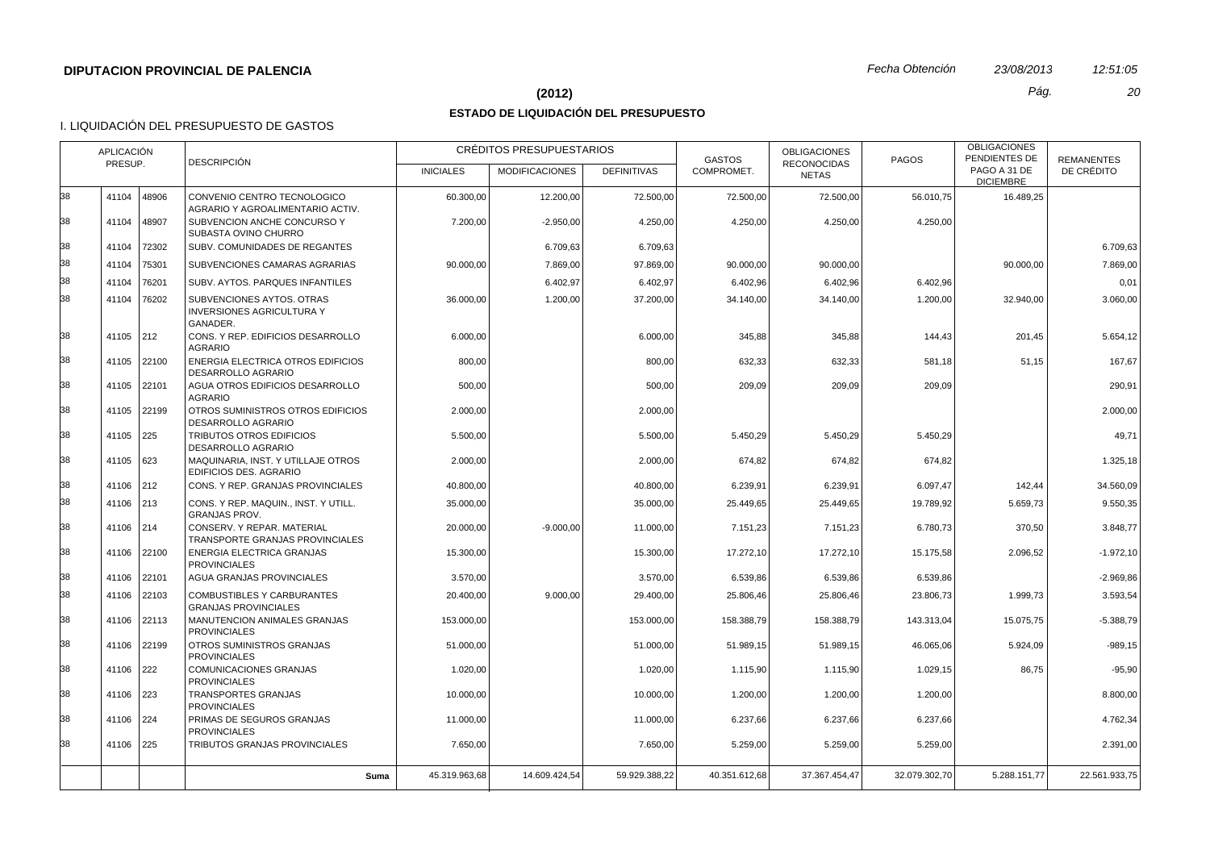## **(2012)** *Pág. 20*

# **ESTADO DE LIQUIDACIÓN DEL PRESUPUESTO**

|    | <b>APLICACIÓN</b> |               | <b>DESCRIPCIÓN</b>                                                        |                  | CRÉDITOS PRESUPUESTARIOS |                    | <b>GASTOS</b> | <b>OBLIGACIONES</b>                | <b>PAGOS</b>  | <b>OBLIGACIONES</b><br>PENDIENTES DE | <b>REMANENTES</b> |
|----|-------------------|---------------|---------------------------------------------------------------------------|------------------|--------------------------|--------------------|---------------|------------------------------------|---------------|--------------------------------------|-------------------|
|    | PRESUP.           |               |                                                                           | <b>INICIALES</b> | <b>MODIFICACIONES</b>    | <b>DEFINITIVAS</b> | COMPROMET.    | <b>RECONOCIDAS</b><br><b>NETAS</b> |               | PAGO A 31 DE<br><b>DICIEMBRE</b>     | DE CRÉDITO        |
| 38 | 41104             | 48906         | CONVENIO CENTRO TECNOLOGICO<br>AGRARIO Y AGROALIMENTARIO ACTIV.           | 60.300,00        | 12.200,00                | 72.500,00          | 72.500,00     | 72.500,00                          | 56.010,75     | 16.489,25                            |                   |
| 38 | 41104             | 48907         | SUBVENCION ANCHE CONCURSO Y<br>SUBASTA OVINO CHURRO                       | 7.200,00         | $-2.950,00$              | 4.250,00           | 4.250,00      | 4.250,00                           | 4.250,00      |                                      |                   |
| 38 | 41104             | 72302         | SUBV. COMUNIDADES DE REGANTES                                             |                  | 6.709,63                 | 6.709,63           |               |                                    |               |                                      | 6.709.63          |
| 38 | 41104             | 75301         | SUBVENCIONES CAMARAS AGRARIAS                                             | 90.000,00        | 7.869,00                 | 97.869,00          | 90.000,00     | 90.000,00                          |               | 90.000,00                            | 7.869,00          |
| 38 | 41104             | 76201         | SUBV. AYTOS. PARQUES INFANTILES                                           |                  | 6.402,97                 | 6.402,97           | 6.402,96      | 6.402,96                           | 6.402,96      |                                      | 0,01              |
| 38 | 41104             | 76202         | SUBVENCIONES AYTOS. OTRAS<br><b>INVERSIONES AGRICULTURA Y</b><br>GANADER. | 36.000,00        | 1.200,00                 | 37.200,00          | 34.140,00     | 34.140,00                          | 1.200,00      | 32.940,00                            | 3.060,00          |
| 38 | 41105 212         |               | CONS. Y REP. EDIFICIOS DESARROLLO<br><b>AGRARIO</b>                       | 6.000,00         |                          | 6.000,00           | 345,88        | 345,88                             | 144,43        | 201,45                               | 5.654,12          |
| 38 | 41105             | 22100         | <b>ENERGIA ELECTRICA OTROS EDIFICIOS</b><br><b>DESARROLLO AGRARIO</b>     | 800,00           |                          | 800,00             | 632,33        | 632,33                             | 581,18        | 51,15                                | 167.67            |
| 38 | 41105             | 22101         | AGUA OTROS EDIFICIOS DESARROLLO<br><b>AGRARIO</b>                         | 500,00           |                          | 500,00             | 209,09        | 209,09                             | 209,09        |                                      | 290,91            |
| 38 |                   | 41105 22199   | OTROS SUMINISTROS OTROS EDIFICIOS<br><b>DESARROLLO AGRARIO</b>            | 2.000,00         |                          | 2.000,00           |               |                                    |               |                                      | 2.000,00          |
| 38 | 41105             | 225           | TRIBUTOS OTROS EDIFICIOS<br>DESARROLLO AGRARIO                            | 5.500,00         |                          | 5.500,00           | 5.450,29      | 5.450,29                           | 5.450,29      |                                      | 49,71             |
| 38 | 41105 623         |               | MAQUINARIA, INST. Y UTILLAJE OTROS<br><b>EDIFICIOS DES. AGRARIO</b>       | 2.000,00         |                          | 2.000,00           | 674,82        | 674,82                             | 674,82        |                                      | 1.325,18          |
| 38 | 41106 212         |               | CONS. Y REP. GRANJAS PROVINCIALES                                         | 40.800.00        |                          | 40.800.00          | 6.239,91      | 6.239,91                           | 6.097.47      | 142.44                               | 34.560.09         |
| 38 | 41106             | $ 213\rangle$ | CONS. Y REP. MAQUIN., INST. Y UTILL.<br><b>GRANJAS PROV.</b>              | 35.000,00        |                          | 35.000,00          | 25.449,65     | 25.449,65                          | 19.789,92     | 5.659,73                             | 9.550,35          |
| 38 | 41106             | $ 214\rangle$ | CONSERV. Y REPAR. MATERIAL<br>TRANSPORTE GRANJAS PROVINCIALES             | 20.000,00        | $-9.000,00$              | 11.000,00          | 7.151,23      | 7.151,23                           | 6.780,73      | 370,50                               | 3.848,77          |
| 38 | 41106             | 22100         | ENERGIA ELECTRICA GRANJAS<br><b>PROVINCIALES</b>                          | 15.300,00        |                          | 15.300,00          | 17.272,10     | 17.272,10                          | 15.175,58     | 2.096,52                             | $-1.972, 10$      |
| 38 | 41106             | 22101         | AGUA GRANJAS PROVINCIALES                                                 | 3.570,00         |                          | 3.570,00           | 6.539,86      | 6.539,86                           | 6.539,86      |                                      | $-2.969,86$       |
| 38 | 41106             | 22103         | COMBUSTIBLES Y CARBURANTES<br><b>GRANJAS PROVINCIALES</b>                 | 20.400,00        | 9.000,00                 | 29.400,00          | 25.806,46     | 25.806,46                          | 23.806,73     | 1.999,73                             | 3.593,54          |
| 38 | 41106             | 22113         | MANUTENCION ANIMALES GRANJAS<br><b>PROVINCIALES</b>                       | 153.000,00       |                          | 153.000,00         | 158.388,79    | 158.388,79                         | 143.313,04    | 15.075,75                            | $-5.388,79$       |
| 38 | 41106             | 22199         | OTROS SUMINISTROS GRANJAS<br><b>PROVINCIALES</b>                          | 51.000,00        |                          | 51.000,00          | 51.989,15     | 51.989,15                          | 46.065,06     | 5.924,09                             | $-989,15$         |
| 38 | 41106             | 222           | COMUNICACIONES GRANJAS<br><b>PROVINCIALES</b>                             | 1.020,00         |                          | 1.020,00           | 1.115,90      | 1.115,90                           | 1.029,15      | 86,75                                | $-95,90$          |
| 38 | 41106             | 223           | <b>TRANSPORTES GRANJAS</b><br><b>PROVINCIALES</b>                         | 10.000,00        |                          | 10.000,00          | 1.200,00      | 1.200,00                           | 1.200,00      |                                      | 8.800,00          |
| 38 | 41106             | 224           | PRIMAS DE SEGUROS GRANJAS<br><b>PROVINCIALES</b>                          | 11.000,00        |                          | 11.000,00          | 6.237,66      | 6.237,66                           | 6.237,66      |                                      | 4.762,34          |
| 38 | 41106             | 225           | TRIBUTOS GRANJAS PROVINCIALES                                             | 7.650,00         |                          | 7.650,00           | 5.259,00      | 5.259,00                           | 5.259,00      |                                      | 2.391,00          |
|    |                   |               | Suma                                                                      | 45.319.963,68    | 14.609.424,54            | 59.929.388,22      | 40.351.612.68 | 37.367.454,47                      | 32.079.302.70 | 5.288.151.77                         | 22.561.933,75     |
|    |                   |               |                                                                           |                  |                          |                    |               |                                    |               |                                      |                   |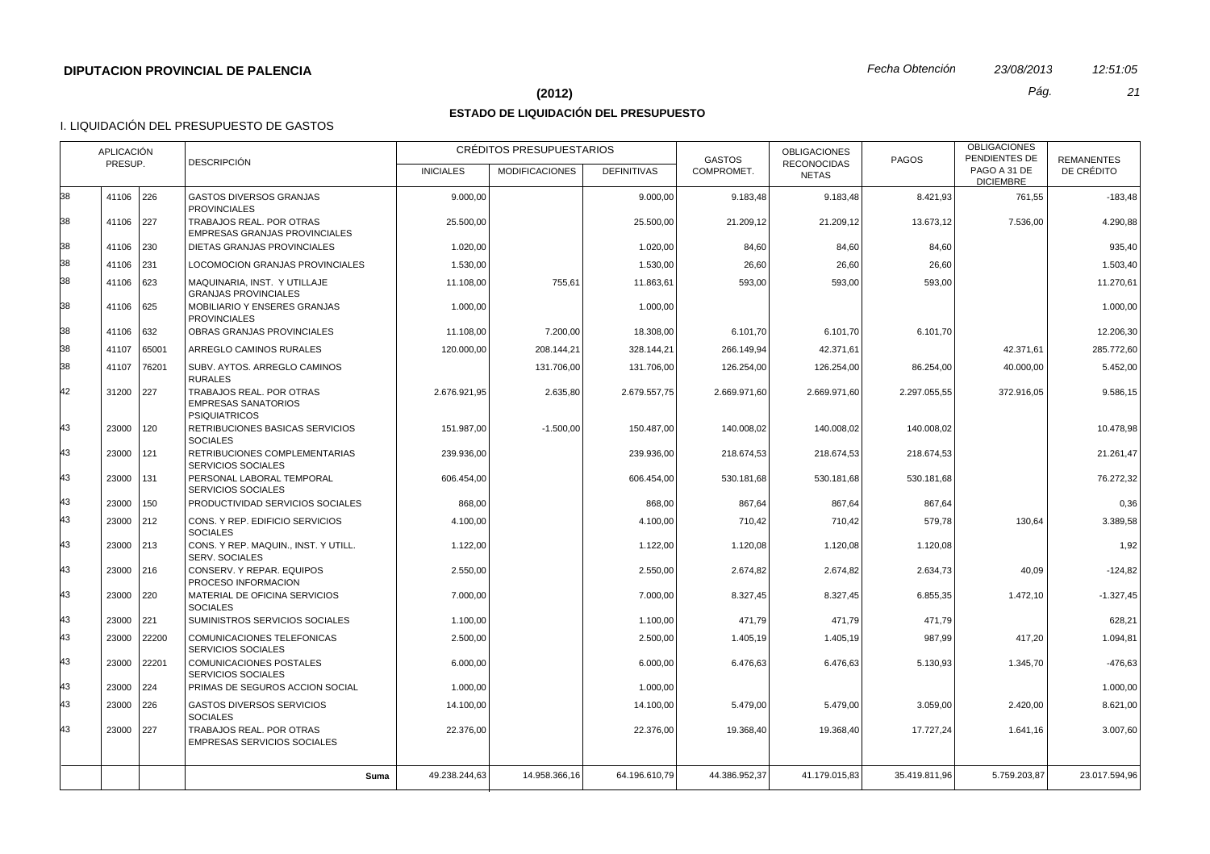#### **(2012)** *Pág. 21*

## **ESTADO DE LIQUIDACIÓN DEL PRESUPUESTO**

|    | <b>APLICACIÓN</b> |               | <b>DESCRIPCIÓN</b>                                                             |                  | CRÉDITOS PRESUPUESTARIOS |                    | <b>GASTOS</b> | <b>OBLIGACIONES</b>                | <b>PAGOS</b>  | <b>OBLIGACIONES</b><br>PENDIENTES DE | <b>REMANENTES</b> |
|----|-------------------|---------------|--------------------------------------------------------------------------------|------------------|--------------------------|--------------------|---------------|------------------------------------|---------------|--------------------------------------|-------------------|
|    | PRESUP.           |               |                                                                                | <b>INICIALES</b> | <b>MODIFICACIONES</b>    | <b>DEFINITIVAS</b> | COMPROMET.    | <b>RECONOCIDAS</b><br><b>NETAS</b> |               | PAGO A 31 DE<br><b>DICIEMBRE</b>     | DE CRÉDITO        |
| 38 | 41106 226         |               | <b>GASTOS DIVERSOS GRANJAS</b><br><b>PROVINCIALES</b>                          | 9.000,00         |                          | 9.000,00           | 9.183,48      | 9.183,48                           | 8.421,93      | 761,55                               | $-183,48$         |
| 38 | 41106 227         |               | TRABAJOS REAL. POR OTRAS<br><b>EMPRESAS GRANJAS PROVINCIALES</b>               | 25.500,00        |                          | 25.500,00          | 21.209,12     | 21.209,12                          | 13.673,12     | 7.536,00                             | 4.290,88          |
| 38 | 41106 230         |               | DIETAS GRANJAS PROVINCIALES                                                    | 1.020,00         |                          | 1.020,00           | 84,60         | 84,60                              | 84,60         |                                      | 935,40            |
| 38 | 41106 231         |               | LOCOMOCION GRANJAS PROVINCIALES                                                | 1.530,00         |                          | 1.530,00           | 26,60         | 26,60                              | 26,60         |                                      | 1.503,40          |
| 38 | 41106 623         |               | MAQUINARIA, INST. Y UTILLAJE<br><b>GRANJAS PROVINCIALES</b>                    | 11.108,00        | 755,61                   | 11.863,61          | 593,00        | 593,00                             | 593,00        |                                      | 11.270,61         |
| 38 | 41106 625         |               | <b>MOBILIARIO Y ENSERES GRANJAS</b><br><b>PROVINCIALES</b>                     | 1.000,00         |                          | 1.000,00           |               |                                    |               |                                      | 1.000,00          |
| 38 | 41106 632         |               | OBRAS GRANJAS PROVINCIALES                                                     | 11.108,00        | 7.200,00                 | 18.308,00          | 6.101,70      | 6.101,70                           | 6.101,70      |                                      | 12.206,30         |
| 38 | 41107             | 65001         | ARREGLO CAMINOS RURALES                                                        | 120.000.00       | 208.144,21               | 328.144,21         | 266.149.94    | 42.371,61                          |               | 42.371.61                            | 285.772,60        |
| 38 | 41107             | 76201         | SUBV. AYTOS. ARREGLO CAMINOS<br><b>RURALES</b>                                 |                  | 131.706,00               | 131.706,00         | 126.254,00    | 126.254,00                         | 86.254,00     | 40.000,00                            | 5.452,00          |
| 42 | 31200 227         |               | TRABAJOS REAL. POR OTRAS<br><b>EMPRESAS SANATORIOS</b><br><b>PSIQUIATRICOS</b> | 2.676.921,95     | 2.635,80                 | 2.679.557,75       | 2.669.971,60  | 2.669.971,60                       | 2.297.055,55  | 372.916,05                           | 9.586,15          |
| 43 | 23000             | $ 120\rangle$ | RETRIBUCIONES BASICAS SERVICIOS<br><b>SOCIALES</b>                             | 151.987,00       | $-1.500,00$              | 150.487,00         | 140.008,02    | 140.008,02                         | 140.008,02    |                                      | 10.478,98         |
| 43 | 23000 121         |               | RETRIBUCIONES COMPLEMENTARIAS<br>SERVICIOS SOCIALES                            | 239.936.00       |                          | 239.936.00         | 218.674.53    | 218.674,53                         | 218.674,53    |                                      | 21.261,47         |
| 43 | 23000 131         |               | PERSONAL LABORAL TEMPORAL<br><b>SERVICIOS SOCIALES</b>                         | 606.454,00       |                          | 606.454,00         | 530.181,68    | 530.181,68                         | 530.181,68    |                                      | 76.272,32         |
| 43 | 23000             | 150           | PRODUCTIVIDAD SERVICIOS SOCIALES                                               | 868,00           |                          | 868,00             | 867,64        | 867,64                             | 867,64        |                                      | 0,36              |
| 43 | 23000 212         |               | CONS. Y REP. EDIFICIO SERVICIOS<br><b>SOCIALES</b>                             | 4.100,00         |                          | 4.100,00           | 710,42        | 710,42                             | 579,78        | 130,64                               | 3.389,58          |
| 43 | 23000 213         |               | CONS. Y REP. MAQUIN., INST. Y UTILL.<br><b>SERV. SOCIALES</b>                  | 1.122,00         |                          | 1.122,00           | 1.120,08      | 1.120,08                           | 1.120,08      |                                      | 1,92              |
| 43 | 23000 216         |               | CONSERV. Y REPAR. EQUIPOS<br>PROCESO INFORMACION                               | 2.550,00         |                          | 2.550.00           | 2.674,82      | 2.674,82                           | 2.634,73      | 40,09                                | $-124,82$         |
| 43 | 23000             | 220           | MATERIAL DE OFICINA SERVICIOS<br><b>SOCIALES</b>                               | 7.000,00         |                          | 7.000,00           | 8.327,45      | 8.327,45                           | 6.855,35      | 1.472,10                             | $-1.327,45$       |
| 43 | 23000 221         |               | SUMINISTROS SERVICIOS SOCIALES                                                 | 1.100,00         |                          | 1.100.00           | 471.79        | 471.79                             | 471,79        |                                      | 628.21            |
| 43 | 23000             | 22200         | COMUNICACIONES TELEFONICAS<br><b>SERVICIOS SOCIALES</b>                        | 2.500,00         |                          | 2.500,00           | 1.405,19      | 1.405,19                           | 987,99        | 417,20                               | 1.094,81          |
| 43 | 23000 22201       |               | COMUNICACIONES POSTALES<br><b>SERVICIOS SOCIALES</b>                           | 6.000,00         |                          | 6.000,00           | 6.476,63      | 6.476,63                           | 5.130,93      | 1.345,70                             | $-476.63$         |
| 43 | 23000 224         |               | PRIMAS DE SEGUROS ACCION SOCIAL                                                | 1.000,00         |                          | 1.000,00           |               |                                    |               |                                      | 1.000,00          |
| 43 | 23000 226         |               | <b>GASTOS DIVERSOS SERVICIOS</b><br><b>SOCIALES</b>                            | 14.100,00        |                          | 14.100,00          | 5.479,00      | 5.479,00                           | 3.059,00      | 2.420,00                             | 8.621,00          |
| 43 | 23000 227         |               | TRABAJOS REAL. POR OTRAS<br><b>EMPRESAS SERVICIOS SOCIALES</b>                 | 22.376,00        |                          | 22.376,00          | 19.368,40     | 19.368,40                          | 17.727,24     | 1.641,16                             | 3.007,60          |
|    |                   |               | Suma                                                                           | 49.238.244.63    | 14.958.366.16            | 64.196.610.79      | 44.386.952.37 | 41.179.015.83                      | 35.419.811.96 | 5.759.203.87                         | 23.017.594,96     |
|    |                   |               |                                                                                |                  |                          |                    |               |                                    |               |                                      |                   |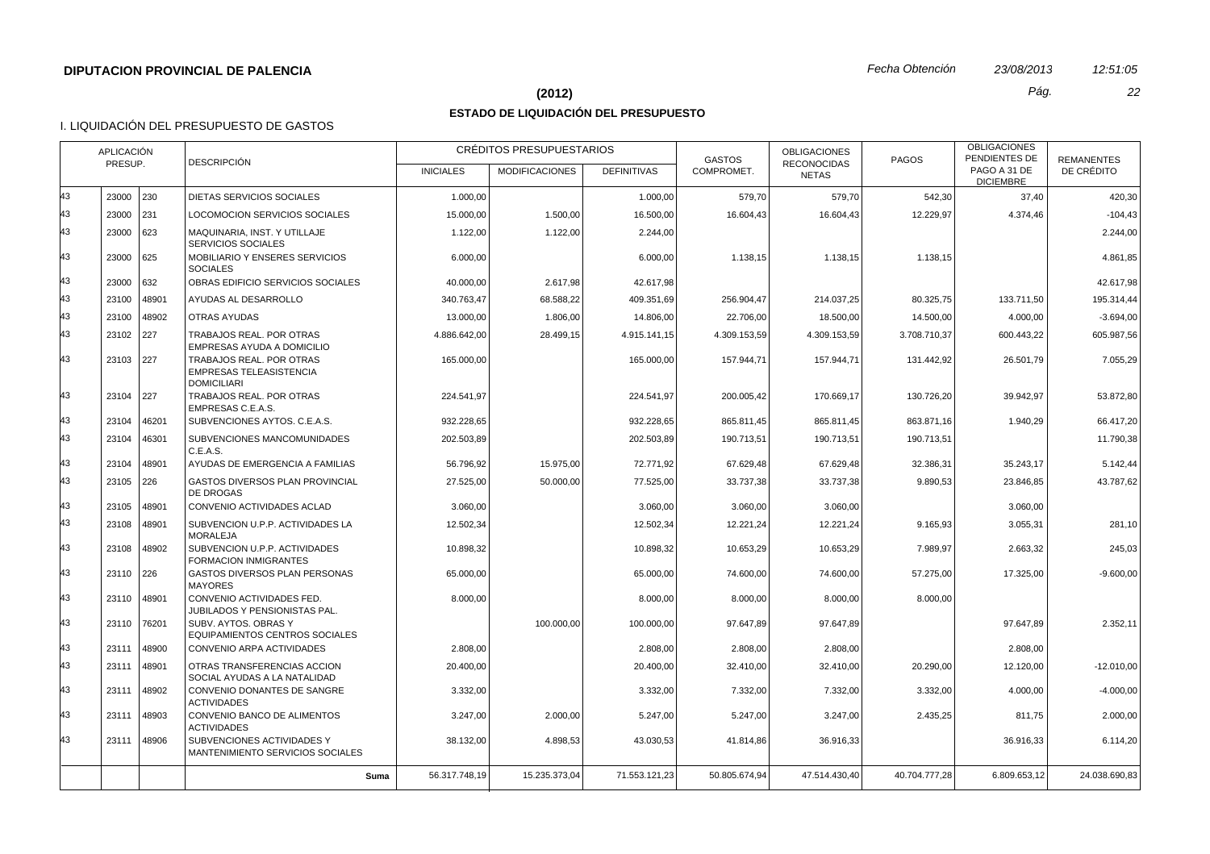## **(2012)** *Pág. 22*

# **ESTADO DE LIQUIDACIÓN DEL PRESUPUESTO**

|    | <b>APLICACIÓN</b><br>PRESUP. |       | <b>DESCRIPCIÓN</b>                                                               |                  | CRÉDITOS PRESUPUESTARIOS |                    | <b>GASTOS</b> | <b>OBLIGACIONES</b><br><b>RECONOCIDAS</b> | PAGOS         | <b>OBLIGACIONES</b><br>PENDIENTES DE | <b>REMANENTES</b> |
|----|------------------------------|-------|----------------------------------------------------------------------------------|------------------|--------------------------|--------------------|---------------|-------------------------------------------|---------------|--------------------------------------|-------------------|
|    |                              |       |                                                                                  | <b>INICIALES</b> | <b>MODIFICACIONES</b>    | <b>DEFINITIVAS</b> | COMPROMET.    | <b>NETAS</b>                              |               | PAGO A 31 DE<br><b>DICIEMBRE</b>     | DE CRÉDITO        |
| 43 | 23000                        | 230   | DIETAS SERVICIOS SOCIALES                                                        | 1.000,00         |                          | 1.000,00           | 579,70        | 579,70                                    | 542,30        | 37,40                                | 420,30            |
| 43 | 23000                        | 231   | LOCOMOCION SERVICIOS SOCIALES                                                    | 15.000,00        | 1.500,00                 | 16.500,00          | 16.604,43     | 16.604,43                                 | 12.229,97     | 4.374,46                             | $-104,43$         |
| 43 | 23000                        | 623   | MAQUINARIA, INST. Y UTILLAJE<br>SERVICIOS SOCIALES                               | 1.122,00         | 1.122,00                 | 2.244,00           |               |                                           |               |                                      | 2.244,00          |
| 43 | 23000                        | 625   | MOBILIARIO Y ENSERES SERVICIOS<br><b>SOCIALES</b>                                | 6.000,00         |                          | 6.000,00           | 1.138,15      | 1.138,15                                  | 1.138,15      |                                      | 4.861,85          |
| 43 | 23000                        | 632   | OBRAS EDIFICIO SERVICIOS SOCIALES                                                | 40.000.00        | 2.617.98                 | 42.617,98          |               |                                           |               |                                      | 42.617.98         |
| 43 | 23100                        | 48901 | AYUDAS AL DESARROLLO                                                             | 340.763,47       | 68.588,22                | 409.351,69         | 256.904,47    | 214.037,25                                | 80.325,75     | 133.711,50                           | 195.314,44        |
| 43 | 23100                        | 48902 | OTRAS AYUDAS                                                                     | 13.000,00        | 1.806,00                 | 14.806,00          | 22.706,00     | 18.500,00                                 | 14.500,00     | 4.000,00                             | $-3.694,00$       |
| 43 | 23102                        | 227   | TRABAJOS REAL, POR OTRAS<br>EMPRESAS AYUDA A DOMICILIO                           | 4.886.642.00     | 28.499,15                | 4.915.141.15       | 4.309.153.59  | 4.309.153.59                              | 3.708.710.37  | 600.443.22                           | 605.987.56        |
| 43 | 23103                        | 227   | TRABAJOS REAL. POR OTRAS<br><b>EMPRESAS TELEASISTENCIA</b><br><b>DOMICILIARI</b> | 165.000,00       |                          | 165.000,00         | 157.944,71    | 157.944,71                                | 131.442,92    | 26.501,79                            | 7.055,29          |
| 43 | 23104                        | 227   | TRABAJOS REAL. POR OTRAS<br>EMPRESAS C.E.A.S.                                    | 224.541,97       |                          | 224.541,97         | 200.005,42    | 170.669,17                                | 130.726,20    | 39.942,97                            | 53.872,80         |
| 43 | 23104                        | 46201 | SUBVENCIONES AYTOS, C.E.A.S.                                                     | 932.228,65       |                          | 932.228,65         | 865.811.45    | 865.811.45                                | 863.871.16    | 1.940,29                             | 66.417,20         |
| 43 | 23104                        | 46301 | SUBVENCIONES MANCOMUNIDADES<br>C.E.A.S.                                          | 202.503,89       |                          | 202.503,89         | 190.713,51    | 190.713,51                                | 190.713,51    |                                      | 11.790,38         |
| 43 | 23104                        | 48901 | AYUDAS DE EMERGENCIA A FAMILIAS                                                  | 56.796,92        | 15.975,00                | 72.771,92          | 67.629,48     | 67.629,48                                 | 32.386,31     | 35.243,17                            | 5.142,44          |
| 43 | 23105                        | 226   | GASTOS DIVERSOS PLAN PROVINCIAL<br><b>DE DROGAS</b>                              | 27.525,00        | 50.000,00                | 77.525,00          | 33.737,38     | 33.737,38                                 | 9.890,53      | 23.846,85                            | 43.787,62         |
| 43 | 23105                        | 48901 | CONVENIO ACTIVIDADES ACLAD                                                       | 3.060,00         |                          | 3.060,00           | 3.060,00      | 3.060,00                                  |               | 3.060,00                             |                   |
| 43 | 23108                        | 48901 | SUBVENCION U.P.P. ACTIVIDADES LA<br><b>MORALEJA</b>                              | 12.502,34        |                          | 12.502,34          | 12.221,24     | 12.221,24                                 | 9.165,93      | 3.055,31                             | 281,10            |
| 43 | 23108                        | 48902 | SUBVENCION U.P.P. ACTIVIDADES<br><b>FORMACION INMIGRANTES</b>                    | 10.898,32        |                          | 10.898,32          | 10.653,29     | 10.653,29                                 | 7.989,97      | 2.663,32                             | 245,03            |
| 43 | 23110 226                    |       | GASTOS DIVERSOS PLAN PERSONAS<br><b>MAYORES</b>                                  | 65.000,00        |                          | 65.000,00          | 74.600,00     | 74.600,00                                 | 57.275,00     | 17.325,00                            | $-9.600,00$       |
| 43 | 23110                        | 48901 | CONVENIO ACTIVIDADES FED.<br>JUBILADOS Y PENSIONISTAS PAL.                       | 8.000,00         |                          | 8.000,00           | 8.000,00      | 8.000,00                                  | 8.000,00      |                                      |                   |
| 43 | 23110                        | 76201 | SUBV. AYTOS, OBRAS Y<br>EQUIPAMIENTOS CENTROS SOCIALES                           |                  | 100.000,00               | 100.000,00         | 97.647,89     | 97.647,89                                 |               | 97.647,89                            | 2.352,11          |
| 43 | 23111                        | 48900 | CONVENIO ARPA ACTIVIDADES                                                        | 2.808,00         |                          | 2.808,00           | 2.808,00      | 2.808,00                                  |               | 2.808,00                             |                   |
| 43 | 23111                        | 48901 | OTRAS TRANSFERENCIAS ACCION<br>SOCIAL AYUDAS A LA NATALIDAD                      | 20.400,00        |                          | 20.400,00          | 32.410,00     | 32.410,00                                 | 20.290,00     | 12.120,00                            | $-12.010,00$      |
| 43 | 23111                        | 48902 | CONVENIO DONANTES DE SANGRE<br><b>ACTIVIDADES</b>                                | 3.332,00         |                          | 3.332,00           | 7.332,00      | 7.332,00                                  | 3.332,00      | 4.000,00                             | $-4.000,00$       |
| 43 | 23111                        | 48903 | CONVENIO BANCO DE ALIMENTOS<br><b>ACTIVIDADES</b>                                | 3.247.00         | 2.000,00                 | 5.247,00           | 5.247,00      | 3.247,00                                  | 2.435,25      | 811,75                               | 2.000,00          |
| 43 | 23111                        | 48906 | SUBVENCIONES ACTIVIDADES Y<br>MANTENIMIENTO SERVICIOS SOCIALES                   | 38.132,00        | 4.898,53                 | 43.030,53          | 41.814,86     | 36.916,33                                 |               | 36.916,33                            | 6.114,20          |
|    |                              |       | Suma                                                                             | 56.317.748,19    | 15.235.373,04            | 71.553.121,23      | 50.805.674.94 | 47.514.430,40                             | 40.704.777,28 | 6.809.653,12                         | 24.038.690.83     |
|    |                              |       |                                                                                  |                  |                          |                    |               |                                           |               |                                      |                   |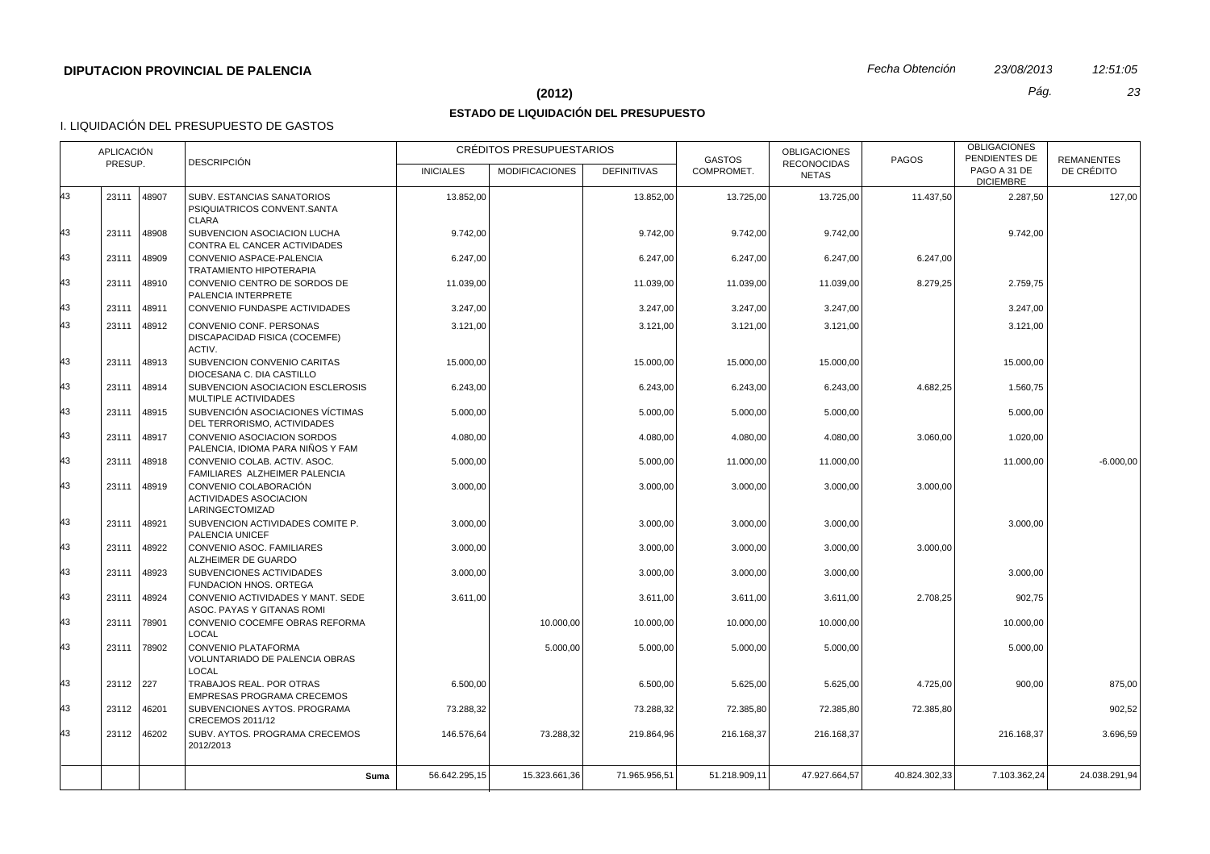#### **(2012)** *Pág. 23*

# **ESTADO DE LIQUIDACIÓN DEL PRESUPUESTO**

| <b>DESCRIPCIÓN</b><br>PRESUP.<br><b>RECONOCIDAS</b><br>PAGO A 31 DE<br>COMPROMET.<br>DE CRÉDITO<br><b>INICIALES</b><br><b>MODIFICACIONES</b><br><b>DEFINITIVAS</b><br><b>NETAS</b><br><b>DICIEMBRE</b><br>23111<br>48907<br>SUBV. ESTANCIAS SANATORIOS<br>13.852,00<br>13.852,00<br>13.725,00<br>13.725,00<br>11.437,50<br>2.287,50<br>127,00<br>PSIQUIATRICOS CONVENT.SANTA<br>CLARA<br>48908<br>23111<br>SUBVENCION ASOCIACION LUCHA<br>9.742,00<br>9.742,00<br>9.742,00<br>9.742,00<br>9.742,00<br>CONTRA EL CANCER ACTIVIDADES<br>23111<br>48909<br>CONVENIO ASPACE-PALENCIA<br>6.247,00<br>6.247,00<br>6.247,00<br>6.247,00<br>6.247,00<br>TRATAMIENTO HIPOTERAPIA<br>23111<br>48910<br>CONVENIO CENTRO DE SORDOS DE<br>11.039,00<br>8.279,25<br>2.759,75<br>11.039,00<br>11.039,00<br>11.039,00<br>PALENCIA INTERPRETE<br>23111<br>48911<br>3.247,00<br>3.247,00<br>3.247,00<br>CONVENIO FUNDASPE ACTIVIDADES<br>3.247,00<br>3.247,00<br>48912<br>23111<br>CONVENIO CONF. PERSONAS<br>3.121,00<br>3.121,00<br>3.121,00<br>3.121,00<br>3.121,00<br>DISCAPACIDAD FISICA (COCEMFE)<br>ACTIV.<br>23111<br>48913<br>SUBVENCION CONVENIO CARITAS<br>15.000,00<br>15.000,00<br>15.000,00<br>15.000,00<br>15.000,00<br>DIOCESANA C. DIA CASTILLO<br>23111<br>48914<br>4.682,25<br>SUBVENCION ASOCIACION ESCLEROSIS<br>6.243,00<br>6.243,00<br>6.243,00<br>6.243,00<br>1.560,75<br>MULTIPLE ACTIVIDADES<br>43<br>SUBVENCIÓN ASOCIACIONES VÍCTIMAS<br>23111<br>48915<br>5.000,00<br>5.000,00<br>5.000,00<br>5.000,00<br>5.000,00<br>DEL TERRORISMO, ACTIVIDADES<br>43<br>CONVENIO ASOCIACION SORDOS<br>23111<br>48917<br>4.080,00<br>4.080,00<br>4.080,00<br>4.080,00<br>3.060,00<br>1.020,00<br>PALENCIA, IDIOMA PARA NIÑOS Y FAM<br>43<br>48918<br>CONVENIO COLAB. ACTIV. ASOC.<br>23111<br>5.000,00<br>5.000,00<br>11.000,00<br>11.000,00<br>11.000,00<br>$-6.000,00$<br>FAMILIARES ALZHEIMER PALENCIA<br>43<br>23111<br>48919<br>CONVENIO COLABORACIÓN<br>3.000,00<br>3.000,00<br>3.000,00<br>3.000,00<br>3.000,00<br><b>ACTIVIDADES ASOCIACION</b><br>LARINGECTOMIZAD<br>23111<br>48921<br>SUBVENCION ACTIVIDADES COMITE P.<br>3.000,00<br>3.000,00<br>3.000,00<br>3.000,00<br>3.000,00<br>PALENCIA UNICEF<br>48922<br>3.000,00<br>23111<br>CONVENIO ASOC. FAMILIARES<br>3.000,00<br>3.000,00<br>3.000,00<br>3.000,00<br>ALZHEIMER DE GUARDO<br>23111<br>48923<br>SUBVENCIONES ACTIVIDADES<br>3.000,00<br>3.000,00<br>3.000,00<br>3.000,00<br>3.000,00<br>FUNDACION HNOS. ORTEGA<br>23111<br>48924<br>CONVENIO ACTIVIDADES Y MANT. SEDE<br>3.611,00<br>2.708,25<br>902,75<br>3.611,00<br>3.611,00<br>3.611,00<br>ASOC. PAYAS Y GITANAS ROMI<br>43<br>23111<br>CONVENIO COCEMFE OBRAS REFORMA<br>78901<br>10.000,00<br>10.000,00<br>10.000,00<br>10.000,00<br>10.000,00<br>LOCAL<br>23111<br>78902<br>CONVENIO PLATAFORMA<br>5.000,00<br>5.000,00<br>5.000,00<br>5.000,00<br>5.000,00<br><b>VOLUNTARIADO DE PALENCIA OBRAS</b><br><b>LOCAL</b><br>23112 227<br>TRABAJOS REAL. POR OTRAS<br>6.500,00<br>875,00<br>6.500,00<br>5.625,00<br>5.625,00<br>4.725,00<br>900,00<br>EMPRESAS PROGRAMA CRECEMOS<br>23112 46201<br>SUBVENCIONES AYTOS. PROGRAMA<br>73.288,32<br>73.288,32<br>72.385,80<br>72.385,80<br>72.385,80<br>902,52<br>CRECEMOS 2011/12<br>23112 46202<br>SUBV. AYTOS. PROGRAMA CRECEMOS<br>73.288,32<br>3.696,59<br>146.576,64<br>219.864,96<br>216.168,37<br>216.168,37<br>216.168.37<br>2012/2013<br>56.642.295,15<br>15.323.661,36<br>71.965.956.51<br>51.218.909.11<br>47.927.664.57<br>40.824.302,33<br>7.103.362,24<br>24.038.291.94<br>Suma |    | APLICACIÓN |  | CRÉDITOS PRESUPUESTARIOS |  | <b>GASTOS</b> | <b>OBLIGACIONES</b> | <b>PAGOS</b> | <b>OBLIGACIONES</b><br>PENDIENTES DE | <b>REMANENTES</b> |
|-----------------------------------------------------------------------------------------------------------------------------------------------------------------------------------------------------------------------------------------------------------------------------------------------------------------------------------------------------------------------------------------------------------------------------------------------------------------------------------------------------------------------------------------------------------------------------------------------------------------------------------------------------------------------------------------------------------------------------------------------------------------------------------------------------------------------------------------------------------------------------------------------------------------------------------------------------------------------------------------------------------------------------------------------------------------------------------------------------------------------------------------------------------------------------------------------------------------------------------------------------------------------------------------------------------------------------------------------------------------------------------------------------------------------------------------------------------------------------------------------------------------------------------------------------------------------------------------------------------------------------------------------------------------------------------------------------------------------------------------------------------------------------------------------------------------------------------------------------------------------------------------------------------------------------------------------------------------------------------------------------------------------------------------------------------------------------------------------------------------------------------------------------------------------------------------------------------------------------------------------------------------------------------------------------------------------------------------------------------------------------------------------------------------------------------------------------------------------------------------------------------------------------------------------------------------------------------------------------------------------------------------------------------------------------------------------------------------------------------------------------------------------------------------------------------------------------------------------------------------------------------------------------------------------------------------------------------------------------------------------------------------------------------------------------------------------------------------------------------------------------------------------------------------------------------------------------------------------------------------------------------------------------------------------------------------------------------------------------------------------------------------------------------------------------------------------------------------------------------------------------------------------------------------------------------------|----|------------|--|--------------------------|--|---------------|---------------------|--------------|--------------------------------------|-------------------|
|                                                                                                                                                                                                                                                                                                                                                                                                                                                                                                                                                                                                                                                                                                                                                                                                                                                                                                                                                                                                                                                                                                                                                                                                                                                                                                                                                                                                                                                                                                                                                                                                                                                                                                                                                                                                                                                                                                                                                                                                                                                                                                                                                                                                                                                                                                                                                                                                                                                                                                                                                                                                                                                                                                                                                                                                                                                                                                                                                                                                                                                                                                                                                                                                                                                                                                                                                                                                                                                                                                                                                                 |    |            |  |                          |  |               |                     |              |                                      |                   |
|                                                                                                                                                                                                                                                                                                                                                                                                                                                                                                                                                                                                                                                                                                                                                                                                                                                                                                                                                                                                                                                                                                                                                                                                                                                                                                                                                                                                                                                                                                                                                                                                                                                                                                                                                                                                                                                                                                                                                                                                                                                                                                                                                                                                                                                                                                                                                                                                                                                                                                                                                                                                                                                                                                                                                                                                                                                                                                                                                                                                                                                                                                                                                                                                                                                                                                                                                                                                                                                                                                                                                                 | 43 |            |  |                          |  |               |                     |              |                                      |                   |
|                                                                                                                                                                                                                                                                                                                                                                                                                                                                                                                                                                                                                                                                                                                                                                                                                                                                                                                                                                                                                                                                                                                                                                                                                                                                                                                                                                                                                                                                                                                                                                                                                                                                                                                                                                                                                                                                                                                                                                                                                                                                                                                                                                                                                                                                                                                                                                                                                                                                                                                                                                                                                                                                                                                                                                                                                                                                                                                                                                                                                                                                                                                                                                                                                                                                                                                                                                                                                                                                                                                                                                 | 43 |            |  |                          |  |               |                     |              |                                      |                   |
|                                                                                                                                                                                                                                                                                                                                                                                                                                                                                                                                                                                                                                                                                                                                                                                                                                                                                                                                                                                                                                                                                                                                                                                                                                                                                                                                                                                                                                                                                                                                                                                                                                                                                                                                                                                                                                                                                                                                                                                                                                                                                                                                                                                                                                                                                                                                                                                                                                                                                                                                                                                                                                                                                                                                                                                                                                                                                                                                                                                                                                                                                                                                                                                                                                                                                                                                                                                                                                                                                                                                                                 | 43 |            |  |                          |  |               |                     |              |                                      |                   |
|                                                                                                                                                                                                                                                                                                                                                                                                                                                                                                                                                                                                                                                                                                                                                                                                                                                                                                                                                                                                                                                                                                                                                                                                                                                                                                                                                                                                                                                                                                                                                                                                                                                                                                                                                                                                                                                                                                                                                                                                                                                                                                                                                                                                                                                                                                                                                                                                                                                                                                                                                                                                                                                                                                                                                                                                                                                                                                                                                                                                                                                                                                                                                                                                                                                                                                                                                                                                                                                                                                                                                                 | 43 |            |  |                          |  |               |                     |              |                                      |                   |
|                                                                                                                                                                                                                                                                                                                                                                                                                                                                                                                                                                                                                                                                                                                                                                                                                                                                                                                                                                                                                                                                                                                                                                                                                                                                                                                                                                                                                                                                                                                                                                                                                                                                                                                                                                                                                                                                                                                                                                                                                                                                                                                                                                                                                                                                                                                                                                                                                                                                                                                                                                                                                                                                                                                                                                                                                                                                                                                                                                                                                                                                                                                                                                                                                                                                                                                                                                                                                                                                                                                                                                 | 43 |            |  |                          |  |               |                     |              |                                      |                   |
|                                                                                                                                                                                                                                                                                                                                                                                                                                                                                                                                                                                                                                                                                                                                                                                                                                                                                                                                                                                                                                                                                                                                                                                                                                                                                                                                                                                                                                                                                                                                                                                                                                                                                                                                                                                                                                                                                                                                                                                                                                                                                                                                                                                                                                                                                                                                                                                                                                                                                                                                                                                                                                                                                                                                                                                                                                                                                                                                                                                                                                                                                                                                                                                                                                                                                                                                                                                                                                                                                                                                                                 | 43 |            |  |                          |  |               |                     |              |                                      |                   |
|                                                                                                                                                                                                                                                                                                                                                                                                                                                                                                                                                                                                                                                                                                                                                                                                                                                                                                                                                                                                                                                                                                                                                                                                                                                                                                                                                                                                                                                                                                                                                                                                                                                                                                                                                                                                                                                                                                                                                                                                                                                                                                                                                                                                                                                                                                                                                                                                                                                                                                                                                                                                                                                                                                                                                                                                                                                                                                                                                                                                                                                                                                                                                                                                                                                                                                                                                                                                                                                                                                                                                                 | 43 |            |  |                          |  |               |                     |              |                                      |                   |
|                                                                                                                                                                                                                                                                                                                                                                                                                                                                                                                                                                                                                                                                                                                                                                                                                                                                                                                                                                                                                                                                                                                                                                                                                                                                                                                                                                                                                                                                                                                                                                                                                                                                                                                                                                                                                                                                                                                                                                                                                                                                                                                                                                                                                                                                                                                                                                                                                                                                                                                                                                                                                                                                                                                                                                                                                                                                                                                                                                                                                                                                                                                                                                                                                                                                                                                                                                                                                                                                                                                                                                 | 43 |            |  |                          |  |               |                     |              |                                      |                   |
|                                                                                                                                                                                                                                                                                                                                                                                                                                                                                                                                                                                                                                                                                                                                                                                                                                                                                                                                                                                                                                                                                                                                                                                                                                                                                                                                                                                                                                                                                                                                                                                                                                                                                                                                                                                                                                                                                                                                                                                                                                                                                                                                                                                                                                                                                                                                                                                                                                                                                                                                                                                                                                                                                                                                                                                                                                                                                                                                                                                                                                                                                                                                                                                                                                                                                                                                                                                                                                                                                                                                                                 |    |            |  |                          |  |               |                     |              |                                      |                   |
|                                                                                                                                                                                                                                                                                                                                                                                                                                                                                                                                                                                                                                                                                                                                                                                                                                                                                                                                                                                                                                                                                                                                                                                                                                                                                                                                                                                                                                                                                                                                                                                                                                                                                                                                                                                                                                                                                                                                                                                                                                                                                                                                                                                                                                                                                                                                                                                                                                                                                                                                                                                                                                                                                                                                                                                                                                                                                                                                                                                                                                                                                                                                                                                                                                                                                                                                                                                                                                                                                                                                                                 |    |            |  |                          |  |               |                     |              |                                      |                   |
|                                                                                                                                                                                                                                                                                                                                                                                                                                                                                                                                                                                                                                                                                                                                                                                                                                                                                                                                                                                                                                                                                                                                                                                                                                                                                                                                                                                                                                                                                                                                                                                                                                                                                                                                                                                                                                                                                                                                                                                                                                                                                                                                                                                                                                                                                                                                                                                                                                                                                                                                                                                                                                                                                                                                                                                                                                                                                                                                                                                                                                                                                                                                                                                                                                                                                                                                                                                                                                                                                                                                                                 |    |            |  |                          |  |               |                     |              |                                      |                   |
|                                                                                                                                                                                                                                                                                                                                                                                                                                                                                                                                                                                                                                                                                                                                                                                                                                                                                                                                                                                                                                                                                                                                                                                                                                                                                                                                                                                                                                                                                                                                                                                                                                                                                                                                                                                                                                                                                                                                                                                                                                                                                                                                                                                                                                                                                                                                                                                                                                                                                                                                                                                                                                                                                                                                                                                                                                                                                                                                                                                                                                                                                                                                                                                                                                                                                                                                                                                                                                                                                                                                                                 |    |            |  |                          |  |               |                     |              |                                      |                   |
|                                                                                                                                                                                                                                                                                                                                                                                                                                                                                                                                                                                                                                                                                                                                                                                                                                                                                                                                                                                                                                                                                                                                                                                                                                                                                                                                                                                                                                                                                                                                                                                                                                                                                                                                                                                                                                                                                                                                                                                                                                                                                                                                                                                                                                                                                                                                                                                                                                                                                                                                                                                                                                                                                                                                                                                                                                                                                                                                                                                                                                                                                                                                                                                                                                                                                                                                                                                                                                                                                                                                                                 | 43 |            |  |                          |  |               |                     |              |                                      |                   |
|                                                                                                                                                                                                                                                                                                                                                                                                                                                                                                                                                                                                                                                                                                                                                                                                                                                                                                                                                                                                                                                                                                                                                                                                                                                                                                                                                                                                                                                                                                                                                                                                                                                                                                                                                                                                                                                                                                                                                                                                                                                                                                                                                                                                                                                                                                                                                                                                                                                                                                                                                                                                                                                                                                                                                                                                                                                                                                                                                                                                                                                                                                                                                                                                                                                                                                                                                                                                                                                                                                                                                                 | 43 |            |  |                          |  |               |                     |              |                                      |                   |
|                                                                                                                                                                                                                                                                                                                                                                                                                                                                                                                                                                                                                                                                                                                                                                                                                                                                                                                                                                                                                                                                                                                                                                                                                                                                                                                                                                                                                                                                                                                                                                                                                                                                                                                                                                                                                                                                                                                                                                                                                                                                                                                                                                                                                                                                                                                                                                                                                                                                                                                                                                                                                                                                                                                                                                                                                                                                                                                                                                                                                                                                                                                                                                                                                                                                                                                                                                                                                                                                                                                                                                 | 43 |            |  |                          |  |               |                     |              |                                      |                   |
|                                                                                                                                                                                                                                                                                                                                                                                                                                                                                                                                                                                                                                                                                                                                                                                                                                                                                                                                                                                                                                                                                                                                                                                                                                                                                                                                                                                                                                                                                                                                                                                                                                                                                                                                                                                                                                                                                                                                                                                                                                                                                                                                                                                                                                                                                                                                                                                                                                                                                                                                                                                                                                                                                                                                                                                                                                                                                                                                                                                                                                                                                                                                                                                                                                                                                                                                                                                                                                                                                                                                                                 | 43 |            |  |                          |  |               |                     |              |                                      |                   |
|                                                                                                                                                                                                                                                                                                                                                                                                                                                                                                                                                                                                                                                                                                                                                                                                                                                                                                                                                                                                                                                                                                                                                                                                                                                                                                                                                                                                                                                                                                                                                                                                                                                                                                                                                                                                                                                                                                                                                                                                                                                                                                                                                                                                                                                                                                                                                                                                                                                                                                                                                                                                                                                                                                                                                                                                                                                                                                                                                                                                                                                                                                                                                                                                                                                                                                                                                                                                                                                                                                                                                                 |    |            |  |                          |  |               |                     |              |                                      |                   |
|                                                                                                                                                                                                                                                                                                                                                                                                                                                                                                                                                                                                                                                                                                                                                                                                                                                                                                                                                                                                                                                                                                                                                                                                                                                                                                                                                                                                                                                                                                                                                                                                                                                                                                                                                                                                                                                                                                                                                                                                                                                                                                                                                                                                                                                                                                                                                                                                                                                                                                                                                                                                                                                                                                                                                                                                                                                                                                                                                                                                                                                                                                                                                                                                                                                                                                                                                                                                                                                                                                                                                                 | 43 |            |  |                          |  |               |                     |              |                                      |                   |
|                                                                                                                                                                                                                                                                                                                                                                                                                                                                                                                                                                                                                                                                                                                                                                                                                                                                                                                                                                                                                                                                                                                                                                                                                                                                                                                                                                                                                                                                                                                                                                                                                                                                                                                                                                                                                                                                                                                                                                                                                                                                                                                                                                                                                                                                                                                                                                                                                                                                                                                                                                                                                                                                                                                                                                                                                                                                                                                                                                                                                                                                                                                                                                                                                                                                                                                                                                                                                                                                                                                                                                 | 43 |            |  |                          |  |               |                     |              |                                      |                   |
|                                                                                                                                                                                                                                                                                                                                                                                                                                                                                                                                                                                                                                                                                                                                                                                                                                                                                                                                                                                                                                                                                                                                                                                                                                                                                                                                                                                                                                                                                                                                                                                                                                                                                                                                                                                                                                                                                                                                                                                                                                                                                                                                                                                                                                                                                                                                                                                                                                                                                                                                                                                                                                                                                                                                                                                                                                                                                                                                                                                                                                                                                                                                                                                                                                                                                                                                                                                                                                                                                                                                                                 | 43 |            |  |                          |  |               |                     |              |                                      |                   |
|                                                                                                                                                                                                                                                                                                                                                                                                                                                                                                                                                                                                                                                                                                                                                                                                                                                                                                                                                                                                                                                                                                                                                                                                                                                                                                                                                                                                                                                                                                                                                                                                                                                                                                                                                                                                                                                                                                                                                                                                                                                                                                                                                                                                                                                                                                                                                                                                                                                                                                                                                                                                                                                                                                                                                                                                                                                                                                                                                                                                                                                                                                                                                                                                                                                                                                                                                                                                                                                                                                                                                                 | 43 |            |  |                          |  |               |                     |              |                                      |                   |
|                                                                                                                                                                                                                                                                                                                                                                                                                                                                                                                                                                                                                                                                                                                                                                                                                                                                                                                                                                                                                                                                                                                                                                                                                                                                                                                                                                                                                                                                                                                                                                                                                                                                                                                                                                                                                                                                                                                                                                                                                                                                                                                                                                                                                                                                                                                                                                                                                                                                                                                                                                                                                                                                                                                                                                                                                                                                                                                                                                                                                                                                                                                                                                                                                                                                                                                                                                                                                                                                                                                                                                 |    |            |  |                          |  |               |                     |              |                                      |                   |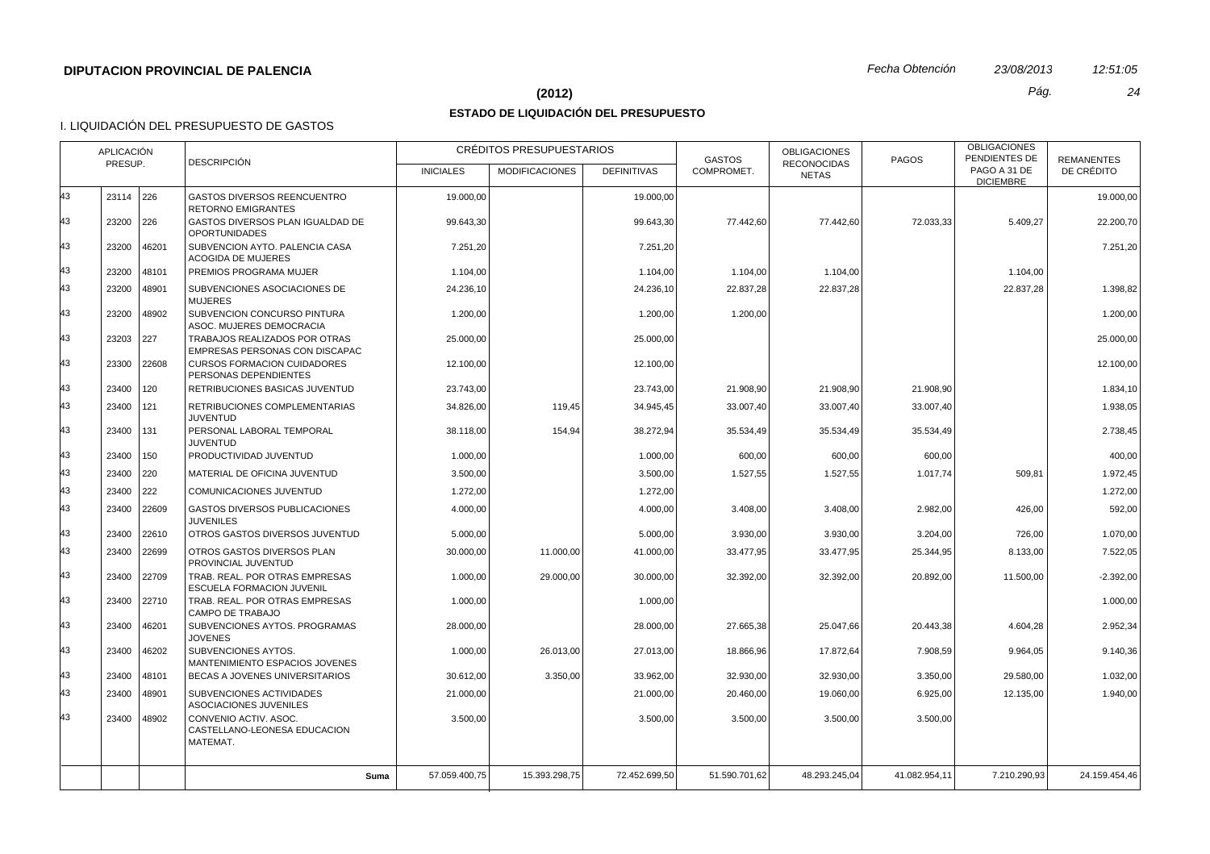#### **(2012)** *Pág. 24*

## **ESTADO DE LIQUIDACIÓN DEL PRESUPUESTO**

|    | <b>APLICACIÓN</b><br>PRESUP. |             | <b>DESCRIPCIÓN</b>                                                 |                  | CRÉDITOS PRESUPUESTARIOS |                    | <b>GASTOS</b> | <b>OBLIGACIONES</b><br><b>RECONOCIDAS</b> | <b>PAGOS</b>  | <b>OBLIGACIONES</b><br>PENDIENTES DE | <b>REMANENTES</b> |
|----|------------------------------|-------------|--------------------------------------------------------------------|------------------|--------------------------|--------------------|---------------|-------------------------------------------|---------------|--------------------------------------|-------------------|
|    |                              |             |                                                                    | <b>INICIALES</b> | <b>MODIFICACIONES</b>    | <b>DEFINITIVAS</b> | COMPROMET.    | <b>NETAS</b>                              |               | PAGO A 31 DE<br><b>DICIEMBRE</b>     | DE CRÉDITO        |
| 43 | 23114 226                    |             | GASTOS DIVERSOS REENCUENTRO<br><b>RETORNO EMIGRANTES</b>           | 19.000,00        |                          | 19.000,00          |               |                                           |               |                                      | 19.000,00         |
| 43 | 23200 226                    |             | GASTOS DIVERSOS PLAN IGUALDAD DE<br><b>OPORTUNIDADES</b>           | 99.643,30        |                          | 99.643,30          | 77.442,60     | 77.442,60                                 | 72.033,33     | 5.409,27                             | 22.200,70         |
| 43 | 23200                        | 46201       | SUBVENCION AYTO. PALENCIA CASA<br><b>ACOGIDA DE MUJERES</b>        | 7.251,20         |                          | 7.251,20           |               |                                           |               |                                      | 7.251,20          |
| 43 | 23200                        | 48101       | PREMIOS PROGRAMA MUJER                                             | 1.104,00         |                          | 1.104,00           | 1.104,00      | 1.104,00                                  |               | 1.104,00                             |                   |
| 43 | 23200                        | 48901       | SUBVENCIONES ASOCIACIONES DE<br><b>MUJERES</b>                     | 24.236,10        |                          | 24.236,10          | 22.837,28     | 22.837,28                                 |               | 22.837,28                            | 1.398,82          |
| 43 | 23200                        | 48902       | SUBVENCION CONCURSO PINTURA<br>ASOC. MUJERES DEMOCRACIA            | 1.200,00         |                          | 1.200,00           | 1.200,00      |                                           |               |                                      | 1.200,00          |
| 43 | 23203                        | 227         | TRABAJOS REALIZADOS POR OTRAS<br>EMPRESAS PERSONAS CON DISCAPAC    | 25.000,00        |                          | 25.000,00          |               |                                           |               |                                      | 25.000,00         |
| 43 | 23300                        | 22608       | <b>CURSOS FORMACION CUIDADORES</b><br>PERSONAS DEPENDIENTES        | 12.100,00        |                          | 12.100,00          |               |                                           |               |                                      | 12.100,00         |
| 43 | 23400                        | 120         | RETRIBUCIONES BASICAS JUVENTUD                                     | 23.743,00        |                          | 23.743,00          | 21.908,90     | 21.908,90                                 | 21.908,90     |                                      | 1.834,10          |
| 43 | 23400                        | 121         | RETRIBUCIONES COMPLEMENTARIAS<br><b>JUVENTUD</b>                   | 34.826,00        | 119,45                   | 34.945,45          | 33.007,40     | 33.007,40                                 | 33.007,40     |                                      | 1.938,05          |
| 43 | 23400                        | 131         | PERSONAL LABORAL TEMPORAL<br><b>JUVENTUD</b>                       | 38.118,00        | 154,94                   | 38.272,94          | 35.534,49     | 35.534,49                                 | 35.534,49     |                                      | 2.738,45          |
| 43 | 23400                        | 150         | PRODUCTIVIDAD JUVENTUD                                             | 1.000,00         |                          | 1.000,00           | 600,00        | 600,00                                    | 600,00        |                                      | 400,00            |
| 43 | 23400                        | 220         | MATERIAL DE OFICINA JUVENTUD                                       | 3.500,00         |                          | 3.500,00           | 1.527,55      | 1.527,55                                  | 1.017,74      | 509,81                               | 1.972,45          |
| 43 | 23400                        | 222         | COMUNICACIONES JUVENTUD                                            | 1.272,00         |                          | 1.272,00           |               |                                           |               |                                      | 1.272,00          |
| 43 | 23400                        | 22609       | <b>GASTOS DIVERSOS PUBLICACIONES</b><br><b>JUVENILES</b>           | 4.000,00         |                          | 4.000,00           | 3.408,00      | 3.408,00                                  | 2.982,00      | 426,00                               | 592,00            |
| 43 | 23400                        | 22610       | OTROS GASTOS DIVERSOS JUVENTUD                                     | 5.000,00         |                          | 5.000,00           | 3.930,00      | 3.930,00                                  | 3.204,00      | 726,00                               | 1.070,00          |
| 43 | 23400                        | 22699       | OTROS GASTOS DIVERSOS PLAN<br>PROVINCIAL JUVENTUD                  | 30.000,00        | 11.000,00                | 41.000,00          | 33.477,95     | 33.477,95                                 | 25.344,95     | 8.133,00                             | 7.522,05          |
| 43 | 23400                        | 22709       | TRAB. REAL. POR OTRAS EMPRESAS<br><b>ESCUELA FORMACION JUVENIL</b> | 1.000,00         | 29.000,00                | 30.000,00          | 32.392,00     | 32.392,00                                 | 20.892,00     | 11.500,00                            | $-2.392,00$       |
| 43 |                              | 23400 22710 | TRAB. REAL. POR OTRAS EMPRESAS<br>CAMPO DE TRABAJO                 | 1.000,00         |                          | 1.000,00           |               |                                           |               |                                      | 1.000,00          |
| 43 | 23400                        | 46201       | SUBVENCIONES AYTOS. PROGRAMAS<br><b>JOVENES</b>                    | 28.000,00        |                          | 28.000,00          | 27.665,38     | 25.047,66                                 | 20.443,38     | 4.604,28                             | 2.952,34          |
| 43 | 23400                        | 46202       | SUBVENCIONES AYTOS.<br>MANTENIMIENTO ESPACIOS JOVENES              | 1.000,00         | 26.013,00                | 27.013,00          | 18.866,96     | 17.872,64                                 | 7.908,59      | 9.964,05                             | 9.140,36          |
| 43 | 23400                        | 48101       | BECAS A JOVENES UNIVERSITARIOS                                     | 30.612,00        | 3.350,00                 | 33.962,00          | 32.930,00     | 32.930,00                                 | 3.350,00      | 29.580,00                            | 1.032,00          |
| 43 | 23400                        | 48901       | SUBVENCIONES ACTIVIDADES<br>ASOCIACIONES JUVENILES                 | 21.000,00        |                          | 21.000,00          | 20.460,00     | 19.060,00                                 | 6.925,00      | 12.135,00                            | 1.940,00          |
| 43 | 23400                        | 48902       | CONVENIO ACTIV. ASOC.<br>CASTELLANO-LEONESA EDUCACION<br>MATEMAT.  | 3.500,00         |                          | 3.500,00           | 3.500,00      | 3.500,00                                  | 3.500,00      |                                      |                   |
|    |                              |             | Suma                                                               | 57.059.400,75    | 15.393.298,75            | 72.452.699,50      | 51.590.701,62 | 48.293.245,04                             | 41.082.954,11 | 7.210.290,93                         | 24.159.454,46     |
|    |                              |             |                                                                    |                  |                          |                    |               |                                           |               |                                      |                   |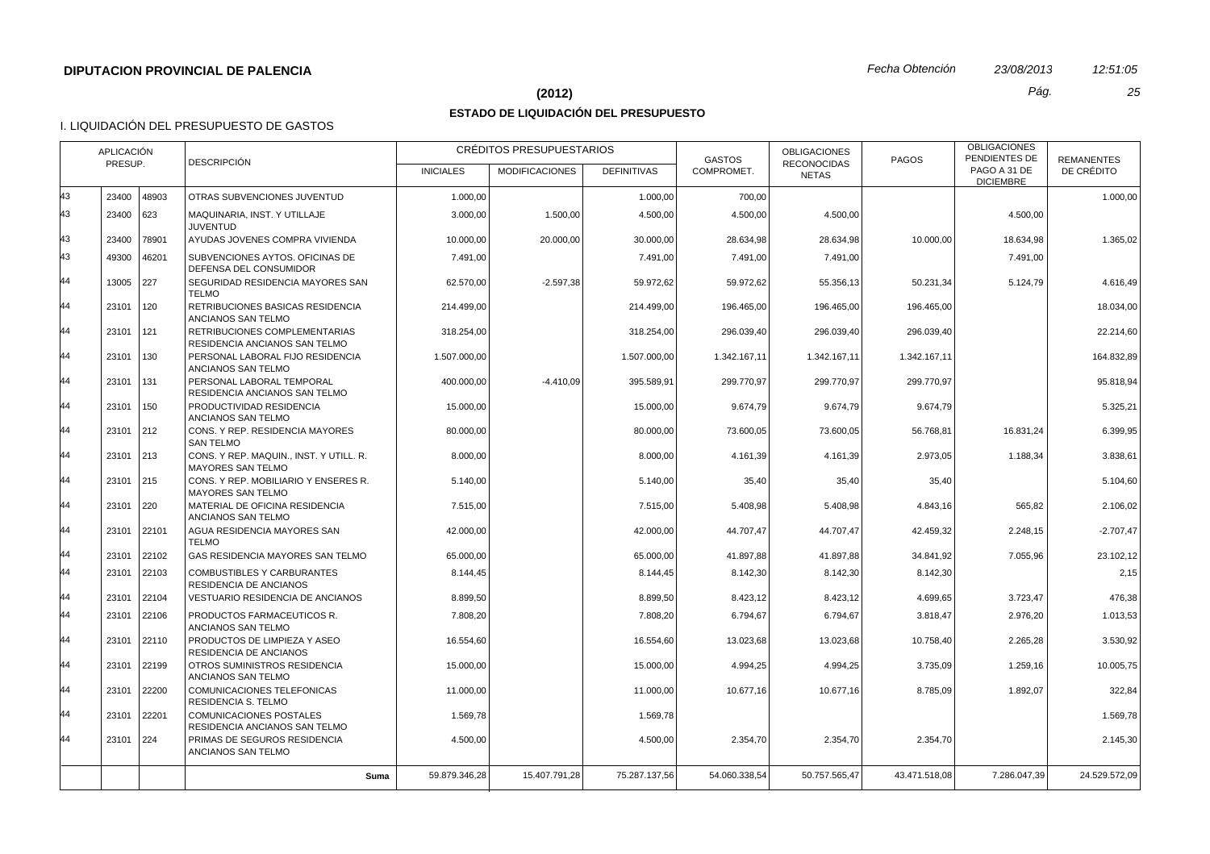# **(2012)** *Pág. 25*

# **ESTADO DE LIQUIDACIÓN DEL PRESUPUESTO**

|          | <b>APLICACIÓN</b><br><b>DESCRIPCIÓN</b><br>PRESUP. |            |                                                                                                             | <b>INICIALES</b>     | CRÉDITOS PRESUPUESTARIOS<br><b>MODIFICACIONES</b> | <b>DEFINITIVAS</b>   | <b>GASTOS</b><br>COMPROMET. | <b>OBLIGACIONES</b><br><b>RECONOCIDAS</b> | <b>PAGOS</b>      | <b>OBLIGACIONES</b><br>PENDIENTES DE<br>PAGO A 31 DE | <b>REMANENTES</b><br>DE CRÉDITO |
|----------|----------------------------------------------------|------------|-------------------------------------------------------------------------------------------------------------|----------------------|---------------------------------------------------|----------------------|-----------------------------|-------------------------------------------|-------------------|------------------------------------------------------|---------------------------------|
|          |                                                    |            |                                                                                                             |                      |                                                   |                      |                             | <b>NETAS</b>                              |                   | <b>DICIEMBRE</b>                                     |                                 |
| 43       | 23400                                              | 48903      | OTRAS SUBVENCIONES JUVENTUD                                                                                 | 1.000,00             |                                                   | 1.000,00             | 700,00                      |                                           |                   |                                                      | 1.000,00                        |
| 43       | 23400                                              | 623        | MAQUINARIA, INST. Y UTILLAJE<br><b>JUVENTUD</b>                                                             | 3.000,00             | 1.500,00                                          | 4.500,00             | 4.500,00                    | 4.500,00                                  |                   | 4.500.00                                             |                                 |
| 43       | 23400                                              | 78901      | AYUDAS JOVENES COMPRA VIVIENDA                                                                              | 10.000,00            | 20.000,00                                         | 30.000,00            | 28.634,98                   | 28.634,98                                 | 10.000,00         | 18.634,98                                            | 1.365,02                        |
| 43       | 49300                                              | 46201      | SUBVENCIONES AYTOS. OFICINAS DE<br>DEFENSA DEL CONSUMIDOR                                                   | 7.491,00             |                                                   | 7.491,00             | 7.491,00                    | 7.491,00                                  |                   | 7.491,00                                             |                                 |
| 44       | 13005                                              | 227        | SEGURIDAD RESIDENCIA MAYORES SAN<br><b>TELMO</b>                                                            | 62.570.00            | $-2.597.38$                                       | 59.972.62            | 59.972.62                   | 55.356,13                                 | 50.231.34         | 5.124.79                                             | 4.616.49                        |
| 44       | 23101                                              | 120        | RETRIBUCIONES BASICAS RESIDENCIA<br>ANCIANOS SAN TELMO                                                      | 214.499,00           |                                                   | 214.499,00           | 196.465,00                  | 196.465,00                                | 196.465,00        |                                                      | 18.034,00                       |
| 44       | 23101                                              | 121        | RETRIBUCIONES COMPLEMENTARIAS<br>RESIDENCIA ANCIANOS SAN TELMO                                              | 318.254,00           |                                                   | 318.254,00           | 296.039,40                  | 296.039,40                                | 296.039,40        |                                                      | 22.214.60                       |
| 44       | 23101                                              | 130        | PERSONAL LABORAL FIJO RESIDENCIA<br>ANCIANOS SAN TELMO                                                      | 1.507.000,00         |                                                   | 1.507.000,00         | 1.342.167,11                | 1.342.167,11                              | 1.342.167,11      |                                                      | 164.832,89                      |
| 44       | 23101                                              | 131        | PERSONAL LABORAL TEMPORAL<br>RESIDENCIA ANCIANOS SAN TELMO                                                  | 400.000,00           | $-4.410,09$                                       | 395.589,91           | 299.770,97                  | 299.770,97                                | 299.770,97        |                                                      | 95.818,94                       |
| 44       | 23101                                              | 150        | PRODUCTIVIDAD RESIDENCIA<br>ANCIANOS SAN TELMO                                                              | 15.000,00            |                                                   | 15.000,00            | 9.674,79                    | 9.674,79                                  | 9.674,79          |                                                      | 5.325,21                        |
| 44<br>44 | 23101                                              | 212        | CONS. Y REP. RESIDENCIA MAYORES<br><b>SAN TELMO</b>                                                         | 80.000,00            |                                                   | 80.000,00            | 73.600,05                   | 73.600,05                                 | 56.768,81         | 16.831,24                                            | 6.399,95                        |
| 44       | 23101<br>23101                                     | 213<br>215 | CONS. Y REP. MAQUIN., INST. Y UTILL. R.<br><b>MAYORES SAN TELMO</b><br>CONS. Y REP. MOBILIARIO Y ENSERES R. | 8.000,00<br>5.140,00 |                                                   | 8.000,00             | 4.161,39                    | 4.161,39                                  | 2.973,05          | 1.188,34                                             | 3.838,61                        |
| 44       | 23101                                              | 220        | <b>MAYORES SAN TELMO</b><br>MATERIAL DE OFICINA RESIDENCIA                                                  | 7.515,00             |                                                   | 5.140,00<br>7.515,00 | 35,40<br>5.408,98           | 35,40<br>5.408,98                         | 35,40<br>4.843,16 | 565,82                                               | 5.104,60<br>2.106,02            |
|          |                                                    |            | ANCIANOS SAN TELMO                                                                                          |                      |                                                   |                      |                             |                                           |                   |                                                      |                                 |
| 44       | 23101                                              | 22101      | AGUA RESIDENCIA MAYORES SAN<br><b>TELMO</b>                                                                 | 42.000,00            |                                                   | 42.000.00            | 44.707.47                   | 44.707,47                                 | 42.459.32         | 2.248,15                                             | $-2.707.47$                     |
| 44       | 23101                                              | 22102      | GAS RESIDENCIA MAYORES SAN TELMO                                                                            | 65.000,00            |                                                   | 65.000,00            | 41.897,88                   | 41.897,88                                 | 34.841,92         | 7.055,96                                             | 23.102,12                       |
| 44       | 23101                                              | 22103      | <b>COMBUSTIBLES Y CARBURANTES</b><br><b>RESIDENCIA DE ANCIANOS</b>                                          | 8.144,45             |                                                   | 8.144,45             | 8.142,30                    | 8.142,30                                  | 8.142,30          |                                                      | 2,15                            |
| 44       | 23101                                              | 22104      | VESTUARIO RESIDENCIA DE ANCIANOS                                                                            | 8.899,50             |                                                   | 8.899,50             | 8.423,12                    | 8.423,12                                  | 4.699,65          | 3.723,47                                             | 476,38                          |
| 44       | 23101                                              | 22106      | PRODUCTOS FARMACEUTICOS R.<br>ANCIANOS SAN TELMO                                                            | 7.808,20             |                                                   | 7.808,20             | 6.794,67                    | 6.794,67                                  | 3.818,47          | 2.976,20                                             | 1.013,53                        |
| 44       | 23101                                              | 22110      | PRODUCTOS DE LIMPIEZA Y ASEO<br>RESIDENCIA DE ANCIANOS                                                      | 16.554,60            |                                                   | 16.554,60            | 13.023,68                   | 13.023,68                                 | 10.758,40         | 2.265,28                                             | 3.530,92                        |
| 44       | 23101                                              | 22199      | OTROS SUMINISTROS RESIDENCIA<br>ANCIANOS SAN TELMO                                                          | 15.000,00            |                                                   | 15.000,00            | 4.994,25                    | 4.994,25                                  | 3.735,09          | 1.259,16                                             | 10.005,75                       |
| 44       | 23101                                              | 22200      | COMUNICACIONES TELEFONICAS<br>RESIDENCIA S. TELMO                                                           | 11.000,00            |                                                   | 11.000,00            | 10.677,16                   | 10.677,16                                 | 8.785,09          | 1.892,07                                             | 322,84                          |
| 44       | 23101                                              | 22201      | COMUNICACIONES POSTALES<br>RESIDENCIA ANCIANOS SAN TELMO                                                    | 1.569,78             |                                                   | 1.569,78             |                             |                                           |                   |                                                      | 1.569,78                        |
| 44       | 23101                                              | 224        | PRIMAS DE SEGUROS RESIDENCIA<br>ANCIANOS SAN TELMO                                                          | 4.500,00             |                                                   | 4.500,00             | 2.354,70                    | 2.354,70                                  | 2.354,70          |                                                      | 2.145,30                        |
|          |                                                    |            | Suma                                                                                                        | 59.879.346,28        | 15.407.791,28                                     | 75.287.137.56        | 54.060.338.54               | 50.757.565.47                             | 43.471.518.08     | 7.286.047.39                                         | 24.529.572,09                   |
|          |                                                    |            |                                                                                                             |                      |                                                   |                      |                             |                                           |                   |                                                      |                                 |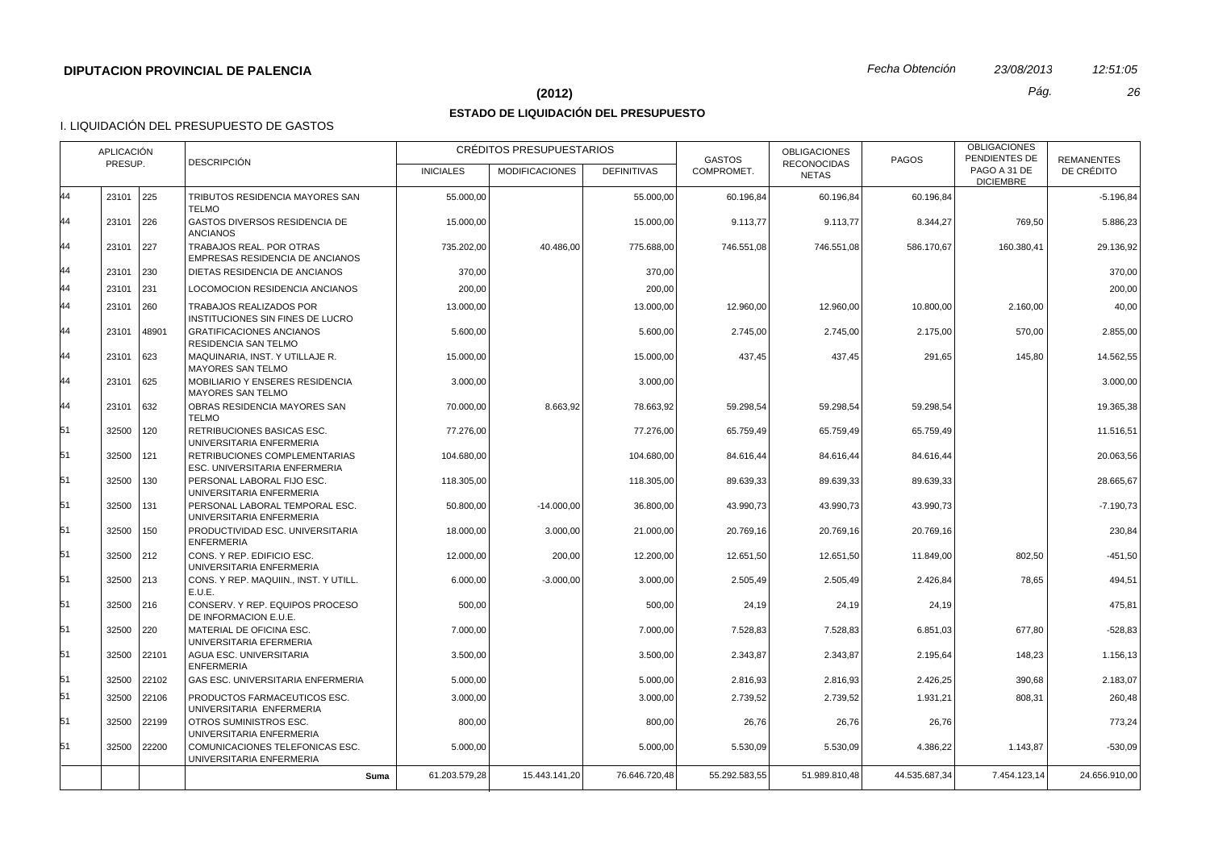#### **(2012)** *Pág. 26*

## **ESTADO DE LIQUIDACIÓN DEL PRESUPUESTO**

|    | <b>APLICACIÓN</b><br><b>DESCRIPCIÓN</b><br>PRESUP. |       |                                                                | <b>INICIALES</b> | CRÉDITOS PRESUPUESTARIOS<br><b>MODIFICACIONES</b> | <b>DEFINITIVAS</b> | <b>GASTOS</b><br>COMPROMET. | <b>OBLIGACIONES</b><br><b>RECONOCIDAS</b><br><b>NETAS</b> | <b>PAGOS</b>  | <b>OBLIGACIONES</b><br>PENDIENTES DE<br>PAGO A 31 DE | <b>REMANENTES</b><br>DE CRÉDITO |
|----|----------------------------------------------------|-------|----------------------------------------------------------------|------------------|---------------------------------------------------|--------------------|-----------------------------|-----------------------------------------------------------|---------------|------------------------------------------------------|---------------------------------|
|    |                                                    |       |                                                                |                  |                                                   |                    |                             |                                                           |               | <b>DICIEMBRE</b>                                     |                                 |
| 44 | 23101                                              | 225   | TRIBUTOS RESIDENCIA MAYORES SAN<br><b>TELMO</b>                | 55.000,00        |                                                   | 55.000,00          | 60.196,84                   | 60.196,84                                                 | 60.196,84     |                                                      | $-5.196,84$                     |
| 44 | 23101                                              | 226   | GASTOS DIVERSOS RESIDENCIA DE<br><b>ANCIANOS</b>               | 15.000,00        |                                                   | 15.000,00          | 9.113,77                    | 9.113,77                                                  | 8.344,27      | 769,50                                               | 5.886,23                        |
| 44 | 23101                                              | 227   | TRABAJOS REAL. POR OTRAS<br>EMPRESAS RESIDENCIA DE ANCIANOS    | 735.202,00       | 40.486,00                                         | 775.688,00         | 746.551,08                  | 746.551,08                                                | 586.170,67    | 160.380,41                                           | 29.136,92                       |
| 44 | 23101                                              | 230   | DIETAS RESIDENCIA DE ANCIANOS                                  | 370,00           |                                                   | 370,00             |                             |                                                           |               |                                                      | 370,00                          |
| 44 | 23101                                              | 231   | LOCOMOCION RESIDENCIA ANCIANOS                                 | 200,00           |                                                   | 200.00             |                             |                                                           |               |                                                      | 200,00                          |
| 44 | 23101                                              | 260   | TRABAJOS REALIZADOS POR<br>INSTITUCIONES SIN FINES DE LUCRO    | 13.000,00        |                                                   | 13.000,00          | 12.960,00                   | 12.960,00                                                 | 10.800,00     | 2.160,00                                             | 40,00                           |
| 44 | 23101                                              | 48901 | <b>GRATIFICACIONES ANCIANOS</b><br>RESIDENCIA SAN TELMO        | 5.600,00         |                                                   | 5.600,00           | 2.745,00                    | 2.745,00                                                  | 2.175,00      | 570,00                                               | 2.855,00                        |
| 44 | 23101                                              | 623   | MAQUINARIA, INST. Y UTILLAJE R.<br><b>MAYORES SAN TELMO</b>    | 15.000,00        |                                                   | 15.000,00          | 437,45                      | 437,45                                                    | 291,65        | 145,80                                               | 14.562,55                       |
| 44 | 23101                                              | 625   | MOBILIARIO Y ENSERES RESIDENCIA<br><b>MAYORES SAN TELMO</b>    | 3.000,00         |                                                   | 3.000,00           |                             |                                                           |               |                                                      | 3.000,00                        |
| 44 | 23101                                              | 632   | OBRAS RESIDENCIA MAYORES SAN<br><b>TELMO</b>                   | 70.000,00        | 8.663.92                                          | 78.663.92          | 59.298.54                   | 59.298,54                                                 | 59.298.54     |                                                      | 19.365,38                       |
| 51 | 32500                                              | 120   | RETRIBUCIONES BASICAS ESC.<br>UNIVERSITARIA ENFERMERIA         | 77.276,00        |                                                   | 77.276,00          | 65.759,49                   | 65.759,49                                                 | 65.759,49     |                                                      | 11.516,51                       |
| 51 | 32500                                              | 121   | RETRIBUCIONES COMPLEMENTARIAS<br>ESC. UNIVERSITARIA ENFERMERIA | 104.680.00       |                                                   | 104.680.00         | 84.616,44                   | 84.616,44                                                 | 84.616,44     |                                                      | 20.063.56                       |
| 51 | 32500                                              | 130   | PERSONAL LABORAL FIJO ESC.<br>UNIVERSITARIA ENFERMERIA         | 118.305,00       |                                                   | 118.305,00         | 89.639,33                   | 89.639,33                                                 | 89.639,33     |                                                      | 28.665,67                       |
| 51 | 32500                                              | 131   | PERSONAL LABORAL TEMPORAL ESC.<br>UNIVERSITARIA ENFERMERIA     | 50.800,00        | $-14.000,00$                                      | 36.800,00          | 43.990,73                   | 43.990.73                                                 | 43.990,73     |                                                      | $-7.190,73$                     |
| 51 | 32500                                              | 150   | PRODUCTIVIDAD ESC. UNIVERSITARIA<br><b>ENFERMERIA</b>          | 18.000,00        | 3.000,00                                          | 21.000,00          | 20.769,16                   | 20.769,16                                                 | 20.769,16     |                                                      | 230,84                          |
| 51 | 32500                                              | 212   | CONS. Y REP. EDIFICIO ESC.<br>UNIVERSITARIA ENFERMERIA         | 12.000,00        | 200,00                                            | 12.200,00          | 12.651,50                   | 12.651,50                                                 | 11.849,00     | 802,50                                               | $-451,50$                       |
| 51 | 32500                                              | 213   | CONS. Y REP. MAQUIIN., INST. Y UTILL.<br>E.U.E.                | 6.000,00         | $-3.000,00$                                       | 3.000,00           | 2.505,49                    | 2.505,49                                                  | 2.426,84      | 78,65                                                | 494,51                          |
| 51 | 32500                                              | 216   | CONSERV. Y REP. EQUIPOS PROCESO<br>DE INFORMACION E.U.E.       | 500,00           |                                                   | 500,00             | 24,19                       | 24,19                                                     | 24,19         |                                                      | 475,81                          |
| 51 | 32500                                              | 220   | MATERIAL DE OFICINA ESC.<br>UNIVERSITARIA EFERMERIA            | 7.000,00         |                                                   | 7.000,00           | 7.528,83                    | 7.528,83                                                  | 6.851,03      | 677,80                                               | $-528,83$                       |
| 51 | 32500                                              | 22101 | AGUA ESC. UNIVERSITARIA<br><b>ENFERMERIA</b>                   | 3.500,00         |                                                   | 3.500,00           | 2.343,87                    | 2.343,87                                                  | 2.195,64      | 148,23                                               | 1.156,13                        |
| 51 | 32500                                              | 22102 | GAS ESC. UNIVERSITARIA ENFERMERIA                              | 5.000,00         |                                                   | 5.000,00           | 2.816,93                    | 2.816,93                                                  | 2.426,25      | 390,68                                               | 2.183,07                        |
| 51 | 32500                                              | 22106 | PRODUCTOS FARMACEUTICOS ESC.<br>UNIVERSITARIA ENFERMERIA       | 3.000,00         |                                                   | 3.000,00           | 2.739,52                    | 2.739,52                                                  | 1.931,21      | 808,31                                               | 260,48                          |
| 51 | 32500                                              | 22199 | OTROS SUMINISTROS ESC.<br>UNIVERSITARIA ENFERMERIA             | 800,00           |                                                   | 800,00             | 26,76                       | 26,76                                                     | 26,76         |                                                      | 773,24                          |
| 51 | 32500                                              | 22200 | COMUNICACIONES TELEFONICAS ESC.<br>UNIVERSITARIA ENFERMERIA    | 5.000,00         |                                                   | 5.000,00           | 5.530,09                    | 5.530,09                                                  | 4.386,22      | 1.143,87                                             | $-530,09$                       |
|    |                                                    |       | Suma                                                           | 61.203.579,28    | 15.443.141,20                                     | 76.646.720,48      | 55.292.583,55               | 51.989.810,48                                             | 44.535.687,34 | 7.454.123,14                                         | 24.656.910,00                   |
|    |                                                    |       |                                                                |                  |                                                   |                    |                             |                                                           |               |                                                      |                                 |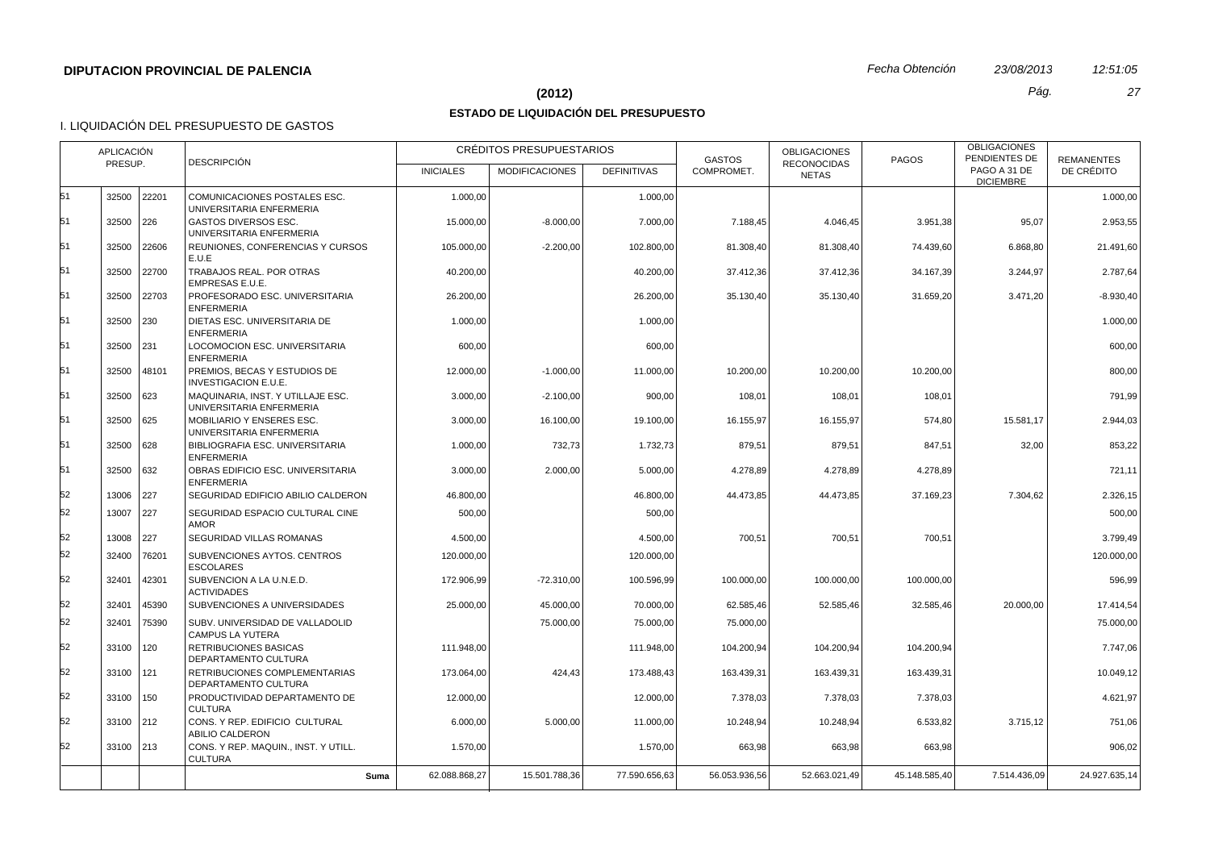#### **(2012)** *Pág. 27*

## **ESTADO DE LIQUIDACIÓN DEL PRESUPUESTO**

| <b>RECONOCIDAS</b><br>PAGO A 31 DE<br>COMPROMET.<br>DE CRÉDITO<br><b>INICIALES</b><br><b>MODIFICACIONES</b><br><b>DEFINITIVAS</b><br><b>NETAS</b><br><b>DICIEMBRE</b><br>32500 22201<br>COMUNICACIONES POSTALES ESC.<br>1.000,00<br>1.000,00<br>1.000,00<br>UNIVERSITARIA ENFERMERIA<br>32500 226<br><b>GASTOS DIVERSOS ESC.</b><br>$-8.000.00$<br>3.951,38<br>95.07<br>2.953.55<br>15.000.00<br>7.000.00<br>7.188,45<br>4.046,45<br>UNIVERSITARIA ENFERMERIA<br>32500<br>22606<br>REUNIONES, CONFERENCIAS Y CURSOS<br>105.000,00<br>$-2.200,00$<br>102.800,00<br>81.308,40<br>81.308,40<br>74.439,60<br>6.868,80<br>21.491,60<br>E.U.E<br>32500 22700<br>TRABAJOS REAL. POR OTRAS<br>40.200,00<br>40.200,00<br>37.412,36<br>37.412,36<br>34.167,39<br>3.244,97<br>2.787,64<br>EMPRESAS E.U.E.<br>32500<br>22703<br>PROFESORADO ESC. UNIVERSITARIA<br>35.130,40<br>31.659,20<br>3.471,20<br>$-8.930,40$<br>26.200,00<br>26.200,00<br>35.130,40<br><b>ENFERMERIA</b><br>DIETAS ESC. UNIVERSITARIA DE<br>32500 230<br>1.000,00<br>1.000,00<br>1.000,00<br><b>ENFERMERIA</b><br>32500 231<br>LOCOMOCION ESC. UNIVERSITARIA<br>600,00<br>600,00<br>600,00<br><b>ENFERMERIA</b><br>32500<br>48101<br>PREMIOS, BECAS Y ESTUDIOS DE<br>10.200,00<br>10.200,00<br>12.000,00<br>$-1.000,00$<br>11.000,00<br>10.200,00<br>800,00<br>INVESTIGACION E.U.E.<br>32500 623<br>MAQUINARIA, INST. Y UTILLAJE ESC.<br>3.000,00<br>$-2.100,00$<br>900,00<br>108,01<br>108,01<br>108,01<br>791.99<br>UNIVERSITARIA ENFERMERIA<br>32500 625<br>MOBILIARIO Y ENSERES ESC.<br>16.155,97<br>15.581,17<br>3.000,00<br>16.100,00<br>19.100,00<br>16.155,97<br>574,80<br>2.944,03<br>UNIVERSITARIA ENFERMERIA<br>32500 628<br>BIBLIOGRAFIA ESC. UNIVERSITARIA<br>1.000,00<br>732,73<br>1.732,73<br>879,51<br>879,51<br>847,51<br>32,00<br>853,22<br><b>ENFERMERIA</b><br>32500 632<br>OBRAS EDIFICIO ESC. UNIVERSITARIA<br>3.000,00<br>2.000,00<br>5.000,00<br>4.278,89<br>4.278.89<br>4.278,89<br>721.11<br><b>ENFERMERIA</b><br>7.304,62<br>13006<br>227<br>SEGURIDAD EDIFICIO ABILIO CALDERON<br>46.800,00<br>46.800,00<br>44.473,85<br>44.473,85<br>37.169,23<br>2.326,15<br>52<br>13007<br>  227<br>SEGURIDAD ESPACIO CULTURAL CINE<br>500,00<br>500,00<br>500,00<br><b>AMOR</b><br>52<br>13008<br>  227<br>SEGURIDAD VILLAS ROMANAS<br>700,51<br>700,51<br>4.500,00<br>4.500,00<br>700,51<br>3.799,49<br>32400<br>76201<br>SUBVENCIONES AYTOS. CENTROS<br>120.000,00<br>120.000,00<br>120.000,00<br><b>ESCOLARES</b><br>42301<br>SUBVENCION A LA U.N.E.D.<br>32401<br>172.906,99<br>$-72.310,00$<br>100.596,99<br>100.000,00<br>100.000,00<br>100.000,00<br>596,99<br><b>ACTIVIDADES</b><br>45390<br>32401<br>SUBVENCIONES A UNIVERSIDADES<br>25.000,00<br>45.000,00<br>70.000,00<br>62.585,46<br>52.585,46<br>32.585,46<br>20.000,00<br>17.414,54<br>32401<br>75390<br>SUBV. UNIVERSIDAD DE VALLADOLID<br>75.000,00<br>75.000,00<br>75.000,00<br>75.000,00<br><b>CAMPUS LA YUTERA</b><br>33100 120<br><b>RETRIBUCIONES BASICAS</b><br>111.948,00<br>111.948,00<br>104.200,94<br>104.200,94<br>104.200,94<br>7.747.06<br>DEPARTAMENTO CULTURA<br>52<br>33100 121<br>RETRIBUCIONES COMPLEMENTARIAS<br>424,43<br>173.064,00<br>173.488,43<br>163.439,31<br>163.439,31<br>163.439,31<br>10.049,12<br>DEPARTAMENTO CULTURA<br>33100 150<br>PRODUCTIVIDAD DEPARTAMENTO DE<br>12.000,00<br>12.000.00<br>7.378.03<br>7.378,03<br>7.378,03<br>4.621.97<br><b>CULTURA</b><br>52<br>CONS. Y REP. EDIFICIO CULTURAL<br>33100 212<br>6.000,00<br>5.000,00<br>11.000,00<br>10.248,94<br>10.248,94<br>6.533,82<br>3.715,12<br>751,06<br>ABILIO CALDERON<br>33100 213<br>CONS. Y REP. MAQUIN., INST. Y UTILL.<br>1.570,00<br>1.570,00<br>663,98<br>663,98<br>663,98<br>906,02<br><b>CULTURA</b><br>24.927.635,14<br>62.088.868,27<br>15.501.788,36<br>77.590.656,63<br>56.053.936,56<br>52.663.021,49<br>45.148.585,40<br>7.514.436,09<br>Suma |    | <b>APLICACIÓN</b><br><b>DESCRIPCIÓN</b><br>PRESUP. |  | CRÉDITOS PRESUPUESTARIOS |  | <b>GASTOS</b> | <b>OBLIGACIONES</b> | <b>PAGOS</b> | <b>OBLIGACIONES</b><br>PENDIENTES DE | <b>REMANENTES</b> |  |
|------------------------------------------------------------------------------------------------------------------------------------------------------------------------------------------------------------------------------------------------------------------------------------------------------------------------------------------------------------------------------------------------------------------------------------------------------------------------------------------------------------------------------------------------------------------------------------------------------------------------------------------------------------------------------------------------------------------------------------------------------------------------------------------------------------------------------------------------------------------------------------------------------------------------------------------------------------------------------------------------------------------------------------------------------------------------------------------------------------------------------------------------------------------------------------------------------------------------------------------------------------------------------------------------------------------------------------------------------------------------------------------------------------------------------------------------------------------------------------------------------------------------------------------------------------------------------------------------------------------------------------------------------------------------------------------------------------------------------------------------------------------------------------------------------------------------------------------------------------------------------------------------------------------------------------------------------------------------------------------------------------------------------------------------------------------------------------------------------------------------------------------------------------------------------------------------------------------------------------------------------------------------------------------------------------------------------------------------------------------------------------------------------------------------------------------------------------------------------------------------------------------------------------------------------------------------------------------------------------------------------------------------------------------------------------------------------------------------------------------------------------------------------------------------------------------------------------------------------------------------------------------------------------------------------------------------------------------------------------------------------------------------------------------------------------------------------------------------------------------------------------------------------------------------------------------------------------------------------------------------------------------------------------------------------------------------------------------------------------------------------------------------------------------------------------------------------------------------------------------------------------------------------------------------------------------------------------------------------------------------------------------------------------------------------------------------------------------------------------------------------------------------------------------------------------------------------------------------------------------------------------------------------------|----|----------------------------------------------------|--|--------------------------|--|---------------|---------------------|--------------|--------------------------------------|-------------------|--|
|                                                                                                                                                                                                                                                                                                                                                                                                                                                                                                                                                                                                                                                                                                                                                                                                                                                                                                                                                                                                                                                                                                                                                                                                                                                                                                                                                                                                                                                                                                                                                                                                                                                                                                                                                                                                                                                                                                                                                                                                                                                                                                                                                                                                                                                                                                                                                                                                                                                                                                                                                                                                                                                                                                                                                                                                                                                                                                                                                                                                                                                                                                                                                                                                                                                                                                                                                                                                                                                                                                                                                                                                                                                                                                                                                                                                                                                                                                            |    |                                                    |  |                          |  |               |                     |              |                                      |                   |  |
|                                                                                                                                                                                                                                                                                                                                                                                                                                                                                                                                                                                                                                                                                                                                                                                                                                                                                                                                                                                                                                                                                                                                                                                                                                                                                                                                                                                                                                                                                                                                                                                                                                                                                                                                                                                                                                                                                                                                                                                                                                                                                                                                                                                                                                                                                                                                                                                                                                                                                                                                                                                                                                                                                                                                                                                                                                                                                                                                                                                                                                                                                                                                                                                                                                                                                                                                                                                                                                                                                                                                                                                                                                                                                                                                                                                                                                                                                                            | 51 |                                                    |  |                          |  |               |                     |              |                                      |                   |  |
|                                                                                                                                                                                                                                                                                                                                                                                                                                                                                                                                                                                                                                                                                                                                                                                                                                                                                                                                                                                                                                                                                                                                                                                                                                                                                                                                                                                                                                                                                                                                                                                                                                                                                                                                                                                                                                                                                                                                                                                                                                                                                                                                                                                                                                                                                                                                                                                                                                                                                                                                                                                                                                                                                                                                                                                                                                                                                                                                                                                                                                                                                                                                                                                                                                                                                                                                                                                                                                                                                                                                                                                                                                                                                                                                                                                                                                                                                                            | 51 |                                                    |  |                          |  |               |                     |              |                                      |                   |  |
|                                                                                                                                                                                                                                                                                                                                                                                                                                                                                                                                                                                                                                                                                                                                                                                                                                                                                                                                                                                                                                                                                                                                                                                                                                                                                                                                                                                                                                                                                                                                                                                                                                                                                                                                                                                                                                                                                                                                                                                                                                                                                                                                                                                                                                                                                                                                                                                                                                                                                                                                                                                                                                                                                                                                                                                                                                                                                                                                                                                                                                                                                                                                                                                                                                                                                                                                                                                                                                                                                                                                                                                                                                                                                                                                                                                                                                                                                                            | 51 |                                                    |  |                          |  |               |                     |              |                                      |                   |  |
|                                                                                                                                                                                                                                                                                                                                                                                                                                                                                                                                                                                                                                                                                                                                                                                                                                                                                                                                                                                                                                                                                                                                                                                                                                                                                                                                                                                                                                                                                                                                                                                                                                                                                                                                                                                                                                                                                                                                                                                                                                                                                                                                                                                                                                                                                                                                                                                                                                                                                                                                                                                                                                                                                                                                                                                                                                                                                                                                                                                                                                                                                                                                                                                                                                                                                                                                                                                                                                                                                                                                                                                                                                                                                                                                                                                                                                                                                                            | 51 |                                                    |  |                          |  |               |                     |              |                                      |                   |  |
|                                                                                                                                                                                                                                                                                                                                                                                                                                                                                                                                                                                                                                                                                                                                                                                                                                                                                                                                                                                                                                                                                                                                                                                                                                                                                                                                                                                                                                                                                                                                                                                                                                                                                                                                                                                                                                                                                                                                                                                                                                                                                                                                                                                                                                                                                                                                                                                                                                                                                                                                                                                                                                                                                                                                                                                                                                                                                                                                                                                                                                                                                                                                                                                                                                                                                                                                                                                                                                                                                                                                                                                                                                                                                                                                                                                                                                                                                                            | 51 |                                                    |  |                          |  |               |                     |              |                                      |                   |  |
|                                                                                                                                                                                                                                                                                                                                                                                                                                                                                                                                                                                                                                                                                                                                                                                                                                                                                                                                                                                                                                                                                                                                                                                                                                                                                                                                                                                                                                                                                                                                                                                                                                                                                                                                                                                                                                                                                                                                                                                                                                                                                                                                                                                                                                                                                                                                                                                                                                                                                                                                                                                                                                                                                                                                                                                                                                                                                                                                                                                                                                                                                                                                                                                                                                                                                                                                                                                                                                                                                                                                                                                                                                                                                                                                                                                                                                                                                                            | 51 |                                                    |  |                          |  |               |                     |              |                                      |                   |  |
|                                                                                                                                                                                                                                                                                                                                                                                                                                                                                                                                                                                                                                                                                                                                                                                                                                                                                                                                                                                                                                                                                                                                                                                                                                                                                                                                                                                                                                                                                                                                                                                                                                                                                                                                                                                                                                                                                                                                                                                                                                                                                                                                                                                                                                                                                                                                                                                                                                                                                                                                                                                                                                                                                                                                                                                                                                                                                                                                                                                                                                                                                                                                                                                                                                                                                                                                                                                                                                                                                                                                                                                                                                                                                                                                                                                                                                                                                                            | 51 |                                                    |  |                          |  |               |                     |              |                                      |                   |  |
|                                                                                                                                                                                                                                                                                                                                                                                                                                                                                                                                                                                                                                                                                                                                                                                                                                                                                                                                                                                                                                                                                                                                                                                                                                                                                                                                                                                                                                                                                                                                                                                                                                                                                                                                                                                                                                                                                                                                                                                                                                                                                                                                                                                                                                                                                                                                                                                                                                                                                                                                                                                                                                                                                                                                                                                                                                                                                                                                                                                                                                                                                                                                                                                                                                                                                                                                                                                                                                                                                                                                                                                                                                                                                                                                                                                                                                                                                                            | 51 |                                                    |  |                          |  |               |                     |              |                                      |                   |  |
|                                                                                                                                                                                                                                                                                                                                                                                                                                                                                                                                                                                                                                                                                                                                                                                                                                                                                                                                                                                                                                                                                                                                                                                                                                                                                                                                                                                                                                                                                                                                                                                                                                                                                                                                                                                                                                                                                                                                                                                                                                                                                                                                                                                                                                                                                                                                                                                                                                                                                                                                                                                                                                                                                                                                                                                                                                                                                                                                                                                                                                                                                                                                                                                                                                                                                                                                                                                                                                                                                                                                                                                                                                                                                                                                                                                                                                                                                                            | 51 |                                                    |  |                          |  |               |                     |              |                                      |                   |  |
|                                                                                                                                                                                                                                                                                                                                                                                                                                                                                                                                                                                                                                                                                                                                                                                                                                                                                                                                                                                                                                                                                                                                                                                                                                                                                                                                                                                                                                                                                                                                                                                                                                                                                                                                                                                                                                                                                                                                                                                                                                                                                                                                                                                                                                                                                                                                                                                                                                                                                                                                                                                                                                                                                                                                                                                                                                                                                                                                                                                                                                                                                                                                                                                                                                                                                                                                                                                                                                                                                                                                                                                                                                                                                                                                                                                                                                                                                                            | 51 |                                                    |  |                          |  |               |                     |              |                                      |                   |  |
|                                                                                                                                                                                                                                                                                                                                                                                                                                                                                                                                                                                                                                                                                                                                                                                                                                                                                                                                                                                                                                                                                                                                                                                                                                                                                                                                                                                                                                                                                                                                                                                                                                                                                                                                                                                                                                                                                                                                                                                                                                                                                                                                                                                                                                                                                                                                                                                                                                                                                                                                                                                                                                                                                                                                                                                                                                                                                                                                                                                                                                                                                                                                                                                                                                                                                                                                                                                                                                                                                                                                                                                                                                                                                                                                                                                                                                                                                                            | 51 |                                                    |  |                          |  |               |                     |              |                                      |                   |  |
|                                                                                                                                                                                                                                                                                                                                                                                                                                                                                                                                                                                                                                                                                                                                                                                                                                                                                                                                                                                                                                                                                                                                                                                                                                                                                                                                                                                                                                                                                                                                                                                                                                                                                                                                                                                                                                                                                                                                                                                                                                                                                                                                                                                                                                                                                                                                                                                                                                                                                                                                                                                                                                                                                                                                                                                                                                                                                                                                                                                                                                                                                                                                                                                                                                                                                                                                                                                                                                                                                                                                                                                                                                                                                                                                                                                                                                                                                                            | 51 |                                                    |  |                          |  |               |                     |              |                                      |                   |  |
|                                                                                                                                                                                                                                                                                                                                                                                                                                                                                                                                                                                                                                                                                                                                                                                                                                                                                                                                                                                                                                                                                                                                                                                                                                                                                                                                                                                                                                                                                                                                                                                                                                                                                                                                                                                                                                                                                                                                                                                                                                                                                                                                                                                                                                                                                                                                                                                                                                                                                                                                                                                                                                                                                                                                                                                                                                                                                                                                                                                                                                                                                                                                                                                                                                                                                                                                                                                                                                                                                                                                                                                                                                                                                                                                                                                                                                                                                                            | 52 |                                                    |  |                          |  |               |                     |              |                                      |                   |  |
|                                                                                                                                                                                                                                                                                                                                                                                                                                                                                                                                                                                                                                                                                                                                                                                                                                                                                                                                                                                                                                                                                                                                                                                                                                                                                                                                                                                                                                                                                                                                                                                                                                                                                                                                                                                                                                                                                                                                                                                                                                                                                                                                                                                                                                                                                                                                                                                                                                                                                                                                                                                                                                                                                                                                                                                                                                                                                                                                                                                                                                                                                                                                                                                                                                                                                                                                                                                                                                                                                                                                                                                                                                                                                                                                                                                                                                                                                                            |    |                                                    |  |                          |  |               |                     |              |                                      |                   |  |
|                                                                                                                                                                                                                                                                                                                                                                                                                                                                                                                                                                                                                                                                                                                                                                                                                                                                                                                                                                                                                                                                                                                                                                                                                                                                                                                                                                                                                                                                                                                                                                                                                                                                                                                                                                                                                                                                                                                                                                                                                                                                                                                                                                                                                                                                                                                                                                                                                                                                                                                                                                                                                                                                                                                                                                                                                                                                                                                                                                                                                                                                                                                                                                                                                                                                                                                                                                                                                                                                                                                                                                                                                                                                                                                                                                                                                                                                                                            |    |                                                    |  |                          |  |               |                     |              |                                      |                   |  |
|                                                                                                                                                                                                                                                                                                                                                                                                                                                                                                                                                                                                                                                                                                                                                                                                                                                                                                                                                                                                                                                                                                                                                                                                                                                                                                                                                                                                                                                                                                                                                                                                                                                                                                                                                                                                                                                                                                                                                                                                                                                                                                                                                                                                                                                                                                                                                                                                                                                                                                                                                                                                                                                                                                                                                                                                                                                                                                                                                                                                                                                                                                                                                                                                                                                                                                                                                                                                                                                                                                                                                                                                                                                                                                                                                                                                                                                                                                            | 52 |                                                    |  |                          |  |               |                     |              |                                      |                   |  |
|                                                                                                                                                                                                                                                                                                                                                                                                                                                                                                                                                                                                                                                                                                                                                                                                                                                                                                                                                                                                                                                                                                                                                                                                                                                                                                                                                                                                                                                                                                                                                                                                                                                                                                                                                                                                                                                                                                                                                                                                                                                                                                                                                                                                                                                                                                                                                                                                                                                                                                                                                                                                                                                                                                                                                                                                                                                                                                                                                                                                                                                                                                                                                                                                                                                                                                                                                                                                                                                                                                                                                                                                                                                                                                                                                                                                                                                                                                            | 52 |                                                    |  |                          |  |               |                     |              |                                      |                   |  |
|                                                                                                                                                                                                                                                                                                                                                                                                                                                                                                                                                                                                                                                                                                                                                                                                                                                                                                                                                                                                                                                                                                                                                                                                                                                                                                                                                                                                                                                                                                                                                                                                                                                                                                                                                                                                                                                                                                                                                                                                                                                                                                                                                                                                                                                                                                                                                                                                                                                                                                                                                                                                                                                                                                                                                                                                                                                                                                                                                                                                                                                                                                                                                                                                                                                                                                                                                                                                                                                                                                                                                                                                                                                                                                                                                                                                                                                                                                            | 52 |                                                    |  |                          |  |               |                     |              |                                      |                   |  |
|                                                                                                                                                                                                                                                                                                                                                                                                                                                                                                                                                                                                                                                                                                                                                                                                                                                                                                                                                                                                                                                                                                                                                                                                                                                                                                                                                                                                                                                                                                                                                                                                                                                                                                                                                                                                                                                                                                                                                                                                                                                                                                                                                                                                                                                                                                                                                                                                                                                                                                                                                                                                                                                                                                                                                                                                                                                                                                                                                                                                                                                                                                                                                                                                                                                                                                                                                                                                                                                                                                                                                                                                                                                                                                                                                                                                                                                                                                            | 52 |                                                    |  |                          |  |               |                     |              |                                      |                   |  |
|                                                                                                                                                                                                                                                                                                                                                                                                                                                                                                                                                                                                                                                                                                                                                                                                                                                                                                                                                                                                                                                                                                                                                                                                                                                                                                                                                                                                                                                                                                                                                                                                                                                                                                                                                                                                                                                                                                                                                                                                                                                                                                                                                                                                                                                                                                                                                                                                                                                                                                                                                                                                                                                                                                                                                                                                                                                                                                                                                                                                                                                                                                                                                                                                                                                                                                                                                                                                                                                                                                                                                                                                                                                                                                                                                                                                                                                                                                            | 52 |                                                    |  |                          |  |               |                     |              |                                      |                   |  |
|                                                                                                                                                                                                                                                                                                                                                                                                                                                                                                                                                                                                                                                                                                                                                                                                                                                                                                                                                                                                                                                                                                                                                                                                                                                                                                                                                                                                                                                                                                                                                                                                                                                                                                                                                                                                                                                                                                                                                                                                                                                                                                                                                                                                                                                                                                                                                                                                                                                                                                                                                                                                                                                                                                                                                                                                                                                                                                                                                                                                                                                                                                                                                                                                                                                                                                                                                                                                                                                                                                                                                                                                                                                                                                                                                                                                                                                                                                            |    |                                                    |  |                          |  |               |                     |              |                                      |                   |  |
|                                                                                                                                                                                                                                                                                                                                                                                                                                                                                                                                                                                                                                                                                                                                                                                                                                                                                                                                                                                                                                                                                                                                                                                                                                                                                                                                                                                                                                                                                                                                                                                                                                                                                                                                                                                                                                                                                                                                                                                                                                                                                                                                                                                                                                                                                                                                                                                                                                                                                                                                                                                                                                                                                                                                                                                                                                                                                                                                                                                                                                                                                                                                                                                                                                                                                                                                                                                                                                                                                                                                                                                                                                                                                                                                                                                                                                                                                                            | 52 |                                                    |  |                          |  |               |                     |              |                                      |                   |  |
|                                                                                                                                                                                                                                                                                                                                                                                                                                                                                                                                                                                                                                                                                                                                                                                                                                                                                                                                                                                                                                                                                                                                                                                                                                                                                                                                                                                                                                                                                                                                                                                                                                                                                                                                                                                                                                                                                                                                                                                                                                                                                                                                                                                                                                                                                                                                                                                                                                                                                                                                                                                                                                                                                                                                                                                                                                                                                                                                                                                                                                                                                                                                                                                                                                                                                                                                                                                                                                                                                                                                                                                                                                                                                                                                                                                                                                                                                                            |    |                                                    |  |                          |  |               |                     |              |                                      |                   |  |
|                                                                                                                                                                                                                                                                                                                                                                                                                                                                                                                                                                                                                                                                                                                                                                                                                                                                                                                                                                                                                                                                                                                                                                                                                                                                                                                                                                                                                                                                                                                                                                                                                                                                                                                                                                                                                                                                                                                                                                                                                                                                                                                                                                                                                                                                                                                                                                                                                                                                                                                                                                                                                                                                                                                                                                                                                                                                                                                                                                                                                                                                                                                                                                                                                                                                                                                                                                                                                                                                                                                                                                                                                                                                                                                                                                                                                                                                                                            | 52 |                                                    |  |                          |  |               |                     |              |                                      |                   |  |
|                                                                                                                                                                                                                                                                                                                                                                                                                                                                                                                                                                                                                                                                                                                                                                                                                                                                                                                                                                                                                                                                                                                                                                                                                                                                                                                                                                                                                                                                                                                                                                                                                                                                                                                                                                                                                                                                                                                                                                                                                                                                                                                                                                                                                                                                                                                                                                                                                                                                                                                                                                                                                                                                                                                                                                                                                                                                                                                                                                                                                                                                                                                                                                                                                                                                                                                                                                                                                                                                                                                                                                                                                                                                                                                                                                                                                                                                                                            |    |                                                    |  |                          |  |               |                     |              |                                      |                   |  |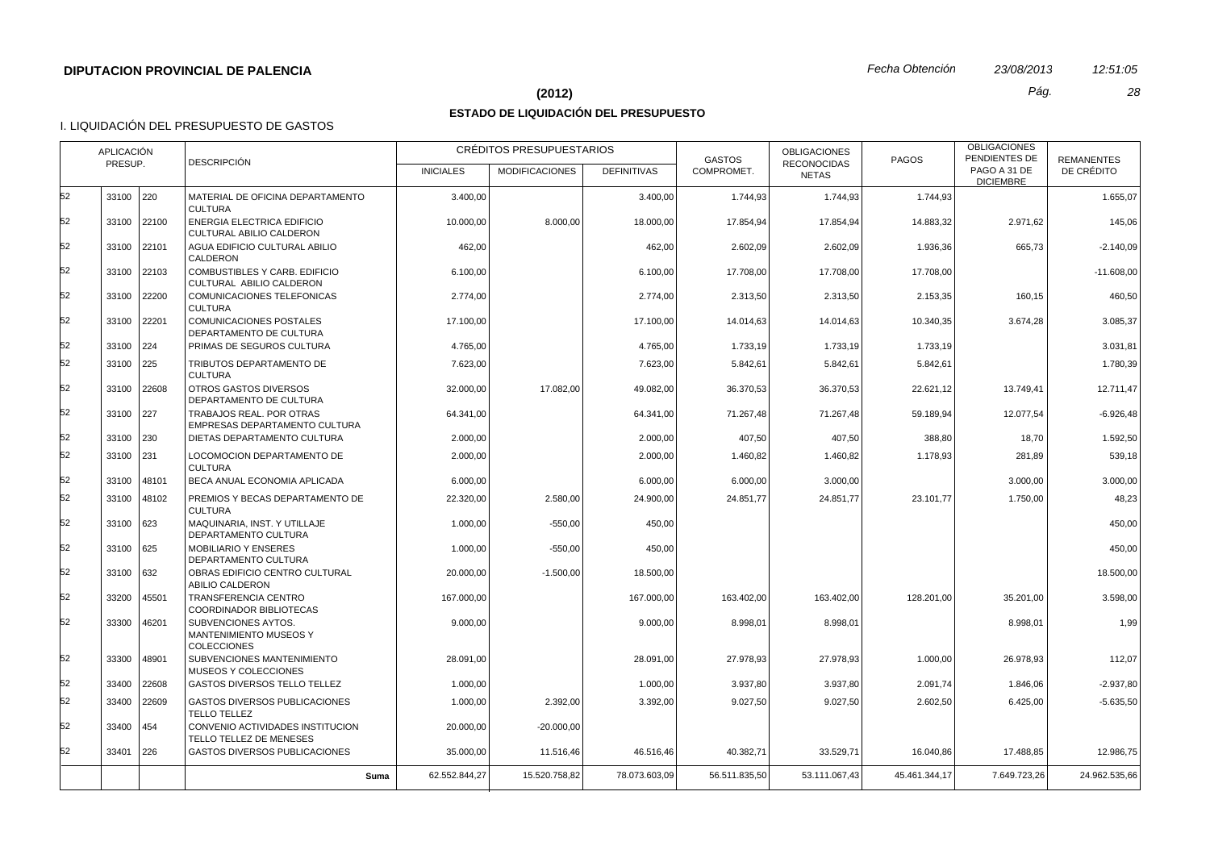#### **(2012)** *Pág. 28*

## **ESTADO DE LIQUIDACIÓN DEL PRESUPUESTO**

|          | <b>APLICACIÓN</b><br><b>DESCRIPCIÓN</b><br>PRESUP. |             |                                                                     |                  | <b>CRÉDITOS PRESUPUESTARIOS</b> |                    | <b>GASTOS</b> | <b>OBLIGACIONES</b>                | <b>PAGOS</b>  | <b>OBLIGACIONES</b><br>PENDIENTES DE | <b>REMANENTES</b> |
|----------|----------------------------------------------------|-------------|---------------------------------------------------------------------|------------------|---------------------------------|--------------------|---------------|------------------------------------|---------------|--------------------------------------|-------------------|
|          |                                                    |             |                                                                     | <b>INICIALES</b> | <b>MODIFICACIONES</b>           | <b>DEFINITIVAS</b> | COMPROMET.    | <b>RECONOCIDAS</b><br><b>NETAS</b> |               | PAGO A 31 DE<br><b>DICIEMBRE</b>     | DE CRÉDITO        |
| 52       | 33100 220                                          |             | MATERIAL DE OFICINA DEPARTAMENTO<br><b>CULTURA</b>                  | 3.400,00         |                                 | 3.400,00           | 1.744,93      | 1.744,93                           | 1.744,93      |                                      | 1.655,07          |
| 52       |                                                    | 33100 22100 | <b>ENERGIA ELECTRICA EDIFICIO</b><br>CULTURAL ABILIO CALDERON       | 10.000.00        | 8.000.00                        | 18.000.00          | 17.854.94     | 17.854,94                          | 14.883.32     | 2.971.62                             | 145,06            |
| 52       |                                                    | 33100 22101 | AGUA EDIFICIO CULTURAL ABILIO<br>CALDERON                           | 462,00           |                                 | 462,00             | 2.602,09      | 2.602,09                           | 1.936,36      | 665,73                               | $-2.140,09$       |
| 52       |                                                    | 33100 22103 | COMBUSTIBLES Y CARB. EDIFICIO<br>CULTURAL ABILIO CALDERON           | 6.100,00         |                                 | 6.100,00           | 17.708,00     | 17.708,00                          | 17.708,00     |                                      | $-11.608,00$      |
| 52       |                                                    | 33100 22200 | COMUNICACIONES TELEFONICAS<br><b>CULTURA</b>                        | 2.774,00         |                                 | 2.774,00           | 2.313,50      | 2.313,50                           | 2.153,35      | 160,15                               | 460,50            |
| 52       |                                                    | 33100 22201 | COMUNICACIONES POSTALES<br>DEPARTAMENTO DE CULTURA                  | 17.100,00        |                                 | 17.100,00          | 14.014,63     | 14.014,63                          | 10.340,35     | 3.674,28                             | 3.085,37          |
| 52       | 33100 224                                          |             | PRIMAS DE SEGUROS CULTURA                                           | 4.765,00         |                                 | 4.765.00           | 1.733,19      | 1.733,19                           | 1.733,19      |                                      | 3.031,81          |
| 52       | 33100 225                                          |             | TRIBUTOS DEPARTAMENTO DE<br><b>CULTURA</b>                          | 7.623,00         |                                 | 7.623,00           | 5.842,61      | 5.842,61                           | 5.842,61      |                                      | 1.780,39          |
| 52       |                                                    | 33100 22608 | OTROS GASTOS DIVERSOS<br>DEPARTAMENTO DE CULTURA                    | 32.000,00        | 17.082,00                       | 49.082,00          | 36.370,53     | 36.370,53                          | 22.621,12     | 13.749,41                            | 12.711,47         |
| 52<br>52 | 33100 227                                          |             | TRABAJOS REAL. POR OTRAS<br><b>EMPRESAS DEPARTAMENTO CULTURA</b>    | 64.341,00        |                                 | 64.341,00          | 71.267,48     | 71.267,48                          | 59.189,94     | 12.077,54                            | $-6.926,48$       |
|          | 33100 230                                          |             | DIETAS DEPARTAMENTO CULTURA                                         | 2.000,00         |                                 | 2.000.00           | 407.50        | 407,50                             | 388,80        | 18,70                                | 1.592.50          |
| 52       | 33100 231                                          |             | LOCOMOCION DEPARTAMENTO DE<br><b>CULTURA</b>                        | 2.000,00         |                                 | 2.000,00           | 1.460,82      | 1.460,82                           | 1.178,93      | 281,89                               | 539,18            |
| 52       |                                                    | 33100 48101 | BECA ANUAL ECONOMIA APLICADA                                        | 6.000,00         |                                 | 6.000,00           | 6.000,00      | 3.000,00                           |               | 3.000.00                             | 3.000,00          |
| 52       |                                                    | 33100 48102 | PREMIOS Y BECAS DEPARTAMENTO DE<br><b>CULTURA</b>                   | 22.320,00        | 2.580,00                        | 24.900,00          | 24.851,77     | 24.851,77                          | 23.101,77     | 1.750,00                             | 48,23             |
| 52       | 33100 623                                          |             | MAQUINARIA, INST. Y UTILLAJE<br>DEPARTAMENTO CULTURA                | 1.000,00         | $-550,00$                       | 450,00             |               |                                    |               |                                      | 450,00            |
| 52       | 33100 625                                          |             | <b>MOBILIARIO Y ENSERES</b><br>DEPARTAMENTO CULTURA                 | 1.000,00         | $-550,00$                       | 450,00             |               |                                    |               |                                      | 450,00            |
| 52<br>52 | $33100$ 632                                        |             | OBRAS EDIFICIO CENTRO CULTURAL<br>ABILIO CALDERON                   | 20.000,00        | $-1.500,00$                     | 18.500,00          |               |                                    |               |                                      | 18.500,00         |
| 52       | 33200                                              | 45501       | TRANSFERENCIA CENTRO<br>COORDINADOR BIBLIOTECAS                     | 167.000,00       |                                 | 167.000,00         | 163.402,00    | 163.402,00                         | 128.201,00    | 35.201,00                            | 3.598,00          |
|          | 33300                                              | 46201       | SUBVENCIONES AYTOS.<br>MANTENIMIENTO MUSEOS Y<br><b>COLECCIONES</b> | 9.000,00         |                                 | 9.000,00           | 8.998,01      | 8.998,01                           |               | 8.998,01                             | 1,99              |
| 52       | 33300                                              | 48901       | SUBVENCIONES MANTENIMIENTO<br>MUSEOS Y COLECCIONES                  | 28.091,00        |                                 | 28.091,00          | 27.978,93     | 27.978,93                          | 1.000,00      | 26.978,93                            | 112,07            |
| 52       | 33400                                              | 22608       | GASTOS DIVERSOS TELLO TELLEZ                                        | 1.000,00         |                                 | 1.000,00           | 3.937,80      | 3.937,80                           | 2.091,74      | 1.846,06                             | $-2.937,80$       |
| 52       | 33400                                              | 22609       | <b>GASTOS DIVERSOS PUBLICACIONES</b><br><b>TELLO TELLEZ</b>         | 1.000.00         | 2.392,00                        | 3.392.00           | 9.027.50      | 9.027,50                           | 2.602,50      | 6.425.00                             | $-5.635.50$       |
| 52       | 33400                                              | 454         | CONVENIO ACTIVIDADES INSTITUCION<br>TELLO TELLEZ DE MENESES         | 20.000,00        | $-20.000,00$                    |                    |               |                                    |               |                                      |                   |
| 52       | 33401                                              | 226         | GASTOS DIVERSOS PUBLICACIONES                                       | 35.000,00        | 11.516,46                       | 46.516,46          | 40.382,71     | 33.529,71                          | 16.040,86     | 17.488,85                            | 12.986,75         |
|          |                                                    |             | Suma                                                                | 62.552.844,27    | 15.520.758,82                   | 78.073.603,09      | 56.511.835,50 | 53.111.067,43                      | 45.461.344,17 | 7.649.723,26                         | 24.962.535,66     |
|          |                                                    |             |                                                                     |                  |                                 |                    |               |                                    |               |                                      |                   |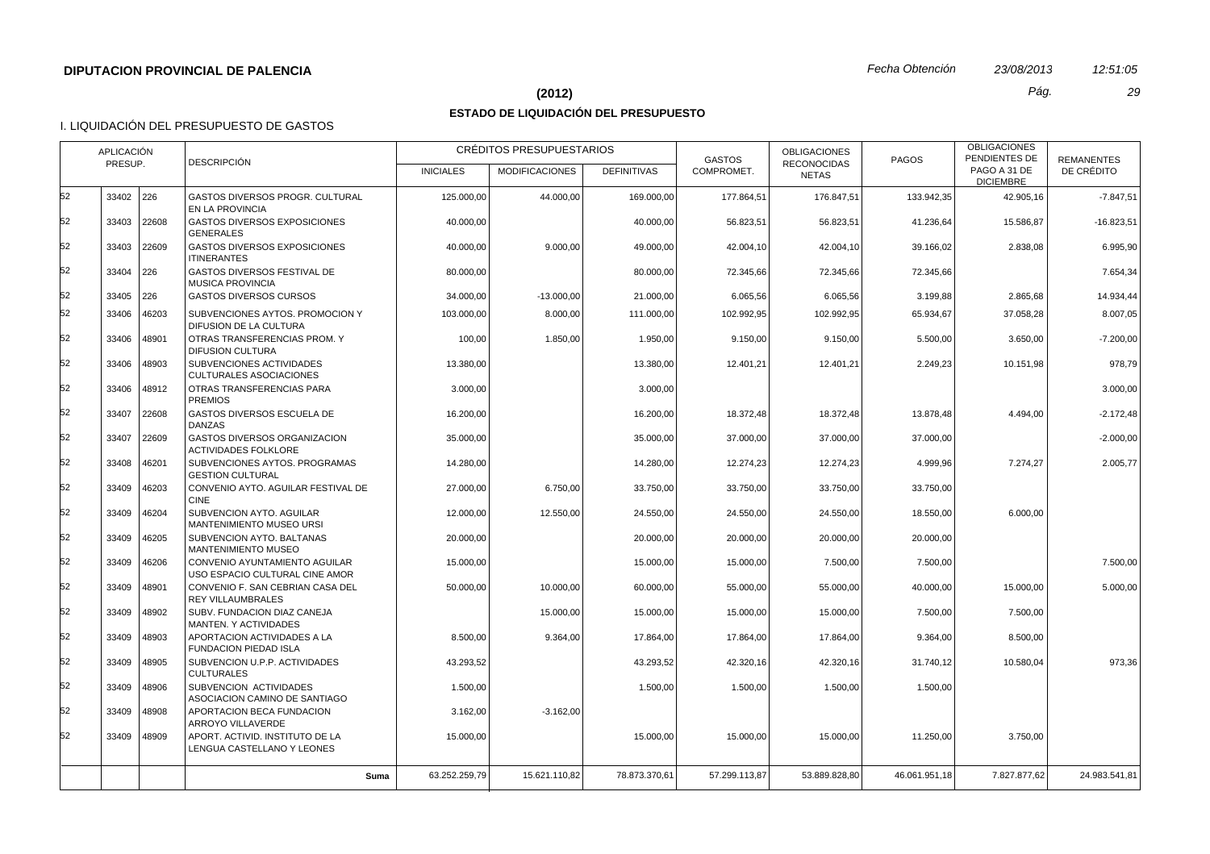#### **(2012)** *Pág. 29*

# **ESTADO DE LIQUIDACIÓN DEL PRESUPUESTO**

|          | <b>APLICACIÓN</b> |                | <b>DESCRIPCIÓN</b>                                                                                  | CRÉDITOS PRESUPUESTARIOS |                       |                        | <b>GASTOS</b>          | <b>OBLIGACIONES</b>                | <b>PAGOS</b>          | <b>OBLIGACIONES</b><br>PENDIENTES DE | <b>REMANENTES</b>    |
|----------|-------------------|----------------|-----------------------------------------------------------------------------------------------------|--------------------------|-----------------------|------------------------|------------------------|------------------------------------|-----------------------|--------------------------------------|----------------------|
|          | PRESUP.           |                |                                                                                                     | <b>INICIALES</b>         | <b>MODIFICACIONES</b> | <b>DEFINITIVAS</b>     | COMPROMET.             | <b>RECONOCIDAS</b><br><b>NETAS</b> |                       | PAGO A 31 DE<br><b>DICIEMBRE</b>     | DE CRÉDITO           |
| 52       | 33402 226         |                | GASTOS DIVERSOS PROGR. CULTURAL<br>EN LA PROVINCIA                                                  | 125.000,00               | 44.000,00             | 169.000,00             | 177.864,51             | 176.847,51                         | 133.942,35            | 42.905,16                            | $-7.847,51$          |
| 52       | 33403             | 22608          | <b>GASTOS DIVERSOS EXPOSICIONES</b><br><b>GENERALES</b>                                             | 40.000,00                |                       | 40.000,00              | 56.823,51              | 56.823,51                          | 41.236,64             | 15.586,87                            | $-16.823,51$         |
| 52       | 33403             | 22609          | <b>GASTOS DIVERSOS EXPOSICIONES</b><br><b>ITINERANTES</b>                                           | 40.000,00                | 9.000,00              | 49.000.00              | 42.004.10              | 42.004,10                          | 39.166,02             | 2.838,08                             | 6.995,90             |
| 52       | 33404 226         |                | GASTOS DIVERSOS FESTIVAL DE<br><b>MUSICA PROVINCIA</b>                                              | 80.000,00                |                       | 80.000,00              | 72.345,66              | 72.345,66                          | 72.345,66             |                                      | 7.654,34             |
| 52       | 33405             | 226            | <b>GASTOS DIVERSOS CURSOS</b>                                                                       | 34.000,00                | $-13.000,00$          | 21.000,00              | 6.065,56               | 6.065,56                           | 3.199,88              | 2.865,68                             | 14.934,44            |
| 52       | 33406             | 46203          | SUBVENCIONES AYTOS, PROMOCION Y<br>DIFUSION DE LA CULTURA                                           | 103.000.00               | 8.000.00              | 111.000,00             | 102.992.95             | 102.992.95                         | 65.934.67             | 37.058.28                            | 8.007.05             |
| 52       | 33406             | 48901          | OTRAS TRANSFERENCIAS PROM. Y<br><b>DIFUSION CULTURA</b>                                             | 100,00                   | 1.850,00              | 1.950,00               | 9.150,00               | 9.150,00                           | 5.500,00              | 3.650,00                             | $-7.200,00$          |
| 52       | 33406             | 48903          | SUBVENCIONES ACTIVIDADES<br>CULTURALES ASOCIACIONES                                                 | 13.380,00                |                       | 13.380,00              | 12.401,21              | 12.401.21                          | 2.249.23              | 10.151.98                            | 978.79               |
| 52       | 33406             | 48912          | OTRAS TRANSFERENCIAS PARA<br><b>PREMIOS</b>                                                         | 3.000,00                 |                       | 3.000,00               |                        |                                    |                       |                                      | 3.000,00             |
| 52       | 33407             | 22608          | GASTOS DIVERSOS ESCUELA DE<br><b>DANZAS</b>                                                         | 16.200,00                |                       | 16.200,00              | 18.372,48              | 18.372,48                          | 13.878,48             | 4.494,00                             | $-2.172,48$          |
| 52       | 33407             | 22609          | GASTOS DIVERSOS ORGANIZACION<br><b>ACTIVIDADES FOLKLORE</b>                                         | 35.000,00                |                       | 35.000,00              | 37.000,00              | 37.000,00                          | 37.000,00             |                                      | $-2.000,00$          |
| 52       | 33408             | 46201          | SUBVENCIONES AYTOS. PROGRAMAS<br><b>GESTION CULTURAL</b>                                            | 14.280,00                |                       | 14.280,00              | 12.274,23              | 12.274,23                          | 4.999,96              | 7.274,27                             | 2.005,77             |
| 52       | 33409             | 46203          | CONVENIO AYTO, AGUILAR FESTIVAL DE<br><b>CINE</b>                                                   | 27.000,00                | 6.750,00              | 33.750,00              | 33.750,00              | 33.750,00                          | 33.750,00             |                                      |                      |
| 52<br>52 | 33409             | 46204          | SUBVENCION AYTO. AGUILAR<br><b>MANTENIMIENTO MUSEO URSI</b>                                         | 12.000,00                | 12.550,00             | 24.550,00              | 24.550,00              | 24.550,00                          | 18.550,00             | 6.000,00                             |                      |
| 52       | 33409             | 46205          | SUBVENCION AYTO, BALTANAS<br><b>MANTENIMIENTO MUSEO</b>                                             | 20.000,00                |                       | 20.000,00              | 20.000,00              | 20.000,00                          | 20.000,00             |                                      |                      |
| 52       | 33409<br>33409    | 46206<br>48901 | CONVENIO AYUNTAMIENTO AGUILAR<br>USO ESPACIO CULTURAL CINE AMOR<br>CONVENIO F. SAN CEBRIAN CASA DEL | 15.000,00<br>50.000,00   | 10.000,00             | 15.000,00<br>60.000,00 | 15.000,00<br>55.000,00 | 7.500,00<br>55.000,00              | 7.500,00<br>40.000,00 | 15.000,00                            | 7.500,00<br>5.000,00 |
| 52       | 33409             | 48902          | <b>REY VILLAUMBRALES</b><br>SUBV. FUNDACION DIAZ CANEJA                                             |                          | 15.000,00             | 15.000,00              | 15.000,00              | 15.000,00                          | 7.500,00              | 7.500,00                             |                      |
| 52       |                   |                | MANTEN. Y ACTIVIDADES                                                                               |                          |                       |                        |                        |                                    |                       |                                      |                      |
|          | 33409             | 48903          | APORTACION ACTIVIDADES A LA<br>FUNDACION PIEDAD ISLA                                                | 8.500,00                 | 9.364,00              | 17.864,00              | 17.864,00              | 17.864,00                          | 9.364,00              | 8.500,00                             |                      |
| 52       | 33409             | 48905          | SUBVENCION U.P.P. ACTIVIDADES<br><b>CULTURALES</b>                                                  | 43.293,52                |                       | 43.293,52              | 42.320,16              | 42.320,16                          | 31.740,12             | 10.580.04                            | 973,36               |
| 52       | 33409             | 48906          | SUBVENCION ACTIVIDADES<br>ASOCIACION CAMINO DE SANTIAGO                                             | 1.500,00                 |                       | 1.500,00               | 1.500,00               | 1.500,00                           | 1.500,00              |                                      |                      |
| 52       | 33409             | 48908          | APORTACION BECA FUNDACION<br>ARROYO VILLAVERDE                                                      | 3.162,00                 | $-3.162,00$           |                        |                        |                                    |                       |                                      |                      |
| 52       | 33409             | 48909          | APORT. ACTIVID. INSTITUTO DE LA<br>LENGUA CASTELLANO Y LEONES                                       | 15.000,00                |                       | 15.000,00              | 15.000,00              | 15.000,00                          | 11.250,00             | 3.750,00                             |                      |
|          |                   |                | Suma                                                                                                | 63.252.259,79            | 15.621.110,82         | 78.873.370,61          | 57.299.113.87          | 53.889.828.80                      | 46.061.951,18         | 7.827.877.62                         | 24.983.541,81        |
|          |                   |                |                                                                                                     |                          |                       |                        |                        |                                    |                       |                                      |                      |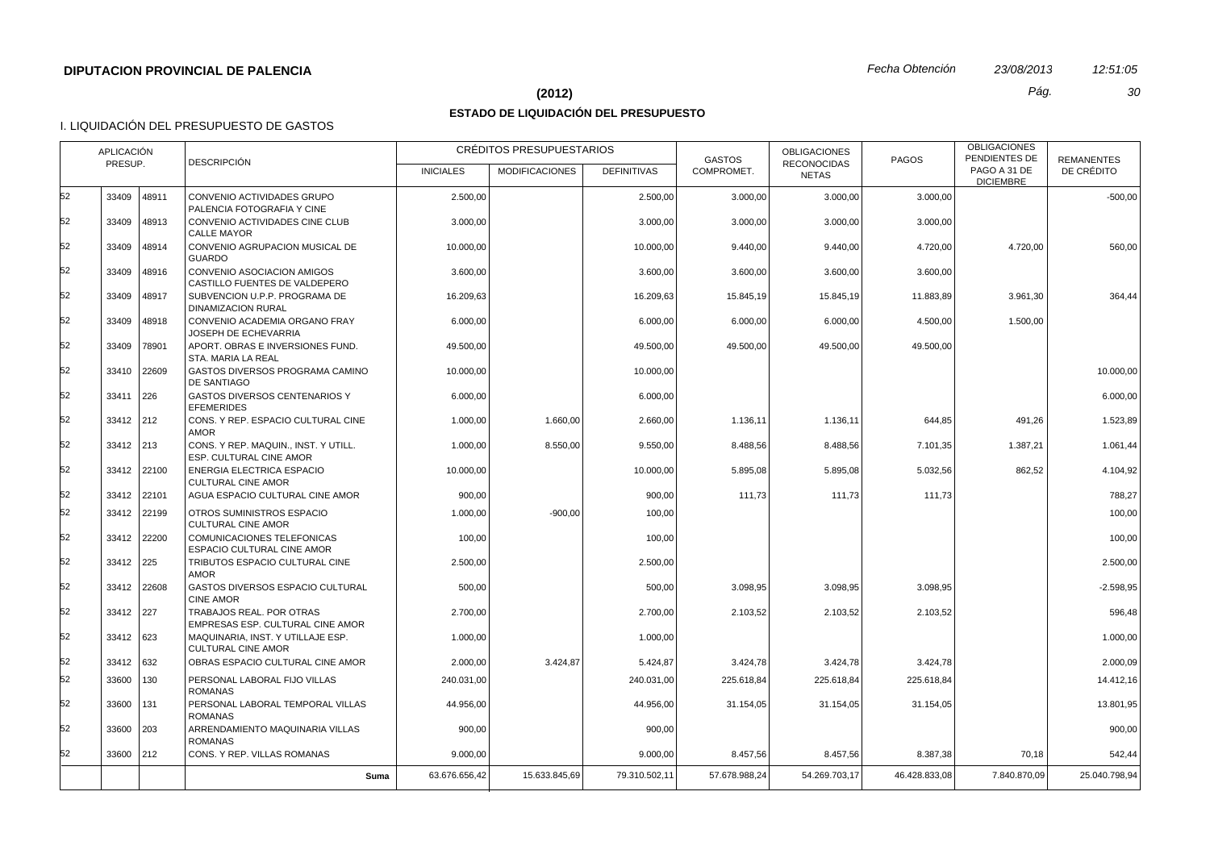## **(2012)** *Pág. 30*

# **ESTADO DE LIQUIDACIÓN DEL PRESUPUESTO**

|    | APLICACIÓN<br><b>DESCRIPCIÓN</b><br>PRESUP. |             |                                                                        | CRÉDITOS PRESUPUESTARIOS<br><b>MODIFICACIONES</b><br><b>DEFINITIVAS</b><br><b>INICIALES</b> |               | <b>GASTOS</b><br>COMPROMET. | <b>OBLIGACIONES</b><br><b>RECONOCIDAS</b> | <b>PAGOS</b>  | <b>OBLIGACIONES</b><br>PENDIENTES DE<br>PAGO A 31 DE | <b>REMANENTES</b><br>DE CRÉDITO |               |
|----|---------------------------------------------|-------------|------------------------------------------------------------------------|---------------------------------------------------------------------------------------------|---------------|-----------------------------|-------------------------------------------|---------------|------------------------------------------------------|---------------------------------|---------------|
|    |                                             |             |                                                                        |                                                                                             |               |                             |                                           | <b>NETAS</b>  |                                                      | <b>DICIEMBRE</b>                |               |
| 52 | 33409                                       | 48911       | CONVENIO ACTIVIDADES GRUPO<br>PALENCIA FOTOGRAFIA Y CINE               | 2.500,00                                                                                    |               | 2.500,00                    | 3.000,00                                  | 3.000,00      | 3.000,00                                             |                                 | $-500,00$     |
| 52 | 33409                                       | 48913       | CONVENIO ACTIVIDADES CINE CLUB<br><b>CALLE MAYOR</b>                   | 3.000,00                                                                                    |               | 3.000,00                    | 3.000,00                                  | 3.000,00      | 3.000,00                                             |                                 |               |
| 52 | 33409                                       | 48914       | CONVENIO AGRUPACION MUSICAL DE<br><b>GUARDO</b>                        | 10.000,00                                                                                   |               | 10.000,00                   | 9.440,00                                  | 9.440,00      | 4.720,00                                             | 4.720,00                        | 560,00        |
| 52 | 33409                                       | 48916       | CONVENIO ASOCIACION AMIGOS<br>CASTILLO FUENTES DE VALDEPERO            | 3.600,00                                                                                    |               | 3.600,00                    | 3.600,00                                  | 3.600,00      | 3.600,00                                             |                                 |               |
| 52 | 33409                                       | 48917       | SUBVENCION U.P.P. PROGRAMA DE<br>DINAMIZACION RURAL                    | 16.209,63                                                                                   |               | 16.209,63                   | 15.845,19                                 | 15.845,19     | 11.883,89                                            | 3.961,30                        | 364,44        |
| 52 | 33409                                       | 48918       | CONVENIO ACADEMIA ORGANO FRAY<br><b>JOSEPH DE ECHEVARRIA</b>           | 6.000,00                                                                                    |               | 6.000,00                    | 6.000,00                                  | 6.000,00      | 4.500,00                                             | 1.500,00                        |               |
| 52 | 33409                                       | 78901       | APORT. OBRAS E INVERSIONES FUND.<br>STA. MARIA LA REAL                 | 49.500,00                                                                                   |               | 49.500,00                   | 49.500,00                                 | 49.500,00     | 49.500,00                                            |                                 |               |
| 52 | 33410                                       | 22609       | GASTOS DIVERSOS PROGRAMA CAMINO<br>DE SANTIAGO                         | 10.000,00                                                                                   |               | 10.000,00                   |                                           |               |                                                      |                                 | 10.000,00     |
| 52 | 33411                                       | 226         | <b>GASTOS DIVERSOS CENTENARIOS Y</b><br><b>EFEMERIDES</b>              | 6.000,00                                                                                    |               | 6.000,00                    |                                           |               |                                                      |                                 | 6.000,00      |
| 52 | 33412 212                                   |             | CONS. Y REP. ESPACIO CULTURAL CINE<br><b>AMOR</b>                      | 1.000,00                                                                                    | 1.660,00      | 2.660,00                    | 1.136,11                                  | 1.136,11      | 644,85                                               | 491,26                          | 1.523,89      |
| 52 | 33412 213                                   |             | CONS. Y REP. MAQUIN., INST. Y UTILL.<br><b>ESP. CULTURAL CINE AMOR</b> | 1.000,00                                                                                    | 8.550,00      | 9.550,00                    | 8.488,56                                  | 8.488,56      | 7.101,35                                             | 1.387,21                        | 1.061,44      |
| 52 |                                             | 33412 22100 | ENERGIA ELECTRICA ESPACIO<br><b>CULTURAL CINE AMOR</b>                 | 10.000,00                                                                                   |               | 10.000,00                   | 5.895,08                                  | 5.895,08      | 5.032,56                                             | 862,52                          | 4.104,92      |
| 52 |                                             | 33412 22101 | AGUA ESPACIO CULTURAL CINE AMOR                                        | 900,00                                                                                      |               | 900,00                      | 111,73                                    | 111,73        | 111,73                                               |                                 | 788,27        |
| 52 |                                             | 33412 22199 | OTROS SUMINISTROS ESPACIO<br><b>CULTURAL CINE AMOR</b>                 | 1.000,00                                                                                    | $-900,00$     | 100,00                      |                                           |               |                                                      |                                 | 100,00        |
| 52 |                                             | 33412 22200 | <b>COMUNICACIONES TELEFONICAS</b><br>ESPACIO CULTURAL CINE AMOR        | 100,00                                                                                      |               | 100,00                      |                                           |               |                                                      |                                 | 100.00        |
| 52 | 33412 225                                   |             | TRIBUTOS ESPACIO CULTURAL CINE<br><b>AMOR</b>                          | 2.500,00                                                                                    |               | 2.500,00                    |                                           |               |                                                      |                                 | 2.500,00      |
| 52 |                                             | 33412 22608 | GASTOS DIVERSOS ESPACIO CULTURAL<br><b>CINE AMOR</b>                   | 500,00                                                                                      |               | 500,00                      | 3.098,95                                  | 3.098,95      | 3.098,95                                             |                                 | $-2.598,95$   |
| 52 | 33412 227                                   |             | TRABAJOS REAL. POR OTRAS<br>EMPRESAS ESP. CULTURAL CINE AMOR           | 2.700,00                                                                                    |               | 2.700.00                    | 2.103,52                                  | 2.103,52      | 2.103,52                                             |                                 | 596,48        |
| 52 | 33412 623                                   |             | MAQUINARIA, INST. Y UTILLAJE ESP.<br><b>CULTURAL CINE AMOR</b>         | 1.000,00                                                                                    |               | 1.000,00                    |                                           |               |                                                      |                                 | 1.000,00      |
| 52 | 33412 632                                   |             | OBRAS ESPACIO CULTURAL CINE AMOR                                       | 2.000,00                                                                                    | 3.424,87      | 5.424,87                    | 3.424,78                                  | 3.424,78      | 3.424,78                                             |                                 | 2.000,09      |
| 52 | 33600 130                                   |             | PERSONAL LABORAL FIJO VILLAS<br><b>ROMANAS</b>                         | 240.031,00                                                                                  |               | 240.031,00                  | 225.618,84                                | 225.618,84    | 225.618,84                                           |                                 | 14.412,16     |
| 52 | 33600                                       | 131         | PERSONAL LABORAL TEMPORAL VILLAS<br><b>ROMANAS</b>                     | 44.956,00                                                                                   |               | 44.956.00                   | 31.154,05                                 | 31.154,05     | 31.154,05                                            |                                 | 13.801,95     |
| 52 | 33600 203                                   |             | ARRENDAMIENTO MAQUINARIA VILLAS<br><b>ROMANAS</b>                      | 900,00                                                                                      |               | 900,00                      |                                           |               |                                                      |                                 | 900,00        |
| 52 | 33600 212                                   |             | CONS. Y REP. VILLAS ROMANAS                                            | 9.000,00                                                                                    |               | 9.000,00                    | 8.457,56                                  | 8.457,56      | 8.387,38                                             | 70,18                           | 542,44        |
|    |                                             |             | Suma                                                                   | 63.676.656,42                                                                               | 15.633.845,69 | 79.310.502,11               | 57.678.988,24                             | 54.269.703,17 | 46.428.833,08                                        | 7.840.870,09                    | 25.040.798,94 |
|    |                                             |             |                                                                        |                                                                                             |               |                             |                                           |               |                                                      |                                 |               |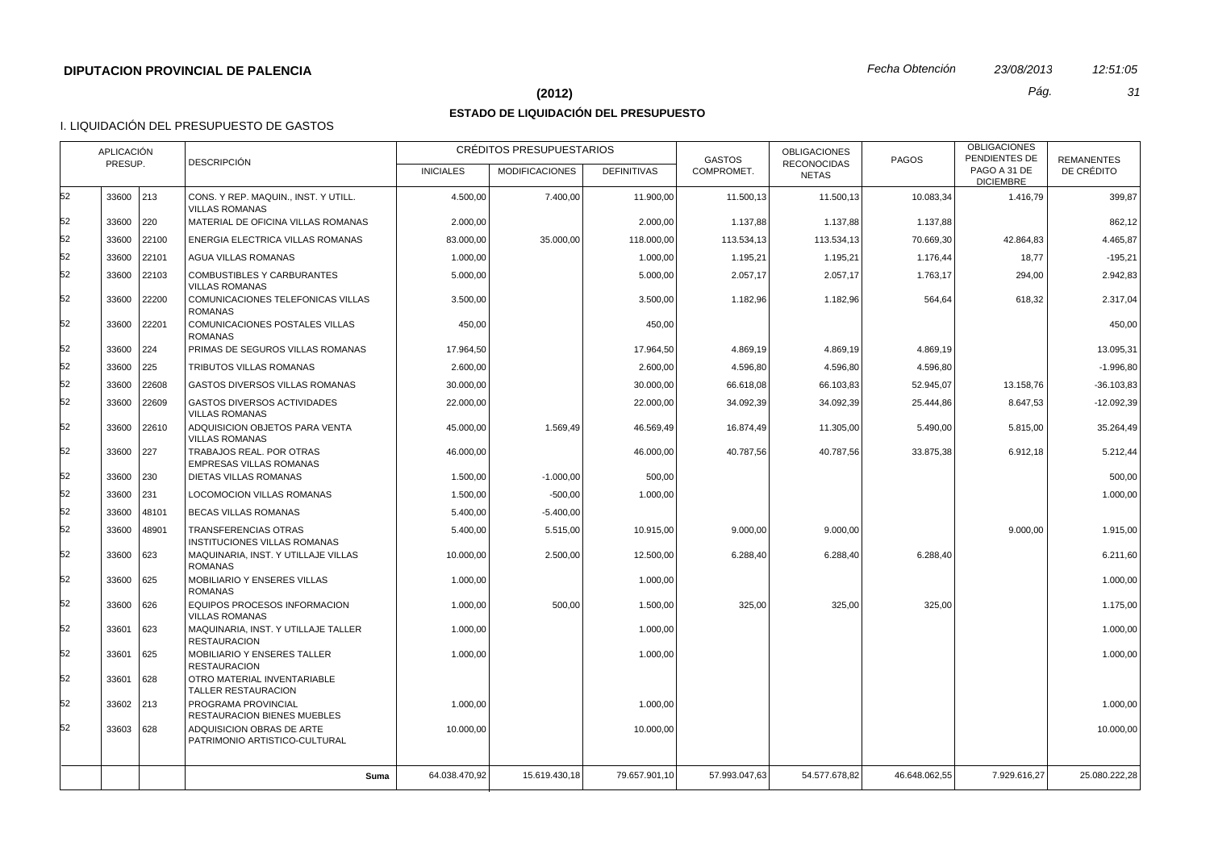## **(2012)** *Pág. 31*

# **ESTADO DE LIQUIDACIÓN DEL PRESUPUESTO**

|    | PRESUP.   | APLICACIÓN    | <b>DESCRIPCIÓN</b>                                            |                  | CRÉDITOS PRESUPUESTARIOS |                    | <b>GASTOS</b> | <b>OBLIGACIONES</b><br><b>RECONOCIDAS</b> | PAGOS         | <b>OBLIGACIONES</b><br>PENDIENTES DE | <b>REMANENTES</b> |
|----|-----------|---------------|---------------------------------------------------------------|------------------|--------------------------|--------------------|---------------|-------------------------------------------|---------------|--------------------------------------|-------------------|
|    |           |               |                                                               | <b>INICIALES</b> | <b>MODIFICACIONES</b>    | <b>DEFINITIVAS</b> | COMPROMET.    | <b>NETAS</b>                              |               | PAGO A 31 DE<br><b>DICIEMBRE</b>     | DE CRÉDITO        |
| 52 | 33600     | $ 213\rangle$ | CONS. Y REP. MAQUIN., INST. Y UTILL.<br><b>VILLAS ROMANAS</b> | 4.500,00         | 7.400,00                 | 11.900,00          | 11.500,13     | 11.500,13                                 | 10.083,34     | 1.416,79                             | 399,87            |
| 52 | 33600     | 220           | MATERIAL DE OFICINA VILLAS ROMANAS                            | 2.000,00         |                          | 2.000,00           | 1.137,88      | 1.137,88                                  | 1.137,88      |                                      | 862,12            |
| 52 | 33600     | 22100         | ENERGIA ELECTRICA VILLAS ROMANAS                              | 83.000,00        | 35.000,00                | 118.000,00         | 113.534,13    | 113.534,13                                | 70.669,30     | 42.864,83                            | 4.465,87          |
| 52 | 33600     | 22101         | AGUA VILLAS ROMANAS                                           | 1.000,00         |                          | 1.000,00           | 1.195,21      | 1.195,21                                  | 1.176,44      | 18,77                                | $-195,21$         |
| 52 | 33600     | 22103         | <b>COMBUSTIBLES Y CARBURANTES</b><br><b>VILLAS ROMANAS</b>    | 5.000,00         |                          | 5.000,00           | 2.057,17      | 2.057,17                                  | 1.763,17      | 294,00                               | 2.942,83          |
| 52 | 33600     | 22200         | COMUNICACIONES TELEFONICAS VILLAS<br><b>ROMANAS</b>           | 3.500,00         |                          | 3.500,00           | 1.182,96      | 1.182,96                                  | 564,64        | 618,32                               | 2.317,04          |
| 52 | 33600     | 22201         | COMUNICACIONES POSTALES VILLAS<br><b>ROMANAS</b>              | 450,00           |                          | 450,00             |               |                                           |               |                                      | 450,00            |
| 52 | 33600     | 224           | PRIMAS DE SEGUROS VILLAS ROMANAS                              | 17.964,50        |                          | 17.964,50          | 4.869,19      | 4.869,19                                  | 4.869,19      |                                      | 13.095,31         |
| 52 | 33600     | 225           | TRIBUTOS VILLAS ROMANAS                                       | 2.600.00         |                          | 2.600,00           | 4.596,80      | 4.596,80                                  | 4.596,80      |                                      | $-1.996.80$       |
| 52 | 33600     | 22608         | <b>GASTOS DIVERSOS VILLAS ROMANAS</b>                         | 30.000,00        |                          | 30.000,00          | 66.618,08     | 66.103,83                                 | 52.945,07     | 13.158,76                            | $-36.103.83$      |
| 52 | 33600     | 22609         | <b>GASTOS DIVERSOS ACTIVIDADES</b><br><b>VILLAS ROMANAS</b>   | 22.000,00        |                          | 22.000,00          | 34.092,39     | 34.092,39                                 | 25.444,86     | 8.647,53                             | $-12.092,39$      |
| 52 | 33600     | 22610         | ADQUISICION OBJETOS PARA VENTA<br><b>VILLAS ROMANAS</b>       | 45.000,00        | 1.569,49                 | 46.569,49          | 16.874,49     | 11.305,00                                 | 5.490,00      | 5.815,00                             | 35.264,49         |
| 52 | 33600     | 227           | TRABAJOS REAL, POR OTRAS<br><b>EMPRESAS VILLAS ROMANAS</b>    | 46.000,00        |                          | 46.000.00          | 40.787.56     | 40.787.56                                 | 33.875.38     | 6.912,18                             | 5.212,44          |
| 52 | 33600     | 230           | DIETAS VILLAS ROMANAS                                         | 1.500,00         | $-1.000,00$              | 500,00             |               |                                           |               |                                      | 500,00            |
| 52 | 33600     | 231           | LOCOMOCION VILLAS ROMANAS                                     | 1.500,00         | $-500,00$                | 1.000,00           |               |                                           |               |                                      | 1.000,00          |
| 52 | 33600     | 48101         | <b>BECAS VILLAS ROMANAS</b>                                   | 5.400,00         | $-5.400,00$              |                    |               |                                           |               |                                      |                   |
| 52 | 33600     | 48901         | TRANSFERENCIAS OTRAS<br>INSTITUCIONES VILLAS ROMANAS          | 5.400,00         | 5.515,00                 | 10.915,00          | 9.000,00      | 9.000,00                                  |               | 9.000,00                             | 1.915,00          |
| 52 | 33600     | 623           | MAQUINARIA, INST. Y UTILLAJE VILLAS<br><b>ROMANAS</b>         | 10.000.00        | 2.500,00                 | 12.500,00          | 6.288,40      | 6.288.40                                  | 6.288,40      |                                      | 6.211.60          |
| 52 | 33600     | 625           | MOBILIARIO Y ENSERES VILLAS<br><b>ROMANAS</b>                 | 1.000,00         |                          | 1.000,00           |               |                                           |               |                                      | 1.000,00          |
| 52 | 33600     | 626           | EQUIPOS PROCESOS INFORMACION<br><b>VILLAS ROMANAS</b>         | 1.000,00         | 500,00                   | 1.500,00           | 325,00        | 325,00                                    | 325,00        |                                      | 1.175,00          |
| 52 | 33601     | 623           | MAQUINARIA, INST. Y UTILLAJE TALLER<br><b>RESTAURACION</b>    | 1.000,00         |                          | 1.000,00           |               |                                           |               |                                      | 1.000,00          |
| 52 | 33601     | 625           | MOBILIARIO Y ENSERES TALLER<br><b>RESTAURACION</b>            | 1.000,00         |                          | 1.000,00           |               |                                           |               |                                      | 1.000,00          |
| 52 | 33601     | 628           | OTRO MATERIAL INVENTARIABLE<br>TALLER RESTAURACION            |                  |                          |                    |               |                                           |               |                                      |                   |
| 52 | 33602 213 |               | PROGRAMA PROVINCIAL<br>RESTAURACION BIENES MUEBLES            | 1.000,00         |                          | 1.000,00           |               |                                           |               |                                      | 1.000,00          |
| 52 | 33603     | 628           | ADQUISICION OBRAS DE ARTE<br>PATRIMONIO ARTISTICO-CULTURAL    | 10.000,00        |                          | 10.000,00          |               |                                           |               |                                      | 10.000,00         |
|    |           |               | Suma                                                          | 64.038.470,92    | 15.619.430,18            | 79.657.901,10      | 57.993.047,63 | 54.577.678,82                             | 46.648.062,55 | 7.929.616,27                         | 25.080.222,28     |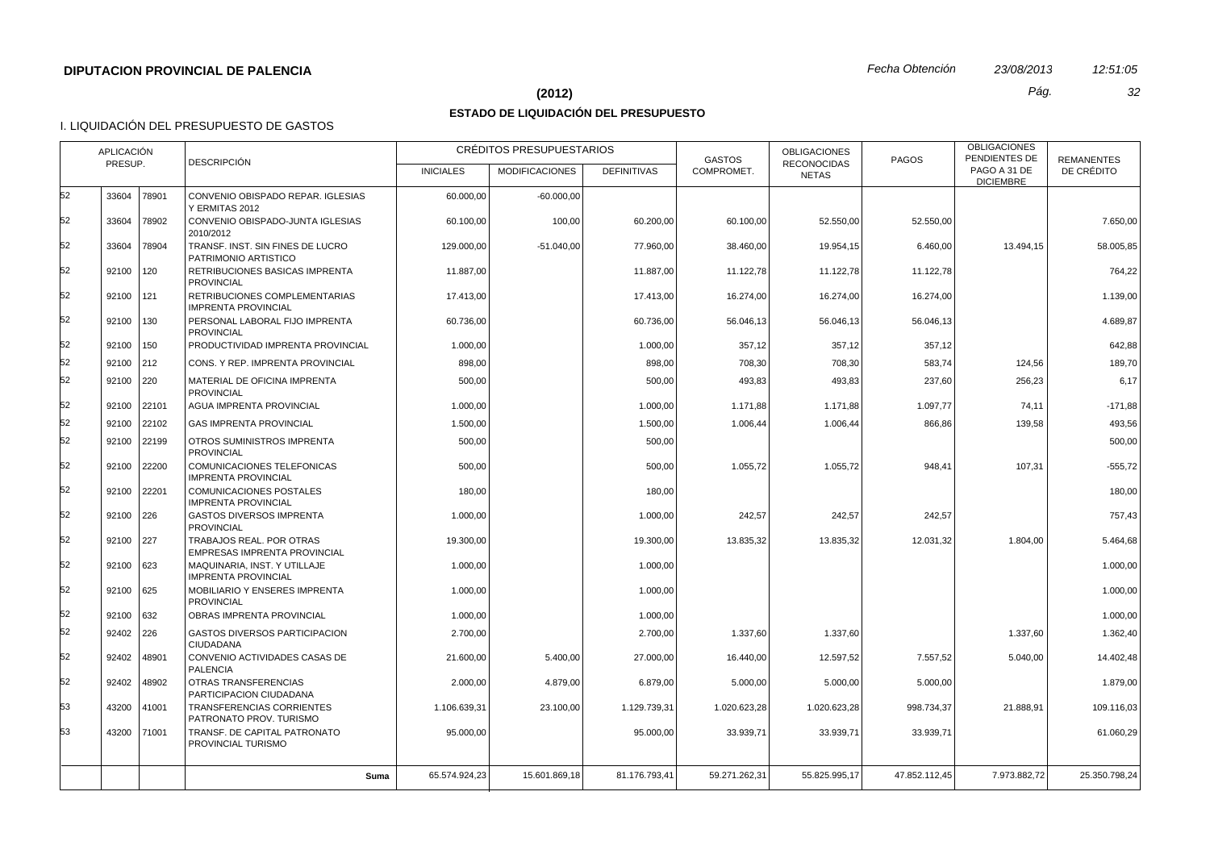#### **(2012)** *Pág. 32*

# **ESTADO DE LIQUIDACIÓN DEL PRESUPUESTO**

|    | APLICACIÓN<br>PRESUP. |               | <b>DESCRIPCIÓN</b>                                              |                  | CRÉDITOS PRESUPUESTARIOS |                    | <b>GASTOS</b> | <b>OBLIGACIONES</b><br><b>RECONOCIDAS</b> | <b>PAGOS</b>  | <b>OBLIGACIONES</b><br>PENDIENTES DE<br>PAGO A 31 DE | <b>REMANENTES</b> |
|----|-----------------------|---------------|-----------------------------------------------------------------|------------------|--------------------------|--------------------|---------------|-------------------------------------------|---------------|------------------------------------------------------|-------------------|
|    |                       |               |                                                                 | <b>INICIALES</b> | <b>MODIFICACIONES</b>    | <b>DEFINITIVAS</b> | COMPROMET.    | <b>NETAS</b>                              |               | <b>DICIEMBRE</b>                                     | DE CRÉDITO        |
| 52 | 33604                 | 78901         | CONVENIO OBISPADO REPAR. IGLESIAS<br>Y ERMITAS 2012             | 60.000,00        | $-60.000,00$             |                    |               |                                           |               |                                                      |                   |
| 52 | 33604                 | 78902         | CONVENIO OBISPADO-JUNTA IGLESIAS<br>2010/2012                   | 60.100,00        | 100,00                   | 60.200.00          | 60.100.00     | 52.550,00                                 | 52.550.00     |                                                      | 7.650,00          |
| 52 | 33604                 | 78904         | TRANSF. INST. SIN FINES DE LUCRO<br>PATRIMONIO ARTISTICO        | 129.000,00       | $-51.040,00$             | 77.960,00          | 38.460,00     | 19.954,15                                 | 6.460,00      | 13.494,15                                            | 58.005,85         |
| 52 | 92100                 | 120           | RETRIBUCIONES BASICAS IMPRENTA<br><b>PROVINCIAL</b>             | 11.887,00        |                          | 11.887.00          | 11.122.78     | 11.122,78                                 | 11.122,78     |                                                      | 764,22            |
| 52 | 92100                 | 121           | RETRIBUCIONES COMPLEMENTARIAS<br><b>IMPRENTA PROVINCIAL</b>     | 17.413,00        |                          | 17.413,00          | 16.274,00     | 16.274,00                                 | 16.274,00     |                                                      | 1.139,00          |
| 52 | 92100                 | $ 130\rangle$ | PERSONAL LABORAL FIJO IMPRENTA<br><b>PROVINCIAL</b>             | 60.736,00        |                          | 60.736,00          | 56.046,13     | 56.046,13                                 | 56.046,13     |                                                      | 4.689,87          |
| 52 | 92100                 | $ 150\rangle$ | PRODUCTIVIDAD IMPRENTA PROVINCIAL                               | 1.000,00         |                          | 1.000,00           | 357,12        | 357,12                                    | 357,12        |                                                      | 642,88            |
| 52 | 92100 212             |               | CONS. Y REP. IMPRENTA PROVINCIAL                                | 898,00           |                          | 898,00             | 708,30        | 708,30                                    | 583,74        | 124,56                                               | 189,70            |
| 52 | 92100 220             |               | MATERIAL DE OFICINA IMPRENTA<br><b>PROVINCIAL</b>               | 500,00           |                          | 500,00             | 493,83        | 493,83                                    | 237,60        | 256,23                                               | 6,17              |
| 52 | 92100 22101           |               | AGUA IMPRENTA PROVINCIAL                                        | 1.000,00         |                          | 1.000,00           | 1.171,88      | 1.171,88                                  | 1.097,77      | 74,11                                                | $-171,88$         |
| 52 |                       | 92100 22102   | <b>GAS IMPRENTA PROVINCIAL</b>                                  | 1.500,00         |                          | 1.500.00           | 1.006,44      | 1.006,44                                  | 866,86        | 139,58                                               | 493,56            |
| 52 | 92100                 | 22199         | OTROS SUMINISTROS IMPRENTA<br><b>PROVINCIAL</b>                 | 500,00           |                          | 500,00             |               |                                           |               |                                                      | 500,00            |
| 52 | 92100                 | 22200         | COMUNICACIONES TELEFONICAS<br><b>IMPRENTA PROVINCIAL</b>        | 500,00           |                          | 500,00             | 1.055,72      | 1.055,72                                  | 948,41        | 107,31                                               | $-555,72$         |
| 52 | 92100                 | 22201         | COMUNICACIONES POSTALES<br><b>IMPRENTA PROVINCIAL</b>           | 180,00           |                          | 180,00             |               |                                           |               |                                                      | 180,00            |
| 52 | 92100 226             |               | <b>GASTOS DIVERSOS IMPRENTA</b><br><b>PROVINCIAL</b>            | 1.000,00         |                          | 1.000,00           | 242,57        | 242,57                                    | 242,57        |                                                      | 757,43            |
| 52 | 92100 227             |               | TRABAJOS REAL. POR OTRAS<br><b>EMPRESAS IMPRENTA PROVINCIAL</b> | 19.300,00        |                          | 19.300,00          | 13.835,32     | 13.835,32                                 | 12.031,32     | 1.804,00                                             | 5.464,68          |
| 52 | $92100$ 623           |               | MAQUINARIA, INST. Y UTILLAJE<br><b>IMPRENTA PROVINCIAL</b>      | 1.000,00         |                          | 1.000.00           |               |                                           |               |                                                      | 1.000,00          |
| 52 | 92100 625             |               | MOBILIARIO Y ENSERES IMPRENTA<br><b>PROVINCIAL</b>              | 1.000,00         |                          | 1.000,00           |               |                                           |               |                                                      | 1.000,00          |
| 52 | 92100 632             |               | OBRAS IMPRENTA PROVINCIAL                                       | 1.000,00         |                          | 1.000,00           |               |                                           |               |                                                      | 1.000,00          |
| 52 | $92402$ 226           |               | <b>GASTOS DIVERSOS PARTICIPACION</b><br>CIUDADANA               | 2.700,00         |                          | 2.700.00           | 1.337,60      | 1.337,60                                  |               | 1.337.60                                             | 1.362,40          |
| 52 | 92402                 | 48901         | CONVENIO ACTIVIDADES CASAS DE<br><b>PALENCIA</b>                | 21.600,00        | 5.400,00                 | 27.000,00          | 16.440,00     | 12.597,52                                 | 7.557,52      | 5.040,00                                             | 14.402,48         |
| 52 | 92402                 | 48902         | OTRAS TRANSFERENCIAS<br>PARTICIPACION CIUDADANA                 | 2.000,00         | 4.879,00                 | 6.879,00           | 5.000,00      | 5.000,00                                  | 5.000,00      |                                                      | 1.879,00          |
| 53 | 43200                 | 41001         | <b>TRANSFERENCIAS CORRIENTES</b><br>PATRONATO PROV. TURISMO     | 1.106.639,31     | 23.100,00                | 1.129.739,31       | 1.020.623,28  | 1.020.623,28                              | 998.734,37    | 21.888.91                                            | 109.116,03        |
| 53 |                       | 43200 71001   | TRANSF. DE CAPITAL PATRONATO<br>PROVINCIAL TURISMO              | 95.000,00        |                          | 95.000,00          | 33.939,71     | 33.939,71                                 | 33.939,71     |                                                      | 61.060,29         |
|    |                       |               | Suma                                                            | 65.574.924,23    | 15.601.869,18            | 81.176.793.41      | 59.271.262.31 | 55.825.995.17                             | 47.852.112,45 | 7.973.882.72                                         | 25.350.798,24     |
|    |                       |               |                                                                 |                  |                          |                    |               |                                           |               |                                                      |                   |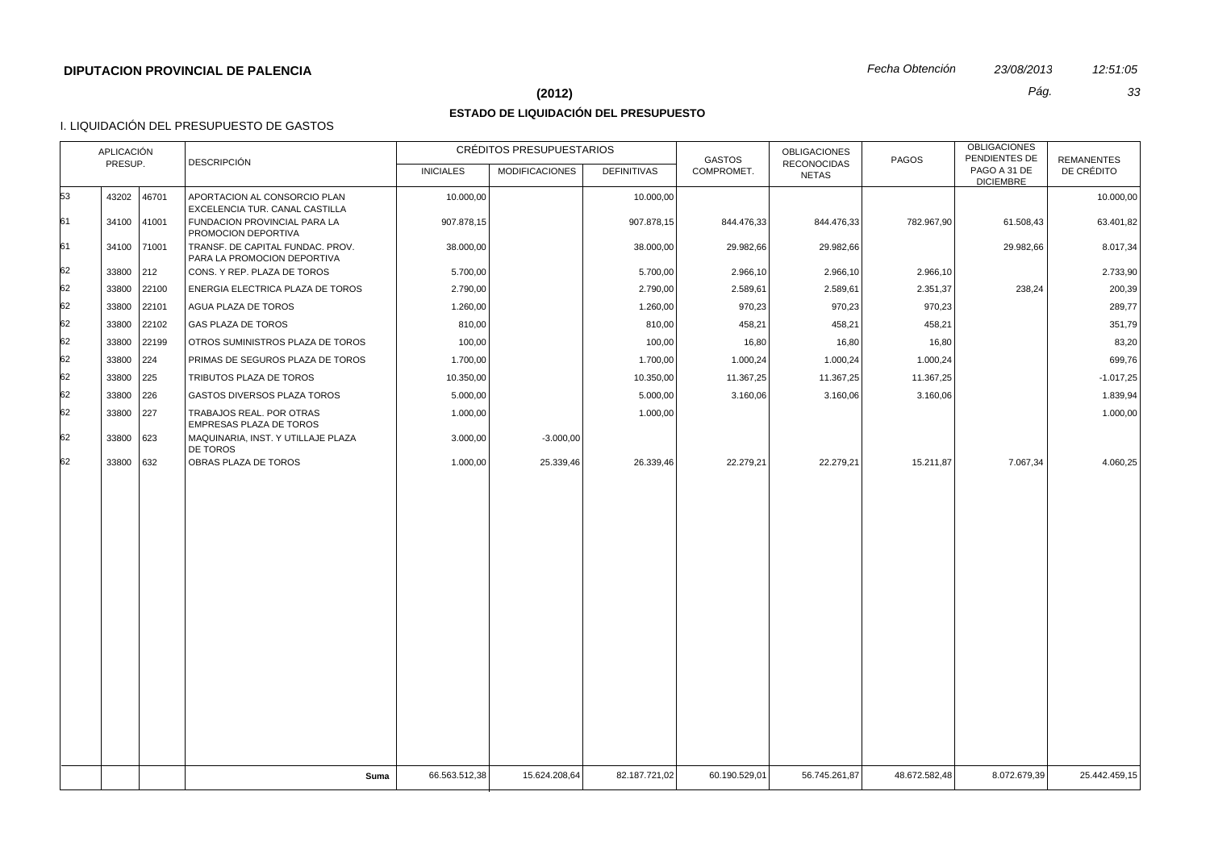#### **(2012)** *Pág. 33*

# **ESTADO DE LIQUIDACIÓN DEL PRESUPUESTO**

|    | <b>APLICACIÓN</b><br>PRESUP. | <b>DESCRIPCIÓN</b>                                              |                  | CRÉDITOS PRESUPUESTARIOS |                    | <b>GASTOS</b> | <b>OBLIGACIONES</b><br><b>RECONOCIDAS</b> | PAGOS         | <b>OBLIGACIONES</b><br>PENDIENTES DE | <b>REMANENTES</b> |
|----|------------------------------|-----------------------------------------------------------------|------------------|--------------------------|--------------------|---------------|-------------------------------------------|---------------|--------------------------------------|-------------------|
|    |                              |                                                                 | <b>INICIALES</b> | <b>MODIFICACIONES</b>    | <b>DEFINITIVAS</b> | COMPROMET.    | <b>NETAS</b>                              |               | PAGO A 31 DE<br><b>DICIEMBRE</b>     | DE CRÉDITO        |
| 53 | 46701<br>43202               | APORTACION AL CONSORCIO PLAN<br>EXCELENCIA TUR. CANAL CASTILLA  | 10.000,00        |                          | 10.000,00          |               |                                           |               |                                      | 10.000,00         |
| 61 | 34100 41001                  | FUNDACION PROVINCIAL PARA LA<br>PROMOCION DEPORTIVA             | 907.878,15       |                          | 907.878,15         | 844.476,33    | 844.476,33                                | 782.967,90    | 61.508,43                            | 63.401,82         |
| 61 | 34100 71001                  | TRANSF. DE CAPITAL FUNDAC. PROV.<br>PARA LA PROMOCION DEPORTIVA | 38.000,00        |                          | 38.000,00          | 29.982,66     | 29.982,66                                 |               | 29.982,66                            | 8.017,34          |
| 62 | 33800<br>$\vert 212 \vert$   | CONS. Y REP. PLAZA DE TOROS                                     | 5.700,00         |                          | 5.700,00           | 2.966,10      | 2.966,10                                  | 2.966,10      |                                      | 2.733,90          |
| 62 | 33800<br>22100               | ENERGIA ELECTRICA PLAZA DE TOROS                                | 2.790,00         |                          | 2.790,00           | 2.589,61      | 2.589,61                                  | 2.351,37      | 238,24                               | 200,39            |
| 62 | 22101<br>33800               | AGUA PLAZA DE TOROS                                             | 1.260,00         |                          | 1.260,00           | 970,23        | 970,23                                    | 970,23        |                                      | 289,77            |
| 62 | 33800<br>22102               | GAS PLAZA DE TOROS                                              | 810,00           |                          | 810,00             | 458,21        | 458,21                                    | 458,21        |                                      | 351,79            |
| 62 | 22199<br>33800               | OTROS SUMINISTROS PLAZA DE TOROS                                | 100,00           |                          | 100,00             | 16,80         | 16,80                                     | 16,80         |                                      | 83,20             |
| 62 | 33800<br>224                 | PRIMAS DE SEGUROS PLAZA DE TOROS                                | 1.700,00         |                          | 1.700,00           | 1.000,24      | 1.000,24                                  | 1.000,24      |                                      | 699,76            |
| 62 | 33800<br>225                 | TRIBUTOS PLAZA DE TOROS                                         | 10.350,00        |                          | 10.350,00          | 11.367,25     | 11.367,25                                 | 11.367,25     |                                      | $-1.017,25$       |
| 62 | 33800<br>226                 | <b>GASTOS DIVERSOS PLAZA TOROS</b>                              | 5.000,00         |                          | 5.000,00           | 3.160,06      | 3.160,06                                  | 3.160,06      |                                      | 1.839,94          |
| 62 | 33800<br> 227                | TRABAJOS REAL. POR OTRAS<br>EMPRESAS PLAZA DE TOROS             | 1.000,00         |                          | 1.000,00           |               |                                           |               |                                      | 1.000,00          |
| 62 | 33800<br>623                 | MAQUINARIA, INST. Y UTILLAJE PLAZA<br><b>DE TOROS</b>           | 3.000,00         | $-3.000,00$              |                    |               |                                           |               |                                      |                   |
| 62 | 33800 632                    | OBRAS PLAZA DE TOROS                                            | 1.000,00         | 25.339,46                | 26.339,46          | 22.279,21     | 22.279,21                                 | 15.211,87     | 7.067,34                             | 4.060,25          |
|    |                              |                                                                 |                  |                          |                    |               |                                           |               |                                      |                   |
|    |                              | Suma                                                            | 66.563.512,38    | 15.624.208,64            | 82.187.721,02      | 60.190.529,01 | 56.745.261,87                             | 48.672.582,48 | 8.072.679,39                         | 25.442.459,15     |
|    |                              |                                                                 |                  |                          |                    |               |                                           |               |                                      |                   |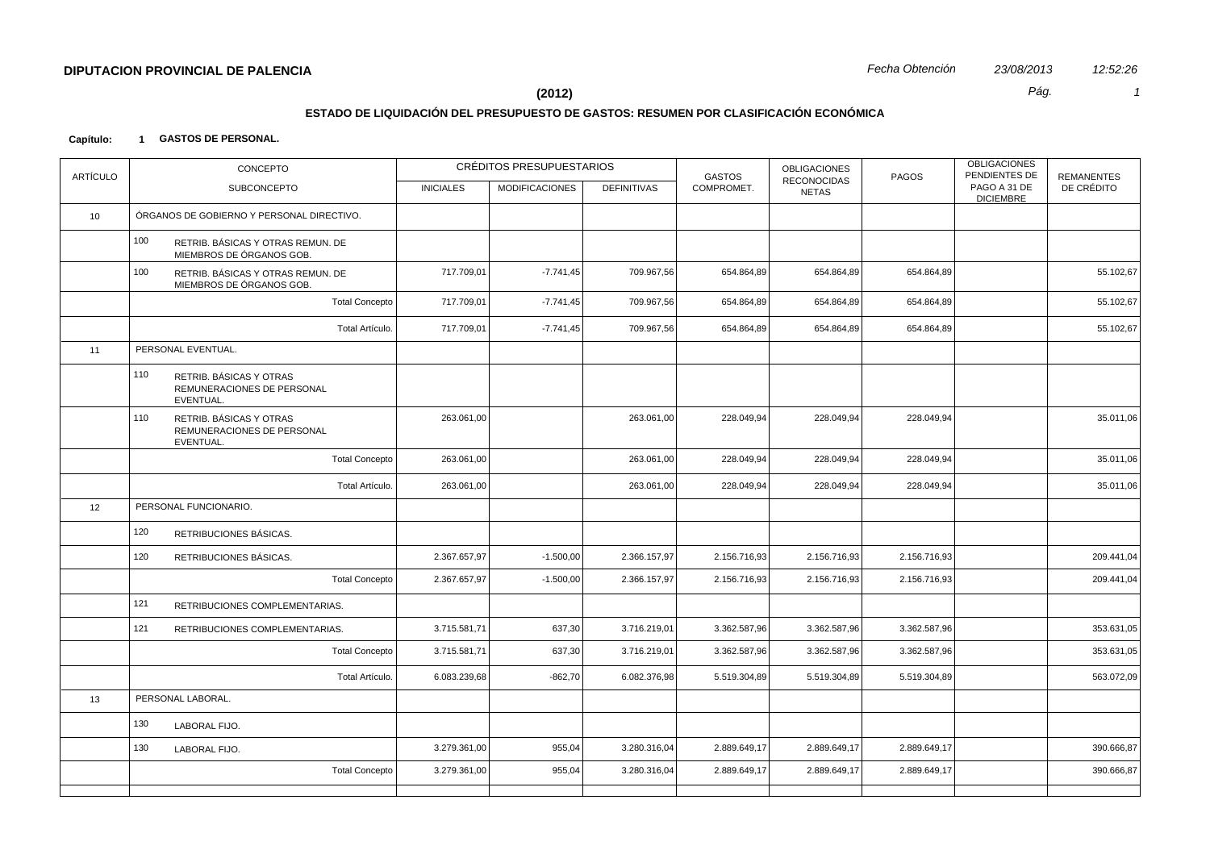#### **(2012)** *Pág. 1*

# **ESTADO DE LIQUIDACIÓN DEL PRESUPUESTO DE GASTOS: RESUMEN POR CLASIFICACIÓN ECONÓMICA**

#### **Capítulo: 1 GASTOS DE PERSONAL.**

| <b>ARTÍCULO</b>  |     | CONCEPTO                                                           |                  | CRÉDITOS PRESUPUESTARIOS |                    | <b>GASTOS</b> | <b>OBLIGACIONES</b>         | PAGOS        | <b>OBLIGACIONES</b><br>PENDIENTES DE | <b>REMANENTES</b> |
|------------------|-----|--------------------------------------------------------------------|------------------|--------------------------|--------------------|---------------|-----------------------------|--------------|--------------------------------------|-------------------|
|                  |     | <b>SUBCONCEPTO</b>                                                 | <b>INICIALES</b> | <b>MODIFICACIONES</b>    | <b>DEFINITIVAS</b> | COMPROMET.    | RECONOCIDAS<br><b>NETAS</b> |              | PAGO A 31 DE<br><b>DICIEMBRE</b>     | DE CRÉDITO        |
| 10 <sup>10</sup> |     | ÓRGANOS DE GOBIERNO Y PERSONAL DIRECTIVO.                          |                  |                          |                    |               |                             |              |                                      |                   |
|                  | 100 | RETRIB. BÁSICAS Y OTRAS REMUN. DE<br>MIEMBROS DE ÓRGANOS GOB.      |                  |                          |                    |               |                             |              |                                      |                   |
|                  | 100 | RETRIB. BÁSICAS Y OTRAS REMUN. DE<br>MIEMBROS DE ÓRGANOS GOB.      | 717.709,01       | $-7.741,45$              | 709.967,56         | 654.864,89    | 654.864,89                  | 654.864,89   |                                      | 55.102,67         |
|                  |     | <b>Total Concepto</b>                                              | 717.709,01       | $-7.741,45$              | 709.967,56         | 654.864,89    | 654.864,89                  | 654.864,89   |                                      | 55.102,67         |
|                  |     | Total Artículo.                                                    | 717.709,01       | $-7.741,45$              | 709.967,56         | 654.864,89    | 654.864,89                  | 654.864,89   |                                      | 55.102,67         |
| 11               |     | PERSONAL EVENTUAL.                                                 |                  |                          |                    |               |                             |              |                                      |                   |
|                  | 110 | RETRIB. BÁSICAS Y OTRAS<br>REMUNERACIONES DE PERSONAL<br>EVENTUAL. |                  |                          |                    |               |                             |              |                                      |                   |
|                  | 110 | RETRIB. BÁSICAS Y OTRAS<br>REMUNERACIONES DE PERSONAL<br>EVENTUAL. | 263.061,00       |                          | 263.061,00         | 228.049,94    | 228.049,94                  | 228.049,94   |                                      | 35.011,06         |
|                  |     | <b>Total Concepto</b>                                              | 263.061,00       |                          | 263.061,00         | 228.049,94    | 228.049,94                  | 228.049,94   |                                      | 35.011,06         |
|                  |     | Total Artículo.                                                    | 263.061,00       |                          | 263.061,00         | 228.049,94    | 228.049,94                  | 228.049,94   |                                      | 35.011,06         |
| 12               |     | PERSONAL FUNCIONARIO.                                              |                  |                          |                    |               |                             |              |                                      |                   |
|                  | 120 | RETRIBUCIONES BÁSICAS.                                             |                  |                          |                    |               |                             |              |                                      |                   |
|                  | 120 | RETRIBUCIONES BÁSICAS.                                             | 2.367.657,97     | $-1.500,00$              | 2.366.157,97       | 2.156.716,93  | 2.156.716,93                | 2.156.716,93 |                                      | 209.441,04        |
|                  |     | <b>Total Concepto</b>                                              | 2.367.657,97     | $-1.500,00$              | 2.366.157,97       | 2.156.716,93  | 2.156.716,93                | 2.156.716,93 |                                      | 209.441,04        |
|                  | 121 | RETRIBUCIONES COMPLEMENTARIAS.                                     |                  |                          |                    |               |                             |              |                                      |                   |
|                  | 121 | RETRIBUCIONES COMPLEMENTARIAS.                                     | 3.715.581,71     | 637,30                   | 3.716.219,01       | 3.362.587,96  | 3.362.587,96                | 3.362.587,96 |                                      | 353.631,05        |
|                  |     | <b>Total Concepto</b>                                              | 3.715.581,71     | 637,30                   | 3.716.219,01       | 3.362.587,96  | 3.362.587,96                | 3.362.587,96 |                                      | 353.631,05        |
|                  |     | Total Artículo.                                                    | 6.083.239,68     | $-862,70$                | 6.082.376,98       | 5.519.304,89  | 5.519.304,89                | 5.519.304,89 |                                      | 563.072,09        |
| 13               |     | PERSONAL LABORAL.                                                  |                  |                          |                    |               |                             |              |                                      |                   |
|                  | 130 | LABORAL FIJO.                                                      |                  |                          |                    |               |                             |              |                                      |                   |
|                  | 130 | LABORAL FIJO.                                                      | 3.279.361,00     | 955,04                   | 3.280.316,04       | 2.889.649,17  | 2.889.649,17                | 2.889.649,17 |                                      | 390.666,87        |
|                  |     | <b>Total Concepto</b>                                              | 3.279.361,00     | 955,04                   | 3.280.316,04       | 2.889.649,17  | 2.889.649,17                | 2.889.649,17 |                                      | 390.666,87        |
|                  |     |                                                                    |                  |                          |                    |               |                             |              |                                      |                   |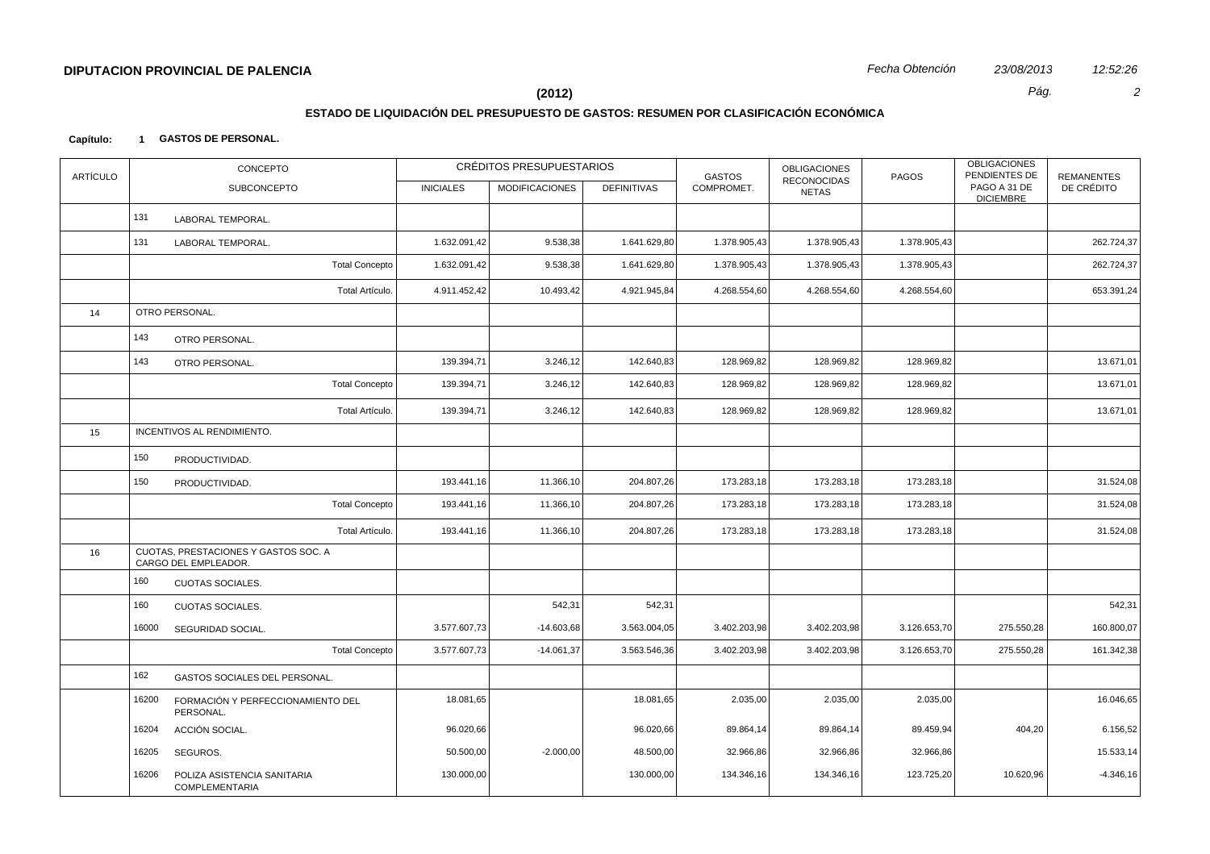#### **(2012)** *Pág. 2*

# **ESTADO DE LIQUIDACIÓN DEL PRESUPUESTO DE GASTOS: RESUMEN POR CLASIFICACIÓN ECONÓMICA**

**Capítulo: 1 GASTOS DE PERSONAL.**

| <b>ARTÍCULO</b> |       | CONCEPTO                                                     |                  | CRÉDITOS PRESUPUESTARIOS |                    |              | OBLIGACIONES<br><b>GASTOS</b><br><b>RECONOCIDAS</b> | PAGOS        | <b>OBLIGACIONES</b><br>PENDIENTES DE | <b>REMANENTES</b> |
|-----------------|-------|--------------------------------------------------------------|------------------|--------------------------|--------------------|--------------|-----------------------------------------------------|--------------|--------------------------------------|-------------------|
|                 |       | SUBCONCEPTO                                                  | <b>INICIALES</b> | <b>MODIFICACIONES</b>    | <b>DEFINITIVAS</b> | COMPROMET.   | <b>NETAS</b>                                        |              | PAGO A 31 DE<br><b>DICIEMBRE</b>     | DE CRÉDITO        |
|                 | 131   | LABORAL TEMPORAL.                                            |                  |                          |                    |              |                                                     |              |                                      |                   |
|                 | 131   | LABORAL TEMPORAL.                                            | 1.632.091,42     | 9.538,38                 | 1.641.629,80       | 1.378.905,43 | 1.378.905,43                                        | 1.378.905,43 |                                      | 262.724,37        |
|                 |       | <b>Total Concepto</b>                                        | 1.632.091,42     | 9.538,38                 | 1.641.629,80       | 1.378.905,43 | 1.378.905,43                                        | 1.378.905,43 |                                      | 262.724,37        |
|                 |       | Total Artículo.                                              | 4.911.452,42     | 10.493,42                | 4.921.945,84       | 4.268.554,60 | 4.268.554,60                                        | 4.268.554,60 |                                      | 653.391,24        |
| 14              |       | OTRO PERSONAL.                                               |                  |                          |                    |              |                                                     |              |                                      |                   |
|                 | 143   | OTRO PERSONAL.                                               |                  |                          |                    |              |                                                     |              |                                      |                   |
|                 | 143   | OTRO PERSONAL.                                               | 139.394,71       | 3.246,12                 | 142.640,83         | 128.969,82   | 128.969,82                                          | 128.969,82   |                                      | 13.671,01         |
|                 |       | <b>Total Concepto</b>                                        | 139.394,71       | 3.246,12                 | 142.640,83         | 128.969,82   | 128.969,82                                          | 128.969,82   |                                      | 13.671,01         |
|                 |       | Total Artículo.                                              | 139.394,71       | 3.246,12                 | 142.640,83         | 128.969,82   | 128.969,82                                          | 128.969,82   |                                      | 13.671,01         |
| 15              |       | INCENTIVOS AL RENDIMIENTO.                                   |                  |                          |                    |              |                                                     |              |                                      |                   |
|                 | 150   | PRODUCTIVIDAD.                                               |                  |                          |                    |              |                                                     |              |                                      |                   |
|                 | 150   | PRODUCTIVIDAD.                                               | 193.441,16       | 11.366,10                | 204.807,26         | 173.283,18   | 173.283,18                                          | 173.283,18   |                                      | 31.524,08         |
|                 |       | <b>Total Concepto</b>                                        | 193.441,16       | 11.366,10                | 204.807,26         | 173.283,18   | 173.283,18                                          | 173.283,18   |                                      | 31.524,08         |
|                 |       | Total Artículo.                                              | 193.441,16       | 11.366,10                | 204.807,26         | 173.283,18   | 173.283,18                                          | 173.283,18   |                                      | 31.524,08         |
| 16              |       | CUOTAS, PRESTACIONES Y GASTOS SOC. A<br>CARGO DEL EMPLEADOR. |                  |                          |                    |              |                                                     |              |                                      |                   |
|                 | 160   | <b>CUOTAS SOCIALES.</b>                                      |                  |                          |                    |              |                                                     |              |                                      |                   |
|                 | 160   | <b>CUOTAS SOCIALES.</b>                                      |                  | 542,31                   | 542,31             |              |                                                     |              |                                      | 542,31            |
|                 | 16000 | SEGURIDAD SOCIAL.                                            | 3.577.607,73     | $-14.603,68$             | 3.563.004,05       | 3.402.203,98 | 3.402.203,98                                        | 3.126.653,70 | 275.550,28                           | 160.800,07        |
|                 |       | <b>Total Concepto</b>                                        | 3.577.607,73     | $-14.061,37$             | 3.563.546,36       | 3.402.203,98 | 3.402.203,98                                        | 3.126.653,70 | 275.550,28                           | 161.342,38        |
|                 | 162   | GASTOS SOCIALES DEL PERSONAL.                                |                  |                          |                    |              |                                                     |              |                                      |                   |
|                 | 16200 | FORMACIÓN Y PERFECCIONAMIENTO DEL<br>PERSONAL.               | 18.081,65        |                          | 18.081,65          | 2.035,00     | 2.035,00                                            | 2.035,00     |                                      | 16.046,65         |
|                 | 16204 | ACCIÓN SOCIAL.                                               | 96.020,66        |                          | 96.020,66          | 89.864,14    | 89.864,14                                           | 89.459,94    | 404,20                               | 6.156,52          |
|                 | 16205 | SEGUROS.                                                     | 50.500,00        | $-2.000,00$              | 48.500,00          | 32.966,86    | 32.966,86                                           | 32.966,86    |                                      | 15.533,14         |
|                 | 16206 | POLIZA ASISTENCIA SANITARIA<br><b>COMPLEMENTARIA</b>         | 130.000,00       |                          | 130.000,00         | 134.346,16   | 134.346,16                                          | 123.725,20   | 10.620,96                            | $-4.346,16$       |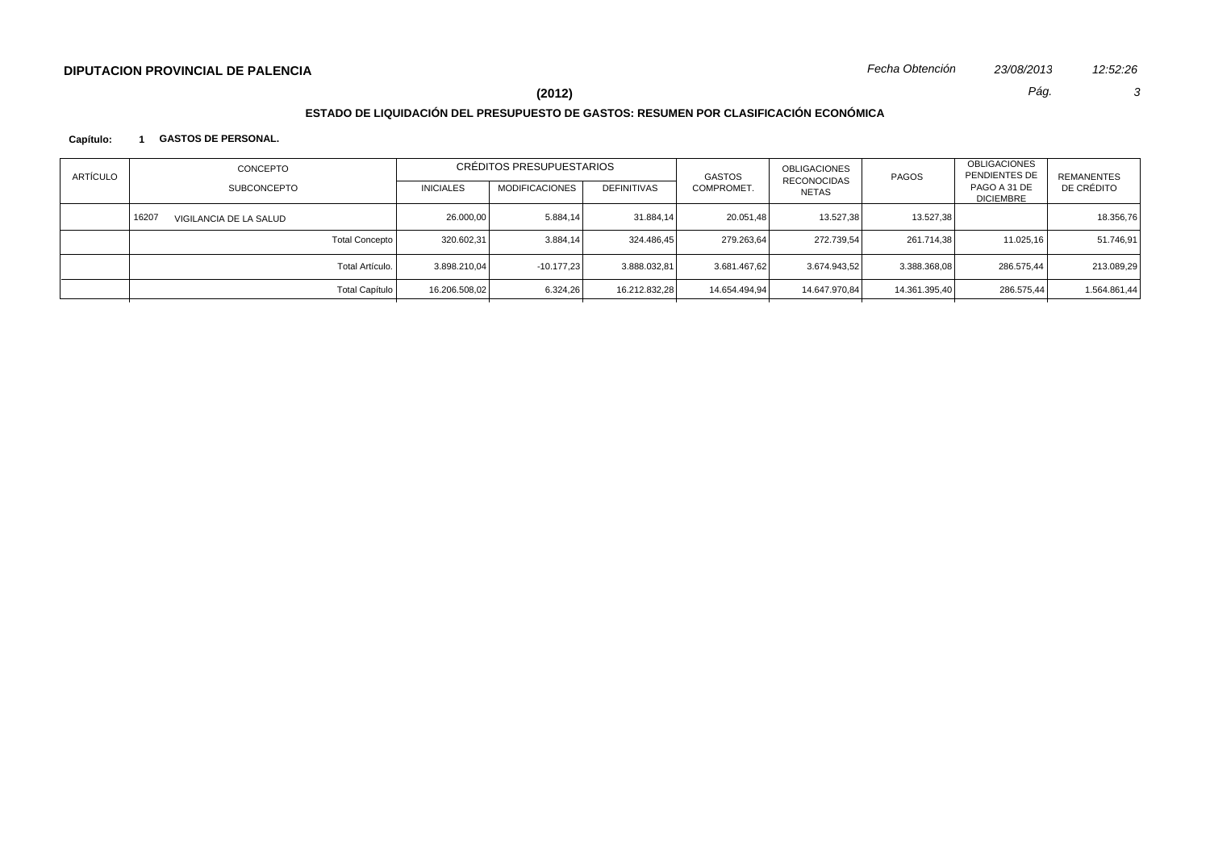**(2012)** *Pág. 3*

# **ESTADO DE LIQUIDACIÓN DEL PRESUPUESTO DE GASTOS: RESUMEN POR CLASIFICACIÓN ECONÓMICA**

#### **Capítulo: 1 GASTOS DE PERSONAL.**

| <b>ARTÍCULO</b> | CONCEPTO<br>SUBCONCEPTO |                        |                 | <b>INICIALES</b> | CRÉDITOS PRESUPUESTARIOS<br><b>MODIFICACIONES</b> | <b>DEFINITIVAS</b> | <b>GASTOS</b><br>COMPROMET. | OBLIGACIONES<br>RECONOCIDAS<br><b>NETAS</b> | PAGOS         | <b>OBLIGACIONES</b><br>PENDIENTES DE<br>PAGO A 31 DE<br><b>DICIEMBRE</b> | REMANENTES<br>DE CRÉDITO |
|-----------------|-------------------------|------------------------|-----------------|------------------|---------------------------------------------------|--------------------|-----------------------------|---------------------------------------------|---------------|--------------------------------------------------------------------------|--------------------------|
|                 | 16207                   | VIGILANCIA DE LA SALUD |                 | 26,000,00        | 5.884,14                                          | 31.884,14          | 20.051,48                   | 13.527.38                                   | 13.527.38     |                                                                          | 18.356,76                |
|                 |                         |                        | Total Concepto  | 320.602.31       | 3.884.14                                          | 324.486.45         | 279.263.64                  | 272.739.54                                  | 261.714.38    | 11.025.16                                                                | 51.746.91                |
|                 |                         |                        | Total Artículo. | 3.898.210.04     | $-10.177.23$                                      | 3.888.032,81       | 3.681.467.62                | 3.674.943,52                                | 3.388.368,08  | 286.575.44                                                               | 213.089,29               |
|                 |                         |                        | Total Capítulo  | 16.206.508,02    | 6.324,26                                          | 16.212.832.28      | 14.654.494.94               | 14.647.970,84                               | 14.361.395,40 | 286.575,44                                                               | 1.564.861,44             |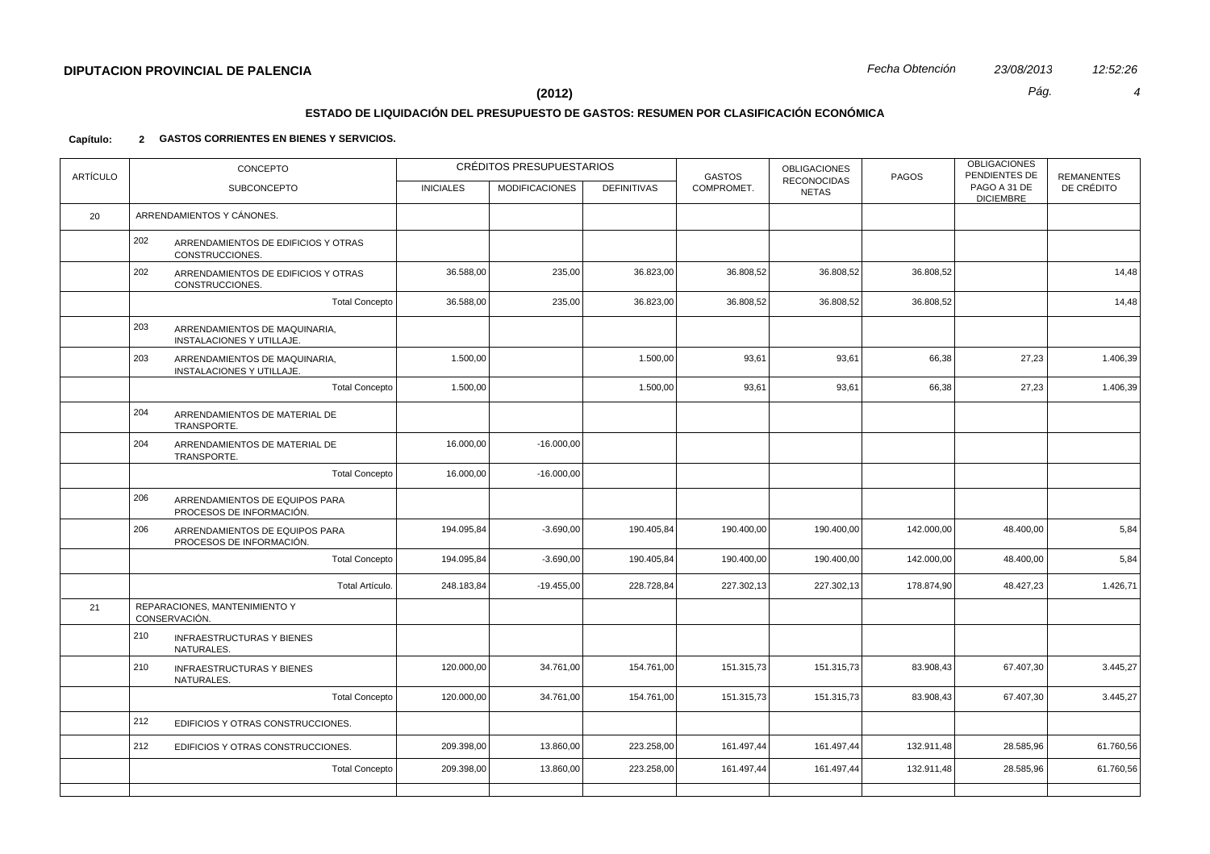# **ESTADO DE LIQUIDACIÓN DEL PRESUPUESTO DE GASTOS: RESUMEN POR CLASIFICACIÓN ECONÓMICA**

| <b>ARTÍCULO</b> |     | CONCEPTO                                                   |                  | CRÉDITOS PRESUPUESTARIOS |                    | <b>GASTOS</b> | <b>OBLIGACIONES</b><br><b>RECONOCIDAS</b> | PAGOS      | <b>OBLIGACIONES</b><br>PENDIENTES DE | <b>REMANENTES</b> |
|-----------------|-----|------------------------------------------------------------|------------------|--------------------------|--------------------|---------------|-------------------------------------------|------------|--------------------------------------|-------------------|
|                 |     | <b>SUBCONCEPTO</b>                                         | <b>INICIALES</b> | <b>MODIFICACIONES</b>    | <b>DEFINITIVAS</b> | COMPROMET.    | <b>NETAS</b>                              |            | PAGO A 31 DE<br><b>DICIEMBRE</b>     | DE CRÉDITO        |
| 20              |     | ARRENDAMIENTOS Y CÁNONES.                                  |                  |                          |                    |               |                                           |            |                                      |                   |
|                 | 202 | ARRENDAMIENTOS DE EDIFICIOS Y OTRAS<br>CONSTRUCCIONES.     |                  |                          |                    |               |                                           |            |                                      |                   |
|                 | 202 | ARRENDAMIENTOS DE EDIFICIOS Y OTRAS<br>CONSTRUCCIONES.     | 36.588,00        | 235,00                   | 36.823,00          | 36.808,52     | 36.808,52                                 | 36.808,52  |                                      | 14,48             |
|                 |     | <b>Total Concepto</b>                                      | 36.588,00        | 235,00                   | 36.823,00          | 36.808,52     | 36.808,52                                 | 36.808,52  |                                      | 14,48             |
|                 | 203 | ARRENDAMIENTOS DE MAQUINARIA,<br>INSTALACIONES Y UTILLAJE. |                  |                          |                    |               |                                           |            |                                      |                   |
|                 | 203 | ARRENDAMIENTOS DE MAQUINARIA,<br>INSTALACIONES Y UTILLAJE. | 1.500,00         |                          | 1.500,00           | 93,61         | 93,61                                     | 66,38      | 27,23                                | 1.406,39          |
|                 |     | <b>Total Concepto</b>                                      | 1.500,00         |                          | 1.500,00           | 93,61         | 93,61                                     | 66,38      | 27,23                                | 1.406,39          |
|                 | 204 | ARRENDAMIENTOS DE MATERIAL DE<br>TRANSPORTE.               |                  |                          |                    |               |                                           |            |                                      |                   |
|                 | 204 | ARRENDAMIENTOS DE MATERIAL DE<br>TRANSPORTE.               | 16.000,00        | $-16.000,00$             |                    |               |                                           |            |                                      |                   |
|                 |     | <b>Total Concepto</b>                                      | 16.000,00        | $-16.000,00$             |                    |               |                                           |            |                                      |                   |
|                 | 206 | ARRENDAMIENTOS DE EQUIPOS PARA<br>PROCESOS DE INFORMACIÓN. |                  |                          |                    |               |                                           |            |                                      |                   |
|                 | 206 | ARRENDAMIENTOS DE EQUIPOS PARA<br>PROCESOS DE INFORMACIÓN. | 194.095,84       | $-3.690,00$              | 190.405,84         | 190.400,00    | 190.400,00                                | 142.000,00 | 48.400,00                            | 5,84              |
|                 |     | <b>Total Concepto</b>                                      | 194.095,84       | $-3.690,00$              | 190.405,84         | 190.400,00    | 190.400,00                                | 142.000,00 | 48.400,00                            | 5,84              |
|                 |     | Total Artículo.                                            | 248.183,84       | $-19.455,00$             | 228.728,84         | 227.302,13    | 227.302,13                                | 178.874,90 | 48.427,23                            | 1.426,71          |
| 21              |     | REPARACIONES, MANTENIMIENTO Y<br>CONSERVACIÓN.             |                  |                          |                    |               |                                           |            |                                      |                   |
|                 | 210 | <b>INFRAESTRUCTURAS Y BIENES</b><br>NATURALES.             |                  |                          |                    |               |                                           |            |                                      |                   |
|                 | 210 | <b>INFRAESTRUCTURAS Y BIENES</b><br>NATURALES.             | 120.000,00       | 34.761,00                | 154.761,00         | 151.315,73    | 151.315,73                                | 83.908,43  | 67.407,30                            | 3.445,27          |
|                 |     | <b>Total Concepto</b>                                      | 120.000,00       | 34.761,00                | 154.761,00         | 151.315,73    | 151.315,73                                | 83.908,43  | 67.407,30                            | 3.445,27          |
|                 | 212 | EDIFICIOS Y OTRAS CONSTRUCCIONES.                          |                  |                          |                    |               |                                           |            |                                      |                   |
|                 | 212 | EDIFICIOS Y OTRAS CONSTRUCCIONES.                          | 209.398,00       | 13.860,00                | 223.258,00         | 161.497,44    | 161.497,44                                | 132.911,48 | 28.585,96                            | 61.760,56         |
|                 |     | <b>Total Concepto</b>                                      | 209.398,00       | 13.860,00                | 223.258,00         | 161.497,44    | 161.497,44                                | 132.911,48 | 28.585,96                            | 61.760,56         |
|                 |     |                                                            |                  |                          |                    |               |                                           |            |                                      |                   |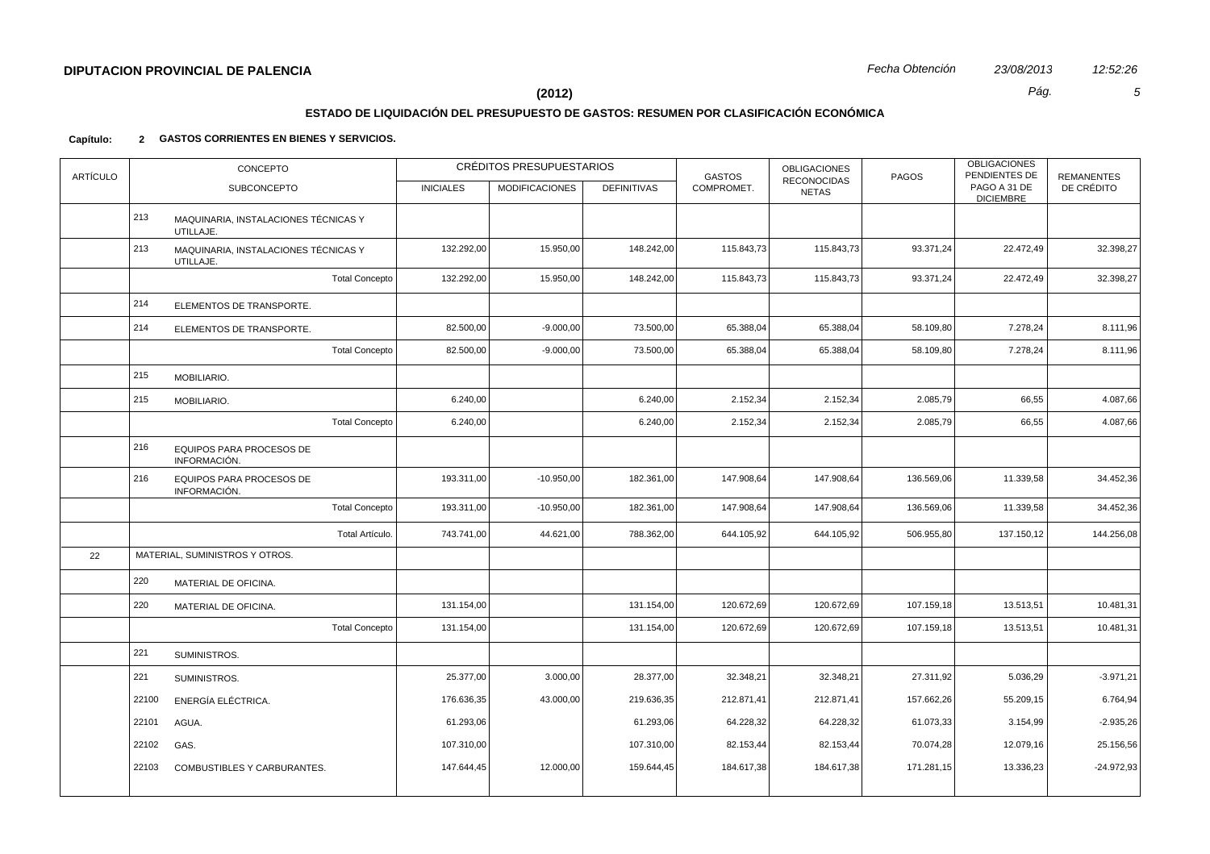# **ESTADO DE LIQUIDACIÓN DEL PRESUPUESTO DE GASTOS: RESUMEN POR CLASIFICACIÓN ECONÓMICA**

| <b>ARTÍCULO</b> |       | CONCEPTO                                          |                  | CRÉDITOS PRESUPUESTARIOS |                    | <b>GASTOS</b> | <b>OBLIGACIONES</b><br><b>RECONOCIDAS</b> | PAGOS      | <b>OBLIGACIONES</b><br>PENDIENTES DE | <b>REMANENTES</b> |
|-----------------|-------|---------------------------------------------------|------------------|--------------------------|--------------------|---------------|-------------------------------------------|------------|--------------------------------------|-------------------|
|                 |       | <b>SUBCONCEPTO</b>                                | <b>INICIALES</b> | <b>MODIFICACIONES</b>    | <b>DEFINITIVAS</b> | COMPROMET.    | <b>NETAS</b>                              |            | PAGO A 31 DE<br><b>DICIEMBRE</b>     | DE CRÉDITO        |
|                 | 213   | MAQUINARIA, INSTALACIONES TÉCNICAS Y<br>UTILLAJE. |                  |                          |                    |               |                                           |            |                                      |                   |
|                 | 213   | MAQUINARIA, INSTALACIONES TÉCNICAS Y<br>UTILLAJE. | 132.292,00       | 15.950,00                | 148.242,00         | 115.843,73    | 115.843,73                                | 93.371,24  | 22.472,49                            | 32.398,27         |
|                 |       | <b>Total Concepto</b>                             | 132.292,00       | 15.950,00                | 148.242,00         | 115.843,73    | 115.843,73                                | 93.371,24  | 22.472,49                            | 32.398,27         |
|                 | 214   | ELEMENTOS DE TRANSPORTE.                          |                  |                          |                    |               |                                           |            |                                      |                   |
|                 | 214   | ELEMENTOS DE TRANSPORTE.                          | 82.500,00        | $-9.000,00$              | 73.500,00          | 65.388,04     | 65.388,04                                 | 58.109,80  | 7.278,24                             | 8.111,96          |
|                 |       | <b>Total Concepto</b>                             | 82.500,00        | $-9.000,00$              | 73.500,00          | 65.388,04     | 65.388,04                                 | 58.109,80  | 7.278,24                             | 8.111,96          |
|                 | 215   | MOBILIARIO.                                       |                  |                          |                    |               |                                           |            |                                      |                   |
|                 | 215   | MOBILIARIO.                                       | 6.240,00         |                          | 6.240,00           | 2.152,34      | 2.152,34                                  | 2.085,79   | 66,55                                | 4.087,66          |
|                 |       | <b>Total Concepto</b>                             | 6.240,00         |                          | 6.240,00           | 2.152,34      | 2.152,34                                  | 2.085,79   | 66,55                                | 4.087,66          |
|                 | 216   | EQUIPOS PARA PROCESOS DE<br>INFORMACIÓN.          |                  |                          |                    |               |                                           |            |                                      |                   |
|                 | 216   | EQUIPOS PARA PROCESOS DE<br>INFORMACIÓN.          | 193.311,00       | $-10.950,00$             | 182.361,00         | 147.908,64    | 147.908,64                                | 136.569,06 | 11.339,58                            | 34.452,36         |
|                 |       | <b>Total Concepto</b>                             | 193.311,00       | $-10.950,00$             | 182.361,00         | 147.908,64    | 147.908,64                                | 136.569,06 | 11.339,58                            | 34.452,36         |
|                 |       | Total Artículo.                                   | 743.741,00       | 44.621,00                | 788.362,00         | 644.105,92    | 644.105,92                                | 506.955,80 | 137.150,12                           | 144.256,08        |
| 22              |       | MATERIAL, SUMINISTROS Y OTROS.                    |                  |                          |                    |               |                                           |            |                                      |                   |
|                 | 220   | MATERIAL DE OFICINA.                              |                  |                          |                    |               |                                           |            |                                      |                   |
|                 | 220   | MATERIAL DE OFICINA.                              | 131.154,00       |                          | 131.154,00         | 120.672,69    | 120.672,69                                | 107.159,18 | 13.513,51                            | 10.481,31         |
|                 |       | <b>Total Concepto</b>                             | 131.154,00       |                          | 131.154,00         | 120.672,69    | 120.672,69                                | 107.159,18 | 13.513,51                            | 10.481,31         |
|                 | 221   | SUMINISTROS.                                      |                  |                          |                    |               |                                           |            |                                      |                   |
|                 | 221   | SUMINISTROS.                                      | 25.377,00        | 3.000,00                 | 28.377,00          | 32.348,21     | 32.348,21                                 | 27.311,92  | 5.036,29                             | $-3.971,21$       |
|                 | 22100 | ENERGÍA ELÉCTRICA.                                | 176.636,35       | 43.000,00                | 219.636,35         | 212.871,41    | 212.871,41                                | 157.662,26 | 55.209,15                            | 6.764,94          |
|                 | 22101 | AGUA.                                             | 61.293,06        |                          | 61.293,06          | 64.228,32     | 64.228,32                                 | 61.073,33  | 3.154,99                             | $-2.935,26$       |
|                 | 22102 | GAS.                                              | 107.310,00       |                          | 107.310,00         | 82.153,44     | 82.153,44                                 | 70.074,28  | 12.079,16                            | 25.156,56         |
|                 | 22103 | COMBUSTIBLES Y CARBURANTES.                       | 147.644,45       | 12.000,00                | 159.644,45         | 184.617,38    | 184.617,38                                | 171.281,15 | 13.336,23                            | $-24.972,93$      |
|                 |       |                                                   |                  |                          |                    |               |                                           |            |                                      |                   |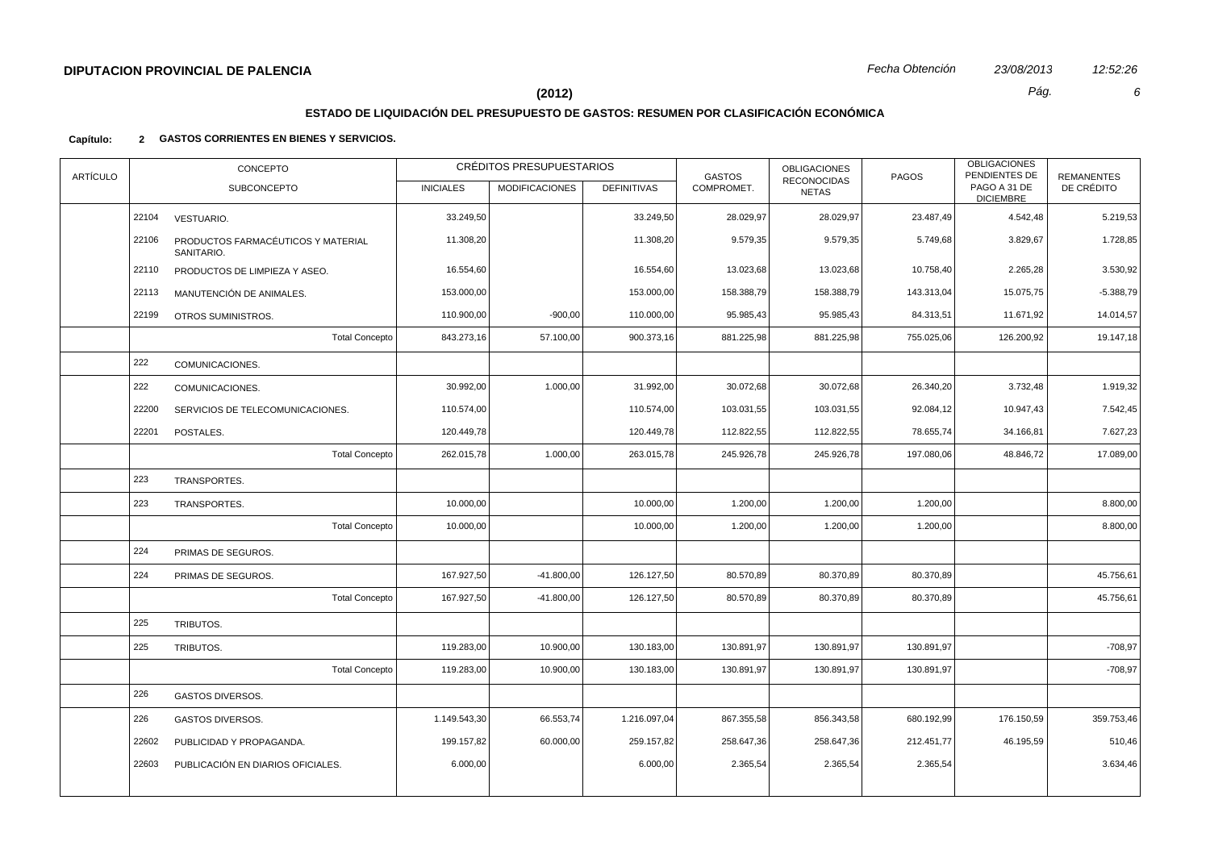# **ESTADO DE LIQUIDACIÓN DEL PRESUPUESTO DE GASTOS: RESUMEN POR CLASIFICACIÓN ECONÓMICA**

| <b>ARTÍCULO</b> |       | CONCEPTO                                         |                  | CRÉDITOS PRESUPUESTARIOS |                    | <b>GASTOS</b> | <b>OBLIGACIONES</b><br><b>RECONOCIDAS</b> | PAGOS      | <b>OBLIGACIONES</b><br>PENDIENTES DE | <b>REMANENTES</b> |
|-----------------|-------|--------------------------------------------------|------------------|--------------------------|--------------------|---------------|-------------------------------------------|------------|--------------------------------------|-------------------|
|                 |       | <b>SUBCONCEPTO</b>                               | <b>INICIALES</b> | <b>MODIFICACIONES</b>    | <b>DEFINITIVAS</b> | COMPROMET.    | <b>NETAS</b>                              |            | PAGO A 31 DE<br><b>DICIEMBRE</b>     | DE CRÉDITO        |
|                 | 22104 | <b>VESTUARIO.</b>                                | 33.249,50        |                          | 33.249,50          | 28.029,97     | 28.029,97                                 | 23.487,49  | 4.542,48                             | 5.219,53          |
|                 | 22106 | PRODUCTOS FARMACÉUTICOS Y MATERIAL<br>SANITARIO. | 11.308,20        |                          | 11.308,20          | 9.579,35      | 9.579,35                                  | 5.749,68   | 3.829,67                             | 1.728,85          |
|                 | 22110 | PRODUCTOS DE LIMPIEZA Y ASEO.                    | 16.554,60        |                          | 16.554,60          | 13.023,68     | 13.023,68                                 | 10.758,40  | 2.265,28                             | 3.530,92          |
|                 | 22113 | MANUTENCIÓN DE ANIMALES.                         | 153.000,00       |                          | 153.000,00         | 158.388,79    | 158.388,79                                | 143.313,04 | 15.075,75                            | $-5.388,79$       |
|                 | 22199 | OTROS SUMINISTROS.                               | 110.900,00       | $-900,00$                | 110.000,00         | 95.985,43     | 95.985,43                                 | 84.313,51  | 11.671,92                            | 14.014,57         |
|                 |       | <b>Total Concepto</b>                            | 843.273,16       | 57.100,00                | 900.373,16         | 881.225,98    | 881.225,98                                | 755.025,06 | 126.200,92                           | 19.147,18         |
|                 | 222   | COMUNICACIONES.                                  |                  |                          |                    |               |                                           |            |                                      |                   |
|                 | 222   | COMUNICACIONES.                                  | 30.992,00        | 1.000,00                 | 31.992,00          | 30.072,68     | 30.072,68                                 | 26.340,20  | 3.732,48                             | 1.919,32          |
|                 | 22200 | SERVICIOS DE TELECOMUNICACIONES.                 | 110.574,00       |                          | 110.574,00         | 103.031,55    | 103.031,55                                | 92.084,12  | 10.947,43                            | 7.542,45          |
|                 | 22201 | POSTALES.                                        | 120.449,78       |                          | 120.449,78         | 112.822,55    | 112.822,55                                | 78.655,74  | 34.166,81                            | 7.627,23          |
|                 |       | <b>Total Concepto</b>                            | 262.015,78       | 1.000,00                 | 263.015,78         | 245.926,78    | 245.926,78                                | 197.080,06 | 48.846,72                            | 17.089,00         |
|                 | 223   | TRANSPORTES.                                     |                  |                          |                    |               |                                           |            |                                      |                   |
|                 | 223   | TRANSPORTES.                                     | 10.000,00        |                          | 10.000,00          | 1.200,00      | 1.200,00                                  | 1.200,00   |                                      | 8.800,00          |
|                 |       | <b>Total Concepto</b>                            | 10.000,00        |                          | 10.000,00          | 1.200,00      | 1.200,00                                  | 1.200,00   |                                      | 8.800,00          |
|                 | 224   | PRIMAS DE SEGUROS.                               |                  |                          |                    |               |                                           |            |                                      |                   |
|                 | 224   | PRIMAS DE SEGUROS.                               | 167.927,50       | $-41.800,00$             | 126.127,50         | 80.570,89     | 80.370,89                                 | 80.370,89  |                                      | 45.756,61         |
|                 |       | <b>Total Concepto</b>                            | 167.927,50       | $-41.800,00$             | 126.127,50         | 80.570,89     | 80.370,89                                 | 80.370,89  |                                      | 45.756,61         |
|                 | 225   | TRIBUTOS.                                        |                  |                          |                    |               |                                           |            |                                      |                   |
|                 | 225   | TRIBUTOS.                                        | 119.283,00       | 10.900,00                | 130.183,00         | 130.891,97    | 130.891,97                                | 130.891,97 |                                      | $-708,97$         |
|                 |       | <b>Total Concepto</b>                            | 119.283,00       | 10.900,00                | 130.183,00         | 130.891,97    | 130.891,97                                | 130.891,97 |                                      | $-708,97$         |
|                 | 226   | <b>GASTOS DIVERSOS.</b>                          |                  |                          |                    |               |                                           |            |                                      |                   |
|                 | 226   | GASTOS DIVERSOS.                                 | 1.149.543,30     | 66.553,74                | 1.216.097,04       | 867.355,58    | 856.343,58                                | 680.192,99 | 176.150,59                           | 359.753,46        |
|                 | 22602 | PUBLICIDAD Y PROPAGANDA.                         | 199.157,82       | 60.000,00                | 259.157,82         | 258.647,36    | 258.647,36                                | 212.451,77 | 46.195,59                            | 510,46            |
|                 | 22603 | PUBLICACIÓN EN DIARIOS OFICIALES.                | 6.000,00         |                          | 6.000,00           | 2.365,54      | 2.365,54                                  | 2.365,54   |                                      | 3.634,46          |
|                 |       |                                                  |                  |                          |                    |               |                                           |            |                                      |                   |
|                 |       |                                                  |                  |                          |                    |               |                                           |            |                                      |                   |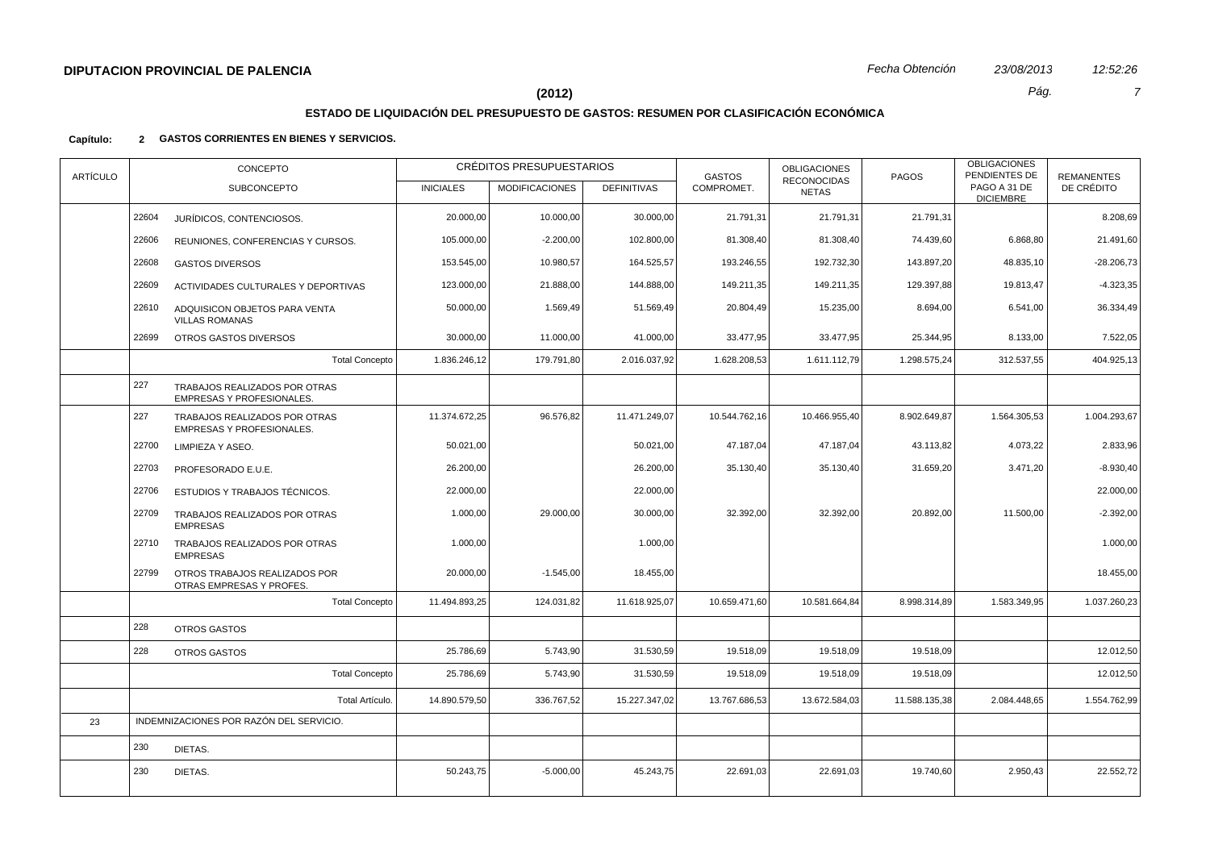# **ESTADO DE LIQUIDACIÓN DEL PRESUPUESTO DE GASTOS: RESUMEN POR CLASIFICACIÓN ECONÓMICA**

| <b>ARTÍCULO</b> |       | CONCEPTO                                                   |                  | CRÉDITOS PRESUPUESTARIOS |                    | <b>GASTOS</b> | <b>OBLIGACIONES</b><br><b>RECONOCIDAS</b> | <b>PAGOS</b>  | <b>OBLIGACIONES</b><br>PENDIENTES DE | <b>REMANENTES</b> |
|-----------------|-------|------------------------------------------------------------|------------------|--------------------------|--------------------|---------------|-------------------------------------------|---------------|--------------------------------------|-------------------|
|                 |       | <b>SUBCONCEPTO</b>                                         | <b>INICIALES</b> | <b>MODIFICACIONES</b>    | <b>DEFINITIVAS</b> | COMPROMET.    | <b>NETAS</b>                              |               | PAGO A 31 DE<br><b>DICIEMBRE</b>     | DE CRÉDITO        |
|                 | 22604 | JURÍDICOS, CONTENCIOSOS.                                   | 20.000,00        | 10.000,00                | 30.000,00          | 21.791,31     | 21.791,31                                 | 21.791,31     |                                      | 8.208,69          |
|                 | 22606 | REUNIONES, CONFERENCIAS Y CURSOS.                          | 105.000,00       | $-2.200,00$              | 102.800,00         | 81.308,40     | 81.308,40                                 | 74.439,60     | 6.868,80                             | 21.491,60         |
|                 | 22608 | <b>GASTOS DIVERSOS</b>                                     | 153.545,00       | 10.980,57                | 164.525,57         | 193.246,55    | 192.732,30                                | 143.897,20    | 48.835,10                            | $-28.206,73$      |
|                 | 22609 | ACTIVIDADES CULTURALES Y DEPORTIVAS                        | 123.000,00       | 21.888,00                | 144.888,00         | 149.211,35    | 149.211,35                                | 129.397,88    | 19.813,47                            | $-4.323,35$       |
|                 | 22610 | ADQUISICON OBJETOS PARA VENTA<br><b>VILLAS ROMANAS</b>     | 50.000,00        | 1.569,49                 | 51.569,49          | 20.804,49     | 15.235,00                                 | 8.694,00      | 6.541,00                             | 36.334,49         |
|                 | 22699 | OTROS GASTOS DIVERSOS                                      | 30.000,00        | 11.000,00                | 41.000,00          | 33.477,95     | 33.477,95                                 | 25.344,95     | 8.133,00                             | 7.522,05          |
|                 |       | <b>Total Concepto</b>                                      | 1.836.246,12     | 179.791,80               | 2.016.037,92       | 1.628.208,53  | 1.611.112,79                              | 1.298.575,24  | 312.537,55                           | 404.925,13        |
|                 | 227   | TRABAJOS REALIZADOS POR OTRAS<br>EMPRESAS Y PROFESIONALES. |                  |                          |                    |               |                                           |               |                                      |                   |
|                 | 227   | TRABAJOS REALIZADOS POR OTRAS<br>EMPRESAS Y PROFESIONALES. | 11.374.672,25    | 96.576,82                | 11.471.249,07      | 10.544.762,16 | 10.466.955,40                             | 8.902.649,87  | 1.564.305,53                         | 1.004.293,67      |
|                 | 22700 | LIMPIEZA Y ASEO.                                           | 50.021,00        |                          | 50.021,00          | 47.187,04     | 47.187,04                                 | 43.113,82     | 4.073,22                             | 2.833,96          |
|                 | 22703 | PROFESORADO E.U.E.                                         | 26.200,00        |                          | 26.200,00          | 35.130,40     | 35.130,40                                 | 31.659,20     | 3.471,20                             | $-8.930,40$       |
|                 | 22706 | ESTUDIOS Y TRABAJOS TÉCNICOS.                              | 22.000,00        |                          | 22.000,00          |               |                                           |               |                                      | 22.000,00         |
|                 | 22709 | TRABAJOS REALIZADOS POR OTRAS<br><b>EMPRESAS</b>           | 1.000,00         | 29.000,00                | 30.000,00          | 32.392,00     | 32.392,00                                 | 20.892,00     | 11.500,00                            | $-2.392,00$       |
|                 | 22710 | TRABAJOS REALIZADOS POR OTRAS<br><b>EMPRESAS</b>           | 1.000,00         |                          | 1.000,00           |               |                                           |               |                                      | 1.000,00          |
|                 | 22799 | OTROS TRABAJOS REALIZADOS POR<br>OTRAS EMPRESAS Y PROFES.  | 20.000,00        | $-1.545,00$              | 18.455,00          |               |                                           |               |                                      | 18.455,00         |
|                 |       | <b>Total Concepto</b>                                      | 11.494.893,25    | 124.031,82               | 11.618.925,07      | 10.659.471,60 | 10.581.664,84                             | 8.998.314,89  | 1.583.349,95                         | 1.037.260,23      |
|                 | 228   | OTROS GASTOS                                               |                  |                          |                    |               |                                           |               |                                      |                   |
|                 | 228   | <b>OTROS GASTOS</b>                                        | 25.786,69        | 5.743,90                 | 31.530,59          | 19.518,09     | 19.518,09                                 | 19.518,09     |                                      | 12.012,50         |
|                 |       | <b>Total Concepto</b>                                      | 25.786,69        | 5.743,90                 | 31.530,59          | 19.518,09     | 19.518,09                                 | 19.518,09     |                                      | 12.012,50         |
|                 |       | Total Artículo.                                            | 14.890.579,50    | 336.767,52               | 15.227.347,02      | 13.767.686,53 | 13.672.584,03                             | 11.588.135,38 | 2.084.448,65                         | 1.554.762,99      |
| 23              |       | INDEMNIZACIONES POR RAZÓN DEL SERVICIO.                    |                  |                          |                    |               |                                           |               |                                      |                   |
|                 | 230   | DIETAS.                                                    |                  |                          |                    |               |                                           |               |                                      |                   |
|                 | 230   | DIETAS.                                                    | 50.243,75        | $-5.000,00$              | 45.243,75          | 22.691,03     | 22.691,03                                 | 19.740,60     | 2.950,43                             | 22.552,72         |
|                 |       |                                                            |                  |                          |                    |               |                                           |               |                                      |                   |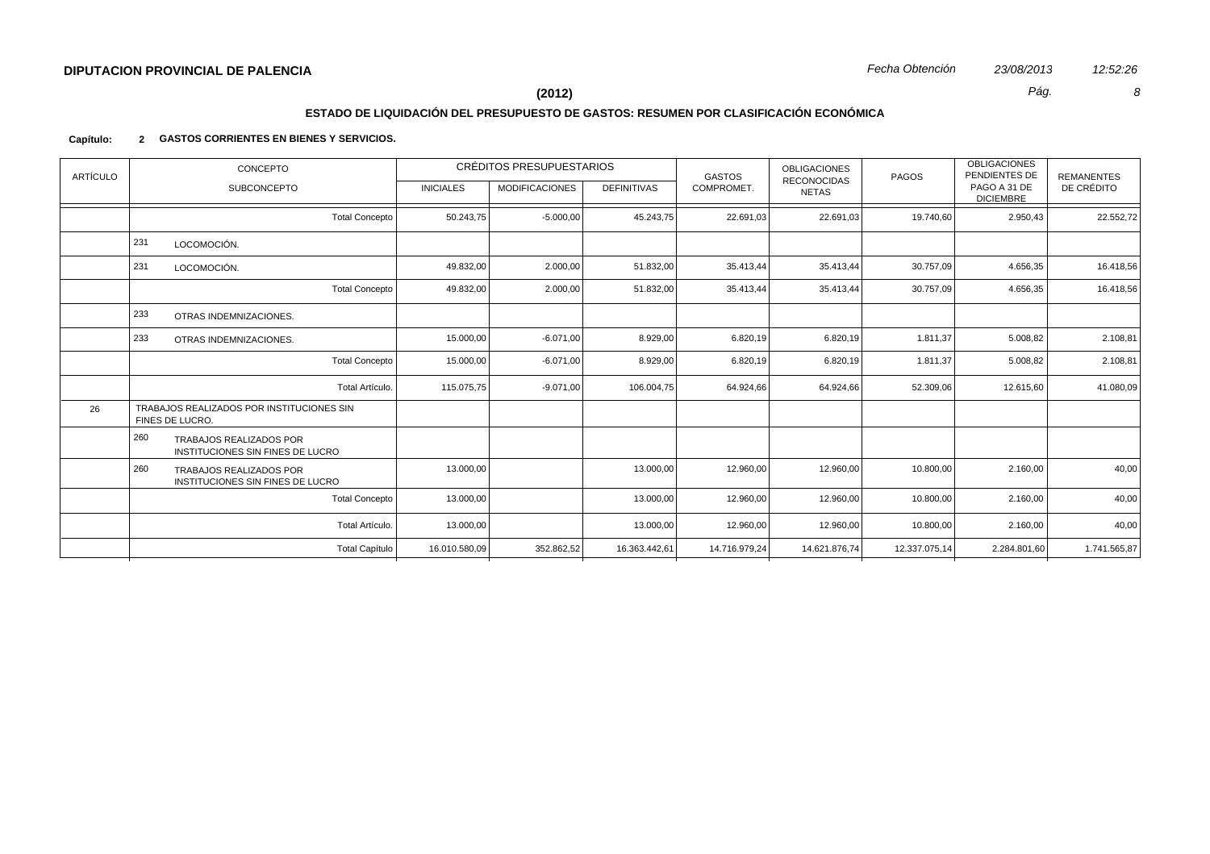# **ESTADO DE LIQUIDACIÓN DEL PRESUPUESTO DE GASTOS: RESUMEN POR CLASIFICACIÓN ECONÓMICA**

| <b>ARTÍCULO</b> | CONCEPTO                                                                  |                  | CRÉDITOS PRESUPUESTARIOS |                    | <b>GASTOS</b> | <b>OBLIGACIONES</b><br><b>RECONOCIDAS</b> | PAGOS         | <b>OBLIGACIONES</b><br>PENDIENTES DE | <b>REMANENTES</b> |
|-----------------|---------------------------------------------------------------------------|------------------|--------------------------|--------------------|---------------|-------------------------------------------|---------------|--------------------------------------|-------------------|
|                 | <b>SUBCONCEPTO</b>                                                        | <b>INICIALES</b> | <b>MODIFICACIONES</b>    | <b>DEFINITIVAS</b> | COMPROMET.    | <b>NETAS</b>                              |               | PAGO A 31 DE<br><b>DICIEMBRE</b>     | DE CRÉDITO        |
|                 | <b>Total Concepto</b>                                                     | 50.243,75        | $-5.000,00$              | 45.243,75          | 22.691,03     | 22.691,03                                 | 19.740,60     | 2.950,43                             | 22.552,72         |
|                 | 231<br>LOCOMOCIÓN.                                                        |                  |                          |                    |               |                                           |               |                                      |                   |
|                 | 231<br>LOCOMOCIÓN.                                                        | 49.832,00        | 2.000,00                 | 51.832,00          | 35.413,44     | 35.413,44                                 | 30.757,09     | 4.656,35                             | 16.418,56         |
|                 | <b>Total Concepto</b>                                                     | 49.832,00        | 2.000,00                 | 51.832,00          | 35.413,44     | 35.413,44                                 | 30.757,09     | 4.656,35                             | 16.418,56         |
|                 | 233<br>OTRAS INDEMNIZACIONES.                                             |                  |                          |                    |               |                                           |               |                                      |                   |
|                 | 233<br>OTRAS INDEMNIZACIONES.                                             | 15.000,00        | $-6.071,00$              | 8.929,00           | 6.820,19      | 6.820,19                                  | 1.811,37      | 5.008,82                             | 2.108,81          |
|                 | <b>Total Concepto</b>                                                     | 15.000,00        | $-6.071,00$              | 8.929,00           | 6.820,19      | 6.820,19                                  | 1.811,37      | 5.008,82                             | 2.108,81          |
|                 | Total Artículo.                                                           | 115.075,75       | $-9.071,00$              | 106.004,75         | 64.924,66     | 64.924,66                                 | 52.309,06     | 12.615,60                            | 41.080,09         |
| 26              | TRABAJOS REALIZADOS POR INSTITUCIONES SIN<br>FINES DE LUCRO.              |                  |                          |                    |               |                                           |               |                                      |                   |
|                 | 260<br><b>TRABAJOS REALIZADOS POR</b><br>INSTITUCIONES SIN FINES DE LUCRO |                  |                          |                    |               |                                           |               |                                      |                   |
|                 | 260<br>TRABAJOS REALIZADOS POR<br>INSTITUCIONES SIN FINES DE LUCRO        | 13.000,00        |                          | 13.000,00          | 12.960,00     | 12.960,00                                 | 10.800,00     | 2.160,00                             | 40,00             |
|                 | <b>Total Concepto</b>                                                     | 13.000,00        |                          | 13.000,00          | 12.960,00     | 12.960,00                                 | 10.800,00     | 2.160,00                             | 40,00             |
|                 | Total Artículo.                                                           | 13.000,00        |                          | 13.000,00          | 12.960,00     | 12.960,00                                 | 10.800,00     | 2.160,00                             | 40,00             |
|                 | <b>Total Capítulo</b>                                                     | 16.010.580,09    | 352.862,52               | 16.363.442,61      | 14.716.979,24 | 14.621.876,74                             | 12.337.075,14 | 2.284.801,60                         | 1.741.565,87      |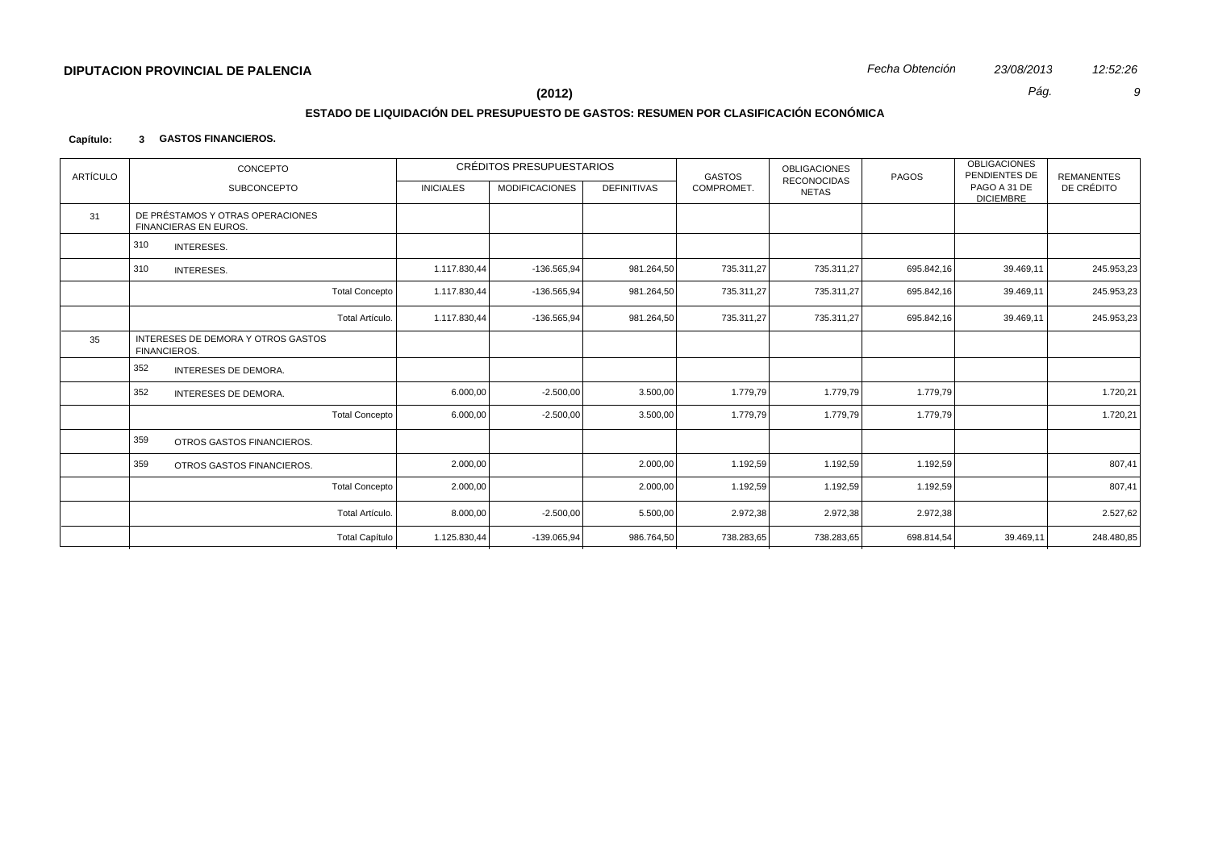# **ESTADO DE LIQUIDACIÓN DEL PRESUPUESTO DE GASTOS: RESUMEN POR CLASIFICACIÓN ECONÓMICA**

## **Capítulo: 3 GASTOS FINANCIEROS.**

| ARTÍCULO | CONCEPTO                                                         |                       |                  | <b>CRÉDITOS PRESUPUESTARIOS</b> |                    | <b>GASTOS</b> | <b>OBLIGACIONES</b><br><b>RECONOCIDAS</b> | PAGOS      | <b>OBLIGACIONES</b><br>PENDIENTES DE | <b>REMANENTES</b> |
|----------|------------------------------------------------------------------|-----------------------|------------------|---------------------------------|--------------------|---------------|-------------------------------------------|------------|--------------------------------------|-------------------|
|          | <b>SUBCONCEPTO</b>                                               |                       | <b>INICIALES</b> | <b>MODIFICACIONES</b>           | <b>DEFINITIVAS</b> | COMPROMET.    | <b>NETAS</b>                              |            | PAGO A 31 DE<br><b>DICIEMBRE</b>     | DE CRÉDITO        |
| 31       | DE PRÉSTAMOS Y OTRAS OPERACIONES<br><b>FINANCIERAS EN EUROS.</b> |                       |                  |                                 |                    |               |                                           |            |                                      |                   |
|          | 310<br>INTERESES.                                                |                       |                  |                                 |                    |               |                                           |            |                                      |                   |
|          | 310<br>INTERESES.                                                |                       | 1.117.830,44     | $-136.565,94$                   | 981.264,50         | 735.311,27    | 735.311,27                                | 695.842,16 | 39.469,11                            | 245.953,23        |
|          |                                                                  | <b>Total Concepto</b> | 1.117.830,44     | -136.565,94                     | 981.264,50         | 735.311,27    | 735.311,27                                | 695.842,16 | 39.469,11                            | 245.953,23        |
|          |                                                                  | Total Artículo.       | 1.117.830,44     | $-136.565.94$                   | 981.264,50         | 735.311,27    | 735.311,27                                | 695.842,16 | 39.469,11                            | 245.953,23        |
| 35       | INTERESES DE DEMORA Y OTROS GASTOS<br><b>FINANCIEROS.</b>        |                       |                  |                                 |                    |               |                                           |            |                                      |                   |
|          | 352<br><b>INTERESES DE DEMORA.</b>                               |                       |                  |                                 |                    |               |                                           |            |                                      |                   |
|          | 352<br>INTERESES DE DEMORA.                                      |                       | 6.000,00         | $-2.500,00$                     | 3.500,00           | 1.779,79      | 1.779,79                                  | 1.779,79   |                                      | 1.720,21          |
|          |                                                                  | <b>Total Concepto</b> | 6.000,00         | $-2.500,00$                     | 3.500,00           | 1.779,79      | 1.779,79                                  | 1.779,79   |                                      | 1.720,21          |
|          | 359<br>OTROS GASTOS FINANCIEROS.                                 |                       |                  |                                 |                    |               |                                           |            |                                      |                   |
|          | 359<br>OTROS GASTOS FINANCIEROS.                                 |                       | 2.000,00         |                                 | 2.000,00           | 1.192,59      | 1.192,59                                  | 1.192,59   |                                      | 807,41            |
|          |                                                                  | <b>Total Concepto</b> | 2.000,00         |                                 | 2.000,00           | 1.192,59      | 1.192,59                                  | 1.192,59   |                                      | 807,41            |
|          |                                                                  | Total Artículo.       | 8.000,00         | $-2.500,00$                     | 5.500,00           | 2.972,38      | 2.972,38                                  | 2.972,38   |                                      | 2.527,62          |
|          |                                                                  | <b>Total Capítulo</b> | 1.125.830,44     | -139.065,94                     | 986.764,50         | 738.283,65    | 738.283,65                                | 698.814,54 | 39.469,11                            | 248.480,85        |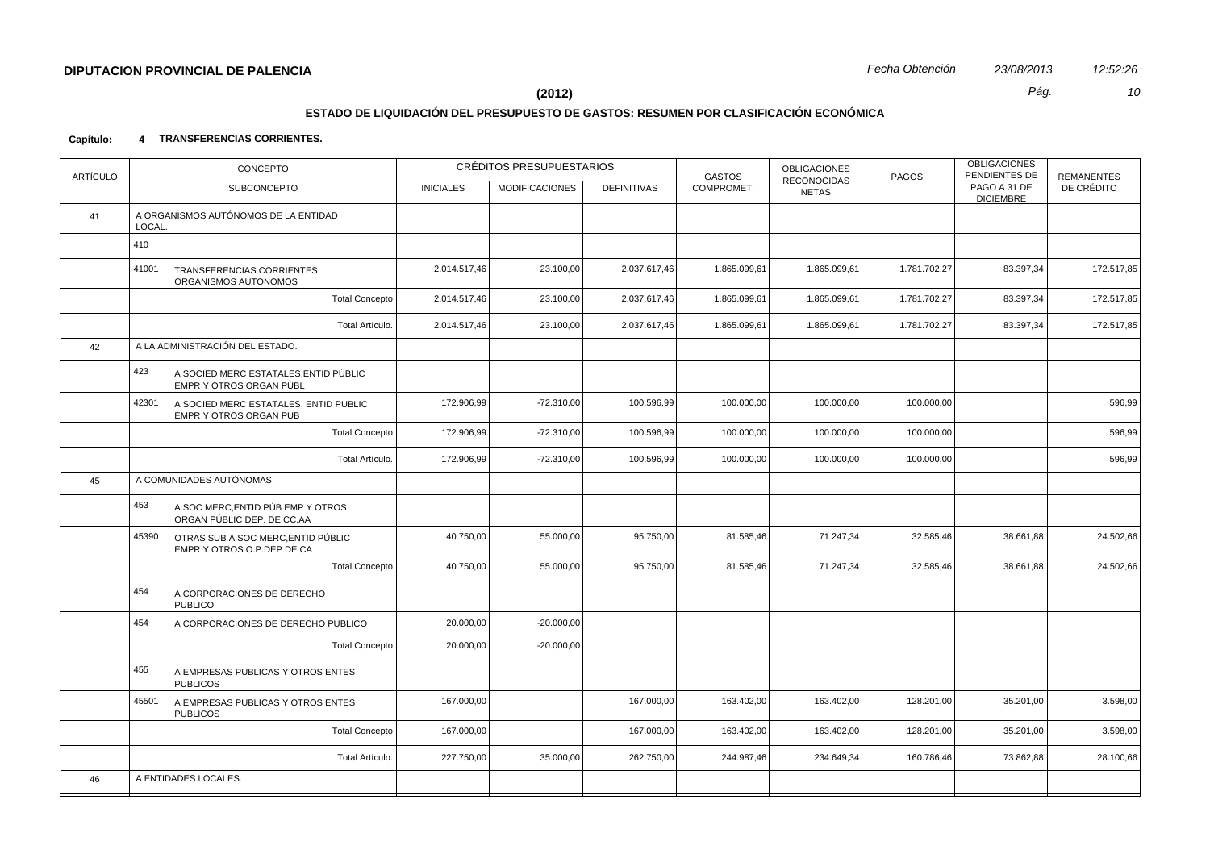# **ESTADO DE LIQUIDACIÓN DEL PRESUPUESTO DE GASTOS: RESUMEN POR CLASIFICACIÓN ECONÓMICA**

| PAGO A 31 DE<br>COMPROMET.<br>DE CRÉDITO<br><b>SUBCONCEPTO</b><br><b>INICIALES</b><br><b>MODIFICACIONES</b><br><b>DEFINITIVAS</b><br><b>NETAS</b><br><b>DICIEMBRE</b><br>A ORGANISMOS AUTÓNOMOS DE LA ENTIDAD<br>41<br>LOCAL.<br>410<br>2.014.517,46<br>1.781.702,27<br>41001<br>23.100,00<br>2.037.617,46<br>1.865.099,61<br>1.865.099,61<br>83.397,34<br>TRANSFERENCIAS CORRIENTES<br>ORGANISMOS AUTONOMOS<br><b>Total Concepto</b><br>2.014.517,46<br>1.781.702,27<br>83.397,34<br>23.100,00<br>2.037.617,46<br>1.865.099,61<br>1.865.099,61<br>Total Artículo.<br>2.014.517,46<br>23.100,00<br>2.037.617,46<br>1.865.099,61<br>1.865.099,61<br>1.781.702,27<br>83.397,34<br>A LA ADMINISTRACIÓN DEL ESTADO.<br>42<br>423<br>A SOCIED MERC ESTATALES, ENTID PÚBLIC<br>EMPR Y OTROS ORGAN PÚBL<br>$-72.310,00$<br>100.596,99<br>42301<br>172.906,99<br>100.000,00<br>100.000,00<br>100.000,00<br>596,99<br>A SOCIED MERC ESTATALES, ENTID PUBLIC<br>EMPR Y OTROS ORGAN PUB<br><b>Total Concepto</b><br>172.906,99<br>$-72.310,00$<br>100.596,99<br>100.000,00<br>100.000,00<br>100.000,00<br>596,99<br>Total Artículo.<br>172.906,99<br>$-72.310,00$<br>100.596,99<br>100.000,00<br>100.000,00<br>100.000,00<br>596,99<br>A COMUNIDADES AUTÓNOMAS.<br>45<br>453<br>A SOC MERC, ENTID PÚB EMP Y OTROS<br>ORGAN PÚBLIC DEP. DE CC.AA<br>40.750,00<br>95.750,00<br>81.585,46<br>71.247,34<br>32.585,46<br>24.502,66<br>45390<br>55.000,00<br>38.661,88<br>OTRAS SUB A SOC MERC, ENTID PÚBLIC<br>EMPR Y OTROS O.P.DEP DE CA<br><b>Total Concepto</b><br>40.750,00<br>55.000,00<br>95.750,00<br>81.585,46<br>71.247,34<br>32.585,46<br>38.661,88<br>24.502,66<br>454<br>A CORPORACIONES DE DERECHO<br><b>PUBLICO</b><br>454<br>20.000,00<br>$-20.000,00$<br>A CORPORACIONES DE DERECHO PUBLICO<br>$-20.000,00$<br><b>Total Concepto</b><br>20.000,00<br>455<br>A EMPRESAS PUBLICAS Y OTROS ENTES<br><b>PUBLICOS</b><br>167.000,00<br>163.402,00<br>45501<br>167.000,00<br>163.402,00<br>128.201,00<br>35.201,00<br>3.598,00<br>A EMPRESAS PUBLICAS Y OTROS ENTES<br><b>PUBLICOS</b><br><b>Total Concepto</b><br>167.000,00<br>167.000,00<br>163.402,00<br>163.402,00<br>128.201,00<br>35.201,00<br>3.598,00<br>227.750,00<br>35.000,00<br>262.750,00<br>244.987,46<br>73.862,88<br>Total Artículo.<br>234.649,34<br>160.786,46<br>A ENTIDADES LOCALES.<br>46 | <b>ARTÍCULO</b> | CONCEPTO | CRÉDITOS PRESUPUESTARIOS | <b>GASTOS</b> | <b>OBLIGACIONES</b><br><b>RECONOCIDAS</b> | PAGOS | <b>OBLIGACIONES</b><br>PENDIENTES DE | <b>REMANENTES</b> |
|-----------------------------------------------------------------------------------------------------------------------------------------------------------------------------------------------------------------------------------------------------------------------------------------------------------------------------------------------------------------------------------------------------------------------------------------------------------------------------------------------------------------------------------------------------------------------------------------------------------------------------------------------------------------------------------------------------------------------------------------------------------------------------------------------------------------------------------------------------------------------------------------------------------------------------------------------------------------------------------------------------------------------------------------------------------------------------------------------------------------------------------------------------------------------------------------------------------------------------------------------------------------------------------------------------------------------------------------------------------------------------------------------------------------------------------------------------------------------------------------------------------------------------------------------------------------------------------------------------------------------------------------------------------------------------------------------------------------------------------------------------------------------------------------------------------------------------------------------------------------------------------------------------------------------------------------------------------------------------------------------------------------------------------------------------------------------------------------------------------------------------------------------------------------------------------------------------------------------------------------------------------------------------------------------------------------------------------------------------------|-----------------|----------|--------------------------|---------------|-------------------------------------------|-------|--------------------------------------|-------------------|
|                                                                                                                                                                                                                                                                                                                                                                                                                                                                                                                                                                                                                                                                                                                                                                                                                                                                                                                                                                                                                                                                                                                                                                                                                                                                                                                                                                                                                                                                                                                                                                                                                                                                                                                                                                                                                                                                                                                                                                                                                                                                                                                                                                                                                                                                                                                                                           |                 |          |                          |               |                                           |       |                                      |                   |
|                                                                                                                                                                                                                                                                                                                                                                                                                                                                                                                                                                                                                                                                                                                                                                                                                                                                                                                                                                                                                                                                                                                                                                                                                                                                                                                                                                                                                                                                                                                                                                                                                                                                                                                                                                                                                                                                                                                                                                                                                                                                                                                                                                                                                                                                                                                                                           |                 |          |                          |               |                                           |       |                                      |                   |
|                                                                                                                                                                                                                                                                                                                                                                                                                                                                                                                                                                                                                                                                                                                                                                                                                                                                                                                                                                                                                                                                                                                                                                                                                                                                                                                                                                                                                                                                                                                                                                                                                                                                                                                                                                                                                                                                                                                                                                                                                                                                                                                                                                                                                                                                                                                                                           |                 |          |                          |               |                                           |       |                                      |                   |
|                                                                                                                                                                                                                                                                                                                                                                                                                                                                                                                                                                                                                                                                                                                                                                                                                                                                                                                                                                                                                                                                                                                                                                                                                                                                                                                                                                                                                                                                                                                                                                                                                                                                                                                                                                                                                                                                                                                                                                                                                                                                                                                                                                                                                                                                                                                                                           |                 |          |                          |               |                                           |       |                                      | 172.517,85        |
|                                                                                                                                                                                                                                                                                                                                                                                                                                                                                                                                                                                                                                                                                                                                                                                                                                                                                                                                                                                                                                                                                                                                                                                                                                                                                                                                                                                                                                                                                                                                                                                                                                                                                                                                                                                                                                                                                                                                                                                                                                                                                                                                                                                                                                                                                                                                                           |                 |          |                          |               |                                           |       |                                      | 172.517,85        |
|                                                                                                                                                                                                                                                                                                                                                                                                                                                                                                                                                                                                                                                                                                                                                                                                                                                                                                                                                                                                                                                                                                                                                                                                                                                                                                                                                                                                                                                                                                                                                                                                                                                                                                                                                                                                                                                                                                                                                                                                                                                                                                                                                                                                                                                                                                                                                           |                 |          |                          |               |                                           |       |                                      | 172.517,85        |
|                                                                                                                                                                                                                                                                                                                                                                                                                                                                                                                                                                                                                                                                                                                                                                                                                                                                                                                                                                                                                                                                                                                                                                                                                                                                                                                                                                                                                                                                                                                                                                                                                                                                                                                                                                                                                                                                                                                                                                                                                                                                                                                                                                                                                                                                                                                                                           |                 |          |                          |               |                                           |       |                                      |                   |
|                                                                                                                                                                                                                                                                                                                                                                                                                                                                                                                                                                                                                                                                                                                                                                                                                                                                                                                                                                                                                                                                                                                                                                                                                                                                                                                                                                                                                                                                                                                                                                                                                                                                                                                                                                                                                                                                                                                                                                                                                                                                                                                                                                                                                                                                                                                                                           |                 |          |                          |               |                                           |       |                                      |                   |
|                                                                                                                                                                                                                                                                                                                                                                                                                                                                                                                                                                                                                                                                                                                                                                                                                                                                                                                                                                                                                                                                                                                                                                                                                                                                                                                                                                                                                                                                                                                                                                                                                                                                                                                                                                                                                                                                                                                                                                                                                                                                                                                                                                                                                                                                                                                                                           |                 |          |                          |               |                                           |       |                                      |                   |
|                                                                                                                                                                                                                                                                                                                                                                                                                                                                                                                                                                                                                                                                                                                                                                                                                                                                                                                                                                                                                                                                                                                                                                                                                                                                                                                                                                                                                                                                                                                                                                                                                                                                                                                                                                                                                                                                                                                                                                                                                                                                                                                                                                                                                                                                                                                                                           |                 |          |                          |               |                                           |       |                                      |                   |
|                                                                                                                                                                                                                                                                                                                                                                                                                                                                                                                                                                                                                                                                                                                                                                                                                                                                                                                                                                                                                                                                                                                                                                                                                                                                                                                                                                                                                                                                                                                                                                                                                                                                                                                                                                                                                                                                                                                                                                                                                                                                                                                                                                                                                                                                                                                                                           |                 |          |                          |               |                                           |       |                                      |                   |
|                                                                                                                                                                                                                                                                                                                                                                                                                                                                                                                                                                                                                                                                                                                                                                                                                                                                                                                                                                                                                                                                                                                                                                                                                                                                                                                                                                                                                                                                                                                                                                                                                                                                                                                                                                                                                                                                                                                                                                                                                                                                                                                                                                                                                                                                                                                                                           |                 |          |                          |               |                                           |       |                                      |                   |
|                                                                                                                                                                                                                                                                                                                                                                                                                                                                                                                                                                                                                                                                                                                                                                                                                                                                                                                                                                                                                                                                                                                                                                                                                                                                                                                                                                                                                                                                                                                                                                                                                                                                                                                                                                                                                                                                                                                                                                                                                                                                                                                                                                                                                                                                                                                                                           |                 |          |                          |               |                                           |       |                                      |                   |
|                                                                                                                                                                                                                                                                                                                                                                                                                                                                                                                                                                                                                                                                                                                                                                                                                                                                                                                                                                                                                                                                                                                                                                                                                                                                                                                                                                                                                                                                                                                                                                                                                                                                                                                                                                                                                                                                                                                                                                                                                                                                                                                                                                                                                                                                                                                                                           |                 |          |                          |               |                                           |       |                                      |                   |
|                                                                                                                                                                                                                                                                                                                                                                                                                                                                                                                                                                                                                                                                                                                                                                                                                                                                                                                                                                                                                                                                                                                                                                                                                                                                                                                                                                                                                                                                                                                                                                                                                                                                                                                                                                                                                                                                                                                                                                                                                                                                                                                                                                                                                                                                                                                                                           |                 |          |                          |               |                                           |       |                                      |                   |
|                                                                                                                                                                                                                                                                                                                                                                                                                                                                                                                                                                                                                                                                                                                                                                                                                                                                                                                                                                                                                                                                                                                                                                                                                                                                                                                                                                                                                                                                                                                                                                                                                                                                                                                                                                                                                                                                                                                                                                                                                                                                                                                                                                                                                                                                                                                                                           |                 |          |                          |               |                                           |       |                                      |                   |
|                                                                                                                                                                                                                                                                                                                                                                                                                                                                                                                                                                                                                                                                                                                                                                                                                                                                                                                                                                                                                                                                                                                                                                                                                                                                                                                                                                                                                                                                                                                                                                                                                                                                                                                                                                                                                                                                                                                                                                                                                                                                                                                                                                                                                                                                                                                                                           |                 |          |                          |               |                                           |       |                                      |                   |
|                                                                                                                                                                                                                                                                                                                                                                                                                                                                                                                                                                                                                                                                                                                                                                                                                                                                                                                                                                                                                                                                                                                                                                                                                                                                                                                                                                                                                                                                                                                                                                                                                                                                                                                                                                                                                                                                                                                                                                                                                                                                                                                                                                                                                                                                                                                                                           |                 |          |                          |               |                                           |       |                                      |                   |
|                                                                                                                                                                                                                                                                                                                                                                                                                                                                                                                                                                                                                                                                                                                                                                                                                                                                                                                                                                                                                                                                                                                                                                                                                                                                                                                                                                                                                                                                                                                                                                                                                                                                                                                                                                                                                                                                                                                                                                                                                                                                                                                                                                                                                                                                                                                                                           |                 |          |                          |               |                                           |       |                                      |                   |
|                                                                                                                                                                                                                                                                                                                                                                                                                                                                                                                                                                                                                                                                                                                                                                                                                                                                                                                                                                                                                                                                                                                                                                                                                                                                                                                                                                                                                                                                                                                                                                                                                                                                                                                                                                                                                                                                                                                                                                                                                                                                                                                                                                                                                                                                                                                                                           |                 |          |                          |               |                                           |       |                                      |                   |
|                                                                                                                                                                                                                                                                                                                                                                                                                                                                                                                                                                                                                                                                                                                                                                                                                                                                                                                                                                                                                                                                                                                                                                                                                                                                                                                                                                                                                                                                                                                                                                                                                                                                                                                                                                                                                                                                                                                                                                                                                                                                                                                                                                                                                                                                                                                                                           |                 |          |                          |               |                                           |       |                                      |                   |
|                                                                                                                                                                                                                                                                                                                                                                                                                                                                                                                                                                                                                                                                                                                                                                                                                                                                                                                                                                                                                                                                                                                                                                                                                                                                                                                                                                                                                                                                                                                                                                                                                                                                                                                                                                                                                                                                                                                                                                                                                                                                                                                                                                                                                                                                                                                                                           |                 |          |                          |               |                                           |       |                                      | 28.100,66         |
|                                                                                                                                                                                                                                                                                                                                                                                                                                                                                                                                                                                                                                                                                                                                                                                                                                                                                                                                                                                                                                                                                                                                                                                                                                                                                                                                                                                                                                                                                                                                                                                                                                                                                                                                                                                                                                                                                                                                                                                                                                                                                                                                                                                                                                                                                                                                                           |                 |          |                          |               |                                           |       |                                      |                   |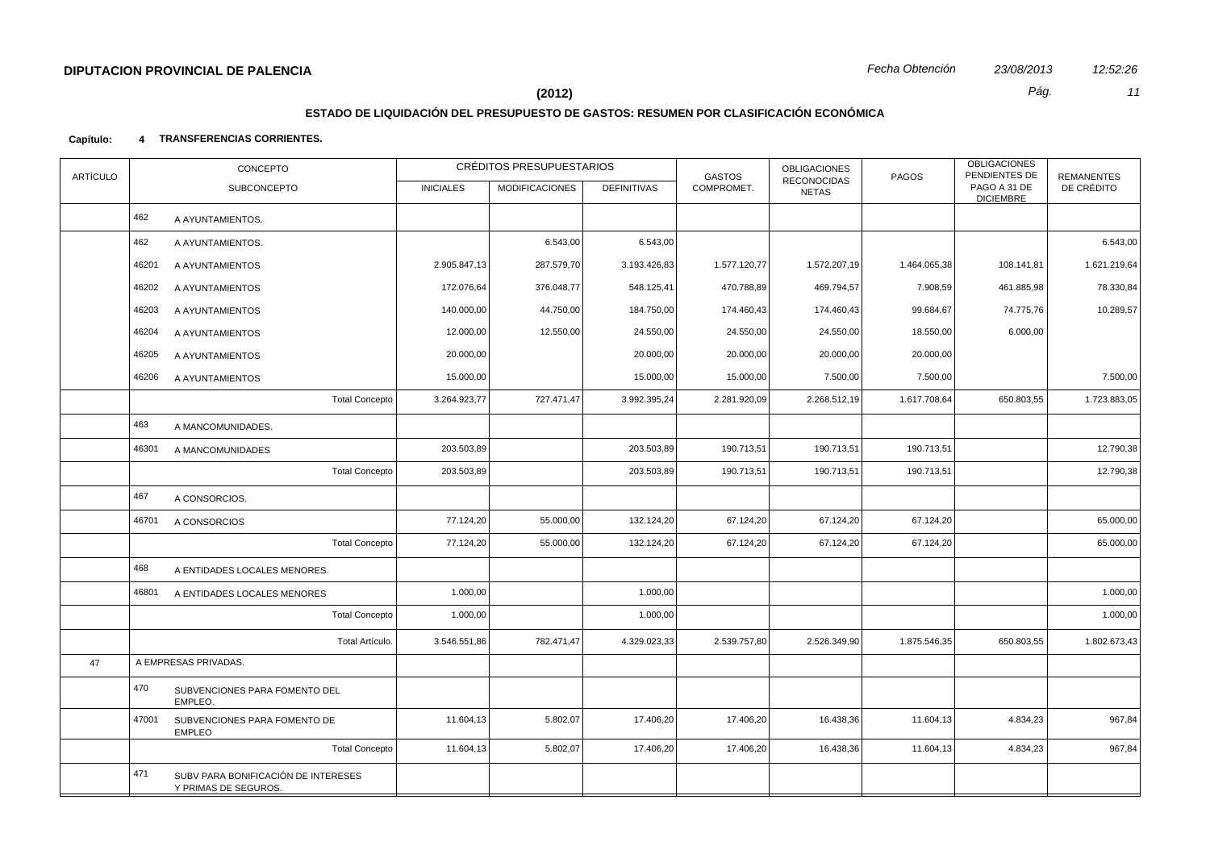# **ESTADO DE LIQUIDACIÓN DEL PRESUPUESTO DE GASTOS: RESUMEN POR CLASIFICACIÓN ECONÓMICA**

| <b>ARTÍCULO</b> |       | CONCEPTO                                                    |                  | CRÉDITOS PRESUPUESTARIOS |                    | <b>GASTOS</b> | <b>OBLIGACIONES</b>                | PAGOS        | <b>OBLIGACIONES</b><br>PENDIENTES DE | <b>REMANENTES</b> |
|-----------------|-------|-------------------------------------------------------------|------------------|--------------------------|--------------------|---------------|------------------------------------|--------------|--------------------------------------|-------------------|
|                 |       | <b>SUBCONCEPTO</b>                                          | <b>INICIALES</b> | <b>MODIFICACIONES</b>    | <b>DEFINITIVAS</b> | COMPROMET.    | <b>RECONOCIDAS</b><br><b>NETAS</b> |              | PAGO A 31 DE<br><b>DICIEMBRE</b>     | DE CRÉDITO        |
|                 | 462   | A AYUNTAMIENTOS.                                            |                  |                          |                    |               |                                    |              |                                      |                   |
|                 | 462   | A AYUNTAMIENTOS.                                            |                  | 6.543,00                 | 6.543,00           |               |                                    |              |                                      | 6.543,00          |
|                 | 46201 | A AYUNTAMIENTOS                                             | 2.905.847,13     | 287.579,70               | 3.193.426,83       | 1.577.120,77  | 1.572.207,19                       | 1.464.065,38 | 108.141,81                           | 1.621.219,64      |
|                 | 46202 | A AYUNTAMIENTOS                                             | 172.076,64       | 376.048,77               | 548.125,41         | 470.788,89    | 469.794,57                         | 7.908,59     | 461.885,98                           | 78.330,84         |
|                 | 46203 | A AYUNTAMIENTOS                                             | 140.000,00       | 44.750,00                | 184.750,00         | 174.460,43    | 174.460,43                         | 99.684,67    | 74.775,76                            | 10.289,57         |
|                 | 46204 | A AYUNTAMIENTOS                                             | 12.000,00        | 12.550,00                | 24.550,00          | 24.550,00     | 24.550,00                          | 18.550,00    | 6.000,00                             |                   |
|                 | 46205 | A AYUNTAMIENTOS                                             | 20.000,00        |                          | 20.000,00          | 20.000,00     | 20.000,00                          | 20.000,00    |                                      |                   |
|                 | 46206 | A AYUNTAMIENTOS                                             | 15.000,00        |                          | 15.000,00          | 15.000,00     | 7.500,00                           | 7.500,00     |                                      | 7.500,00          |
|                 |       | <b>Total Concepto</b>                                       | 3.264.923,77     | 727.471,47               | 3.992.395,24       | 2.281.920,09  | 2.268.512,19                       | 1.617.708,64 | 650.803,55                           | 1.723.883,05      |
|                 | 463   | A MANCOMUNIDADES.                                           |                  |                          |                    |               |                                    |              |                                      |                   |
|                 | 46301 | A MANCOMUNIDADES                                            | 203.503,89       |                          | 203.503,89         | 190.713,51    | 190.713,51                         | 190.713,51   |                                      | 12.790,38         |
|                 |       | <b>Total Concepto</b>                                       | 203.503,89       |                          | 203.503,89         | 190.713,51    | 190.713,51                         | 190.713,51   |                                      | 12.790,38         |
|                 | 467   | A CONSORCIOS.                                               |                  |                          |                    |               |                                    |              |                                      |                   |
|                 | 46701 | A CONSORCIOS                                                | 77.124,20        | 55.000,00                | 132.124,20         | 67.124,20     | 67.124,20                          | 67.124,20    |                                      | 65.000,00         |
|                 |       | <b>Total Concepto</b>                                       | 77.124,20        | 55.000,00                | 132.124,20         | 67.124,20     | 67.124,20                          | 67.124,20    |                                      | 65.000,00         |
|                 | 468   | A ENTIDADES LOCALES MENORES.                                |                  |                          |                    |               |                                    |              |                                      |                   |
|                 | 46801 | A ENTIDADES LOCALES MENORES                                 | 1.000,00         |                          | 1.000,00           |               |                                    |              |                                      | 1.000,00          |
|                 |       | <b>Total Concepto</b>                                       | 1.000,00         |                          | 1.000,00           |               |                                    |              |                                      | 1.000,00          |
|                 |       | Total Artículo.                                             | 3.546.551,86     | 782.471,47               | 4.329.023,33       | 2.539.757,80  | 2.526.349,90                       | 1.875.546,35 | 650.803,55                           | 1.802.673,43      |
| 47              |       | A EMPRESAS PRIVADAS.                                        |                  |                          |                    |               |                                    |              |                                      |                   |
|                 | 470   | SUBVENCIONES PARA FOMENTO DEL<br>EMPLEO.                    |                  |                          |                    |               |                                    |              |                                      |                   |
|                 | 47001 | SUBVENCIONES PARA FOMENTO DE<br><b>EMPLEO</b>               | 11.604,13        | 5.802,07                 | 17.406,20          | 17.406,20     | 16.438,36                          | 11.604,13    | 4.834,23                             | 967,84            |
|                 |       | <b>Total Concepto</b>                                       | 11.604,13        | 5.802,07                 | 17.406,20          | 17.406,20     | 16.438,36                          | 11.604,13    | 4.834,23                             | 967,84            |
|                 | 471   | SUBV PARA BONIFICACIÓN DE INTERESES<br>Y PRIMAS DE SEGUROS. |                  |                          |                    |               |                                    |              |                                      |                   |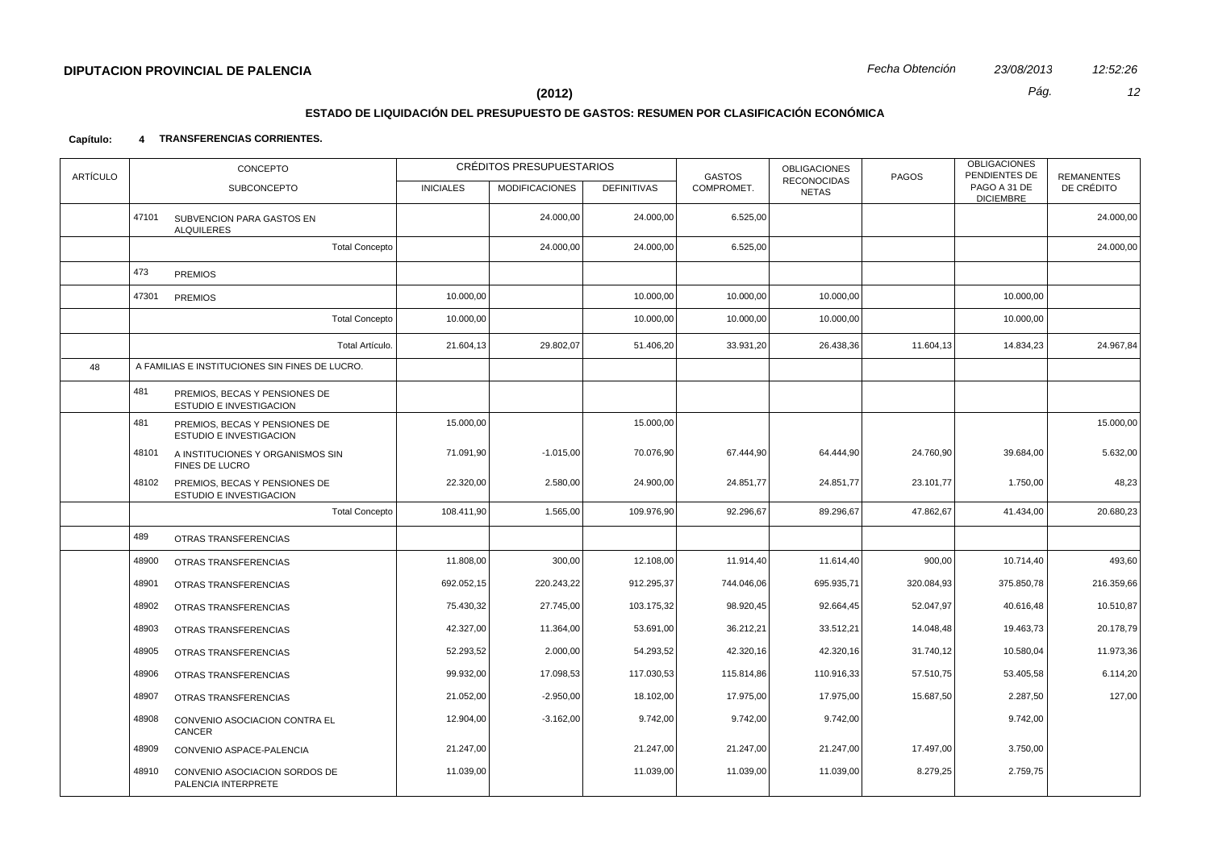# **ESTADO DE LIQUIDACIÓN DEL PRESUPUESTO DE GASTOS: RESUMEN POR CLASIFICACIÓN ECONÓMICA**

| <b>ARTÍCULO</b> |       | CONCEPTO                                                 |                  | CRÉDITOS PRESUPUESTARIOS |                    | <b>GASTOS</b> | <b>OBLIGACIONES</b><br><b>RECONOCIDAS</b> | PAGOS      | <b>OBLIGACIONES</b><br>PENDIENTES DE | <b>REMANENTES</b> |
|-----------------|-------|----------------------------------------------------------|------------------|--------------------------|--------------------|---------------|-------------------------------------------|------------|--------------------------------------|-------------------|
|                 |       | <b>SUBCONCEPTO</b>                                       | <b>INICIALES</b> | <b>MODIFICACIONES</b>    | <b>DEFINITIVAS</b> | COMPROMET.    | <b>NETAS</b>                              |            | PAGO A 31 DE<br><b>DICIEMBRE</b>     | DE CRÉDITO        |
|                 |       | 47101 SUBVENCION PARA GASTOS EN<br><b>ALQUILERES</b>     |                  | 24.000,00                | 24.000,00          | 6.525,00      |                                           |            |                                      | 24.000,00         |
|                 |       | <b>Total Concepto</b>                                    |                  | 24.000,00                | 24.000,00          | 6.525,00      |                                           |            |                                      | 24.000,00         |
|                 | 473   | <b>PREMIOS</b>                                           |                  |                          |                    |               |                                           |            |                                      |                   |
|                 | 47301 | <b>PREMIOS</b>                                           | 10.000,00        |                          | 10.000,00          | 10.000,00     | 10.000,00                                 |            | 10.000,00                            |                   |
|                 |       | <b>Total Concepto</b>                                    | 10.000,00        |                          | 10.000,00          | 10.000,00     | 10.000,00                                 |            | 10.000,00                            |                   |
|                 |       | Total Artículo.                                          | 21.604,13        | 29.802,07                | 51.406,20          | 33.931,20     | 26.438,36                                 | 11.604,13  | 14.834,23                            | 24.967,84         |
| 48              |       | A FAMILIAS E INSTITUCIONES SIN FINES DE LUCRO.           |                  |                          |                    |               |                                           |            |                                      |                   |
|                 | 481   | PREMIOS, BECAS Y PENSIONES DE<br>ESTUDIO E INVESTIGACION |                  |                          |                    |               |                                           |            |                                      |                   |
|                 | 481   | PREMIOS, BECAS Y PENSIONES DE<br>ESTUDIO E INVESTIGACION | 15.000,00        |                          | 15.000,00          |               |                                           |            |                                      | 15.000,00         |
|                 | 48101 | A INSTITUCIONES Y ORGANISMOS SIN<br>FINES DE LUCRO       | 71.091,90        | $-1.015,00$              | 70.076,90          | 67.444,90     | 64.444,90                                 | 24.760,90  | 39.684,00                            | 5.632,00          |
|                 | 48102 | PREMIOS, BECAS Y PENSIONES DE<br>ESTUDIO E INVESTIGACION | 22.320,00        | 2.580,00                 | 24.900,00          | 24.851,77     | 24.851,77                                 | 23.101,77  | 1.750,00                             | 48,23             |
|                 |       | <b>Total Concepto</b>                                    | 108.411,90       | 1.565,00                 | 109.976,90         | 92.296,67     | 89.296,67                                 | 47.862,67  | 41.434,00                            | 20.680,23         |
|                 | 489   | OTRAS TRANSFERENCIAS                                     |                  |                          |                    |               |                                           |            |                                      |                   |
|                 | 48900 | OTRAS TRANSFERENCIAS                                     | 11.808,00        | 300,00                   | 12.108,00          | 11.914,40     | 11.614,40                                 | 900,00     | 10.714,40                            | 493,60            |
|                 | 48901 | OTRAS TRANSFERENCIAS                                     | 692.052,15       | 220.243,22               | 912.295,37         | 744.046,06    | 695.935,71                                | 320.084,93 | 375.850,78                           | 216.359,66        |
|                 | 48902 | OTRAS TRANSFERENCIAS                                     | 75.430,32        | 27.745,00                | 103.175,32         | 98.920,45     | 92.664,45                                 | 52.047,97  | 40.616,48                            | 10.510,87         |
|                 | 48903 | OTRAS TRANSFERENCIAS                                     | 42.327,00        | 11.364,00                | 53.691,00          | 36.212,21     | 33.512,21                                 | 14.048,48  | 19.463,73                            | 20.178,79         |
|                 | 48905 | OTRAS TRANSFERENCIAS                                     | 52.293,52        | 2.000,00                 | 54.293,52          | 42.320,16     | 42.320,16                                 | 31.740,12  | 10.580,04                            | 11.973,36         |
|                 | 48906 | OTRAS TRANSFERENCIAS                                     | 99.932,00        | 17.098,53                | 117.030,53         | 115.814,86    | 110.916,33                                | 57.510,75  | 53.405,58                            | 6.114,20          |
|                 | 48907 | OTRAS TRANSFERENCIAS                                     | 21.052,00        | $-2.950,00$              | 18.102,00          | 17.975,00     | 17.975,00                                 | 15.687,50  | 2.287,50                             | 127,00            |
|                 | 48908 | CONVENIO ASOCIACION CONTRA EL<br>CANCER                  | 12.904,00        | $-3.162,00$              | 9.742,00           | 9.742,00      | 9.742,00                                  |            | 9.742,00                             |                   |
|                 | 48909 | CONVENIO ASPACE-PALENCIA                                 | 21.247,00        |                          | 21.247,00          | 21.247,00     | 21.247,00                                 | 17.497,00  | 3.750,00                             |                   |
|                 | 48910 | CONVENIO ASOCIACION SORDOS DE<br>PALENCIA INTERPRETE     | 11.039,00        |                          | 11.039,00          | 11.039,00     | 11.039,00                                 | 8.279,25   | 2.759,75                             |                   |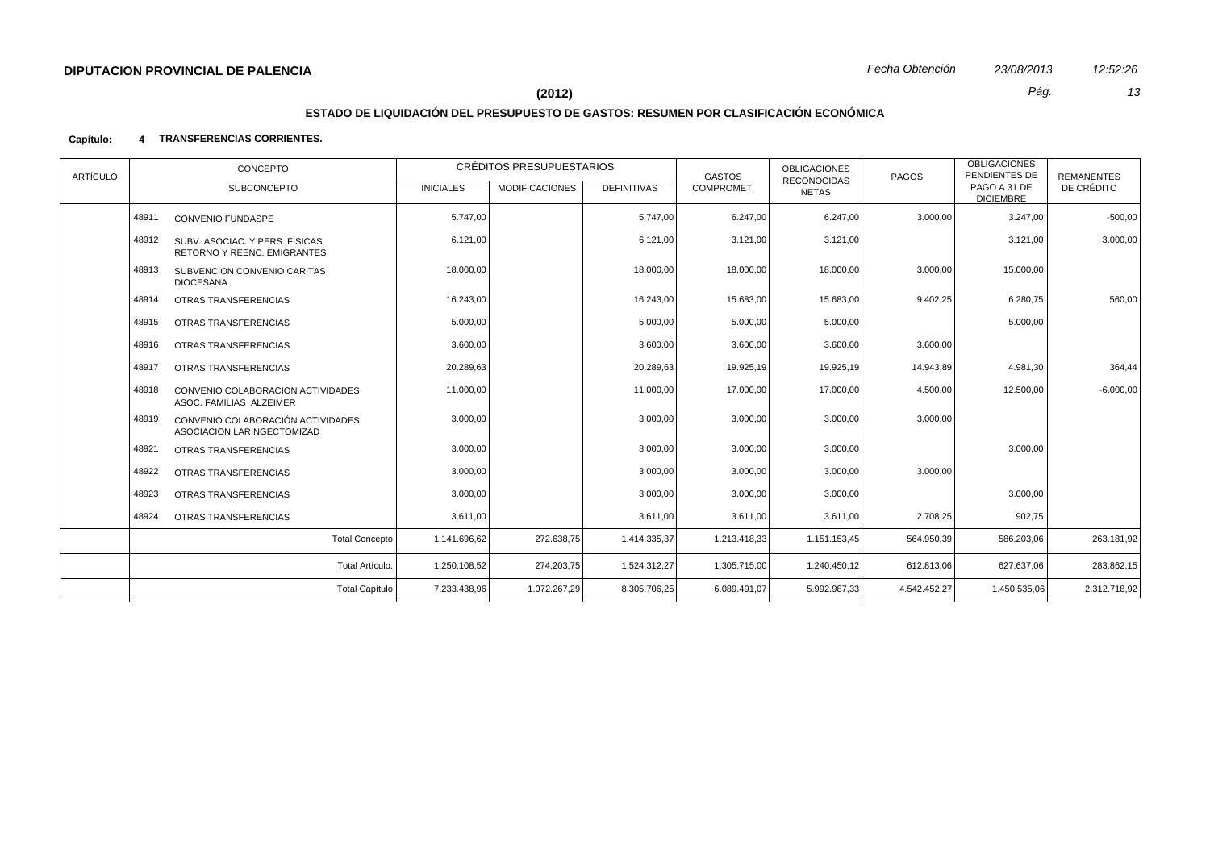# **ESTADO DE LIQUIDACIÓN DEL PRESUPUESTO DE GASTOS: RESUMEN POR CLASIFICACIÓN ECONÓMICA**

| ARTÍCULO | CONCEPTO                                                                 |                       |                  | CRÉDITOS PRESUPUESTARIOS |                    | <b>GASTOS</b> | <b>OBLIGACIONES</b>         | PAGOS        | <b>OBLIGACIONES</b><br>PENDIENTES DE | <b>REMANENTES</b> |
|----------|--------------------------------------------------------------------------|-----------------------|------------------|--------------------------|--------------------|---------------|-----------------------------|--------------|--------------------------------------|-------------------|
|          | SUBCONCEPTO                                                              |                       | <b>INICIALES</b> | <b>MODIFICACIONES</b>    | <b>DEFINITIVAS</b> | COMPROMET.    | <b>RECONOCIDAS</b><br>NETAS |              | PAGO A 31 DE<br><b>DICIEMBRE</b>     | DE CRÉDITO        |
|          | 48911<br><b>CONVENIO FUNDASPE</b>                                        |                       | 5.747.00         |                          | 5.747.00           | 6.247,00      | 6.247,00                    | 3.000,00     | 3.247,00                             | $-500,00$         |
|          | 48912<br>SUBV, ASOCIAC, Y PERS, FISICAS<br>RETORNO Y REENC. EMIGRANTES   |                       | 6.121,00         |                          | 6.121,00           | 3.121,00      | 3.121,00                    |              | 3.121,00                             | 3.000,00          |
|          | 48913<br>SUBVENCION CONVENIO CARITAS<br><b>DIOCESANA</b>                 |                       | 18.000,00        |                          | 18.000,00          | 18.000,00     | 18.000,00                   | 3.000,00     | 15.000,00                            |                   |
|          | 48914<br>OTRAS TRANSFERENCIAS                                            |                       | 16.243,00        |                          | 16.243,00          | 15.683,00     | 15.683,00                   | 9.402,25     | 6.280,75                             | 560,00            |
|          | 48915<br>OTRAS TRANSFERENCIAS                                            |                       | 5.000,00         |                          | 5.000,00           | 5.000,00      | 5.000,00                    |              | 5.000,00                             |                   |
|          | 48916<br>OTRAS TRANSFERENCIAS                                            |                       | 3.600,00         |                          | 3.600,00           | 3.600,00      | 3.600,00                    | 3.600,00     |                                      |                   |
|          | 48917<br>OTRAS TRANSFERENCIAS                                            |                       | 20.289,63        |                          | 20.289,63          | 19.925,19     | 19.925,19                   | 14.943,89    | 4.981,30                             | 364,44            |
|          | 48918<br>CONVENIO COLABORACION ACTIVIDADES<br>ASOC. FAMILIAS ALZEIMER    |                       | 11.000,00        |                          | 11.000,00          | 17.000,00     | 17.000,00                   | 4.500,00     | 12.500,00                            | $-6.000,00$       |
|          | 48919<br>CONVENIO COLABORACIÓN ACTIVIDADES<br>ASOCIACION LARINGECTOMIZAD |                       | 3.000,00         |                          | 3.000,00           | 3.000,00      | 3.000,00                    | 3.000,00     |                                      |                   |
|          | 48921<br>OTRAS TRANSFERENCIAS                                            |                       | 3.000.00         |                          | 3.000,00           | 3.000,00      | 3.000,00                    |              | 3.000,00                             |                   |
|          | 48922<br>OTRAS TRANSFERENCIAS                                            |                       | 3.000,00         |                          | 3.000,00           | 3.000,00      | 3.000,00                    | 3.000,00     |                                      |                   |
|          | 48923<br>OTRAS TRANSFERENCIAS                                            |                       | 3.000,00         |                          | 3.000,00           | 3.000,00      | 3.000,00                    |              | 3.000,00                             |                   |
|          | 48924<br>OTRAS TRANSFERENCIAS                                            |                       | 3.611,00         |                          | 3.611,00           | 3.611,00      | 3.611,00                    | 2.708,25     | 902,75                               |                   |
|          |                                                                          | <b>Total Concepto</b> | 1.141.696,62     | 272.638,75               | 1.414.335,37       | 1.213.418,33  | 1.151.153,45                | 564.950,39   | 586.203,06                           | 263.181,92        |
|          |                                                                          | Total Artículo.       | 1.250.108,52     | 274.203,75               | 1.524.312,27       | 1.305.715,00  | 1.240.450,12                | 612.813,06   | 627.637,06                           | 283.862,15        |
|          |                                                                          | <b>Total Capítulo</b> | 7.233.438,96     | 1.072.267,29             | 8.305.706,25       | 6.089.491,07  | 5.992.987.33                | 4.542.452.27 | 1.450.535,06                         | 2.312.718,92      |
|          |                                                                          |                       |                  |                          |                    |               |                             |              |                                      |                   |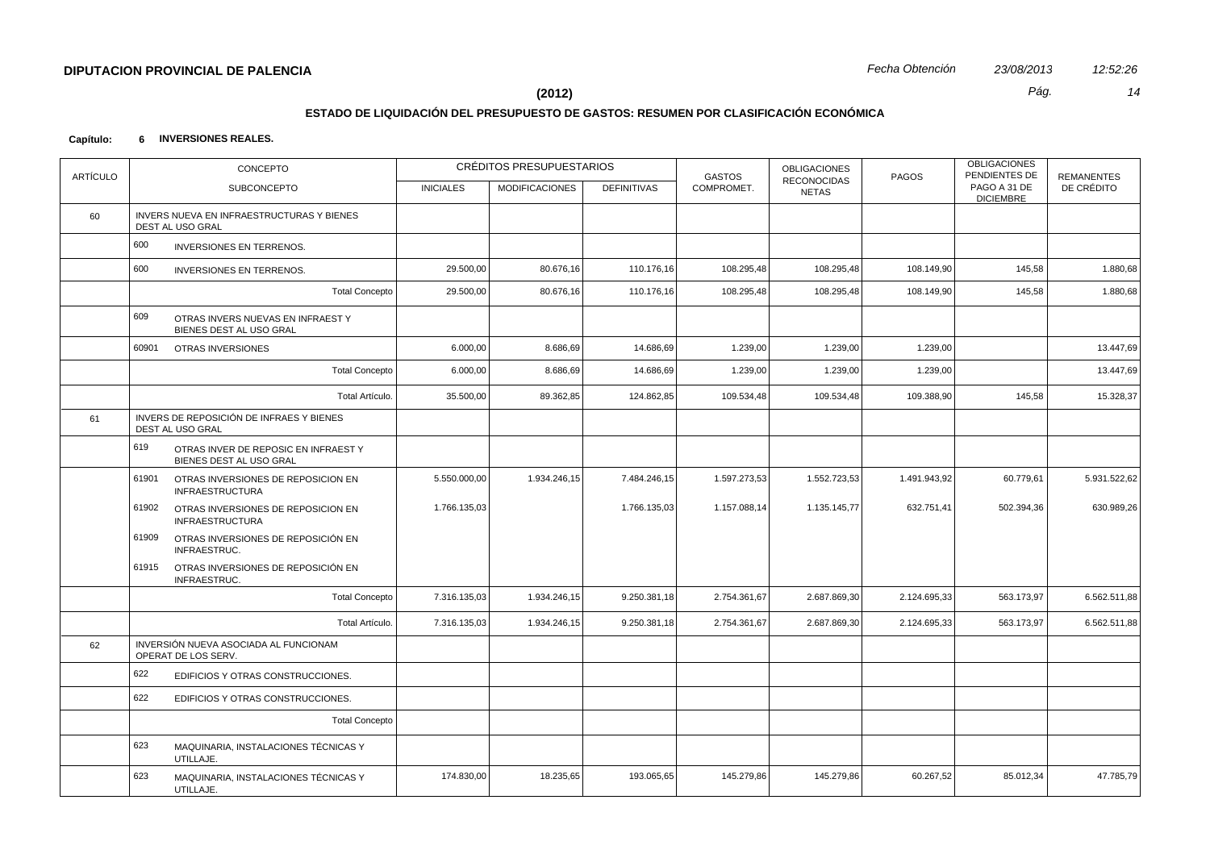# **ESTADO DE LIQUIDACIÓN DEL PRESUPUESTO DE GASTOS: RESUMEN POR CLASIFICACIÓN ECONÓMICA**

| <b>ARTÍCULO</b> |       | CONCEPTO                                                        |                  | CRÉDITOS PRESUPUESTARIOS |                    | <b>GASTOS</b> | <b>OBLIGACIONES</b><br>RECONOCIDAS | PAGOS        | <b>OBLIGACIONES</b><br>PENDIENTES DE | <b>REMANENTES</b> |
|-----------------|-------|-----------------------------------------------------------------|------------------|--------------------------|--------------------|---------------|------------------------------------|--------------|--------------------------------------|-------------------|
|                 |       | <b>SUBCONCEPTO</b>                                              | <b>INICIALES</b> | <b>MODIFICACIONES</b>    | <b>DEFINITIVAS</b> | COMPROMET.    | <b>NETAS</b>                       |              | PAGO A 31 DE<br><b>DICIEMBRE</b>     | DE CRÉDITO        |
| 60              |       | INVERS NUEVA EN INFRAESTRUCTURAS Y BIENES<br>DEST AL USO GRAL   |                  |                          |                    |               |                                    |              |                                      |                   |
|                 | 600   | <b>INVERSIONES EN TERRENOS.</b>                                 |                  |                          |                    |               |                                    |              |                                      |                   |
|                 | 600   | <b>INVERSIONES EN TERRENOS.</b>                                 | 29.500,00        | 80.676,16                | 110.176,16         | 108.295,48    | 108.295,48                         | 108.149,90   | 145,58                               | 1.880,68          |
|                 |       | <b>Total Concepto</b>                                           | 29.500,00        | 80.676,16                | 110.176,16         | 108.295,48    | 108.295,48                         | 108.149,90   | 145,58                               | 1.880,68          |
|                 | 609   | OTRAS INVERS NUEVAS EN INFRAEST Y<br>BIENES DEST AL USO GRAL    |                  |                          |                    |               |                                    |              |                                      |                   |
|                 | 60901 | OTRAS INVERSIONES                                               | 6.000,00         | 8.686,69                 | 14.686,69          | 1.239,00      | 1.239,00                           | 1.239,00     |                                      | 13.447,69         |
|                 |       | <b>Total Concepto</b>                                           | 6.000,00         | 8.686,69                 | 14.686,69          | 1.239,00      | 1.239,00                           | 1.239,00     |                                      | 13.447,69         |
|                 |       | Total Artículo.                                                 | 35.500,00        | 89.362,85                | 124.862,85         | 109.534,48    | 109.534,48                         | 109.388,90   | 145,58                               | 15.328,37         |
| 61              |       | INVERS DE REPOSICIÓN DE INFRAES Y BIENES<br>DEST AL USO GRAL    |                  |                          |                    |               |                                    |              |                                      |                   |
|                 | 619   | OTRAS INVER DE REPOSIC EN INFRAEST Y<br>BIENES DEST AL USO GRAL |                  |                          |                    |               |                                    |              |                                      |                   |
|                 | 61901 | OTRAS INVERSIONES DE REPOSICION EN<br><b>INFRAESTRUCTURA</b>    | 5.550.000,00     | 1.934.246,15             | 7.484.246,15       | 1.597.273,53  | 1.552.723,53                       | 1.491.943,92 | 60.779,61                            | 5.931.522,62      |
|                 | 61902 | OTRAS INVERSIONES DE REPOSICION EN<br><b>INFRAESTRUCTURA</b>    | 1.766.135,03     |                          | 1.766.135,03       | 1.157.088,14  | 1.135.145,77                       | 632.751,41   | 502.394,36                           | 630.989,26        |
|                 | 61909 | OTRAS INVERSIONES DE REPOSICIÓN EN<br>INFRAESTRUC.              |                  |                          |                    |               |                                    |              |                                      |                   |
|                 | 61915 | OTRAS INVERSIONES DE REPOSICIÓN EN<br>INFRAESTRUC.              |                  |                          |                    |               |                                    |              |                                      |                   |
|                 |       | <b>Total Concepto</b>                                           | 7.316.135,03     | 1.934.246,15             | 9.250.381,18       | 2.754.361,67  | 2.687.869,30                       | 2.124.695,33 | 563.173,97                           | 6.562.511,88      |
|                 |       | Total Artículo.                                                 | 7.316.135,03     | 1.934.246,15             | 9.250.381,18       | 2.754.361,67  | 2.687.869,30                       | 2.124.695,33 | 563.173,97                           | 6.562.511,88      |
| 62              |       | INVERSIÓN NUEVA ASOCIADA AL FUNCIONAM<br>OPERAT DE LOS SERV.    |                  |                          |                    |               |                                    |              |                                      |                   |
|                 | 622   | EDIFICIOS Y OTRAS CONSTRUCCIONES.                               |                  |                          |                    |               |                                    |              |                                      |                   |
|                 | 622   | EDIFICIOS Y OTRAS CONSTRUCCIONES.                               |                  |                          |                    |               |                                    |              |                                      |                   |
|                 |       | <b>Total Concepto</b>                                           |                  |                          |                    |               |                                    |              |                                      |                   |
|                 | 623   | MAQUINARIA, INSTALACIONES TÉCNICAS Y<br>UTILLAJE.               |                  |                          |                    |               |                                    |              |                                      |                   |
|                 | 623   | MAQUINARIA, INSTALACIONES TÉCNICAS Y<br>UTILLAJE.               | 174.830,00       | 18.235,65                | 193.065,65         | 145.279,86    | 145.279,86                         | 60.267,52    | 85.012,34                            | 47.785,79         |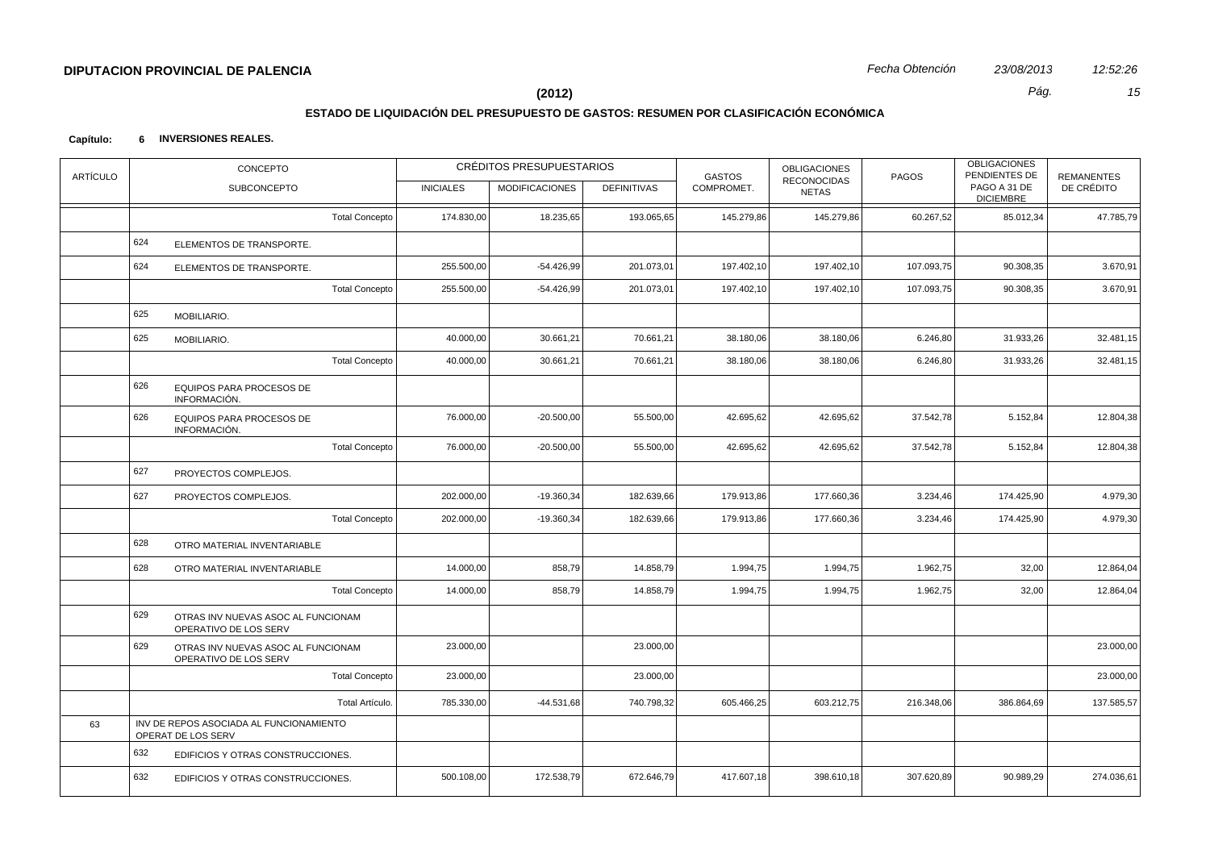# **ESTADO DE LIQUIDACIÓN DEL PRESUPUESTO DE GASTOS: RESUMEN POR CLASIFICACIÓN ECONÓMICA**

| <b>ARTÍCULO</b> |     | CONCEPTO                                                      |                       |                  | CRÉDITOS PRESUPUESTARIOS |                    | <b>GASTOS</b> | <b>OBLIGACIONES</b>         | PAGOS      | <b>OBLIGACIONES</b><br>PENDIENTES DE | <b>REMANENTES</b> |
|-----------------|-----|---------------------------------------------------------------|-----------------------|------------------|--------------------------|--------------------|---------------|-----------------------------|------------|--------------------------------------|-------------------|
|                 |     | <b>SUBCONCEPTO</b>                                            |                       | <b>INICIALES</b> | <b>MODIFICACIONES</b>    | <b>DEFINITIVAS</b> | COMPROMET.    | RECONOCIDAS<br><b>NETAS</b> |            | PAGO A 31 DE<br><b>DICIEMBRE</b>     | DE CRÉDITO        |
|                 |     |                                                               | <b>Total Concepto</b> | 174.830,00       | 18.235,65                | 193.065,65         | 145.279,86    | 145.279,86                  | 60.267,52  | 85.012,34                            | 47.785,79         |
|                 | 624 | ELEMENTOS DE TRANSPORTE.                                      |                       |                  |                          |                    |               |                             |            |                                      |                   |
|                 | 624 | ELEMENTOS DE TRANSPORTE.                                      |                       | 255.500,00       | $-54.426,99$             | 201.073,01         | 197.402,10    | 197.402,10                  | 107.093,75 | 90.308,35                            | 3.670,91          |
|                 |     |                                                               | <b>Total Concepto</b> | 255.500,00       | $-54.426,99$             | 201.073,01         | 197.402,10    | 197.402,10                  | 107.093,75 | 90.308,35                            | 3.670,91          |
|                 | 625 | MOBILIARIO.                                                   |                       |                  |                          |                    |               |                             |            |                                      |                   |
|                 | 625 | MOBILIARIO.                                                   |                       | 40.000,00        | 30.661,21                | 70.661,21          | 38.180,06     | 38.180,06                   | 6.246,80   | 31.933,26                            | 32.481,15         |
|                 |     |                                                               | <b>Total Concepto</b> | 40.000,00        | 30.661,21                | 70.661,21          | 38.180,06     | 38.180,06                   | 6.246,80   | 31.933,26                            | 32.481,15         |
|                 | 626 | EQUIPOS PARA PROCESOS DE<br>INFORMACIÓN.                      |                       |                  |                          |                    |               |                             |            |                                      |                   |
|                 | 626 | EQUIPOS PARA PROCESOS DE<br>INFORMACIÓN.                      |                       | 76.000,00        | $-20.500,00$             | 55.500,00          | 42.695,62     | 42.695,62                   | 37.542,78  | 5.152,84                             | 12.804,38         |
|                 |     |                                                               | <b>Total Concepto</b> | 76.000,00        | $-20.500,00$             | 55.500,00          | 42.695,62     | 42.695,62                   | 37.542,78  | 5.152,84                             | 12.804,38         |
|                 | 627 | PROYECTOS COMPLEJOS.                                          |                       |                  |                          |                    |               |                             |            |                                      |                   |
|                 | 627 | PROYECTOS COMPLEJOS.                                          |                       | 202.000,00       | $-19.360,34$             | 182.639,66         | 179.913,86    | 177.660,36                  | 3.234,46   | 174.425,90                           | 4.979,30          |
|                 |     |                                                               | <b>Total Concepto</b> | 202.000,00       | $-19.360,34$             | 182.639,66         | 179.913,86    | 177.660,36                  | 3.234,46   | 174.425,90                           | 4.979,30          |
|                 | 628 | OTRO MATERIAL INVENTARIABLE                                   |                       |                  |                          |                    |               |                             |            |                                      |                   |
|                 | 628 | OTRO MATERIAL INVENTARIABLE                                   |                       | 14.000,00        | 858,79                   | 14.858,79          | 1.994,75      | 1.994,75                    | 1.962,75   | 32,00                                | 12.864,04         |
|                 |     |                                                               | <b>Total Concepto</b> | 14.000,00        | 858,79                   | 14.858,79          | 1.994,75      | 1.994,75                    | 1.962,75   | 32,00                                | 12.864,04         |
|                 | 629 | OTRAS INV NUEVAS ASOC AL FUNCIONAM<br>OPERATIVO DE LOS SERV   |                       |                  |                          |                    |               |                             |            |                                      |                   |
|                 | 629 | OTRAS INV NUEVAS ASOC AL FUNCIONAM<br>OPERATIVO DE LOS SERV   |                       | 23.000,00        |                          | 23.000,00          |               |                             |            |                                      | 23.000,00         |
|                 |     |                                                               | <b>Total Concepto</b> | 23.000,00        |                          | 23.000,00          |               |                             |            |                                      | 23.000,00         |
|                 |     |                                                               | Total Artículo.       | 785.330,00       | $-44.531,68$             | 740.798,32         | 605.466,25    | 603.212,75                  | 216.348,06 | 386.864,69                           | 137.585,57        |
| 63              |     | INV DE REPOS ASOCIADA AL FUNCIONAMIENTO<br>OPERAT DE LOS SERV |                       |                  |                          |                    |               |                             |            |                                      |                   |
|                 | 632 | EDIFICIOS Y OTRAS CONSTRUCCIONES.                             |                       |                  |                          |                    |               |                             |            |                                      |                   |
|                 | 632 | EDIFICIOS Y OTRAS CONSTRUCCIONES.                             |                       | 500.108,00       | 172.538,79               | 672.646,79         | 417.607,18    | 398.610,18                  | 307.620,89 | 90.989,29                            | 274.036,61        |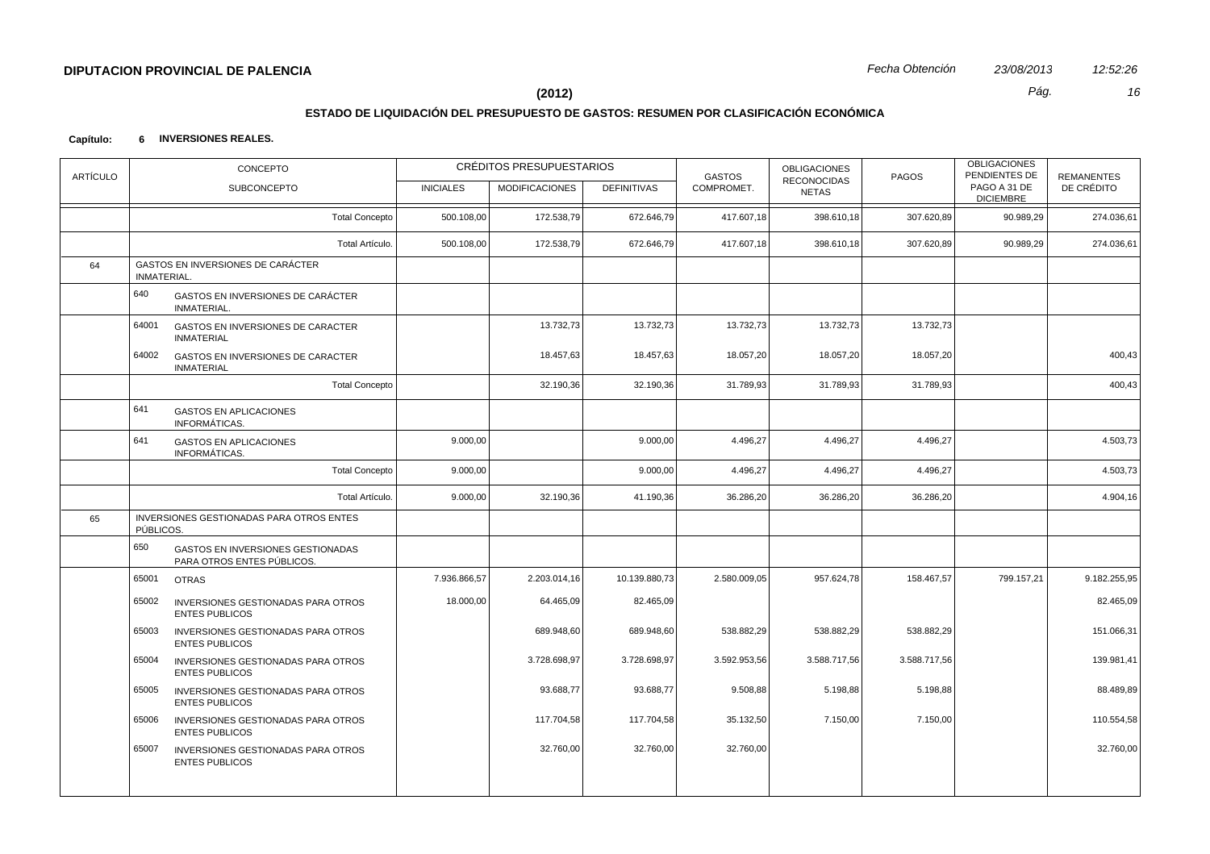# **ESTADO DE LIQUIDACIÓN DEL PRESUPUESTO DE GASTOS: RESUMEN POR CLASIFICACIÓN ECONÓMICA**

| <b>ARTÍCULO</b> | CONCEPTO                                                               |                  | CRÉDITOS PRESUPUESTARIOS |                    | <b>GASTOS</b> | <b>OBLIGACIONES</b><br><b>RECONOCIDAS</b> | PAGOS        | <b>OBLIGACIONES</b><br>PENDIENTES DE | <b>REMANENTES</b> |
|-----------------|------------------------------------------------------------------------|------------------|--------------------------|--------------------|---------------|-------------------------------------------|--------------|--------------------------------------|-------------------|
|                 | <b>SUBCONCEPTO</b>                                                     | <b>INICIALES</b> | <b>MODIFICACIONES</b>    | <b>DEFINITIVAS</b> | COMPROMET.    | <b>NETAS</b>                              |              | PAGO A 31 DE<br><b>DICIEMBRE</b>     | DE CRÉDITO        |
|                 | <b>Total Concepto</b>                                                  | 500.108,00       | 172.538,79               | 672.646,79         | 417.607,18    | 398.610,18                                | 307.620,89   | 90.989,29                            | 274.036,61        |
|                 | Total Artículo.                                                        | 500.108,00       | 172.538,79               | 672.646,79         | 417.607,18    | 398.610,18                                | 307.620,89   | 90.989,29                            | 274.036,61        |
| 64              | <b>GASTOS EN INVERSIONES DE CARÁCTER</b><br>INMATERIAL.                |                  |                          |                    |               |                                           |              |                                      |                   |
|                 | 640<br>GASTOS EN INVERSIONES DE CARÁCTER<br>INMATERIAL.                |                  |                          |                    |               |                                           |              |                                      |                   |
|                 | 64001<br>GASTOS EN INVERSIONES DE CARACTER<br><b>INMATERIAL</b>        |                  | 13.732,73                | 13.732,73          | 13.732,73     | 13.732,73                                 | 13.732,73    |                                      |                   |
|                 | 64002<br>GASTOS EN INVERSIONES DE CARACTER<br><b>INMATERIAL</b>        |                  | 18.457,63                | 18.457,63          | 18.057,20     | 18.057,20                                 | 18.057,20    |                                      | 400,43            |
|                 | <b>Total Concepto</b>                                                  |                  | 32.190,36                | 32.190,36          | 31.789,93     | 31.789,93                                 | 31.789,93    |                                      | 400,43            |
|                 | 641<br><b>GASTOS EN APLICACIONES</b><br>INFORMÁTICAS.                  |                  |                          |                    |               |                                           |              |                                      |                   |
|                 | 641<br><b>GASTOS EN APLICACIONES</b><br>INFORMÁTICAS.                  | 9.000,00         |                          | 9.000,00           | 4.496,27      | 4.496,27                                  | 4.496,27     |                                      | 4.503,73          |
|                 | <b>Total Concepto</b>                                                  | 9.000,00         |                          | 9.000,00           | 4.496,27      | 4.496,27                                  | 4.496,27     |                                      | 4.503,73          |
|                 | Total Artículo.                                                        | 9.000,00         | 32.190,36                | 41.190,36          | 36.286,20     | 36.286,20                                 | 36.286,20    |                                      | 4.904,16          |
| 65              | INVERSIONES GESTIONADAS PARA OTROS ENTES<br>PÚBLICOS.                  |                  |                          |                    |               |                                           |              |                                      |                   |
|                 | 650<br>GASTOS EN INVERSIONES GESTIONADAS<br>PARA OTROS ENTES PÚBLICOS. |                  |                          |                    |               |                                           |              |                                      |                   |
|                 | 65001<br><b>OTRAS</b>                                                  | 7.936.866,57     | 2.203.014,16             | 10.139.880,73      | 2.580.009,05  | 957.624,78                                | 158.467,57   | 799.157,21                           | 9.182.255,95      |
|                 | 65002<br>INVERSIONES GESTIONADAS PARA OTROS<br><b>ENTES PUBLICOS</b>   | 18.000,00        | 64.465,09                | 82.465,09          |               |                                           |              |                                      | 82.465,09         |
|                 | 65003<br>INVERSIONES GESTIONADAS PARA OTROS<br><b>ENTES PUBLICOS</b>   |                  | 689.948,60               | 689.948,60         | 538.882,29    | 538.882,29                                | 538.882,29   |                                      | 151.066,31        |
|                 | 65004<br>INVERSIONES GESTIONADAS PARA OTROS<br><b>ENTES PUBLICOS</b>   |                  | 3.728.698,97             | 3.728.698,97       | 3.592.953,56  | 3.588.717,56                              | 3.588.717,56 |                                      | 139.981,41        |
|                 | 65005<br>INVERSIONES GESTIONADAS PARA OTROS<br><b>ENTES PUBLICOS</b>   |                  | 93.688,77                | 93.688,77          | 9.508,88      | 5.198,88                                  | 5.198,88     |                                      | 88.489,89         |
|                 | 65006<br>INVERSIONES GESTIONADAS PARA OTROS<br><b>ENTES PUBLICOS</b>   |                  | 117.704,58               | 117.704,58         | 35.132,50     | 7.150,00                                  | 7.150,00     |                                      | 110.554,58        |
|                 | 65007<br>INVERSIONES GESTIONADAS PARA OTROS<br><b>ENTES PUBLICOS</b>   |                  | 32.760,00                | 32.760,00          | 32.760,00     |                                           |              |                                      | 32.760,00         |
|                 |                                                                        |                  |                          |                    |               |                                           |              |                                      |                   |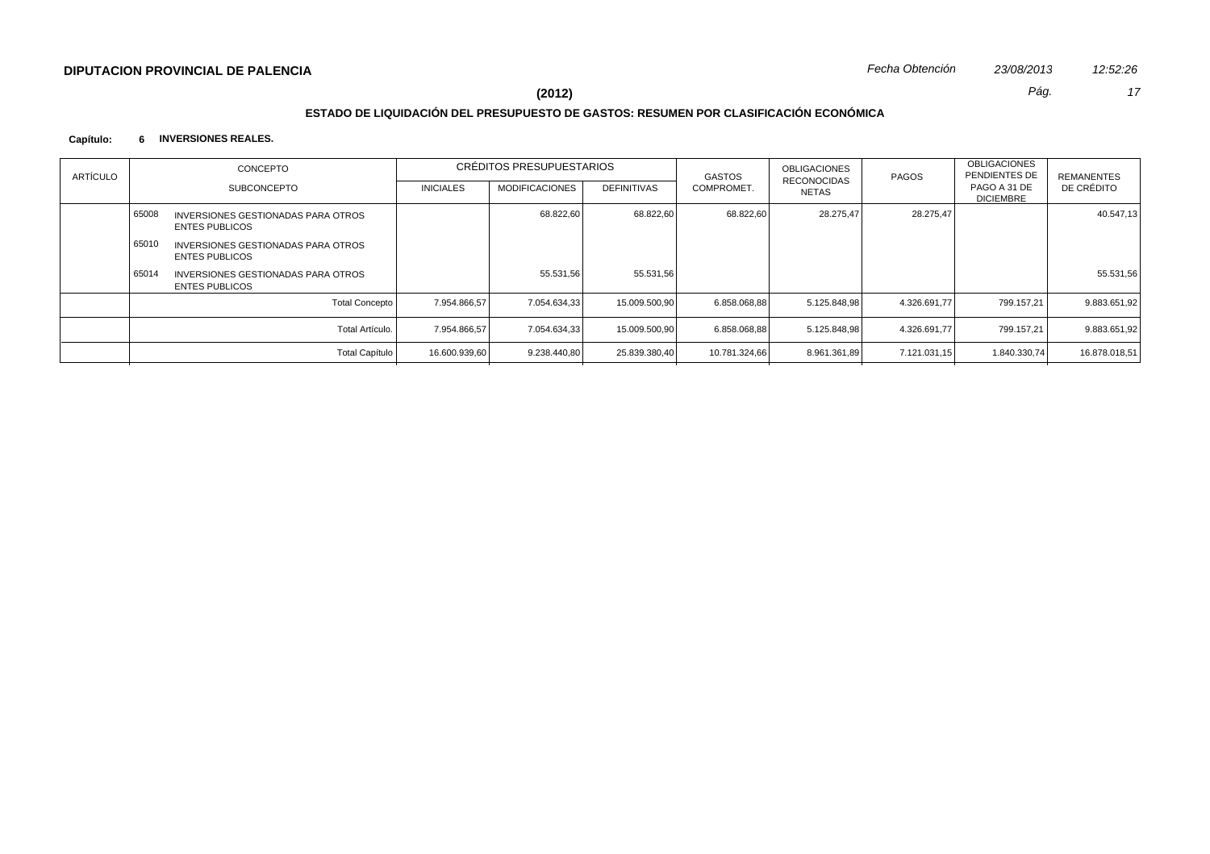# **ESTADO DE LIQUIDACIÓN DEL PRESUPUESTO DE GASTOS: RESUMEN POR CLASIFICACIÓN ECONÓMICA**

| ARTÍCULO | CONCEPTO |                                                             | CRÉDITOS PRESUPUESTARIOS |                       |                    | GASTOS        | <b>OBLIGACIONES</b><br>RECONOCIDAS | PAGOS        | <b>OBLIGACIONES</b><br>PENDIENTES DE | <b>REMANENTES</b> |
|----------|----------|-------------------------------------------------------------|--------------------------|-----------------------|--------------------|---------------|------------------------------------|--------------|--------------------------------------|-------------------|
|          |          | <b>SUBCONCEPTO</b>                                          | <b>INICIALES</b>         | <b>MODIFICACIONES</b> | <b>DEFINITIVAS</b> | COMPROMET.    | NETAS                              |              | PAGO A 31 DE<br><b>DICIEMBRE</b>     | DE CRÉDITO        |
|          | 65008    | INVERSIONES GESTIONADAS PARA OTROS<br><b>ENTES PUBLICOS</b> |                          | 68.822.60             | 68.822,60          | 68.822,60     | 28.275,47                          | 28.275,47    |                                      | 40.547,13         |
|          | 65010    | INVERSIONES GESTIONADAS PARA OTROS<br><b>ENTES PUBLICOS</b> |                          |                       |                    |               |                                    |              |                                      |                   |
|          | 65014    | INVERSIONES GESTIONADAS PARA OTROS<br><b>ENTES PUBLICOS</b> |                          | 55.531,56             | 55.531,56          |               |                                    |              |                                      | 55.531,56         |
|          |          | <b>Total Concepto</b>                                       | 7.954.866.57             | 7.054.634.33          | 15.009.500,90      | 6.858.068.88  | 5.125.848.98                       | 4.326.691.77 | 799.157.21                           | 9.883.651.92      |
|          |          | Total Artículo.                                             | 7.954.866.57             | 7.054.634.33          | 15.009.500,90      | 6.858.068,88  | 5.125.848,98                       | 4.326.691.77 | 799.157,21                           | 9.883.651,92      |
|          |          | <b>Total Capítulo</b>                                       | 16.600.939,60            | 9.238.440,80          | 25.839.380,40      | 10.781.324,66 | 8.961.361,89                       | 7.121.031,15 | 1.840.330,74                         | 16.878.018,51     |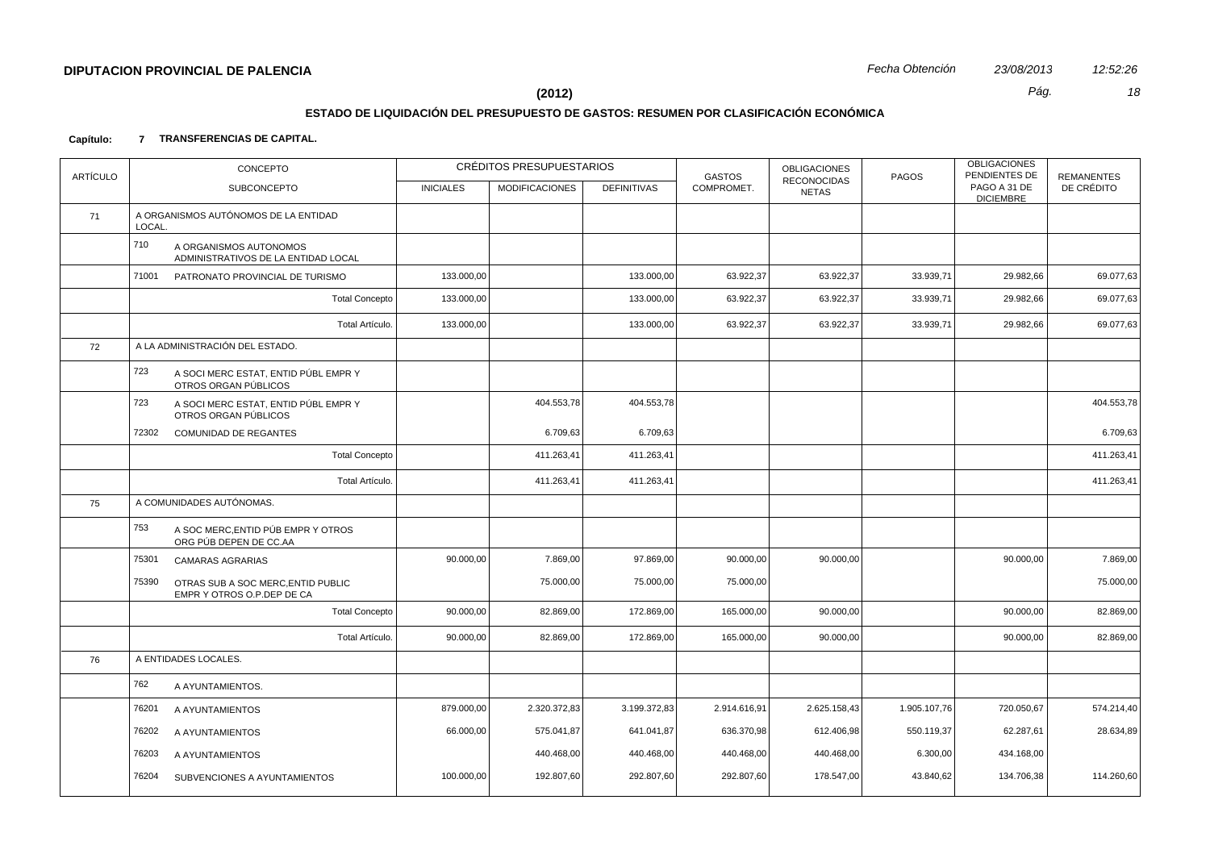# **ESTADO DE LIQUIDACIÓN DEL PRESUPUESTO DE GASTOS: RESUMEN POR CLASIFICACIÓN ECONÓMICA**

## **Capítulo: 7 TRANSFERENCIAS DE CAPITAL.**

| <b>ARTÍCULO</b> | CONCEPTO                                                                  |                  | CRÉDITOS PRESUPUESTARIOS |                    | <b>GASTOS</b> | <b>OBLIGACIONES</b><br><b>RECONOCIDAS</b> | PAGOS        | <b>OBLIGACIONES</b><br>PENDIENTES DE | <b>REMANENTES</b> |
|-----------------|---------------------------------------------------------------------------|------------------|--------------------------|--------------------|---------------|-------------------------------------------|--------------|--------------------------------------|-------------------|
|                 | <b>SUBCONCEPTO</b>                                                        | <b>INICIALES</b> | <b>MODIFICACIONES</b>    | <b>DEFINITIVAS</b> | COMPROMET.    | <b>NETAS</b>                              |              | PAGO A 31 DE<br><b>DICIEMBRE</b>     | DE CRÉDITO        |
| 71              | A ORGANISMOS AUTÓNOMOS DE LA ENTIDAD<br>LOCAL.                            |                  |                          |                    |               |                                           |              |                                      |                   |
|                 | 710<br>A ORGANISMOS AUTONOMOS<br>ADMINISTRATIVOS DE LA ENTIDAD LOCAL      |                  |                          |                    |               |                                           |              |                                      |                   |
|                 | 71001<br>PATRONATO PROVINCIAL DE TURISMO                                  | 133.000,00       |                          | 133.000,00         | 63.922,37     | 63.922,37                                 | 33.939,71    | 29.982,66                            | 69.077,63         |
|                 | <b>Total Concepto</b>                                                     | 133.000,00       |                          | 133.000,00         | 63.922,37     | 63.922,37                                 | 33.939,71    | 29.982,66                            | 69.077,63         |
|                 | Total Artículo.                                                           | 133.000,00       |                          | 133.000,00         | 63.922,37     | 63.922,37                                 | 33.939,71    | 29.982,66                            | 69.077,63         |
| 72              | A LA ADMINISTRACIÓN DEL ESTADO.                                           |                  |                          |                    |               |                                           |              |                                      |                   |
|                 | 723<br>A SOCI MERC ESTAT, ENTID PÚBL EMPR Y<br>OTROS ORGAN PÚBLICOS       |                  |                          |                    |               |                                           |              |                                      |                   |
|                 | 723<br>A SOCI MERC ESTAT, ENTID PÚBL EMPR Y<br>OTROS ORGAN PÚBLICOS       |                  | 404.553,78               | 404.553,78         |               |                                           |              |                                      | 404.553,78        |
|                 | 72302<br><b>COMUNIDAD DE REGANTES</b>                                     |                  | 6.709,63                 | 6.709,63           |               |                                           |              |                                      | 6.709,63          |
|                 | <b>Total Concepto</b>                                                     |                  | 411.263,41               | 411.263,41         |               |                                           |              |                                      | 411.263,41        |
|                 | Total Artículo.                                                           |                  | 411.263,41               | 411.263,41         |               |                                           |              |                                      | 411.263,41        |
| 75              | A COMUNIDADES AUTÓNOMAS.                                                  |                  |                          |                    |               |                                           |              |                                      |                   |
|                 | 753<br>A SOC MERC, ENTID PÚB EMPR Y OTROS<br>ORG PÚB DEPEN DE CC.AA       |                  |                          |                    |               |                                           |              |                                      |                   |
|                 | 75301<br><b>CAMARAS AGRARIAS</b>                                          | 90.000,00        | 7.869,00                 | 97.869,00          | 90.000,00     | 90.000,00                                 |              | 90.000,00                            | 7.869,00          |
|                 | 75390<br>OTRAS SUB A SOC MERC, ENTID PUBLIC<br>EMPR Y OTROS O.P.DEP DE CA |                  | 75.000,00                | 75.000,00          | 75.000,00     |                                           |              |                                      | 75.000,00         |
|                 | <b>Total Concepto</b>                                                     | 90.000,00        | 82.869,00                | 172.869,00         | 165.000,00    | 90.000,00                                 |              | 90.000,00                            | 82.869,00         |
|                 | Total Artículo.                                                           | 90.000,00        | 82.869,00                | 172.869,00         | 165.000,00    | 90.000,00                                 |              | 90.000,00                            | 82.869,00         |
| 76              | A ENTIDADES LOCALES.                                                      |                  |                          |                    |               |                                           |              |                                      |                   |
|                 | 762<br>A AYUNTAMIENTOS.                                                   |                  |                          |                    |               |                                           |              |                                      |                   |
|                 | 76201<br>A AYUNTAMIENTOS                                                  | 879.000,00       | 2.320.372,83             | 3.199.372,83       | 2.914.616,91  | 2.625.158,43                              | 1.905.107,76 | 720.050,67                           | 574.214,40        |
|                 | 76202<br>A AYUNTAMIENTOS                                                  | 66.000,00        | 575.041,87               | 641.041,87         | 636.370,98    | 612.406,98                                | 550.119,37   | 62.287,61                            | 28.634,89         |
|                 | 76203<br>A AYUNTAMIENTOS                                                  |                  | 440.468,00               | 440.468,00         | 440.468,00    | 440.468,00                                | 6.300,00     | 434.168,00                           |                   |
|                 | 76204<br>SUBVENCIONES A AYUNTAMIENTOS                                     | 100.000,00       | 192.807,60               | 292.807,60         | 292.807,60    | 178.547,00                                | 43.840,62    | 134.706,38                           | 114.260,60        |
|                 |                                                                           |                  |                          |                    |               |                                           |              |                                      |                   |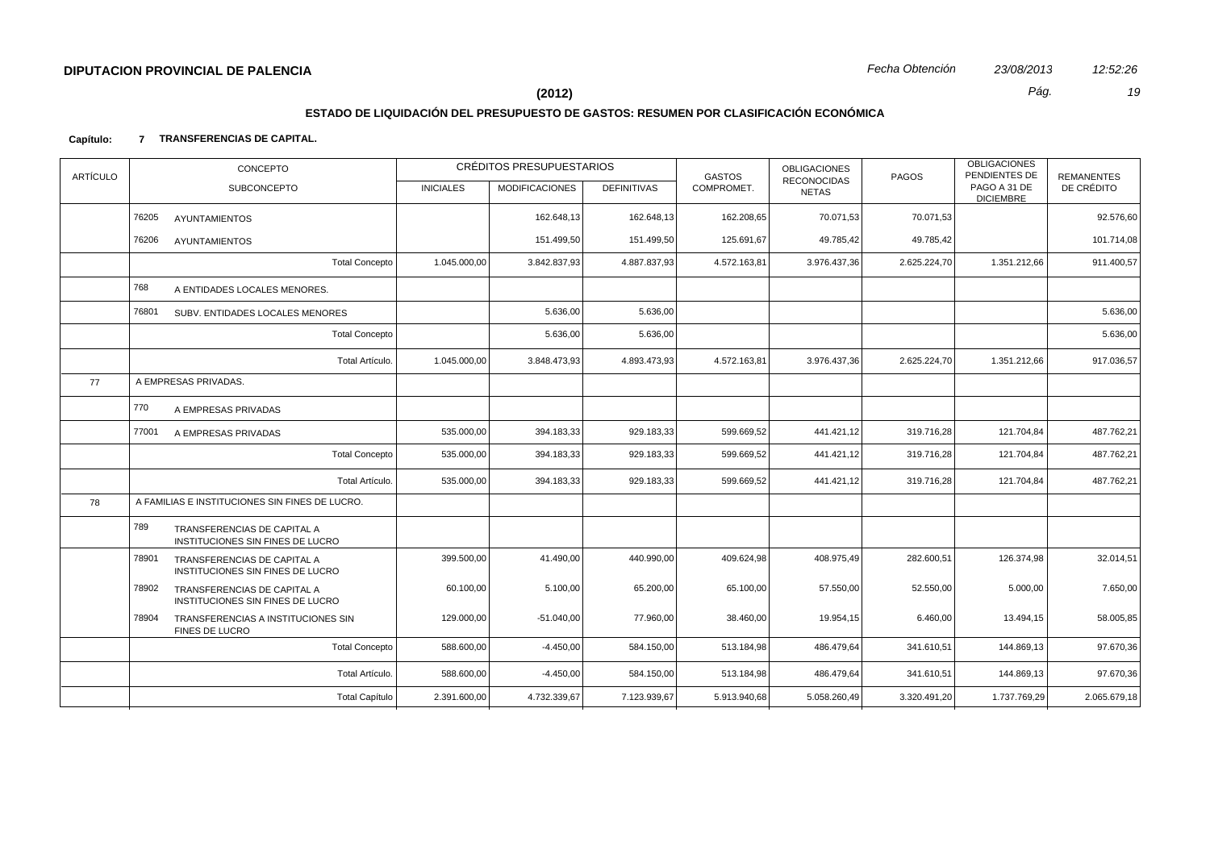# **ESTADO DE LIQUIDACIÓN DEL PRESUPUESTO DE GASTOS: RESUMEN POR CLASIFICACIÓN ECONÓMICA**

## **Capítulo: 7 TRANSFERENCIAS DE CAPITAL.**

| ARTÍCULO | CONCEPTO |                                                                 | CRÉDITOS PRESUPUESTARIOS |                       |                    | <b>GASTOS</b> | <b>OBLIGACIONES</b>                | PAGOS        | <b>OBLIGACIONES</b><br>PENDIENTES DE | <b>REMANENTES</b> |
|----------|----------|-----------------------------------------------------------------|--------------------------|-----------------------|--------------------|---------------|------------------------------------|--------------|--------------------------------------|-------------------|
|          |          | <b>SUBCONCEPTO</b>                                              | <b>INICIALES</b>         | <b>MODIFICACIONES</b> | <b>DEFINITIVAS</b> | COMPROMET.    | <b>RECONOCIDAS</b><br><b>NETAS</b> |              | PAGO A 31 DE<br><b>DICIEMBRE</b>     | DE CRÉDITO        |
|          | 76205    | <b>AYUNTAMIENTOS</b>                                            |                          | 162.648,13            | 162.648,13         | 162.208,65    | 70.071,53                          | 70.071,53    |                                      | 92.576,60         |
|          | 76206    | <b>AYUNTAMIENTOS</b>                                            |                          | 151.499,50            | 151.499,50         | 125.691,67    | 49.785,42                          | 49.785,42    |                                      | 101.714,08        |
|          |          | <b>Total Concepto</b>                                           | 1.045.000,00             | 3.842.837,93          | 4.887.837,93       | 4.572.163,81  | 3.976.437,36                       | 2.625.224,70 | 1.351.212,66                         | 911.400,57        |
|          | 768      | A ENTIDADES LOCALES MENORES.                                    |                          |                       |                    |               |                                    |              |                                      |                   |
|          | 76801    | SUBV. ENTIDADES LOCALES MENORES                                 |                          | 5.636,00              | 5.636,00           |               |                                    |              |                                      | 5.636,00          |
|          |          | <b>Total Concepto</b>                                           |                          | 5.636,00              | 5.636,00           |               |                                    |              |                                      | 5.636,00          |
|          |          | Total Artículo.                                                 | 1.045.000,00             | 3.848.473,93          | 4.893.473,93       | 4.572.163,81  | 3.976.437,36                       | 2.625.224,70 | 1.351.212,66                         | 917.036,57        |
| 77       |          | A EMPRESAS PRIVADAS.                                            |                          |                       |                    |               |                                    |              |                                      |                   |
|          | 770      | A EMPRESAS PRIVADAS                                             |                          |                       |                    |               |                                    |              |                                      |                   |
|          | 77001    | A EMPRESAS PRIVADAS                                             | 535.000,00               | 394.183,33            | 929.183,33         | 599.669,52    | 441.421,12                         | 319.716,28   | 121.704,84                           | 487.762,21        |
|          |          | <b>Total Concepto</b>                                           | 535.000,00               | 394.183,33            | 929.183,33         | 599.669,52    | 441.421,12                         | 319.716,28   | 121.704,84                           | 487.762,21        |
|          |          | Total Artículo.                                                 | 535.000,00               | 394.183,33            | 929.183,33         | 599.669,52    | 441.421,12                         | 319.716,28   | 121.704,84                           | 487.762,21        |
| 78       |          | A FAMILIAS E INSTITUCIONES SIN FINES DE LUCRO.                  |                          |                       |                    |               |                                    |              |                                      |                   |
|          | 789      | TRANSFERENCIAS DE CAPITAL A<br>INSTITUCIONES SIN FINES DE LUCRO |                          |                       |                    |               |                                    |              |                                      |                   |
|          | 78901    | TRANSFERENCIAS DE CAPITAL A<br>INSTITUCIONES SIN FINES DE LUCRO | 399.500,00               | 41.490,00             | 440.990,00         | 409.624,98    | 408.975,49                         | 282.600,51   | 126.374,98                           | 32.014,51         |
|          | 78902    | TRANSFERENCIAS DE CAPITAL A<br>INSTITUCIONES SIN FINES DE LUCRO | 60.100,00                | 5.100,00              | 65.200,00          | 65.100,00     | 57.550,00                          | 52.550,00    | 5.000,00                             | 7.650,00          |
|          | 78904    | TRANSFERENCIAS A INSTITUCIONES SIN<br>FINES DE LUCRO            | 129.000,00               | $-51.040,00$          | 77.960,00          | 38.460,00     | 19.954,15                          | 6.460,00     | 13.494,15                            | 58.005,85         |
|          |          | <b>Total Concepto</b>                                           | 588.600,00               | $-4.450,00$           | 584.150,00         | 513.184,98    | 486.479,64                         | 341.610,51   | 144.869,13                           | 97.670,36         |
|          |          | Total Artículo.                                                 | 588.600,00               | $-4.450,00$           | 584.150,00         | 513.184,98    | 486.479,64                         | 341.610,51   | 144.869,13                           | 97.670,36         |
|          |          | <b>Total Capítulo</b>                                           | 2.391.600,00             | 4.732.339,67          | 7.123.939,67       | 5.913.940,68  | 5.058.260,49                       | 3.320.491,20 | 1.737.769.29                         | 2.065.679,18      |
|          |          |                                                                 |                          |                       |                    |               |                                    |              |                                      |                   |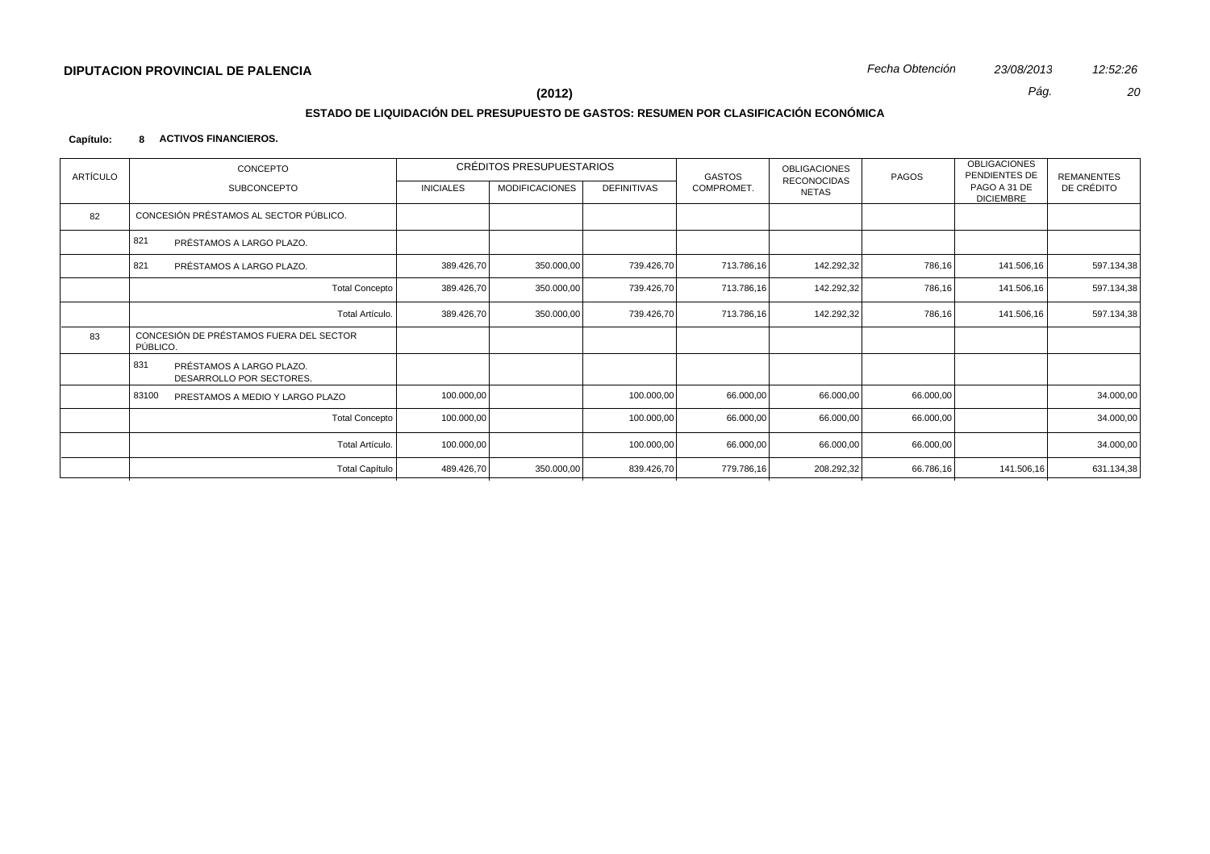# **ESTADO DE LIQUIDACIÓN DEL PRESUPUESTO DE GASTOS: RESUMEN POR CLASIFICACIÓN ECONÓMICA**

## **Capítulo: 8 ACTIVOS FINANCIEROS.**

| <b>ARTÍCULO</b> | CONCEPTO                                                    |                       |                  | CRÉDITOS PRESUPUESTARIOS |                    | GASTOS     | OBLIGACIONES                | PAGOS     | <b>OBLIGACIONES</b><br>PENDIENTES DE | REMANENTES |
|-----------------|-------------------------------------------------------------|-----------------------|------------------|--------------------------|--------------------|------------|-----------------------------|-----------|--------------------------------------|------------|
|                 | SUBCONCEPTO                                                 |                       | <b>INICIALES</b> | <b>MODIFICACIONES</b>    | <b>DEFINITIVAS</b> | COMPROMET. | RECONOCIDAS<br><b>NETAS</b> |           | PAGO A 31 DE<br><b>DICIEMBRE</b>     | DE CRÉDITO |
| 82              | CONCESIÓN PRÉSTAMOS AL SECTOR PÚBLICO.                      |                       |                  |                          |                    |            |                             |           |                                      |            |
|                 | 821<br>PRÉSTAMOS A LARGO PLAZO.                             |                       |                  |                          |                    |            |                             |           |                                      |            |
|                 | 821<br>PRÉSTAMOS A LARGO PLAZO.                             |                       | 389.426,70       | 350.000,00               | 739.426,70         | 713.786,16 | 142.292,32                  | 786,16    | 141.506,16                           | 597.134,38 |
|                 |                                                             | <b>Total Concepto</b> | 389.426,70       | 350.000,00               | 739.426,70         | 713.786,16 | 142.292,32                  | 786,16    | 141.506,16                           | 597.134,38 |
|                 |                                                             | Total Artículo.       | 389.426,70       | 350.000,00               | 739.426,70         | 713.786,16 | 142.292,32                  | 786,16    | 141.506,16                           | 597.134,38 |
| 83              | CONCESIÓN DE PRÉSTAMOS FUERA DEL SECTOR<br>PÚBLICO.         |                       |                  |                          |                    |            |                             |           |                                      |            |
|                 | 831<br>PRÉSTAMOS A LARGO PLAZO.<br>DESARROLLO POR SECTORES. |                       |                  |                          |                    |            |                             |           |                                      |            |
|                 | 83100<br>PRESTAMOS A MEDIO Y LARGO PLAZO                    |                       | 100.000,00       |                          | 100.000,00         | 66.000,00  | 66.000,00                   | 66.000,00 |                                      | 34.000,00  |
|                 |                                                             | <b>Total Concepto</b> | 100.000,00       |                          | 100.000,00         | 66.000,00  | 66.000,00                   | 66.000,00 |                                      | 34.000,00  |
|                 |                                                             | Total Artículo.       | 100.000,00       |                          | 100.000,00         | 66.000,00  | 66.000,00                   | 66.000,00 |                                      | 34.000,00  |
|                 |                                                             | <b>Total Capítulo</b> | 489.426,70       | 350.000,00               | 839.426,70         | 779.786,16 | 208.292,32                  | 66.786,16 | 141.506,16                           | 631.134,38 |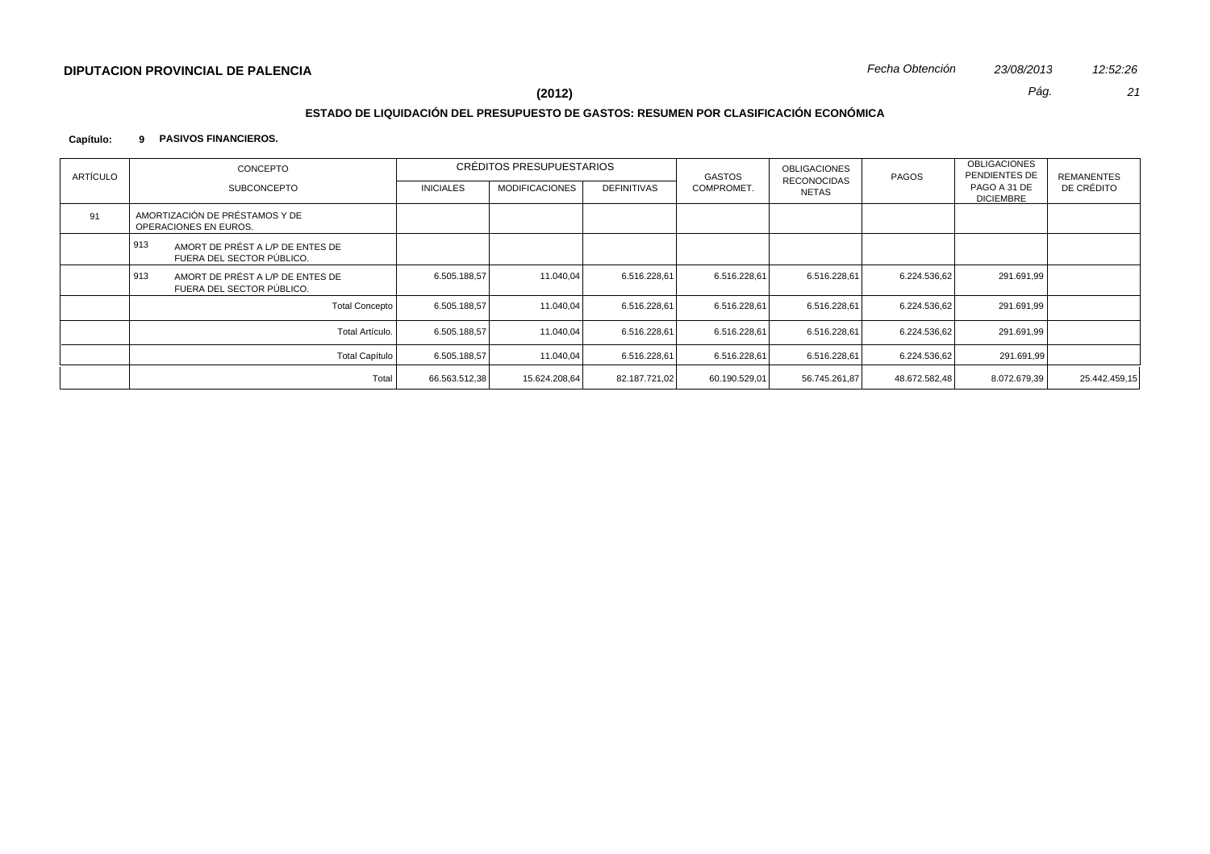# **ESTADO DE LIQUIDACIÓN DEL PRESUPUESTO DE GASTOS: RESUMEN POR CLASIFICACIÓN ECONÓMICA**

## **Capítulo: 9 PASIVOS FINANCIEROS.**

| ARTÍCULO | CONCEPTO                                                             | CRÉDITOS PRESUPUESTARIOS |                       |                    | GASTOS        | OBLIGACIONES<br><b>RECONOCIDAS</b> | PAGOS         | <b>OBLIGACIONES</b><br>PENDIENTES DE | REMANENTES    |
|----------|----------------------------------------------------------------------|--------------------------|-----------------------|--------------------|---------------|------------------------------------|---------------|--------------------------------------|---------------|
|          | <b>SUBCONCEPTO</b>                                                   | <b>INICIALES</b>         | <b>MODIFICACIONES</b> | <b>DEFINITIVAS</b> | COMPROMET.    | NETAS                              |               | PAGO A 31 DE<br><b>DICIEMBRE</b>     | DE CRÉDITO    |
| 91       | AMORTIZACIÓN DE PRÉSTAMOS Y DE<br>OPERACIONES EN EUROS.              |                          |                       |                    |               |                                    |               |                                      |               |
|          | 913<br>AMORT DE PRÉST A L/P DE ENTES DE<br>FUERA DEL SECTOR PÚBLICO. |                          |                       |                    |               |                                    |               |                                      |               |
|          | 913<br>AMORT DE PRÉST A L/P DE ENTES DE<br>FUERA DEL SECTOR PÚBLICO. | 6.505.188,57             | 11.040,04             | 6.516.228.61       | 6.516.228.61  | 6.516.228.61                       | 6.224.536.62  | 291.691,99                           |               |
|          | <b>Total Concepto</b>                                                | 6.505.188,57             | 11.040,04             | 6.516.228,61       | 6.516.228,61  | 6.516.228,61                       | 6.224.536.62  | 291.691,99                           |               |
|          | Total Artículo.                                                      | 6.505.188,57             | 11.040.04             | 6.516.228,61       | 6.516.228,61  | 6.516.228,61                       | 6.224.536,62  | 291.691,99                           |               |
|          | <b>Total Capítulo</b>                                                | 6.505.188,57             | 11.040.04             | 6.516.228,61       | 6.516.228.61  | 6.516.228.61                       | 6.224.536.62  | 291.691,99                           |               |
|          | Total                                                                | 66.563.512,38            | 15.624.208,64         | 82.187.721,02      | 60.190.529,01 | 56.745.261,87                      | 48.672.582,48 | 8.072.679,39                         | 25.442.459,15 |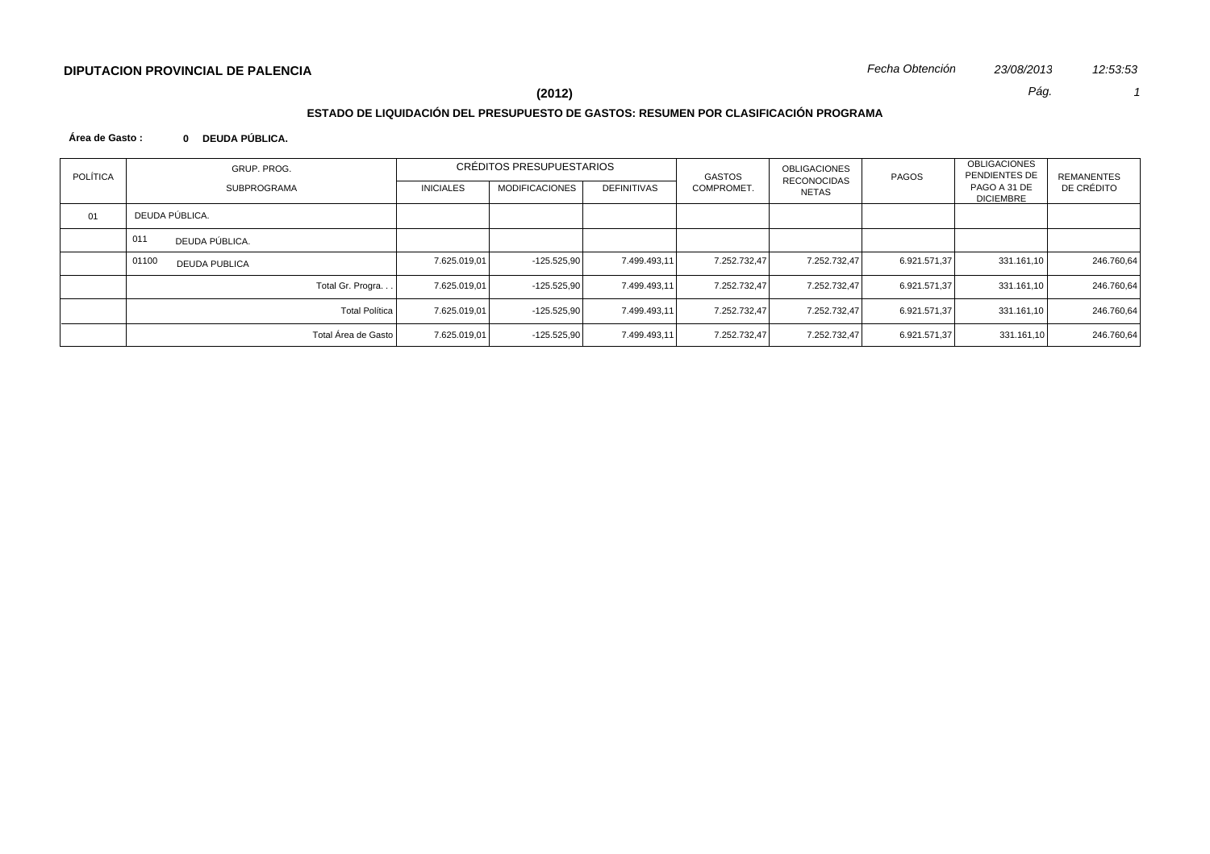# **ESTADO DE LIQUIDACIÓN DEL PRESUPUESTO DE GASTOS: RESUMEN POR CLASIFICACIÓN PROGRAMA**

## **Área de Gasto : 0 DEUDA PÚBLICA.**

| <b>POLÍTICA</b> | GRUP. PROG.                   | CRÉDITOS PRESUPUESTARIOS |                       |                    | GASTOS       | OBLIGACIONES<br><b>RECONOCIDAS</b> | PAGOS        | <b>OBLIGACIONES</b><br>PENDIENTES DE | REMANENTES |
|-----------------|-------------------------------|--------------------------|-----------------------|--------------------|--------------|------------------------------------|--------------|--------------------------------------|------------|
|                 | <b>SUBPROGRAMA</b>            | <b>INICIALES</b>         | <b>MODIFICACIONES</b> | <b>DEFINITIVAS</b> | COMPROMET.   | NETAS                              |              | PAGO A 31 DE<br><b>DICIEMBRE</b>     | DE CRÉDITO |
| 01              | DEUDA PÚBLICA.                |                          |                       |                    |              |                                    |              |                                      |            |
|                 | 011<br>DEUDA PÚBLICA.         |                          |                       |                    |              |                                    |              |                                      |            |
|                 | 01100<br><b>DEUDA PUBLICA</b> | 7.625.019,01             | $-125.525,90$         | 7.499.493.11       | 7.252.732.47 | 7.252.732.47                       | 6.921.571.37 | 331.161,10                           | 246.760,64 |
|                 | Total Gr. Progra              | 7.625.019,01             | $-125.525,90$         | 7.499.493,11       | 7.252.732.47 | 7.252.732.47                       | 6.921.571.37 | 331.161,10                           | 246.760,64 |
|                 | <b>Total Política</b>         | 7.625.019,01             | $-125.525.90$         | 7.499.493,11       | 7.252.732,47 | 7.252.732,47                       | 6.921.571,37 | 331.161,10                           | 246.760,64 |
|                 | Total Área de Gasto           | 7.625.019,01             | -125.525,90           | 7.499.493.11       | 7.252.732.47 | 7.252.732.47                       | 6.921.571.37 | 331.161,10                           | 246.760,64 |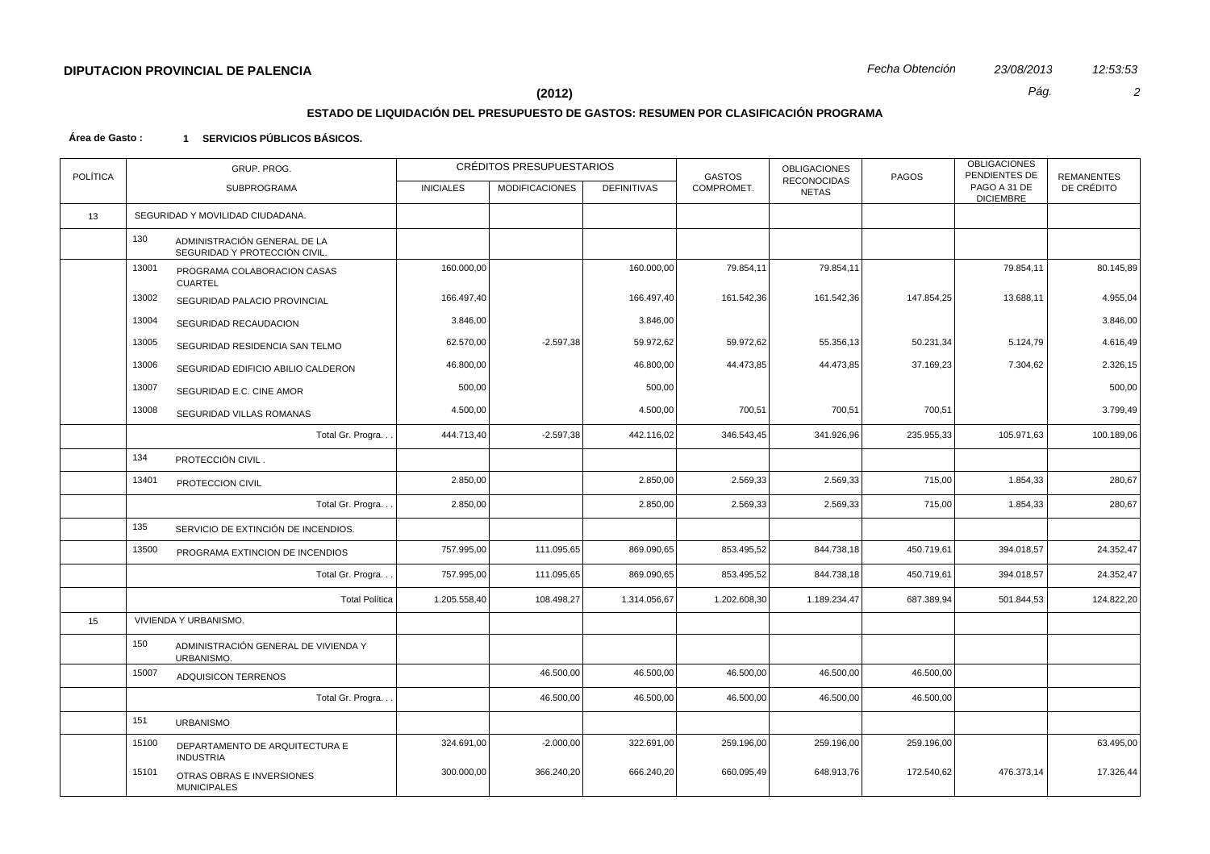# **ESTADO DE LIQUIDACIÓN DEL PRESUPUESTO DE GASTOS: RESUMEN POR CLASIFICACIÓN PROGRAMA**

| <b>POLÍTICA</b> |       | GRUP. PROG.                                                   |                  | CRÉDITOS PRESUPUESTARIOS |                    | <b>GASTOS</b> | <b>OBLIGACIONES</b><br><b>RECONOCIDAS</b> | <b>PAGOS</b> | <b>OBLIGACIONES</b><br>PENDIENTES DE | <b>REMANENTES</b> |
|-----------------|-------|---------------------------------------------------------------|------------------|--------------------------|--------------------|---------------|-------------------------------------------|--------------|--------------------------------------|-------------------|
|                 |       | <b>SUBPROGRAMA</b>                                            | <b>INICIALES</b> | <b>MODIFICACIONES</b>    | <b>DEFINITIVAS</b> | COMPROMET.    | <b>NETAS</b>                              |              | PAGO A 31 DE<br><b>DICIEMBRE</b>     | DE CRÉDITO        |
| 13              |       | SEGURIDAD Y MOVILIDAD CIUDADANA.                              |                  |                          |                    |               |                                           |              |                                      |                   |
|                 | 130   | ADMINISTRACIÓN GENERAL DE LA<br>SEGURIDAD Y PROTECCIÓN CIVIL. |                  |                          |                    |               |                                           |              |                                      |                   |
|                 | 13001 | PROGRAMA COLABORACION CASAS<br><b>CUARTEL</b>                 | 160.000,00       |                          | 160.000,00         | 79.854,11     | 79.854,11                                 |              | 79.854,11                            | 80.145,89         |
|                 | 13002 | SEGURIDAD PALACIO PROVINCIAL                                  | 166.497,40       |                          | 166.497,40         | 161.542,36    | 161.542,36                                | 147.854,25   | 13.688,11                            | 4.955,04          |
|                 | 13004 | SEGURIDAD RECAUDACION                                         | 3.846,00         |                          | 3.846,00           |               |                                           |              |                                      | 3.846,00          |
|                 | 13005 | SEGURIDAD RESIDENCIA SAN TELMO                                | 62.570,00        | $-2.597,38$              | 59.972,62          | 59.972,62     | 55.356,13                                 | 50.231,34    | 5.124,79                             | 4.616,49          |
|                 | 13006 | SEGURIDAD EDIFICIO ABILIO CALDERON                            | 46.800,00        |                          | 46.800,00          | 44.473,85     | 44.473,85                                 | 37.169,23    | 7.304,62                             | 2.326,15          |
|                 | 13007 | SEGURIDAD E.C. CINE AMOR                                      | 500,00           |                          | 500,00             |               |                                           |              |                                      | 500,00            |
|                 | 13008 | SEGURIDAD VILLAS ROMANAS                                      | 4.500,00         |                          | 4.500,00           | 700,51        | 700,51                                    | 700,51       |                                      | 3.799,49          |
|                 |       | Total Gr. Progra.                                             | 444.713,40       | $-2.597,38$              | 442.116,02         | 346.543,45    | 341.926,96                                | 235.955,33   | 105.971,63                           | 100.189,06        |
|                 | 134   | PROTECCIÓN CIVIL.                                             |                  |                          |                    |               |                                           |              |                                      |                   |
|                 | 13401 | PROTECCION CIVIL                                              | 2.850,00         |                          | 2.850,00           | 2.569,33      | 2.569,33                                  | 715,00       | 1.854,33                             | 280,67            |
|                 |       | Total Gr. Progra.                                             | 2.850,00         |                          | 2.850,00           | 2.569,33      | 2.569,33                                  | 715,00       | 1.854,33                             | 280,67            |
|                 | 135   | SERVICIO DE EXTINCIÓN DE INCENDIOS.                           |                  |                          |                    |               |                                           |              |                                      |                   |
|                 | 13500 | PROGRAMA EXTINCION DE INCENDIOS                               | 757.995,00       | 111.095,65               | 869.090,65         | 853.495,52    | 844.738,18                                | 450.719,61   | 394.018,57                           | 24.352,47         |
|                 |       | Total Gr. Progra.                                             | 757.995,00       | 111.095,65               | 869.090,65         | 853.495,52    | 844.738,18                                | 450.719,61   | 394.018,57                           | 24.352,47         |
|                 |       | <b>Total Política</b>                                         | 1.205.558,40     | 108.498,27               | 1.314.056,67       | 1.202.608,30  | 1.189.234,47                              | 687.389,94   | 501.844,53                           | 124.822,20        |
| 15              |       | VIVIENDA Y URBANISMO.                                         |                  |                          |                    |               |                                           |              |                                      |                   |
|                 | 150   | ADMINISTRACIÓN GENERAL DE VIVIENDA Y<br>URBANISMO.            |                  |                          |                    |               |                                           |              |                                      |                   |
|                 | 15007 | ADQUISICON TERRENOS                                           |                  | 46.500,00                | 46.500,00          | 46.500,00     | 46.500,00                                 | 46.500,00    |                                      |                   |
|                 |       | Total Gr. Progra.                                             |                  | 46.500,00                | 46.500,00          | 46.500,00     | 46.500,00                                 | 46.500,00    |                                      |                   |
|                 | 151   | <b>URBANISMO</b>                                              |                  |                          |                    |               |                                           |              |                                      |                   |
|                 | 15100 | DEPARTAMENTO DE ARQUITECTURA E<br><b>INDUSTRIA</b>            | 324.691,00       | $-2.000,00$              | 322.691,00         | 259.196,00    | 259.196,00                                | 259.196,00   |                                      | 63.495,00         |
|                 | 15101 | OTRAS OBRAS E INVERSIONES<br><b>MUNICIPALES</b>               | 300.000,00       | 366.240,20               | 666.240,20         | 660.095,49    | 648.913,76                                | 172.540,62   | 476.373,14                           | 17.326,44         |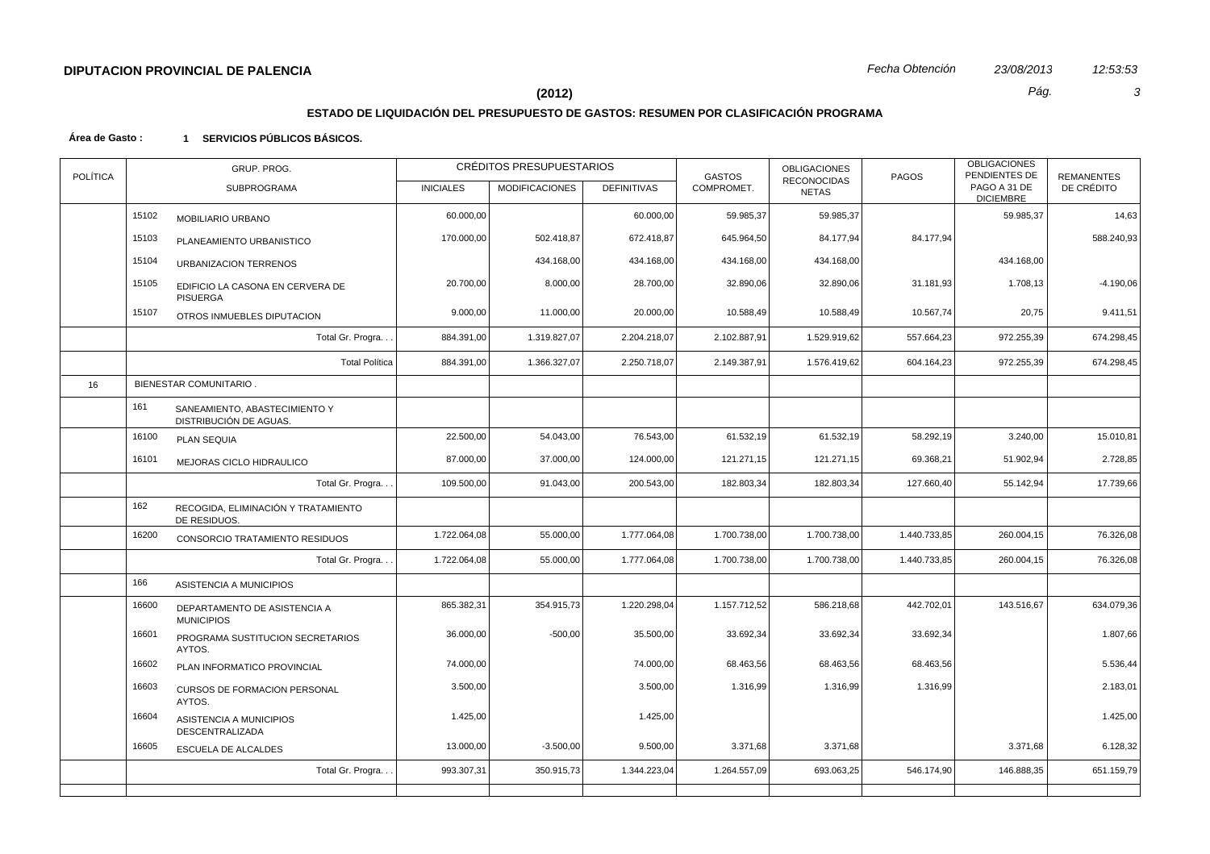# **ESTADO DE LIQUIDACIÓN DEL PRESUPUESTO DE GASTOS: RESUMEN POR CLASIFICACIÓN PROGRAMA**

| <b>POLÍTICA</b> | GRUP. PROG. |                                                         |                  | CRÉDITOS PRESUPUESTARIOS |                    | <b>GASTOS</b> | <b>OBLIGACIONES</b>                | <b>PAGOS</b> | <b>OBLIGACIONES</b><br>PENDIENTES DE | <b>REMANENTES</b> |
|-----------------|-------------|---------------------------------------------------------|------------------|--------------------------|--------------------|---------------|------------------------------------|--------------|--------------------------------------|-------------------|
|                 |             | <b>SUBPROGRAMA</b>                                      | <b>INICIALES</b> | <b>MODIFICACIONES</b>    | <b>DEFINITIVAS</b> | COMPROMET.    | <b>RECONOCIDAS</b><br><b>NETAS</b> |              | PAGO A 31 DE<br><b>DICIEMBRE</b>     | DE CRÉDITO        |
|                 | 15102       | MOBILIARIO URBANO                                       | 60.000,00        |                          | 60.000,00          | 59.985,37     | 59.985,37                          |              | 59.985,37                            | 14,63             |
|                 | 15103       | PLANEAMIENTO URBANISTICO                                | 170.000,00       | 502.418,87               | 672.418,87         | 645.964,50    | 84.177,94                          | 84.177,94    |                                      | 588.240,93        |
|                 | 15104       | <b>URBANIZACION TERRENOS</b>                            |                  | 434.168,00               | 434.168,00         | 434.168,00    | 434.168,00                         |              | 434.168,00                           |                   |
|                 | 15105       | EDIFICIO LA CASONA EN CERVERA DE<br>PISUERGA            | 20.700,00        | 8.000,00                 | 28.700,00          | 32.890,06     | 32.890,06                          | 31.181,93    | 1.708,13                             | $-4.190,06$       |
|                 | 15107       | OTROS INMUEBLES DIPUTACION                              | 9.000,00         | 11.000,00                | 20.000,00          | 10.588,49     | 10.588,49                          | 10.567,74    | 20,75                                | 9.411,51          |
|                 |             | Total Gr. Progra                                        | 884.391,00       | 1.319.827,07             | 2.204.218,07       | 2.102.887,91  | 1.529.919,62                       | 557.664,23   | 972.255,39                           | 674.298,45        |
|                 |             | <b>Total Política</b>                                   | 884.391,00       | 1.366.327,07             | 2.250.718,07       | 2.149.387,91  | 1.576.419,62                       | 604.164,23   | 972.255,39                           | 674.298,45        |
| 16              |             | <b>BIENESTAR COMUNITARIO.</b>                           |                  |                          |                    |               |                                    |              |                                      |                   |
|                 | 161         | SANEAMIENTO, ABASTECIMIENTO Y<br>DISTRIBUCIÓN DE AGUAS. |                  |                          |                    |               |                                    |              |                                      |                   |
|                 | 16100       | PLAN SEQUIA                                             | 22.500,00        | 54.043,00                | 76.543,00          | 61.532,19     | 61.532,19                          | 58.292,19    | 3.240,00                             | 15.010,81         |
|                 | 16101       | MEJORAS CICLO HIDRAULICO                                | 87.000,00        | 37.000,00                | 124.000,00         | 121.271,15    | 121.271,15                         | 69.368,21    | 51.902,94                            | 2.728,85          |
|                 |             | Total Gr. Progra                                        | 109.500,00       | 91.043,00                | 200.543,00         | 182.803,34    | 182.803,34                         | 127.660,40   | 55.142,94                            | 17.739,66         |
|                 | 162         | RECOGIDA, ELIMINACIÓN Y TRATAMIENTO<br>DE RESIDUOS.     |                  |                          |                    |               |                                    |              |                                      |                   |
|                 | 16200       | CONSORCIO TRATAMIENTO RESIDUOS                          | 1.722.064,08     | 55.000,00                | 1.777.064,08       | 1.700.738,00  | 1.700.738,00                       | 1.440.733,85 | 260.004,15                           | 76.326,08         |
|                 |             | Total Gr. Progra                                        | 1.722.064,08     | 55.000,00                | 1.777.064,08       | 1.700.738,00  | 1.700.738,00                       | 1.440.733,85 | 260.004,15                           | 76.326,08         |
|                 | 166         | ASISTENCIA A MUNICIPIOS                                 |                  |                          |                    |               |                                    |              |                                      |                   |
|                 | 16600       | DEPARTAMENTO DE ASISTENCIA A<br><b>MUNICIPIOS</b>       | 865.382,31       | 354.915,73               | 1.220.298,04       | 1.157.712,52  | 586.218,68                         | 442.702,01   | 143.516,67                           | 634.079,36        |
|                 | 16601       | PROGRAMA SUSTITUCION SECRETARIOS<br>AYTOS.              | 36.000,00        | $-500,00$                | 35.500,00          | 33.692,34     | 33.692,34                          | 33.692,34    |                                      | 1.807,66          |
|                 | 16602       | PLAN INFORMATICO PROVINCIAL                             | 74.000,00        |                          | 74.000,00          | 68.463,56     | 68.463,56                          | 68.463,56    |                                      | 5.536,44          |
|                 | 16603       | CURSOS DE FORMACION PERSONAL<br>AYTOS.                  | 3.500,00         |                          | 3.500,00           | 1.316,99      | 1.316,99                           | 1.316,99     |                                      | 2.183,01          |
|                 | 16604       | ASISTENCIA A MUNICIPIOS<br>DESCENTRALIZADA              | 1.425,00         |                          | 1.425,00           |               |                                    |              |                                      | 1.425,00          |
|                 | 16605       | <b>ESCUELA DE ALCALDES</b>                              | 13.000,00        | $-3.500,00$              | 9.500,00           | 3.371,68      | 3.371,68                           |              | 3.371,68                             | 6.128,32          |
|                 |             | Total Gr. Progra                                        | 993.307,31       | 350.915,73               | 1.344.223,04       | 1.264.557,09  | 693.063,25                         | 546.174,90   | 146.888,35                           | 651.159,79        |
|                 |             |                                                         |                  |                          |                    |               |                                    |              |                                      |                   |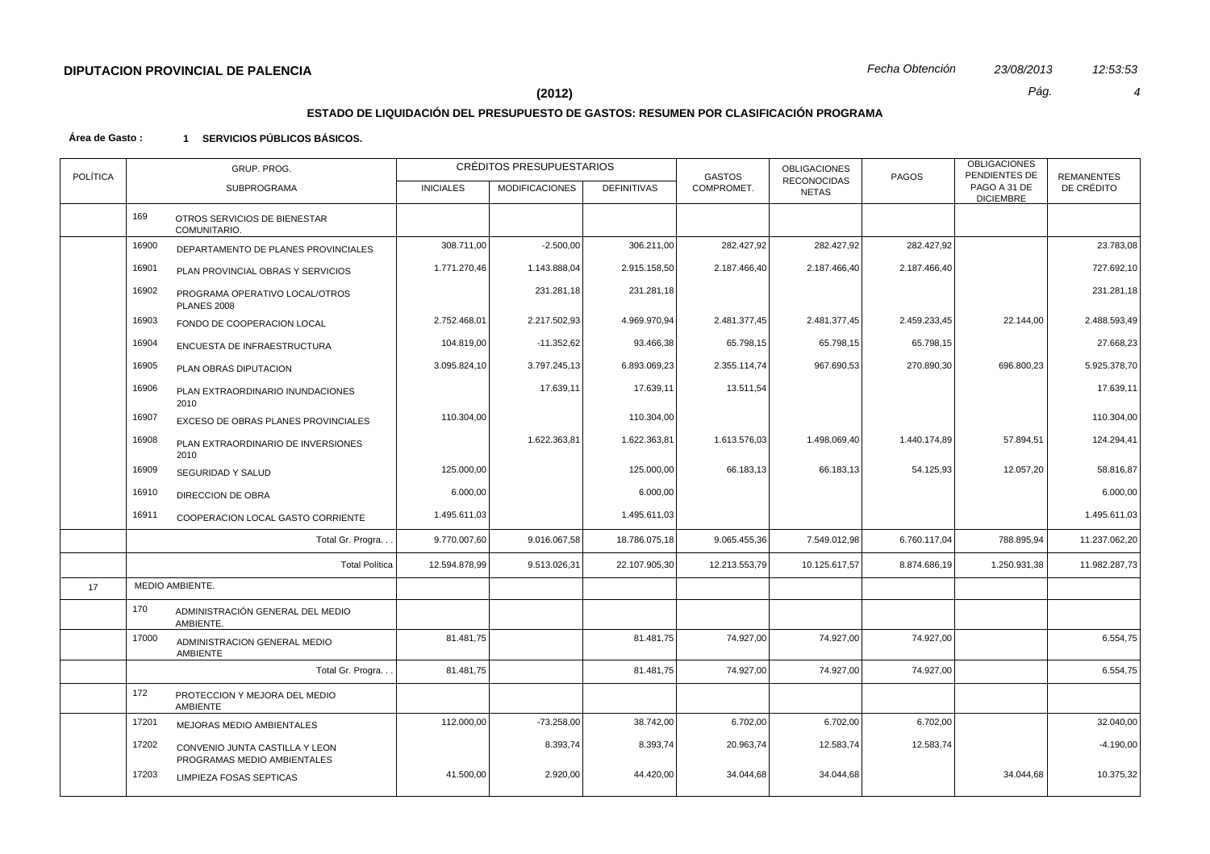# **ESTADO DE LIQUIDACIÓN DEL PRESUPUESTO DE GASTOS: RESUMEN POR CLASIFICACIÓN PROGRAMA**

| <b>POLÍTICA</b> | GRUP. PROG. |                                                               |                  | CRÉDITOS PRESUPUESTARIOS |                    | <b>GASTOS</b> | <b>OBLIGACIONES</b><br><b>RECONOCIDAS</b> | <b>PAGOS</b> | <b>OBLIGACIONES</b><br>PENDIENTES DE | <b>REMANENTES</b> |
|-----------------|-------------|---------------------------------------------------------------|------------------|--------------------------|--------------------|---------------|-------------------------------------------|--------------|--------------------------------------|-------------------|
|                 |             | <b>SUBPROGRAMA</b>                                            | <b>INICIALES</b> | <b>MODIFICACIONES</b>    | <b>DEFINITIVAS</b> | COMPROMET.    | <b>NETAS</b>                              |              | PAGO A 31 DE<br><b>DICIEMBRE</b>     | DE CRÉDITO        |
|                 | 169         | OTROS SERVICIOS DE BIENESTAR<br>COMUNITARIO.                  |                  |                          |                    |               |                                           |              |                                      |                   |
|                 | 16900       | DEPARTAMENTO DE PLANES PROVINCIALES                           | 308.711,00       | $-2.500,00$              | 306.211,00         | 282.427,92    | 282.427,92                                | 282.427,92   |                                      | 23.783,08         |
|                 | 16901       | PLAN PROVINCIAL OBRAS Y SERVICIOS                             | 1.771.270,46     | 1.143.888,04             | 2.915.158,50       | 2.187.466,40  | 2.187.466,40                              | 2.187.466,40 |                                      | 727.692,10        |
|                 | 16902       | PROGRAMA OPERATIVO LOCAL/OTROS<br><b>PLANES 2008</b>          |                  | 231.281,18               | 231.281,18         |               |                                           |              |                                      | 231.281,18        |
|                 | 16903       | FONDO DE COOPERACION LOCAL                                    | 2.752.468,01     | 2.217.502,93             | 4.969.970,94       | 2.481.377,45  | 2.481.377,45                              | 2.459.233,45 | 22.144,00                            | 2.488.593,49      |
|                 | 16904       | ENCUESTA DE INFRAESTRUCTURA                                   | 104.819,00       | $-11.352,62$             | 93.466,38          | 65.798,15     | 65.798,15                                 | 65.798,15    |                                      | 27.668,23         |
|                 | 16905       | PLAN OBRAS DIPUTACION                                         | 3.095.824,10     | 3.797.245,13             | 6.893.069,23       | 2.355.114,74  | 967.690,53                                | 270.890,30   | 696.800,23                           | 5.925.378,70      |
|                 | 16906       | PLAN EXTRAORDINARIO INUNDACIONES<br>2010                      |                  | 17.639,11                | 17.639,11          | 13.511,54     |                                           |              |                                      | 17.639,11         |
|                 | 16907       | EXCESO DE OBRAS PLANES PROVINCIALES                           | 110.304,00       |                          | 110.304,00         |               |                                           |              |                                      | 110.304,00        |
|                 | 16908       | PLAN EXTRAORDINARIO DE INVERSIONES<br>2010                    |                  | 1.622.363,81             | 1.622.363,81       | 1.613.576,03  | 1.498.069,40                              | 1.440.174,89 | 57.894,51                            | 124.294,41        |
|                 | 16909       | SEGURIDAD Y SALUD                                             | 125.000,00       |                          | 125.000,00         | 66.183,13     | 66.183,13                                 | 54.125,93    | 12.057,20                            | 58.816,87         |
|                 | 16910       | <b>DIRECCION DE OBRA</b>                                      | 6.000,00         |                          | 6.000,00           |               |                                           |              |                                      | 6.000,00          |
|                 | 16911       | COOPERACION LOCAL GASTO CORRIENTE                             | 1.495.611,03     |                          | 1.495.611,03       |               |                                           |              |                                      | 1.495.611,03      |
|                 |             | Total Gr. Progra                                              | 9.770.007,60     | 9.016.067,58             | 18.786.075,18      | 9.065.455,36  | 7.549.012,98                              | 6.760.117,04 | 788.895,94                           | 11.237.062,20     |
|                 |             | <b>Total Política</b>                                         | 12.594.878,99    | 9.513.026,31             | 22.107.905,30      | 12.213.553,79 | 10.125.617,57                             | 8.874.686,19 | 1.250.931,38                         | 11.982.287,73     |
| 17              |             | MEDIO AMBIENTE.                                               |                  |                          |                    |               |                                           |              |                                      |                   |
|                 | 170         | ADMINISTRACIÓN GENERAL DEL MEDIO<br>AMBIENTE.                 |                  |                          |                    |               |                                           |              |                                      |                   |
|                 | 17000       | ADMINISTRACION GENERAL MEDIO<br><b>AMBIENTE</b>               | 81.481,75        |                          | 81.481,75          | 74.927,00     | 74.927,00                                 | 74.927,00    |                                      | 6.554,75          |
|                 |             | Total Gr. Progra.                                             | 81.481,75        |                          | 81.481,75          | 74.927,00     | 74.927,00                                 | 74.927,00    |                                      | 6.554,75          |
|                 | 172         | PROTECCION Y MEJORA DEL MEDIO<br>AMBIENTE                     |                  |                          |                    |               |                                           |              |                                      |                   |
|                 | 17201       | <b>MEJORAS MEDIO AMBIENTALES</b>                              | 112.000,00       | $-73.258,00$             | 38.742,00          | 6.702,00      | 6.702,00                                  | 6.702,00     |                                      | 32.040,00         |
|                 | 17202       | CONVENIO JUNTA CASTILLA Y LEON<br>PROGRAMAS MEDIO AMBIENTALES |                  | 8.393,74                 | 8.393,74           | 20.963,74     | 12.583,74                                 | 12.583,74    |                                      | $-4.190,00$       |
|                 | 17203       | LIMPIEZA FOSAS SEPTICAS                                       | 41.500,00        | 2.920,00                 | 44.420,00          | 34.044,68     | 34.044,68                                 |              | 34.044,68                            | 10.375,32         |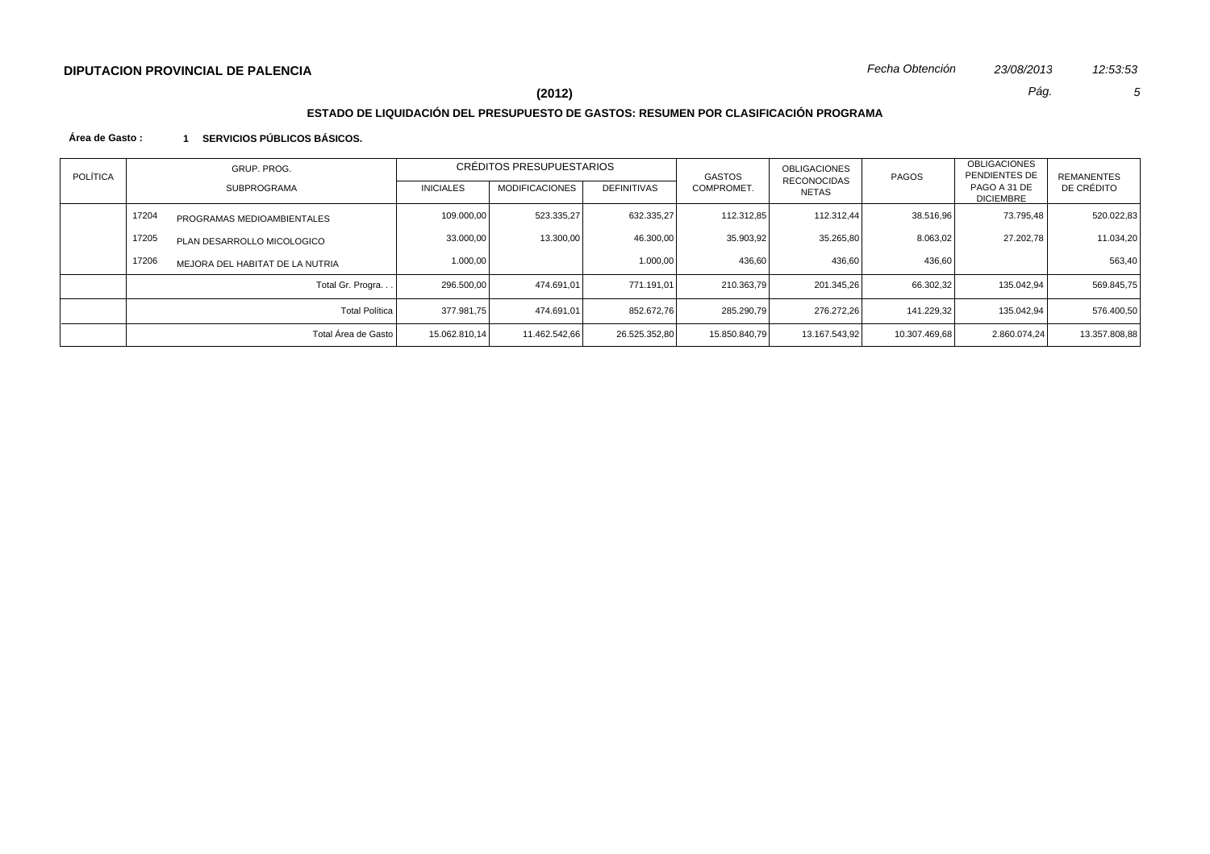# **ESTADO DE LIQUIDACIÓN DEL PRESUPUESTO DE GASTOS: RESUMEN POR CLASIFICACIÓN PROGRAMA**

| POLÍTICA | GRUP. PROG.<br><b>SUBPROGRAMA</b> |                                 | CRÉDITOS PRESUPUESTARIOS<br><b>MODIFICACIONES</b><br><b>DEFINITIVAS</b><br><b>INICIALES</b> |               |               | GASTOS        | OBLIGACIONES<br><b>RECONOCIDAS</b> | <b>PAGOS</b>  | <b>OBLIGACIONES</b><br>PENDIENTES DE<br>PAGO A 31 DE | <b>REMANENTES</b> |
|----------|-----------------------------------|---------------------------------|---------------------------------------------------------------------------------------------|---------------|---------------|---------------|------------------------------------|---------------|------------------------------------------------------|-------------------|
|          |                                   |                                 |                                                                                             |               |               | COMPROMET.    | NETAS                              |               | <b>DICIEMBRE</b>                                     | DE CRÉDITO        |
|          | 17204                             | PROGRAMAS MEDIOAMBIENTALES      | 109.000,00                                                                                  | 523.335,27    | 632.335,27    | 112.312.85    | 112.312.44                         | 38.516,96     | 73.795,48                                            | 520.022,83        |
|          | 17205                             | PLAN DESARROLLO MICOLOGICO      | 33.000,00                                                                                   | 13.300,00     | 46.300,00     | 35.903,92     | 35.265,80                          | 8.063.02      | 27.202.78                                            | 11.034.20         |
|          | 17206                             | MEJORA DEL HABITAT DE LA NUTRIA | 1.000,00                                                                                    |               | 1.000,00      | 436,60        | 436,60                             | 436,60        |                                                      | 563,40            |
|          |                                   | Total Gr. Progra                | 296.500,00                                                                                  | 474.691.01    | 771.191.01    | 210.363,79    | 201.345,26                         | 66.302,32     | 135.042.94                                           | 569.845,75        |
|          |                                   | <b>Total Política</b>           | 377.981.75                                                                                  | 474.691.01    | 852.672,76    | 285.290,79    | 276.272,26                         | 141.229.32    | 135.042.94                                           | 576,400.50        |
|          |                                   | Total Área de Gasto             | 15.062.810.14                                                                               | 11.462.542.66 | 26.525.352.80 | 15.850.840.79 | 13.167.543.92                      | 10.307.469.68 | 2.860.074.24                                         | 13.357.808,88     |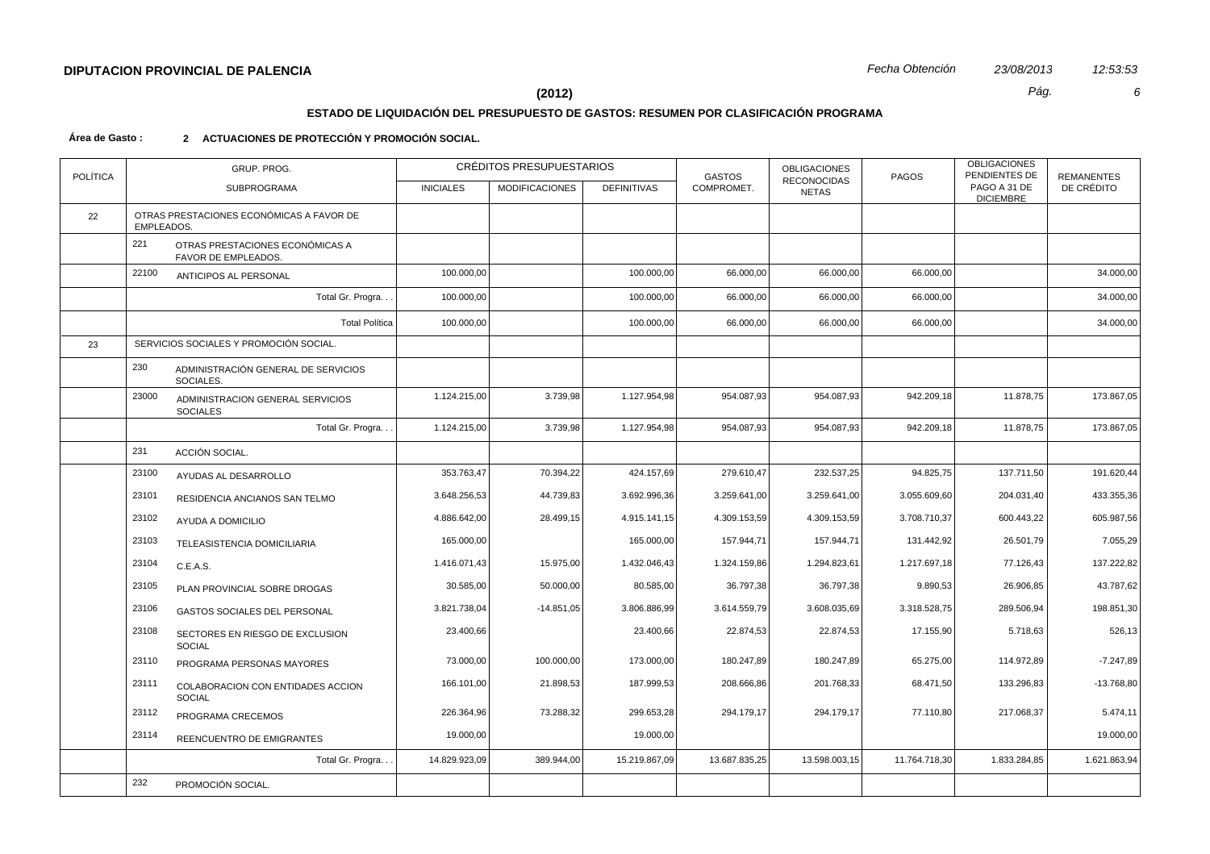# **ESTADO DE LIQUIDACIÓN DEL PRESUPUESTO DE GASTOS: RESUMEN POR CLASIFICACIÓN PROGRAMA**

#### **Área de Gasto : 2 ACTUACIONES DE PROTECCIÓN Y PROMOCIÓN SOCIAL.**

| <b>POLÍTICA</b> |            | GRUP. PROG.                                            |                  | CRÉDITOS PRESUPUESTARIOS |                    | <b>GASTOS</b> | <b>OBLIGACIONES</b><br><b>RECONOCIDAS</b> | PAGOS         | <b>OBLIGACIONES</b><br>PENDIENTES DE | <b>REMANENTES</b> |
|-----------------|------------|--------------------------------------------------------|------------------|--------------------------|--------------------|---------------|-------------------------------------------|---------------|--------------------------------------|-------------------|
|                 |            | SUBPROGRAMA                                            | <b>INICIALES</b> | <b>MODIFICACIONES</b>    | <b>DEFINITIVAS</b> | COMPROMET.    | <b>NETAS</b>                              |               | PAGO A 31 DE<br><b>DICIEMBRE</b>     | DE CRÉDITO        |
| 22              | EMPLEADOS. | OTRAS PRESTACIONES ECONÓMICAS A FAVOR DE               |                  |                          |                    |               |                                           |               |                                      |                   |
|                 | 221        | OTRAS PRESTACIONES ECONÓMICAS A<br>FAVOR DE EMPLEADOS. |                  |                          |                    |               |                                           |               |                                      |                   |
|                 | 22100      | ANTICIPOS AL PERSONAL                                  | 100.000,00       |                          | 100.000,00         | 66.000,00     | 66.000,00                                 | 66.000,00     |                                      | 34.000,00         |
|                 |            | Total Gr. Progra                                       | 100.000,00       |                          | 100.000,00         | 66.000,00     | 66.000,00                                 | 66.000,00     |                                      | 34.000,00         |
|                 |            | <b>Total Política</b>                                  | 100.000,00       |                          | 100.000,00         | 66.000,00     | 66.000,00                                 | 66.000,00     |                                      | 34.000,00         |
| 23              |            | SERVICIOS SOCIALES Y PROMOCIÓN SOCIAL.                 |                  |                          |                    |               |                                           |               |                                      |                   |
|                 | 230        | ADMINISTRACIÓN GENERAL DE SERVICIOS<br>SOCIALES.       |                  |                          |                    |               |                                           |               |                                      |                   |
|                 | 23000      | ADMINISTRACION GENERAL SERVICIOS<br><b>SOCIALES</b>    | 1.124.215,00     | 3.739,98                 | 1.127.954,98       | 954.087,93    | 954.087,93                                | 942.209,18    | 11.878,75                            | 173.867,05        |
|                 |            | Total Gr. Progra                                       | 1.124.215,00     | 3.739,98                 | 1.127.954,98       | 954.087,93    | 954.087,93                                | 942.209,18    | 11.878,75                            | 173.867,05        |
|                 | 231        | ACCIÓN SOCIAL.                                         |                  |                          |                    |               |                                           |               |                                      |                   |
|                 | 23100      | AYUDAS AL DESARROLLO                                   | 353.763,47       | 70.394,22                | 424.157,69         | 279.610,47    | 232.537,25                                | 94.825,75     | 137.711,50                           | 191.620,44        |
|                 | 23101      | RESIDENCIA ANCIANOS SAN TELMO                          | 3.648.256,53     | 44.739,83                | 3.692.996,36       | 3.259.641,00  | 3.259.641,00                              | 3.055.609,60  | 204.031,40                           | 433.355,36        |
|                 | 23102      | AYUDA A DOMICILIO                                      | 4.886.642,00     | 28.499,15                | 4.915.141,15       | 4.309.153,59  | 4.309.153,59                              | 3.708.710,37  | 600.443,22                           | 605.987,56        |
|                 | 23103      | TELEASISTENCIA DOMICILIARIA                            | 165.000,00       |                          | 165.000,00         | 157.944,71    | 157.944,71                                | 131.442,92    | 26.501,79                            | 7.055,29          |
|                 | 23104      | C.E.A.S.                                               | 1.416.071,43     | 15.975,00                | 1.432.046,43       | 1.324.159,86  | 1.294.823,61                              | 1.217.697,18  | 77.126,43                            | 137.222,82        |
|                 | 23105      | PLAN PROVINCIAL SOBRE DROGAS                           | 30.585,00        | 50.000,00                | 80.585,00          | 36.797,38     | 36.797,38                                 | 9.890,53      | 26.906,85                            | 43.787,62         |
|                 | 23106      | GASTOS SOCIALES DEL PERSONAL                           | 3.821.738,04     | $-14.851,05$             | 3.806.886,99       | 3.614.559,79  | 3.608.035,69                              | 3.318.528,75  | 289.506,94                           | 198.851,30        |
|                 | 23108      | SECTORES EN RIESGO DE EXCLUSION<br><b>SOCIAL</b>       | 23.400,66        |                          | 23.400,66          | 22.874,53     | 22.874,53                                 | 17.155,90     | 5.718,63                             | 526,13            |
|                 | 23110      | PROGRAMA PERSONAS MAYORES                              | 73.000,00        | 100.000,00               | 173.000,00         | 180.247,89    | 180.247,89                                | 65.275,00     | 114.972,89                           | $-7.247,89$       |
|                 | 23111      | COLABORACION CON ENTIDADES ACCION<br><b>SOCIAL</b>     | 166.101,00       | 21.898,53                | 187.999,53         | 208.666,86    | 201.768,33                                | 68.471,50     | 133.296,83                           | $-13.768,80$      |
|                 | 23112      | PROGRAMA CRECEMOS                                      | 226.364,96       | 73.288,32                | 299.653,28         | 294.179,17    | 294.179,17                                | 77.110,80     | 217.068,37                           | 5.474,11          |
|                 | 23114      | REENCUENTRO DE EMIGRANTES                              | 19.000,00        |                          | 19.000,00          |               |                                           |               |                                      | 19.000,00         |
|                 |            | Total Gr. Progra                                       | 14.829.923,09    | 389.944,00               | 15.219.867,09      | 13.687.835,25 | 13.598.003,15                             | 11.764.718,30 | 1.833.284,85                         | 1.621.863,94      |
|                 | 232        | PROMOCIÓN SOCIAL.                                      |                  |                          |                    |               |                                           |               |                                      |                   |
|                 |            |                                                        |                  |                          |                    |               |                                           |               |                                      |                   |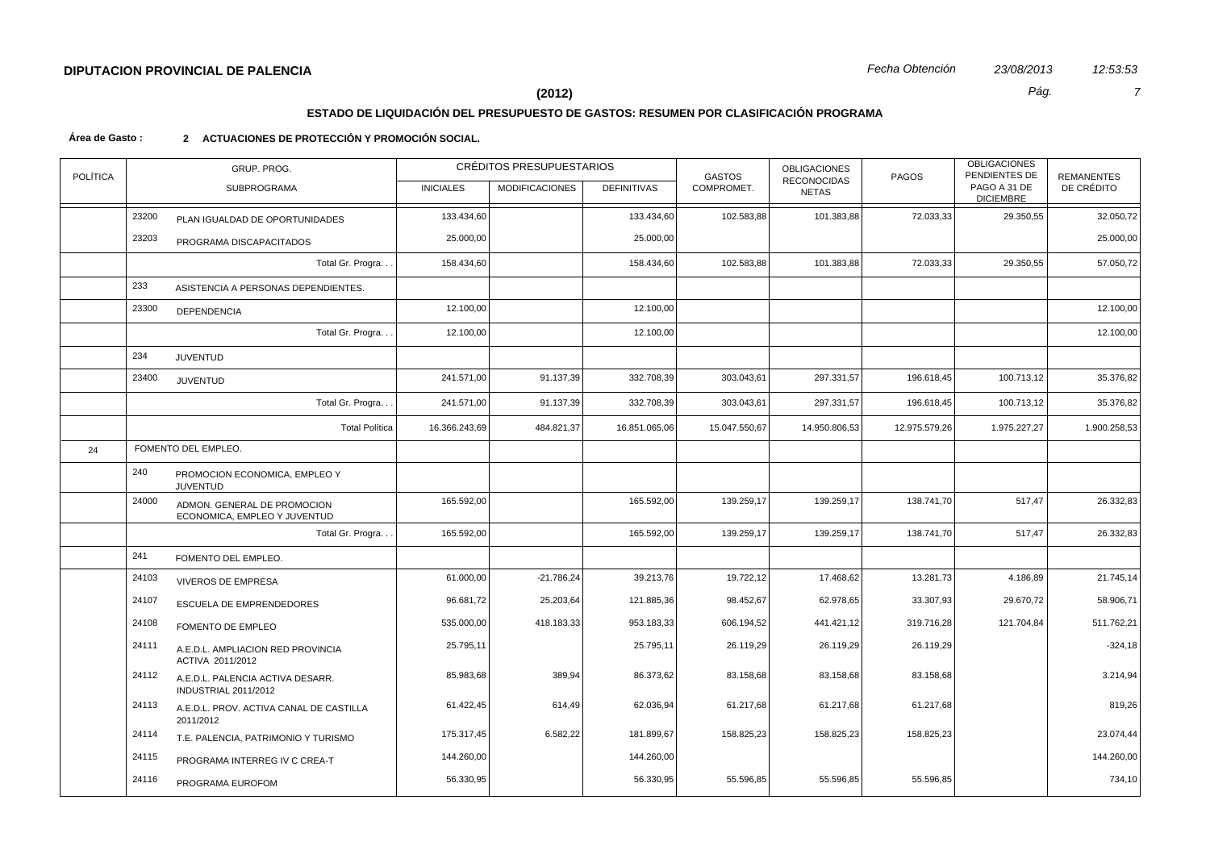# **ESTADO DE LIQUIDACIÓN DEL PRESUPUESTO DE GASTOS: RESUMEN POR CLASIFICACIÓN PROGRAMA**

#### **Área de Gasto : 2 ACTUACIONES DE PROTECCIÓN Y PROMOCIÓN SOCIAL.**

| <b>POLÍTICA</b> |       | GRUP. PROG.                                                 |                  | CRÉDITOS PRESUPUESTARIOS |                    | <b>GASTOS</b> | <b>OBLIGACIONES</b><br>RECONOCIDAS | <b>OBLIGACIONES</b><br>PENDIENTES DE<br>PAGOS |                                  | <b>REMANENTES</b> |
|-----------------|-------|-------------------------------------------------------------|------------------|--------------------------|--------------------|---------------|------------------------------------|-----------------------------------------------|----------------------------------|-------------------|
|                 |       | <b>SUBPROGRAMA</b>                                          | <b>INICIALES</b> | <b>MODIFICACIONES</b>    | <b>DEFINITIVAS</b> | COMPROMET.    | <b>NETAS</b>                       |                                               | PAGO A 31 DE<br><b>DICIEMBRE</b> | DE CRÉDITO        |
|                 | 23200 | PLAN IGUALDAD DE OPORTUNIDADES                              | 133.434,60       |                          | 133.434,60         | 102.583,88    | 101.383,88                         | 72.033,33                                     | 29.350,55                        | 32.050,72         |
|                 | 23203 | PROGRAMA DISCAPACITADOS                                     | 25.000,00        |                          | 25.000,00          |               |                                    |                                               |                                  | 25.000,00         |
|                 |       | Total Gr. Progra                                            | 158.434,60       |                          | 158.434,60         | 102.583,88    | 101.383,88                         | 72.033,33                                     | 29.350,55                        | 57.050,72         |
|                 | 233   | ASISTENCIA A PERSONAS DEPENDIENTES.                         |                  |                          |                    |               |                                    |                                               |                                  |                   |
|                 | 23300 | <b>DEPENDENCIA</b>                                          | 12.100,00        |                          | 12.100,00          |               |                                    |                                               |                                  | 12.100,00         |
|                 |       | Total Gr. Progra                                            | 12.100,00        |                          | 12.100,00          |               |                                    |                                               |                                  | 12.100,00         |
|                 | 234   | <b>JUVENTUD</b>                                             |                  |                          |                    |               |                                    |                                               |                                  |                   |
|                 | 23400 | <b>JUVENTUD</b>                                             | 241.571,00       | 91.137,39                | 332.708,39         | 303.043,61    | 297.331,57                         | 196.618,45                                    | 100.713,12                       | 35.376,82         |
|                 |       | Total Gr. Progra                                            | 241.571,00       | 91.137,39                | 332.708,39         | 303.043,61    | 297.331,57                         | 196.618,45                                    | 100.713,12                       | 35.376,82         |
|                 |       | <b>Total Política</b>                                       | 16.366.243,69    | 484.821,37               | 16.851.065,06      | 15.047.550,67 | 14.950.806,53                      | 12.975.579,26                                 | 1.975.227,27                     | 1.900.258,53      |
| 24              |       | FOMENTO DEL EMPLEO.                                         |                  |                          |                    |               |                                    |                                               |                                  |                   |
|                 | 240   | PROMOCION ECONOMICA, EMPLEO Y<br><b>JUVENTUD</b>            |                  |                          |                    |               |                                    |                                               |                                  |                   |
|                 | 24000 | ADMON. GENERAL DE PROMOCION<br>ECONOMICA, EMPLEO Y JUVENTUD | 165.592,00       |                          | 165.592,00         | 139.259,17    | 139.259,17                         | 138.741,70                                    | 517,47                           | 26.332,83         |
|                 |       | Total Gr. Progra                                            | 165.592,00       |                          | 165.592,00         | 139.259,17    | 139.259,17                         | 138.741,70                                    | 517,47                           | 26.332,83         |
|                 | 241   | FOMENTO DEL EMPLEO.                                         |                  |                          |                    |               |                                    |                                               |                                  |                   |
|                 | 24103 | <b>VIVEROS DE EMPRESA</b>                                   | 61.000,00        | $-21.786,24$             | 39.213,76          | 19.722,12     | 17.468,62                          | 13.281,73                                     | 4.186,89                         | 21.745,14         |
|                 | 24107 | ESCUELA DE EMPRENDEDORES                                    | 96.681,72        | 25.203,64                | 121.885,36         | 98.452,67     | 62.978,65                          | 33.307,93                                     | 29.670,72                        | 58.906,71         |
|                 | 24108 | FOMENTO DE EMPLEO                                           | 535.000,00       | 418.183,33               | 953.183,33         | 606.194,52    | 441.421,12                         | 319.716,28                                    | 121.704,84                       | 511.762,21        |
|                 | 24111 | A.E.D.L. AMPLIACION RED PROVINCIA<br>ACTIVA 2011/2012       | 25.795,11        |                          | 25.795,11          | 26.119,29     | 26.119,29                          | 26.119,29                                     |                                  | $-324,18$         |
|                 | 24112 | A.E.D.L. PALENCIA ACTIVA DESARR.<br>INDUSTRIAL 2011/2012    | 85.983,68        | 389,94                   | 86.373,62          | 83.158,68     | 83.158,68                          | 83.158,68                                     |                                  | 3.214,94          |
|                 | 24113 | A.E.D.L. PROV. ACTIVA CANAL DE CASTILLA<br>2011/2012        | 61.422,45        | 614,49                   | 62.036,94          | 61.217,68     | 61.217,68                          | 61.217,68                                     |                                  | 819,26            |
|                 | 24114 | T.E. PALENCIA, PATRIMONIO Y TURISMO                         | 175.317,45       | 6.582,22                 | 181.899,67         | 158.825,23    | 158.825,23                         | 158.825,23                                    |                                  | 23.074,44         |
|                 | 24115 | PROGRAMA INTERREG IV C CREA-T                               | 144.260,00       |                          | 144.260,00         |               |                                    |                                               |                                  | 144.260,00        |
|                 | 24116 | PROGRAMA EUROFOM                                            | 56.330,95        |                          | 56.330,95          | 55.596,85     | 55.596,85                          | 55.596,85                                     |                                  | 734,10            |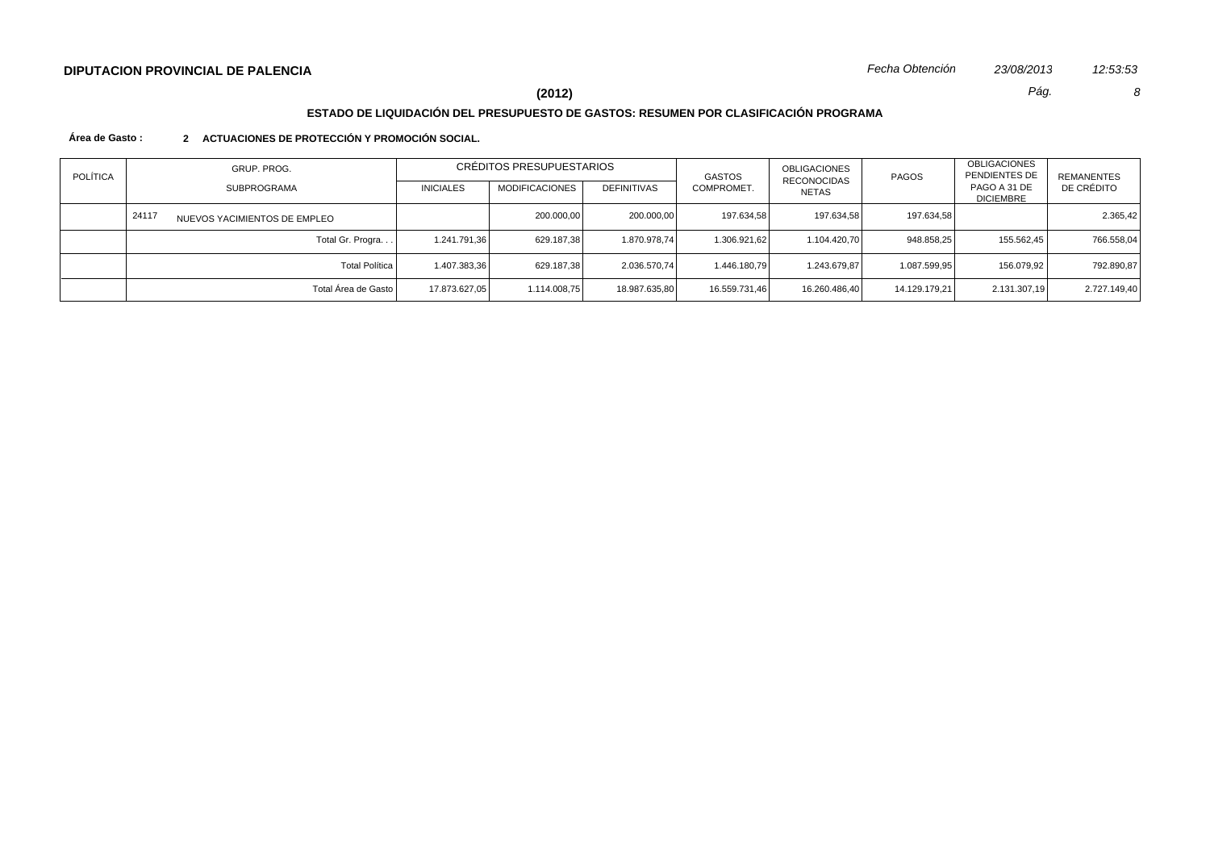# **DIPUTACION PROVINCIAL DE PALENCIA** *Fecha Obtención 23/08/2013 12:53:53*

**(2012)** *Pág. 8*

# **ESTADO DE LIQUIDACIÓN DEL PRESUPUESTO DE GASTOS: RESUMEN POR CLASIFICACIÓN PROGRAMA**

### **Área de Gasto : 2 ACTUACIONES DE PROTECCIÓN Y PROMOCIÓN SOCIAL.**

| <b>POLÍTICA</b> | GRUP. PROG.                           | CRÉDITOS PRESUPUESTARIOS |                       |               | <b>GASTOS</b> | OBLIGACIONES<br>RECONOCIDAS | <b>PAGOS</b>  | <b>OBLIGACIONES</b><br>PENDIENTES DE | REMANENTES   |
|-----------------|---------------------------------------|--------------------------|-----------------------|---------------|---------------|-----------------------------|---------------|--------------------------------------|--------------|
|                 | <b>SUBPROGRAMA</b>                    | <b>INICIALES</b>         | <b>MODIFICACIONES</b> | DEFINITIVAS   | COMPROMET.    | NETAS                       |               | PAGO A 31 DE<br><b>DICIEMBRE</b>     | DE CRÉDITO   |
|                 | 24117<br>NUEVOS YACIMIENTOS DE EMPLEO |                          | 200.000,00            | 200.000,00    | 197.634,58    | 197.634,58                  | 197.634,58    |                                      | 2.365,42     |
|                 | Total Gr. Progra                      | 1.241.791,36             | 629.187.38            | 1.870.978.74  | 1.306.921,62  | 1.104.420.70                | 948.858.25    | 155.562.45                           | 766.558,04   |
|                 | <b>Total Política</b>                 | 1.407.383,36             | 629.187.38            | 2.036.570.74  | 1.446.180.79  | 1.243.679.87                | 1.087.599.95  | 156.079.92                           | 792.890.87   |
|                 | Total Área de Gasto                   | 17.873.627,05            | 1.114.008,75          | 18.987.635,80 | 16.559.731,46 | 16.260.486.40               | 14.129.179.21 | 2.131.307,19                         | 2.727.149,40 |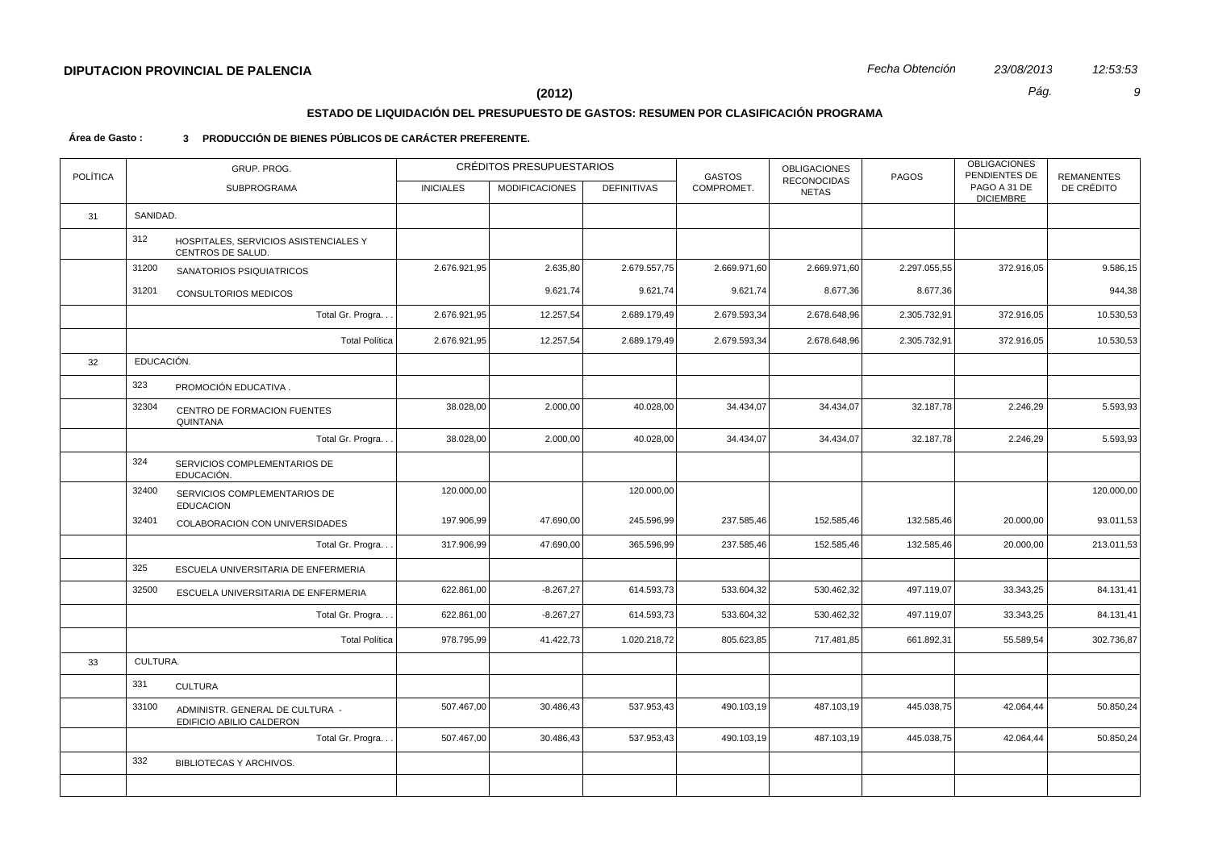# **ESTADO DE LIQUIDACIÓN DEL PRESUPUESTO DE GASTOS: RESUMEN POR CLASIFICACIÓN PROGRAMA**

### **Área de Gasto : 3 PRODUCCIÓN DE BIENES PÚBLICOS DE CARÁCTER PREFERENTE.**

| <b>POLÍTICA</b> |            | GRUP. PROG.                                                 |                  | CRÉDITOS PRESUPUESTARIOS |                    | <b>GASTOS</b> | <b>OBLIGACIONES</b>                | PAGOS        | <b>OBLIGACIONES</b><br>PENDIENTES DE | <b>REMANENTES</b> |
|-----------------|------------|-------------------------------------------------------------|------------------|--------------------------|--------------------|---------------|------------------------------------|--------------|--------------------------------------|-------------------|
|                 |            | SUBPROGRAMA                                                 | <b>INICIALES</b> | <b>MODIFICACIONES</b>    | <b>DEFINITIVAS</b> | COMPROMET.    | <b>RECONOCIDAS</b><br><b>NETAS</b> |              | PAGO A 31 DE<br><b>DICIEMBRE</b>     | DE CRÉDITO        |
| 31              | SANIDAD.   |                                                             |                  |                          |                    |               |                                    |              |                                      |                   |
|                 | 312        | HOSPITALES, SERVICIOS ASISTENCIALES Y<br>CENTROS DE SALUD.  |                  |                          |                    |               |                                    |              |                                      |                   |
|                 | 31200      | SANATORIOS PSIQUIATRICOS                                    | 2.676.921,95     | 2.635,80                 | 2.679.557,75       | 2.669.971,60  | 2.669.971,60                       | 2.297.055,55 | 372.916,05                           | 9.586,15          |
|                 | 31201      | CONSULTORIOS MEDICOS                                        |                  | 9.621,74                 | 9.621,74           | 9.621,74      | 8.677,36                           | 8.677,36     |                                      | 944,38            |
|                 |            | Total Gr. Progra                                            | 2.676.921,95     | 12.257,54                | 2.689.179,49       | 2.679.593,34  | 2.678.648,96                       | 2.305.732,91 | 372.916,05                           | 10.530,53         |
|                 |            | <b>Total Política</b>                                       | 2.676.921,95     | 12.257,54                | 2.689.179,49       | 2.679.593,34  | 2.678.648,96                       | 2.305.732,91 | 372.916,05                           | 10.530,53         |
| 32              | EDUCACIÓN. |                                                             |                  |                          |                    |               |                                    |              |                                      |                   |
|                 | 323        | PROMOCIÓN EDUCATIVA.                                        |                  |                          |                    |               |                                    |              |                                      |                   |
|                 | 32304      | CENTRO DE FORMACION FUENTES<br>QUINTANA                     | 38.028,00        | 2.000,00                 | 40.028,00          | 34.434,07     | 34.434,07                          | 32.187,78    | 2.246,29                             | 5.593,93          |
|                 |            | Total Gr. Progra. .                                         | 38.028,00        | 2.000,00                 | 40.028,00          | 34.434,07     | 34.434,07                          | 32.187,78    | 2.246,29                             | 5.593,93          |
|                 | 324        | SERVICIOS COMPLEMENTARIOS DE<br>EDUCACIÓN.                  |                  |                          |                    |               |                                    |              |                                      |                   |
|                 | 32400      | SERVICIOS COMPLEMENTARIOS DE<br><b>EDUCACION</b>            | 120.000,00       |                          | 120.000,00         |               |                                    |              |                                      | 120.000,00        |
|                 | 32401      | COLABORACION CON UNIVERSIDADES                              | 197.906,99       | 47.690,00                | 245.596,99         | 237.585,46    | 152.585,46                         | 132.585,46   | 20.000,00                            | 93.011,53         |
|                 |            | Total Gr. Progra                                            | 317.906,99       | 47.690,00                | 365.596,99         | 237.585,46    | 152.585,46                         | 132.585,46   | 20.000,00                            | 213.011,53        |
|                 | 325        | ESCUELA UNIVERSITARIA DE ENFERMERIA                         |                  |                          |                    |               |                                    |              |                                      |                   |
|                 | 32500      | ESCUELA UNIVERSITARIA DE ENFERMERIA                         | 622.861,00       | $-8.267,27$              | 614.593,73         | 533.604,32    | 530.462,32                         | 497.119,07   | 33.343,25                            | 84.131,41         |
|                 |            | Total Gr. Progra                                            | 622.861,00       | $-8.267,27$              | 614.593,73         | 533.604,32    | 530.462,32                         | 497.119,07   | 33.343,25                            | 84.131,41         |
|                 |            | <b>Total Política</b>                                       | 978.795,99       | 41.422,73                | 1.020.218,72       | 805.623,85    | 717.481,85                         | 661.892,31   | 55.589,54                            | 302.736,87        |
| 33              | CULTURA.   |                                                             |                  |                          |                    |               |                                    |              |                                      |                   |
|                 | 331        | <b>CULTURA</b>                                              |                  |                          |                    |               |                                    |              |                                      |                   |
|                 | 33100      | ADMINISTR. GENERAL DE CULTURA -<br>EDIFICIO ABILIO CALDERON | 507.467,00       | 30.486,43                | 537.953,43         | 490.103,19    | 487.103,19                         | 445.038,75   | 42.064,44                            | 50.850,24         |
|                 |            | Total Gr. Progra                                            | 507.467,00       | 30.486,43                | 537.953,43         | 490.103,19    | 487.103,19                         | 445.038,75   | 42.064,44                            | 50.850,24         |
|                 | 332        | BIBLIOTECAS Y ARCHIVOS.                                     |                  |                          |                    |               |                                    |              |                                      |                   |
|                 |            |                                                             |                  |                          |                    |               |                                    |              |                                      |                   |
|                 |            |                                                             |                  |                          |                    |               |                                    |              |                                      |                   |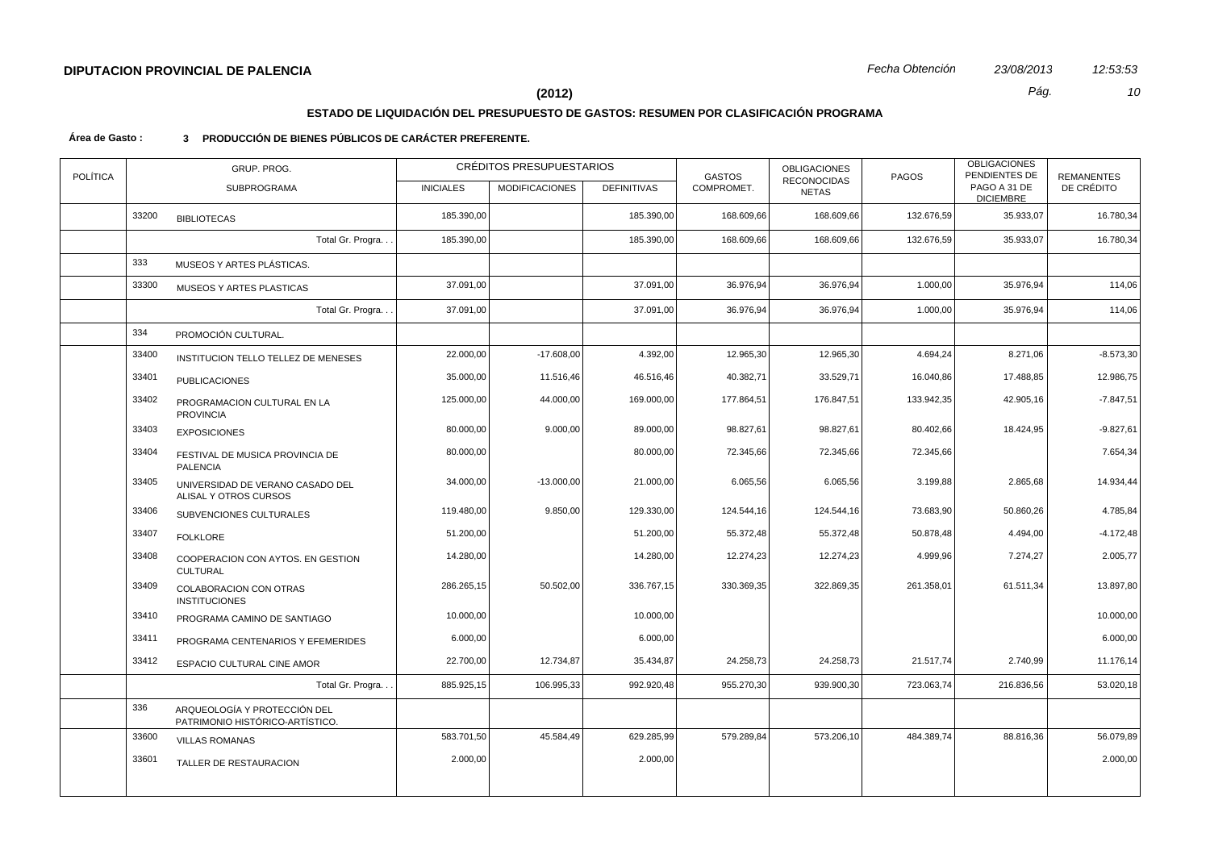# **ESTADO DE LIQUIDACIÓN DEL PRESUPUESTO DE GASTOS: RESUMEN POR CLASIFICACIÓN PROGRAMA**

### **Área de Gasto : 3 PRODUCCIÓN DE BIENES PÚBLICOS DE CARÁCTER PREFERENTE.**

| <b>POLÍTICA</b> |       | GRUP. PROG.                                                     |                  | CRÉDITOS PRESUPUESTARIOS |                    | <b>GASTOS</b> | <b>OBLIGACIONES</b>         | <b>PAGOS</b> | <b>OBLIGACIONES</b><br>PENDIENTES DE | <b>REMANENTES</b> |
|-----------------|-------|-----------------------------------------------------------------|------------------|--------------------------|--------------------|---------------|-----------------------------|--------------|--------------------------------------|-------------------|
|                 |       | SUBPROGRAMA                                                     | <b>INICIALES</b> | <b>MODIFICACIONES</b>    | <b>DEFINITIVAS</b> | COMPROMET.    | RECONOCIDAS<br><b>NETAS</b> |              | PAGO A 31 DE<br><b>DICIEMBRE</b>     | DE CRÉDITO        |
|                 | 33200 | <b>BIBLIOTECAS</b>                                              | 185.390.00       |                          | 185.390,00         | 168.609,66    | 168.609,66                  | 132.676,59   | 35.933,07                            | 16.780,34         |
|                 |       | Total Gr. Progra                                                | 185.390,00       |                          | 185.390,00         | 168.609,66    | 168.609,66                  | 132.676,59   | 35.933,07                            | 16.780,34         |
|                 | 333   | MUSEOS Y ARTES PLÁSTICAS.                                       |                  |                          |                    |               |                             |              |                                      |                   |
|                 | 33300 | MUSEOS Y ARTES PLASTICAS                                        | 37.091,00        |                          | 37.091,00          | 36.976,94     | 36.976,94                   | 1.000,00     | 35.976,94                            | 114,06            |
|                 |       | Total Gr. Progra                                                | 37.091,00        |                          | 37.091,00          | 36.976,94     | 36.976,94                   | 1.000,00     | 35.976,94                            | 114,06            |
|                 | 334   | PROMOCIÓN CULTURAL.                                             |                  |                          |                    |               |                             |              |                                      |                   |
|                 | 33400 | INSTITUCION TELLO TELLEZ DE MENESES                             | 22.000,00        | $-17.608,00$             | 4.392,00           | 12.965,30     | 12.965,30                   | 4.694,24     | 8.271,06                             | $-8.573,30$       |
|                 | 33401 | <b>PUBLICACIONES</b>                                            | 35.000,00        | 11.516,46                | 46.516,46          | 40.382,71     | 33.529,71                   | 16.040,86    | 17.488,85                            | 12.986,75         |
|                 | 33402 | PROGRAMACION CULTURAL EN LA<br><b>PROVINCIA</b>                 | 125.000,00       | 44.000,00                | 169.000,00         | 177.864,51    | 176.847,51                  | 133.942,35   | 42.905,16                            | $-7.847,51$       |
|                 | 33403 | <b>EXPOSICIONES</b>                                             | 80.000,00        | 9.000,00                 | 89.000,00          | 98.827,61     | 98.827,61                   | 80.402,66    | 18.424,95                            | $-9.827,61$       |
|                 | 33404 | FESTIVAL DE MUSICA PROVINCIA DE<br><b>PALENCIA</b>              | 80.000,00        |                          | 80.000,00          | 72.345,66     | 72.345,66                   | 72.345,66    |                                      | 7.654,34          |
|                 | 33405 | UNIVERSIDAD DE VERANO CASADO DEL<br>ALISAL Y OTROS CURSOS       | 34.000,00        | $-13.000,00$             | 21.000,00          | 6.065,56      | 6.065,56                    | 3.199,88     | 2.865,68                             | 14.934,44         |
|                 | 33406 | SUBVENCIONES CULTURALES                                         | 119.480,00       | 9.850,00                 | 129.330,00         | 124.544,16    | 124.544,16                  | 73.683,90    | 50.860,26                            | 4.785,84          |
|                 | 33407 | <b>FOLKLORE</b>                                                 | 51.200,00        |                          | 51.200,00          | 55.372,48     | 55.372,48                   | 50.878,48    | 4.494,00                             | $-4.172,48$       |
|                 | 33408 | COOPERACION CON AYTOS. EN GESTION<br><b>CULTURAL</b>            | 14.280,00        |                          | 14.280,00          | 12.274,23     | 12.274,23                   | 4.999,96     | 7.274,27                             | 2.005,77          |
|                 | 33409 | COLABORACION CON OTRAS<br><b>INSTITUCIONES</b>                  | 286.265,15       | 50.502,00                | 336.767,15         | 330.369,35    | 322.869,35                  | 261.358,01   | 61.511,34                            | 13.897,80         |
|                 | 33410 | PROGRAMA CAMINO DE SANTIAGO                                     | 10.000,00        |                          | 10.000,00          |               |                             |              |                                      | 10.000,00         |
|                 | 33411 | PROGRAMA CENTENARIOS Y EFEMERIDES                               | 6.000,00         |                          | 6.000,00           |               |                             |              |                                      | 6.000,00          |
|                 | 33412 | <b>ESPACIO CULTURAL CINE AMOR</b>                               | 22.700,00        | 12.734,87                | 35.434,87          | 24.258,73     | 24.258,73                   | 21.517,74    | 2.740,99                             | 11.176,14         |
|                 |       | Total Gr. Progra                                                | 885.925,15       | 106.995,33               | 992.920,48         | 955.270,30    | 939.900,30                  | 723.063,74   | 216.836,56                           | 53.020,18         |
|                 | 336   | ARQUEOLOGÍA Y PROTECCIÓN DEL<br>PATRIMONIO HISTÓRICO-ARTÍSTICO. |                  |                          |                    |               |                             |              |                                      |                   |
|                 | 33600 | <b>VILLAS ROMANAS</b>                                           | 583.701,50       | 45.584,49                | 629.285,99         | 579.289,84    | 573.206,10                  | 484.389,74   | 88.816,36                            | 56.079,89         |
|                 | 33601 | TALLER DE RESTAURACION                                          | 2.000,00         |                          | 2.000,00           |               |                             |              |                                      | 2.000,00          |
|                 |       |                                                                 |                  |                          |                    |               |                             |              |                                      |                   |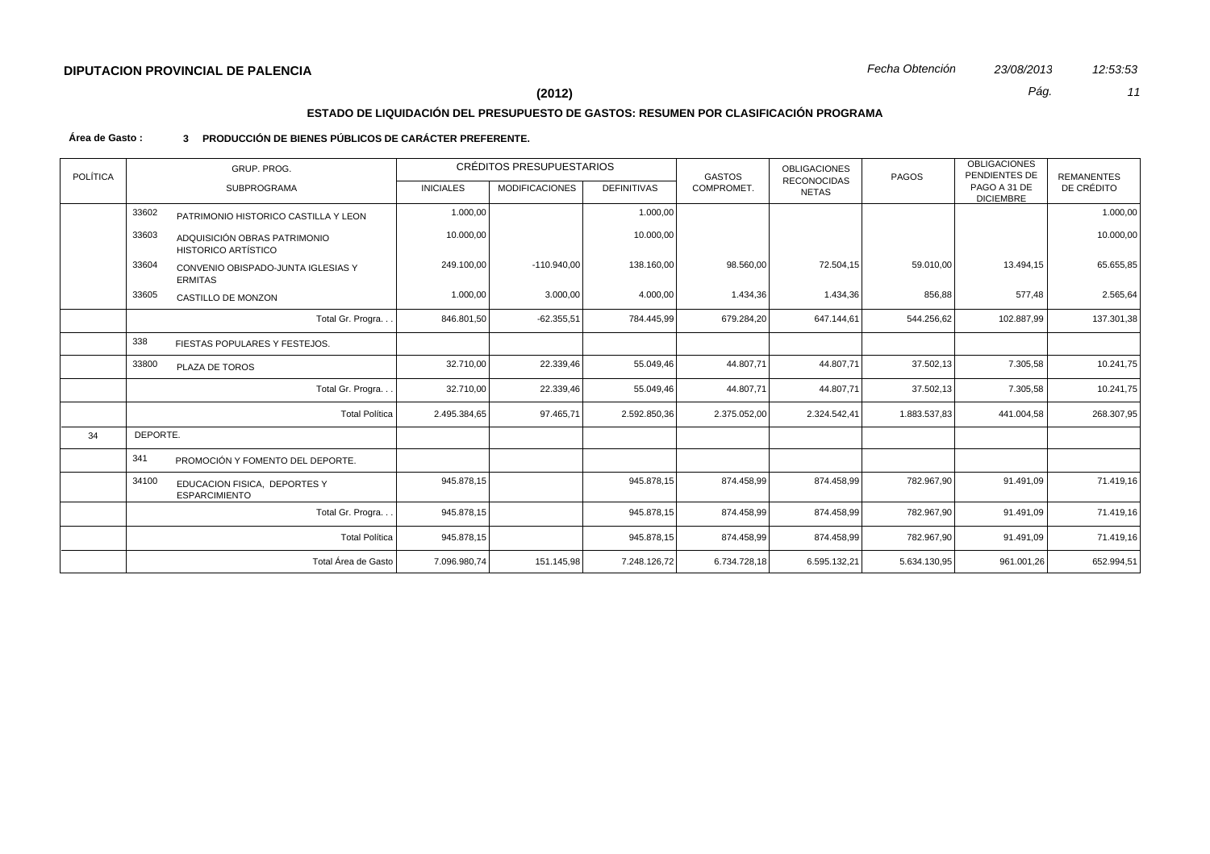# **ESTADO DE LIQUIDACIÓN DEL PRESUPUESTO DE GASTOS: RESUMEN POR CLASIFICACIÓN PROGRAMA**

### **Área de Gasto : 3 PRODUCCIÓN DE BIENES PÚBLICOS DE CARÁCTER PREFERENTE.**

| <b>POLÍTICA</b> |                                                                     | GRUP, PROG.                                          |                                                                               | <b>CRÉDITOS PRESUPUESTARIOS</b> |                                    | <b>GASTOS</b> | <b>OBLIGACIONES</b>              | <b>PAGOS</b> | <b>OBLIGACIONES</b><br>PENDIENTES DE | <b>REMANENTES</b> |
|-----------------|---------------------------------------------------------------------|------------------------------------------------------|-------------------------------------------------------------------------------|---------------------------------|------------------------------------|---------------|----------------------------------|--------------|--------------------------------------|-------------------|
|                 |                                                                     | <b>SUBPROGRAMA</b>                                   | <b>MODIFICACIONES</b><br><b>DEFINITIVAS</b><br><b>INICIALES</b><br>COMPROMET. |                                 | <b>RECONOCIDAS</b><br><b>NETAS</b> |               | PAGO A 31 DE<br><b>DICIEMBRE</b> | DE CRÉDITO   |                                      |                   |
|                 | 33602                                                               | PATRIMONIO HISTORICO CASTILLA Y LEON                 | 1.000,00                                                                      |                                 | 1.000,00                           |               |                                  |              |                                      | 1.000,00          |
|                 | 33603<br>ADQUISICIÓN OBRAS PATRIMONIO<br><b>HISTORICO ARTÍSTICO</b> |                                                      | 10.000,00                                                                     |                                 | 10.000,00                          |               |                                  |              |                                      | 10.000,00         |
|                 | 33604                                                               | CONVENIO OBISPADO-JUNTA IGLESIAS Y<br><b>ERMITAS</b> | 249.100,00                                                                    | $-110.940,00$                   | 138.160,00                         | 98.560,00     | 72.504,15                        | 59.010,00    | 13.494,15                            | 65.655,85         |
|                 | 33605                                                               | CASTILLO DE MONZON                                   | 1.000,00                                                                      | 3.000,00                        | 4.000,00                           | 1.434,36      | 1.434,36                         | 856,88       | 577,48                               | 2.565,64          |
|                 |                                                                     | Total Gr. Progra                                     | 846.801,50                                                                    | $-62.355,51$                    | 784.445,99                         | 679.284,20    | 647.144,61                       | 544.256,62   | 102.887,99                           | 137.301,38        |
|                 | 338                                                                 | FIESTAS POPULARES Y FESTEJOS.                        |                                                                               |                                 |                                    |               |                                  |              |                                      |                   |
|                 | 33800                                                               | PLAZA DE TOROS                                       | 32.710,00                                                                     | 22.339,46                       | 55.049,46                          | 44.807,71     | 44.807,71                        | 37.502,13    | 7.305,58                             | 10.241,75         |
|                 |                                                                     | Total Gr. Progra                                     | 32.710,00                                                                     | 22.339,46                       | 55.049,46                          | 44.807,71     | 44.807,71                        | 37.502,13    | 7.305,58                             | 10.241,75         |
|                 |                                                                     | <b>Total Política</b>                                | 2.495.384,65                                                                  | 97.465,71                       | 2.592.850,36                       | 2.375.052,00  | 2.324.542,41                     | 1.883.537,83 | 441.004,58                           | 268.307,95        |
| 34              | DEPORTE.                                                            |                                                      |                                                                               |                                 |                                    |               |                                  |              |                                      |                   |
|                 | 341                                                                 | PROMOCIÓN Y FOMENTO DEL DEPORTE.                     |                                                                               |                                 |                                    |               |                                  |              |                                      |                   |
|                 | 34100                                                               | EDUCACION FISICA, DEPORTES Y<br><b>ESPARCIMIENTO</b> | 945.878,15                                                                    |                                 | 945.878,15                         | 874.458,99    | 874.458,99                       | 782.967,90   | 91.491,09                            | 71.419,16         |
|                 |                                                                     | Total Gr. Progra                                     | 945.878,15                                                                    |                                 | 945.878,15                         | 874.458,99    | 874.458,99                       | 782.967,90   | 91.491,09                            | 71.419,16         |
|                 |                                                                     | <b>Total Política</b>                                | 945.878,15                                                                    |                                 | 945.878,15                         | 874.458,99    | 874.458,99                       | 782.967,90   | 91.491,09                            | 71.419,16         |
|                 |                                                                     | Total Área de Gasto                                  | 7.096.980,74                                                                  | 151.145,98                      | 7.248.126,72                       | 6.734.728,18  | 6.595.132,21                     | 5.634.130,95 | 961.001,26                           | 652.994,51        |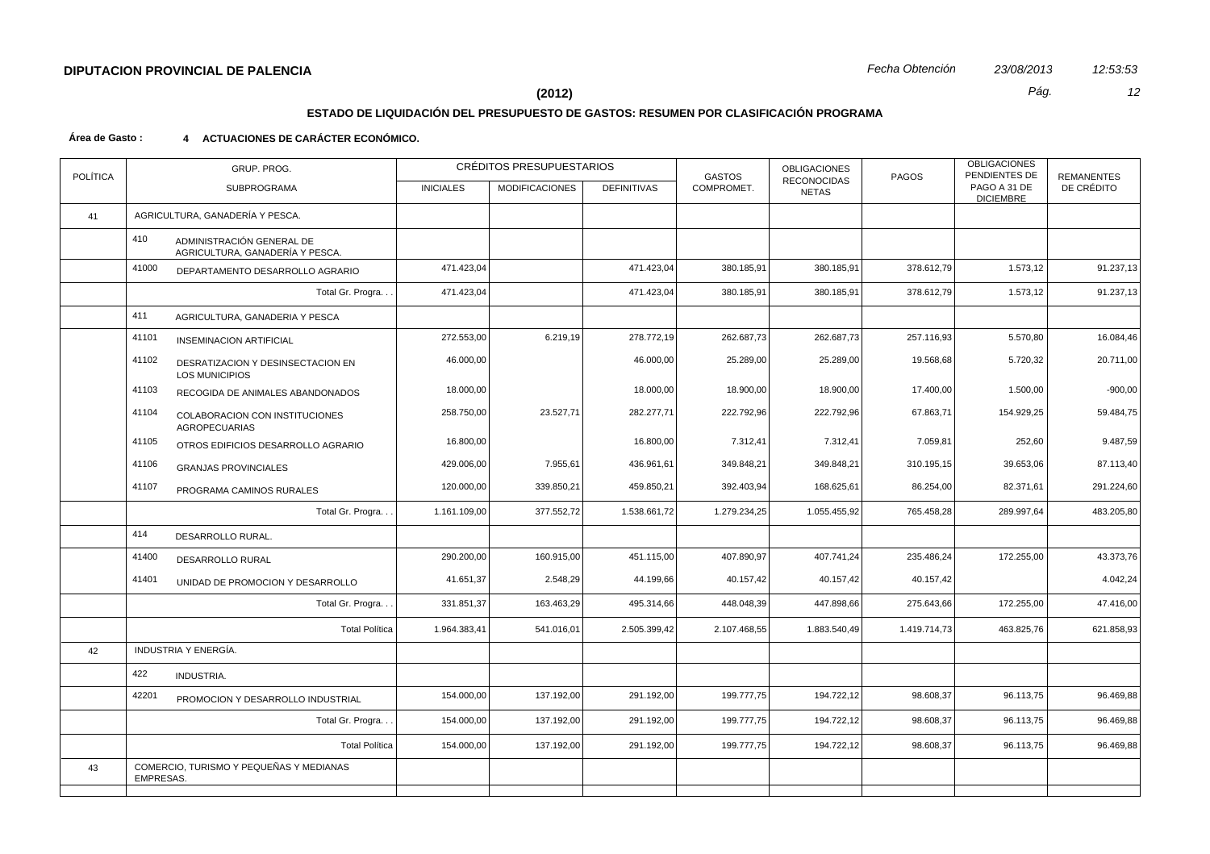# **ESTADO DE LIQUIDACIÓN DEL PRESUPUESTO DE GASTOS: RESUMEN POR CLASIFICACIÓN PROGRAMA**

### **Área de Gasto : 4 ACTUACIONES DE CARÁCTER ECONÓMICO.**

| <b>POLÍTICA</b> |                                                      | GRUP. PROG.                                                  |                  | <b>CRÉDITOS PRESUPUESTARIOS</b> |                    | <b>GASTOS</b> | <b>OBLIGACIONES</b>                | <b>PAGOS</b> | <b>OBLIGACIONES</b><br>PENDIENTES DE | <b>REMANENTES</b> |
|-----------------|------------------------------------------------------|--------------------------------------------------------------|------------------|---------------------------------|--------------------|---------------|------------------------------------|--------------|--------------------------------------|-------------------|
|                 |                                                      | <b>SUBPROGRAMA</b>                                           | <b>INICIALES</b> | <b>MODIFICACIONES</b>           | <b>DEFINITIVAS</b> | COMPROMET.    | <b>RECONOCIDAS</b><br><b>NETAS</b> |              | PAGO A 31 DE<br><b>DICIEMBRE</b>     | DE CRÉDITO        |
| 41              |                                                      | AGRICULTURA, GANADERÍA Y PESCA.                              |                  |                                 |                    |               |                                    |              |                                      |                   |
|                 | 410                                                  | ADMINISTRACIÓN GENERAL DE<br>AGRICULTURA, GANADERÍA Y PESCA. |                  |                                 |                    |               |                                    |              |                                      |                   |
|                 | 41000                                                | DEPARTAMENTO DESARROLLO AGRARIO                              | 471.423,04       |                                 | 471.423,04         | 380.185,91    | 380.185,91                         | 378.612,79   | 1.573,12                             | 91.237,13         |
|                 |                                                      | Total Gr. Progra                                             | 471.423,04       |                                 | 471.423,04         | 380.185,91    | 380.185,91                         | 378.612,79   | 1.573,12                             | 91.237,13         |
|                 | 411                                                  | AGRICULTURA, GANADERIA Y PESCA                               |                  |                                 |                    |               |                                    |              |                                      |                   |
|                 | 41101                                                | <b>INSEMINACION ARTIFICIAL</b>                               | 272.553,00       | 6.219,19                        | 278.772,19         | 262.687,73    | 262.687,73                         | 257.116,93   | 5.570,80                             | 16.084,46         |
|                 | 41102                                                | DESRATIZACION Y DESINSECTACION EN<br><b>LOS MUNICIPIOS</b>   | 46.000,00        |                                 | 46.000,00          | 25.289,00     | 25.289,00                          | 19.568,68    | 5.720,32                             | 20.711,00         |
|                 | 41103                                                | RECOGIDA DE ANIMALES ABANDONADOS                             | 18.000,00        |                                 | 18.000,00          | 18.900,00     | 18.900,00                          | 17.400,00    | 1.500,00                             | $-900,00$         |
|                 | 41104                                                | COLABORACION CON INSTITUCIONES<br><b>AGROPECUARIAS</b>       | 258.750,00       | 23.527,71                       | 282.277,71         | 222.792,96    | 222.792,96                         | 67.863,71    | 154.929,25                           | 59.484,75         |
|                 | 41105                                                | OTROS EDIFICIOS DESARROLLO AGRARIO                           | 16.800,00        |                                 | 16.800,00          | 7.312,41      | 7.312,41                           | 7.059,81     | 252,60                               | 9.487,59          |
|                 | 41106                                                | <b>GRANJAS PROVINCIALES</b>                                  | 429.006,00       | 7.955,61                        | 436.961,61         | 349.848,21    | 349.848,21                         | 310.195,15   | 39.653,06                            | 87.113,40         |
|                 | 41107                                                | PROGRAMA CAMINOS RURALES                                     | 120.000,00       | 339.850,21                      | 459.850,21         | 392.403,94    | 168.625,61                         | 86.254,00    | 82.371,61                            | 291.224,60        |
|                 |                                                      | Total Gr. Progra.                                            | 1.161.109,00     | 377.552,72                      | 1.538.661,72       | 1.279.234,25  | 1.055.455,92                       | 765.458,28   | 289.997,64                           | 483.205,80        |
|                 | 414                                                  | DESARROLLO RURAL.                                            |                  |                                 |                    |               |                                    |              |                                      |                   |
|                 | 41400                                                | <b>DESARROLLO RURAL</b>                                      | 290.200,00       | 160.915,00                      | 451.115,00         | 407.890,97    | 407.741,24                         | 235.486,24   | 172.255,00                           | 43.373,76         |
|                 | 41401                                                | UNIDAD DE PROMOCION Y DESARROLLO                             | 41.651,37        | 2.548,29                        | 44.199,66          | 40.157,42     | 40.157,42                          | 40.157,42    |                                      | 4.042,24          |
|                 |                                                      | Total Gr. Progra.                                            | 331.851,37       | 163.463,29                      | 495.314,66         | 448.048,39    | 447.898,66                         | 275.643,66   | 172.255,00                           | 47.416,00         |
|                 |                                                      | <b>Total Política</b>                                        | 1.964.383,41     | 541.016,01                      | 2.505.399,42       | 2.107.468,55  | 1.883.540,49                       | 1.419.714,73 | 463.825,76                           | 621.858,93        |
| 42              |                                                      | <b>INDUSTRIA Y ENERGÍA.</b>                                  |                  |                                 |                    |               |                                    |              |                                      |                   |
|                 | 422                                                  | <b>INDUSTRIA.</b>                                            |                  |                                 |                    |               |                                    |              |                                      |                   |
|                 | 42201                                                | PROMOCION Y DESARROLLO INDUSTRIAL                            | 154.000,00       | 137.192,00                      | 291.192,00         | 199.777,75    | 194.722,12                         | 98.608,37    | 96.113,75                            | 96.469,88         |
|                 |                                                      | Total Gr. Progra.                                            | 154.000,00       | 137.192,00                      | 291.192,00         | 199.777,75    | 194.722,12                         | 98.608,37    | 96.113,75                            | 96.469,88         |
|                 |                                                      | <b>Total Política</b>                                        | 154.000,00       | 137.192,00                      | 291.192,00         | 199.777,75    | 194.722,12                         | 98.608,37    | 96.113,75                            | 96.469,88         |
| 43              | COMERCIO, TURISMO Y PEQUEÑAS Y MEDIANAS<br>EMPRESAS. |                                                              |                  |                                 |                    |               |                                    |              |                                      |                   |
|                 |                                                      |                                                              |                  |                                 |                    |               |                                    |              |                                      |                   |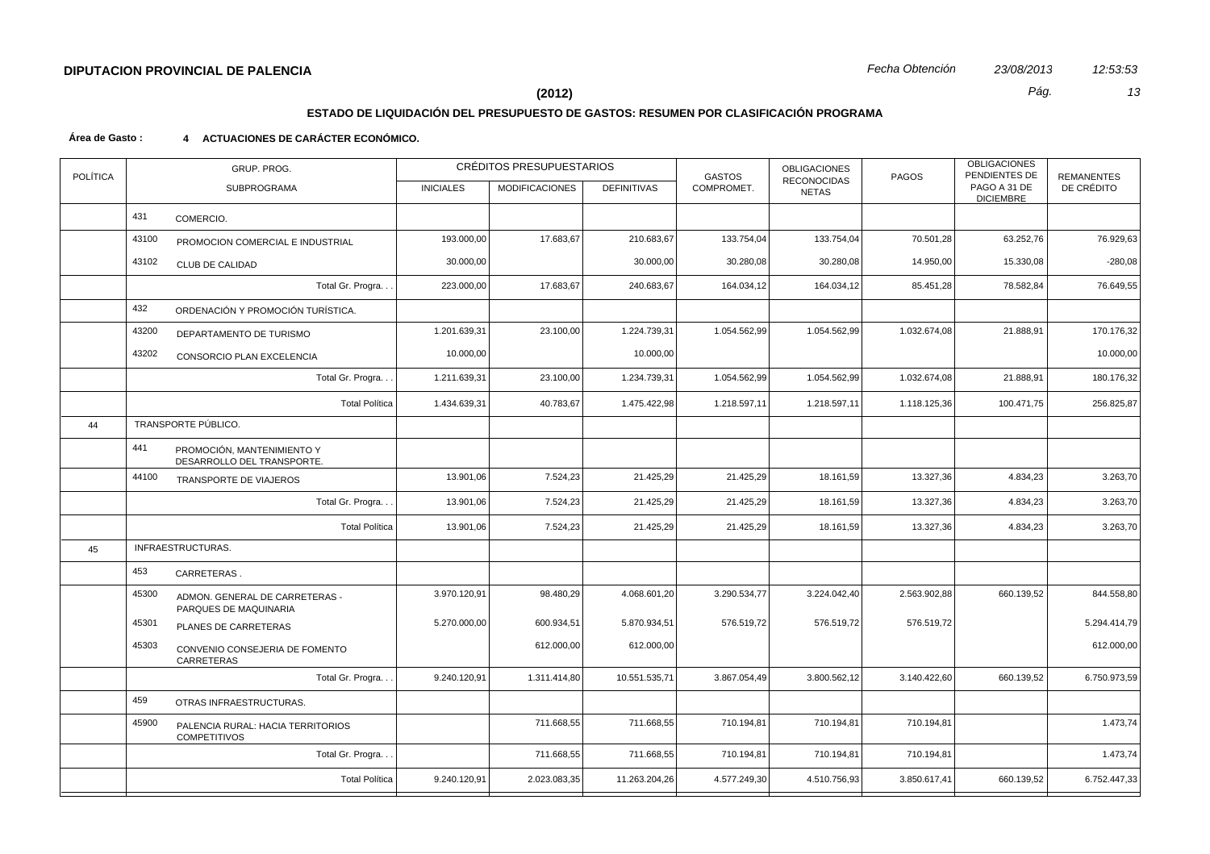# **ESTADO DE LIQUIDACIÓN DEL PRESUPUESTO DE GASTOS: RESUMEN POR CLASIFICACIÓN PROGRAMA**

### **Área de Gasto : 4 ACTUACIONES DE CARÁCTER ECONÓMICO.**

| <b>POLÍTICA</b> | GRUP. PROG. |                                                          |                  | CRÉDITOS PRESUPUESTARIOS |                    | <b>GASTOS</b> | <b>OBLIGACIONES</b><br><b>RECONOCIDAS</b> | PAGOS        | <b>OBLIGACIONES</b><br>PENDIENTES DE | <b>REMANENTES</b> |
|-----------------|-------------|----------------------------------------------------------|------------------|--------------------------|--------------------|---------------|-------------------------------------------|--------------|--------------------------------------|-------------------|
|                 |             | SUBPROGRAMA                                              | <b>INICIALES</b> | <b>MODIFICACIONES</b>    | <b>DEFINITIVAS</b> | COMPROMET.    | <b>NETAS</b>                              |              | PAGO A 31 DE<br><b>DICIEMBRE</b>     | DE CRÉDITO        |
|                 | 431         | COMERCIO.                                                |                  |                          |                    |               |                                           |              |                                      |                   |
|                 | 43100       | PROMOCION COMERCIAL E INDUSTRIAL                         | 193.000,00       | 17.683,67                | 210.683,67         | 133.754,04    | 133.754,04                                | 70.501,28    | 63.252,76                            | 76.929,63         |
|                 | 43102       | <b>CLUB DE CALIDAD</b>                                   | 30.000,00        |                          | 30.000,00          | 30.280,08     | 30.280,08                                 | 14.950,00    | 15.330,08                            | $-280,08$         |
|                 |             | Total Gr. Progra                                         | 223.000,00       | 17.683,67                | 240.683,67         | 164.034,12    | 164.034,12                                | 85.451,28    | 78.582,84                            | 76.649,55         |
|                 | 432         | ORDENACIÓN Y PROMOCIÓN TURÍSTICA.                        |                  |                          |                    |               |                                           |              |                                      |                   |
|                 | 43200       | DEPARTAMENTO DE TURISMO                                  | 1.201.639,31     | 23.100,00                | 1.224.739,31       | 1.054.562,99  | 1.054.562,99                              | 1.032.674,08 | 21.888,91                            | 170.176,32        |
|                 | 43202       | CONSORCIO PLAN EXCELENCIA                                | 10.000,00        |                          | 10.000,00          |               |                                           |              |                                      | 10.000,00         |
|                 |             | Total Gr. Progra. .                                      | 1.211.639,31     | 23.100,00                | 1.234.739,31       | 1.054.562,99  | 1.054.562,99                              | 1.032.674,08 | 21.888,91                            | 180.176,32        |
|                 |             | <b>Total Política</b>                                    | 1.434.639,31     | 40.783,67                | 1.475.422,98       | 1.218.597,11  | 1.218.597,11                              | 1.118.125,36 | 100.471,75                           | 256.825,87        |
| 44              |             | TRANSPORTE PÚBLICO.                                      |                  |                          |                    |               |                                           |              |                                      |                   |
|                 | 441         | PROMOCIÓN, MANTENIMIENTO Y<br>DESARROLLO DEL TRANSPORTE. |                  |                          |                    |               |                                           |              |                                      |                   |
|                 | 44100       | TRANSPORTE DE VIAJEROS                                   | 13.901,06        | 7.524,23                 | 21.425,29          | 21.425,29     | 18.161,59                                 | 13.327,36    | 4.834,23                             | 3.263,70          |
|                 |             | Total Gr. Progra                                         | 13.901,06        | 7.524,23                 | 21.425,29          | 21.425,29     | 18.161,59                                 | 13.327,36    | 4.834,23                             | 3.263,70          |
|                 |             | <b>Total Política</b>                                    | 13.901,06        | 7.524,23                 | 21.425,29          | 21.425,29     | 18.161,59                                 | 13.327,36    | 4.834,23                             | 3.263,70          |
| 45              |             | INFRAESTRUCTURAS.                                        |                  |                          |                    |               |                                           |              |                                      |                   |
|                 | 453         | CARRETERAS.                                              |                  |                          |                    |               |                                           |              |                                      |                   |
|                 | 45300       | ADMON. GENERAL DE CARRETERAS -<br>PARQUES DE MAQUINARIA  | 3.970.120,91     | 98.480,29                | 4.068.601,20       | 3.290.534,77  | 3.224.042,40                              | 2.563.902,88 | 660.139,52                           | 844.558,80        |
|                 | 45301       | PLANES DE CARRETERAS                                     | 5.270.000,00     | 600.934,51               | 5.870.934,51       | 576.519,72    | 576.519,72                                | 576.519,72   |                                      | 5.294.414,79      |
|                 | 45303       | CONVENIO CONSEJERIA DE FOMENTO<br>CARRETERAS             |                  | 612.000,00               | 612.000,00         |               |                                           |              |                                      | 612.000,00        |
|                 |             | Total Gr. Progra. .                                      | 9.240.120,91     | 1.311.414,80             | 10.551.535,71      | 3.867.054,49  | 3.800.562,12                              | 3.140.422,60 | 660.139,52                           | 6.750.973,59      |
|                 | 459         | OTRAS INFRAESTRUCTURAS.                                  |                  |                          |                    |               |                                           |              |                                      |                   |
|                 | 45900       | PALENCIA RURAL: HACIA TERRITORIOS<br><b>COMPETITIVOS</b> |                  | 711.668,55               | 711.668,55         | 710.194,81    | 710.194,81                                | 710.194,81   |                                      | 1.473,74          |
|                 |             | Total Gr. Progra                                         |                  | 711.668,55               | 711.668,55         | 710.194,81    | 710.194,81                                | 710.194,81   |                                      | 1.473,74          |
|                 |             | <b>Total Política</b>                                    | 9.240.120,91     | 2.023.083,35             | 11.263.204,26      | 4.577.249,30  | 4.510.756,93                              | 3.850.617,41 | 660.139,52                           | 6.752.447,33      |
|                 |             |                                                          |                  |                          |                    |               |                                           |              |                                      |                   |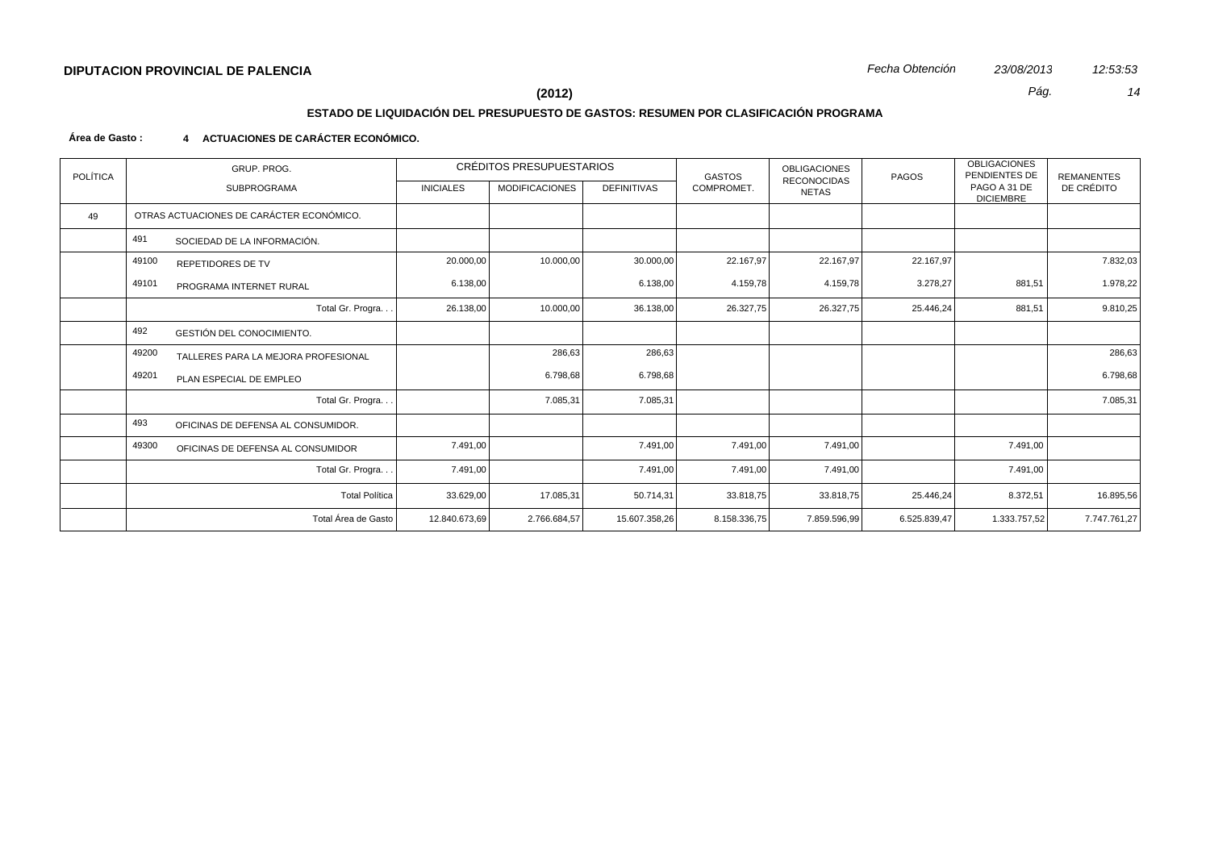# **ESTADO DE LIQUIDACIÓN DEL PRESUPUESTO DE GASTOS: RESUMEN POR CLASIFICACIÓN PROGRAMA**

#### **Área de Gasto : 4 ACTUACIONES DE CARÁCTER ECONÓMICO.**

| <b>POLÍTICA</b> | GRUP. PROG.                              |                                     |                  | CRÉDITOS PRESUPUESTARIOS |                    | <b>GASTOS</b> | <b>OBLIGACIONES</b><br><b>RECONOCIDAS</b> | PAGOS        | <b>OBLIGACIONES</b><br>PENDIENTES DE | <b>REMANENTES</b> |
|-----------------|------------------------------------------|-------------------------------------|------------------|--------------------------|--------------------|---------------|-------------------------------------------|--------------|--------------------------------------|-------------------|
|                 |                                          | <b>SUBPROGRAMA</b>                  | <b>INICIALES</b> | <b>MODIFICACIONES</b>    | <b>DEFINITIVAS</b> | COMPROMET.    | <b>NETAS</b>                              |              | PAGO A 31 DE<br><b>DICIEMBRE</b>     | DE CRÉDITO        |
| 49              | OTRAS ACTUACIONES DE CARÁCTER ECONÓMICO. |                                     |                  |                          |                    |               |                                           |              |                                      |                   |
|                 | 491                                      | SOCIEDAD DE LA INFORMACIÓN.         |                  |                          |                    |               |                                           |              |                                      |                   |
|                 | 49100                                    | <b>REPETIDORES DE TV</b>            | 20.000,00        | 10.000,00                | 30.000,00          | 22.167,97     | 22.167,97                                 | 22.167,97    |                                      | 7.832,03          |
|                 | 49101                                    | PROGRAMA INTERNET RURAL             | 6.138,00         |                          | 6.138,00           | 4.159,78      | 4.159,78                                  | 3.278,27     | 881,51                               | 1.978,22          |
|                 |                                          | Total Gr. Progra                    | 26.138,00        | 10.000,00                | 36.138,00          | 26.327,75     | 26.327,75                                 | 25.446,24    | 881,51                               | 9.810,25          |
|                 | 492                                      | <b>GESTIÓN DEL CONOCIMIENTO.</b>    |                  |                          |                    |               |                                           |              |                                      |                   |
|                 | 49200                                    | TALLERES PARA LA MEJORA PROFESIONAL |                  | 286,63                   | 286,63             |               |                                           |              |                                      | 286,63            |
|                 | 49201                                    | PLAN ESPECIAL DE EMPLEO             |                  | 6.798,68                 | 6.798,68           |               |                                           |              |                                      | 6.798,68          |
|                 |                                          | Total Gr. Progra                    |                  | 7.085,31                 | 7.085,31           |               |                                           |              |                                      | 7.085,31          |
|                 | 493                                      | OFICINAS DE DEFENSA AL CONSUMIDOR.  |                  |                          |                    |               |                                           |              |                                      |                   |
|                 | 49300                                    | OFICINAS DE DEFENSA AL CONSUMIDOR   | 7.491,00         |                          | 7.491,00           | 7.491,00      | 7.491,00                                  |              | 7.491,00                             |                   |
|                 |                                          | Total Gr. Progra                    | 7.491,00         |                          | 7.491,00           | 7.491,00      | 7.491,00                                  |              | 7.491,00                             |                   |
|                 |                                          | <b>Total Política</b>               | 33.629,00        | 17.085,31                | 50.714,31          | 33.818,75     | 33.818,75                                 | 25.446,24    | 8.372,51                             | 16.895,56         |
|                 |                                          | Total Área de Gasto                 | 12.840.673,69    | 2.766.684,57             | 15.607.358,26      | 8.158.336,75  | 7.859.596,99                              | 6.525.839,47 | 1.333.757,52                         | 7.747.761,27      |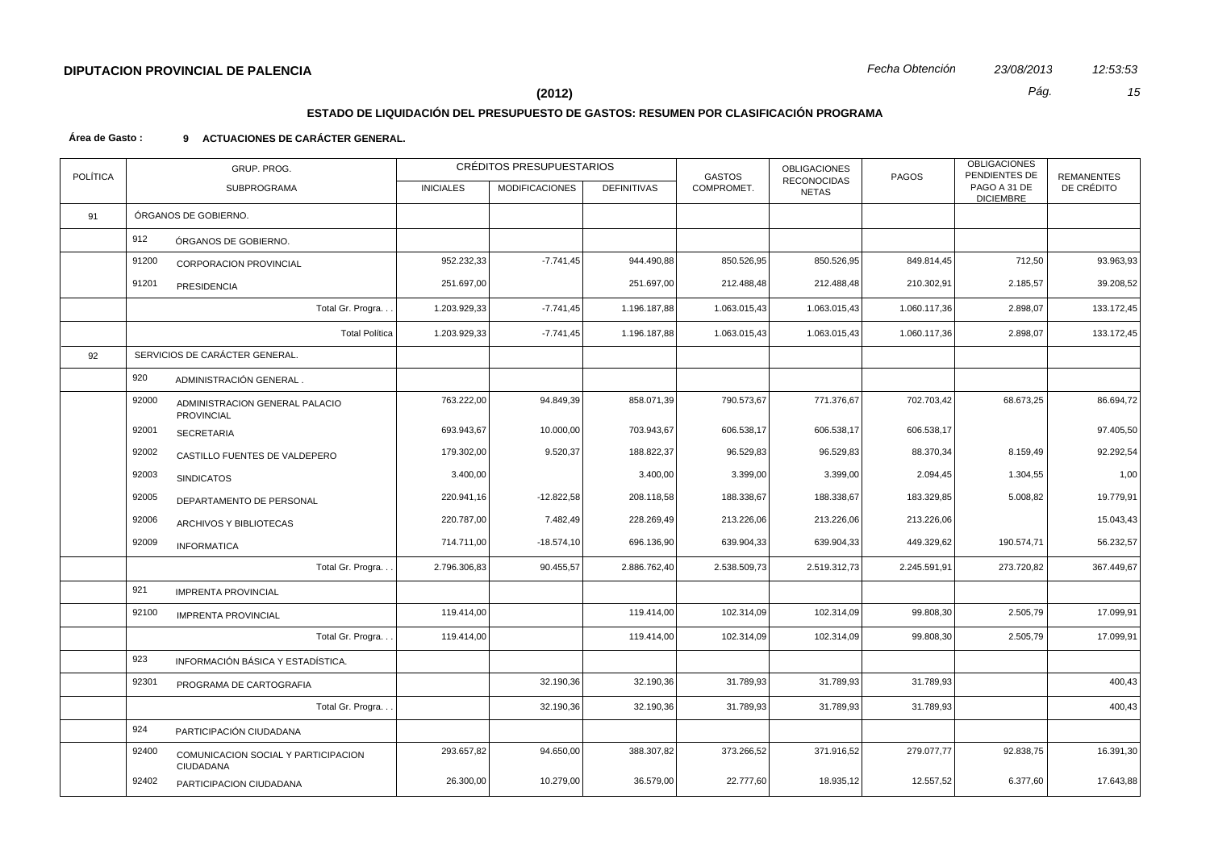# **ESTADO DE LIQUIDACIÓN DEL PRESUPUESTO DE GASTOS: RESUMEN POR CLASIFICACIÓN PROGRAMA**

#### **Área de Gasto : 9 ACTUACIONES DE CARÁCTER GENERAL.**

| <b>POLÍTICA</b> | GRUP. PROG. |                                                  |                  | CRÉDITOS PRESUPUESTARIOS |                    | <b>GASTOS</b> | <b>OBLIGACIONES</b><br><b>RECONOCIDAS</b> | <b>PAGOS</b> | <b>OBLIGACIONES</b><br>PENDIENTES DE | <b>REMANENTES</b> |  |
|-----------------|-------------|--------------------------------------------------|------------------|--------------------------|--------------------|---------------|-------------------------------------------|--------------|--------------------------------------|-------------------|--|
|                 |             | <b>SUBPROGRAMA</b>                               | <b>INICIALES</b> | <b>MODIFICACIONES</b>    | <b>DEFINITIVAS</b> | COMPROMET.    | <b>NETAS</b>                              |              | PAGO A 31 DE<br><b>DICIEMBRE</b>     | DE CRÉDITO        |  |
| 91              |             | ÓRGANOS DE GOBIERNO.                             |                  |                          |                    |               |                                           |              |                                      |                   |  |
|                 | 912         | ÓRGANOS DE GOBIERNO.                             |                  |                          |                    |               |                                           |              |                                      |                   |  |
|                 | 91200       | <b>CORPORACION PROVINCIAL</b>                    | 952.232,33       | $-7.741,45$              | 944.490,88         | 850.526,95    | 850.526,95                                | 849.814,45   | 712,50                               | 93.963,93         |  |
|                 | 91201       | PRESIDENCIA                                      | 251.697,00       |                          | 251.697,00         | 212.488,48    | 212.488,48                                | 210.302,91   | 2.185,57                             | 39.208,52         |  |
|                 |             | Total Gr. Progra                                 | 1.203.929,33     | $-7.741,45$              | 1.196.187,88       | 1.063.015,43  | 1.063.015,43                              | 1.060.117,36 | 2.898,07                             | 133.172,45        |  |
|                 |             | <b>Total Política</b>                            | 1.203.929,33     | $-7.741,45$              | 1.196.187,88       | 1.063.015,43  | 1.063.015,43                              | 1.060.117,36 | 2.898,07                             | 133.172,45        |  |
| 92              |             | SERVICIOS DE CARÁCTER GENERAL.                   |                  |                          |                    |               |                                           |              |                                      |                   |  |
|                 | 920         | ADMINISTRACIÓN GENERAL.                          |                  |                          |                    |               |                                           |              |                                      |                   |  |
|                 | 92000       | ADMINISTRACION GENERAL PALACIO<br>PROVINCIAL     | 763.222,00       | 94.849,39                | 858.071,39         | 790.573,67    | 771.376,67                                | 702.703,42   | 68.673,25                            | 86.694,72         |  |
|                 | 92001       | SECRETARIA                                       | 693.943,67       | 10.000,00                | 703.943,67         | 606.538,17    | 606.538,17                                | 606.538,17   |                                      | 97.405,50         |  |
|                 | 92002       | CASTILLO FUENTES DE VALDEPERO                    | 179.302,00       | 9.520,37                 | 188.822,37         | 96.529,83     | 96.529,83                                 | 88.370,34    | 8.159,49                             | 92.292,54         |  |
|                 | 92003       | <b>SINDICATOS</b>                                | 3.400,00         |                          | 3.400,00           | 3.399,00      | 3.399,00                                  | 2.094,45     | 1.304,55                             | 1,00              |  |
|                 | 92005       | DEPARTAMENTO DE PERSONAL                         | 220.941,16       | $-12.822,58$             | 208.118,58         | 188.338,67    | 188.338,67                                | 183.329,85   | 5.008,82                             | 19.779,91         |  |
|                 | 92006       | ARCHIVOS Y BIBLIOTECAS                           | 220.787,00       | 7.482,49                 | 228.269,49         | 213.226,06    | 213.226,06                                | 213.226,06   |                                      | 15.043,43         |  |
|                 | 92009       | <b>INFORMATICA</b>                               | 714.711,00       | $-18.574,10$             | 696.136,90         | 639.904,33    | 639.904,33                                | 449.329,62   | 190.574,71                           | 56.232,57         |  |
|                 |             | Total Gr. Progra                                 | 2.796.306,83     | 90.455,57                | 2.886.762,40       | 2.538.509,73  | 2.519.312,73                              | 2.245.591,91 | 273.720,82                           | 367.449,67        |  |
|                 | 921         | <b>IMPRENTA PROVINCIAL</b>                       |                  |                          |                    |               |                                           |              |                                      |                   |  |
|                 | 92100       | <b>IMPRENTA PROVINCIAL</b>                       | 119.414,00       |                          | 119.414,00         | 102.314,09    | 102.314,09                                | 99.808,30    | 2.505,79                             | 17.099,91         |  |
|                 |             | Total Gr. Progra                                 | 119.414,00       |                          | 119.414,00         | 102.314,09    | 102.314,09                                | 99.808,30    | 2.505,79                             | 17.099,91         |  |
|                 | 923         | INFORMACIÓN BÁSICA Y ESTADÍSTICA.                |                  |                          |                    |               |                                           |              |                                      |                   |  |
|                 | 92301       | PROGRAMA DE CARTOGRAFIA                          |                  | 32.190,36                | 32.190,36          | 31.789,93     | 31.789,93                                 | 31.789,93    |                                      | 400,43            |  |
|                 |             | Total Gr. Progra                                 |                  | 32.190,36                | 32.190,36          | 31.789,93     | 31.789,93                                 | 31.789,93    |                                      | 400,43            |  |
|                 | 924         | PARTICIPACIÓN CIUDADANA                          |                  |                          |                    |               |                                           |              |                                      |                   |  |
|                 | 92400       | COMUNICACION SOCIAL Y PARTICIPACION<br>CIUDADANA | 293.657,82       | 94.650,00                | 388.307,82         | 373.266,52    | 371.916,52                                | 279.077,77   | 92.838,75                            | 16.391,30         |  |
|                 | 92402       | PARTICIPACION CIUDADANA                          | 26.300,00        | 10.279,00                | 36.579,00          | 22.777,60     | 18.935,12                                 | 12.557,52    | 6.377,60                             | 17.643,88         |  |
|                 |             |                                                  |                  |                          |                    |               |                                           |              |                                      |                   |  |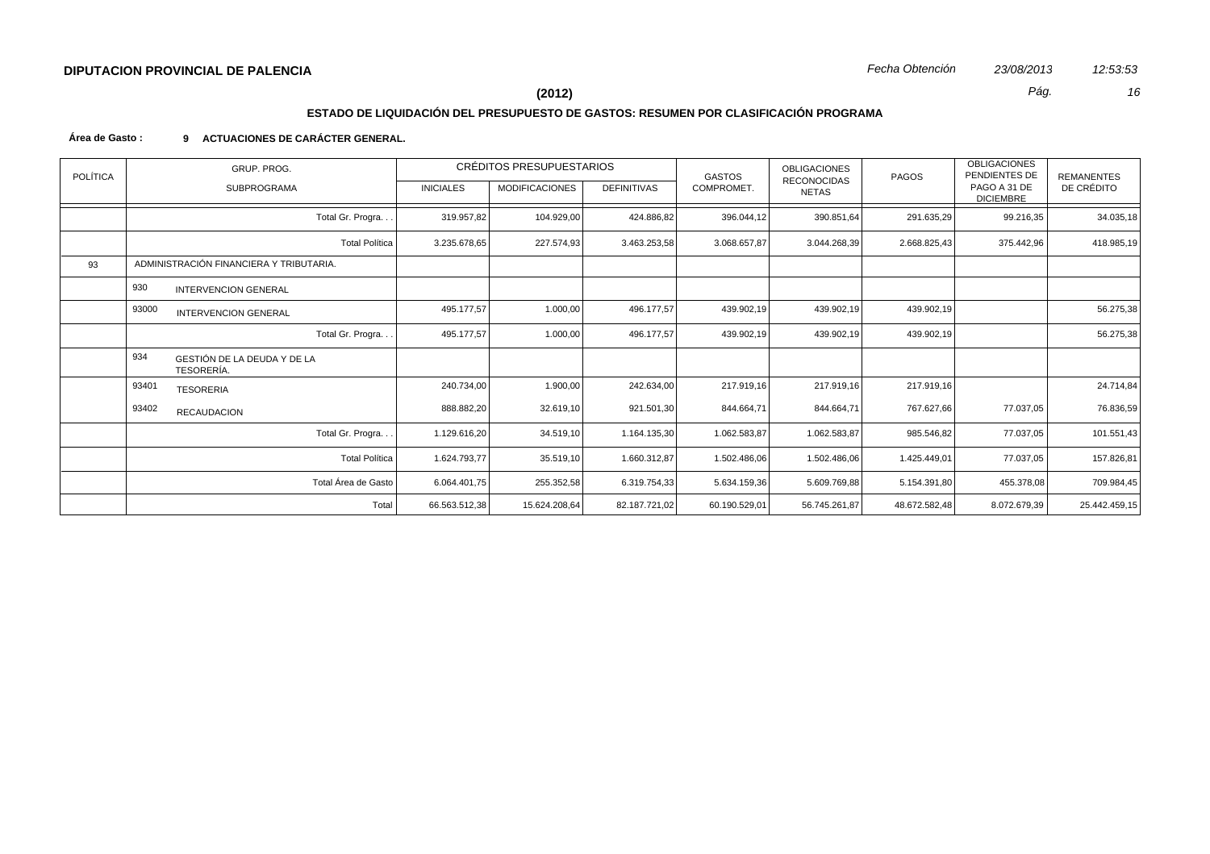# **ESTADO DE LIQUIDACIÓN DEL PRESUPUESTO DE GASTOS: RESUMEN POR CLASIFICACIÓN PROGRAMA**

### **Área de Gasto : 9 ACTUACIONES DE CARÁCTER GENERAL.**

| <b>POLÍTICA</b> | GRUP. PROG.                                             |                       |                  | CRÉDITOS PRESUPUESTARIOS |                    | GASTOS        | <b>OBLIGACIONES</b><br>RECONOCIDAS | PAGOS         | <b>OBLIGACIONES</b><br>PENDIENTES DE | <b>REMANENTES</b> |
|-----------------|---------------------------------------------------------|-----------------------|------------------|--------------------------|--------------------|---------------|------------------------------------|---------------|--------------------------------------|-------------------|
|                 | <b>SUBPROGRAMA</b>                                      |                       | <b>INICIALES</b> | <b>MODIFICACIONES</b>    | <b>DEFINITIVAS</b> | COMPROMET.    | <b>NETAS</b>                       |               | PAGO A 31 DE<br><b>DICIEMBRE</b>     | DE CRÉDITO        |
|                 |                                                         | Total Gr. Progra      | 319.957,82       | 104.929,00               | 424.886,82         | 396.044,12    | 390.851,64                         | 291.635,29    | 99.216,35                            | 34.035,18         |
|                 |                                                         | <b>Total Política</b> | 3.235.678,65     | 227.574,93               | 3.463.253,58       | 3.068.657,87  | 3.044.268,39                       | 2.668.825,43  | 375.442,96                           | 418.985,19        |
| 93              | ADMINISTRACIÓN FINANCIERA Y TRIBUTARIA.                 |                       |                  |                          |                    |               |                                    |               |                                      |                   |
|                 | 930<br><b>INTERVENCION GENERAL</b>                      |                       |                  |                          |                    |               |                                    |               |                                      |                   |
|                 | 93000<br><b>INTERVENCION GENERAL</b>                    |                       | 495.177,57       | 1.000,00                 | 496.177,57         | 439.902,19    | 439.902,19                         | 439.902,19    |                                      | 56.275,38         |
|                 |                                                         | Total Gr. Progra      | 495.177,57       | 1.000,00                 | 496.177,57         | 439.902,19    | 439.902,19                         | 439.902,19    |                                      | 56.275,38         |
|                 | 934<br>GESTIÓN DE LA DEUDA Y DE LA<br><b>TESORERÍA.</b> |                       |                  |                          |                    |               |                                    |               |                                      |                   |
|                 | 93401<br><b>TESORERIA</b>                               |                       | 240.734,00       | 1.900,00                 | 242.634,00         | 217.919,16    | 217.919,16                         | 217.919,16    |                                      | 24.714,84         |
|                 | 93402<br><b>RECAUDACION</b>                             |                       | 888.882,20       | 32.619,10                | 921.501,30         | 844.664,71    | 844.664,71                         | 767.627,66    | 77.037,05                            | 76.836,59         |
|                 |                                                         | Total Gr. Progra      | 1.129.616,20     | 34.519,10                | 1.164.135,30       | 1.062.583,87  | 1.062.583,87                       | 985.546,82    | 77.037,05                            | 101.551,43        |
|                 |                                                         | <b>Total Política</b> | 1.624.793,77     | 35.519,10                | 1.660.312,87       | 1.502.486,06  | 1.502.486,06                       | 1.425.449,01  | 77.037,05                            | 157.826,81        |
|                 |                                                         | Total Área de Gasto   | 6.064.401,75     | 255.352,58               | 6.319.754,33       | 5.634.159,36  | 5.609.769,88                       | 5.154.391,80  | 455.378,08                           | 709.984,45        |
|                 |                                                         | Total                 | 66.563.512,38    | 15.624.208,64            | 82.187.721,02      | 60.190.529,01 | 56.745.261,87                      | 48.672.582,48 | 8.072.679,39                         | 25.442.459,15     |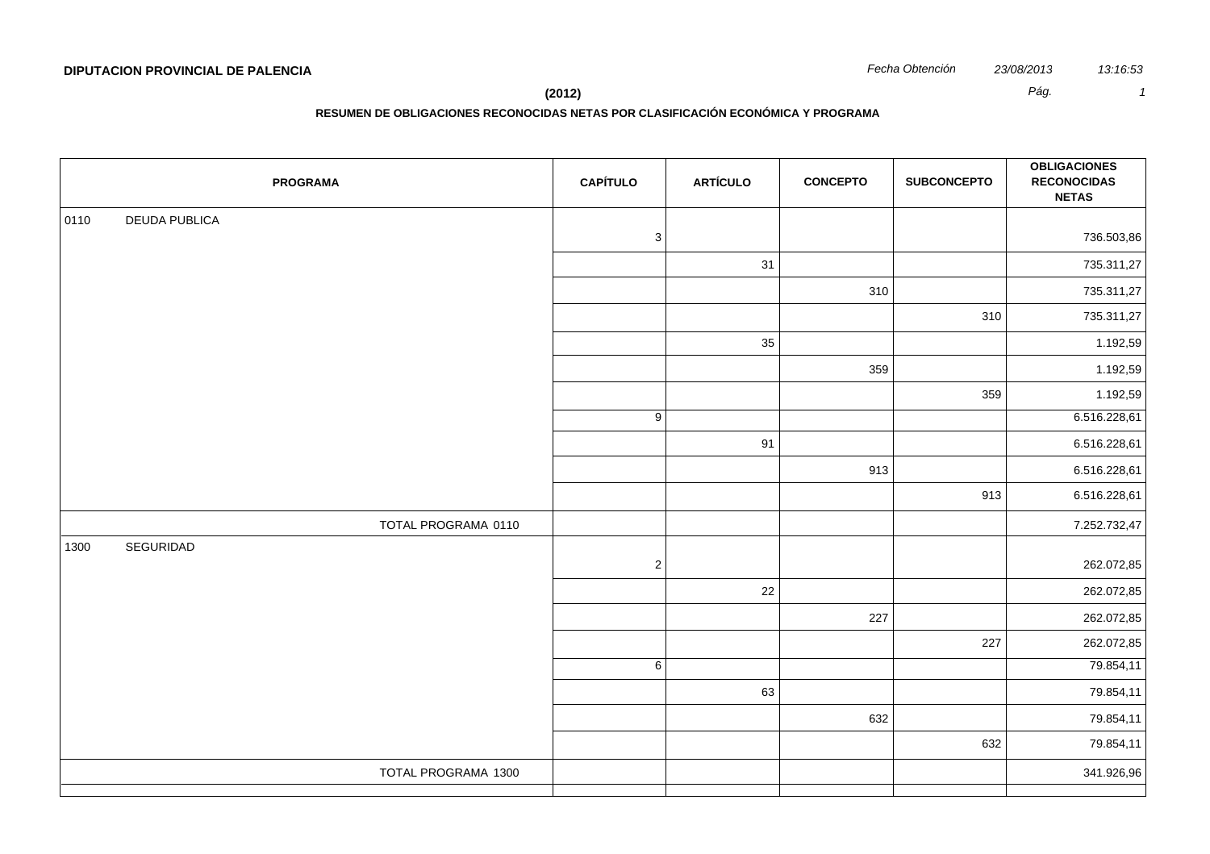| Fecha Obtención | 23/08/20 |
|-----------------|----------|
|                 |          |

**RESUMEN DE OBLIGACIONES RECONOCIDAS NETAS POR CLASIFICACIÓN ECONÓMICA Y PROGRAMA**

| <b>PROGRAMA</b>              | <b>CAPÍTULO</b>           | <b>ARTÍCULO</b> | <b>CONCEPTO</b> | <b>SUBCONCEPTO</b> | <b>OBLIGACIONES</b><br><b>RECONOCIDAS</b><br><b>NETAS</b> |
|------------------------------|---------------------------|-----------------|-----------------|--------------------|-----------------------------------------------------------|
| <b>DEUDA PUBLICA</b><br>0110 |                           |                 |                 |                    |                                                           |
|                              | $\ensuremath{\mathsf{3}}$ |                 |                 |                    | 736.503,86                                                |
|                              |                           | 31              |                 |                    | 735.311,27                                                |
|                              |                           |                 | 310             |                    | 735.311,27                                                |
|                              |                           |                 |                 | 310                | 735.311,27                                                |
|                              |                           | 35              |                 |                    | 1.192,59                                                  |
|                              |                           |                 | 359             |                    | 1.192,59                                                  |
|                              |                           |                 |                 | 359                | 1.192,59                                                  |
|                              | 9                         |                 |                 |                    | 6.516.228,61                                              |
|                              |                           | 91              |                 |                    | 6.516.228,61                                              |
|                              |                           |                 | 913             |                    | 6.516.228,61                                              |
|                              |                           |                 |                 | 913                | 6.516.228,61                                              |
| TOTAL PROGRAMA 0110          |                           |                 |                 |                    | 7.252.732,47                                              |
| SEGURIDAD<br>1300            | $\sqrt{2}$                |                 |                 |                    | 262.072,85                                                |
|                              |                           | 22              |                 |                    | 262.072,85                                                |
|                              |                           |                 | 227             |                    | 262.072,85                                                |
|                              |                           |                 |                 | 227                | 262.072,85                                                |
|                              | $\overline{6}$            |                 |                 |                    | 79.854,11                                                 |
|                              |                           | 63              |                 |                    | 79.854,11                                                 |
|                              |                           |                 | 632             |                    | 79.854,11                                                 |
|                              |                           |                 |                 | 632                | 79.854,11                                                 |
| TOTAL PROGRAMA 1300          |                           |                 |                 |                    | 341.926,96                                                |
|                              |                           |                 |                 |                    |                                                           |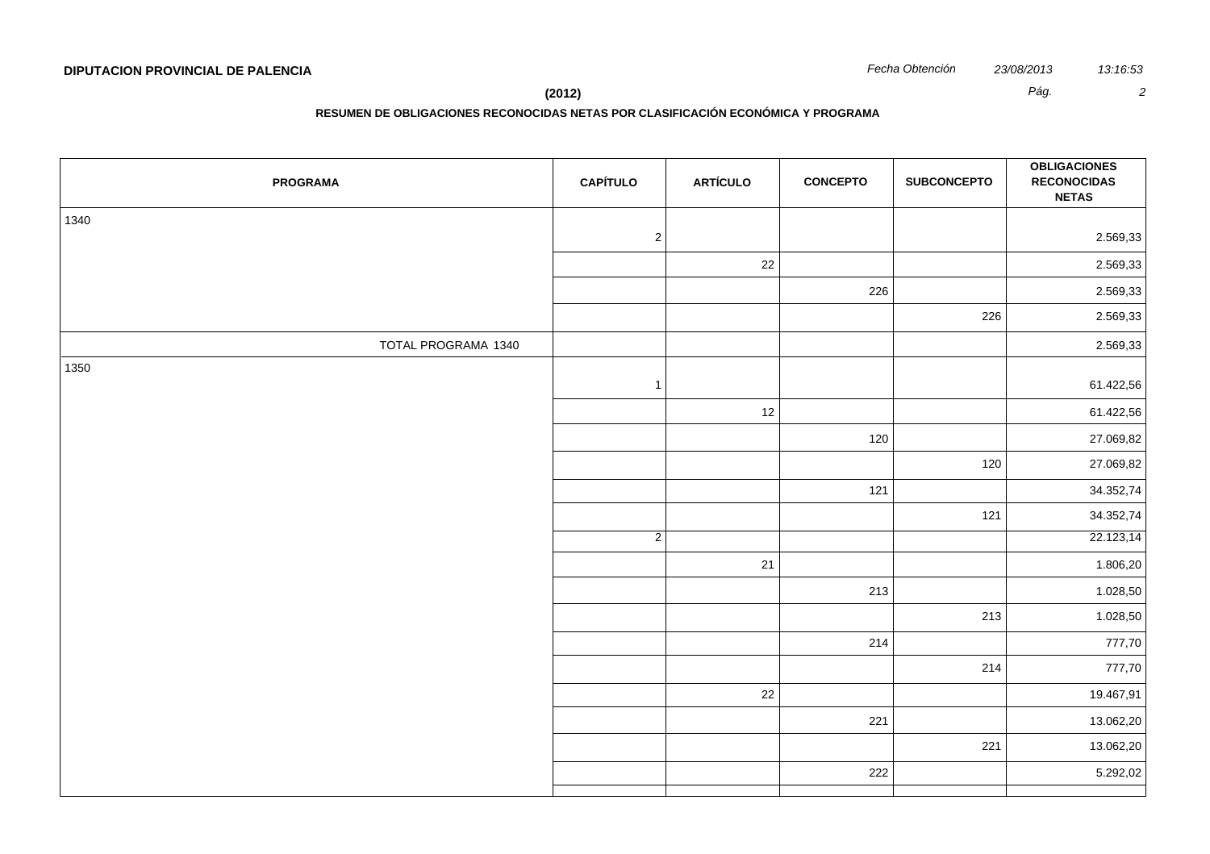# **DIPUTACION PROVINCIAL DE PALENCIA** *Fecha Obtención 23/08/2013 13:16:53*

**(2012)** *Pág. 2*

**RESUMEN DE OBLIGACIONES RECONOCIDAS NETAS POR CLASIFICACIÓN ECONÓMICA Y PROGRAMA**

| <b>PROGRAMA</b>     | <b>CAPÍTULO</b> | <b>ARTÍCULO</b> | <b>CONCEPTO</b> | <b>SUBCONCEPTO</b> | <b>OBLIGACIONES</b><br><b>RECONOCIDAS</b><br><b>NETAS</b> |
|---------------------|-----------------|-----------------|-----------------|--------------------|-----------------------------------------------------------|
| 1340                |                 |                 |                 |                    |                                                           |
|                     | $\sqrt{2}$      |                 |                 |                    | 2.569,33                                                  |
|                     |                 | 22              |                 |                    | 2.569,33                                                  |
|                     |                 |                 | 226             |                    | 2.569,33                                                  |
|                     |                 |                 |                 | 226                | 2.569,33                                                  |
| TOTAL PROGRAMA 1340 |                 |                 |                 |                    | 2.569,33                                                  |
| 1350                | $\mathbf{1}$    |                 |                 |                    | 61.422,56                                                 |
|                     |                 | 12              |                 |                    | 61.422,56                                                 |
|                     |                 |                 | 120             |                    | 27.069,82                                                 |
|                     |                 |                 |                 | 120                | 27.069,82                                                 |
|                     |                 |                 | 121             |                    | 34.352,74                                                 |
|                     |                 |                 |                 | 121                | 34.352,74                                                 |
|                     | $\overline{2}$  |                 |                 |                    | 22.123,14                                                 |
|                     |                 | 21              |                 |                    | 1.806,20                                                  |
|                     |                 |                 | 213             |                    | 1.028,50                                                  |
|                     |                 |                 |                 | 213                | 1.028,50                                                  |
|                     |                 |                 | 214             |                    | 777,70                                                    |
|                     |                 |                 |                 | 214                | 777,70                                                    |
|                     |                 | 22              |                 |                    | 19.467,91                                                 |
|                     |                 |                 | 221             |                    | 13.062,20                                                 |
|                     |                 |                 |                 | 221                | 13.062,20                                                 |
|                     |                 |                 | 222             |                    | 5.292,02                                                  |
|                     |                 |                 |                 |                    |                                                           |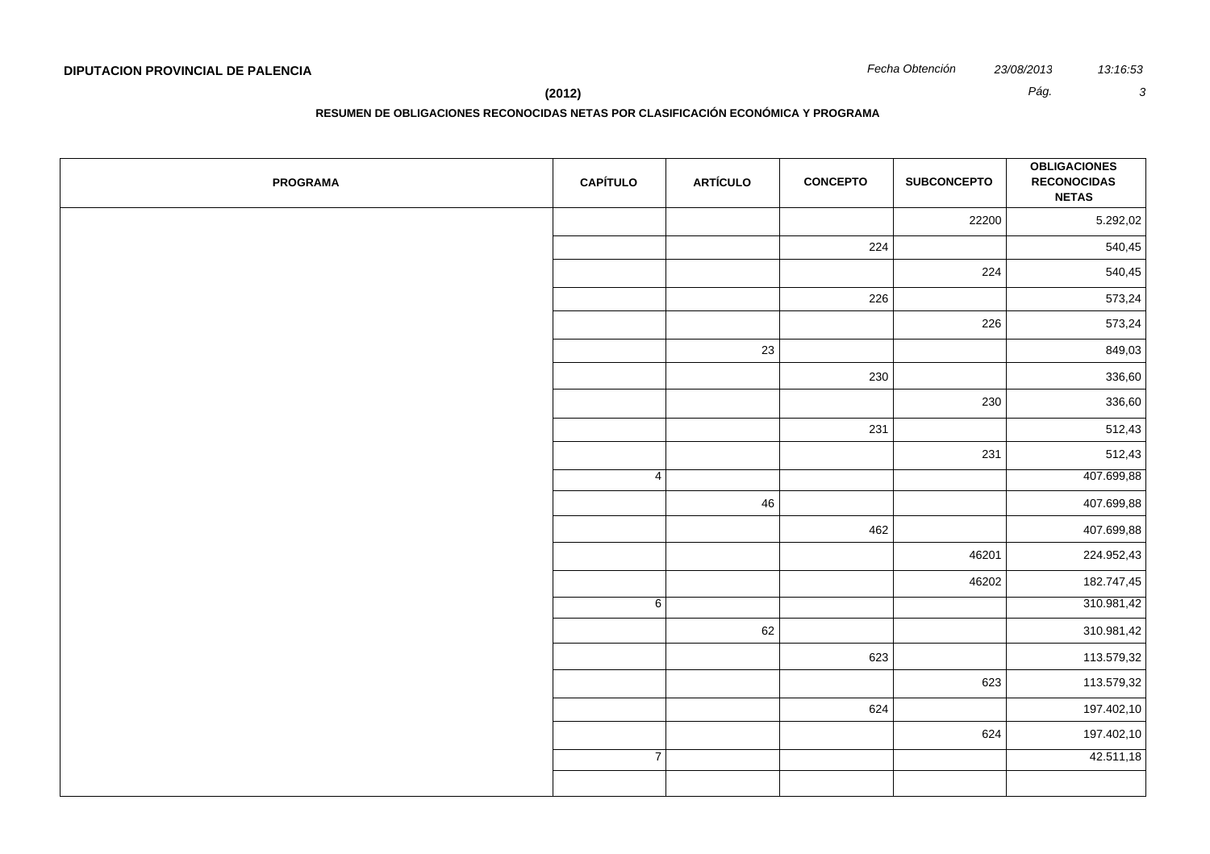**RESUMEN DE OBLIGACIONES RECONOCIDAS NETAS POR CLASIFICACIÓN ECONÓMICA Y PROGRAMA**

| <b>PROGRAMA</b> | <b>CAPÍTULO</b> | <b>ARTÍCULO</b> | <b>CONCEPTO</b> | <b>SUBCONCEPTO</b> | <b>OBLIGACIONES</b><br><b>RECONOCIDAS</b><br><b>NETAS</b> |
|-----------------|-----------------|-----------------|-----------------|--------------------|-----------------------------------------------------------|
|                 |                 |                 |                 | 22200              | 5.292,02                                                  |
|                 |                 |                 | 224             |                    | 540,45                                                    |
|                 |                 |                 |                 | 224                | 540,45                                                    |
|                 |                 |                 | 226             |                    | 573,24                                                    |
|                 |                 |                 |                 | 226                | 573,24                                                    |
|                 |                 | 23              |                 |                    | 849,03                                                    |
|                 |                 |                 | 230             |                    | 336,60                                                    |
|                 |                 |                 |                 | 230                | 336,60                                                    |
|                 |                 |                 | 231             |                    | 512,43                                                    |
|                 |                 |                 |                 | 231                | 512,43                                                    |
|                 | $\overline{4}$  |                 |                 |                    | 407.699,88                                                |
|                 |                 | 46              |                 |                    | 407.699,88                                                |
|                 |                 |                 | 462             |                    | 407.699,88                                                |
|                 |                 |                 |                 | 46201              | 224.952,43                                                |
|                 |                 |                 |                 | 46202              | 182.747,45                                                |
|                 | 6               |                 |                 |                    | 310.981,42                                                |
|                 |                 | 62              |                 |                    | 310.981,42                                                |
|                 |                 |                 | 623             |                    | 113.579,32                                                |
|                 |                 |                 |                 | 623                | 113.579,32                                                |
|                 |                 |                 | 624             |                    | 197.402,10                                                |
|                 |                 |                 |                 | 624                | 197.402,10                                                |
|                 | $\overline{7}$  |                 |                 |                    | 42.511,18                                                 |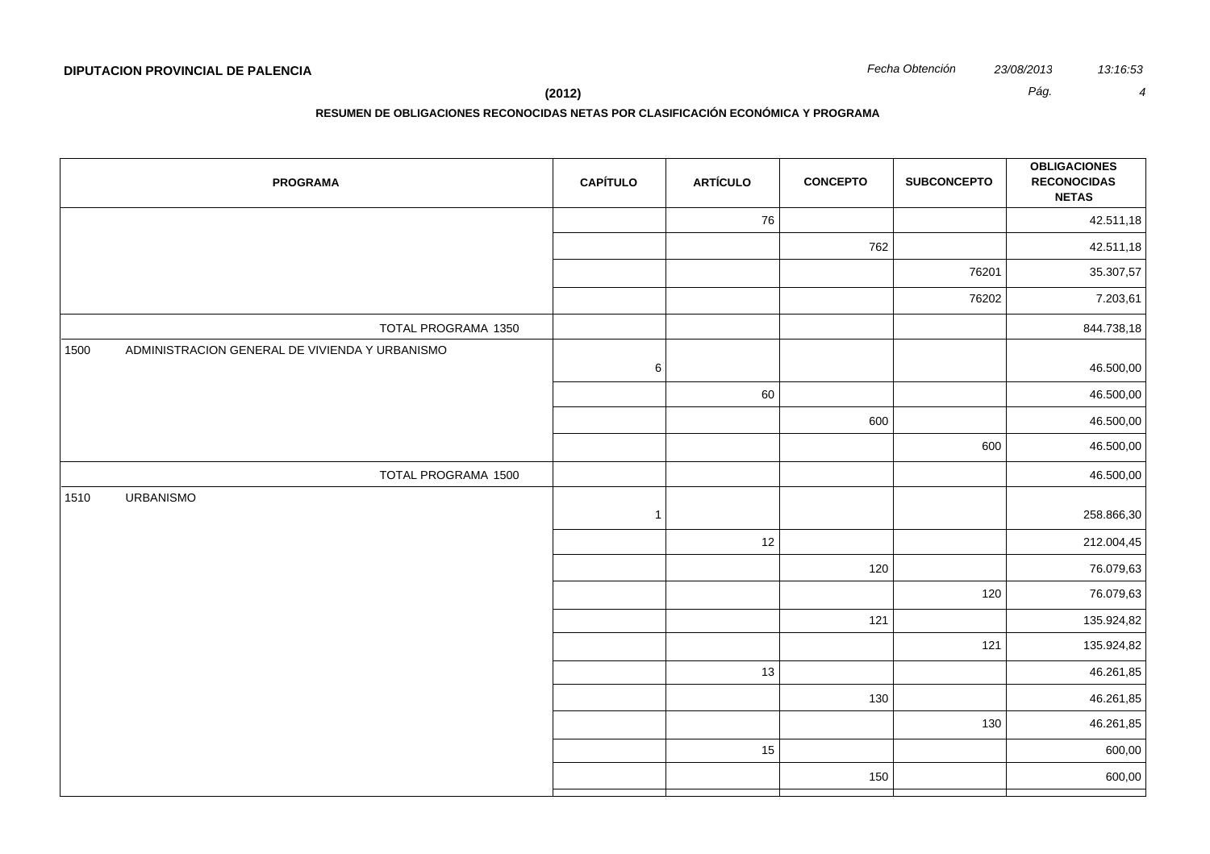**(2012)** *Pág. 4*

| <b>PROGRAMA</b>                                        | <b>CAPÍTULO</b> | <b>ARTÍCULO</b> | <b>CONCEPTO</b> | <b>SUBCONCEPTO</b> | <b>OBLIGACIONES</b><br><b>RECONOCIDAS</b><br><b>NETAS</b> |
|--------------------------------------------------------|-----------------|-----------------|-----------------|--------------------|-----------------------------------------------------------|
|                                                        |                 | 76              |                 |                    | 42.511,18                                                 |
|                                                        |                 |                 | 762             |                    | 42.511,18                                                 |
|                                                        |                 |                 |                 | 76201              | 35.307,57                                                 |
|                                                        |                 |                 |                 | 76202              | 7.203,61                                                  |
| TOTAL PROGRAMA 1350                                    |                 |                 |                 |                    | 844.738,18                                                |
| ADMINISTRACION GENERAL DE VIVIENDA Y URBANISMO<br>1500 | $\,6\,$         |                 |                 |                    | 46.500,00                                                 |
|                                                        |                 | 60              |                 |                    | 46.500,00                                                 |
|                                                        |                 |                 | 600             |                    | 46.500,00                                                 |
|                                                        |                 |                 |                 | 600                | 46.500,00                                                 |
| TOTAL PROGRAMA 1500                                    |                 |                 |                 |                    | 46.500,00                                                 |
| <b>URBANISMO</b><br>1510                               | $\overline{1}$  |                 |                 |                    | 258.866,30                                                |
|                                                        |                 | 12              |                 |                    | 212.004,45                                                |
|                                                        |                 |                 | 120             |                    | 76.079,63                                                 |
|                                                        |                 |                 |                 | 120                | 76.079,63                                                 |
|                                                        |                 |                 | 121             |                    | 135.924,82                                                |
|                                                        |                 |                 |                 | 121                | 135.924,82                                                |
|                                                        |                 | 13              |                 |                    | 46.261,85                                                 |
|                                                        |                 |                 | 130             |                    | 46.261,85                                                 |
|                                                        |                 |                 |                 | 130                | 46.261,85                                                 |
|                                                        |                 | 15              |                 |                    | 600,00                                                    |
|                                                        |                 |                 | 150             |                    | 600,00                                                    |
|                                                        |                 |                 |                 |                    |                                                           |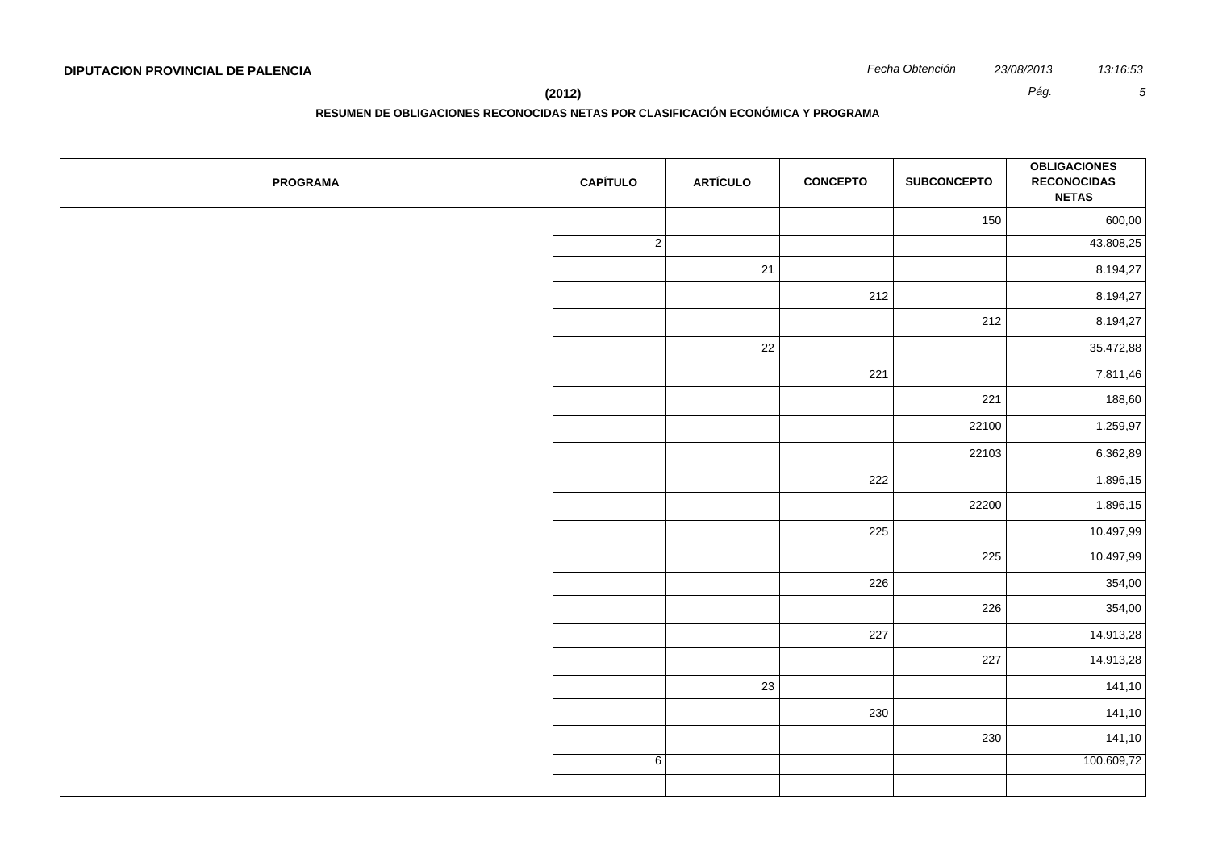**RESUMEN DE OBLIGACIONES RECONOCIDAS NETAS POR CLASIFICACIÓN ECONÓMICA Y PROGRAMA**

| <b>PROGRAMA</b> | <b>CAPÍTULO</b> | <b>ARTÍCULO</b> | <b>CONCEPTO</b> | <b>SUBCONCEPTO</b> | <b>OBLIGACIONES</b><br><b>RECONOCIDAS</b><br><b>NETAS</b> |
|-----------------|-----------------|-----------------|-----------------|--------------------|-----------------------------------------------------------|
|                 |                 |                 |                 | 150                | 600,00                                                    |
|                 | $\overline{2}$  |                 |                 |                    | 43.808,25                                                 |
|                 |                 | 21              |                 |                    | 8.194,27                                                  |
|                 |                 |                 | 212             |                    | 8.194,27                                                  |
|                 |                 |                 |                 | 212                | 8.194,27                                                  |
|                 |                 | 22              |                 |                    | 35.472,88                                                 |
|                 |                 |                 | 221             |                    | 7.811,46                                                  |
|                 |                 |                 |                 | 221                | 188,60                                                    |
|                 |                 |                 |                 | 22100              | 1.259,97                                                  |
|                 |                 |                 |                 | 22103              | 6.362,89                                                  |
|                 |                 |                 | 222             |                    | 1.896,15                                                  |
|                 |                 |                 |                 | 22200              | 1.896,15                                                  |
|                 |                 |                 | 225             |                    | 10.497,99                                                 |
|                 |                 |                 |                 | 225                | 10.497,99                                                 |
|                 |                 |                 | 226             |                    | 354,00                                                    |
|                 |                 |                 |                 | 226                | 354,00                                                    |
|                 |                 |                 | 227             |                    | 14.913,28                                                 |
|                 |                 |                 |                 | 227                | 14.913,28                                                 |
|                 |                 | 23              |                 |                    | 141,10                                                    |
|                 |                 |                 | 230             |                    | 141,10                                                    |
|                 |                 |                 |                 | 230                | 141,10                                                    |
|                 | 6               |                 |                 |                    | 100.609,72                                                |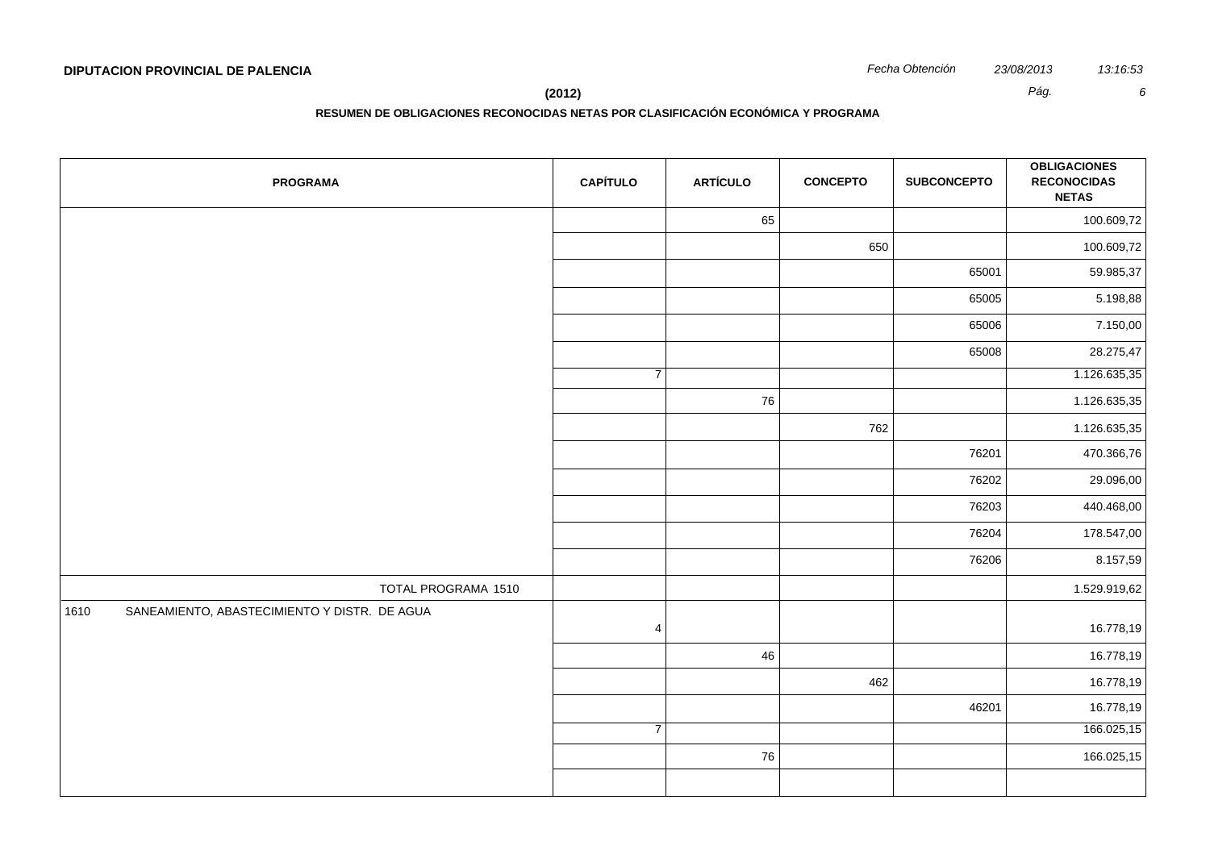**(2012)** *Pág. 6*

| <b>PROGRAMA</b>                                      | <b>CAPÍTULO</b> | <b>ARTÍCULO</b> | <b>CONCEPTO</b> | <b>SUBCONCEPTO</b> | <b>OBLIGACIONES</b><br><b>RECONOCIDAS</b><br><b>NETAS</b> |
|------------------------------------------------------|-----------------|-----------------|-----------------|--------------------|-----------------------------------------------------------|
|                                                      |                 | 65              |                 |                    | 100.609,72                                                |
|                                                      |                 |                 | 650             |                    | 100.609,72                                                |
|                                                      |                 |                 |                 | 65001              | 59.985,37                                                 |
|                                                      |                 |                 |                 | 65005              | 5.198,88                                                  |
|                                                      |                 |                 |                 | 65006              | 7.150,00                                                  |
|                                                      |                 |                 |                 | 65008              | 28.275,47                                                 |
|                                                      | $\overline{7}$  |                 |                 |                    | 1.126.635,35                                              |
|                                                      |                 | 76              |                 |                    | 1.126.635,35                                              |
|                                                      |                 |                 | 762             |                    | 1.126.635,35                                              |
|                                                      |                 |                 |                 | 76201              | 470.366,76                                                |
|                                                      |                 |                 |                 | 76202              | 29.096,00                                                 |
|                                                      |                 |                 |                 | 76203              | 440.468,00                                                |
|                                                      |                 |                 |                 | 76204              | 178.547,00                                                |
|                                                      |                 |                 |                 | 76206              | 8.157,59                                                  |
| TOTAL PROGRAMA 1510                                  |                 |                 |                 |                    | 1.529.919,62                                              |
| SANEAMIENTO, ABASTECIMIENTO Y DISTR. DE AGUA<br>1610 | $\overline{4}$  |                 |                 |                    | 16.778,19                                                 |
|                                                      |                 | 46              |                 |                    | 16.778,19                                                 |
|                                                      |                 |                 | 462             |                    | 16.778,19                                                 |
|                                                      |                 |                 |                 | 46201              | 16.778,19                                                 |
|                                                      | $\overline{7}$  |                 |                 |                    | 166.025,15                                                |
|                                                      |                 | 76              |                 |                    | 166.025,15                                                |
|                                                      |                 |                 |                 |                    |                                                           |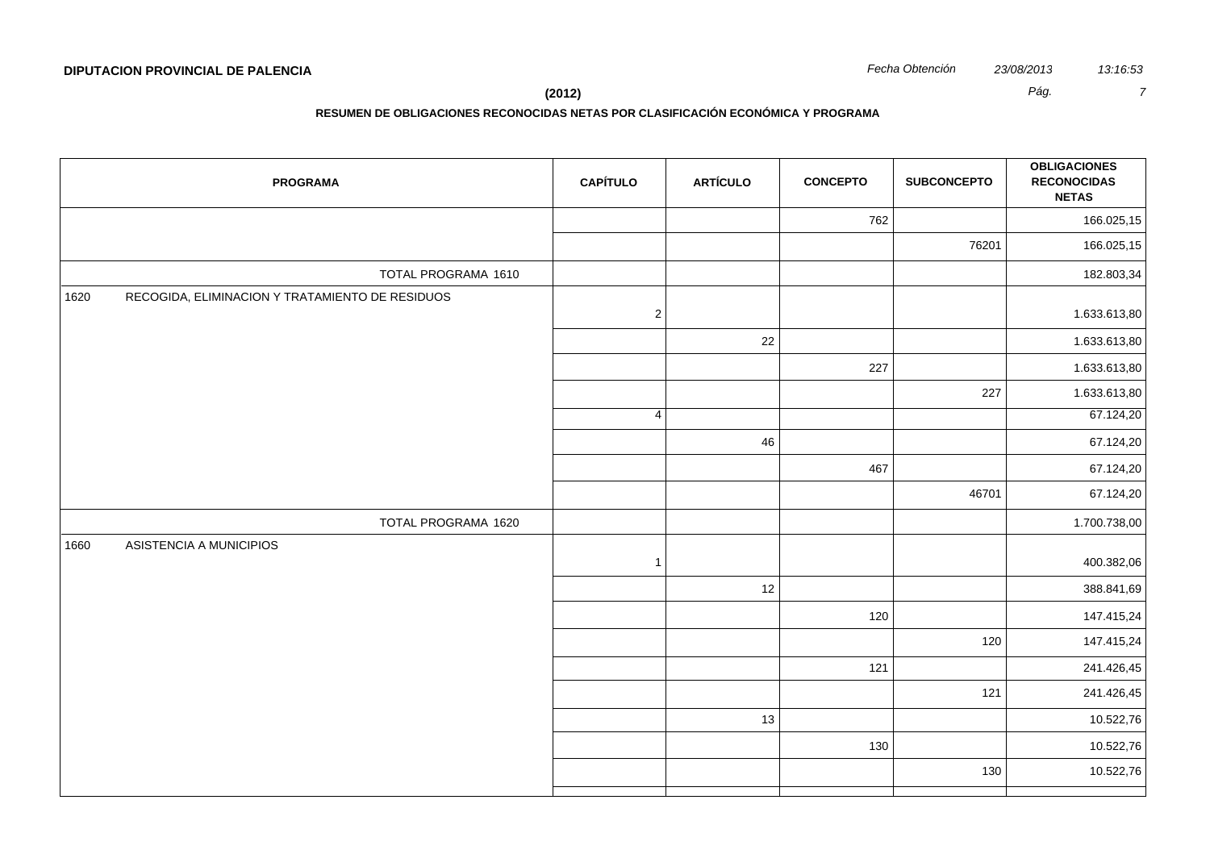**RESUMEN DE OBLIGACIONES RECONOCIDAS NETAS POR CLASIFICACIÓN ECONÓMICA Y PROGRAMA**

| <b>PROGRAMA</b>                                         | <b>CAPÍTULO</b> | <b>ARTÍCULO</b> | <b>CONCEPTO</b> | <b>SUBCONCEPTO</b> | <b>OBLIGACIONES</b><br><b>RECONOCIDAS</b><br><b>NETAS</b> |
|---------------------------------------------------------|-----------------|-----------------|-----------------|--------------------|-----------------------------------------------------------|
|                                                         |                 |                 | 762             |                    | 166.025,15                                                |
|                                                         |                 |                 |                 | 76201              | 166.025,15                                                |
| TOTAL PROGRAMA 1610                                     |                 |                 |                 |                    | 182.803,34                                                |
| RECOGIDA, ELIMINACION Y TRATAMIENTO DE RESIDUOS<br>1620 | $\overline{c}$  |                 |                 |                    | 1.633.613,80                                              |
|                                                         |                 | 22              |                 |                    | 1.633.613,80                                              |
|                                                         |                 |                 | 227             |                    | 1.633.613,80                                              |
|                                                         |                 |                 |                 | 227                | 1.633.613,80                                              |
|                                                         | $\overline{4}$  |                 |                 |                    | 67.124,20                                                 |
|                                                         |                 | 46              |                 |                    | 67.124,20                                                 |
|                                                         |                 |                 | 467             |                    | 67.124,20                                                 |
|                                                         |                 |                 |                 | 46701              | 67.124,20                                                 |
| TOTAL PROGRAMA 1620                                     |                 |                 |                 |                    | 1.700.738,00                                              |
| ASISTENCIA A MUNICIPIOS<br>1660                         | $\overline{1}$  |                 |                 |                    | 400.382,06                                                |
|                                                         |                 | 12              |                 |                    | 388.841,69                                                |
|                                                         |                 |                 | 120             |                    | 147.415,24                                                |
|                                                         |                 |                 |                 | 120                | 147.415,24                                                |
|                                                         |                 |                 | 121             |                    | 241.426,45                                                |
|                                                         |                 |                 |                 | 121                | 241.426,45                                                |
|                                                         |                 | 13              |                 |                    | 10.522,76                                                 |
|                                                         |                 |                 | 130             |                    | 10.522,76                                                 |
|                                                         |                 |                 |                 | 130                | 10.522,76                                                 |
|                                                         |                 |                 |                 |                    |                                                           |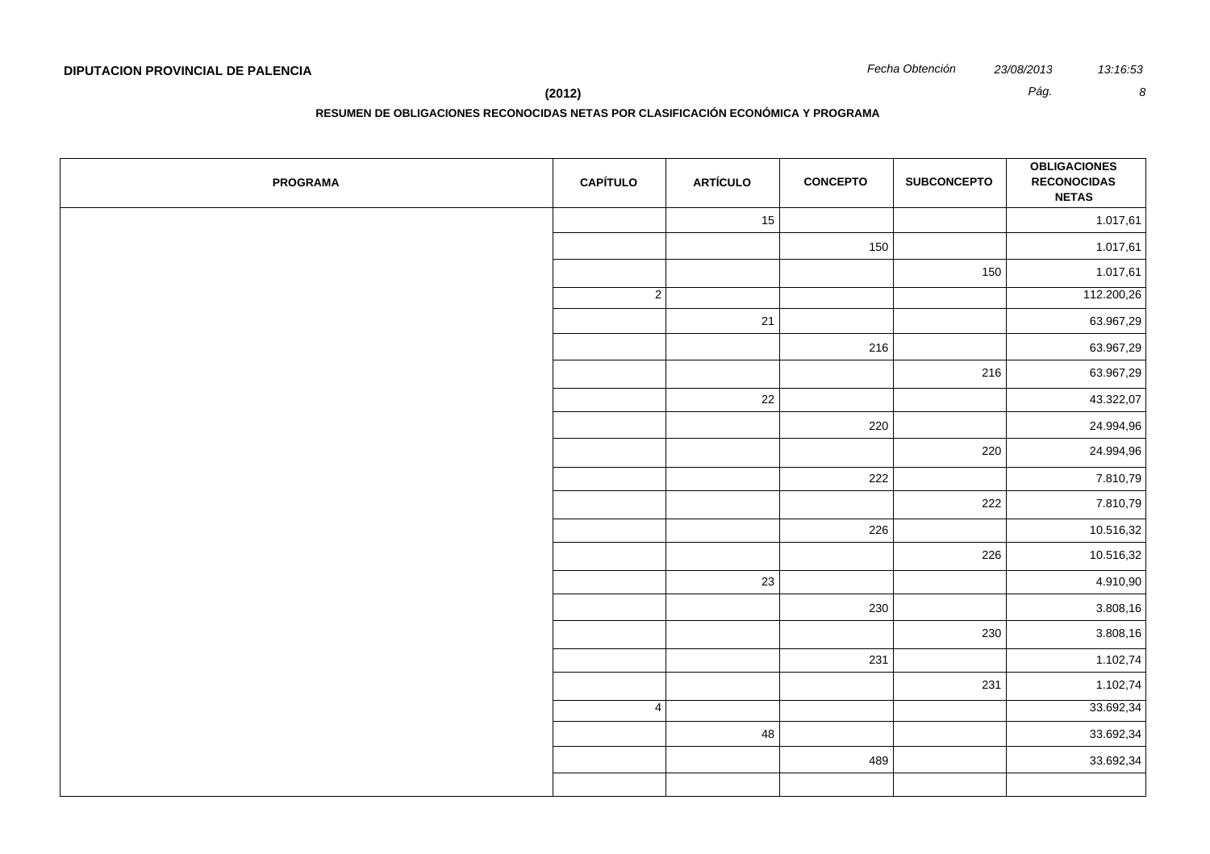| <b>PROGRAMA</b> | <b>CAPÍTULO</b> | <b>ARTÍCULO</b> | <b>CONCEPTO</b> | <b>SUBCONCEPTO</b> | <b>OBLIGACIONES</b><br><b>RECONOCIDAS</b><br><b>NETAS</b> |
|-----------------|-----------------|-----------------|-----------------|--------------------|-----------------------------------------------------------|
|                 |                 | 15              |                 |                    | 1.017,61                                                  |
|                 |                 |                 | 150             |                    | 1.017,61                                                  |
|                 |                 |                 |                 | 150                | 1.017,61                                                  |
|                 | $\overline{2}$  |                 |                 |                    | 112.200,26                                                |
|                 |                 | 21              |                 |                    | 63.967,29                                                 |
|                 |                 |                 | 216             |                    | 63.967,29                                                 |
|                 |                 |                 |                 | 216                | 63.967,29                                                 |
|                 |                 | 22              |                 |                    | 43.322,07                                                 |
|                 |                 |                 | 220             |                    | 24.994,96                                                 |
|                 |                 |                 |                 | 220                | 24.994,96                                                 |
|                 |                 |                 | 222             |                    | 7.810,79                                                  |
|                 |                 |                 |                 | 222                | 7.810,79                                                  |
|                 |                 |                 | 226             |                    | 10.516,32                                                 |
|                 |                 |                 |                 | 226                | 10.516,32                                                 |
|                 |                 | 23              |                 |                    | 4.910,90                                                  |
|                 |                 |                 | 230             |                    | 3.808,16                                                  |
|                 |                 |                 |                 | 230                | 3.808,16                                                  |
|                 |                 |                 | 231             |                    | 1.102,74                                                  |
|                 |                 |                 |                 | 231                | 1.102,74                                                  |
|                 | $\vert 4 \vert$ |                 |                 |                    | 33.692,34                                                 |
|                 |                 | 48              |                 |                    | 33.692,34                                                 |
|                 |                 |                 | 489             |                    | 33.692,34                                                 |
|                 |                 |                 |                 |                    |                                                           |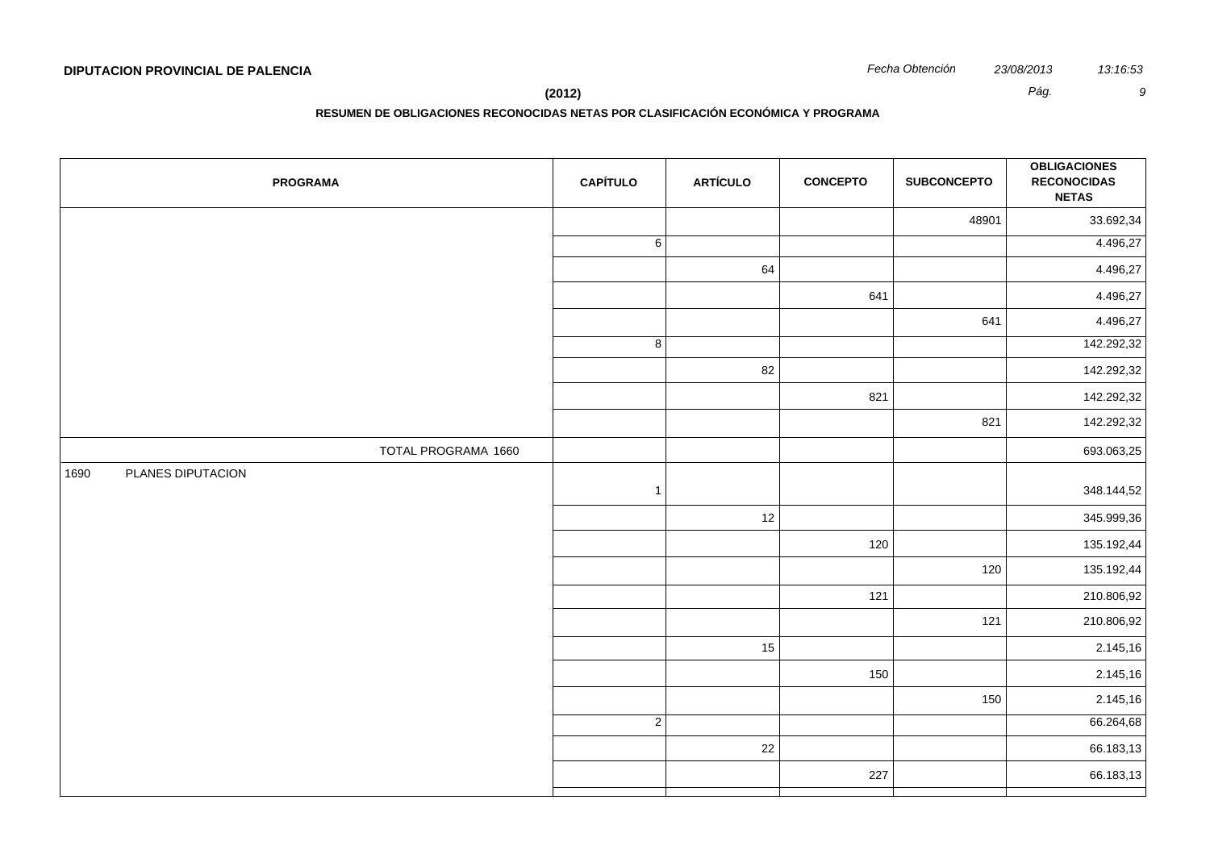| <b>PROGRAMA</b>           | <b>CAPÍTULO</b> | <b>ARTÍCULO</b> | <b>CONCEPTO</b> | <b>SUBCONCEPTO</b> | <b>OBLIGACIONES</b><br><b>RECONOCIDAS</b><br><b>NETAS</b> |
|---------------------------|-----------------|-----------------|-----------------|--------------------|-----------------------------------------------------------|
|                           |                 |                 |                 | 48901              | 33.692,34                                                 |
|                           | $\overline{6}$  |                 |                 |                    | 4.496,27                                                  |
|                           |                 | 64              |                 |                    | 4.496,27                                                  |
|                           |                 |                 | 641             |                    | 4.496,27                                                  |
|                           |                 |                 |                 | 641                | 4.496,27                                                  |
|                           | $\overline{8}$  |                 |                 |                    | 142.292,32                                                |
|                           |                 | 82              |                 |                    | 142.292,32                                                |
|                           |                 |                 | 821             |                    | 142.292,32                                                |
|                           |                 |                 |                 | 821                | 142.292,32                                                |
| TOTAL PROGRAMA 1660       |                 |                 |                 |                    | 693.063,25                                                |
| PLANES DIPUTACION<br>1690 | $\overline{1}$  |                 |                 |                    | 348.144,52                                                |
|                           |                 | $12$            |                 |                    | 345.999,36                                                |
|                           |                 |                 | 120             |                    | 135.192,44                                                |
|                           |                 |                 |                 | 120                | 135.192,44                                                |
|                           |                 |                 | 121             |                    | 210.806,92                                                |
|                           |                 |                 |                 | 121                | 210.806,92                                                |
|                           |                 | 15              |                 |                    | 2.145,16                                                  |
|                           |                 |                 | 150             |                    | 2.145,16                                                  |
|                           |                 |                 |                 | 150                | 2.145,16                                                  |
|                           | $\overline{2}$  |                 |                 |                    | 66.264,68                                                 |
|                           |                 | 22              |                 |                    | 66.183,13                                                 |
|                           |                 |                 | 227             |                    | 66.183,13                                                 |
|                           |                 |                 |                 |                    |                                                           |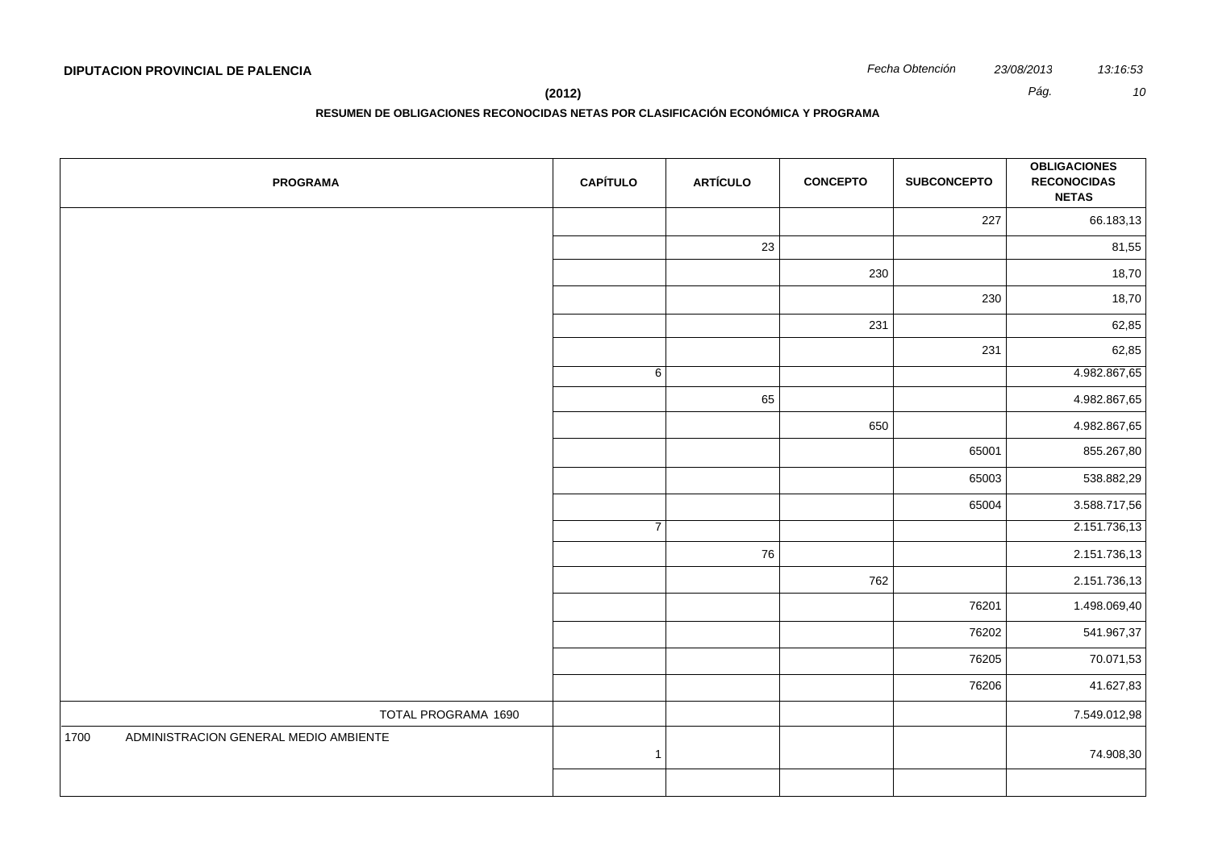**RESUMEN DE OBLIGACIONES RECONOCIDAS NETAS POR CLASIFICACIÓN ECONÓMICA Y PROGRAMA**

| <b>PROGRAMA</b>                               | <b>CAPÍTULO</b> | <b>ARTÍCULO</b> | <b>CONCEPTO</b> | <b>SUBCONCEPTO</b> | <b>OBLIGACIONES</b><br><b>RECONOCIDAS</b><br><b>NETAS</b> |
|-----------------------------------------------|-----------------|-----------------|-----------------|--------------------|-----------------------------------------------------------|
|                                               |                 |                 |                 | 227                | 66.183,13                                                 |
|                                               |                 | 23              |                 |                    | 81,55                                                     |
|                                               |                 |                 | 230             |                    | 18,70                                                     |
|                                               |                 |                 |                 | 230                | 18,70                                                     |
|                                               |                 |                 | 231             |                    | 62,85                                                     |
|                                               |                 |                 |                 | 231                | 62,85                                                     |
|                                               | 6               |                 |                 |                    | 4.982.867,65                                              |
|                                               |                 | 65              |                 |                    | 4.982.867,65                                              |
|                                               |                 |                 | 650             |                    | 4.982.867,65                                              |
|                                               |                 |                 |                 | 65001              | 855.267,80                                                |
|                                               |                 |                 |                 | 65003              | 538.882,29                                                |
|                                               |                 |                 |                 | 65004              | 3.588.717,56                                              |
|                                               | $\overline{7}$  |                 |                 |                    | 2.151.736,13                                              |
|                                               |                 | 76              |                 |                    | 2.151.736,13                                              |
|                                               |                 |                 | 762             |                    | 2.151.736,13                                              |
|                                               |                 |                 |                 | 76201              | 1.498.069,40                                              |
|                                               |                 |                 |                 | 76202              | 541.967,37                                                |
|                                               |                 |                 |                 | 76205              | 70.071,53                                                 |
|                                               |                 |                 |                 | 76206              | 41.627,83                                                 |
| TOTAL PROGRAMA 1690                           |                 |                 |                 |                    | 7.549.012,98                                              |
| 1700<br>ADMINISTRACION GENERAL MEDIO AMBIENTE | $\mathbf{1}$    |                 |                 |                    | 74.908,30                                                 |
|                                               |                 |                 |                 |                    |                                                           |
|                                               |                 |                 |                 |                    |                                                           |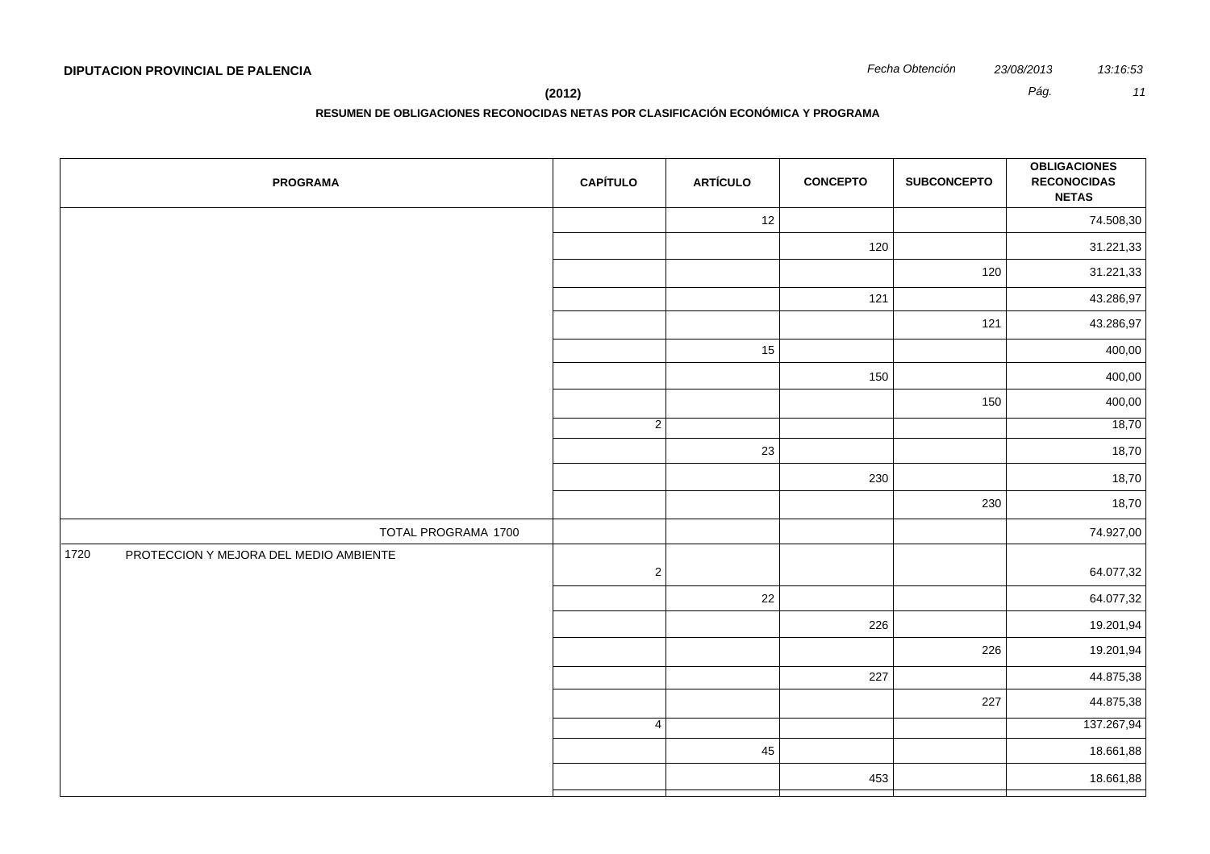**RESUMEN DE OBLIGACIONES RECONOCIDAS NETAS POR CLASIFICACIÓN ECONÓMICA Y PROGRAMA**

| <b>PROGRAMA</b>                                | <b>CAPÍTULO</b> | <b>ARTÍCULO</b> | <b>CONCEPTO</b> | <b>SUBCONCEPTO</b> | <b>OBLIGACIONES</b><br><b>RECONOCIDAS</b><br><b>NETAS</b> |
|------------------------------------------------|-----------------|-----------------|-----------------|--------------------|-----------------------------------------------------------|
|                                                |                 | 12              |                 |                    | 74.508,30                                                 |
|                                                |                 |                 | 120             |                    | 31.221,33                                                 |
|                                                |                 |                 |                 | 120                | 31.221,33                                                 |
|                                                |                 |                 | 121             |                    | 43.286,97                                                 |
|                                                |                 |                 |                 | 121                | 43.286,97                                                 |
|                                                |                 | 15              |                 |                    | 400,00                                                    |
|                                                |                 |                 | 150             |                    | 400,00                                                    |
|                                                |                 |                 |                 | 150                | 400,00                                                    |
|                                                | $\overline{2}$  |                 |                 |                    | 18,70                                                     |
|                                                |                 | 23              |                 |                    | 18,70                                                     |
|                                                |                 |                 | 230             |                    | 18,70                                                     |
|                                                |                 |                 |                 | 230                | 18,70                                                     |
| TOTAL PROGRAMA 1700                            |                 |                 |                 |                    | 74.927,00                                                 |
| 1720<br>PROTECCION Y MEJORA DEL MEDIO AMBIENTE | $\overline{2}$  |                 |                 |                    | 64.077,32                                                 |
|                                                |                 | $22\,$          |                 |                    | 64.077,32                                                 |
|                                                |                 |                 | 226             |                    | 19.201,94                                                 |
|                                                |                 |                 |                 | 226                | 19.201,94                                                 |
|                                                |                 |                 | 227             |                    | 44.875,38                                                 |
|                                                |                 |                 |                 | 227                | 44.875,38                                                 |
|                                                | $\overline{4}$  |                 |                 |                    | 137.267,94                                                |
|                                                |                 | 45              |                 |                    | 18.661,88                                                 |
|                                                |                 |                 | 453             |                    | 18.661,88                                                 |
|                                                |                 |                 |                 |                    |                                                           |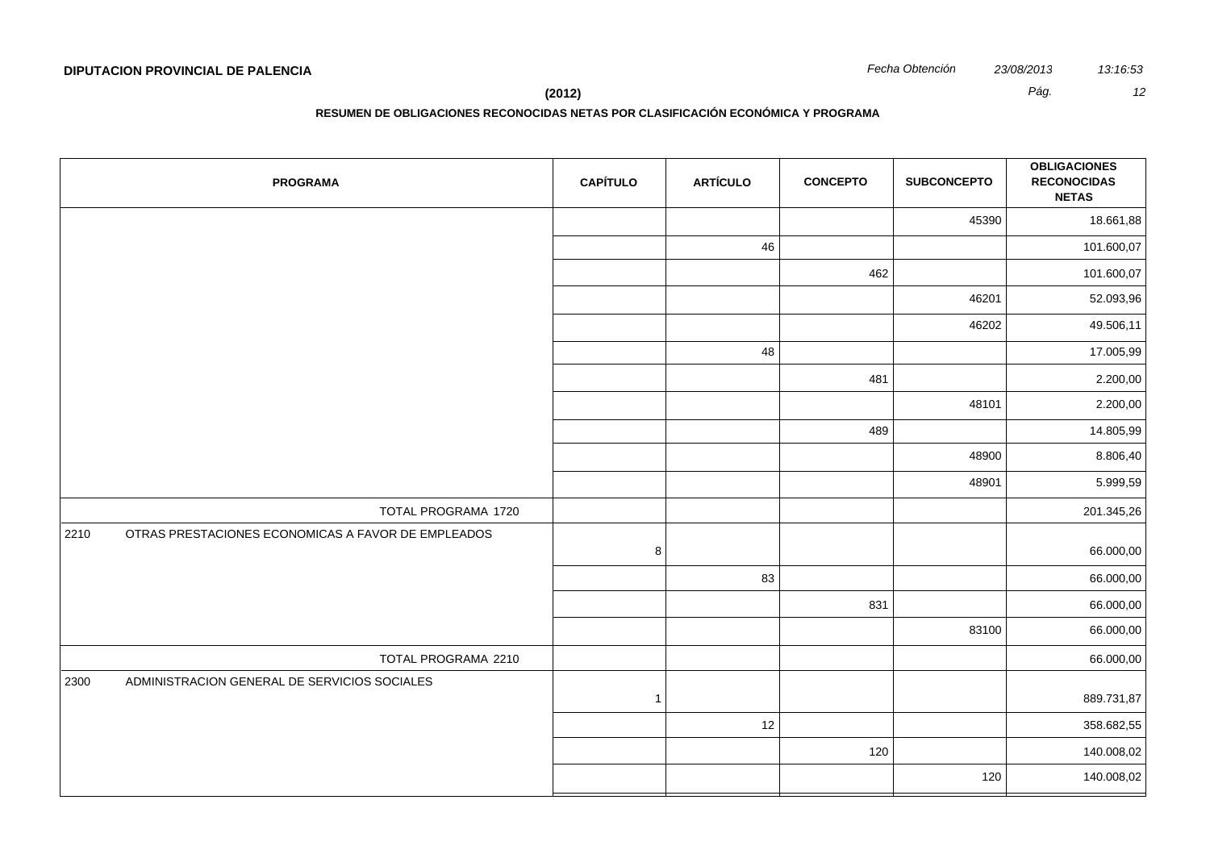**(2012)** *Pág. 12*

| <b>PROGRAMA</b>                                            | <b>CAPÍTULO</b> | <b>ARTÍCULO</b> | <b>CONCEPTO</b> | <b>SUBCONCEPTO</b> | <b>OBLIGACIONES</b><br><b>RECONOCIDAS</b><br><b>NETAS</b> |
|------------------------------------------------------------|-----------------|-----------------|-----------------|--------------------|-----------------------------------------------------------|
|                                                            |                 |                 |                 | 45390              | 18.661,88                                                 |
|                                                            |                 | 46              |                 |                    | 101.600,07                                                |
|                                                            |                 |                 | 462             |                    | 101.600,07                                                |
|                                                            |                 |                 |                 | 46201              | 52.093,96                                                 |
|                                                            |                 |                 |                 | 46202              | 49.506,11                                                 |
|                                                            |                 | 48              |                 |                    | 17.005,99                                                 |
|                                                            |                 |                 | 481             |                    | 2.200,00                                                  |
|                                                            |                 |                 |                 | 48101              | 2.200,00                                                  |
|                                                            |                 |                 | 489             |                    | 14.805,99                                                 |
|                                                            |                 |                 |                 | 48900              | 8.806,40                                                  |
|                                                            |                 |                 |                 | 48901              | 5.999,59                                                  |
| TOTAL PROGRAMA 1720                                        |                 |                 |                 |                    | 201.345,26                                                |
| OTRAS PRESTACIONES ECONOMICAS A FAVOR DE EMPLEADOS<br>2210 | $\bf 8$         |                 |                 |                    | 66.000,00                                                 |
|                                                            |                 | 83              |                 |                    | 66.000,00                                                 |
|                                                            |                 |                 | 831             |                    | 66.000,00                                                 |
|                                                            |                 |                 |                 | 83100              | 66.000,00                                                 |
| TOTAL PROGRAMA 2210                                        |                 |                 |                 |                    | 66.000,00                                                 |
| 2300<br>ADMINISTRACION GENERAL DE SERVICIOS SOCIALES       | $\overline{1}$  |                 |                 |                    | 889.731,87                                                |
|                                                            |                 | $12$            |                 |                    | 358.682,55                                                |
|                                                            |                 |                 | 120             |                    | 140.008,02                                                |
|                                                            |                 |                 |                 | 120                | 140.008,02                                                |
|                                                            |                 |                 |                 |                    |                                                           |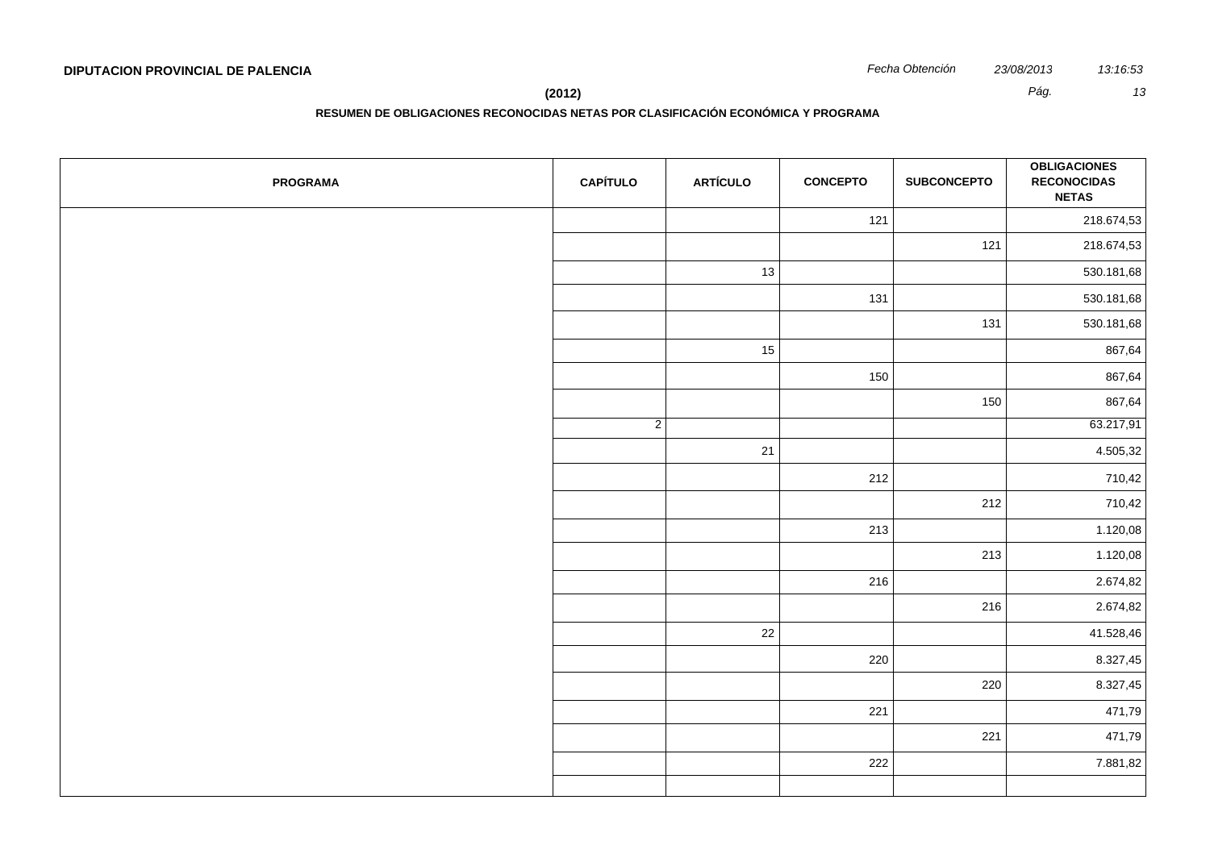**RESUMEN DE OBLIGACIONES RECONOCIDAS NETAS POR CLASIFICACIÓN ECONÓMICA Y PROGRAMA**

| <b>PROGRAMA</b> | <b>CAPÍTULO</b> | <b>ARTÍCULO</b> | <b>CONCEPTO</b> | <b>SUBCONCEPTO</b> | <b>OBLIGACIONES</b><br><b>RECONOCIDAS</b><br><b>NETAS</b> |
|-----------------|-----------------|-----------------|-----------------|--------------------|-----------------------------------------------------------|
|                 |                 |                 | 121             |                    | 218.674,53                                                |
|                 |                 |                 |                 | 121                | 218.674,53                                                |
|                 |                 | 13              |                 |                    | 530.181,68                                                |
|                 |                 |                 | 131             |                    | 530.181,68                                                |
|                 |                 |                 |                 | 131                | 530.181,68                                                |
|                 |                 | 15              |                 |                    | 867,64                                                    |
|                 |                 |                 | 150             |                    | 867,64                                                    |
|                 |                 |                 |                 | 150                | 867,64                                                    |
|                 | $\overline{2}$  |                 |                 |                    | 63.217,91                                                 |
|                 |                 | 21              |                 |                    | 4.505,32                                                  |
|                 |                 |                 | 212             |                    | 710,42                                                    |
|                 |                 |                 |                 | 212                | 710,42                                                    |
|                 |                 |                 | 213             |                    | 1.120,08                                                  |
|                 |                 |                 |                 | 213                | 1.120,08                                                  |
|                 |                 |                 | 216             |                    | 2.674,82                                                  |
|                 |                 |                 |                 | 216                | 2.674,82                                                  |
|                 |                 | 22              |                 |                    | 41.528,46                                                 |
|                 |                 |                 | 220             |                    | 8.327,45                                                  |
|                 |                 |                 |                 | 220                | 8.327,45                                                  |
|                 |                 |                 | 221             |                    | 471,79                                                    |
|                 |                 |                 |                 | 221                | 471,79                                                    |
|                 |                 |                 | 222             |                    | 7.881,82                                                  |
|                 |                 |                 |                 |                    |                                                           |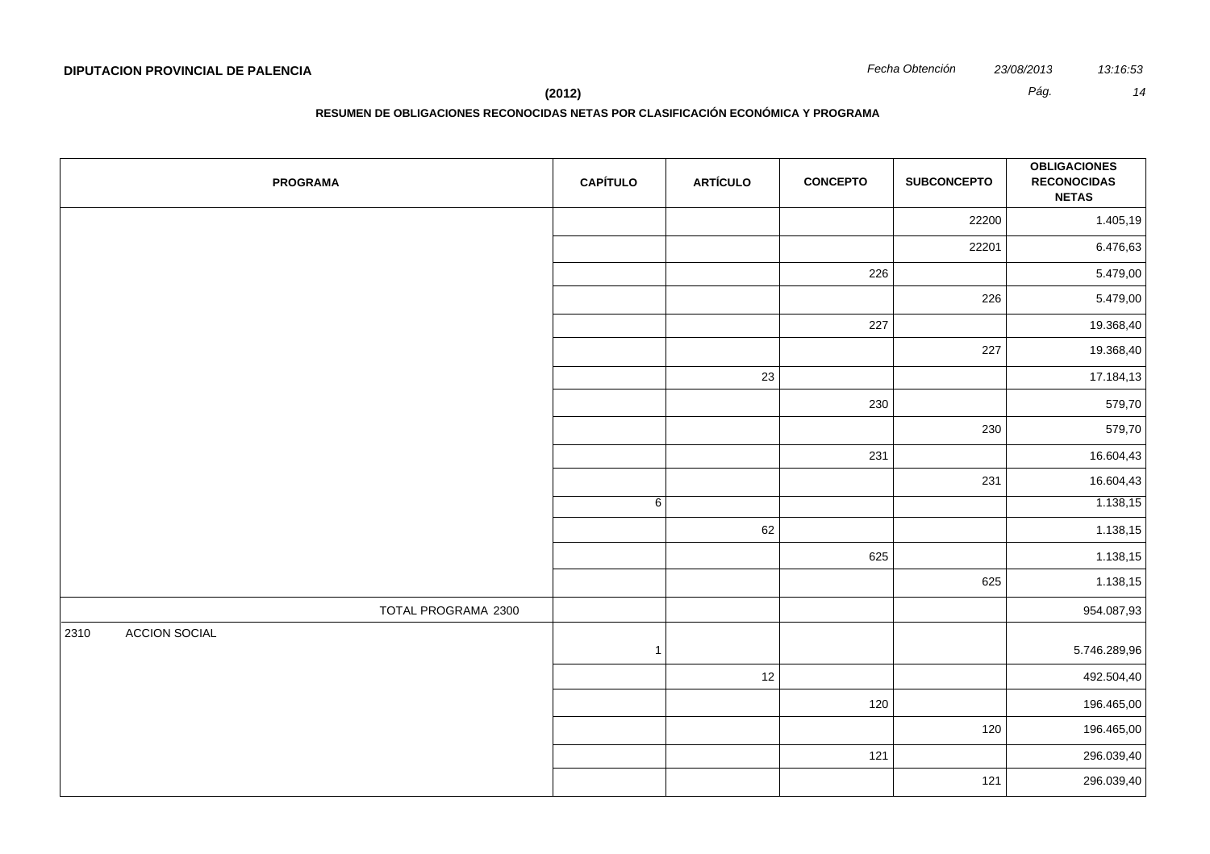**(2012)** *Pág. 14*

| <b>PROGRAMA</b>              | <b>CAPÍTULO</b> | <b>ARTÍCULO</b> | <b>CONCEPTO</b> | <b>SUBCONCEPTO</b> | <b>OBLIGACIONES</b><br><b>RECONOCIDAS</b><br><b>NETAS</b> |
|------------------------------|-----------------|-----------------|-----------------|--------------------|-----------------------------------------------------------|
|                              |                 |                 |                 | 22200              | 1.405,19                                                  |
|                              |                 |                 |                 | 22201              | 6.476,63                                                  |
|                              |                 |                 | 226             |                    | 5.479,00                                                  |
|                              |                 |                 |                 | 226                | 5.479,00                                                  |
|                              |                 |                 | 227             |                    | 19.368,40                                                 |
|                              |                 |                 |                 | 227                | 19.368,40                                                 |
|                              |                 | 23              |                 |                    | 17.184,13                                                 |
|                              |                 |                 | 230             |                    | 579,70                                                    |
|                              |                 |                 |                 | 230                | 579,70                                                    |
|                              |                 |                 | 231             |                    | 16.604,43                                                 |
|                              |                 |                 |                 | 231                | 16.604,43                                                 |
|                              | 6               |                 |                 |                    | 1.138,15                                                  |
|                              |                 | 62              |                 |                    | 1.138,15                                                  |
|                              |                 |                 | 625             |                    | 1.138,15                                                  |
|                              |                 |                 |                 | 625                | 1.138,15                                                  |
| TOTAL PROGRAMA 2300          |                 |                 |                 |                    | 954.087,93                                                |
| <b>ACCION SOCIAL</b><br>2310 | $\mathbf{1}$    |                 |                 |                    | 5.746.289,96                                              |
|                              |                 | 12              |                 |                    | 492.504,40                                                |
|                              |                 |                 | 120             |                    | 196.465,00                                                |
|                              |                 |                 |                 | 120                | 196.465,00                                                |
|                              |                 |                 | 121             |                    | 296.039,40                                                |
|                              |                 |                 |                 | 121                | 296.039,40                                                |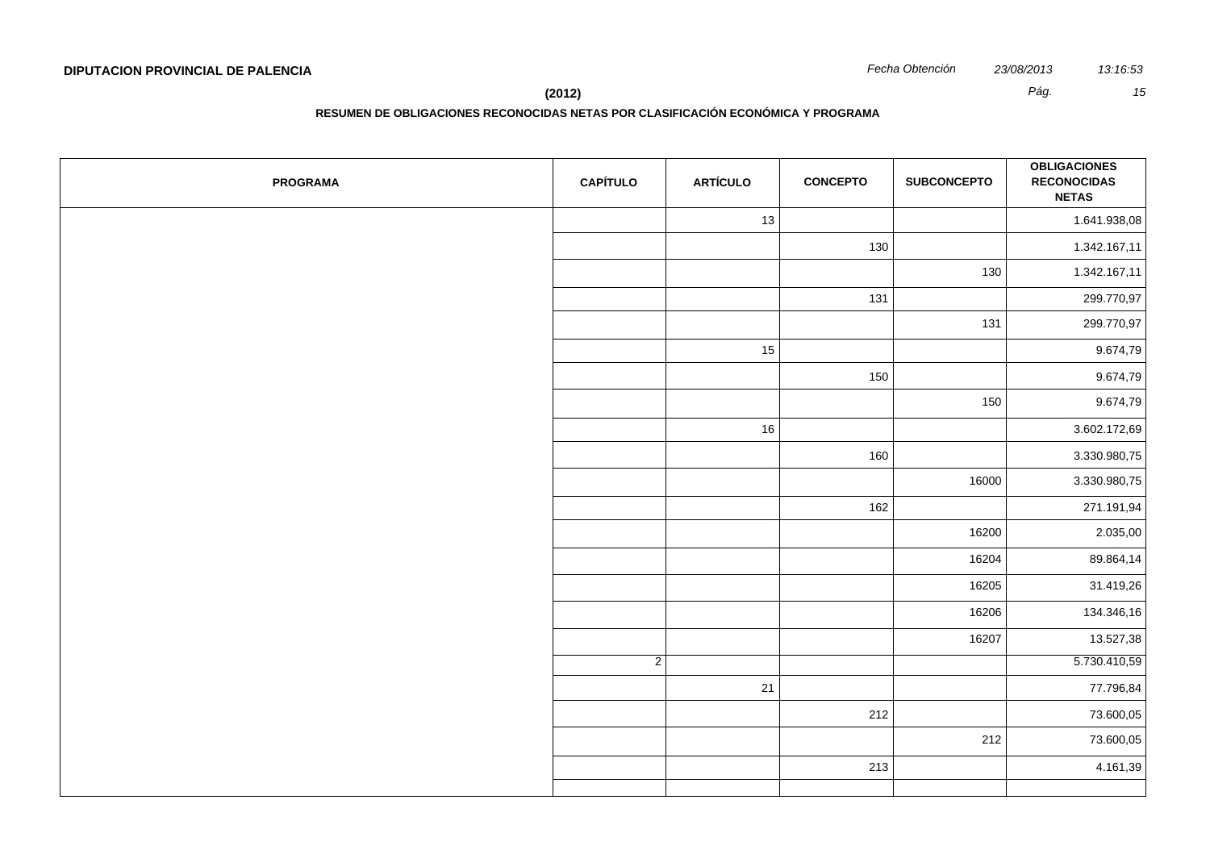**RESUMEN DE OBLIGACIONES RECONOCIDAS NETAS POR CLASIFICACIÓN ECONÓMICA Y PROGRAMA**

| <b>PROGRAMA</b> | <b>CAPÍTULO</b> | <b>ARTÍCULO</b> | <b>CONCEPTO</b> | <b>SUBCONCEPTO</b> | <b>OBLIGACIONES</b><br><b>RECONOCIDAS</b><br><b>NETAS</b> |
|-----------------|-----------------|-----------------|-----------------|--------------------|-----------------------------------------------------------|
|                 |                 | 13              |                 |                    | 1.641.938,08                                              |
|                 |                 |                 | 130             |                    | 1.342.167,11                                              |
|                 |                 |                 |                 | 130                | 1.342.167,11                                              |
|                 |                 |                 | 131             |                    | 299.770,97                                                |
|                 |                 |                 |                 | 131                | 299.770,97                                                |
|                 |                 | 15              |                 |                    | 9.674,79                                                  |
|                 |                 |                 | 150             |                    | 9.674,79                                                  |
|                 |                 |                 |                 | 150                | 9.674,79                                                  |
|                 |                 | 16              |                 |                    | 3.602.172,69                                              |
|                 |                 |                 | 160             |                    | 3.330.980,75                                              |
|                 |                 |                 |                 | 16000              | 3.330.980,75                                              |
|                 |                 |                 | 162             |                    | 271.191,94                                                |
|                 |                 |                 |                 | 16200              | 2.035,00                                                  |
|                 |                 |                 |                 | 16204              | 89.864,14                                                 |
|                 |                 |                 |                 | 16205              | 31.419,26                                                 |
|                 |                 |                 |                 | 16206              | 134.346,16                                                |
|                 |                 |                 |                 | 16207              | 13.527,38                                                 |
|                 | $\overline{2}$  |                 |                 |                    | 5.730.410,59                                              |
|                 |                 | $21$            |                 |                    | 77.796,84                                                 |
|                 |                 |                 | 212             |                    | 73.600,05                                                 |
|                 |                 |                 |                 | 212                | 73.600,05                                                 |
|                 |                 |                 | 213             |                    | 4.161,39                                                  |
|                 |                 |                 |                 |                    |                                                           |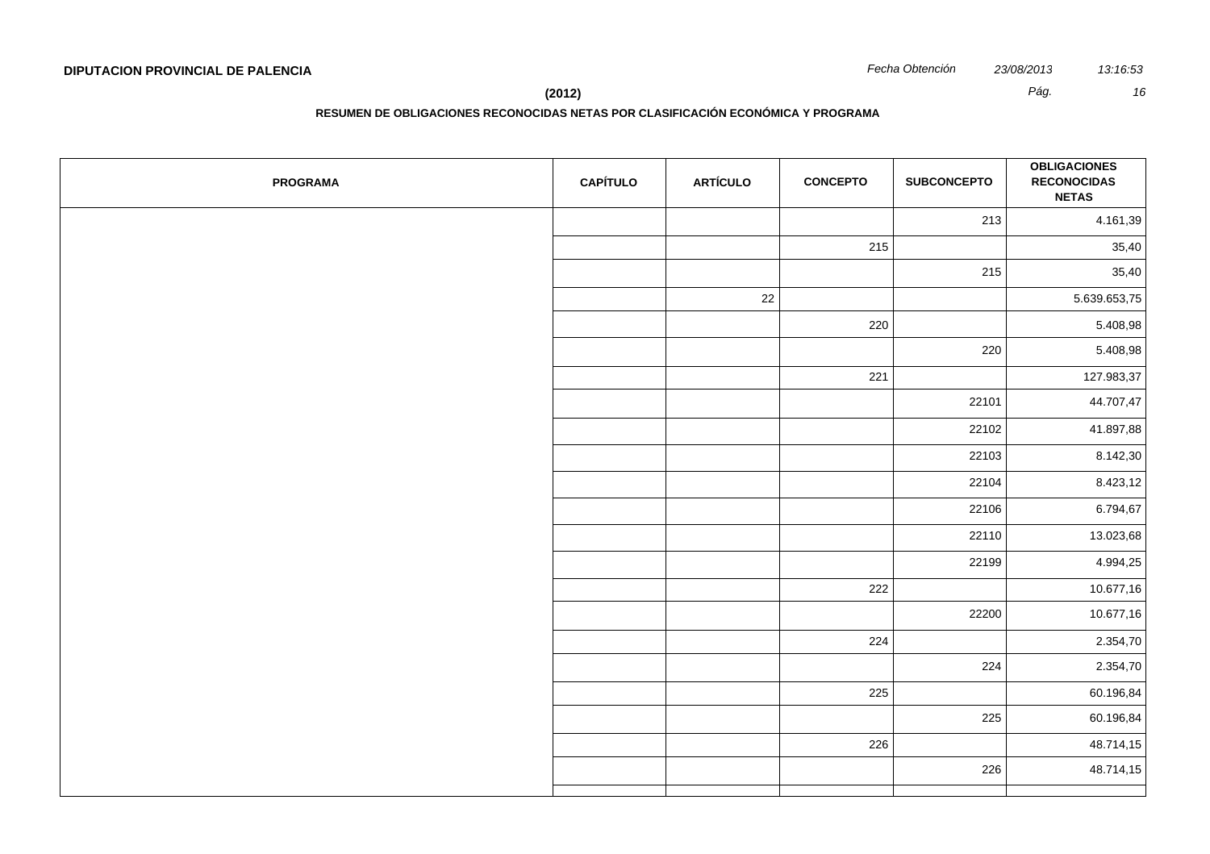**(2012)** *Pág. 16*

| <b>PROGRAMA</b> | <b>CAPÍTULO</b> | <b>ARTÍCULO</b> | <b>CONCEPTO</b> | <b>SUBCONCEPTO</b> | <b>OBLIGACIONES</b><br><b>RECONOCIDAS</b><br><b>NETAS</b> |
|-----------------|-----------------|-----------------|-----------------|--------------------|-----------------------------------------------------------|
|                 |                 |                 |                 | 213                | 4.161,39                                                  |
|                 |                 |                 | 215             |                    | 35,40                                                     |
|                 |                 |                 |                 | 215                | 35,40                                                     |
|                 |                 | 22              |                 |                    | 5.639.653,75                                              |
|                 |                 |                 | 220             |                    | 5.408,98                                                  |
|                 |                 |                 |                 | 220                | 5.408,98                                                  |
|                 |                 |                 | 221             |                    | 127.983,37                                                |
|                 |                 |                 |                 | 22101              | 44.707,47                                                 |
|                 |                 |                 |                 | 22102              | 41.897,88                                                 |
|                 |                 |                 |                 | 22103              | 8.142,30                                                  |
|                 |                 |                 |                 | 22104              | 8.423,12                                                  |
|                 |                 |                 |                 | 22106              | 6.794,67                                                  |
|                 |                 |                 |                 | 22110              | 13.023,68                                                 |
|                 |                 |                 |                 | 22199              | 4.994,25                                                  |
|                 |                 |                 | 222             |                    | 10.677,16                                                 |
|                 |                 |                 |                 | 22200              | 10.677,16                                                 |
|                 |                 |                 | 224             |                    | 2.354,70                                                  |
|                 |                 |                 |                 | 224                | 2.354,70                                                  |
|                 |                 |                 | 225             |                    | 60.196,84                                                 |
|                 |                 |                 |                 | 225                | 60.196,84                                                 |
|                 |                 |                 | 226             |                    | 48.714,15                                                 |
|                 |                 |                 |                 | 226                | 48.714,15                                                 |
|                 |                 |                 |                 |                    |                                                           |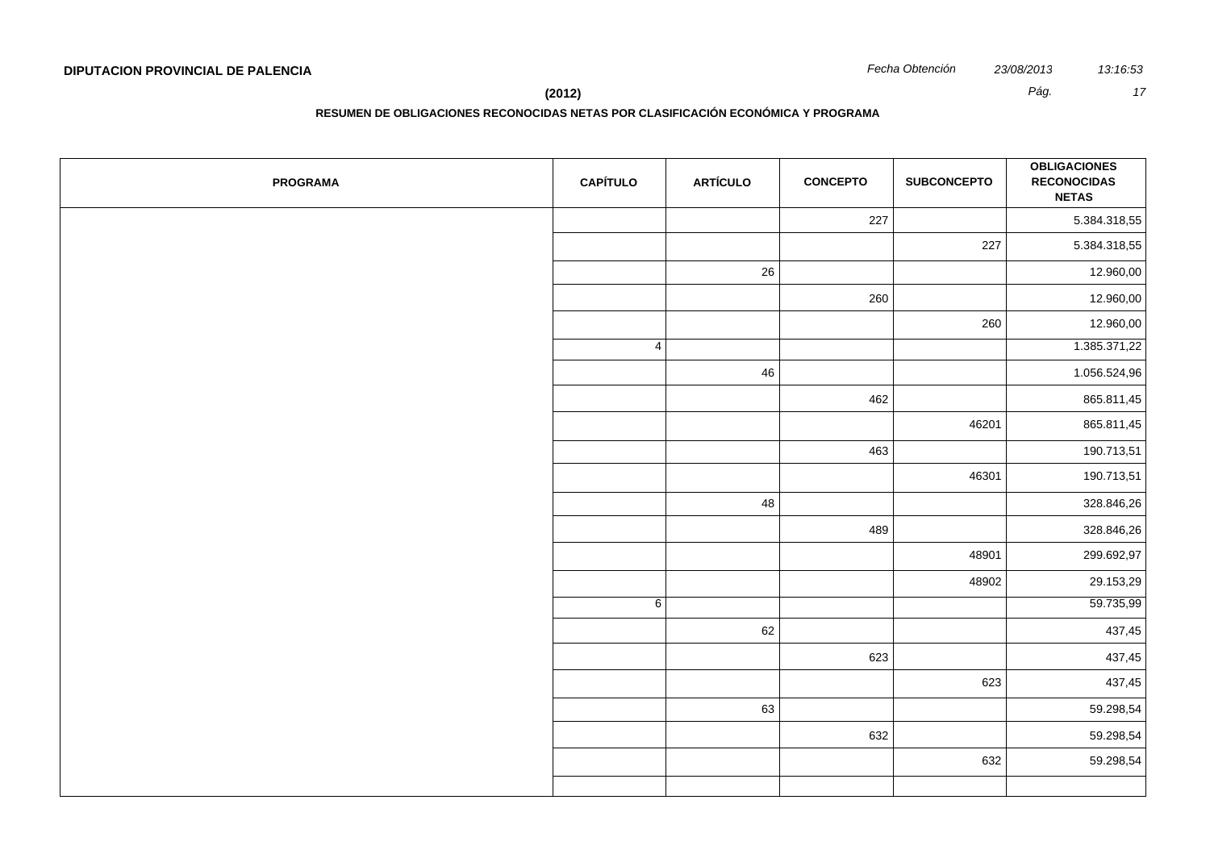**RESUMEN DE OBLIGACIONES RECONOCIDAS NETAS POR CLASIFICACIÓN ECONÓMICA Y PROGRAMA**

| <b>PROGRAMA</b> | <b>CAPÍTULO</b> | <b>ARTÍCULO</b> | <b>CONCEPTO</b> | <b>SUBCONCEPTO</b> | <b>OBLIGACIONES</b><br><b>RECONOCIDAS</b><br><b>NETAS</b> |
|-----------------|-----------------|-----------------|-----------------|--------------------|-----------------------------------------------------------|
|                 |                 |                 | 227             |                    | 5.384.318,55                                              |
|                 |                 |                 |                 | 227                | 5.384.318,55                                              |
|                 |                 | 26              |                 |                    | 12.960,00                                                 |
|                 |                 |                 | 260             |                    | 12.960,00                                                 |
|                 |                 |                 |                 | 260                | 12.960,00                                                 |
|                 | $\overline{4}$  |                 |                 |                    | 1.385.371,22                                              |
|                 |                 | 46              |                 |                    | 1.056.524,96                                              |
|                 |                 |                 | 462             |                    | 865.811,45                                                |
|                 |                 |                 |                 | 46201              | 865.811,45                                                |
|                 |                 |                 | 463             |                    | 190.713,51                                                |
|                 |                 |                 |                 | 46301              | 190.713,51                                                |
|                 |                 | 48              |                 |                    | 328.846,26                                                |
|                 |                 |                 | 489             |                    | 328.846,26                                                |
|                 |                 |                 |                 | 48901              | 299.692,97                                                |
|                 |                 |                 |                 | 48902              | 29.153,29                                                 |
|                 | $6\overline{6}$ |                 |                 |                    | 59.735,99                                                 |
|                 |                 | 62              |                 |                    | 437,45                                                    |
|                 |                 |                 | 623             |                    | 437,45                                                    |
|                 |                 |                 |                 | 623                | 437,45                                                    |
|                 |                 | 63              |                 |                    | 59.298,54                                                 |
|                 |                 |                 | 632             |                    | 59.298,54                                                 |
|                 |                 |                 |                 | 632                | 59.298,54                                                 |
|                 |                 |                 |                 |                    |                                                           |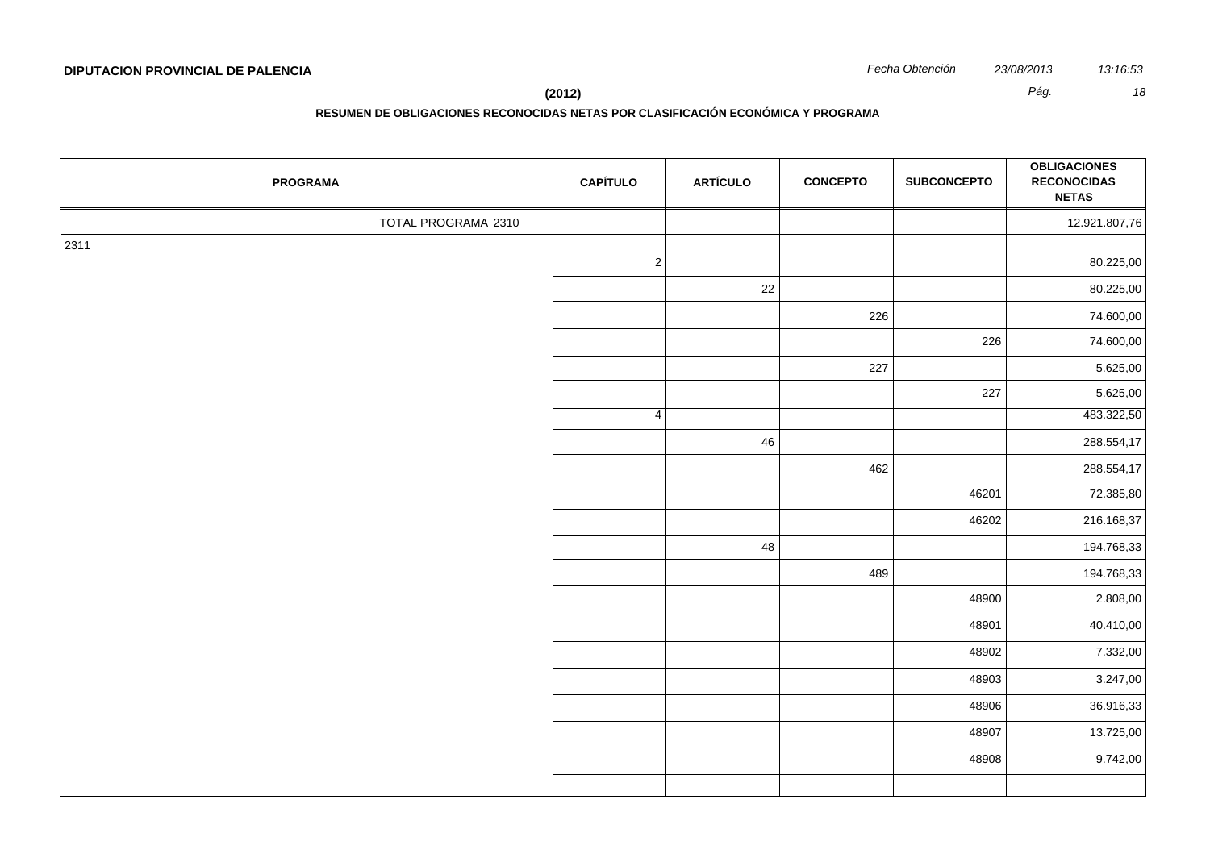| <b>PROGRAMA</b>     | <b>CAPÍTULO</b> | <b>ARTÍCULO</b> | <b>CONCEPTO</b> | <b>SUBCONCEPTO</b> | <b>OBLIGACIONES</b><br><b>RECONOCIDAS</b><br><b>NETAS</b> |
|---------------------|-----------------|-----------------|-----------------|--------------------|-----------------------------------------------------------|
| TOTAL PROGRAMA 2310 |                 |                 |                 |                    | 12.921.807,76                                             |
| 2311                |                 |                 |                 |                    |                                                           |
|                     | $\sqrt{2}$      |                 |                 |                    | 80.225,00                                                 |
|                     |                 | 22              |                 |                    | 80.225,00                                                 |
|                     |                 |                 | 226             |                    | 74.600,00                                                 |
|                     |                 |                 |                 | 226                | 74.600,00                                                 |
|                     |                 |                 | 227             |                    | 5.625,00                                                  |
|                     |                 |                 |                 | 227                | 5.625,00                                                  |
|                     | $\overline{4}$  |                 |                 |                    | 483.322,50                                                |
|                     |                 | 46              |                 |                    | 288.554,17                                                |
|                     |                 |                 | 462             |                    | 288.554,17                                                |
|                     |                 |                 |                 | 46201              | 72.385,80                                                 |
|                     |                 |                 |                 | 46202              | 216.168,37                                                |
|                     |                 | 48              |                 |                    | 194.768,33                                                |
|                     |                 |                 | 489             |                    | 194.768,33                                                |
|                     |                 |                 |                 | 48900              | 2.808,00                                                  |
|                     |                 |                 |                 | 48901              | 40.410,00                                                 |
|                     |                 |                 |                 | 48902              | 7.332,00                                                  |
|                     |                 |                 |                 | 48903              | 3.247,00                                                  |
|                     |                 |                 |                 | 48906              | 36.916,33                                                 |
|                     |                 |                 |                 | 48907              | 13.725,00                                                 |
|                     |                 |                 |                 | 48908              | 9.742,00                                                  |
|                     |                 |                 |                 |                    |                                                           |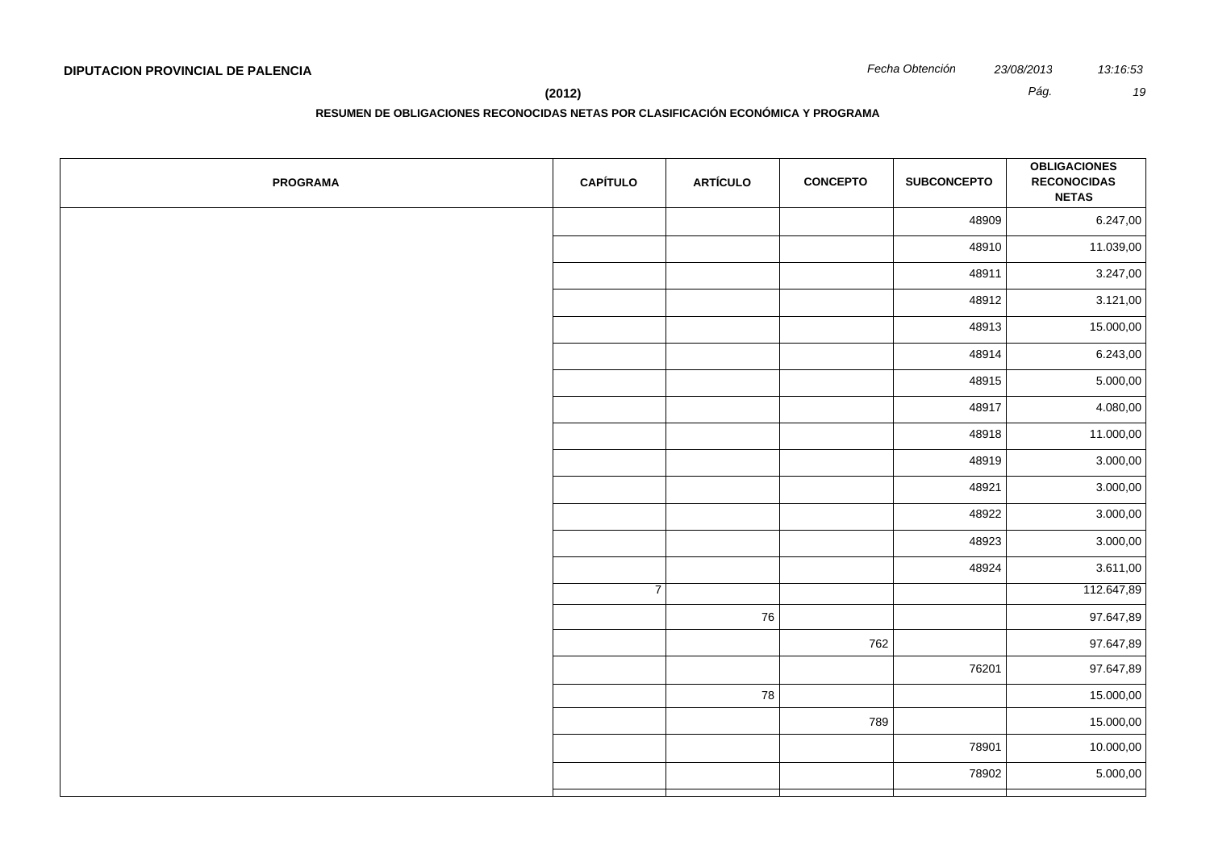**(2012)** *Pág. 19*

| <b>PROGRAMA</b> | <b>CAPÍTULO</b> | <b>ARTÍCULO</b> | <b>CONCEPTO</b> | <b>SUBCONCEPTO</b> | <b>OBLIGACIONES</b><br><b>RECONOCIDAS</b><br><b>NETAS</b> |
|-----------------|-----------------|-----------------|-----------------|--------------------|-----------------------------------------------------------|
|                 |                 |                 |                 | 48909              | 6.247,00                                                  |
|                 |                 |                 |                 | 48910              | 11.039,00                                                 |
|                 |                 |                 |                 | 48911              | 3.247,00                                                  |
|                 |                 |                 |                 | 48912              | 3.121,00                                                  |
|                 |                 |                 |                 | 48913              | 15.000,00                                                 |
|                 |                 |                 |                 | 48914              | 6.243,00                                                  |
|                 |                 |                 |                 | 48915              | 5.000,00                                                  |
|                 |                 |                 |                 | 48917              | 4.080,00                                                  |
|                 |                 |                 |                 | 48918              | 11.000,00                                                 |
|                 |                 |                 |                 | 48919              | 3.000,00                                                  |
|                 |                 |                 |                 | 48921              | 3.000,00                                                  |
|                 |                 |                 |                 | 48922              | 3.000,00                                                  |
|                 |                 |                 |                 | 48923              | 3.000,00                                                  |
|                 |                 |                 |                 | 48924              | 3.611,00                                                  |
|                 | $\overline{7}$  |                 |                 |                    | 112.647,89                                                |
|                 |                 | 76              |                 |                    | 97.647,89                                                 |
|                 |                 |                 | 762             |                    | 97.647,89                                                 |
|                 |                 |                 |                 | 76201              | 97.647,89                                                 |
|                 |                 | 78              |                 |                    | 15.000,00                                                 |
|                 |                 |                 | 789             |                    | 15.000,00                                                 |
|                 |                 |                 |                 | 78901              | 10.000,00                                                 |
|                 |                 |                 |                 | 78902              | 5.000,00                                                  |
|                 |                 |                 |                 |                    |                                                           |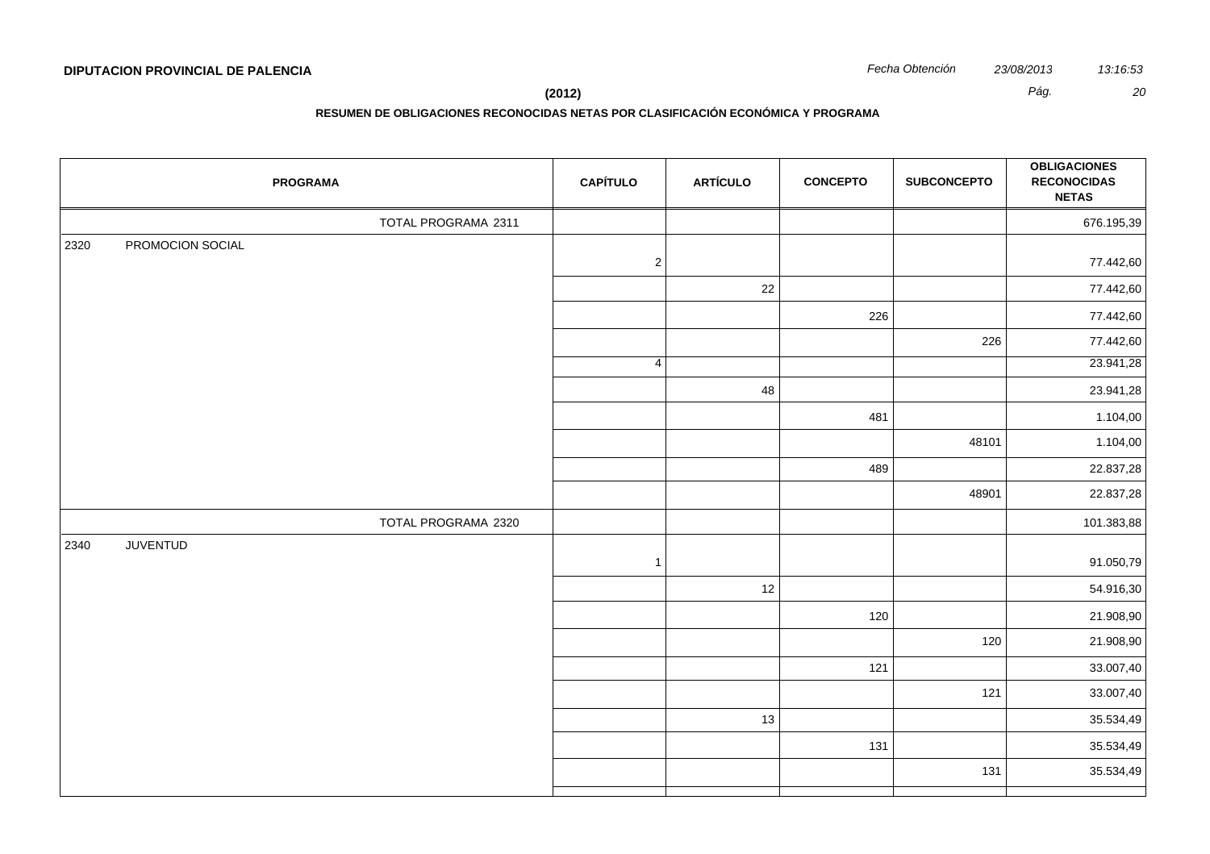| Fecha Obtención | 23/08/201 |
|-----------------|-----------|
|                 |           |

| <b>PROGRAMA</b>          | <b>CAPÍTULO</b> | <b>ARTÍCULO</b> | <b>CONCEPTO</b> | <b>SUBCONCEPTO</b> | <b>OBLIGACIONES</b><br><b>RECONOCIDAS</b><br><b>NETAS</b> |
|--------------------------|-----------------|-----------------|-----------------|--------------------|-----------------------------------------------------------|
| TOTAL PROGRAMA 2311      |                 |                 |                 |                    | 676.195,39                                                |
| PROMOCION SOCIAL<br>2320 | $\sqrt{2}$      |                 |                 |                    | 77.442,60                                                 |
|                          |                 | 22              |                 |                    | 77.442,60                                                 |
|                          |                 |                 | 226             |                    | 77.442,60                                                 |
|                          |                 |                 |                 | 226                | 77.442,60                                                 |
|                          | $\overline{4}$  |                 |                 |                    | 23.941,28                                                 |
|                          |                 | 48              |                 |                    | 23.941,28                                                 |
|                          |                 |                 | 481             |                    | 1.104,00                                                  |
|                          |                 |                 |                 | 48101              | 1.104,00                                                  |
|                          |                 |                 | 489             |                    | 22.837,28                                                 |
|                          |                 |                 |                 | 48901              | 22.837,28                                                 |
| TOTAL PROGRAMA 2320      |                 |                 |                 |                    | 101.383,88                                                |
| <b>JUVENTUD</b><br>2340  | $\overline{1}$  |                 |                 |                    | 91.050,79                                                 |
|                          |                 | 12              |                 |                    | 54.916,30                                                 |
|                          |                 |                 | 120             |                    | 21.908,90                                                 |
|                          |                 |                 |                 | 120                | 21.908,90                                                 |
|                          |                 |                 | 121             |                    | 33.007,40                                                 |
|                          |                 |                 |                 | 121                | 33.007,40                                                 |
|                          |                 | 13              |                 |                    | 35.534,49                                                 |
|                          |                 |                 | 131             |                    | 35.534,49                                                 |
|                          |                 |                 |                 | 131                | 35.534,49                                                 |
|                          |                 |                 |                 |                    |                                                           |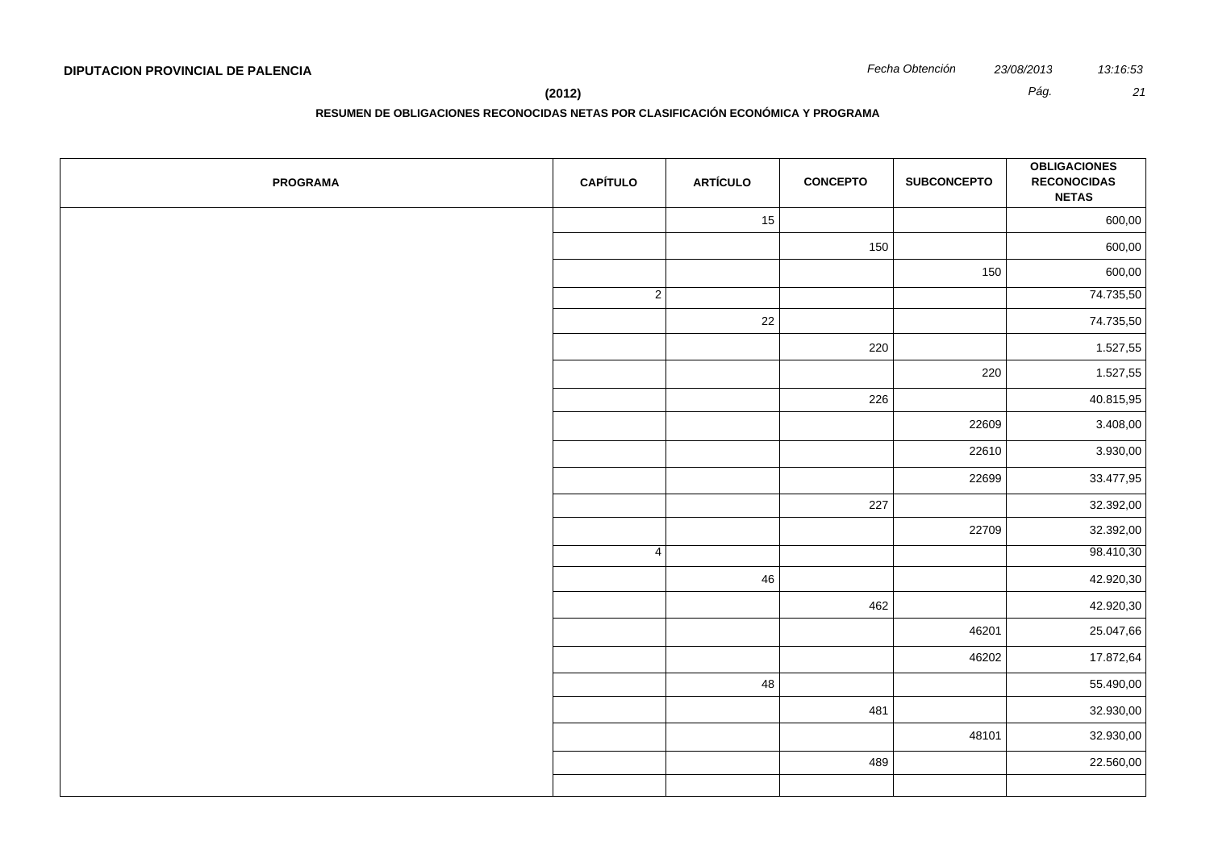**RESUMEN DE OBLIGACIONES RECONOCIDAS NETAS POR CLASIFICACIÓN ECONÓMICA Y PROGRAMA**

| <b>PROGRAMA</b> | <b>CAPÍTULO</b> | <b>ARTÍCULO</b> | <b>CONCEPTO</b> | <b>SUBCONCEPTO</b> | <b>OBLIGACIONES</b><br><b>RECONOCIDAS</b><br><b>NETAS</b> |
|-----------------|-----------------|-----------------|-----------------|--------------------|-----------------------------------------------------------|
|                 |                 | 15              |                 |                    | 600,00                                                    |
|                 |                 |                 | 150             |                    | 600,00                                                    |
|                 |                 |                 |                 | 150                | 600,00                                                    |
|                 | $\overline{2}$  |                 |                 |                    | 74.735,50                                                 |
|                 |                 | 22              |                 |                    | 74.735,50                                                 |
|                 |                 |                 | 220             |                    | 1.527,55                                                  |
|                 |                 |                 |                 | 220                | 1.527,55                                                  |
|                 |                 |                 | 226             |                    | 40.815,95                                                 |
|                 |                 |                 |                 | 22609              | 3.408,00                                                  |
|                 |                 |                 |                 | 22610              | 3.930,00                                                  |
|                 |                 |                 |                 | 22699              | 33.477,95                                                 |
|                 |                 |                 | 227             |                    | 32.392,00                                                 |
|                 |                 |                 |                 | 22709              | 32.392,00                                                 |
|                 | 4               |                 |                 |                    | 98.410,30                                                 |
|                 |                 | 46              |                 |                    | 42.920,30                                                 |
|                 |                 |                 | 462             |                    | 42.920,30                                                 |
|                 |                 |                 |                 | 46201              | 25.047,66                                                 |
|                 |                 |                 |                 | 46202              | 17.872,64                                                 |
|                 |                 | 48              |                 |                    | 55.490,00                                                 |
|                 |                 |                 | 481             |                    | 32.930,00                                                 |
|                 |                 |                 |                 | 48101              | 32.930,00                                                 |
|                 |                 |                 | 489             |                    | 22.560,00                                                 |
|                 |                 |                 |                 |                    |                                                           |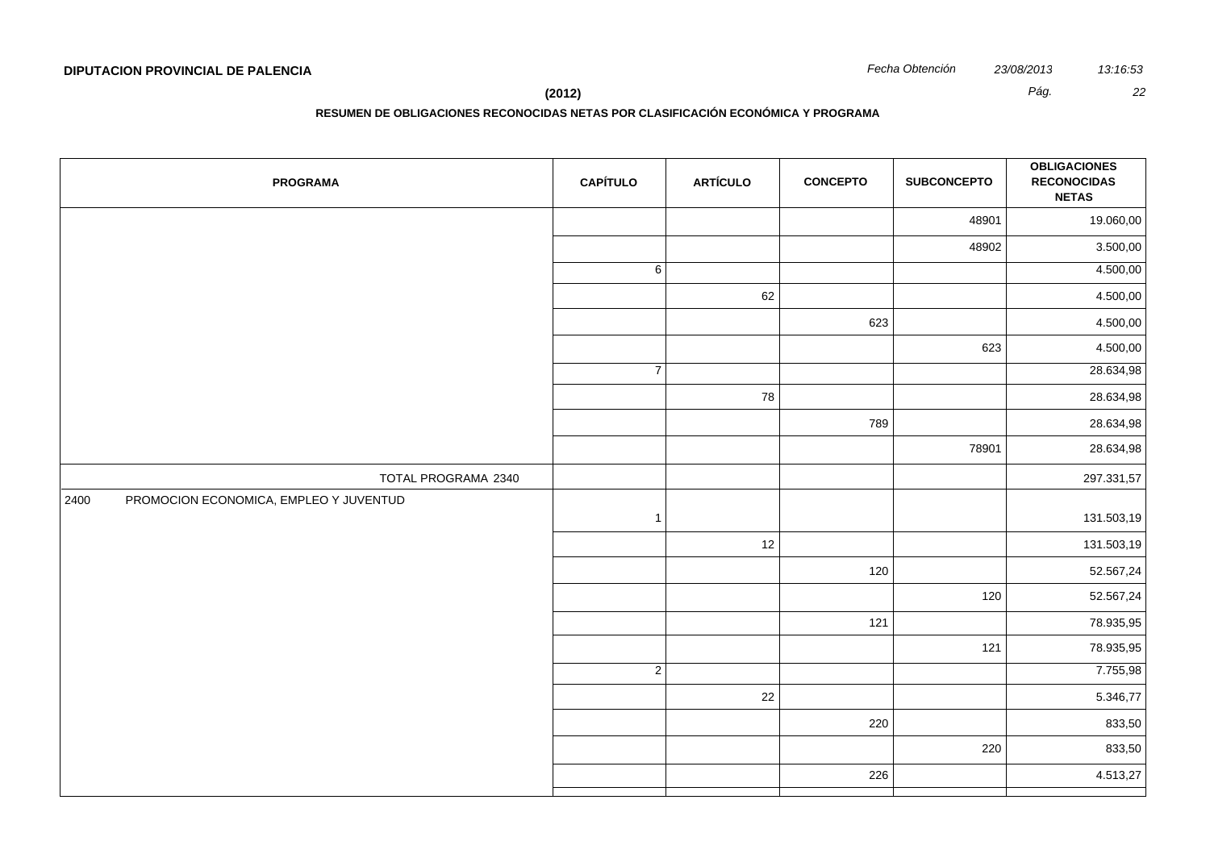**(2012)** *Pág. 22*

| <b>PROGRAMA</b>                                | <b>CAPÍTULO</b> | <b>ARTÍCULO</b> | <b>CONCEPTO</b> | <b>SUBCONCEPTO</b> | <b>OBLIGACIONES</b><br><b>RECONOCIDAS</b><br><b>NETAS</b> |
|------------------------------------------------|-----------------|-----------------|-----------------|--------------------|-----------------------------------------------------------|
|                                                |                 |                 |                 | 48901              | 19.060,00                                                 |
|                                                |                 |                 |                 | 48902              | 3.500,00                                                  |
|                                                | 6               |                 |                 |                    | 4.500,00                                                  |
|                                                |                 | 62              |                 |                    | 4.500,00                                                  |
|                                                |                 |                 | 623             |                    | 4.500,00                                                  |
|                                                |                 |                 |                 | 623                | 4.500,00                                                  |
|                                                | $\overline{7}$  |                 |                 |                    | 28.634,98                                                 |
|                                                |                 | 78              |                 |                    | 28.634,98                                                 |
|                                                |                 |                 | 789             |                    | 28.634,98                                                 |
|                                                |                 |                 |                 | 78901              | 28.634,98                                                 |
| TOTAL PROGRAMA 2340                            |                 |                 |                 |                    | 297.331,57                                                |
| PROMOCION ECONOMICA, EMPLEO Y JUVENTUD<br>2400 | $\overline{1}$  |                 |                 |                    | 131.503,19                                                |
|                                                |                 | 12              |                 |                    | 131.503,19                                                |
|                                                |                 |                 | 120             |                    | 52.567,24                                                 |
|                                                |                 |                 |                 | 120                | 52.567,24                                                 |
|                                                |                 |                 | 121             |                    | 78.935,95                                                 |
|                                                |                 |                 |                 | 121                | 78.935,95                                                 |
|                                                | $\overline{2}$  |                 |                 |                    | 7.755,98                                                  |
|                                                |                 | 22              |                 |                    | 5.346,77                                                  |
|                                                |                 |                 | 220             |                    | 833,50                                                    |
|                                                |                 |                 |                 | 220                | 833,50                                                    |
|                                                |                 |                 | 226             |                    | 4.513,27                                                  |
|                                                |                 |                 |                 |                    |                                                           |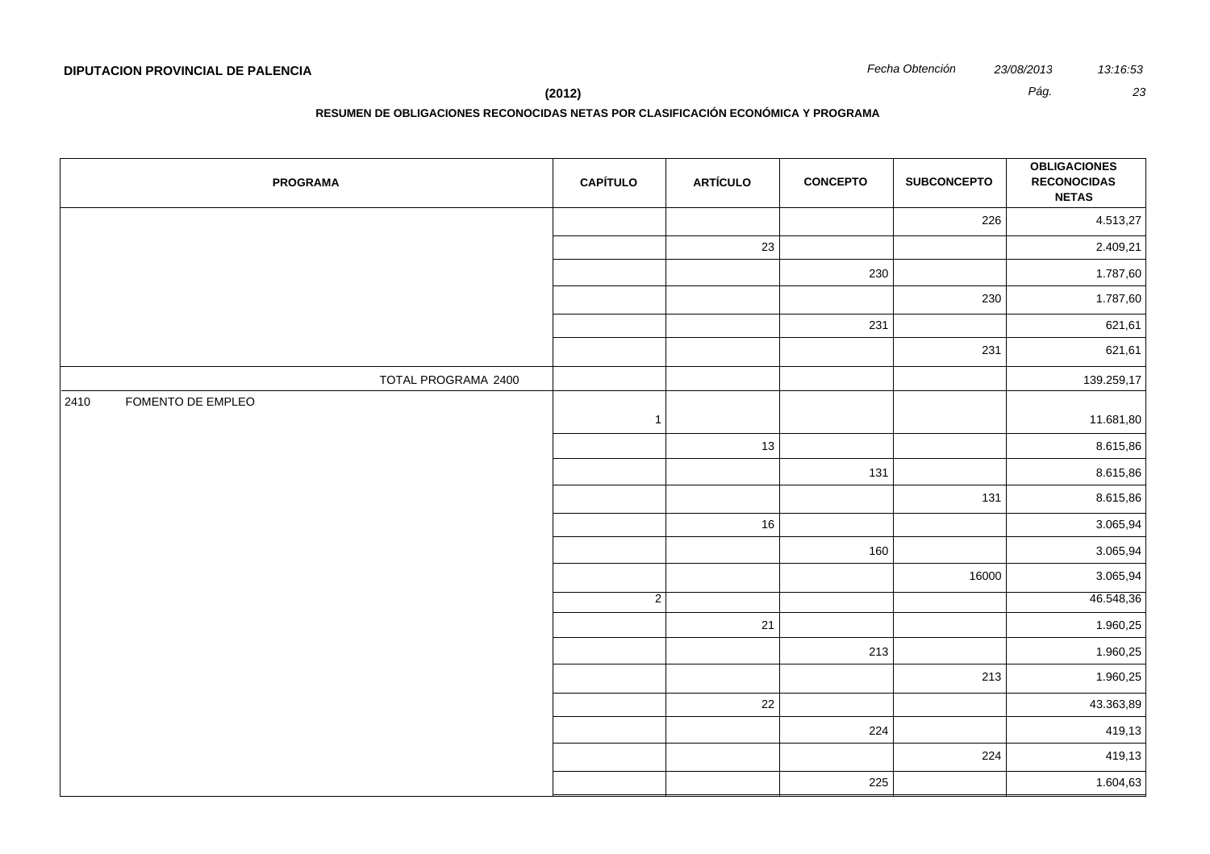| <b>PROGRAMA</b>           | <b>CAPÍTULO</b> | <b>ARTÍCULO</b> | <b>CONCEPTO</b> | <b>SUBCONCEPTO</b> | <b>OBLIGACIONES</b><br><b>RECONOCIDAS</b><br><b>NETAS</b> |
|---------------------------|-----------------|-----------------|-----------------|--------------------|-----------------------------------------------------------|
|                           |                 |                 |                 | 226                | 4.513,27                                                  |
|                           |                 | 23              |                 |                    | 2.409,21                                                  |
|                           |                 |                 | 230             |                    | 1.787,60                                                  |
|                           |                 |                 |                 | 230                | 1.787,60                                                  |
|                           |                 |                 | 231             |                    | 621,61                                                    |
|                           |                 |                 |                 | 231                | 621,61                                                    |
| TOTAL PROGRAMA 2400       |                 |                 |                 |                    | 139.259,17                                                |
| 2410<br>FOMENTO DE EMPLEO | $\overline{1}$  |                 |                 |                    | 11.681,80                                                 |
|                           |                 | 13              |                 |                    | 8.615,86                                                  |
|                           |                 |                 | 131             |                    | 8.615,86                                                  |
|                           |                 |                 |                 | 131                | 8.615,86                                                  |
|                           |                 | 16              |                 |                    | 3.065,94                                                  |
|                           |                 |                 | 160             |                    | 3.065,94                                                  |
|                           |                 |                 |                 | 16000              | 3.065,94                                                  |
|                           | $\overline{2}$  |                 |                 |                    | 46.548,36                                                 |
|                           |                 | 21              |                 |                    | 1.960,25                                                  |
|                           |                 |                 | 213             |                    | 1.960,25                                                  |
|                           |                 |                 |                 | 213                | 1.960,25                                                  |
|                           |                 | 22              |                 |                    | 43.363,89                                                 |
|                           |                 |                 | 224             |                    | 419,13                                                    |
|                           |                 |                 |                 | 224                | 419,13                                                    |
|                           |                 |                 | 225             |                    | 1.604,63                                                  |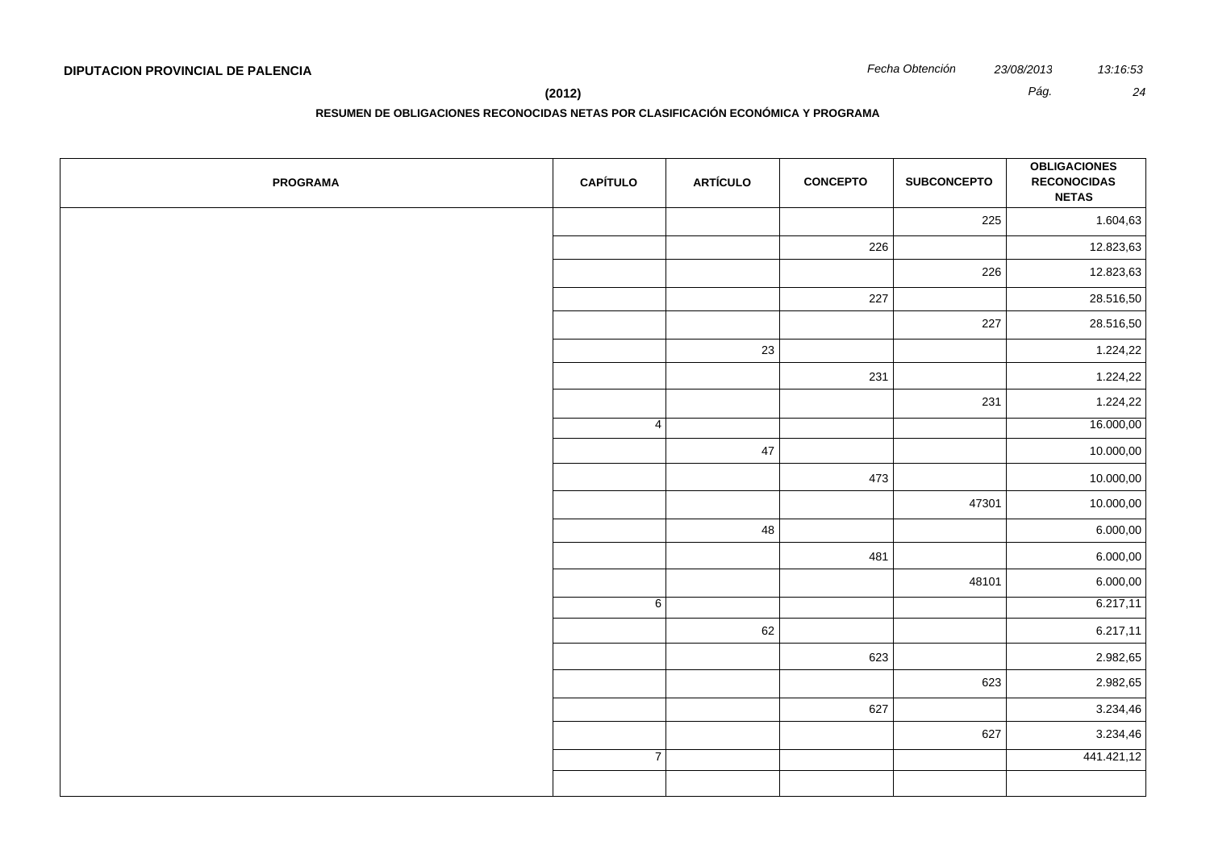**RESUMEN DE OBLIGACIONES RECONOCIDAS NETAS POR CLASIFICACIÓN ECONÓMICA Y PROGRAMA**

| <b>PROGRAMA</b> | <b>CAPÍTULO</b> | <b>ARTÍCULO</b> | <b>CONCEPTO</b> | <b>SUBCONCEPTO</b> | <b>OBLIGACIONES</b><br><b>RECONOCIDAS</b><br><b>NETAS</b> |
|-----------------|-----------------|-----------------|-----------------|--------------------|-----------------------------------------------------------|
|                 |                 |                 |                 | 225                | 1.604,63                                                  |
|                 |                 |                 | 226             |                    | 12.823,63                                                 |
|                 |                 |                 |                 | 226                | 12.823,63                                                 |
|                 |                 |                 | 227             |                    | 28.516,50                                                 |
|                 |                 |                 |                 | 227                | 28.516,50                                                 |
|                 |                 | 23              |                 |                    | 1.224,22                                                  |
|                 |                 |                 | 231             |                    | 1.224,22                                                  |
|                 |                 |                 |                 | 231                | 1.224,22                                                  |
|                 | $\vert 4 \vert$ |                 |                 |                    | 16.000,00                                                 |
|                 |                 | 47              |                 |                    | 10.000,00                                                 |
|                 |                 |                 | 473             |                    | 10.000,00                                                 |
|                 |                 |                 |                 | 47301              | 10.000,00                                                 |
|                 |                 | 48              |                 |                    | 6.000,00                                                  |
|                 |                 |                 | 481             |                    | 6.000,00                                                  |
|                 |                 |                 |                 | 48101              | 6.000,00                                                  |
|                 | 6               |                 |                 |                    | 6.217,11                                                  |
|                 |                 | 62              |                 |                    | 6.217,11                                                  |
|                 |                 |                 | 623             |                    | 2.982,65                                                  |
|                 |                 |                 |                 | 623                | 2.982,65                                                  |
|                 |                 |                 | 627             |                    | 3.234,46                                                  |
|                 |                 |                 |                 | 627                | 3.234,46                                                  |
|                 | $\overline{7}$  |                 |                 |                    | 441.421,12                                                |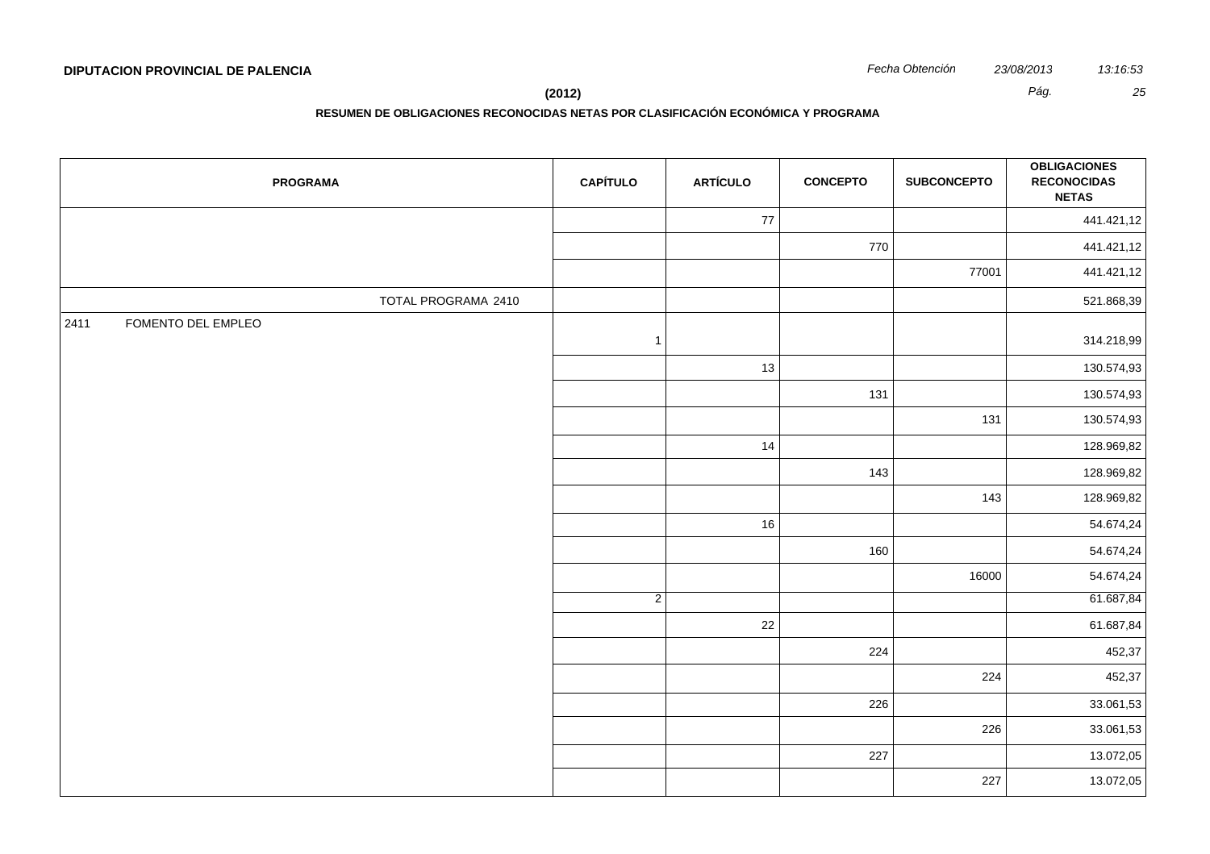**(2012)** *Pág. 25*

| <b>PROGRAMA</b>            | <b>CAPÍTULO</b> | <b>ARTÍCULO</b> | <b>CONCEPTO</b> | <b>SUBCONCEPTO</b> | <b>OBLIGACIONES</b><br><b>RECONOCIDAS</b><br><b>NETAS</b> |
|----------------------------|-----------------|-----------------|-----------------|--------------------|-----------------------------------------------------------|
|                            |                 | 77              |                 |                    | 441.421,12                                                |
|                            |                 |                 | 770             |                    | 441.421,12                                                |
|                            |                 |                 |                 | 77001              | 441.421,12                                                |
| TOTAL PROGRAMA 2410        |                 |                 |                 |                    | 521.868,39                                                |
| FOMENTO DEL EMPLEO<br>2411 | $\overline{1}$  |                 |                 |                    | 314.218,99                                                |
|                            |                 | 13              |                 |                    | 130.574,93                                                |
|                            |                 |                 | 131             |                    | 130.574,93                                                |
|                            |                 |                 |                 | 131                | 130.574,93                                                |
|                            |                 | 14              |                 |                    | 128.969,82                                                |
|                            |                 |                 | 143             |                    | 128.969,82                                                |
|                            |                 |                 |                 | 143                | 128.969,82                                                |
|                            |                 | $16\,$          |                 |                    | 54.674,24                                                 |
|                            |                 |                 | 160             |                    | 54.674,24                                                 |
|                            |                 |                 |                 | 16000              | 54.674,24                                                 |
|                            | $\overline{2}$  |                 |                 |                    | 61.687,84                                                 |
|                            |                 | $22\,$          |                 |                    | 61.687,84                                                 |
|                            |                 |                 | 224             |                    | 452,37                                                    |
|                            |                 |                 |                 | 224                | 452,37                                                    |
|                            |                 |                 | 226             |                    | 33.061,53                                                 |
|                            |                 |                 |                 | 226                | 33.061,53                                                 |
|                            |                 |                 | 227             |                    | 13.072,05                                                 |
|                            |                 |                 |                 | 227                | 13.072,05                                                 |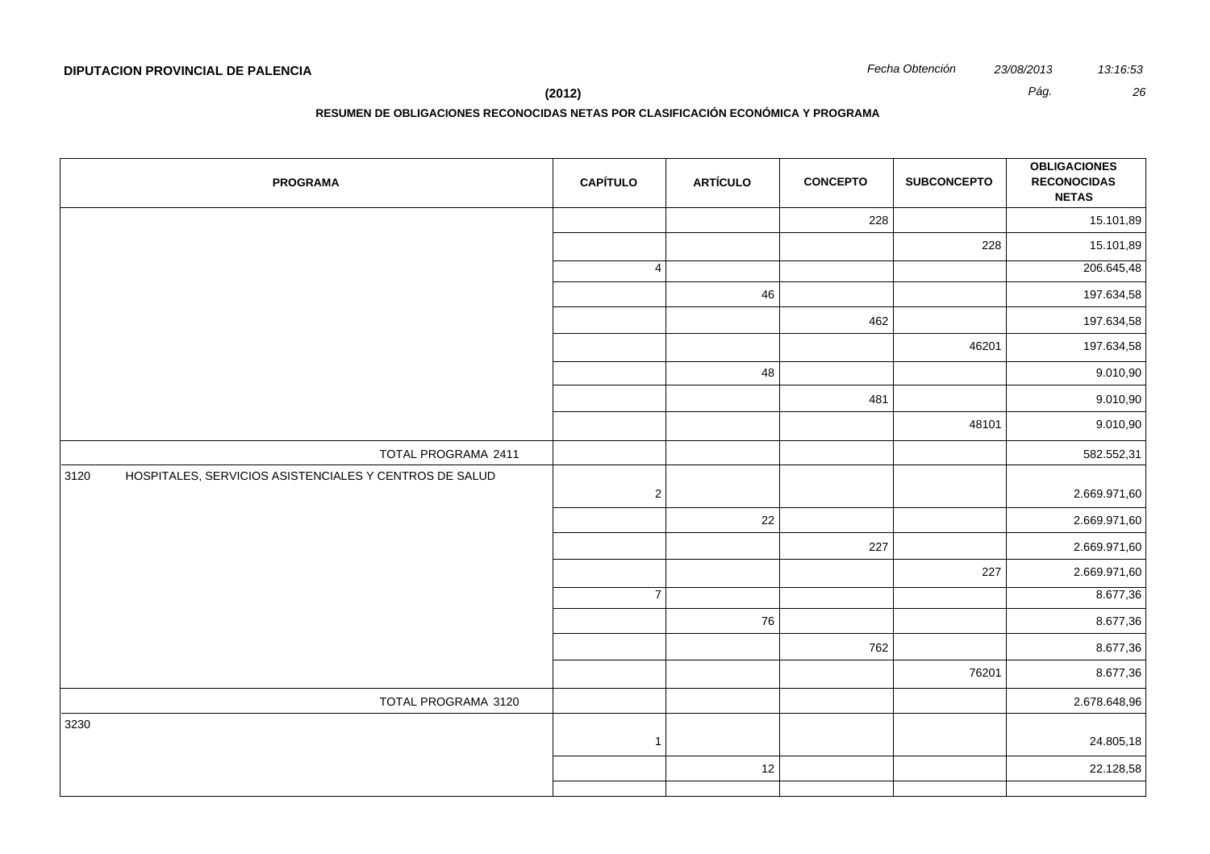**(2012)** *Pág. 26*

| <b>PROGRAMA</b>                                                | <b>CAPÍTULO</b> | <b>ARTÍCULO</b> | <b>CONCEPTO</b> | <b>SUBCONCEPTO</b> | <b>OBLIGACIONES</b><br><b>RECONOCIDAS</b><br><b>NETAS</b> |
|----------------------------------------------------------------|-----------------|-----------------|-----------------|--------------------|-----------------------------------------------------------|
|                                                                |                 |                 | 228             |                    | 15.101,89                                                 |
|                                                                |                 |                 |                 | 228                | 15.101,89                                                 |
|                                                                | $\overline{4}$  |                 |                 |                    | 206.645,48                                                |
|                                                                |                 | 46              |                 |                    | 197.634,58                                                |
|                                                                |                 |                 | 462             |                    | 197.634,58                                                |
|                                                                |                 |                 |                 | 46201              | 197.634,58                                                |
|                                                                |                 | 48              |                 |                    | 9.010,90                                                  |
|                                                                |                 |                 | 481             |                    | 9.010,90                                                  |
|                                                                |                 |                 |                 | 48101              | 9.010,90                                                  |
| TOTAL PROGRAMA 2411                                            |                 |                 |                 |                    | 582.552,31                                                |
| 3120<br>HOSPITALES, SERVICIOS ASISTENCIALES Y CENTROS DE SALUD | $\sqrt{2}$      |                 |                 |                    | 2.669.971,60                                              |
|                                                                |                 | 22              |                 |                    | 2.669.971,60                                              |
|                                                                |                 |                 | 227             |                    | 2.669.971,60                                              |
|                                                                |                 |                 |                 | 227                | 2.669.971,60                                              |
|                                                                | $\overline{7}$  |                 |                 |                    | 8.677,36                                                  |
|                                                                |                 | 76              |                 |                    | 8.677,36                                                  |
|                                                                |                 |                 | 762             |                    | 8.677,36                                                  |
|                                                                |                 |                 |                 | 76201              | 8.677,36                                                  |
| TOTAL PROGRAMA 3120                                            |                 |                 |                 |                    | 2.678.648,96                                              |
| 3230                                                           | $\overline{1}$  |                 |                 |                    | 24.805,18                                                 |
|                                                                |                 | 12              |                 |                    | 22.128,58                                                 |
|                                                                |                 |                 |                 |                    |                                                           |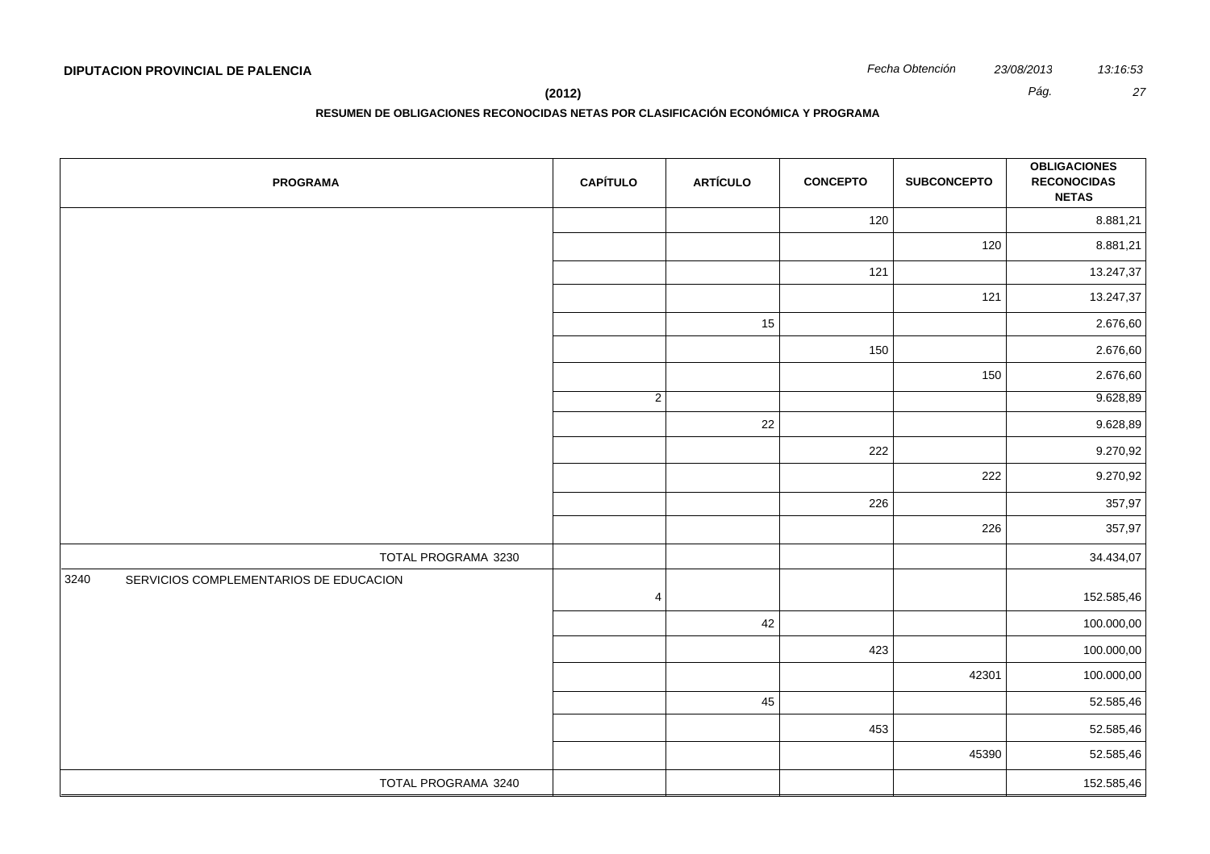**(2012)** *Pág. 27*

| <b>PROGRAMA</b>                                | <b>CAPÍTULO</b> | <b>ARTÍCULO</b> | <b>CONCEPTO</b> | <b>SUBCONCEPTO</b> | <b>OBLIGACIONES</b><br><b>RECONOCIDAS</b><br><b>NETAS</b> |
|------------------------------------------------|-----------------|-----------------|-----------------|--------------------|-----------------------------------------------------------|
|                                                |                 |                 | 120             |                    | 8.881,21                                                  |
|                                                |                 |                 |                 | 120                | 8.881,21                                                  |
|                                                |                 |                 | 121             |                    | 13.247,37                                                 |
|                                                |                 |                 |                 | 121                | 13.247,37                                                 |
|                                                |                 | 15              |                 |                    | 2.676,60                                                  |
|                                                |                 |                 | 150             |                    | 2.676,60                                                  |
|                                                |                 |                 |                 | 150                | 2.676,60                                                  |
|                                                | $\overline{2}$  |                 |                 |                    | 9.628,89                                                  |
|                                                |                 | 22              |                 |                    | 9.628,89                                                  |
|                                                |                 |                 | 222             |                    | 9.270,92                                                  |
|                                                |                 |                 |                 | 222                | 9.270,92                                                  |
|                                                |                 |                 | 226             |                    | 357,97                                                    |
|                                                |                 |                 |                 | 226                | 357,97                                                    |
| TOTAL PROGRAMA 3230                            |                 |                 |                 |                    | 34.434,07                                                 |
| SERVICIOS COMPLEMENTARIOS DE EDUCACION<br>3240 | $\overline{4}$  |                 |                 |                    | 152.585,46                                                |
|                                                |                 | 42              |                 |                    | 100.000,00                                                |
|                                                |                 |                 | 423             |                    | 100.000,00                                                |
|                                                |                 |                 |                 | 42301              | 100.000,00                                                |
|                                                |                 | 45              |                 |                    | 52.585,46                                                 |
|                                                |                 |                 | 453             |                    | 52.585,46                                                 |
|                                                |                 |                 |                 | 45390              | 52.585,46                                                 |
| TOTAL PROGRAMA 3240                            |                 |                 |                 |                    | 152.585,46                                                |
|                                                |                 |                 |                 |                    |                                                           |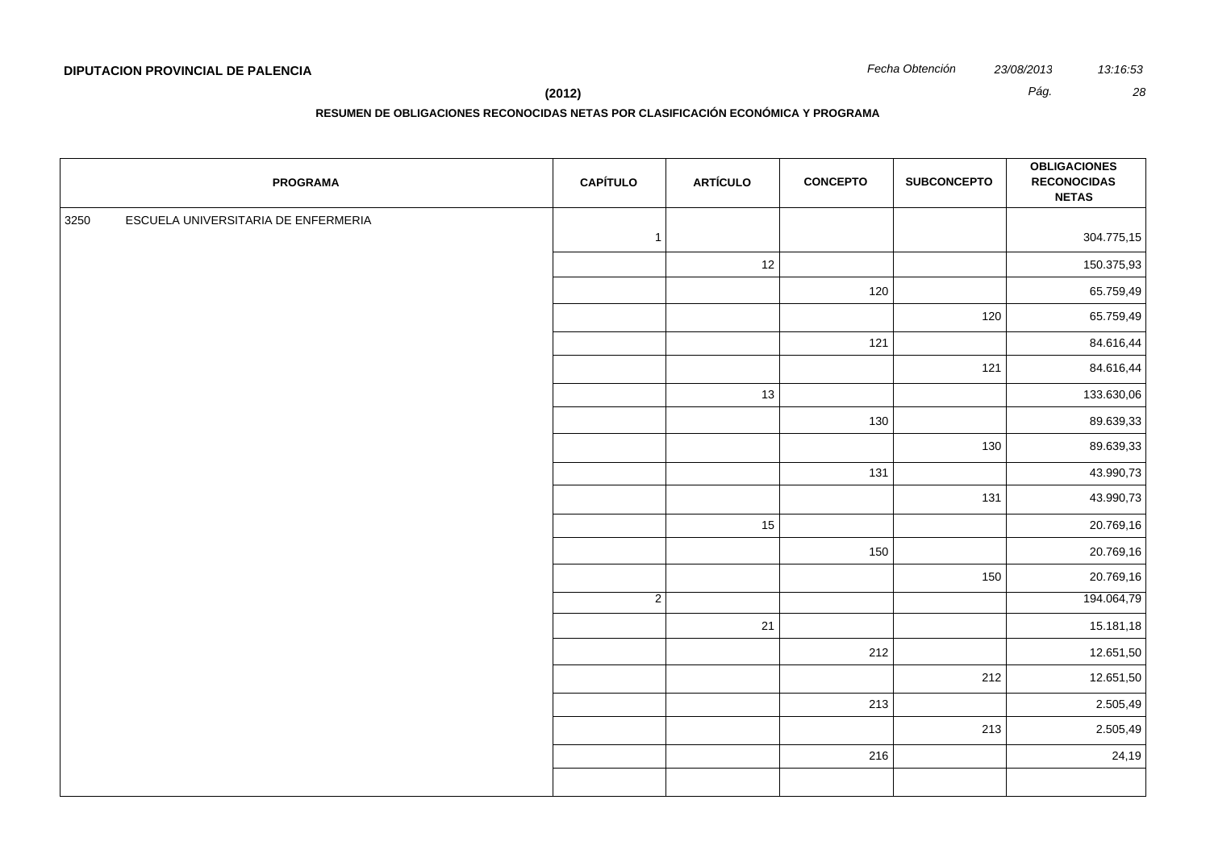| Fecha Obtención | 23/08/2013 |
|-----------------|------------|
|                 |            |

| <b>PROGRAMA</b>                             | <b>CAPÍTULO</b> | <b>ARTÍCULO</b> | <b>CONCEPTO</b> | <b>SUBCONCEPTO</b> | <b>OBLIGACIONES</b><br><b>RECONOCIDAS</b><br><b>NETAS</b> |
|---------------------------------------------|-----------------|-----------------|-----------------|--------------------|-----------------------------------------------------------|
| 3250<br>ESCUELA UNIVERSITARIA DE ENFERMERIA |                 |                 |                 |                    |                                                           |
|                                             | $\mathbf{1}$    |                 |                 |                    | 304.775,15                                                |
|                                             |                 | 12              |                 |                    | 150.375,93                                                |
|                                             |                 |                 | 120             |                    | 65.759,49                                                 |
|                                             |                 |                 |                 | 120                | 65.759,49                                                 |
|                                             |                 |                 | 121             |                    | 84.616,44                                                 |
|                                             |                 |                 |                 | 121                | 84.616,44                                                 |
|                                             |                 | 13              |                 |                    | 133.630,06                                                |
|                                             |                 |                 | 130             |                    | 89.639,33                                                 |
|                                             |                 |                 |                 | 130                | 89.639,33                                                 |
|                                             |                 |                 | 131             |                    | 43.990,73                                                 |
|                                             |                 |                 |                 | 131                | 43.990,73                                                 |
|                                             |                 | 15              |                 |                    | 20.769,16                                                 |
|                                             |                 |                 | 150             |                    | 20.769,16                                                 |
|                                             |                 |                 |                 | 150                | 20.769,16                                                 |
|                                             | $\overline{2}$  |                 |                 |                    | 194.064,79                                                |
|                                             |                 | 21              |                 |                    | 15.181,18                                                 |
|                                             |                 |                 | 212             |                    | 12.651,50                                                 |
|                                             |                 |                 |                 | 212                | 12.651,50                                                 |
|                                             |                 |                 | 213             |                    | 2.505,49                                                  |
|                                             |                 |                 |                 | 213                | 2.505,49                                                  |
|                                             |                 |                 | 216             |                    | 24,19                                                     |
|                                             |                 |                 |                 |                    |                                                           |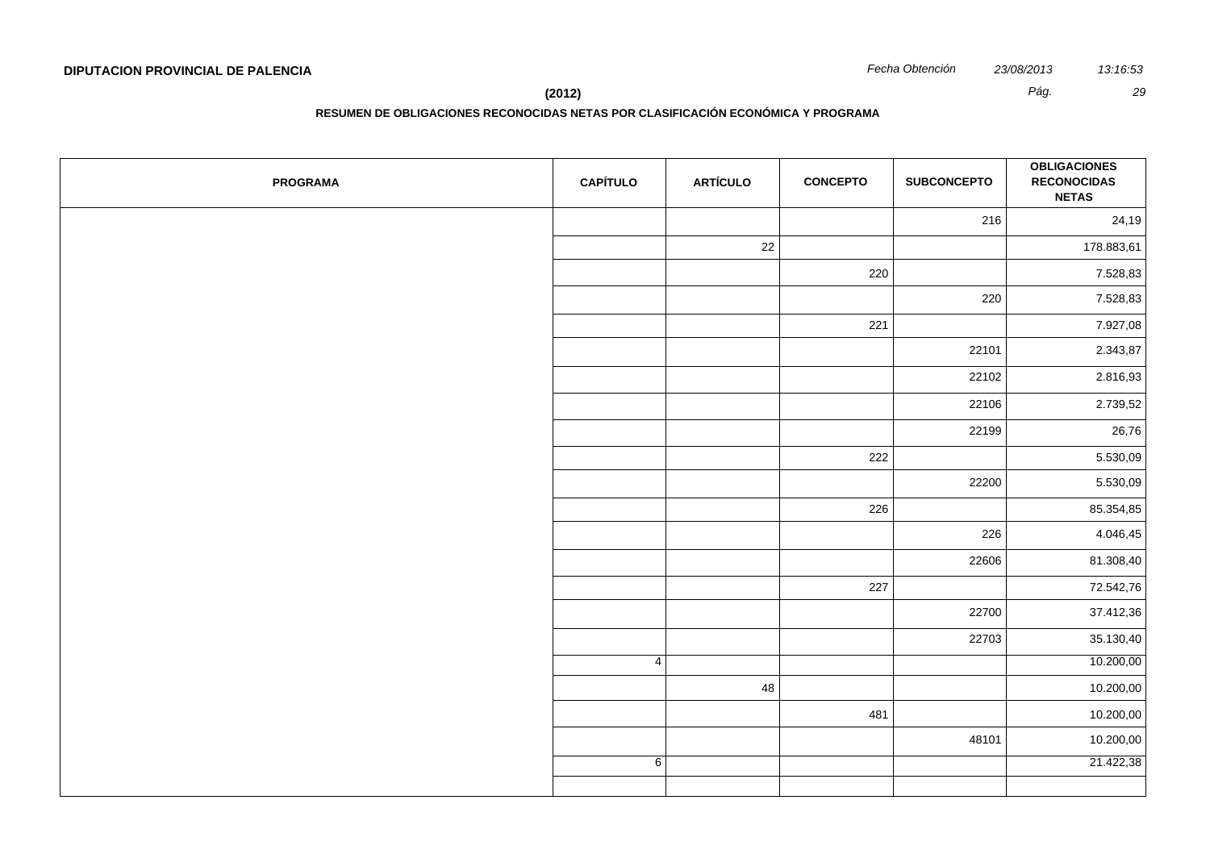**(2012)** *Pág. 29*

| <b>PROGRAMA</b> | <b>CAPÍTULO</b> | <b>ARTÍCULO</b> | <b>CONCEPTO</b> | <b>SUBCONCEPTO</b> | <b>OBLIGACIONES</b><br><b>RECONOCIDAS</b><br><b>NETAS</b> |
|-----------------|-----------------|-----------------|-----------------|--------------------|-----------------------------------------------------------|
|                 |                 |                 |                 | 216                | 24,19                                                     |
|                 |                 | 22              |                 |                    | 178.883,61                                                |
|                 |                 |                 | 220             |                    | 7.528,83                                                  |
|                 |                 |                 |                 | 220                | 7.528,83                                                  |
|                 |                 |                 | 221             |                    | 7.927,08                                                  |
|                 |                 |                 |                 | 22101              | 2.343,87                                                  |
|                 |                 |                 |                 | 22102              | 2.816,93                                                  |
|                 |                 |                 |                 | 22106              | 2.739,52                                                  |
|                 |                 |                 |                 | 22199              | 26,76                                                     |
|                 |                 |                 | 222             |                    | 5.530,09                                                  |
|                 |                 |                 |                 | 22200              | 5.530,09                                                  |
|                 |                 |                 | 226             |                    | 85.354,85                                                 |
|                 |                 |                 |                 | 226                | 4.046,45                                                  |
|                 |                 |                 |                 | 22606              | 81.308,40                                                 |
|                 |                 |                 | 227             |                    | 72.542,76                                                 |
|                 |                 |                 |                 | 22700              | 37.412,36                                                 |
|                 |                 |                 |                 | 22703              | 35.130,40                                                 |
|                 | $\overline{4}$  |                 |                 |                    | 10.200,00                                                 |
|                 |                 | 48              |                 |                    | 10.200,00                                                 |
|                 |                 |                 | 481             |                    | 10.200,00                                                 |
|                 |                 |                 |                 | 48101              | 10.200,00                                                 |
|                 | $\overline{6}$  |                 |                 |                    | 21.422,38                                                 |
|                 |                 |                 |                 |                    |                                                           |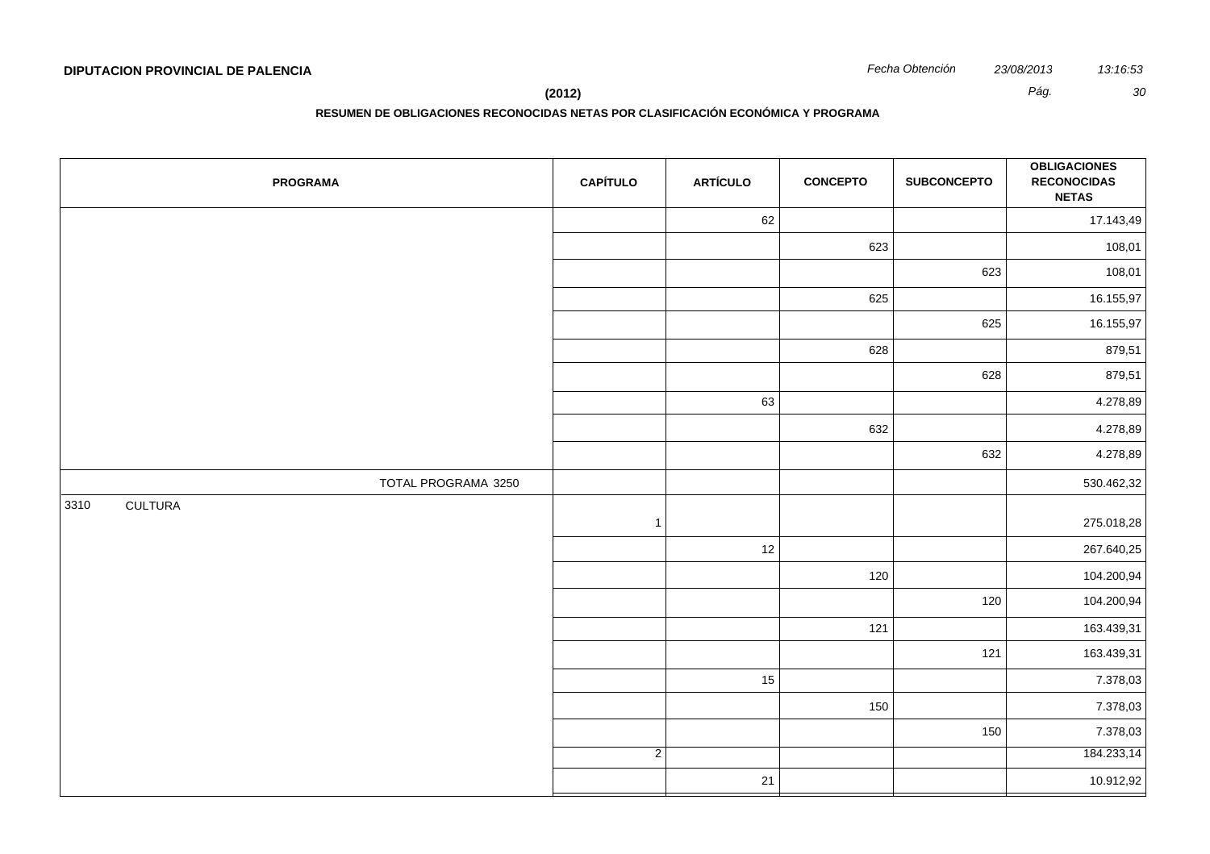**(2012)** *Pág. 30*

| <b>PROGRAMA</b>        | <b>CAPÍTULO</b> | <b>ARTÍCULO</b> | <b>CONCEPTO</b> | <b>SUBCONCEPTO</b> | <b>OBLIGACIONES</b><br><b>RECONOCIDAS</b><br><b>NETAS</b> |
|------------------------|-----------------|-----------------|-----------------|--------------------|-----------------------------------------------------------|
|                        |                 | 62              |                 |                    | 17.143,49                                                 |
|                        |                 |                 | 623             |                    | 108,01                                                    |
|                        |                 |                 |                 | 623                | 108,01                                                    |
|                        |                 |                 | 625             |                    | 16.155,97                                                 |
|                        |                 |                 |                 | 625                | 16.155,97                                                 |
|                        |                 |                 | 628             |                    | 879,51                                                    |
|                        |                 |                 |                 | 628                | 879,51                                                    |
|                        |                 | 63              |                 |                    | 4.278,89                                                  |
|                        |                 |                 | 632             |                    | 4.278,89                                                  |
|                        |                 |                 |                 | 632                | 4.278,89                                                  |
| TOTAL PROGRAMA 3250    |                 |                 |                 |                    | 530.462,32                                                |
| <b>CULTURA</b><br>3310 | $\mathbf{1}$    |                 |                 |                    | 275.018,28                                                |
|                        |                 | 12              |                 |                    | 267.640,25                                                |
|                        |                 |                 | 120             |                    | 104.200,94                                                |
|                        |                 |                 |                 | 120                | 104.200,94                                                |
|                        |                 |                 | 121             |                    | 163.439,31                                                |
|                        |                 |                 |                 | 121                | 163.439,31                                                |
|                        |                 | 15              |                 |                    | 7.378,03                                                  |
|                        |                 |                 | 150             |                    | 7.378,03                                                  |
|                        |                 |                 |                 | 150                | 7.378,03                                                  |
|                        | $\overline{2}$  |                 |                 |                    | 184.233,14                                                |
|                        |                 | $21$            |                 |                    | 10.912,92                                                 |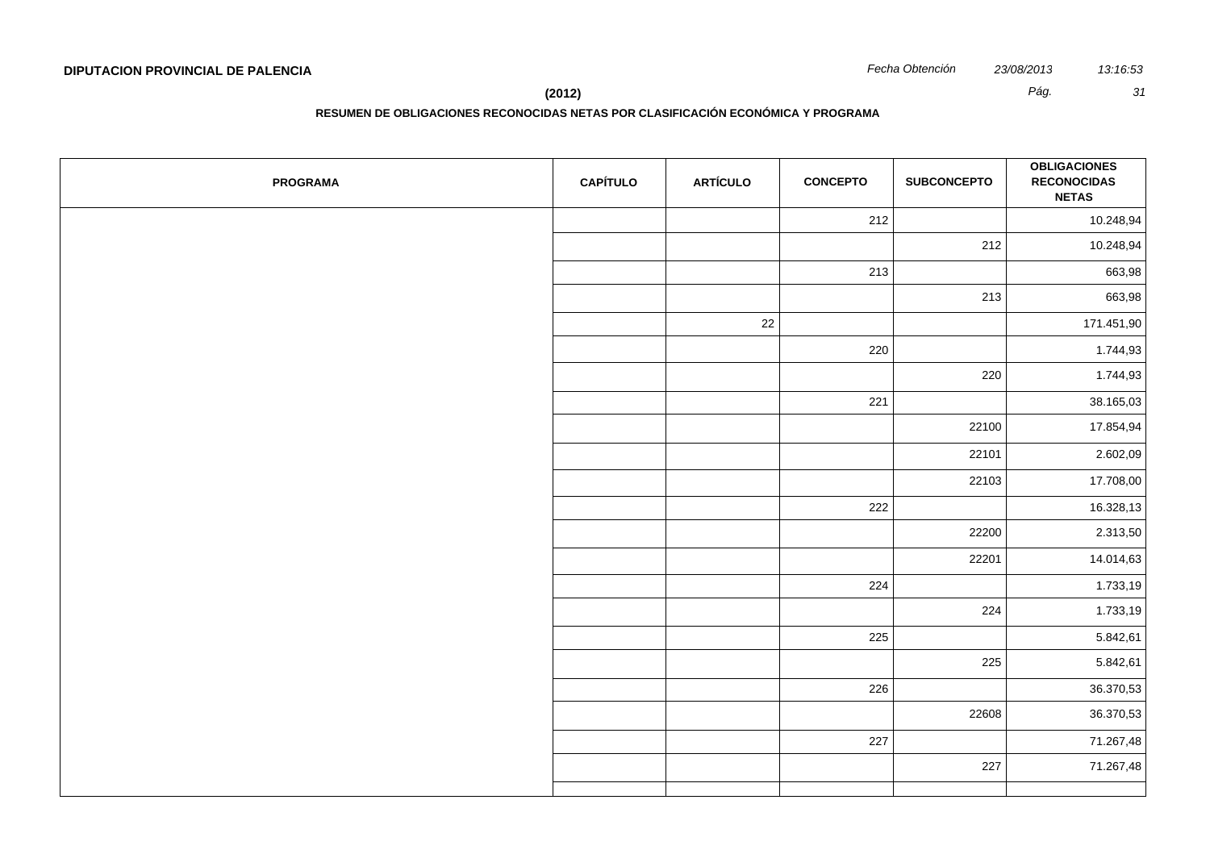**RESUMEN DE OBLIGACIONES RECONOCIDAS NETAS POR CLASIFICACIÓN ECONÓMICA Y PROGRAMA**

| <b>PROGRAMA</b> | <b>CAPÍTULO</b> | <b>ARTÍCULO</b> | <b>CONCEPTO</b> | <b>SUBCONCEPTO</b> | <b>OBLIGACIONES</b><br><b>RECONOCIDAS</b><br><b>NETAS</b> |
|-----------------|-----------------|-----------------|-----------------|--------------------|-----------------------------------------------------------|
|                 |                 |                 | 212             |                    | 10.248,94                                                 |
|                 |                 |                 |                 | 212                | 10.248,94                                                 |
|                 |                 |                 | 213             |                    | 663,98                                                    |
|                 |                 |                 |                 | 213                | 663,98                                                    |
|                 |                 | 22              |                 |                    | 171.451,90                                                |
|                 |                 |                 | 220             |                    | 1.744,93                                                  |
|                 |                 |                 |                 | 220                | 1.744,93                                                  |
|                 |                 |                 | 221             |                    | 38.165,03                                                 |
|                 |                 |                 |                 | 22100              | 17.854,94                                                 |
|                 |                 |                 |                 | 22101              | 2.602,09                                                  |
|                 |                 |                 |                 | 22103              | 17.708,00                                                 |
|                 |                 |                 | 222             |                    | 16.328,13                                                 |
|                 |                 |                 |                 | 22200              | 2.313,50                                                  |
|                 |                 |                 |                 | 22201              | 14.014,63                                                 |
|                 |                 |                 | 224             |                    | 1.733,19                                                  |
|                 |                 |                 |                 | 224                | 1.733,19                                                  |
|                 |                 |                 | 225             |                    | 5.842,61                                                  |
|                 |                 |                 |                 | 225                | 5.842,61                                                  |
|                 |                 |                 | 226             |                    | 36.370,53                                                 |
|                 |                 |                 |                 | 22608              | 36.370,53                                                 |
|                 |                 |                 | 227             |                    | 71.267,48                                                 |
|                 |                 |                 |                 | 227                | 71.267,48                                                 |
|                 |                 |                 |                 |                    |                                                           |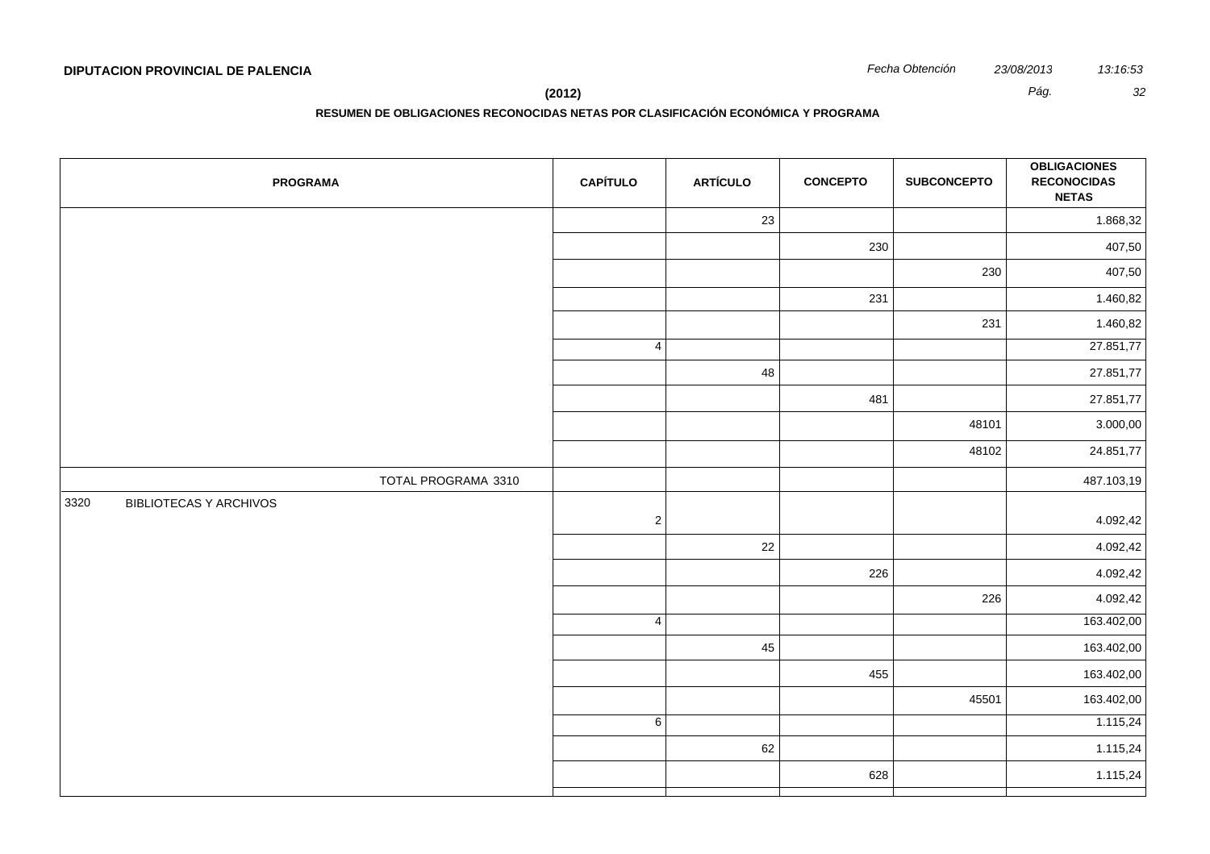**(2012)** *Pág. 32*

| <b>PROGRAMA</b>                       | <b>CAPÍTULO</b> | <b>ARTÍCULO</b> | <b>CONCEPTO</b> | <b>SUBCONCEPTO</b> | <b>OBLIGACIONES</b><br><b>RECONOCIDAS</b><br><b>NETAS</b> |
|---------------------------------------|-----------------|-----------------|-----------------|--------------------|-----------------------------------------------------------|
|                                       |                 | 23              |                 |                    | 1.868,32                                                  |
|                                       |                 |                 | 230             |                    | 407,50                                                    |
|                                       |                 |                 |                 | 230                | 407,50                                                    |
|                                       |                 |                 | 231             |                    | 1.460,82                                                  |
|                                       |                 |                 |                 | 231                | 1.460,82                                                  |
|                                       | $\overline{4}$  |                 |                 |                    | 27.851,77                                                 |
|                                       |                 | 48              |                 |                    | 27.851,77                                                 |
|                                       |                 |                 | 481             |                    | 27.851,77                                                 |
|                                       |                 |                 |                 | 48101              | 3.000,00                                                  |
|                                       |                 |                 |                 | 48102              | 24.851,77                                                 |
| TOTAL PROGRAMA 3310                   |                 |                 |                 |                    | 487.103,19                                                |
| 3320<br><b>BIBLIOTECAS Y ARCHIVOS</b> | $\overline{2}$  |                 |                 |                    | 4.092,42                                                  |
|                                       |                 | $22\,$          |                 |                    | 4.092,42                                                  |
|                                       |                 |                 | 226             |                    | 4.092,42                                                  |
|                                       |                 |                 |                 | 226                | 4.092,42                                                  |
|                                       | $\overline{4}$  |                 |                 |                    | 163.402,00                                                |
|                                       |                 | 45              |                 |                    | 163.402,00                                                |
|                                       |                 |                 | 455             |                    | 163.402,00                                                |
|                                       |                 |                 |                 | 45501              | 163.402,00                                                |
|                                       | 6               |                 |                 |                    | 1.115,24                                                  |
|                                       |                 | 62              |                 |                    | 1.115,24                                                  |
|                                       |                 |                 | 628             |                    | 1.115,24                                                  |
|                                       |                 |                 |                 |                    |                                                           |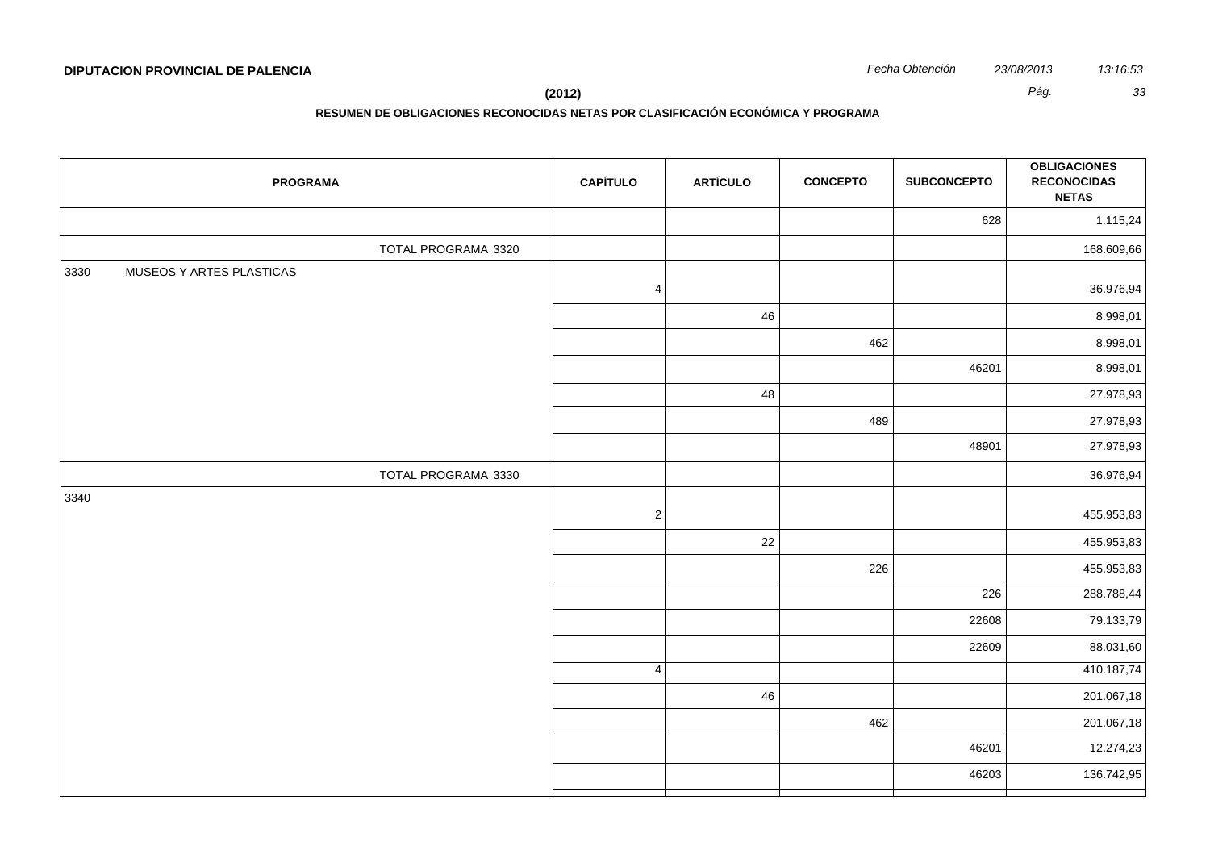| <b>PROGRAMA</b>                  | <b>CAPÍTULO</b> | <b>ARTÍCULO</b> | <b>CONCEPTO</b> | <b>SUBCONCEPTO</b> | <b>OBLIGACIONES</b><br><b>RECONOCIDAS</b><br><b>NETAS</b> |
|----------------------------------|-----------------|-----------------|-----------------|--------------------|-----------------------------------------------------------|
|                                  |                 |                 |                 | 628                | 1.115,24                                                  |
| TOTAL PROGRAMA 3320              |                 |                 |                 |                    | 168.609,66                                                |
| 3330<br>MUSEOS Y ARTES PLASTICAS | $\overline{4}$  |                 |                 |                    | 36.976,94                                                 |
|                                  |                 | 46              |                 |                    | 8.998,01                                                  |
|                                  |                 |                 | 462             |                    | 8.998,01                                                  |
|                                  |                 |                 |                 | 46201              | 8.998,01                                                  |
|                                  |                 | 48              |                 |                    | 27.978,93                                                 |
|                                  |                 |                 | 489             |                    | 27.978,93                                                 |
|                                  |                 |                 |                 | 48901              | 27.978,93                                                 |
| TOTAL PROGRAMA 3330              |                 |                 |                 |                    | 36.976,94                                                 |
| 3340                             | $\sqrt{2}$      |                 |                 |                    | 455.953,83                                                |
|                                  |                 | 22              |                 |                    | 455.953,83                                                |
|                                  |                 |                 | 226             |                    | 455.953,83                                                |
|                                  |                 |                 |                 | 226                | 288.788,44                                                |
|                                  |                 |                 |                 | 22608              | 79.133,79                                                 |
|                                  |                 |                 |                 | 22609              | 88.031,60                                                 |
|                                  | $\overline{4}$  |                 |                 |                    | 410.187,74                                                |
|                                  |                 | 46              |                 |                    | 201.067,18                                                |
|                                  |                 |                 | 462             |                    | 201.067,18                                                |
|                                  |                 |                 |                 | 46201              | 12.274,23                                                 |
|                                  |                 |                 |                 | 46203              | 136.742,95                                                |
|                                  |                 |                 |                 |                    |                                                           |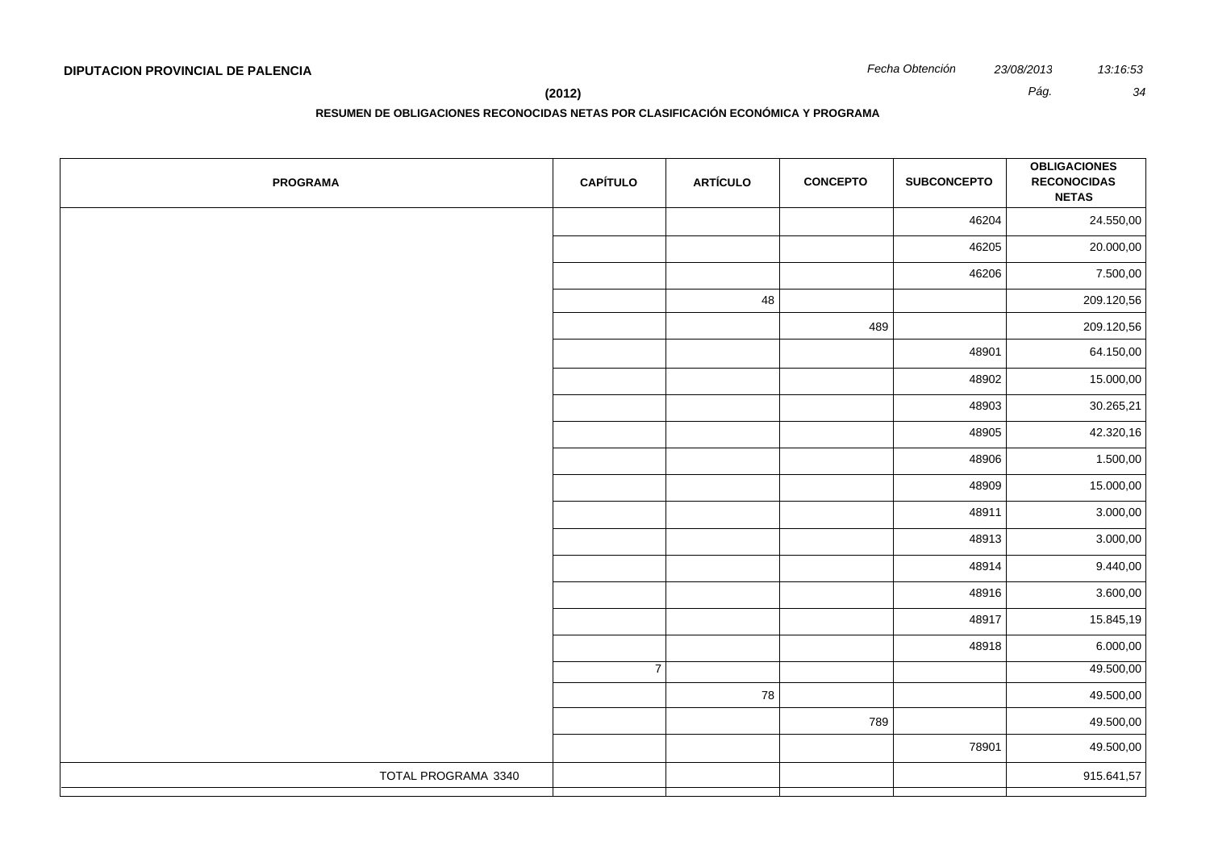**RESUMEN DE OBLIGACIONES RECONOCIDAS NETAS POR CLASIFICACIÓN ECONÓMICA Y PROGRAMA**

| <b>PROGRAMA</b>     | <b>CAPÍTULO</b> | <b>ARTÍCULO</b> | <b>CONCEPTO</b> | <b>SUBCONCEPTO</b> | <b>OBLIGACIONES</b><br><b>RECONOCIDAS</b><br><b>NETAS</b> |
|---------------------|-----------------|-----------------|-----------------|--------------------|-----------------------------------------------------------|
|                     |                 |                 |                 | 46204              | 24.550,00                                                 |
|                     |                 |                 |                 | 46205              | 20.000,00                                                 |
|                     |                 |                 |                 | 46206              | 7.500,00                                                  |
|                     |                 | 48              |                 |                    | 209.120,56                                                |
|                     |                 |                 | 489             |                    | 209.120,56                                                |
|                     |                 |                 |                 | 48901              | 64.150,00                                                 |
|                     |                 |                 |                 | 48902              | 15.000,00                                                 |
|                     |                 |                 |                 | 48903              | 30.265,21                                                 |
|                     |                 |                 |                 | 48905              | 42.320,16                                                 |
|                     |                 |                 |                 | 48906              | 1.500,00                                                  |
|                     |                 |                 |                 | 48909              | 15.000,00                                                 |
|                     |                 |                 |                 | 48911              | 3.000,00                                                  |
|                     |                 |                 |                 | 48913              | 3.000,00                                                  |
|                     |                 |                 |                 | 48914              | 9.440,00                                                  |
|                     |                 |                 |                 | 48916              | 3.600,00                                                  |
|                     |                 |                 |                 | 48917              | 15.845,19                                                 |
|                     |                 |                 |                 | 48918              | 6.000,00                                                  |
|                     | $\overline{7}$  |                 |                 |                    | 49.500,00                                                 |
|                     |                 | 78              |                 |                    | 49.500,00                                                 |
|                     |                 |                 | 789             |                    | 49.500,00                                                 |
|                     |                 |                 |                 | 78901              | 49.500,00                                                 |
| TOTAL PROGRAMA 3340 |                 |                 |                 |                    | 915.641,57                                                |
|                     |                 |                 |                 |                    |                                                           |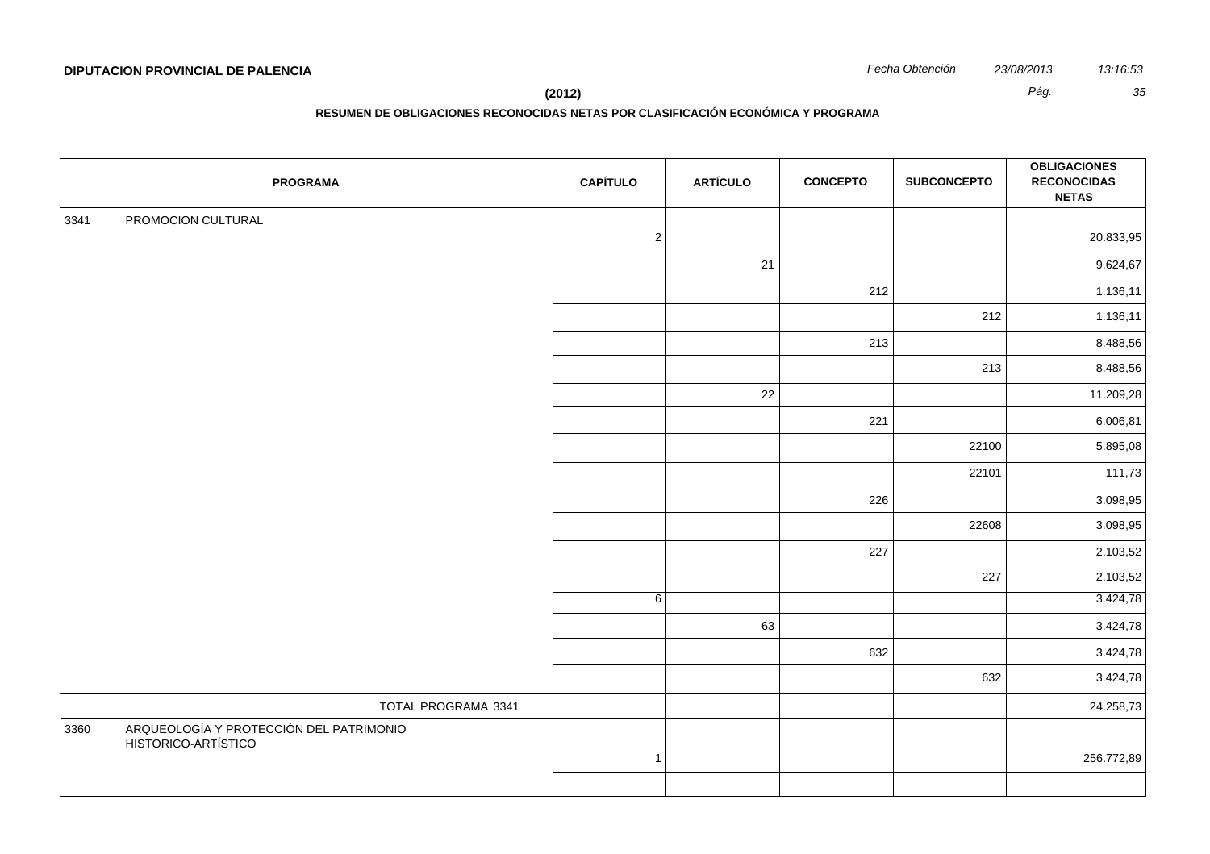| 23/08/2013 |
|------------|
|            |

|      | <b>PROGRAMA</b>                                                | <b>CAPÍTULO</b> | <b>ARTÍCULO</b> | <b>CONCEPTO</b> | <b>SUBCONCEPTO</b> | <b>OBLIGACIONES</b><br><b>RECONOCIDAS</b><br><b>NETAS</b> |
|------|----------------------------------------------------------------|-----------------|-----------------|-----------------|--------------------|-----------------------------------------------------------|
| 3341 | PROMOCION CULTURAL                                             |                 |                 |                 |                    |                                                           |
|      |                                                                | $\sqrt{2}$      |                 |                 |                    | 20.833,95                                                 |
|      |                                                                |                 | 21              |                 |                    | 9.624,67                                                  |
|      |                                                                |                 |                 | 212             |                    | 1.136,11                                                  |
|      |                                                                |                 |                 |                 | 212                | 1.136,11                                                  |
|      |                                                                |                 |                 | 213             |                    | 8.488,56                                                  |
|      |                                                                |                 |                 |                 | 213                | 8.488,56                                                  |
|      |                                                                |                 | 22              |                 |                    | 11.209,28                                                 |
|      |                                                                |                 |                 | 221             |                    | 6.006,81                                                  |
|      |                                                                |                 |                 |                 | 22100              | 5.895,08                                                  |
|      |                                                                |                 |                 |                 | 22101              | 111,73                                                    |
|      |                                                                |                 |                 | 226             |                    | 3.098,95                                                  |
|      |                                                                |                 |                 |                 | 22608              | 3.098,95                                                  |
|      |                                                                |                 |                 | 227             |                    | 2.103,52                                                  |
|      |                                                                |                 |                 |                 | 227                | 2.103,52                                                  |
|      |                                                                | 6               |                 |                 |                    | 3.424,78                                                  |
|      |                                                                |                 | 63              |                 |                    | 3.424,78                                                  |
|      |                                                                |                 |                 | 632             |                    | 3.424,78                                                  |
|      |                                                                |                 |                 |                 | 632                | 3.424,78                                                  |
|      | TOTAL PROGRAMA 3341                                            |                 |                 |                 |                    | 24.258,73                                                 |
| 3360 | ARQUEOLOGÍA Y PROTECCIÓN DEL PATRIMONIO<br>HISTORICO-ARTÍSTICO |                 |                 |                 |                    |                                                           |
|      |                                                                | $\mathbf{1}$    |                 |                 |                    | 256.772,89                                                |
|      |                                                                |                 |                 |                 |                    |                                                           |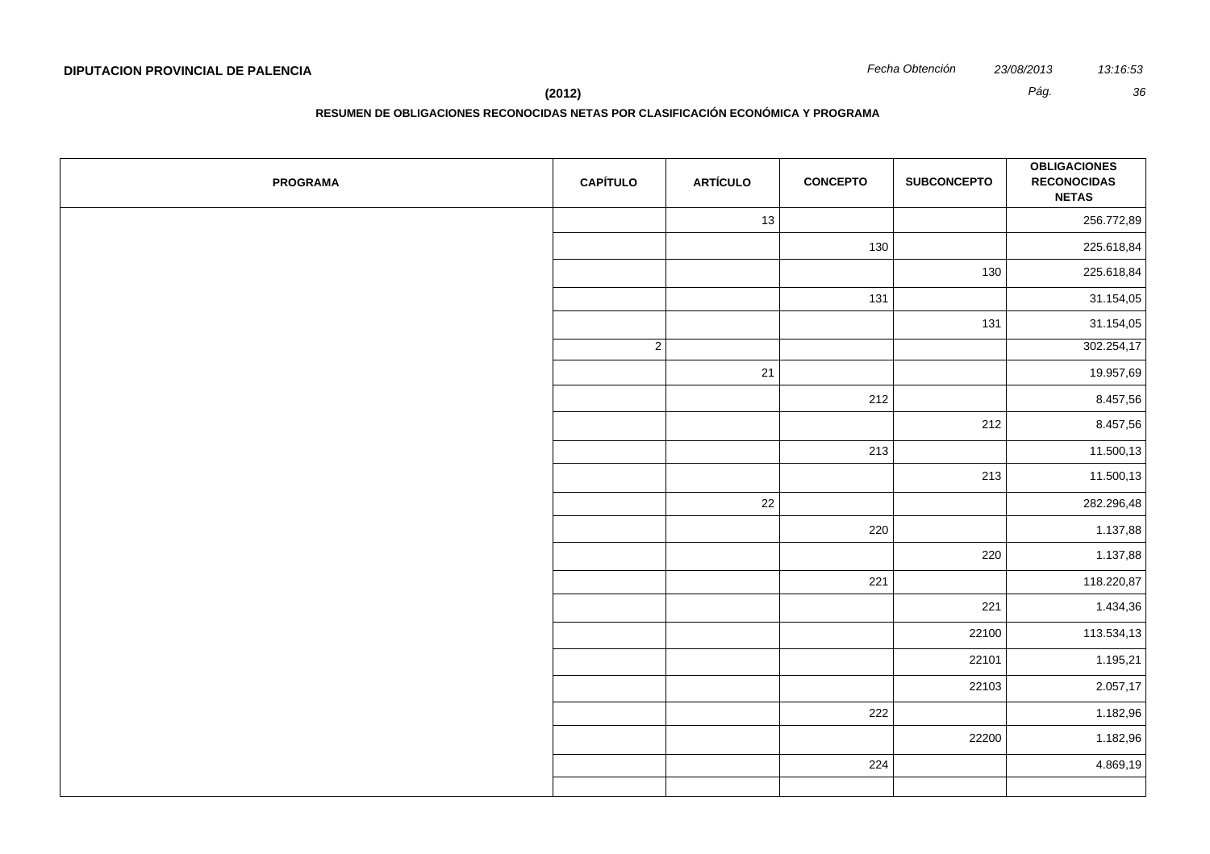**RESUMEN DE OBLIGACIONES RECONOCIDAS NETAS POR CLASIFICACIÓN ECONÓMICA Y PROGRAMA**

| <b>PROGRAMA</b> | <b>CAPÍTULO</b> | <b>ARTÍCULO</b> | <b>CONCEPTO</b> | <b>SUBCONCEPTO</b> | <b>OBLIGACIONES</b><br><b>RECONOCIDAS</b><br><b>NETAS</b> |
|-----------------|-----------------|-----------------|-----------------|--------------------|-----------------------------------------------------------|
|                 |                 | 13              |                 |                    | 256.772,89                                                |
|                 |                 |                 | 130             |                    | 225.618,84                                                |
|                 |                 |                 |                 | 130                | 225.618,84                                                |
|                 |                 |                 | 131             |                    | 31.154,05                                                 |
|                 |                 |                 |                 | 131                | 31.154,05                                                 |
|                 | $\overline{2}$  |                 |                 |                    | 302.254,17                                                |
|                 |                 | 21              |                 |                    | 19.957,69                                                 |
|                 |                 |                 | 212             |                    | 8.457,56                                                  |
|                 |                 |                 |                 | 212                | 8.457,56                                                  |
|                 |                 |                 | 213             |                    | 11.500,13                                                 |
|                 |                 |                 |                 | 213                | 11.500,13                                                 |
|                 |                 | 22              |                 |                    | 282.296,48                                                |
|                 |                 |                 | 220             |                    | 1.137,88                                                  |
|                 |                 |                 |                 | 220                | 1.137,88                                                  |
|                 |                 |                 | 221             |                    | 118.220,87                                                |
|                 |                 |                 |                 | 221                | 1.434,36                                                  |
|                 |                 |                 |                 | 22100              | 113.534,13                                                |
|                 |                 |                 |                 | 22101              | 1.195,21                                                  |
|                 |                 |                 |                 | 22103              | 2.057,17                                                  |
|                 |                 |                 | 222             |                    | 1.182,96                                                  |
|                 |                 |                 |                 | 22200              | 1.182,96                                                  |
|                 |                 |                 | 224             |                    | 4.869,19                                                  |
|                 |                 |                 |                 |                    |                                                           |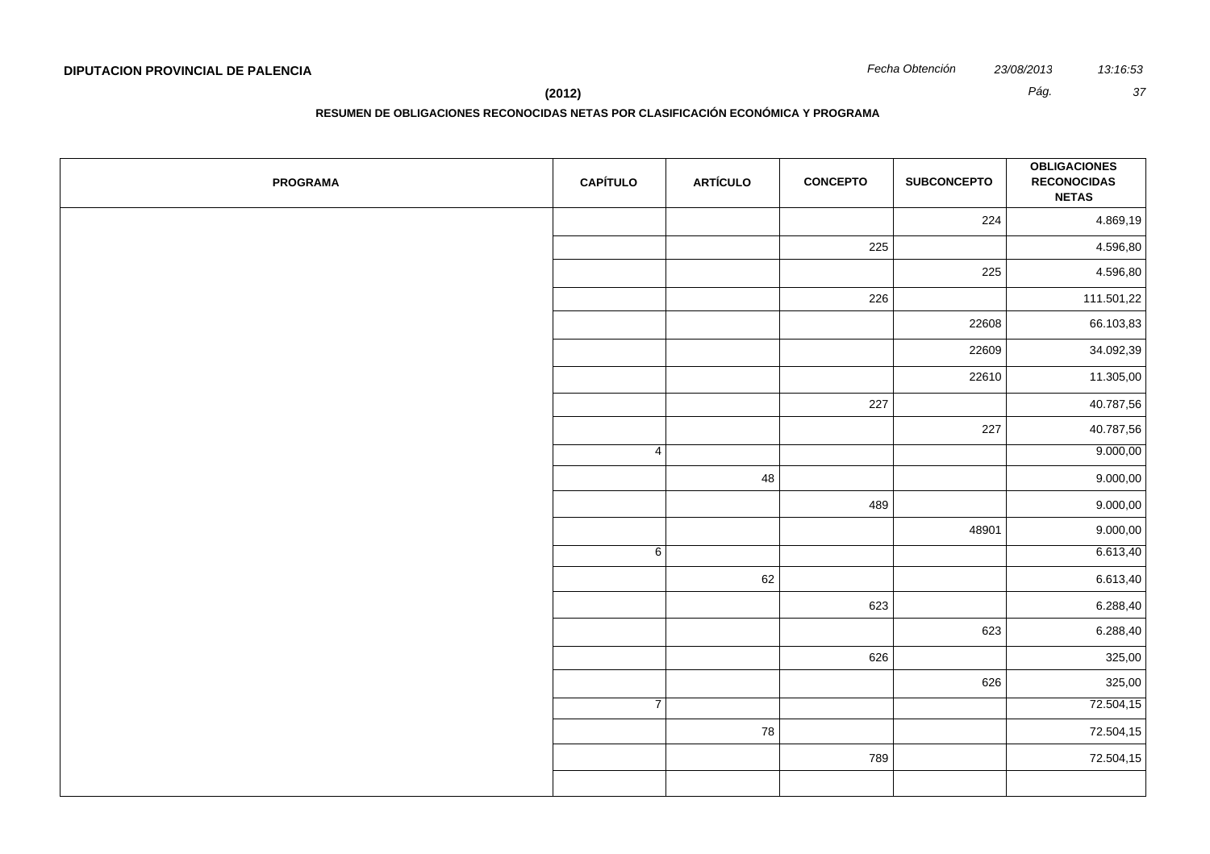**(2012)** *Pág. 37*

| <b>PROGRAMA</b> | <b>CAPÍTULO</b> | <b>ARTÍCULO</b> | <b>CONCEPTO</b> | <b>SUBCONCEPTO</b> | <b>OBLIGACIONES</b><br><b>RECONOCIDAS</b><br><b>NETAS</b> |
|-----------------|-----------------|-----------------|-----------------|--------------------|-----------------------------------------------------------|
|                 |                 |                 |                 | 224                | 4.869,19                                                  |
|                 |                 |                 | 225             |                    | 4.596,80                                                  |
|                 |                 |                 |                 | 225                | 4.596,80                                                  |
|                 |                 |                 | 226             |                    | 111.501,22                                                |
|                 |                 |                 |                 | 22608              | 66.103,83                                                 |
|                 |                 |                 |                 | 22609              | 34.092,39                                                 |
|                 |                 |                 |                 | 22610              | 11.305,00                                                 |
|                 |                 |                 | 227             |                    | 40.787,56                                                 |
|                 |                 |                 |                 | 227                | 40.787,56                                                 |
|                 | $\overline{4}$  |                 |                 |                    | 9.000,00                                                  |
|                 |                 | 48              |                 |                    | 9.000,00                                                  |
|                 |                 |                 | 489             |                    | 9.000,00                                                  |
|                 |                 |                 |                 | 48901              | 9.000,00                                                  |
|                 | $\sqrt{6}$      |                 |                 |                    | 6.613,40                                                  |
|                 |                 | 62              |                 |                    | 6.613,40                                                  |
|                 |                 |                 | 623             |                    | 6.288,40                                                  |
|                 |                 |                 |                 | 623                | 6.288,40                                                  |
|                 |                 |                 | 626             |                    | 325,00                                                    |
|                 |                 |                 |                 | 626                | 325,00                                                    |
|                 | $\overline{7}$  |                 |                 |                    | 72.504,15                                                 |
|                 |                 | 78              |                 |                    | 72.504,15                                                 |
|                 |                 |                 | 789             |                    | 72.504,15                                                 |
|                 |                 |                 |                 |                    |                                                           |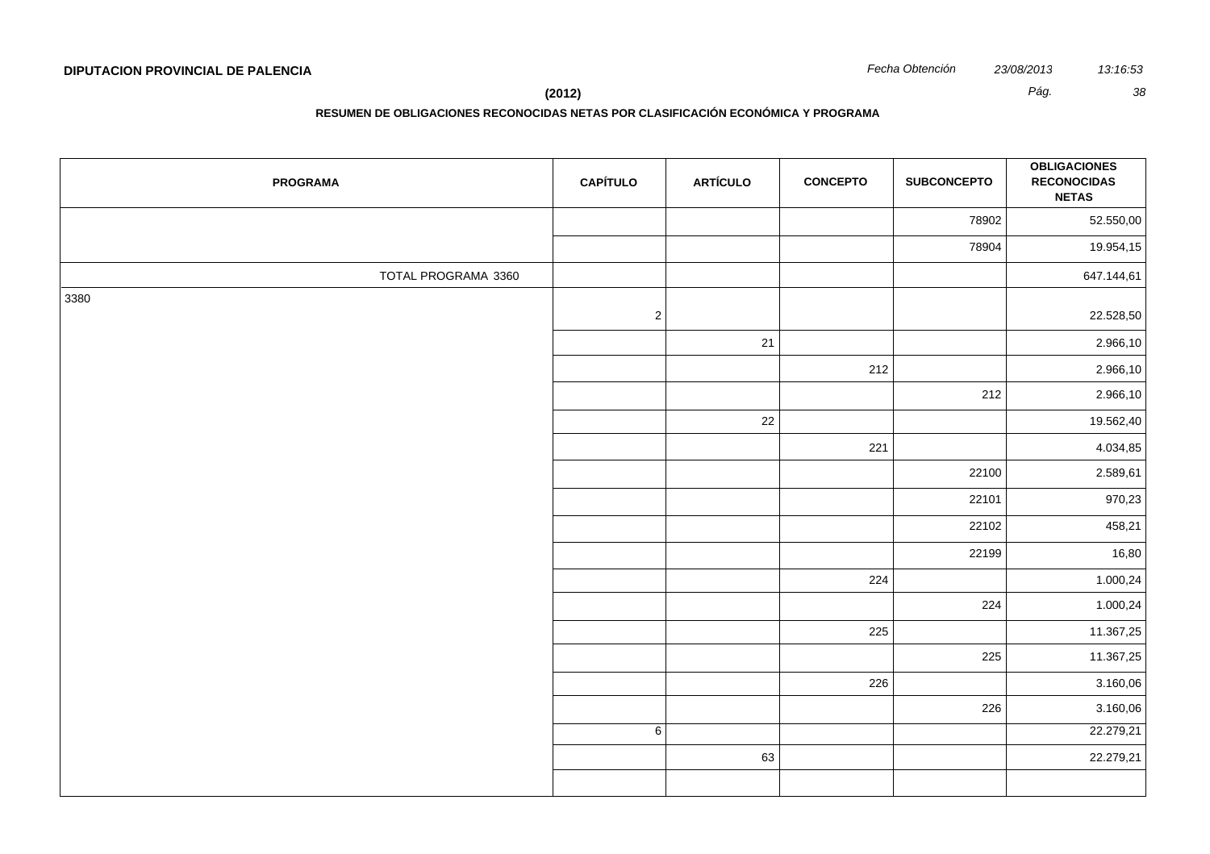**(2012)** *Pág. 38*

| <b>PROGRAMA</b>     | <b>CAPÍTULO</b> | <b>ARTÍCULO</b> | <b>CONCEPTO</b> | <b>SUBCONCEPTO</b> | <b>OBLIGACIONES</b><br><b>RECONOCIDAS</b><br><b>NETAS</b> |
|---------------------|-----------------|-----------------|-----------------|--------------------|-----------------------------------------------------------|
|                     |                 |                 |                 | 78902              | 52.550,00                                                 |
|                     |                 |                 |                 | 78904              | 19.954,15                                                 |
| TOTAL PROGRAMA 3360 |                 |                 |                 |                    | 647.144,61                                                |
| 3380                | $\sqrt{2}$      |                 |                 |                    | 22.528,50                                                 |
|                     |                 | 21              |                 |                    | 2.966,10                                                  |
|                     |                 |                 | 212             |                    | 2.966,10                                                  |
|                     |                 |                 |                 | 212                | 2.966,10                                                  |
|                     |                 | $22\,$          |                 |                    | 19.562,40                                                 |
|                     |                 |                 | 221             |                    | 4.034,85                                                  |
|                     |                 |                 |                 | 22100              | 2.589,61                                                  |
|                     |                 |                 |                 | 22101              | 970,23                                                    |
|                     |                 |                 |                 | 22102              | 458,21                                                    |
|                     |                 |                 |                 | 22199              | 16,80                                                     |
|                     |                 |                 | 224             |                    | 1.000,24                                                  |
|                     |                 |                 |                 | 224                | 1.000,24                                                  |
|                     |                 |                 | 225             |                    | 11.367,25                                                 |
|                     |                 |                 |                 | 225                | 11.367,25                                                 |
|                     |                 |                 | 226             |                    | 3.160,06                                                  |
|                     |                 |                 |                 | 226                | 3.160,06                                                  |
|                     | $6 \mid$        |                 |                 |                    | 22.279,21                                                 |
|                     |                 | 63              |                 |                    | 22.279,21                                                 |
|                     |                 |                 |                 |                    |                                                           |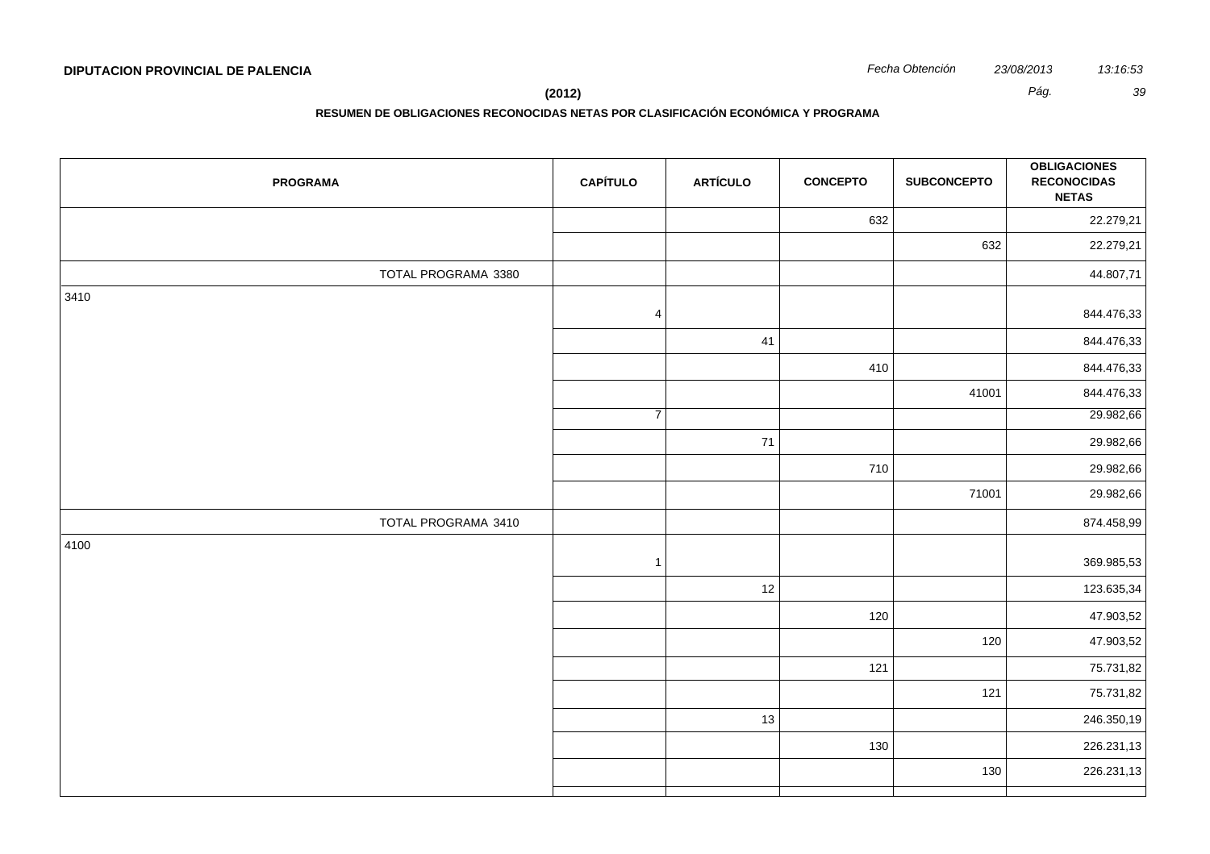**(2012)** *Pág. 39*

| <b>PROGRAMA</b>     | <b>CAPÍTULO</b> | <b>ARTÍCULO</b> | <b>CONCEPTO</b> | <b>SUBCONCEPTO</b> | <b>OBLIGACIONES</b><br><b>RECONOCIDAS</b><br><b>NETAS</b> |
|---------------------|-----------------|-----------------|-----------------|--------------------|-----------------------------------------------------------|
|                     |                 |                 | 632             |                    | 22.279,21                                                 |
|                     |                 |                 |                 | 632                | 22.279,21                                                 |
| TOTAL PROGRAMA 3380 |                 |                 |                 |                    | 44.807,71                                                 |
| 3410                | $\overline{4}$  |                 |                 |                    | 844.476,33                                                |
|                     |                 | 41              |                 |                    | 844.476,33                                                |
|                     |                 |                 | 410             |                    | 844.476,33                                                |
|                     |                 |                 |                 | 41001              | 844.476,33                                                |
|                     | $\overline{7}$  |                 |                 |                    | 29.982,66                                                 |
|                     |                 | 71              |                 |                    | 29.982,66                                                 |
|                     |                 |                 | 710             |                    | 29.982,66                                                 |
|                     |                 |                 |                 | 71001              | 29.982,66                                                 |
| TOTAL PROGRAMA 3410 |                 |                 |                 |                    | 874.458,99                                                |
| 4100                | $\overline{1}$  |                 |                 |                    | 369.985,53                                                |
|                     |                 | 12              |                 |                    | 123.635,34                                                |
|                     |                 |                 | 120             |                    | 47.903,52                                                 |
|                     |                 |                 |                 | 120                | 47.903,52                                                 |
|                     |                 |                 | 121             |                    | 75.731,82                                                 |
|                     |                 |                 |                 | 121                | 75.731,82                                                 |
|                     |                 | 13              |                 |                    | 246.350,19                                                |
|                     |                 |                 | 130             |                    | 226.231,13                                                |
|                     |                 |                 |                 | 130                | 226.231,13                                                |
|                     |                 |                 |                 |                    |                                                           |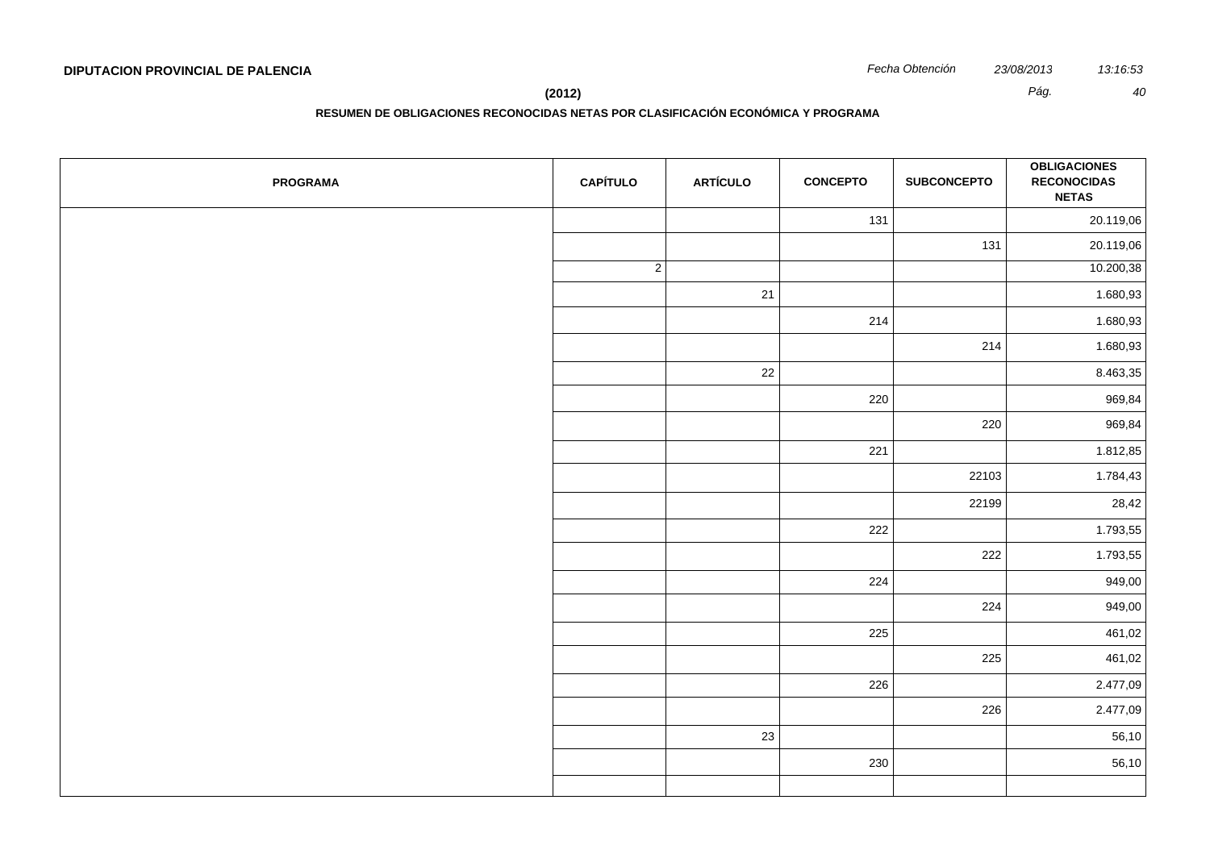**(2012)** *Pág. 40*

| <b>PROGRAMA</b> | <b>CAPÍTULO</b> | <b>ARTÍCULO</b> | <b>CONCEPTO</b> | <b>SUBCONCEPTO</b> | <b>OBLIGACIONES</b><br><b>RECONOCIDAS</b><br><b>NETAS</b> |
|-----------------|-----------------|-----------------|-----------------|--------------------|-----------------------------------------------------------|
|                 |                 |                 | 131             |                    | 20.119,06                                                 |
|                 |                 |                 |                 | 131                | 20.119,06                                                 |
|                 | $\vert$ 2       |                 |                 |                    | 10.200,38                                                 |
|                 |                 | 21              |                 |                    | 1.680,93                                                  |
|                 |                 |                 | 214             |                    | 1.680,93                                                  |
|                 |                 |                 |                 | 214                | 1.680,93                                                  |
|                 |                 | 22              |                 |                    | 8.463,35                                                  |
|                 |                 |                 | 220             |                    | 969,84                                                    |
|                 |                 |                 |                 | 220                | 969,84                                                    |
|                 |                 |                 | 221             |                    | 1.812,85                                                  |
|                 |                 |                 |                 | 22103              | 1.784,43                                                  |
|                 |                 |                 |                 | 22199              | 28,42                                                     |
|                 |                 |                 | 222             |                    | 1.793,55                                                  |
|                 |                 |                 |                 | 222                | 1.793,55                                                  |
|                 |                 |                 | 224             |                    | 949,00                                                    |
|                 |                 |                 |                 | 224                | 949,00                                                    |
|                 |                 |                 | 225             |                    | 461,02                                                    |
|                 |                 |                 |                 | 225                | 461,02                                                    |
|                 |                 |                 | 226             |                    | 2.477,09                                                  |
|                 |                 |                 |                 | 226                | 2.477,09                                                  |
|                 |                 | 23              |                 |                    | 56,10                                                     |
|                 |                 |                 | 230             |                    | 56,10                                                     |
|                 |                 |                 |                 |                    |                                                           |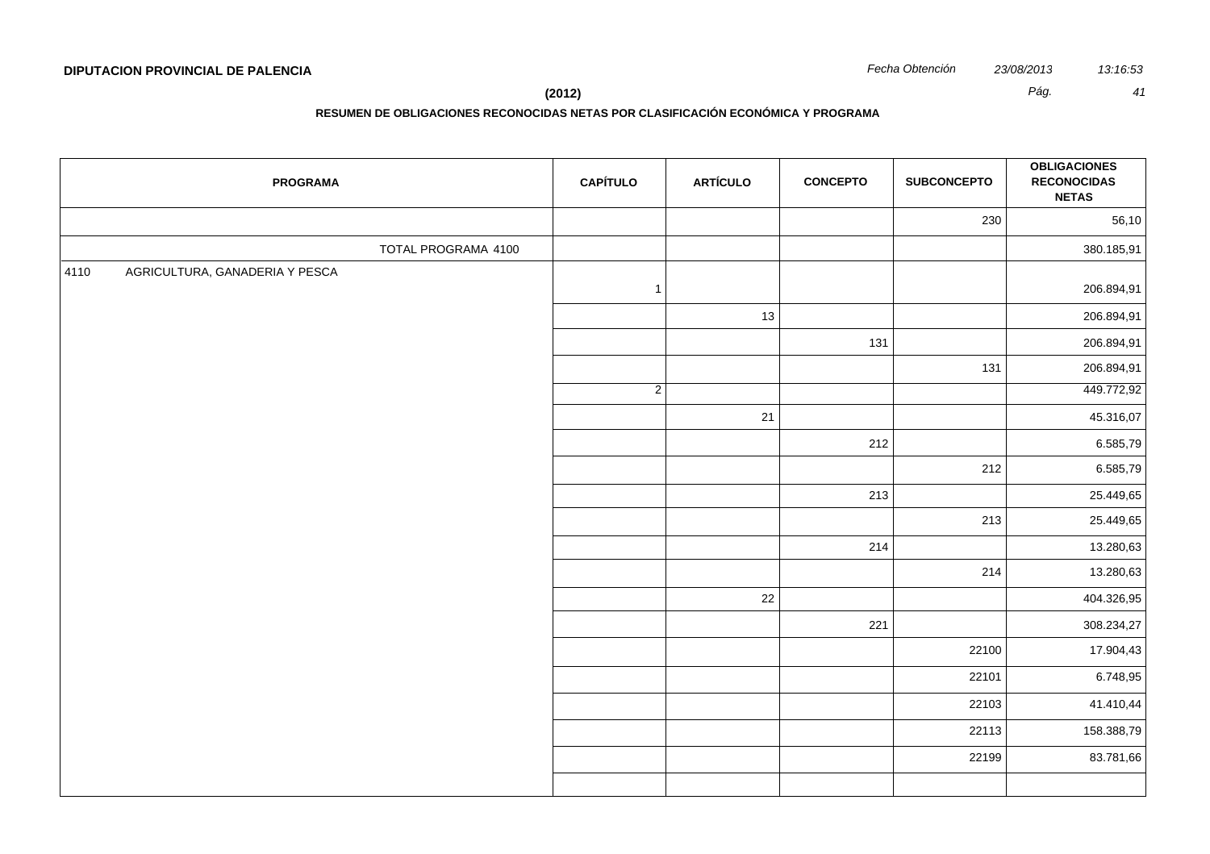|      | <b>PROGRAMA</b>                | <b>CAPÍTULO</b> | <b>ARTÍCULO</b> | <b>CONCEPTO</b> | <b>SUBCONCEPTO</b> | <b>OBLIGACIONES</b><br><b>RECONOCIDAS</b><br><b>NETAS</b> |
|------|--------------------------------|-----------------|-----------------|-----------------|--------------------|-----------------------------------------------------------|
|      |                                |                 |                 |                 | 230                | 56,10                                                     |
|      | TOTAL PROGRAMA 4100            |                 |                 |                 |                    | 380.185,91                                                |
| 4110 | AGRICULTURA, GANADERIA Y PESCA | $\mathbf{1}$    |                 |                 |                    | 206.894,91                                                |
|      |                                |                 | 13              |                 |                    | 206.894,91                                                |
|      |                                |                 |                 | 131             |                    | 206.894,91                                                |
|      |                                |                 |                 |                 | 131                | 206.894,91                                                |
|      |                                | $\overline{2}$  |                 |                 |                    | 449.772,92                                                |
|      |                                |                 | 21              |                 |                    | 45.316,07                                                 |
|      |                                |                 |                 | 212             |                    | 6.585,79                                                  |
|      |                                |                 |                 |                 | 212                | 6.585,79                                                  |
|      |                                |                 |                 | 213             |                    | 25.449,65                                                 |
|      |                                |                 |                 |                 | 213                | 25.449,65                                                 |
|      |                                |                 |                 | 214             |                    | 13.280,63                                                 |
|      |                                |                 |                 |                 | 214                | 13.280,63                                                 |
|      |                                |                 | 22              |                 |                    | 404.326,95                                                |
|      |                                |                 |                 | 221             |                    | 308.234,27                                                |
|      |                                |                 |                 |                 | 22100              | 17.904,43                                                 |
|      |                                |                 |                 |                 | 22101              | 6.748,95                                                  |
|      |                                |                 |                 |                 | 22103              | 41.410,44                                                 |
|      |                                |                 |                 |                 | 22113              | 158.388,79                                                |
|      |                                |                 |                 |                 | 22199              | 83.781,66                                                 |
|      |                                |                 |                 |                 |                    |                                                           |
|      |                                |                 |                 |                 |                    |                                                           |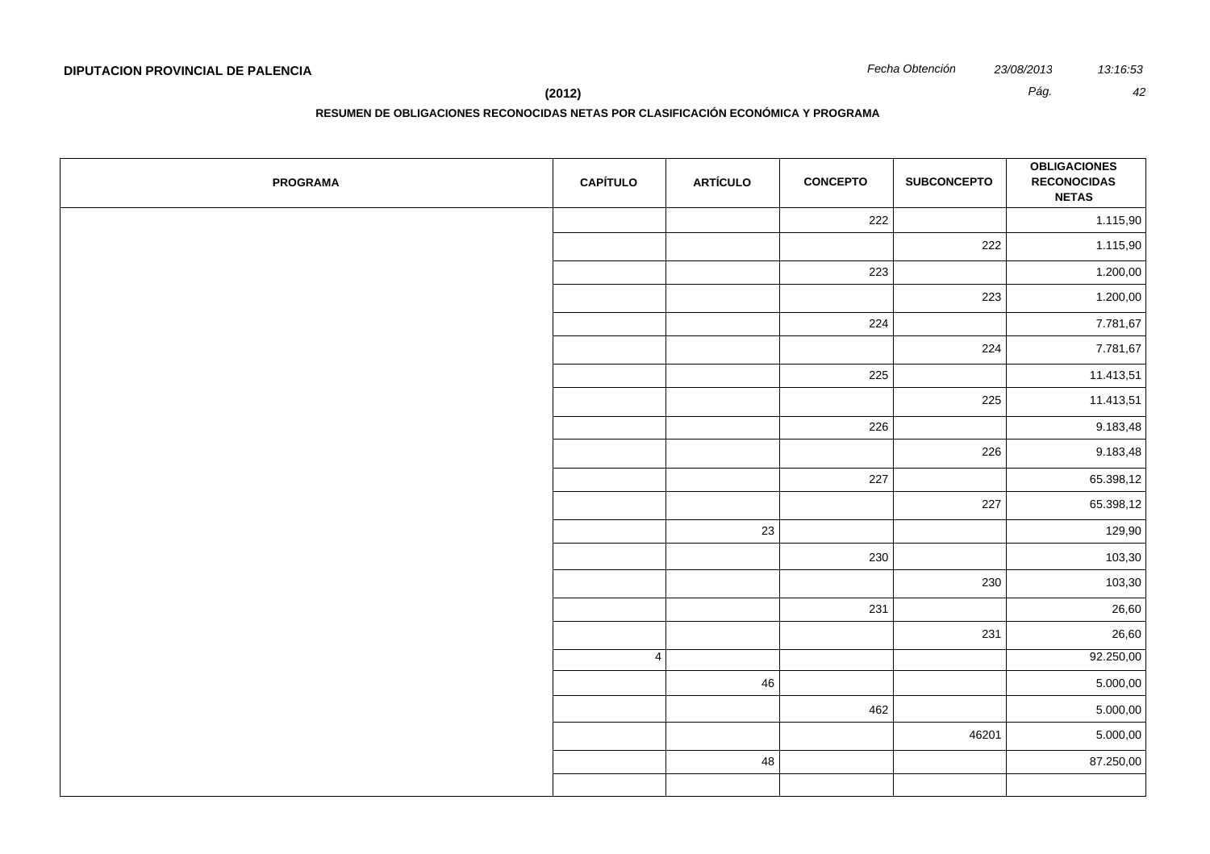**(2012)** *Pág. 42*

| <b>PROGRAMA</b> | <b>CAPÍTULO</b> | <b>ARTÍCULO</b> | <b>CONCEPTO</b> | <b>SUBCONCEPTO</b> | <b>OBLIGACIONES</b><br><b>RECONOCIDAS</b><br><b>NETAS</b> |
|-----------------|-----------------|-----------------|-----------------|--------------------|-----------------------------------------------------------|
|                 |                 |                 | 222             |                    | 1.115,90                                                  |
|                 |                 |                 |                 | 222                | 1.115,90                                                  |
|                 |                 |                 | 223             |                    | 1.200,00                                                  |
|                 |                 |                 |                 | 223                | 1.200,00                                                  |
|                 |                 |                 | 224             |                    | 7.781,67                                                  |
|                 |                 |                 |                 | 224                | 7.781,67                                                  |
|                 |                 |                 | 225             |                    | 11.413,51                                                 |
|                 |                 |                 |                 | 225                | 11.413,51                                                 |
|                 |                 |                 | 226             |                    | 9.183,48                                                  |
|                 |                 |                 |                 | 226                | 9.183,48                                                  |
|                 |                 |                 | 227             |                    | 65.398,12                                                 |
|                 |                 |                 |                 | 227                | 65.398,12                                                 |
|                 |                 | 23              |                 |                    | 129,90                                                    |
|                 |                 |                 | 230             |                    | 103,30                                                    |
|                 |                 |                 |                 | 230                | 103,30                                                    |
|                 |                 |                 | 231             |                    | 26,60                                                     |
|                 |                 |                 |                 | 231                | 26,60                                                     |
|                 | 4               |                 |                 |                    | 92.250,00                                                 |
|                 |                 | 46              |                 |                    | 5.000,00                                                  |
|                 |                 |                 | 462             |                    | 5.000,00                                                  |
|                 |                 |                 |                 | 46201              | 5.000,00                                                  |
|                 |                 | 48              |                 |                    | 87.250,00                                                 |
|                 |                 |                 |                 |                    |                                                           |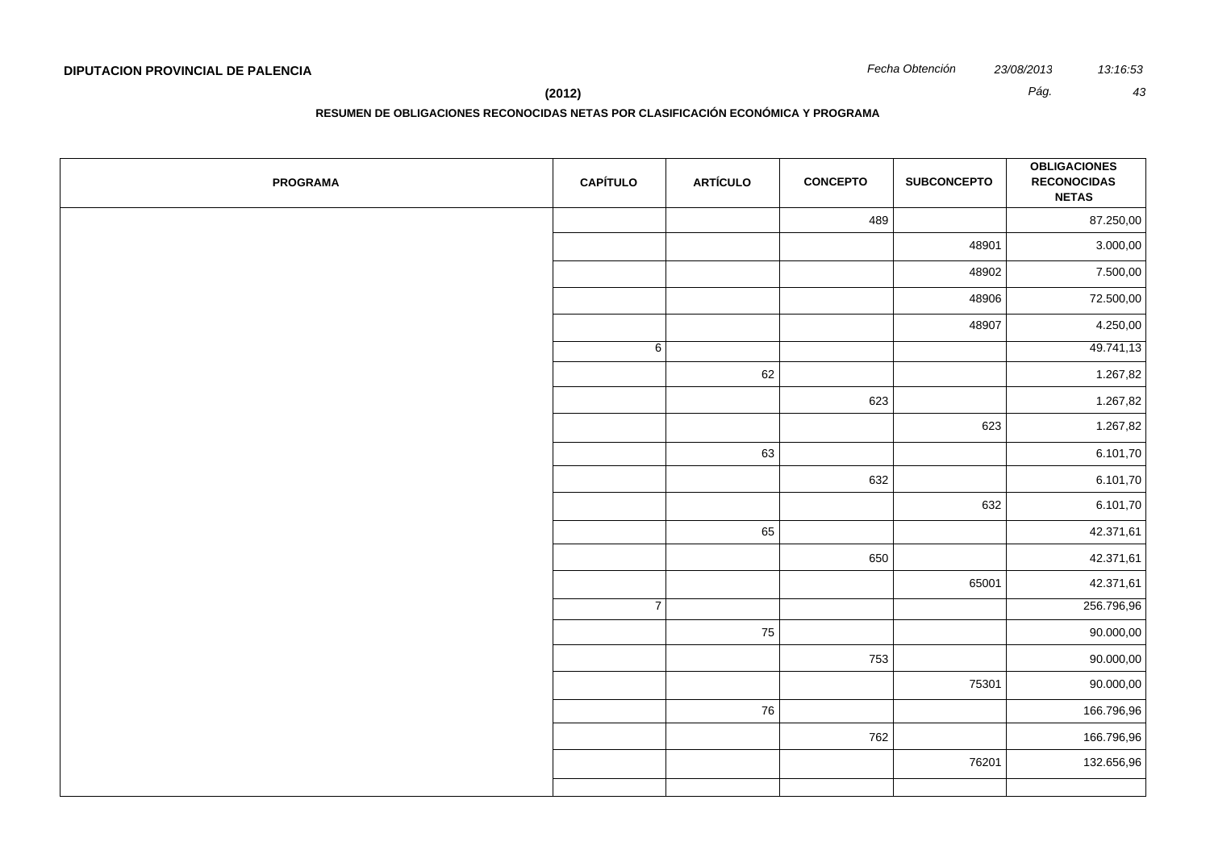| <b>PROGRAMA</b> | <b>CAPÍTULO</b> | <b>ARTÍCULO</b> | <b>CONCEPTO</b> | <b>SUBCONCEPTO</b> | <b>OBLIGACIONES</b><br><b>RECONOCIDAS</b><br><b>NETAS</b> |
|-----------------|-----------------|-----------------|-----------------|--------------------|-----------------------------------------------------------|
|                 |                 |                 | 489             |                    | 87.250,00                                                 |
|                 |                 |                 |                 | 48901              | 3.000,00                                                  |
|                 |                 |                 |                 | 48902              | 7.500,00                                                  |
|                 |                 |                 |                 | 48906              | 72.500,00                                                 |
|                 |                 |                 |                 | 48907              | 4.250,00                                                  |
|                 | 6               |                 |                 |                    | 49.741,13                                                 |
|                 |                 | 62              |                 |                    | 1.267,82                                                  |
|                 |                 |                 | 623             |                    | 1.267,82                                                  |
|                 |                 |                 |                 | 623                | 1.267,82                                                  |
|                 |                 | 63              |                 |                    | 6.101,70                                                  |
|                 |                 |                 | 632             |                    | 6.101,70                                                  |
|                 |                 |                 |                 | 632                | 6.101,70                                                  |
|                 |                 | 65              |                 |                    | 42.371,61                                                 |
|                 |                 |                 | 650             |                    | 42.371,61                                                 |
|                 |                 |                 |                 | 65001              | 42.371,61                                                 |
|                 | $\overline{7}$  |                 |                 |                    | 256.796,96                                                |
|                 |                 | 75              |                 |                    | 90.000,00                                                 |
|                 |                 |                 | 753             |                    | 90.000,00                                                 |
|                 |                 |                 |                 | 75301              | 90.000,00                                                 |
|                 |                 | 76              |                 |                    | 166.796,96                                                |
|                 |                 |                 | 762             |                    | 166.796,96                                                |
|                 |                 |                 |                 | 76201              | 132.656,96                                                |
|                 |                 |                 |                 |                    |                                                           |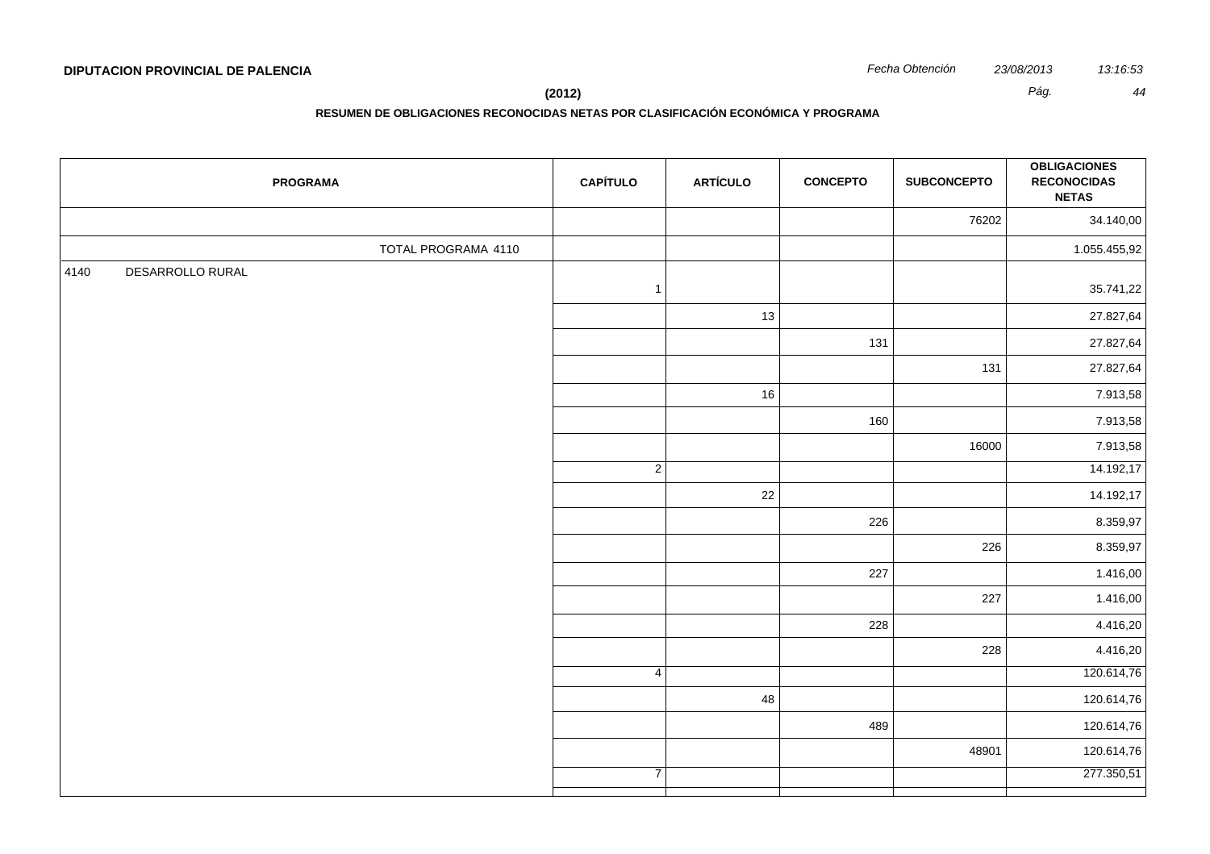|      |                  | <b>PROGRAMA</b>     | <b>CAPÍTULO</b> | <b>ARTÍCULO</b> | <b>CONCEPTO</b> | <b>SUBCONCEPTO</b> | <b>OBLIGACIONES</b><br><b>RECONOCIDAS</b><br><b>NETAS</b> |
|------|------------------|---------------------|-----------------|-----------------|-----------------|--------------------|-----------------------------------------------------------|
|      |                  |                     |                 |                 |                 | 76202              | 34.140,00                                                 |
|      |                  | TOTAL PROGRAMA 4110 |                 |                 |                 |                    | 1.055.455,92                                              |
| 4140 | DESARROLLO RURAL |                     | $\mathbf{1}$    |                 |                 |                    | 35.741,22                                                 |
|      |                  |                     |                 | 13              |                 |                    | 27.827,64                                                 |
|      |                  |                     |                 |                 | 131             |                    | 27.827,64                                                 |
|      |                  |                     |                 |                 |                 | 131                | 27.827,64                                                 |
|      |                  |                     |                 | 16              |                 |                    | 7.913,58                                                  |
|      |                  |                     |                 |                 | 160             |                    | 7.913,58                                                  |
|      |                  |                     |                 |                 |                 | 16000              | 7.913,58                                                  |
|      |                  |                     | $\overline{2}$  |                 |                 |                    | 14.192,17                                                 |
|      |                  |                     |                 | 22              |                 |                    | 14.192,17                                                 |
|      |                  |                     |                 |                 | 226             |                    | 8.359,97                                                  |
|      |                  |                     |                 |                 |                 | 226                | 8.359,97                                                  |
|      |                  |                     |                 |                 | 227             |                    | 1.416,00                                                  |
|      |                  |                     |                 |                 |                 | 227                | 1.416,00                                                  |
|      |                  |                     |                 |                 | 228             |                    | 4.416,20                                                  |
|      |                  |                     |                 |                 |                 | 228                | 4.416,20                                                  |
|      |                  |                     | 4               |                 |                 |                    | 120.614,76                                                |
|      |                  |                     |                 | 48              |                 |                    | 120.614,76                                                |
|      |                  |                     |                 |                 | 489             |                    | 120.614,76                                                |
|      |                  |                     |                 |                 |                 | 48901              | 120.614,76                                                |
|      |                  |                     | $\overline{7}$  |                 |                 |                    | 277.350,51                                                |
|      |                  |                     |                 |                 |                 |                    |                                                           |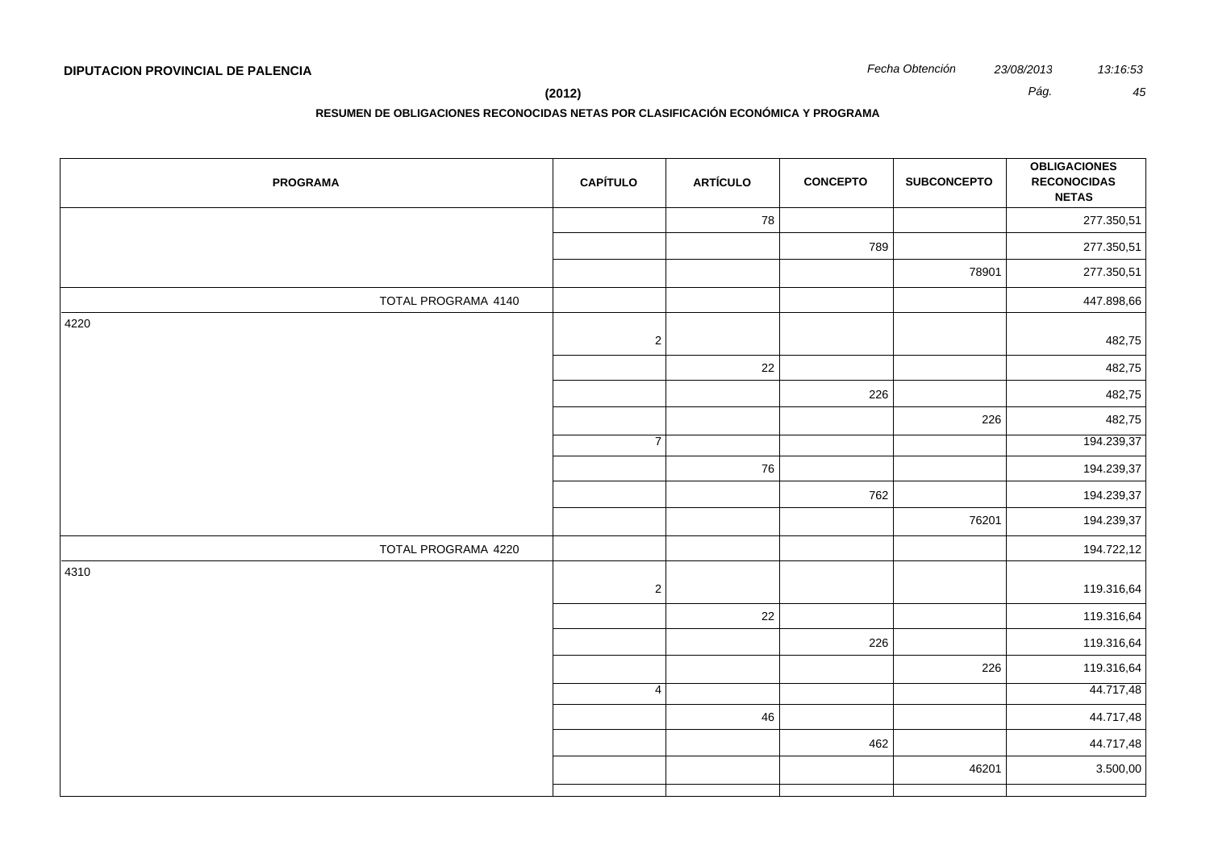**RESUMEN DE OBLIGACIONES RECONOCIDAS NETAS POR CLASIFICACIÓN ECONÓMICA Y PROGRAMA**

| <b>PROGRAMA</b>     | <b>CAPÍTULO</b> | <b>ARTÍCULO</b> | <b>CONCEPTO</b> | <b>SUBCONCEPTO</b> | <b>OBLIGACIONES</b><br><b>RECONOCIDAS</b><br><b>NETAS</b> |
|---------------------|-----------------|-----------------|-----------------|--------------------|-----------------------------------------------------------|
|                     |                 | 78              |                 |                    | 277.350,51                                                |
|                     |                 |                 | 789             |                    | 277.350,51                                                |
|                     |                 |                 |                 | 78901              | 277.350,51                                                |
| TOTAL PROGRAMA 4140 |                 |                 |                 |                    | 447.898,66                                                |
| 4220                | $\sqrt{2}$      |                 |                 |                    | 482,75                                                    |
|                     |                 | 22              |                 |                    | 482,75                                                    |
|                     |                 |                 | 226             |                    | 482,75                                                    |
|                     |                 |                 |                 | 226                | 482,75                                                    |
|                     | $\overline{7}$  |                 |                 |                    | 194.239,37                                                |
|                     |                 | 76              |                 |                    | 194.239,37                                                |
|                     |                 |                 | 762             |                    | 194.239,37                                                |
|                     |                 |                 |                 | 76201              | 194.239,37                                                |
| TOTAL PROGRAMA 4220 |                 |                 |                 |                    | 194.722,12                                                |
| 4310                | $\sqrt{2}$      |                 |                 |                    | 119.316,64                                                |
|                     |                 | 22              |                 |                    | 119.316,64                                                |
|                     |                 |                 | 226             |                    | 119.316,64                                                |
|                     |                 |                 |                 | 226                | 119.316,64                                                |
|                     | $\overline{4}$  |                 |                 |                    | 44.717,48                                                 |
|                     |                 | 46              |                 |                    | 44.717,48                                                 |
|                     |                 |                 | 462             |                    | 44.717,48                                                 |
|                     |                 |                 |                 | 46201              | 3.500,00                                                  |
|                     |                 |                 |                 |                    |                                                           |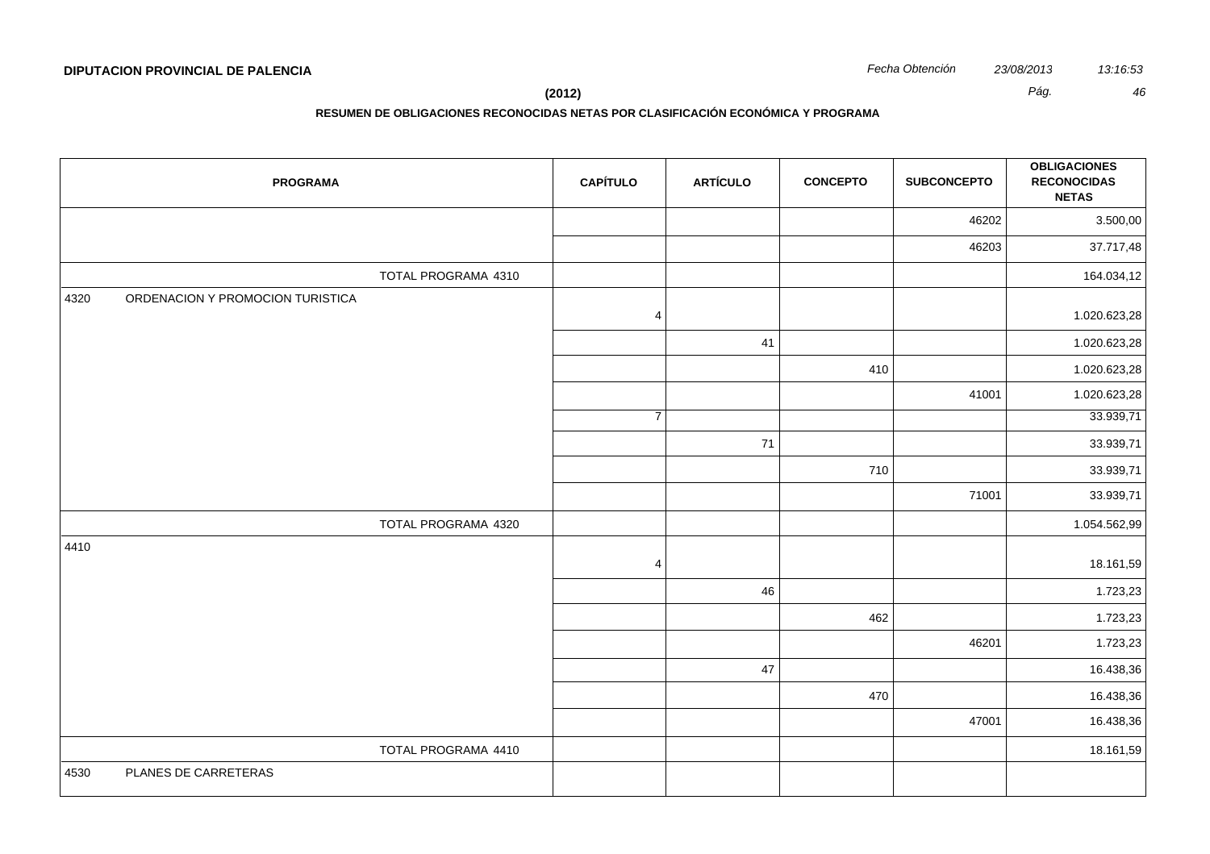**(2012)** *Pág. 46*

| <b>PROGRAMA</b>                          | <b>CAPÍTULO</b> | <b>ARTÍCULO</b> | <b>CONCEPTO</b> | <b>SUBCONCEPTO</b> | <b>OBLIGACIONES</b><br><b>RECONOCIDAS</b><br><b>NETAS</b> |
|------------------------------------------|-----------------|-----------------|-----------------|--------------------|-----------------------------------------------------------|
|                                          |                 |                 |                 | 46202              | 3.500,00                                                  |
|                                          |                 |                 |                 | 46203              | 37.717,48                                                 |
| TOTAL PROGRAMA 4310                      |                 |                 |                 |                    | 164.034,12                                                |
| ORDENACION Y PROMOCION TURISTICA<br>4320 | $\overline{4}$  |                 |                 |                    | 1.020.623,28                                              |
|                                          |                 | 41              |                 |                    | 1.020.623,28                                              |
|                                          |                 |                 | 410             |                    | 1.020.623,28                                              |
|                                          |                 |                 |                 | 41001              | 1.020.623,28                                              |
|                                          | $\overline{7}$  |                 |                 |                    | 33.939,71                                                 |
|                                          |                 | 71              |                 |                    | 33.939,71                                                 |
|                                          |                 |                 | 710             |                    | 33.939,71                                                 |
|                                          |                 |                 |                 | 71001              | 33.939,71                                                 |
| TOTAL PROGRAMA 4320                      |                 |                 |                 |                    | 1.054.562,99                                              |
| 4410                                     | $\overline{4}$  |                 |                 |                    | 18.161,59                                                 |
|                                          |                 | 46              |                 |                    | 1.723,23                                                  |
|                                          |                 |                 | 462             |                    | 1.723,23                                                  |
|                                          |                 |                 |                 | 46201              | 1.723,23                                                  |
|                                          |                 | 47              |                 |                    | 16.438,36                                                 |
|                                          |                 |                 | 470             |                    | 16.438,36                                                 |
|                                          |                 |                 |                 | 47001              | 16.438,36                                                 |
| TOTAL PROGRAMA 4410                      |                 |                 |                 |                    | 18.161,59                                                 |
| PLANES DE CARRETERAS<br>4530             |                 |                 |                 |                    |                                                           |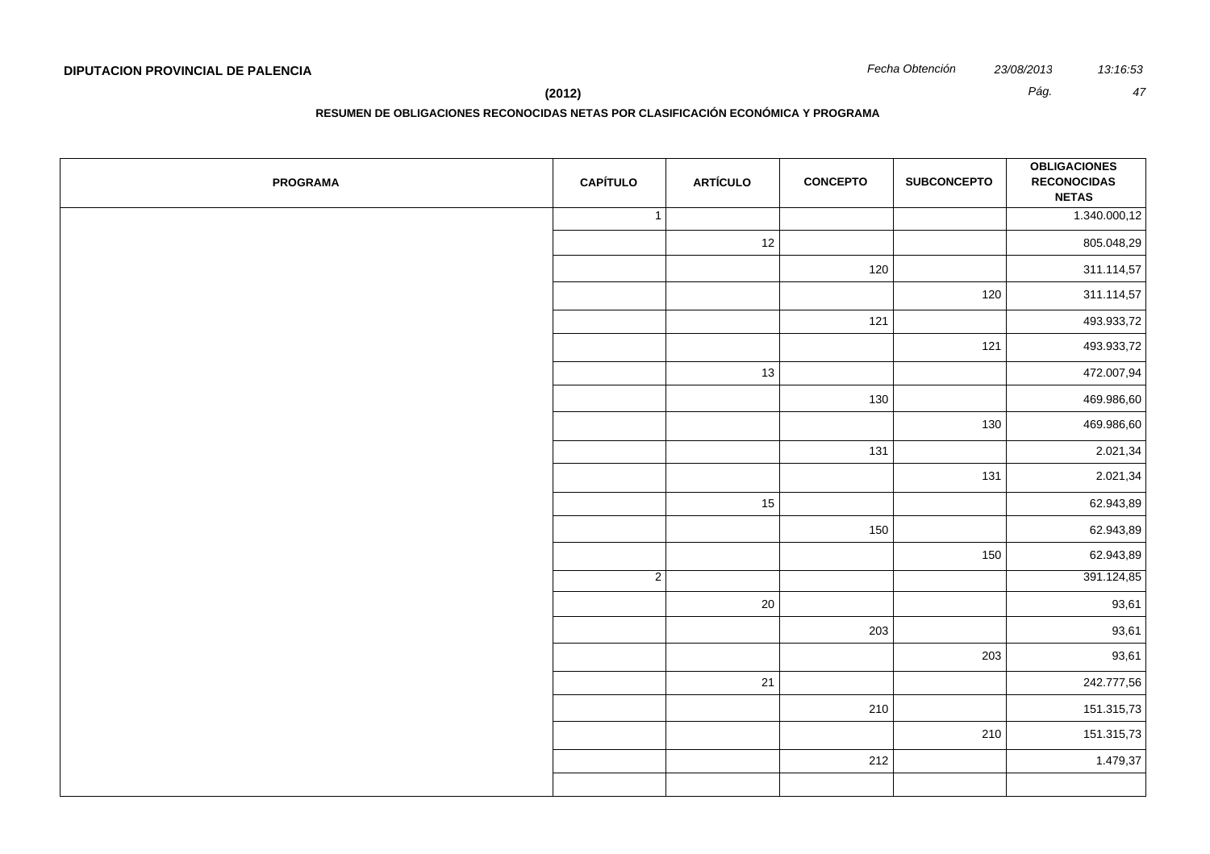**RESUMEN DE OBLIGACIONES RECONOCIDAS NETAS POR CLASIFICACIÓN ECONÓMICA Y PROGRAMA**

| <b>PROGRAMA</b> | <b>CAPÍTULO</b> | <b>ARTÍCULO</b> | <b>CONCEPTO</b> | <b>SUBCONCEPTO</b> | <b>OBLIGACIONES</b><br><b>RECONOCIDAS</b><br><b>NETAS</b> |
|-----------------|-----------------|-----------------|-----------------|--------------------|-----------------------------------------------------------|
|                 | $\mathbf{1}$    |                 |                 |                    | 1.340.000,12                                              |
|                 |                 | 12              |                 |                    | 805.048,29                                                |
|                 |                 |                 | 120             |                    | 311.114,57                                                |
|                 |                 |                 |                 | 120                | 311.114,57                                                |
|                 |                 |                 | 121             |                    | 493.933,72                                                |
|                 |                 |                 |                 | 121                | 493.933,72                                                |
|                 |                 | 13              |                 |                    | 472.007,94                                                |
|                 |                 |                 | 130             |                    | 469.986,60                                                |
|                 |                 |                 |                 | 130                | 469.986,60                                                |
|                 |                 |                 | 131             |                    | 2.021,34                                                  |
|                 |                 |                 |                 | 131                | 2.021,34                                                  |
|                 |                 | 15              |                 |                    | 62.943,89                                                 |
|                 |                 |                 | 150             |                    | 62.943,89                                                 |
|                 |                 |                 |                 | 150                | 62.943,89                                                 |
|                 | $\overline{2}$  |                 |                 |                    | 391.124,85                                                |
|                 |                 | 20              |                 |                    | 93,61                                                     |
|                 |                 |                 | 203             |                    | 93,61                                                     |
|                 |                 |                 |                 | 203                | 93,61                                                     |
|                 |                 | 21              |                 |                    | 242.777,56                                                |
|                 |                 |                 | 210             |                    | 151.315,73                                                |
|                 |                 |                 |                 | 210                | 151.315,73                                                |
|                 |                 |                 | 212             |                    | 1.479,37                                                  |
|                 |                 |                 |                 |                    |                                                           |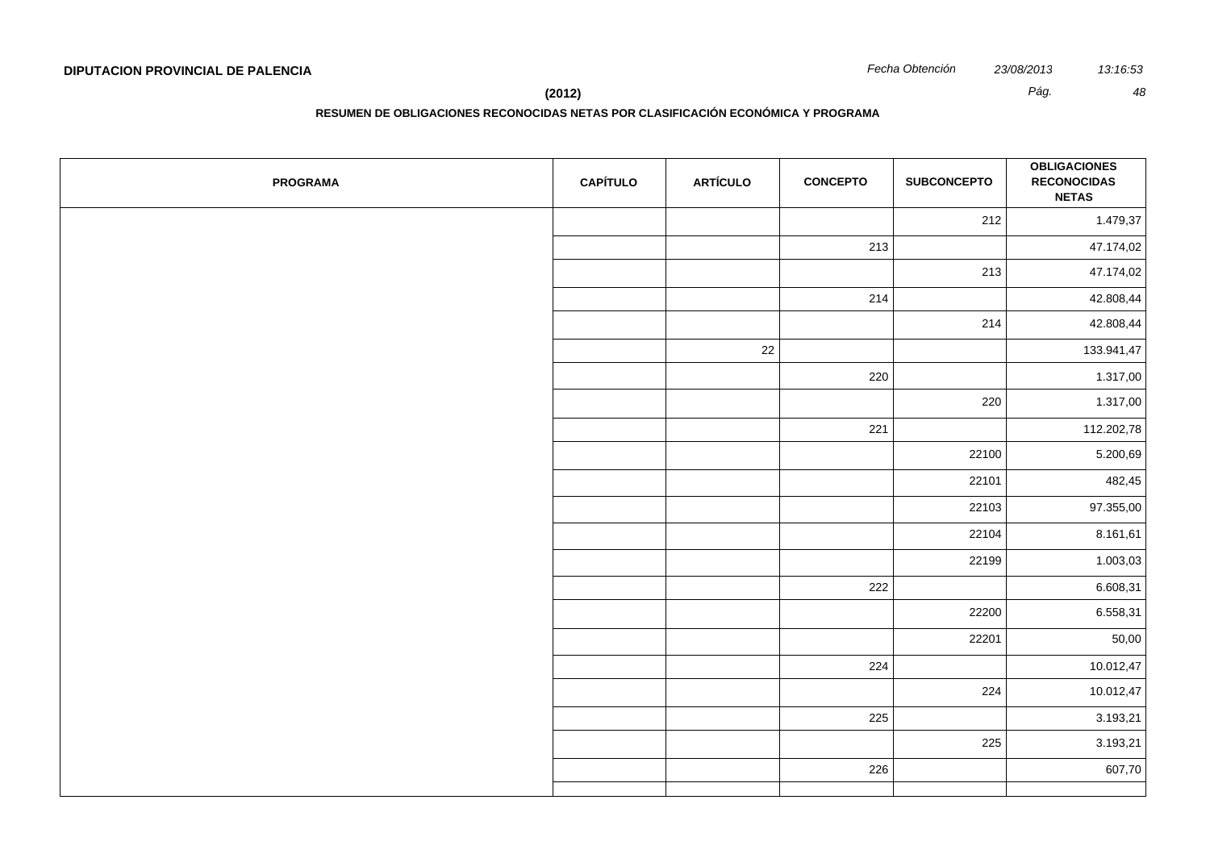**(2012)** *Pág. 48*

| <b>PROGRAMA</b> | <b>CAPÍTULO</b> | <b>ARTÍCULO</b> | <b>CONCEPTO</b> | <b>SUBCONCEPTO</b> | <b>OBLIGACIONES</b><br><b>RECONOCIDAS</b><br><b>NETAS</b> |
|-----------------|-----------------|-----------------|-----------------|--------------------|-----------------------------------------------------------|
|                 |                 |                 |                 | 212                | 1.479,37                                                  |
|                 |                 |                 | 213             |                    | 47.174,02                                                 |
|                 |                 |                 |                 | 213                | 47.174,02                                                 |
|                 |                 |                 | 214             |                    | 42.808,44                                                 |
|                 |                 |                 |                 | 214                | 42.808,44                                                 |
|                 |                 | 22              |                 |                    | 133.941,47                                                |
|                 |                 |                 | 220             |                    | 1.317,00                                                  |
|                 |                 |                 |                 | 220                | 1.317,00                                                  |
|                 |                 |                 | 221             |                    | 112.202,78                                                |
|                 |                 |                 |                 | 22100              | 5.200,69                                                  |
|                 |                 |                 |                 | 22101              | 482,45                                                    |
|                 |                 |                 |                 | 22103              | 97.355,00                                                 |
|                 |                 |                 |                 | 22104              | 8.161,61                                                  |
|                 |                 |                 |                 | 22199              | 1.003,03                                                  |
|                 |                 |                 | 222             |                    | 6.608,31                                                  |
|                 |                 |                 |                 | 22200              | 6.558,31                                                  |
|                 |                 |                 |                 | 22201              | 50,00                                                     |
|                 |                 |                 | 224             |                    | 10.012,47                                                 |
|                 |                 |                 |                 | 224                | 10.012,47                                                 |
|                 |                 |                 | 225             |                    | 3.193,21                                                  |
|                 |                 |                 |                 | 225                | 3.193,21                                                  |
|                 |                 |                 | 226             |                    | 607,70                                                    |
|                 |                 |                 |                 |                    |                                                           |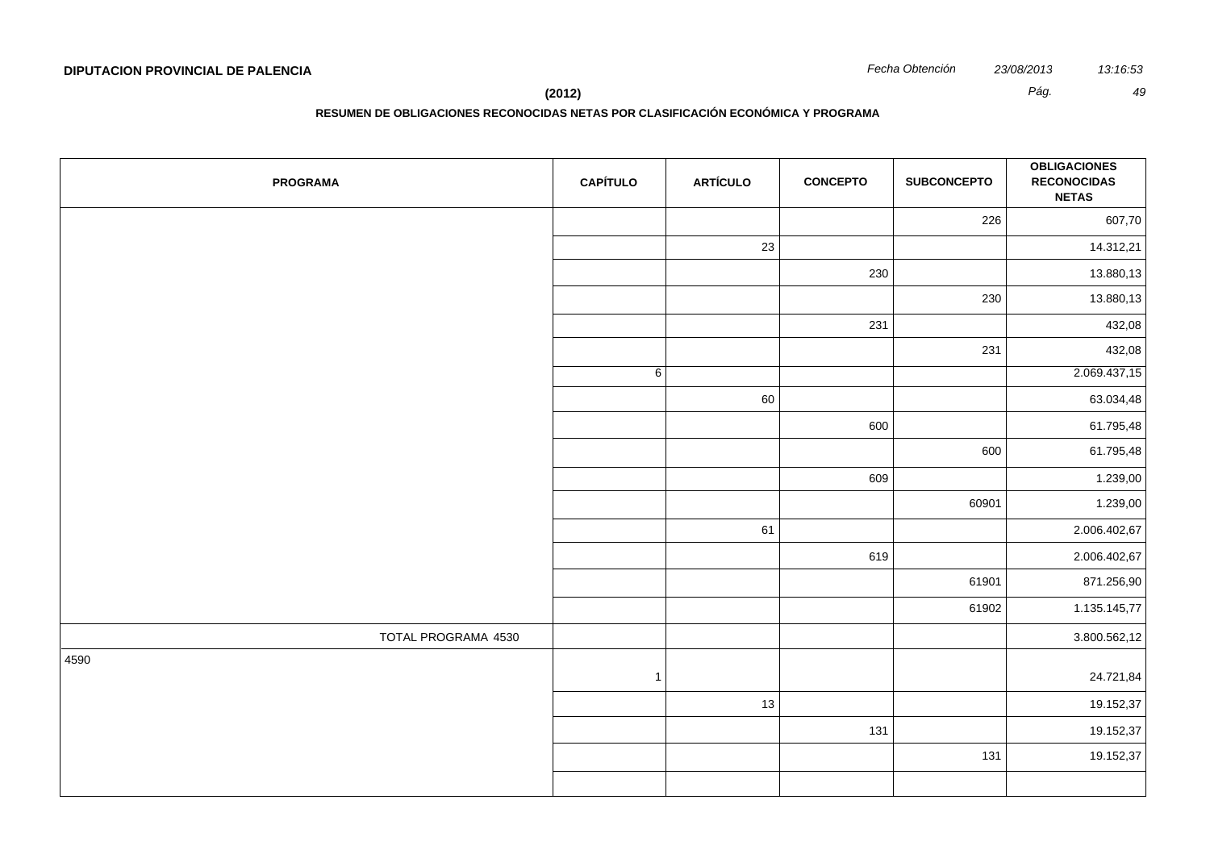**RESUMEN DE OBLIGACIONES RECONOCIDAS NETAS POR CLASIFICACIÓN ECONÓMICA Y PROGRAMA**

| <b>PROGRAMA</b>     | <b>CAPÍTULO</b> | <b>ARTÍCULO</b> | <b>CONCEPTO</b> | <b>SUBCONCEPTO</b> | <b>OBLIGACIONES</b><br><b>RECONOCIDAS</b><br><b>NETAS</b> |
|---------------------|-----------------|-----------------|-----------------|--------------------|-----------------------------------------------------------|
|                     |                 |                 |                 | 226                | 607,70                                                    |
|                     |                 | 23              |                 |                    | 14.312,21                                                 |
|                     |                 |                 | 230             |                    | 13.880,13                                                 |
|                     |                 |                 |                 | 230                | 13.880,13                                                 |
|                     |                 |                 | 231             |                    | 432,08                                                    |
|                     |                 |                 |                 | 231                | 432,08                                                    |
|                     | 6               |                 |                 |                    | 2.069.437,15                                              |
|                     |                 | 60              |                 |                    | 63.034,48                                                 |
|                     |                 |                 | 600             |                    | 61.795,48                                                 |
|                     |                 |                 |                 | 600                | 61.795,48                                                 |
|                     |                 |                 | 609             |                    | 1.239,00                                                  |
|                     |                 |                 |                 | 60901              | 1.239,00                                                  |
|                     |                 | 61              |                 |                    | 2.006.402,67                                              |
|                     |                 |                 | 619             |                    | 2.006.402,67                                              |
|                     |                 |                 |                 | 61901              | 871.256,90                                                |
|                     |                 |                 |                 | 61902              | 1.135.145,77                                              |
| TOTAL PROGRAMA 4530 |                 |                 |                 |                    | 3.800.562,12                                              |
| 4590                | $\overline{1}$  |                 |                 |                    | 24.721,84                                                 |
|                     |                 | 13              |                 |                    | 19.152,37                                                 |
|                     |                 |                 | 131             |                    | 19.152,37                                                 |
|                     |                 |                 |                 | 131                | 19.152,37                                                 |
|                     |                 |                 |                 |                    |                                                           |
|                     |                 |                 |                 |                    |                                                           |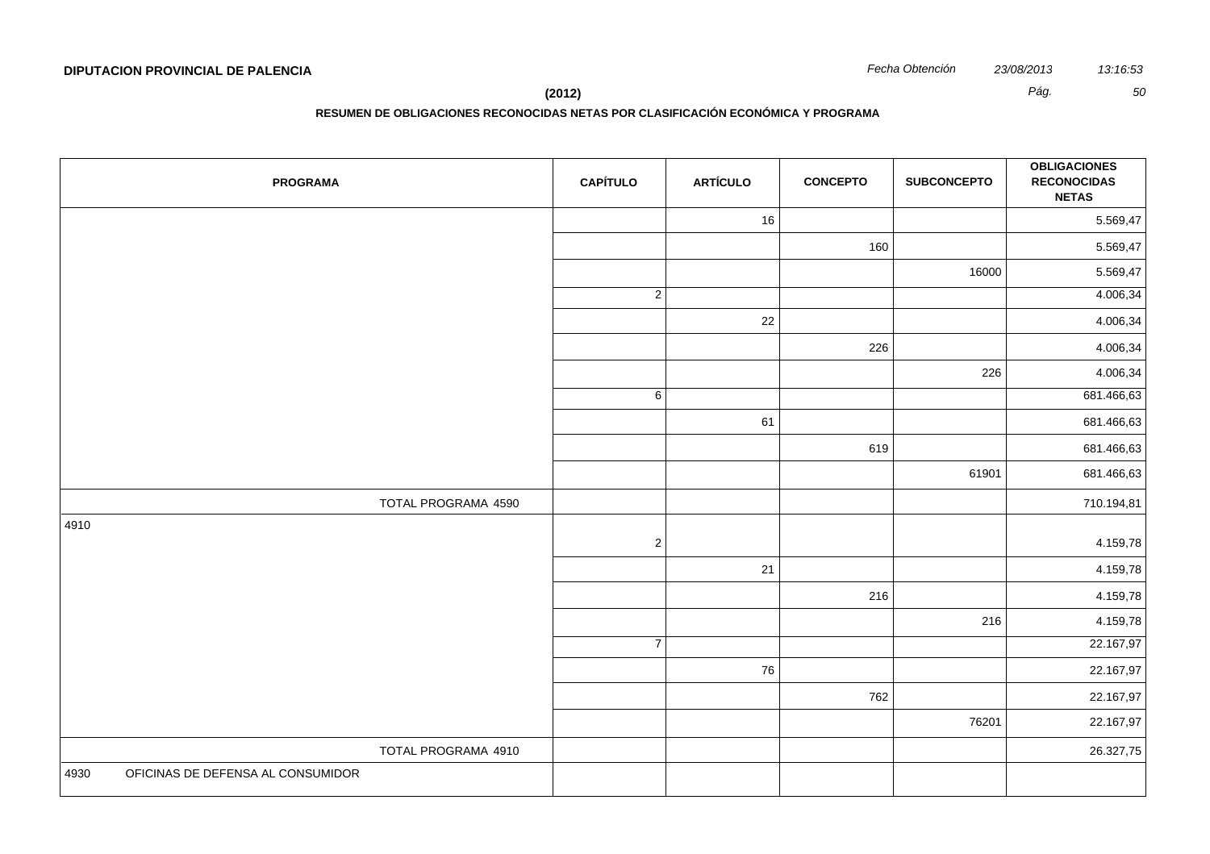**(2012)** *Pág. 50*

| <b>PROGRAMA</b>                           | <b>CAPÍTULO</b> | <b>ARTÍCULO</b> | <b>CONCEPTO</b> | <b>SUBCONCEPTO</b> | <b>OBLIGACIONES</b><br><b>RECONOCIDAS</b><br><b>NETAS</b> |
|-------------------------------------------|-----------------|-----------------|-----------------|--------------------|-----------------------------------------------------------|
|                                           |                 | 16              |                 |                    | 5.569,47                                                  |
|                                           |                 |                 | 160             |                    | 5.569,47                                                  |
|                                           |                 |                 |                 | 16000              | 5.569,47                                                  |
|                                           | $\overline{2}$  |                 |                 |                    | 4.006,34                                                  |
|                                           |                 | 22              |                 |                    | 4.006,34                                                  |
|                                           |                 |                 | 226             |                    | 4.006,34                                                  |
|                                           |                 |                 |                 | 226                | 4.006,34                                                  |
|                                           | 6               |                 |                 |                    | 681.466,63                                                |
|                                           |                 | 61              |                 |                    | 681.466,63                                                |
|                                           |                 |                 | 619             |                    | 681.466,63                                                |
|                                           |                 |                 |                 | 61901              | 681.466,63                                                |
| TOTAL PROGRAMA 4590                       |                 |                 |                 |                    | 710.194,81                                                |
| 4910                                      | $\sqrt{2}$      |                 |                 |                    | 4.159,78                                                  |
|                                           |                 | 21              |                 |                    | 4.159,78                                                  |
|                                           |                 |                 | 216             |                    | 4.159,78                                                  |
|                                           |                 |                 |                 | 216                | 4.159,78                                                  |
|                                           | $\overline{7}$  |                 |                 |                    | 22.167,97                                                 |
|                                           |                 | 76              |                 |                    | 22.167,97                                                 |
|                                           |                 |                 | 762             |                    | 22.167,97                                                 |
|                                           |                 |                 |                 | 76201              | 22.167,97                                                 |
| TOTAL PROGRAMA 4910                       |                 |                 |                 |                    | 26.327,75                                                 |
| OFICINAS DE DEFENSA AL CONSUMIDOR<br>4930 |                 |                 |                 |                    |                                                           |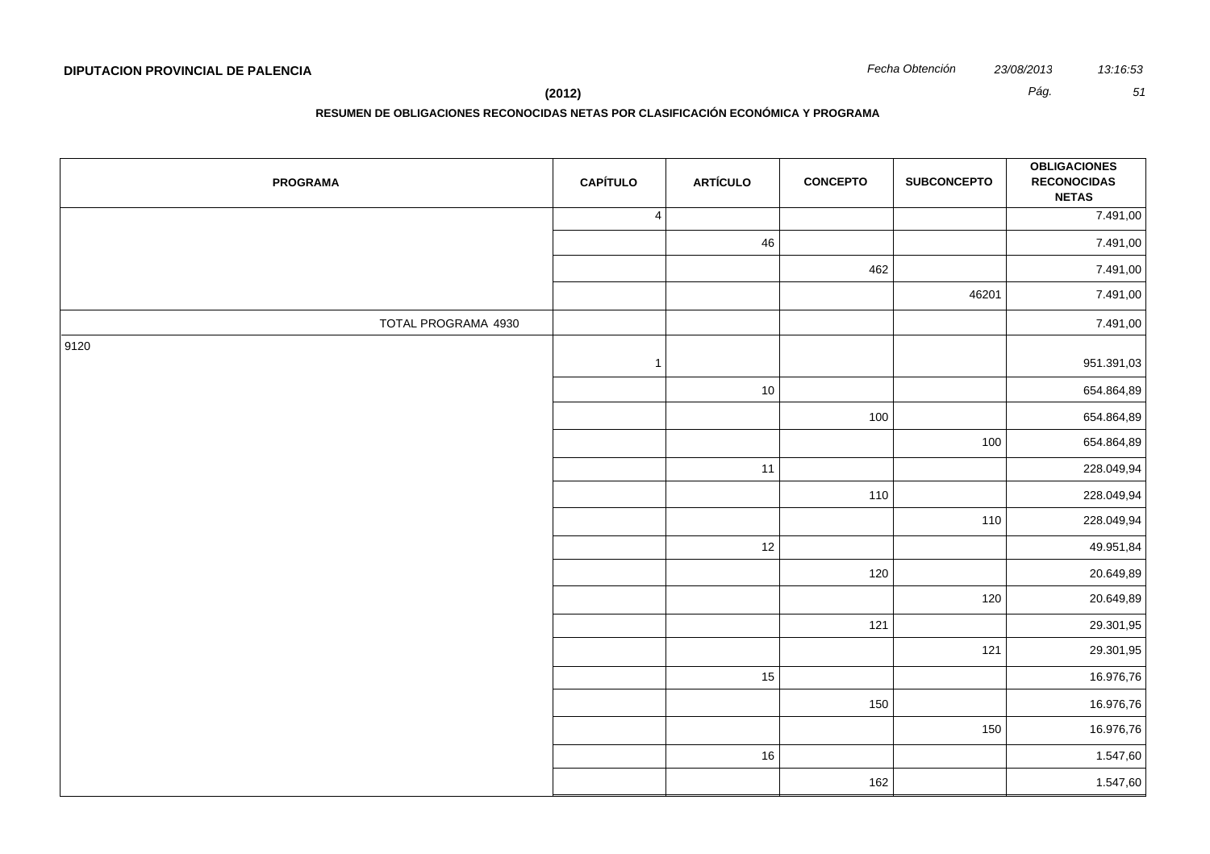**RESUMEN DE OBLIGACIONES RECONOCIDAS NETAS POR CLASIFICACIÓN ECONÓMICA Y PROGRAMA**

| <b>PROGRAMA</b>     | <b>CAPÍTULO</b> | <b>ARTÍCULO</b> | <b>CONCEPTO</b> | <b>SUBCONCEPTO</b> | <b>OBLIGACIONES</b><br><b>RECONOCIDAS</b><br><b>NETAS</b> |
|---------------------|-----------------|-----------------|-----------------|--------------------|-----------------------------------------------------------|
|                     | $\overline{4}$  |                 |                 |                    | 7.491,00                                                  |
|                     |                 | 46              |                 |                    | 7.491,00                                                  |
|                     |                 |                 | 462             |                    | 7.491,00                                                  |
|                     |                 |                 |                 | 46201              | 7.491,00                                                  |
| TOTAL PROGRAMA 4930 |                 |                 |                 |                    | 7.491,00                                                  |
| 9120                | $\overline{1}$  |                 |                 |                    | 951.391,03                                                |
|                     |                 | 10              |                 |                    | 654.864,89                                                |
|                     |                 |                 | 100             |                    | 654.864,89                                                |
|                     |                 |                 |                 | 100                | 654.864,89                                                |
|                     |                 | 11              |                 |                    | 228.049,94                                                |
|                     |                 |                 | 110             |                    | 228.049,94                                                |
|                     |                 |                 |                 | 110                | 228.049,94                                                |
|                     |                 | 12              |                 |                    | 49.951,84                                                 |
|                     |                 |                 | 120             |                    | 20.649,89                                                 |
|                     |                 |                 |                 | 120                | 20.649,89                                                 |
|                     |                 |                 | 121             |                    | 29.301,95                                                 |
|                     |                 |                 |                 | 121                | 29.301,95                                                 |
|                     |                 | 15              |                 |                    | 16.976,76                                                 |
|                     |                 |                 | 150             |                    | 16.976,76                                                 |
|                     |                 |                 |                 | 150                | 16.976,76                                                 |
|                     |                 | 16              |                 |                    | 1.547,60                                                  |
|                     |                 |                 | 162             |                    | 1.547,60                                                  |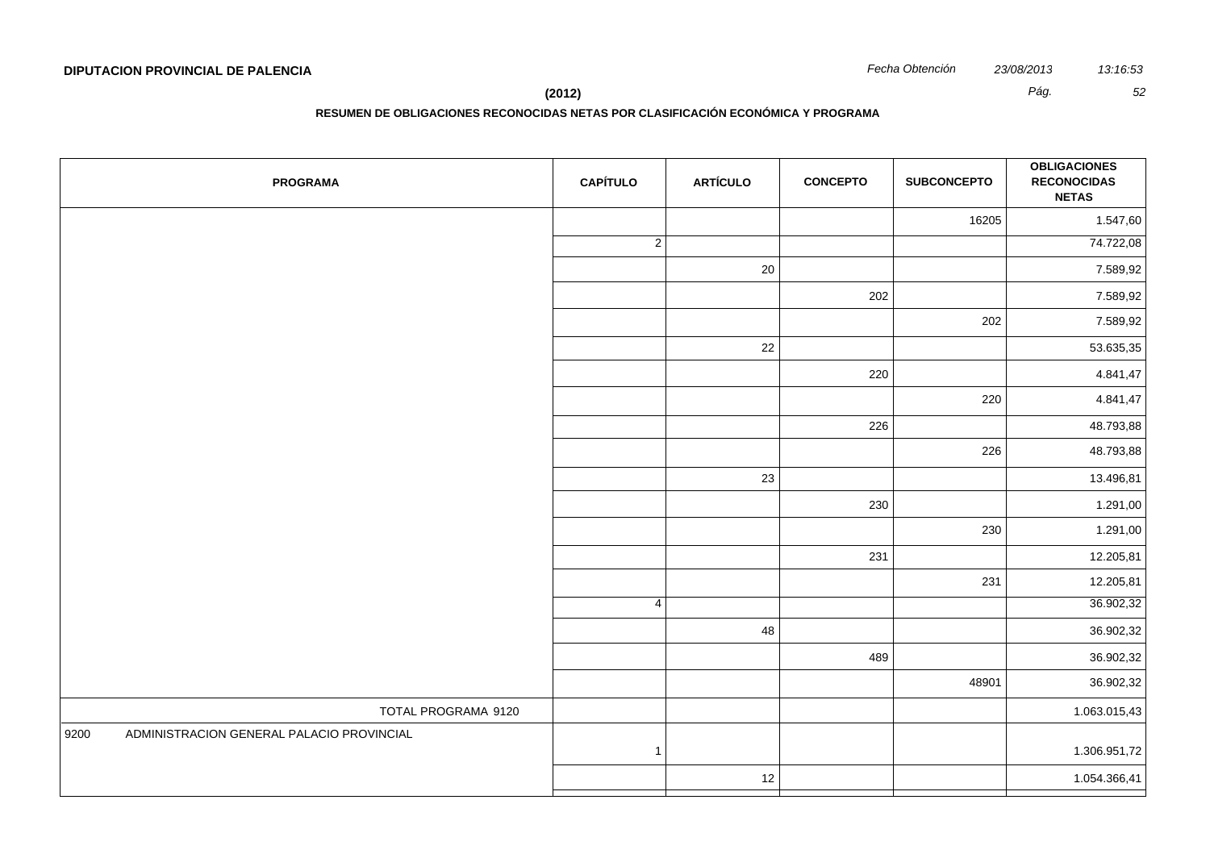**(2012)** *Pág. 52*

| <b>PROGRAMA</b>                                   | <b>CAPÍTULO</b> | <b>ARTÍCULO</b> | <b>CONCEPTO</b> | <b>SUBCONCEPTO</b> | <b>OBLIGACIONES</b><br><b>RECONOCIDAS</b><br><b>NETAS</b> |
|---------------------------------------------------|-----------------|-----------------|-----------------|--------------------|-----------------------------------------------------------|
|                                                   |                 |                 |                 | 16205              | 1.547,60                                                  |
|                                                   | $\overline{2}$  |                 |                 |                    | 74.722,08                                                 |
|                                                   |                 | 20              |                 |                    | 7.589,92                                                  |
|                                                   |                 |                 | 202             |                    | 7.589,92                                                  |
|                                                   |                 |                 |                 | 202                | 7.589,92                                                  |
|                                                   |                 | 22              |                 |                    | 53.635,35                                                 |
|                                                   |                 |                 | 220             |                    | 4.841,47                                                  |
|                                                   |                 |                 |                 | 220                | 4.841,47                                                  |
|                                                   |                 |                 | 226             |                    | 48.793,88                                                 |
|                                                   |                 |                 |                 | 226                | 48.793,88                                                 |
|                                                   |                 | 23              |                 |                    | 13.496,81                                                 |
|                                                   |                 |                 | 230             |                    | 1.291,00                                                  |
|                                                   |                 |                 |                 | 230                | 1.291,00                                                  |
|                                                   |                 |                 | 231             |                    | 12.205,81                                                 |
|                                                   |                 |                 |                 | 231                | 12.205,81                                                 |
|                                                   | $\overline{4}$  |                 |                 |                    | 36.902,32                                                 |
|                                                   |                 | 48              |                 |                    | 36.902,32                                                 |
|                                                   |                 |                 | 489             |                    | 36.902,32                                                 |
|                                                   |                 |                 |                 | 48901              | 36.902,32                                                 |
| TOTAL PROGRAMA 9120                               |                 |                 |                 |                    | 1.063.015,43                                              |
| ADMINISTRACION GENERAL PALACIO PROVINCIAL<br>9200 | $\mathbf{1}$    |                 |                 |                    | 1.306.951,72                                              |
|                                                   |                 | 12              |                 |                    | 1.054.366,41                                              |
|                                                   |                 |                 |                 |                    |                                                           |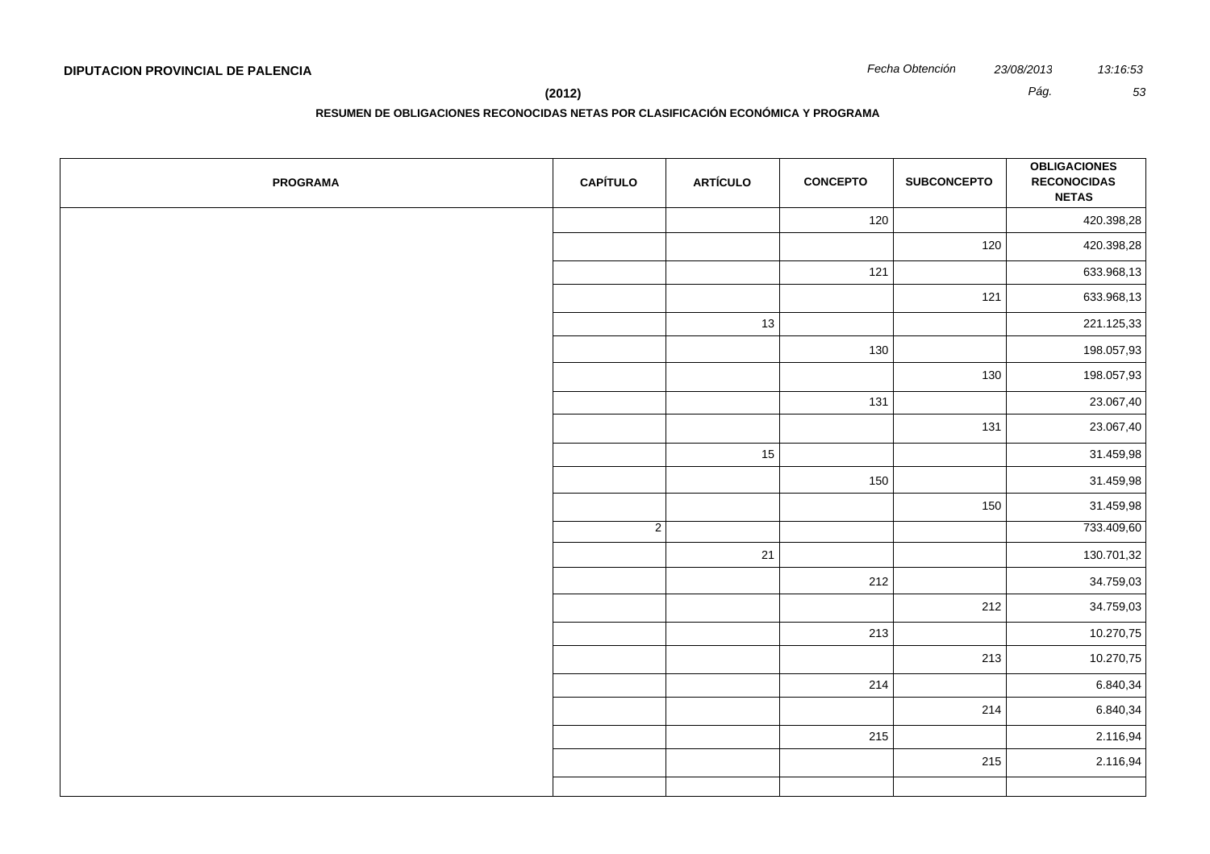| <b>PROGRAMA</b> | <b>CAPÍTULO</b> | <b>ARTÍCULO</b> | <b>CONCEPTO</b> | <b>SUBCONCEPTO</b> | <b>OBLIGACIONES</b><br><b>RECONOCIDAS</b><br><b>NETAS</b> |
|-----------------|-----------------|-----------------|-----------------|--------------------|-----------------------------------------------------------|
|                 |                 |                 | 120             |                    | 420.398,28                                                |
|                 |                 |                 |                 | 120                | 420.398,28                                                |
|                 |                 |                 | $121$           |                    | 633.968,13                                                |
|                 |                 |                 |                 | $121$              | 633.968,13                                                |
|                 |                 | 13              |                 |                    | 221.125,33                                                |
|                 |                 |                 | 130             |                    | 198.057,93                                                |
|                 |                 |                 |                 | 130                | 198.057,93                                                |
|                 |                 |                 | 131             |                    | 23.067,40                                                 |
|                 |                 |                 |                 | 131                | 23.067,40                                                 |
|                 |                 | 15              |                 |                    | 31.459,98                                                 |
|                 |                 |                 | 150             |                    | 31.459,98                                                 |
|                 |                 |                 |                 | 150                | 31.459,98                                                 |
|                 | $\overline{2}$  |                 |                 |                    | 733.409,60                                                |
|                 |                 | 21              |                 |                    | 130.701,32                                                |
|                 |                 |                 | 212             |                    | 34.759,03                                                 |
|                 |                 |                 |                 | 212                | 34.759,03                                                 |
|                 |                 |                 | 213             |                    | 10.270,75                                                 |
|                 |                 |                 |                 | 213                | 10.270,75                                                 |
|                 |                 |                 | 214             |                    | 6.840,34                                                  |
|                 |                 |                 |                 | 214                | 6.840,34                                                  |
|                 |                 |                 | 215             |                    | 2.116,94                                                  |
|                 |                 |                 |                 | 215                | 2.116,94                                                  |
|                 |                 |                 |                 |                    |                                                           |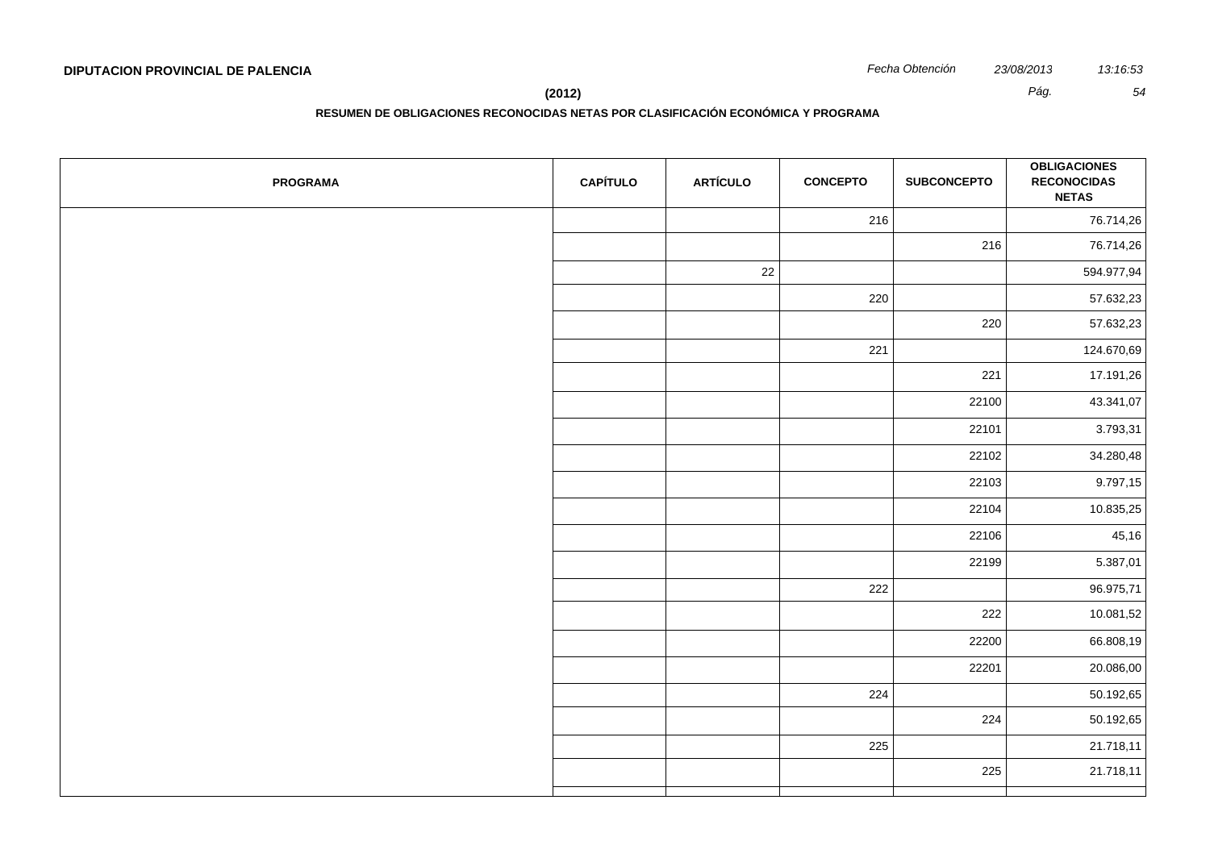**RESUMEN DE OBLIGACIONES RECONOCIDAS NETAS POR CLASIFICACIÓN ECONÓMICA Y PROGRAMA**

| <b>PROGRAMA</b> | <b>CAPÍTULO</b> | <b>ARTÍCULO</b> | <b>CONCEPTO</b> | <b>SUBCONCEPTO</b> | <b>OBLIGACIONES</b><br><b>RECONOCIDAS</b><br><b>NETAS</b> |
|-----------------|-----------------|-----------------|-----------------|--------------------|-----------------------------------------------------------|
|                 |                 |                 | 216             |                    | 76.714,26                                                 |
|                 |                 |                 |                 | 216                | 76.714,26                                                 |
|                 |                 | 22              |                 |                    | 594.977,94                                                |
|                 |                 |                 | 220             |                    | 57.632,23                                                 |
|                 |                 |                 |                 | 220                | 57.632,23                                                 |
|                 |                 |                 | 221             |                    | 124.670,69                                                |
|                 |                 |                 |                 | 221                | 17.191,26                                                 |
|                 |                 |                 |                 | 22100              | 43.341,07                                                 |
|                 |                 |                 |                 | 22101              | 3.793,31                                                  |
|                 |                 |                 |                 | 22102              | 34.280,48                                                 |
|                 |                 |                 |                 | 22103              | 9.797,15                                                  |
|                 |                 |                 |                 | 22104              | 10.835,25                                                 |
|                 |                 |                 |                 | 22106              | 45,16                                                     |
|                 |                 |                 |                 | 22199              | 5.387,01                                                  |
|                 |                 |                 | 222             |                    | 96.975,71                                                 |
|                 |                 |                 |                 | 222                | 10.081,52                                                 |
|                 |                 |                 |                 | 22200              | 66.808,19                                                 |
|                 |                 |                 |                 | 22201              | 20.086,00                                                 |
|                 |                 |                 | 224             |                    | 50.192,65                                                 |
|                 |                 |                 |                 | 224                | 50.192,65                                                 |
|                 |                 |                 | 225             |                    | 21.718,11                                                 |
|                 |                 |                 |                 | 225                | 21.718,11                                                 |
|                 |                 |                 |                 |                    |                                                           |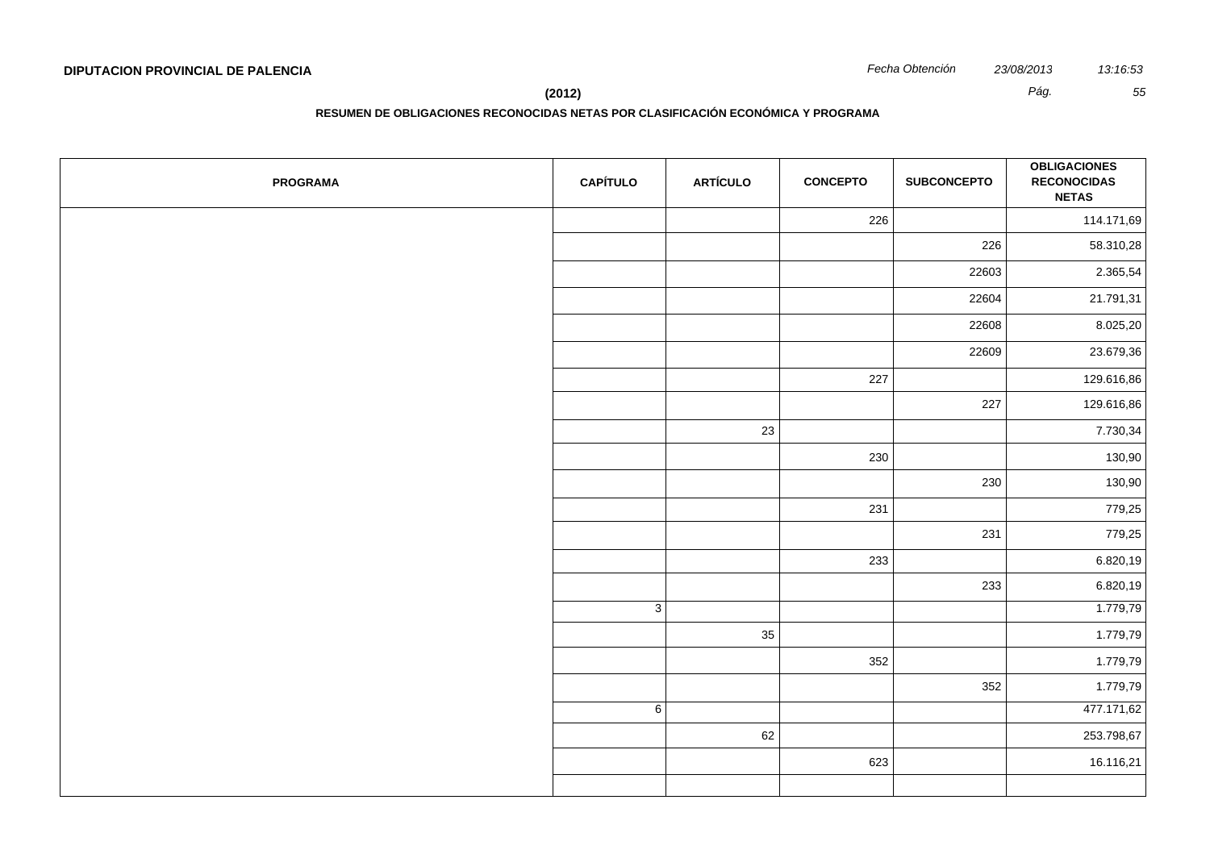**(2012)** *Pág. 55*

| <b>PROGRAMA</b> | <b>CAPÍTULO</b> | <b>ARTÍCULO</b> | <b>CONCEPTO</b> | <b>SUBCONCEPTO</b> | <b>OBLIGACIONES</b><br><b>RECONOCIDAS</b><br><b>NETAS</b> |
|-----------------|-----------------|-----------------|-----------------|--------------------|-----------------------------------------------------------|
|                 |                 |                 | 226             |                    | 114.171,69                                                |
|                 |                 |                 |                 | 226                | 58.310,28                                                 |
|                 |                 |                 |                 | 22603              | 2.365,54                                                  |
|                 |                 |                 |                 | 22604              | 21.791,31                                                 |
|                 |                 |                 |                 | 22608              | 8.025,20                                                  |
|                 |                 |                 |                 | 22609              | 23.679,36                                                 |
|                 |                 |                 | 227             |                    | 129.616,86                                                |
|                 |                 |                 |                 | 227                | 129.616,86                                                |
|                 |                 | 23              |                 |                    | 7.730,34                                                  |
|                 |                 |                 | 230             |                    | 130,90                                                    |
|                 |                 |                 |                 | 230                | 130,90                                                    |
|                 |                 |                 | 231             |                    | 779,25                                                    |
|                 |                 |                 |                 | 231                | 779,25                                                    |
|                 |                 |                 | 233             |                    | 6.820,19                                                  |
|                 |                 |                 |                 | 233                | 6.820,19                                                  |
|                 | $\overline{3}$  |                 |                 |                    | 1.779,79                                                  |
|                 |                 | 35              |                 |                    | 1.779,79                                                  |
|                 |                 |                 | 352             |                    | 1.779,79                                                  |
|                 |                 |                 |                 | 352                | 1.779,79                                                  |
|                 | $\overline{6}$  |                 |                 |                    | 477.171,62                                                |
|                 |                 | 62              |                 |                    | 253.798,67                                                |
|                 |                 |                 | 623             |                    | 16.116,21                                                 |
|                 |                 |                 |                 |                    |                                                           |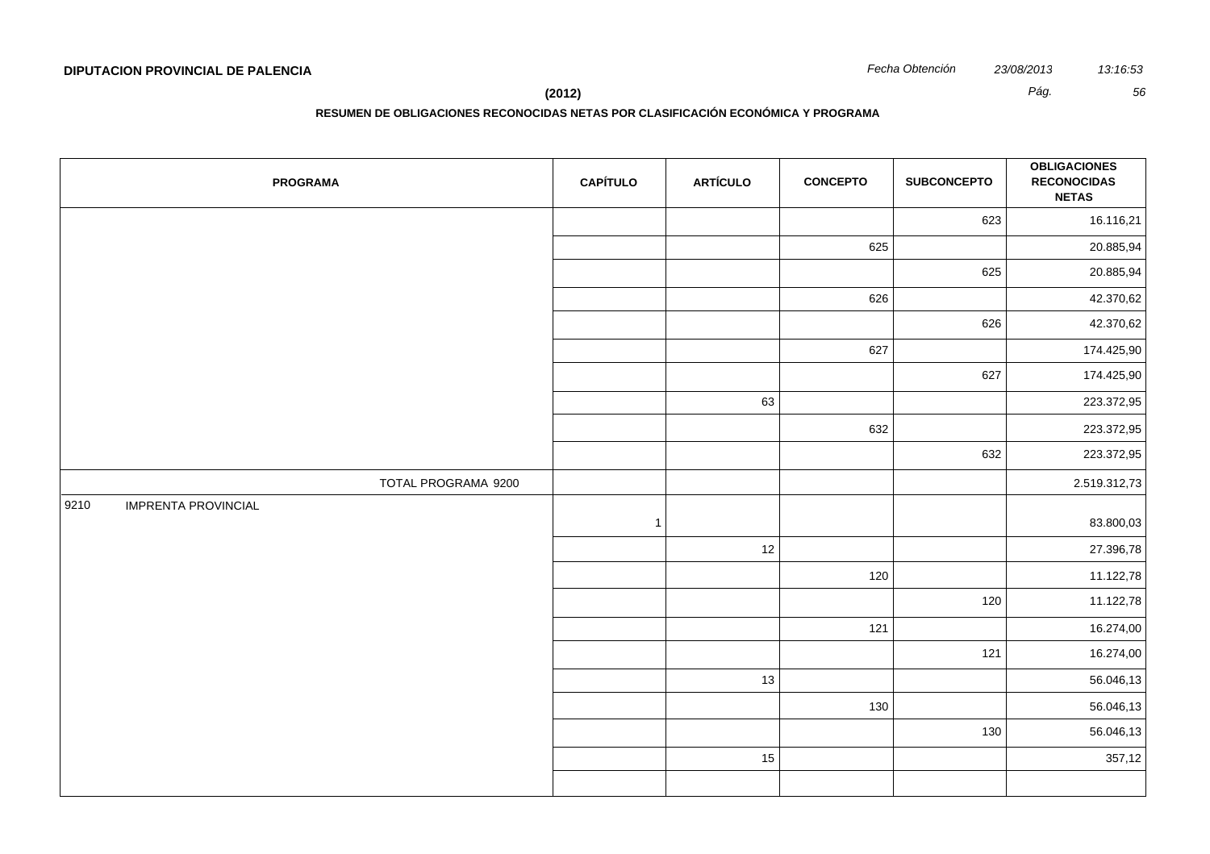**(2012)** *Pág. 56*

| <b>PROGRAMA</b>                    | <b>CAPÍTULO</b> | <b>ARTÍCULO</b> | <b>CONCEPTO</b> | <b>SUBCONCEPTO</b> | <b>OBLIGACIONES</b><br><b>RECONOCIDAS</b><br><b>NETAS</b> |
|------------------------------------|-----------------|-----------------|-----------------|--------------------|-----------------------------------------------------------|
|                                    |                 |                 |                 | 623                | 16.116,21                                                 |
|                                    |                 |                 | 625             |                    | 20.885,94                                                 |
|                                    |                 |                 |                 | 625                | 20.885,94                                                 |
|                                    |                 |                 | 626             |                    | 42.370,62                                                 |
|                                    |                 |                 |                 | 626                | 42.370,62                                                 |
|                                    |                 |                 | 627             |                    | 174.425,90                                                |
|                                    |                 |                 |                 | 627                | 174.425,90                                                |
|                                    |                 | 63              |                 |                    | 223.372,95                                                |
|                                    |                 |                 | 632             |                    | 223.372,95                                                |
|                                    |                 |                 |                 | 632                | 223.372,95                                                |
| TOTAL PROGRAMA 9200                |                 |                 |                 |                    | 2.519.312,73                                              |
| <b>IMPRENTA PROVINCIAL</b><br>9210 | $\mathbf{1}$    |                 |                 |                    | 83.800,03                                                 |
|                                    |                 | 12              |                 |                    | 27.396,78                                                 |
|                                    |                 |                 | 120             |                    | 11.122,78                                                 |
|                                    |                 |                 |                 | 120                | 11.122,78                                                 |
|                                    |                 |                 | 121             |                    | 16.274,00                                                 |
|                                    |                 |                 |                 | 121                | 16.274,00                                                 |
|                                    |                 | 13              |                 |                    | 56.046,13                                                 |
|                                    |                 |                 | 130             |                    | 56.046,13                                                 |
|                                    |                 |                 |                 | 130                | 56.046,13                                                 |
|                                    |                 | 15              |                 |                    | 357,12                                                    |
|                                    |                 |                 |                 |                    |                                                           |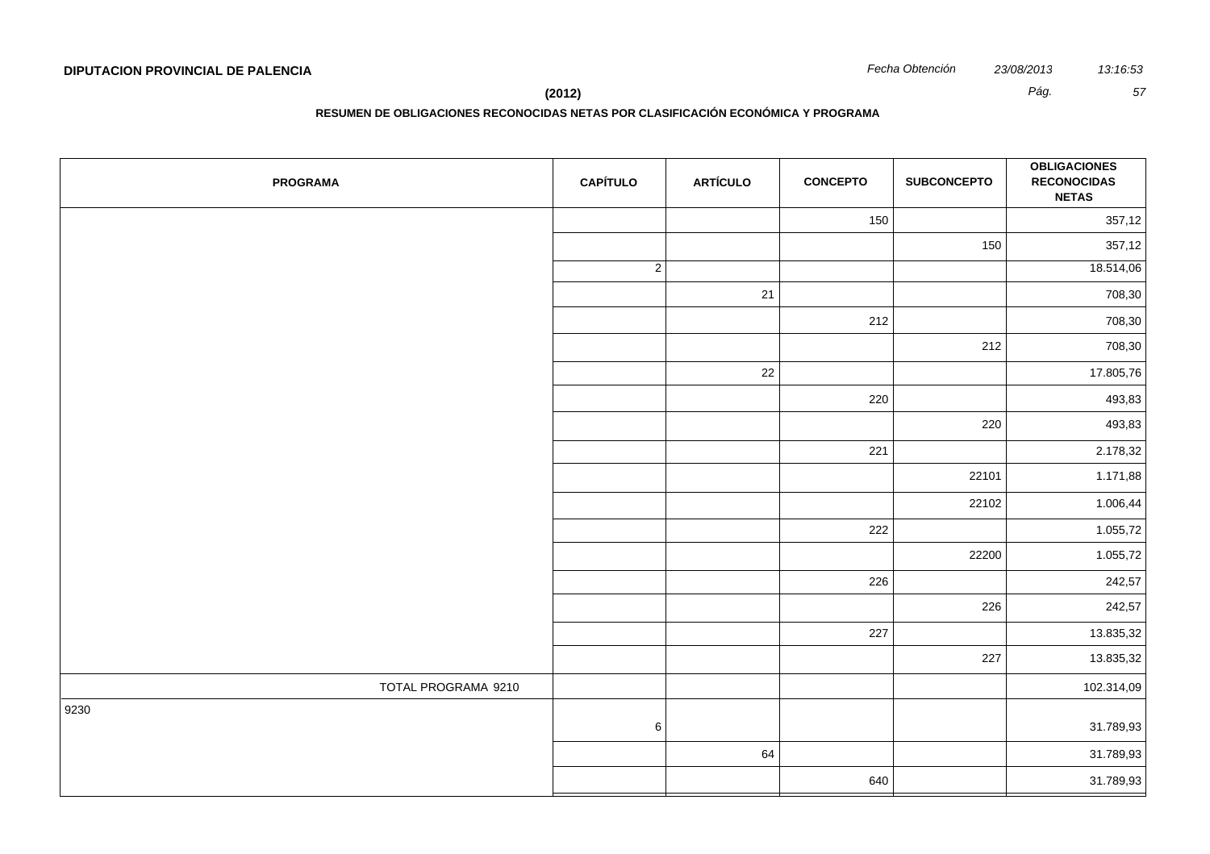**(2012)** *Pág. 57*

| <b>PROGRAMA</b>     | <b>CAPÍTULO</b> | <b>ARTÍCULO</b> | <b>CONCEPTO</b> | <b>SUBCONCEPTO</b> | <b>OBLIGACIONES</b><br><b>RECONOCIDAS</b><br><b>NETAS</b> |
|---------------------|-----------------|-----------------|-----------------|--------------------|-----------------------------------------------------------|
|                     |                 |                 | 150             |                    | 357,12                                                    |
|                     |                 |                 |                 | 150                | 357,12                                                    |
|                     | $\overline{2}$  |                 |                 |                    | 18.514,06                                                 |
|                     |                 | 21              |                 |                    | 708,30                                                    |
|                     |                 |                 | 212             |                    | 708,30                                                    |
|                     |                 |                 |                 | 212                | 708,30                                                    |
|                     |                 | 22              |                 |                    | 17.805,76                                                 |
|                     |                 |                 | 220             |                    | 493,83                                                    |
|                     |                 |                 |                 | 220                | 493,83                                                    |
|                     |                 |                 | 221             |                    | 2.178,32                                                  |
|                     |                 |                 |                 | 22101              | 1.171,88                                                  |
|                     |                 |                 |                 | 22102              | 1.006,44                                                  |
|                     |                 |                 | 222             |                    | 1.055,72                                                  |
|                     |                 |                 |                 | 22200              | 1.055,72                                                  |
|                     |                 |                 | 226             |                    | 242,57                                                    |
|                     |                 |                 |                 | 226                | 242,57                                                    |
|                     |                 |                 | 227             |                    | 13.835,32                                                 |
|                     |                 |                 |                 | 227                | 13.835,32                                                 |
| TOTAL PROGRAMA 9210 |                 |                 |                 |                    | 102.314,09                                                |
| 9230                | $\,6\,$         |                 |                 |                    | 31.789,93                                                 |
|                     |                 | 64              |                 |                    | 31.789,93                                                 |
|                     |                 |                 | 640             |                    | 31.789,93                                                 |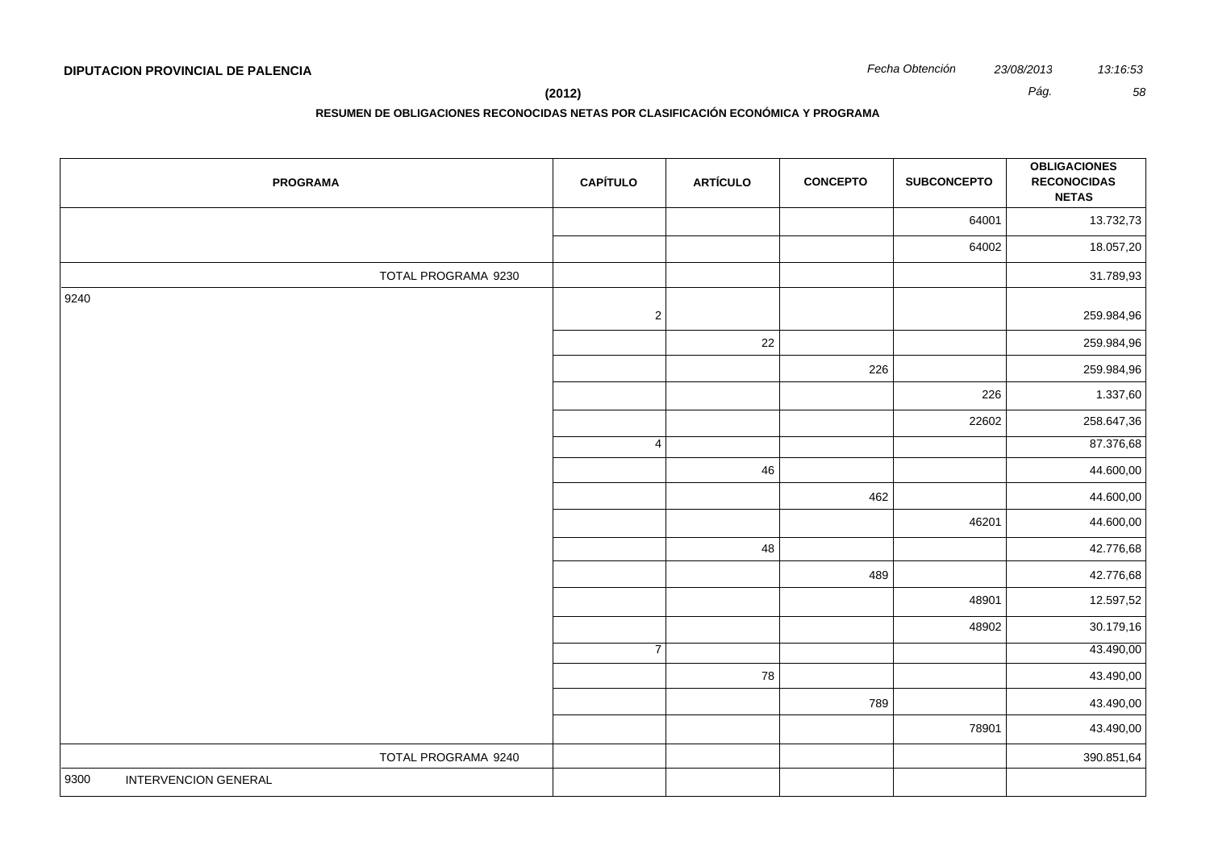**(2012)** *Pág. 58*

| <b>PROGRAMA</b>              | <b>CAPÍTULO</b> | <b>ARTÍCULO</b> | <b>CONCEPTO</b> | <b>SUBCONCEPTO</b> | <b>OBLIGACIONES</b><br><b>RECONOCIDAS</b><br><b>NETAS</b> |
|------------------------------|-----------------|-----------------|-----------------|--------------------|-----------------------------------------------------------|
|                              |                 |                 |                 | 64001              | 13.732,73                                                 |
|                              |                 |                 |                 | 64002              | 18.057,20                                                 |
| TOTAL PROGRAMA 9230          |                 |                 |                 |                    | 31.789,93                                                 |
| 9240                         | $\sqrt{2}$      |                 |                 |                    | 259.984,96                                                |
|                              |                 | 22              |                 |                    | 259.984,96                                                |
|                              |                 |                 | 226             |                    | 259.984,96                                                |
|                              |                 |                 |                 | 226                | 1.337,60                                                  |
|                              |                 |                 |                 | 22602              | 258.647,36                                                |
|                              | $\overline{4}$  |                 |                 |                    | 87.376,68                                                 |
|                              |                 | 46              |                 |                    | 44.600,00                                                 |
|                              |                 |                 | 462             |                    | 44.600,00                                                 |
|                              |                 |                 |                 | 46201              | 44.600,00                                                 |
|                              |                 | 48              |                 |                    | 42.776,68                                                 |
|                              |                 |                 | 489             |                    | 42.776,68                                                 |
|                              |                 |                 |                 | 48901              | 12.597,52                                                 |
|                              |                 |                 |                 | 48902              | 30.179,16                                                 |
|                              | $\overline{7}$  |                 |                 |                    | 43.490,00                                                 |
|                              |                 | 78              |                 |                    | 43.490,00                                                 |
|                              |                 |                 | 789             |                    | 43.490,00                                                 |
|                              |                 |                 |                 | 78901              | 43.490,00                                                 |
| TOTAL PROGRAMA 9240          |                 |                 |                 |                    | 390.851,64                                                |
| INTERVENCION GENERAL<br>9300 |                 |                 |                 |                    |                                                           |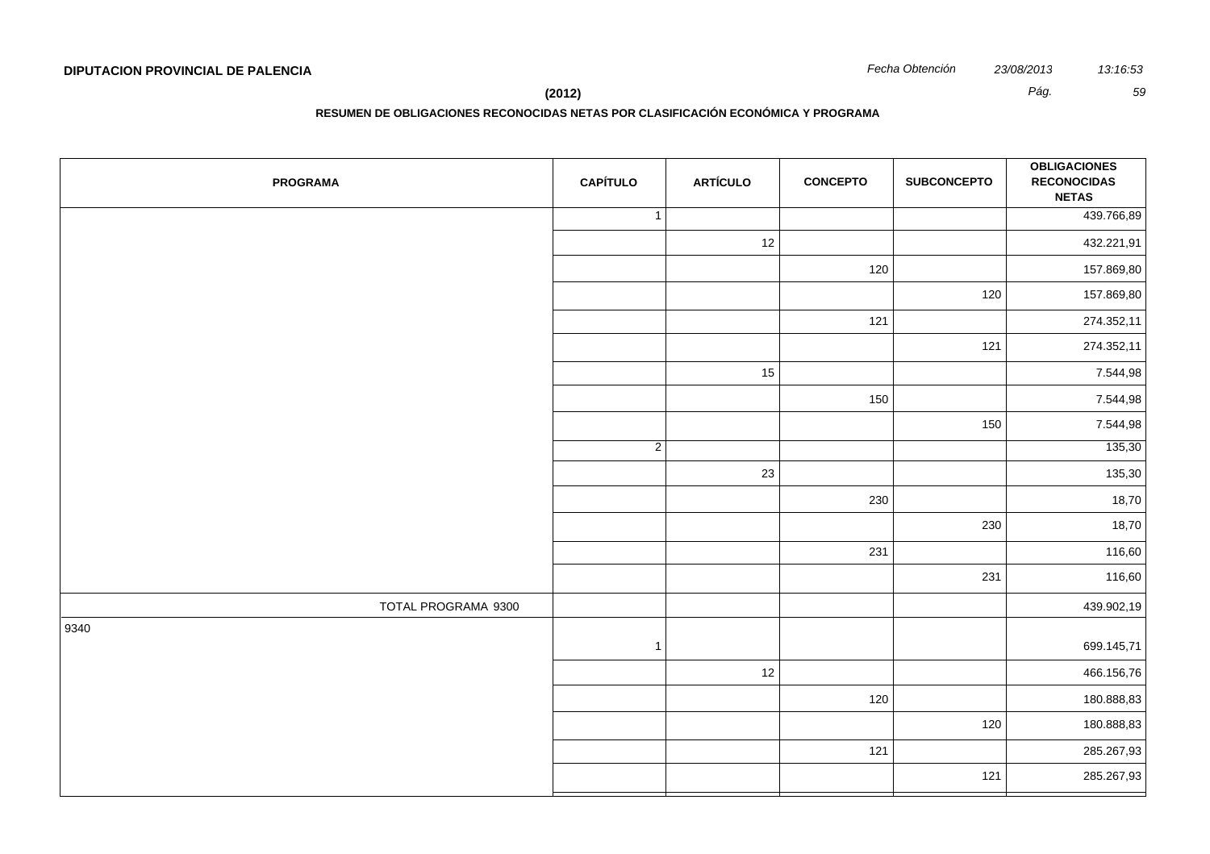**(2012)** *Pág. 59*

| <b>PROGRAMA</b>     | <b>CAPÍTULO</b> | <b>ARTÍCULO</b> | <b>CONCEPTO</b> | <b>SUBCONCEPTO</b> | <b>OBLIGACIONES</b><br><b>RECONOCIDAS</b><br><b>NETAS</b> |
|---------------------|-----------------|-----------------|-----------------|--------------------|-----------------------------------------------------------|
|                     | $\mathbf{1}$    |                 |                 |                    | 439.766,89                                                |
|                     |                 | 12              |                 |                    | 432.221,91                                                |
|                     |                 |                 | 120             |                    | 157.869,80                                                |
|                     |                 |                 |                 | 120                | 157.869,80                                                |
|                     |                 |                 | 121             |                    | 274.352,11                                                |
|                     |                 |                 |                 | 121                | 274.352,11                                                |
|                     |                 | 15              |                 |                    | 7.544,98                                                  |
|                     |                 |                 | 150             |                    | 7.544,98                                                  |
|                     |                 |                 |                 | 150                | 7.544,98                                                  |
|                     | $\overline{2}$  |                 |                 |                    | 135,30                                                    |
|                     |                 | 23              |                 |                    | 135,30                                                    |
|                     |                 |                 | 230             |                    | 18,70                                                     |
|                     |                 |                 |                 | 230                | 18,70                                                     |
|                     |                 |                 | 231             |                    | 116,60                                                    |
|                     |                 |                 |                 | 231                | 116,60                                                    |
| TOTAL PROGRAMA 9300 |                 |                 |                 |                    | 439.902,19                                                |
| 9340                | $\mathbf{1}$    |                 |                 |                    | 699.145,71                                                |
|                     |                 | 12              |                 |                    | 466.156,76                                                |
|                     |                 |                 | 120             |                    | 180.888,83                                                |
|                     |                 |                 |                 | 120                | 180.888,83                                                |
|                     |                 |                 | 121             |                    | 285.267,93                                                |
|                     |                 |                 |                 | 121                | 285.267,93                                                |
|                     |                 |                 |                 |                    |                                                           |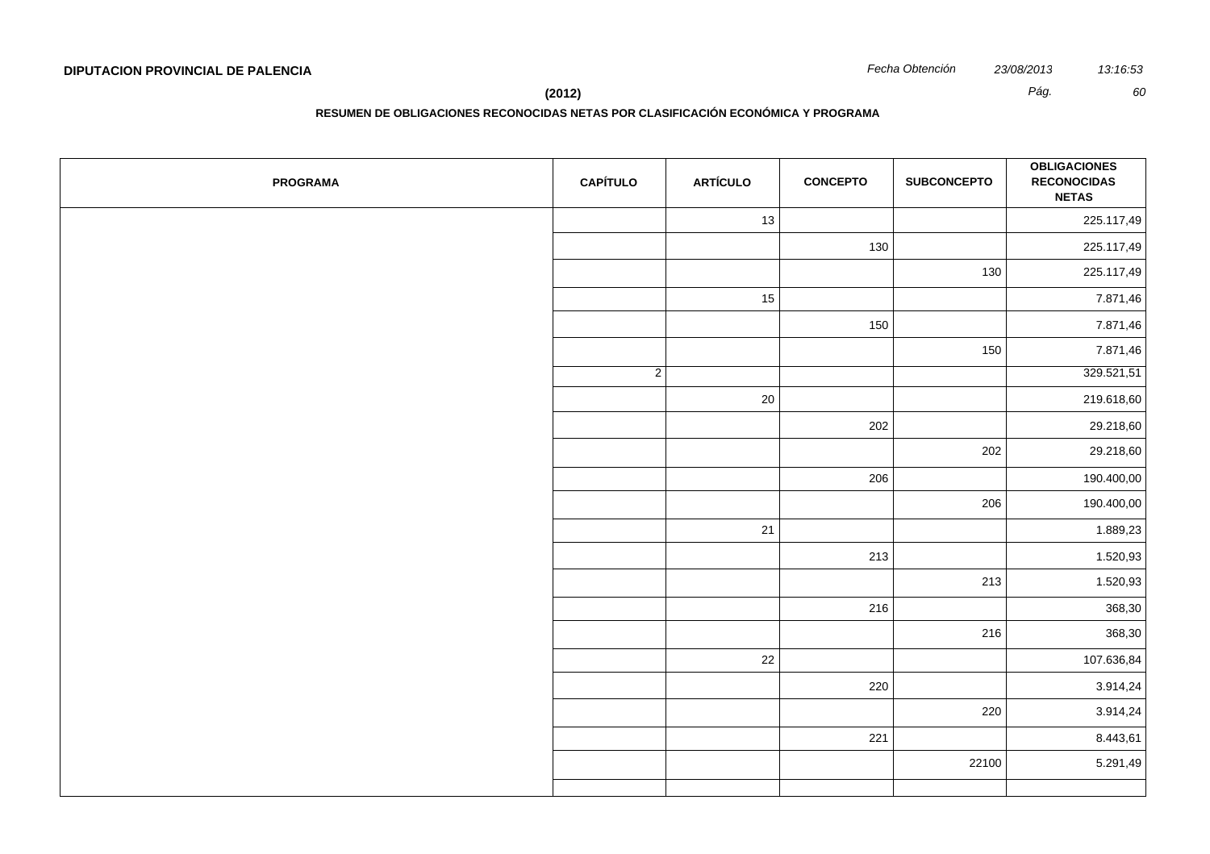**RESUMEN DE OBLIGACIONES RECONOCIDAS NETAS POR CLASIFICACIÓN ECONÓMICA Y PROGRAMA**

| <b>PROGRAMA</b> | <b>CAPÍTULO</b> | <b>ARTÍCULO</b> | <b>CONCEPTO</b> | <b>SUBCONCEPTO</b> | <b>OBLIGACIONES</b><br><b>RECONOCIDAS</b><br><b>NETAS</b> |
|-----------------|-----------------|-----------------|-----------------|--------------------|-----------------------------------------------------------|
|                 |                 | 13              |                 |                    | 225.117,49                                                |
|                 |                 |                 | 130             |                    | 225.117,49                                                |
|                 |                 |                 |                 | 130                | 225.117,49                                                |
|                 |                 | 15              |                 |                    | 7.871,46                                                  |
|                 |                 |                 | 150             |                    | 7.871,46                                                  |
|                 |                 |                 |                 | 150                | 7.871,46                                                  |
|                 | $\overline{2}$  |                 |                 |                    | 329.521,51                                                |
|                 |                 | 20              |                 |                    | 219.618,60                                                |
|                 |                 |                 | 202             |                    | 29.218,60                                                 |
|                 |                 |                 |                 | 202                | 29.218,60                                                 |
|                 |                 |                 | 206             |                    | 190.400,00                                                |
|                 |                 |                 |                 | 206                | 190.400,00                                                |
|                 |                 | 21              |                 |                    | 1.889,23                                                  |
|                 |                 |                 | 213             |                    | 1.520,93                                                  |
|                 |                 |                 |                 | 213                | 1.520,93                                                  |
|                 |                 |                 | 216             |                    | 368,30                                                    |
|                 |                 |                 |                 | 216                | 368,30                                                    |
|                 |                 | 22              |                 |                    | 107.636,84                                                |
|                 |                 |                 | 220             |                    | 3.914,24                                                  |
|                 |                 |                 |                 | 220                | 3.914,24                                                  |
|                 |                 |                 | 221             |                    | 8.443,61                                                  |
|                 |                 |                 |                 | 22100              | 5.291,49                                                  |
|                 |                 |                 |                 |                    |                                                           |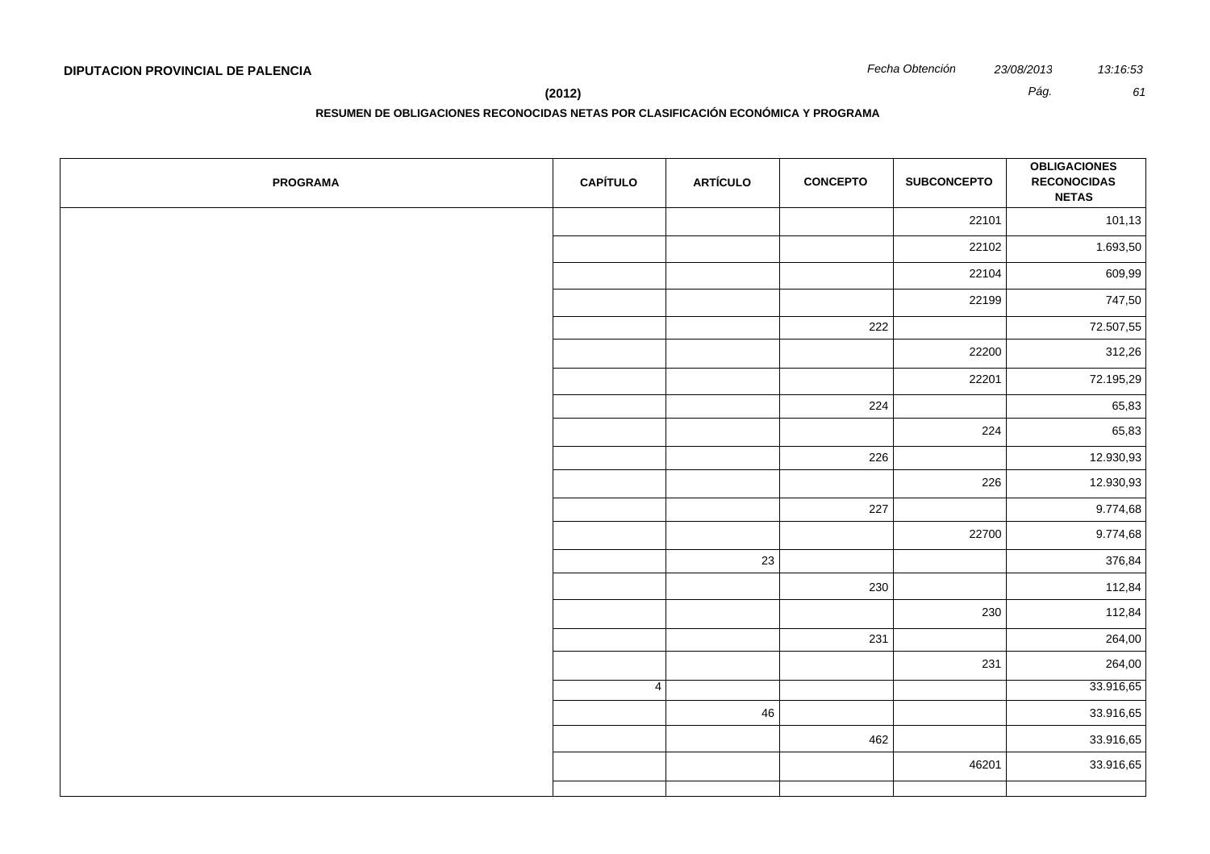**RESUMEN DE OBLIGACIONES RECONOCIDAS NETAS POR CLASIFICACIÓN ECONÓMICA Y PROGRAMA**

| <b>PROGRAMA</b> | <b>CAPÍTULO</b> | <b>ARTÍCULO</b> | <b>CONCEPTO</b> | <b>SUBCONCEPTO</b> | <b>OBLIGACIONES</b><br><b>RECONOCIDAS</b><br><b>NETAS</b> |
|-----------------|-----------------|-----------------|-----------------|--------------------|-----------------------------------------------------------|
|                 |                 |                 |                 | 22101              | 101,13                                                    |
|                 |                 |                 |                 | 22102              | 1.693,50                                                  |
|                 |                 |                 |                 | 22104              | 609,99                                                    |
|                 |                 |                 |                 | 22199              | 747,50                                                    |
|                 |                 |                 | 222             |                    | 72.507,55                                                 |
|                 |                 |                 |                 | 22200              | 312,26                                                    |
|                 |                 |                 |                 | 22201              | 72.195,29                                                 |
|                 |                 |                 | 224             |                    | 65,83                                                     |
|                 |                 |                 |                 | 224                | 65,83                                                     |
|                 |                 |                 | 226             |                    | 12.930,93                                                 |
|                 |                 |                 |                 | 226                | 12.930,93                                                 |
|                 |                 |                 | 227             |                    | 9.774,68                                                  |
|                 |                 |                 |                 | 22700              | 9.774,68                                                  |
|                 |                 | 23              |                 |                    | 376,84                                                    |
|                 |                 |                 | 230             |                    | 112,84                                                    |
|                 |                 |                 |                 | 230                | 112,84                                                    |
|                 |                 |                 | 231             |                    | 264,00                                                    |
|                 |                 |                 |                 | 231                | 264,00                                                    |
|                 | 4               |                 |                 |                    | 33.916,65                                                 |
|                 |                 | 46              |                 |                    | 33.916,65                                                 |
|                 |                 |                 | 462             |                    | 33.916,65                                                 |
|                 |                 |                 |                 | 46201              | 33.916,65                                                 |
|                 |                 |                 |                 |                    |                                                           |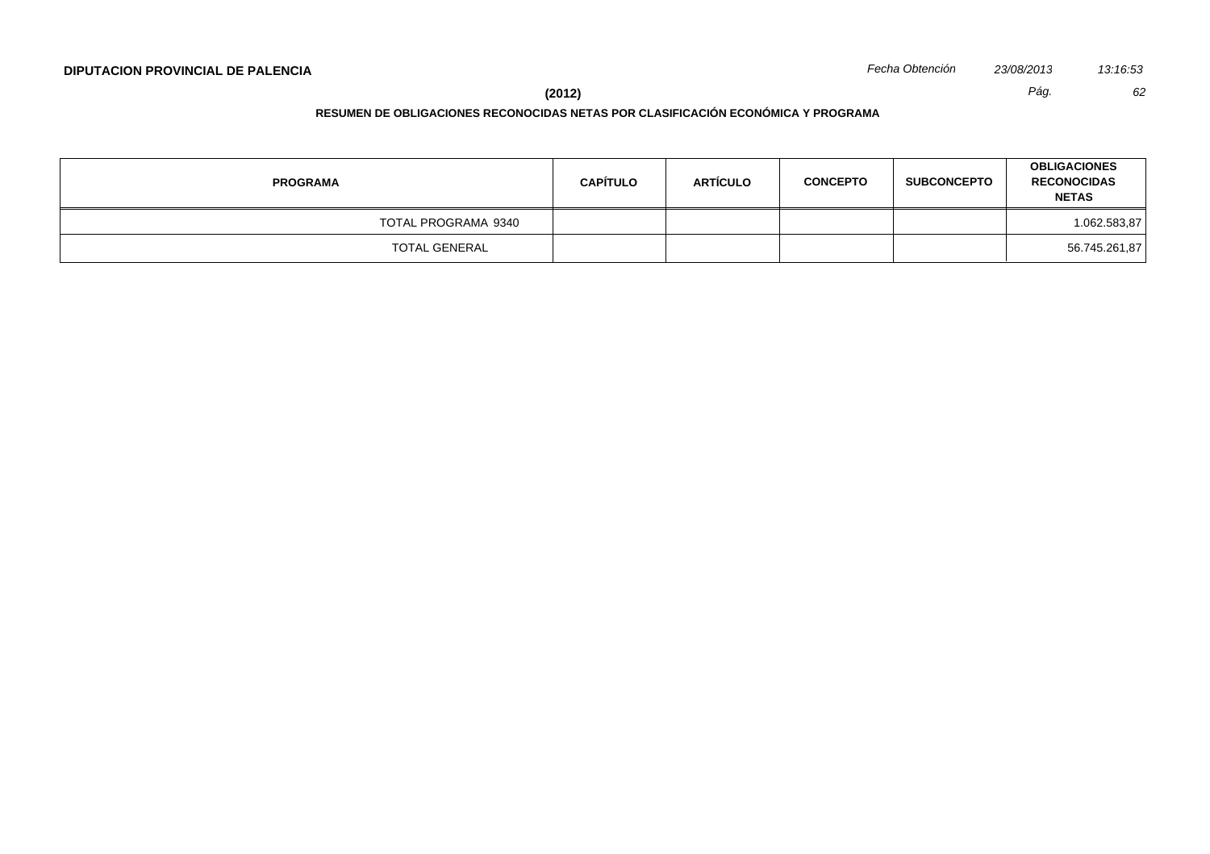**(2012)** *Pág. 62*

| <b>PROGRAMA</b>     | <b>CAPÍTULO</b> | <b>ARTÍCULO</b> | <b>CONCEPTO</b> | <b>SUBCONCEPTO</b> | <b>OBLIGACIONES</b><br><b>RECONOCIDAS</b><br><b>NETAS</b> |
|---------------------|-----------------|-----------------|-----------------|--------------------|-----------------------------------------------------------|
| TOTAL PROGRAMA 9340 |                 |                 |                 |                    | 1.062.583,87                                              |
| TOTAL GENERAL       |                 |                 |                 |                    | 56.745.261,87                                             |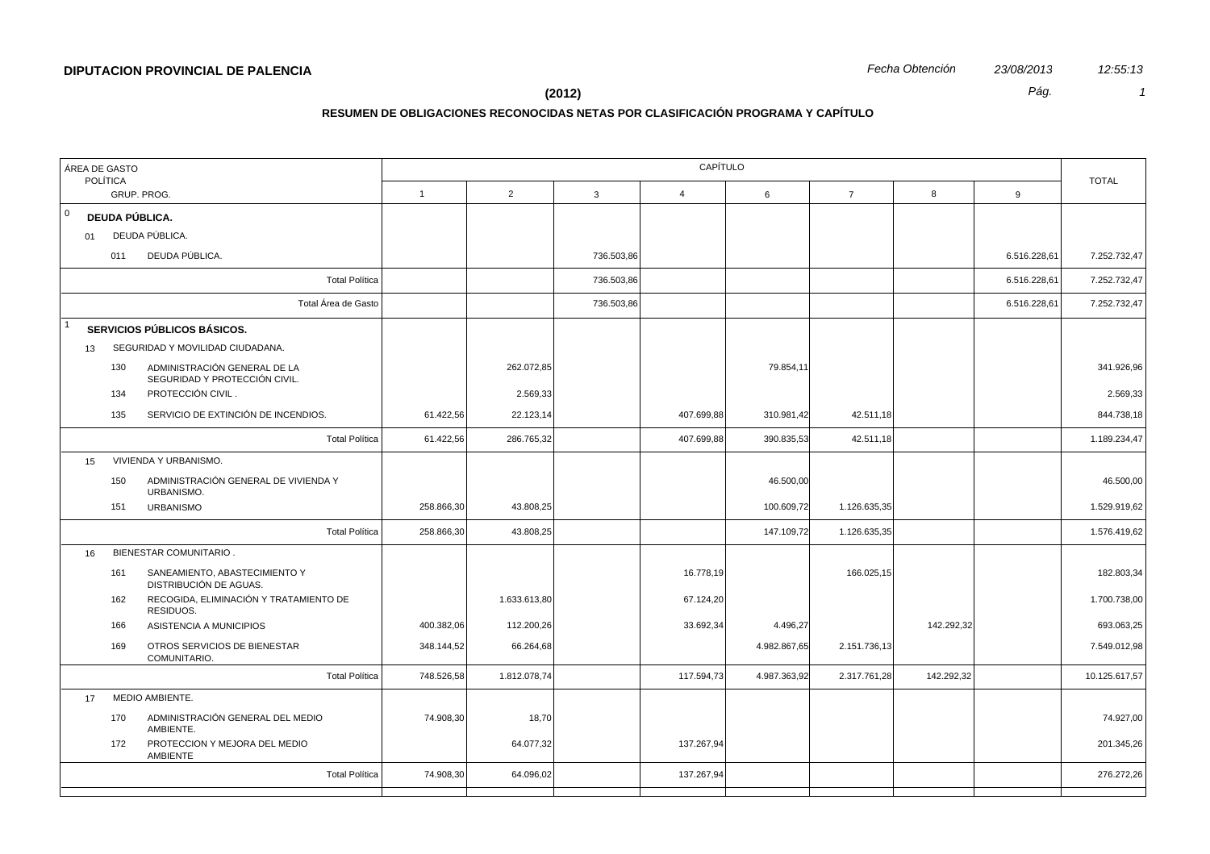| ÁREA DE GASTO<br><b>POLÍTICA</b>                                     | CAPÍTULO     |                |              |                |              |                |            |              |               |  |
|----------------------------------------------------------------------|--------------|----------------|--------------|----------------|--------------|----------------|------------|--------------|---------------|--|
| GRUP. PROG.                                                          | $\mathbf{1}$ | $\overline{2}$ | $\mathbf{3}$ | $\overline{4}$ | 6            | $\overline{7}$ | 8          | 9            | <b>TOTAL</b>  |  |
| 0<br>DEUDA PÚBLICA.                                                  |              |                |              |                |              |                |            |              |               |  |
| DEUDA PÚBLICA.<br>01                                                 |              |                |              |                |              |                |            |              |               |  |
| DEUDA PÚBLICA.<br>011                                                |              |                | 736.503,86   |                |              |                |            | 6.516.228,61 | 7.252.732,47  |  |
| <b>Total Política</b>                                                |              |                | 736.503,86   |                |              |                |            | 6.516.228,61 | 7.252.732,47  |  |
| Total Área de Gasto                                                  |              |                | 736.503,86   |                |              |                |            | 6.516.228,61 | 7.252.732,47  |  |
| SERVICIOS PÚBLICOS BÁSICOS.                                          |              |                |              |                |              |                |            |              |               |  |
| SEGURIDAD Y MOVILIDAD CIUDADANA.<br>13                               |              |                |              |                |              |                |            |              |               |  |
| ADMINISTRACIÓN GENERAL DE LA<br>130<br>SEGURIDAD Y PROTECCIÓN CIVIL. |              | 262.072,85     |              |                | 79.854,11    |                |            |              | 341.926,96    |  |
| PROTECCIÓN CIVIL.<br>134                                             |              | 2.569,33       |              |                |              |                |            |              | 2.569,33      |  |
| SERVICIO DE EXTINCIÓN DE INCENDIOS.<br>135                           | 61.422,56    | 22.123,14      |              | 407.699,88     | 310.981,42   | 42.511,18      |            |              | 844.738,18    |  |
| <b>Total Política</b>                                                | 61.422,56    | 286.765,32     |              | 407.699,88     | 390.835,53   | 42.511,18      |            |              | 1.189.234,47  |  |
| VIVIENDA Y URBANISMO.<br>15                                          |              |                |              |                |              |                |            |              |               |  |
| ADMINISTRACIÓN GENERAL DE VIVIENDA Y<br>150<br>URBANISMO.            |              |                |              |                | 46.500,00    |                |            |              | 46.500,00     |  |
| <b>URBANISMO</b><br>151                                              | 258.866,30   | 43.808,25      |              |                | 100.609,72   | 1.126.635,35   |            |              | 1.529.919,62  |  |
| <b>Total Política</b>                                                | 258.866,30   | 43.808,25      |              |                | 147.109,72   | 1.126.635,35   |            |              | 1.576.419,62  |  |
| <b>BIENESTAR COMUNITARIO.</b><br>16                                  |              |                |              |                |              |                |            |              |               |  |
| SANEAMIENTO, ABASTECIMIENTO Y<br>161<br>DISTRIBUCIÓN DE AGUAS.       |              |                |              | 16.778,19      |              | 166.025,15     |            |              | 182.803,34    |  |
| RECOGIDA, ELIMINACIÓN Y TRATAMIENTO DE<br>162<br>RESIDUOS.           |              | 1.633.613,80   |              | 67.124,20      |              |                |            |              | 1.700.738,00  |  |
| ASISTENCIA A MUNICIPIOS<br>166                                       | 400.382,06   | 112.200,26     |              | 33.692,34      | 4.496,27     |                | 142.292,32 |              | 693.063,25    |  |
| OTROS SERVICIOS DE BIENESTAR<br>169<br>COMUNITARIO.                  | 348.144,52   | 66.264,68      |              |                | 4.982.867,65 | 2.151.736,13   |            |              | 7.549.012,98  |  |
| <b>Total Política</b>                                                | 748.526,58   | 1.812.078,74   |              | 117.594,73     | 4.987.363,92 | 2.317.761,28   | 142.292,32 |              | 10.125.617,57 |  |
| MEDIO AMBIENTE.<br>17                                                |              |                |              |                |              |                |            |              |               |  |
| ADMINISTRACIÓN GENERAL DEL MEDIO<br>170<br>AMBIENTE.                 | 74.908,30    | 18,70          |              |                |              |                |            |              | 74.927,00     |  |
| PROTECCION Y MEJORA DEL MEDIO<br>172<br>AMBIENTE                     |              | 64.077,32      |              | 137.267,94     |              |                |            |              | 201.345,26    |  |
| <b>Total Política</b>                                                | 74.908,30    | 64.096,02      |              | 137.267,94     |              |                |            |              | 276.272,26    |  |
|                                                                      |              |                |              |                |              |                |            |              |               |  |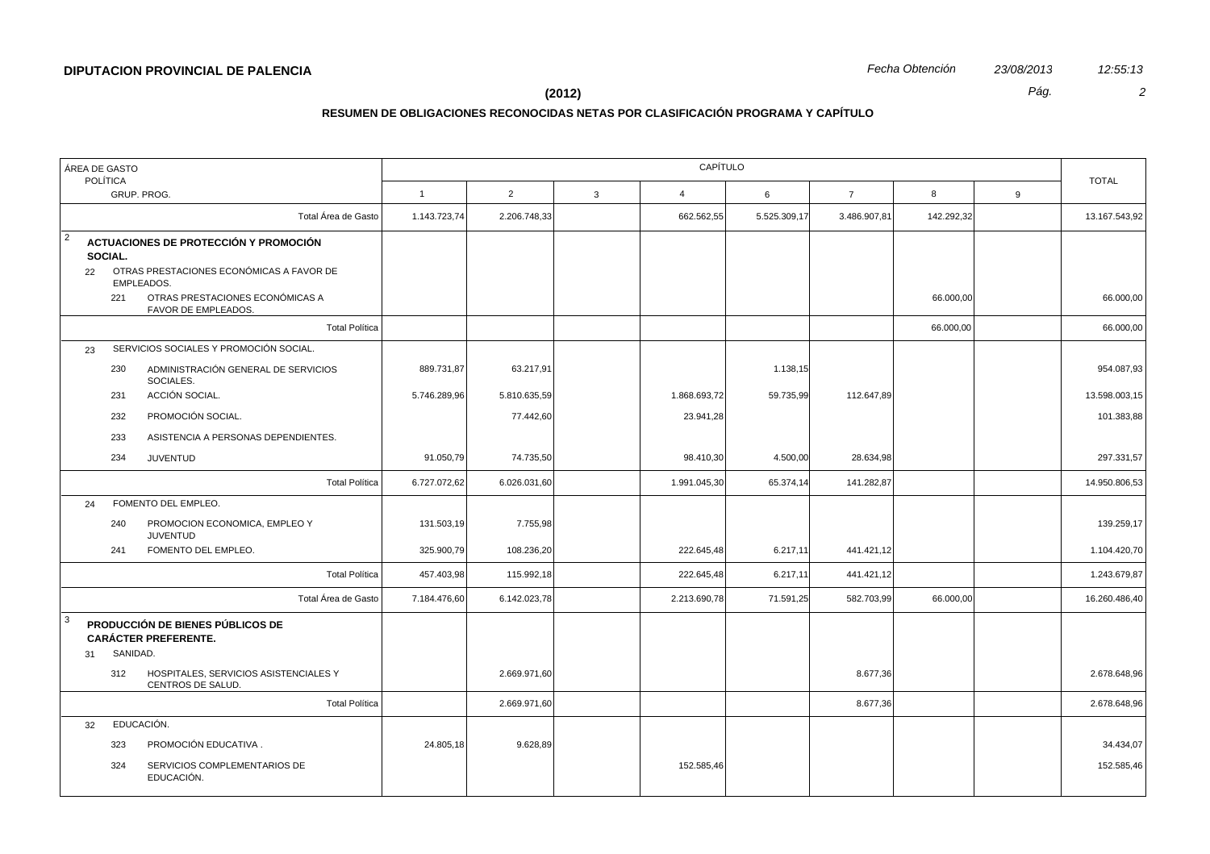| <b>POLÍTICA</b>                                                                                                                                                                                |              | CAPÍTULO       |            |   |               |  |  |  |  |  |  |
|------------------------------------------------------------------------------------------------------------------------------------------------------------------------------------------------|--------------|----------------|------------|---|---------------|--|--|--|--|--|--|
| $\overline{1}$<br>2<br>$\overline{4}$<br>GRUP. PROG.<br>$\mathbf{3}$                                                                                                                           | 6            | $\overline{7}$ | 8          | 9 | <b>TOTAL</b>  |  |  |  |  |  |  |
| Total Área de Gasto<br>1.143.723,74<br>2.206.748,33<br>662.562,55                                                                                                                              | 5.525.309,17 | 3.486.907,81   | 142.292,32 |   | 13.167.543,92 |  |  |  |  |  |  |
| $\vert$ 2<br>ACTUACIONES DE PROTECCIÓN Y PROMOCIÓN<br>SOCIAL.<br>OTRAS PRESTACIONES ECONÓMICAS A FAVOR DE<br>22<br>EMPLEADOS.<br>OTRAS PRESTACIONES ECONÓMICAS A<br>221<br>FAVOR DE EMPLEADOS. |              |                | 66.000,00  |   | 66.000,00     |  |  |  |  |  |  |
| <b>Total Política</b>                                                                                                                                                                          |              |                | 66.000,00  |   | 66.000,00     |  |  |  |  |  |  |
| SERVICIOS SOCIALES Y PROMOCIÓN SOCIAL.<br>23<br>ADMINISTRACIÓN GENERAL DE SERVICIOS<br>889.731,87<br>63.217,91<br>230<br>SOCIALES.                                                             | 1.138,15     |                |            |   | 954.087,93    |  |  |  |  |  |  |
| ACCIÓN SOCIAL.<br>1.868.693,72<br>231<br>5.746.289,96<br>5.810.635,59                                                                                                                          | 59.735,99    | 112.647,89     |            |   | 13.598.003,15 |  |  |  |  |  |  |
| PROMOCIÓN SOCIAL.<br>77.442,60<br>232<br>23.941,28                                                                                                                                             |              |                |            |   | 101.383.88    |  |  |  |  |  |  |
| 233<br>ASISTENCIA A PERSONAS DEPENDIENTES.                                                                                                                                                     |              |                |            |   |               |  |  |  |  |  |  |
| 234<br>91.050,79<br>74.735,50<br>98.410,30<br><b>JUVENTUD</b>                                                                                                                                  | 4.500,00     | 28.634,98      |            |   | 297.331,57    |  |  |  |  |  |  |
| <b>Total Política</b><br>6.727.072.62<br>6.026.031,60<br>1.991.045,30                                                                                                                          | 65.374,14    | 141.282,87     |            |   | 14.950.806,53 |  |  |  |  |  |  |
| FOMENTO DEL EMPLEO.<br>24                                                                                                                                                                      |              |                |            |   |               |  |  |  |  |  |  |
| 7.755,98<br>240<br>PROMOCION ECONOMICA, EMPLEO Y<br>131.503,19<br><b>JUVENTUD</b>                                                                                                              |              |                |            |   | 139.259,17    |  |  |  |  |  |  |
| FOMENTO DEL EMPLEO.<br>325.900,79<br>108.236,20<br>222.645,48<br>241                                                                                                                           | 6.217,11     | 441.421,12     |            |   | 1.104.420,70  |  |  |  |  |  |  |
| <b>Total Política</b><br>457.403,98<br>115.992,18<br>222.645,48                                                                                                                                | 6.217,11     | 441.421,12     |            |   | 1.243.679,87  |  |  |  |  |  |  |
| Total Área de Gasto<br>7.184.476,60<br>6.142.023,78<br>2.213.690,78                                                                                                                            | 71.591,25    | 582.703,99     | 66.000,00  |   | 16.260.486,40 |  |  |  |  |  |  |
| 3<br>PRODUCCIÓN DE BIENES PÚBLICOS DE<br><b>CARÁCTER PREFERENTE.</b><br>SANIDAD.<br>31<br>HOSPITALES, SERVICIOS ASISTENCIALES Y<br>2.669.971,60<br>312<br>CENTROS DE SALUD.                    |              | 8.677,36       |            |   | 2.678.648,96  |  |  |  |  |  |  |
| <b>Total Política</b><br>2.669.971,60                                                                                                                                                          |              | 8.677,36       |            |   | 2.678.648,96  |  |  |  |  |  |  |
| EDUCACIÓN.<br>32                                                                                                                                                                               |              |                |            |   |               |  |  |  |  |  |  |
| 323<br>PROMOCIÓN EDUCATIVA.<br>24.805,18<br>9.628,89                                                                                                                                           |              |                |            |   | 34.434,07     |  |  |  |  |  |  |
| SERVICIOS COMPLEMENTARIOS DE<br>152.585,46<br>324<br>EDUCACIÓN.                                                                                                                                |              |                |            |   | 152.585,46    |  |  |  |  |  |  |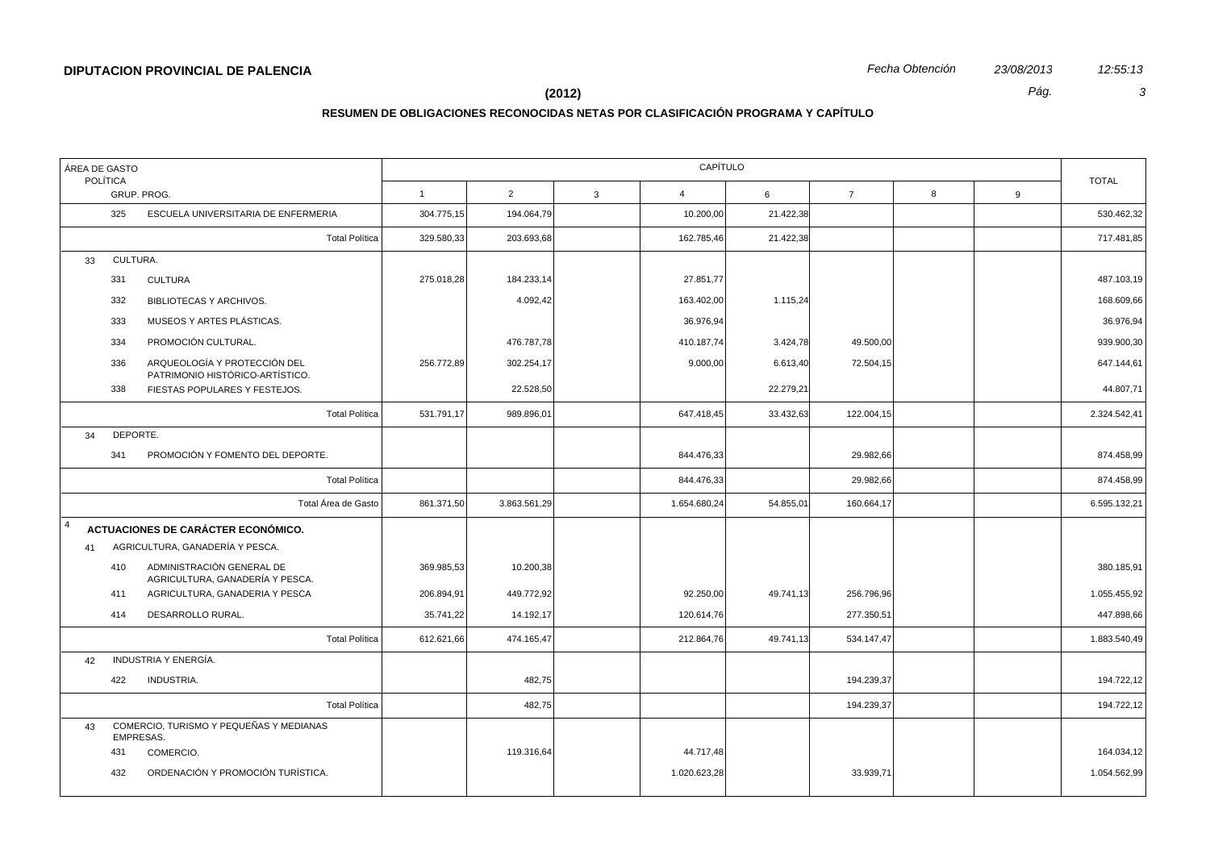### **(2012)** *Pág. 3*

| ÁREA DE GASTO<br><b>POLÍTICA</b> |           |                                                                 | CAPÍTULO       |              |                |              |                |            |   |              |              |
|----------------------------------|-----------|-----------------------------------------------------------------|----------------|--------------|----------------|--------------|----------------|------------|---|--------------|--------------|
| GRUP. PROG.                      |           | $\mathbf{1}$                                                    | $\overline{2}$ | $\mathbf{3}$ | $\overline{4}$ | 6            | $\overline{7}$ | 8          | 9 | <b>TOTAL</b> |              |
|                                  | 325       | ESCUELA UNIVERSITARIA DE ENFERMERIA                             | 304.775,15     | 194.064,79   |                | 10.200,00    | 21.422,38      |            |   |              | 530.462,32   |
|                                  |           | <b>Total Política</b>                                           | 329.580,33     | 203.693,68   |                | 162.785,46   | 21.422,38      |            |   |              | 717.481,85   |
| 33                               | CULTURA.  |                                                                 |                |              |                |              |                |            |   |              |              |
|                                  | 331       | <b>CULTURA</b>                                                  | 275.018,28     | 184.233,14   |                | 27.851,77    |                |            |   |              | 487.103,19   |
|                                  | 332       | BIBLIOTECAS Y ARCHIVOS.                                         |                | 4.092,42     |                | 163.402,00   | 1.115,24       |            |   |              | 168.609,66   |
|                                  | 333       | MUSEOS Y ARTES PLÁSTICAS.                                       |                |              |                | 36.976,94    |                |            |   |              | 36.976,94    |
|                                  | 334       | PROMOCIÓN CULTURAL.                                             |                | 476.787,78   |                | 410.187,74   | 3.424,78       | 49.500,00  |   |              | 939.900,30   |
|                                  | 336       | ARQUEOLOGÍA Y PROTECCIÓN DEL<br>PATRIMONIO HISTÓRICO-ARTÍSTICO. | 256.772,89     | 302.254,17   |                | 9.000,00     | 6.613,40       | 72.504,15  |   |              | 647.144,61   |
|                                  | 338       | FIESTAS POPULARES Y FESTEJOS.                                   |                | 22.528,50    |                |              | 22.279,21      |            |   |              | 44.807,71    |
|                                  |           | <b>Total Política</b>                                           | 531.791,17     | 989.896,01   |                | 647.418,45   | 33.432,63      | 122.004,15 |   |              | 2.324.542,41 |
| 34                               | DEPORTE.  |                                                                 |                |              |                |              |                |            |   |              |              |
|                                  | 341       | PROMOCIÓN Y FOMENTO DEL DEPORTE.                                |                |              |                | 844.476,33   |                | 29.982,66  |   |              | 874.458,99   |
|                                  |           | <b>Total Política</b>                                           |                |              |                | 844.476,33   |                | 29.982,66  |   |              | 874.458,99   |
|                                  |           | Total Área de Gasto                                             | 861.371,50     | 3.863.561,29 |                | 1.654.680,24 | 54.855,01      | 160.664,17 |   |              | 6.595.132,21 |
| $\overline{4}$                   |           | ACTUACIONES DE CARÁCTER ECONÓMICO.                              |                |              |                |              |                |            |   |              |              |
| 41                               |           | AGRICULTURA, GANADERÍA Y PESCA.                                 |                |              |                |              |                |            |   |              |              |
|                                  | 410       | ADMINISTRACIÓN GENERAL DE<br>AGRICULTURA, GANADERÍA Y PESCA.    | 369.985,53     | 10.200,38    |                |              |                |            |   |              | 380.185,91   |
|                                  | 411       | AGRICULTURA, GANADERIA Y PESCA                                  | 206.894,91     | 449.772,92   |                | 92.250,00    | 49.741,13      | 256.796,96 |   |              | 1.055.455,92 |
|                                  | 414       | DESARROLLO RURAL.                                               | 35.741,22      | 14.192,17    |                | 120.614,76   |                | 277.350,51 |   |              | 447.898,66   |
|                                  |           | <b>Total Política</b>                                           | 612.621,66     | 474.165,47   |                | 212.864,76   | 49.741,13      | 534.147,47 |   |              | 1.883.540,49 |
| 42                               |           | INDUSTRIA Y ENERGÍA.                                            |                |              |                |              |                |            |   |              |              |
|                                  | 422       | INDUSTRIA.                                                      |                | 482,75       |                |              |                | 194.239,37 |   |              | 194.722,12   |
|                                  |           | <b>Total Política</b>                                           |                | 482,75       |                |              |                | 194.239,37 |   |              | 194.722,12   |
| 43                               | EMPRESAS. | COMERCIO, TURISMO Y PEQUEÑAS Y MEDIANAS                         |                |              |                |              |                |            |   |              |              |
|                                  | 431       | COMERCIO.                                                       |                | 119.316,64   |                | 44.717,48    |                |            |   |              | 164.034,12   |
|                                  | 432       | ORDENACIÓN Y PROMOCIÓN TURÍSTICA.                               |                |              |                | 1.020.623,28 |                | 33.939,71  |   |              | 1.054.562,99 |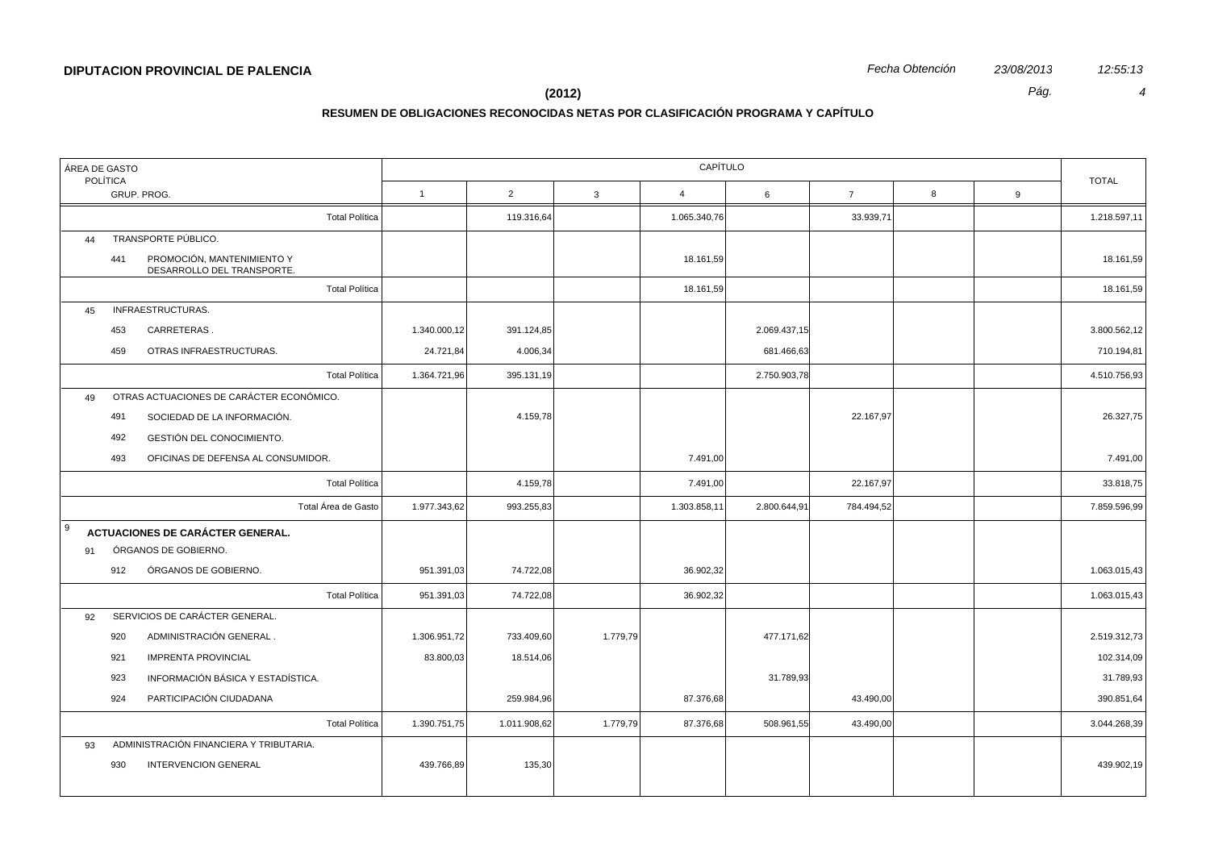| ÁREA DE GASTO |                                |                                                          | CAPÍTULO     |              |              |                |              |                |   |   |              |  |
|---------------|--------------------------------|----------------------------------------------------------|--------------|--------------|--------------|----------------|--------------|----------------|---|---|--------------|--|
|               | <b>POLÍTICA</b><br>GRUP. PROG. |                                                          |              | 2            | $\mathbf{3}$ | $\overline{4}$ | 6            | $\overline{7}$ | 8 | 9 | <b>TOTAL</b> |  |
|               |                                | <b>Total Política</b>                                    |              | 119.316,64   |              | 1.065.340,76   |              | 33.939,71      |   |   | 1.218.597,11 |  |
| 44            |                                | TRANSPORTE PÚBLICO.                                      |              |              |              |                |              |                |   |   |              |  |
|               | 441                            | PROMOCIÓN, MANTENIMIENTO Y<br>DESARROLLO DEL TRANSPORTE. |              |              |              | 18.161,59      |              |                |   |   | 18.161,59    |  |
|               |                                | <b>Total Política</b>                                    |              |              |              | 18.161,59      |              |                |   |   | 18.161,59    |  |
| 45            |                                | INFRAESTRUCTURAS.                                        |              |              |              |                |              |                |   |   |              |  |
|               | 453                            | CARRETERAS.                                              | 1.340.000,12 | 391.124,85   |              |                | 2.069.437,15 |                |   |   | 3.800.562,12 |  |
|               | 459                            | OTRAS INFRAESTRUCTURAS.                                  | 24.721,84    | 4.006,34     |              |                | 681.466,63   |                |   |   | 710.194,81   |  |
|               |                                | <b>Total Política</b>                                    | 1.364.721,96 | 395.131,19   |              |                | 2.750.903,78 |                |   |   | 4.510.756,93 |  |
| 49            |                                | OTRAS ACTUACIONES DE CARÁCTER ECONÓMICO.                 |              |              |              |                |              |                |   |   |              |  |
|               | 491                            | SOCIEDAD DE LA INFORMACIÓN.                              |              | 4.159,78     |              |                |              | 22.167,97      |   |   | 26.327,75    |  |
|               | 492                            | GESTIÓN DEL CONOCIMIENTO.                                |              |              |              |                |              |                |   |   |              |  |
|               | 493                            | OFICINAS DE DEFENSA AL CONSUMIDOR.                       |              |              |              | 7.491,00       |              |                |   |   | 7.491,00     |  |
|               |                                | <b>Total Política</b>                                    |              | 4.159,78     |              | 7.491,00       |              | 22.167,97      |   |   | 33.818,75    |  |
|               |                                | Total Área de Gasto                                      | 1.977.343,62 | 993.255,83   |              | 1.303.858,11   | 2.800.644,91 | 784.494,52     |   |   | 7.859.596,99 |  |
| l 9           |                                | <b>ACTUACIONES DE CARÁCTER GENERAL.</b>                  |              |              |              |                |              |                |   |   |              |  |
| 91            |                                | ÓRGANOS DE GOBIERNO.                                     |              |              |              |                |              |                |   |   |              |  |
|               | 912                            | ÓRGANOS DE GOBIERNO.                                     | 951.391,03   | 74.722,08    |              | 36.902,32      |              |                |   |   | 1.063.015,43 |  |
|               |                                | <b>Total Política</b>                                    | 951.391,03   | 74.722,08    |              | 36.902,32      |              |                |   |   | 1.063.015,43 |  |
| 92            |                                | SERVICIOS DE CARÁCTER GENERAL.                           |              |              |              |                |              |                |   |   |              |  |
|               | 920                            | ADMINISTRACIÓN GENERAL.                                  | 1.306.951,72 | 733.409,60   | 1.779,79     |                | 477.171,62   |                |   |   | 2.519.312,73 |  |
|               | 921                            | <b>IMPRENTA PROVINCIAL</b>                               | 83.800,03    | 18.514,06    |              |                |              |                |   |   | 102.314,09   |  |
|               | 923                            | INFORMACIÓN BÁSICA Y ESTADÍSTICA.                        |              |              |              |                | 31.789,93    |                |   |   | 31.789,93    |  |
|               | 924                            | PARTICIPACIÓN CIUDADANA                                  |              | 259.984,96   |              | 87.376,68      |              | 43.490,00      |   |   | 390.851,64   |  |
|               |                                | <b>Total Política</b>                                    | 1.390.751,75 | 1.011.908,62 | 1.779,79     | 87.376,68      | 508.961,55   | 43.490,00      |   |   | 3.044.268,39 |  |
| 93            |                                | ADMINISTRACIÓN FINANCIERA Y TRIBUTARIA.                  |              |              |              |                |              |                |   |   |              |  |
|               | 930                            | <b>INTERVENCION GENERAL</b>                              | 439.766,89   | 135,30       |              |                |              |                |   |   | 439.902,19   |  |
|               |                                |                                                          |              |              |              |                |              |                |   |   |              |  |